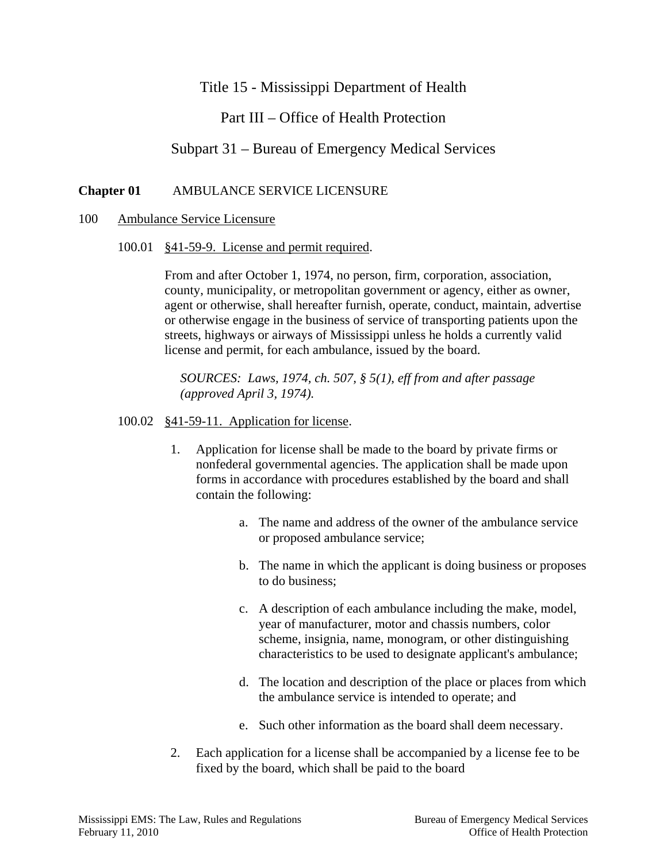# Title 15 - Mississippi Department of Health

# Part III – Office of Health Protection

# Subpart 31 – Bureau of Emergency Medical Services

## **Chapter 01** AMBULANCE SERVICE LICENSURE

- 100 Ambulance Service Licensure
	- 100.01 §41-59-9. License and permit required.

From and after October 1, 1974, no person, firm, corporation, association, county, municipality, or metropolitan government or agency, either as owner, agent or otherwise, shall hereafter furnish, operate, conduct, maintain, advertise or otherwise engage in the business of service of transporting patients upon the streets, highways or airways of Mississippi unless he holds a currently valid license and permit, for each ambulance, issued by the board.

*SOURCES: Laws, 1974, ch. 507, § 5(1), eff from and after passage (approved April 3, 1974).* 

- 100.02 §41-59-11. Application for license.
	- 1. Application for license shall be made to the board by private firms or nonfederal governmental agencies. The application shall be made upon forms in accordance with procedures established by the board and shall contain the following:
		- a. The name and address of the owner of the ambulance service or proposed ambulance service;
		- b. The name in which the applicant is doing business or proposes to do business;
		- c. A description of each ambulance including the make, model, year of manufacturer, motor and chassis numbers, color scheme, insignia, name, monogram, or other distinguishing characteristics to be used to designate applicant's ambulance;
		- d. The location and description of the place or places from which the ambulance service is intended to operate; and
		- e. Such other information as the board shall deem necessary.
	- 2. Each application for a license shall be accompanied by a license fee to be fixed by the board, which shall be paid to the board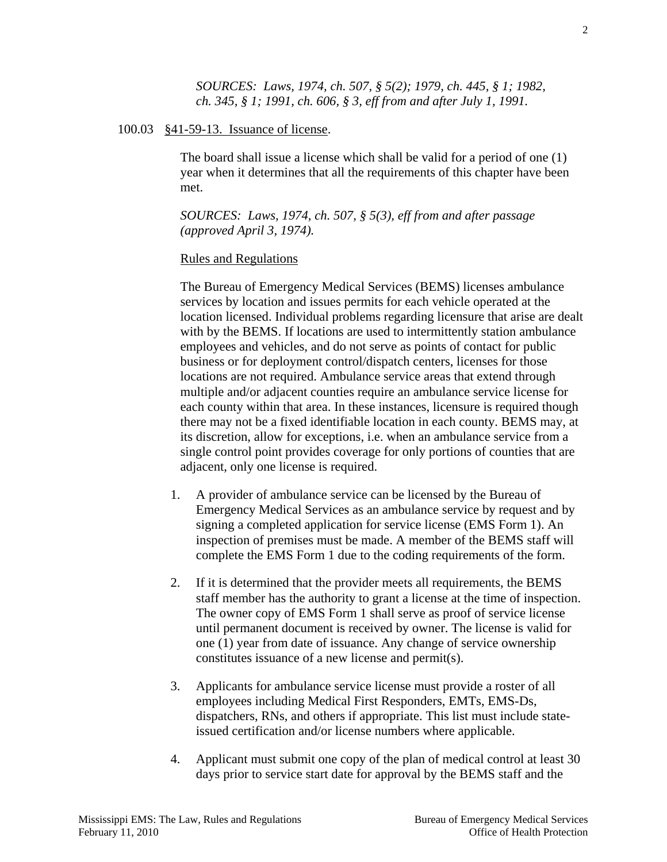*SOURCES: Laws, 1974, ch. 507, § 5(2); 1979, ch. 445, § 1; 1982, ch. 345, § 1; 1991, ch. 606, § 3, eff from and after July 1, 1991.* 

#### 100.03 §41-59-13. Issuance of license.

The board shall issue a license which shall be valid for a period of one (1) year when it determines that all the requirements of this chapter have been met.

*SOURCES: Laws, 1974, ch. 507, § 5(3), eff from and after passage (approved April 3, 1974).* 

#### Rules and Regulations

The Bureau of Emergency Medical Services (BEMS) licenses ambulance services by location and issues permits for each vehicle operated at the location licensed. Individual problems regarding licensure that arise are dealt with by the BEMS. If locations are used to intermittently station ambulance employees and vehicles, and do not serve as points of contact for public business or for deployment control/dispatch centers, licenses for those locations are not required. Ambulance service areas that extend through multiple and/or adjacent counties require an ambulance service license for each county within that area. In these instances, licensure is required though there may not be a fixed identifiable location in each county. BEMS may, at its discretion, allow for exceptions, i.e. when an ambulance service from a single control point provides coverage for only portions of counties that are adjacent, only one license is required.

- 1. A provider of ambulance service can be licensed by the Bureau of Emergency Medical Services as an ambulance service by request and by signing a completed application for service license (EMS Form 1). An inspection of premises must be made. A member of the BEMS staff will complete the EMS Form 1 due to the coding requirements of the form.
- 2. If it is determined that the provider meets all requirements, the BEMS staff member has the authority to grant a license at the time of inspection. The owner copy of EMS Form 1 shall serve as proof of service license until permanent document is received by owner. The license is valid for one (1) year from date of issuance. Any change of service ownership constitutes issuance of a new license and permit(s).
- 3. Applicants for ambulance service license must provide a roster of all employees including Medical First Responders, EMTs, EMS-Ds, dispatchers, RNs, and others if appropriate. This list must include stateissued certification and/or license numbers where applicable.
- 4. Applicant must submit one copy of the plan of medical control at least 30 days prior to service start date for approval by the BEMS staff and the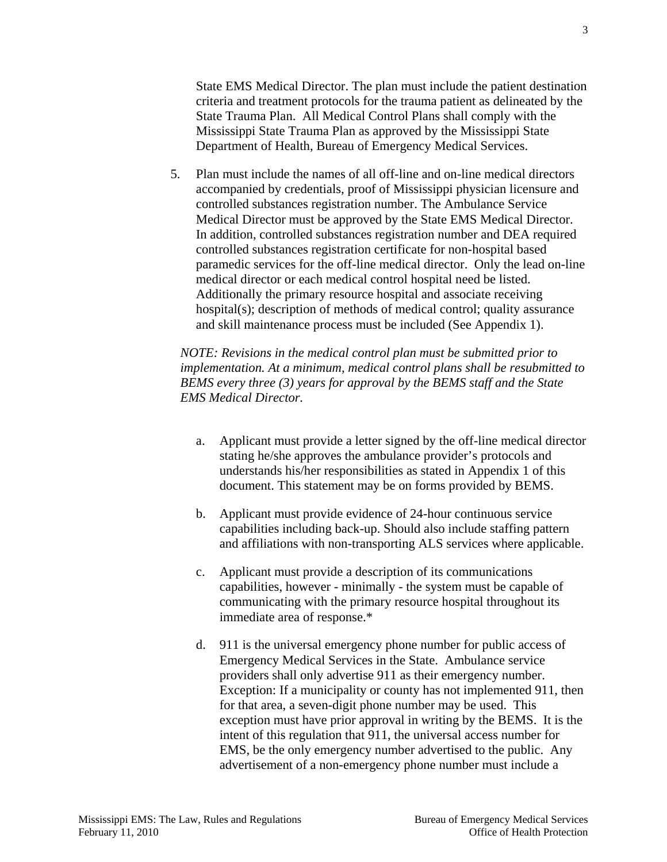State EMS Medical Director. The plan must include the patient destination criteria and treatment protocols for the trauma patient as delineated by the State Trauma Plan. All Medical Control Plans shall comply with the Mississippi State Trauma Plan as approved by the Mississippi State Department of Health, Bureau of Emergency Medical Services.

5. Plan must include the names of all off-line and on-line medical directors accompanied by credentials, proof of Mississippi physician licensure and controlled substances registration number. The Ambulance Service Medical Director must be approved by the State EMS Medical Director. In addition, controlled substances registration number and DEA required controlled substances registration certificate for non-hospital based paramedic services for the off-line medical director. Only the lead on-line medical director or each medical control hospital need be listed. Additionally the primary resource hospital and associate receiving hospital(s); description of methods of medical control; quality assurance and skill maintenance process must be included (See Appendix 1).

*NOTE: Revisions in the medical control plan must be submitted prior to implementation. At a minimum, medical control plans shall be resubmitted to BEMS every three (3) years for approval by the BEMS staff and the State EMS Medical Director.* 

- a. Applicant must provide a letter signed by the off-line medical director stating he/she approves the ambulance provider's protocols and understands his/her responsibilities as stated in Appendix 1 of this document. This statement may be on forms provided by BEMS.
- b. Applicant must provide evidence of 24-hour continuous service capabilities including back-up. Should also include staffing pattern and affiliations with non-transporting ALS services where applicable.
- c. Applicant must provide a description of its communications capabilities, however - minimally - the system must be capable of communicating with the primary resource hospital throughout its immediate area of response.\*
- d. 911 is the universal emergency phone number for public access of Emergency Medical Services in the State. Ambulance service providers shall only advertise 911 as their emergency number. Exception: If a municipality or county has not implemented 911, then for that area, a seven-digit phone number may be used. This exception must have prior approval in writing by the BEMS. It is the intent of this regulation that 911, the universal access number for EMS, be the only emergency number advertised to the public. Any advertisement of a non-emergency phone number must include a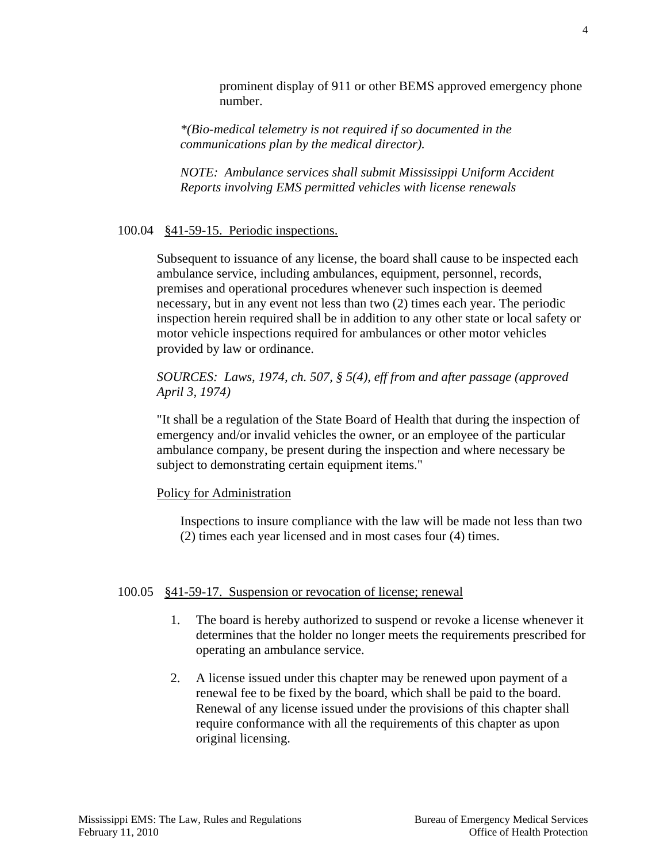prominent display of 911 or other BEMS approved emergency phone number.

*\*(Bio-medical telemetry is not required if so documented in the communications plan by the medical director).* 

*NOTE: Ambulance services shall submit Mississippi Uniform Accident Reports involving EMS permitted vehicles with license renewals* 

## 100.04 §41-59-15. Periodic inspections.

Subsequent to issuance of any license, the board shall cause to be inspected each ambulance service, including ambulances, equipment, personnel, records, premises and operational procedures whenever such inspection is deemed necessary, but in any event not less than two (2) times each year. The periodic inspection herein required shall be in addition to any other state or local safety or motor vehicle inspections required for ambulances or other motor vehicles provided by law or ordinance.

*SOURCES: Laws, 1974, ch. 507, § 5(4), eff from and after passage (approved April 3, 1974)* 

"It shall be a regulation of the State Board of Health that during the inspection of emergency and/or invalid vehicles the owner, or an employee of the particular ambulance company, be present during the inspection and where necessary be subject to demonstrating certain equipment items."

Policy for Administration

Inspections to insure compliance with the law will be made not less than two (2) times each year licensed and in most cases four (4) times.

## 100.05 §41-59-17. Suspension or revocation of license; renewal

- 1. The board is hereby authorized to suspend or revoke a license whenever it determines that the holder no longer meets the requirements prescribed for operating an ambulance service.
- 2. A license issued under this chapter may be renewed upon payment of a renewal fee to be fixed by the board, which shall be paid to the board. Renewal of any license issued under the provisions of this chapter shall require conformance with all the requirements of this chapter as upon original licensing.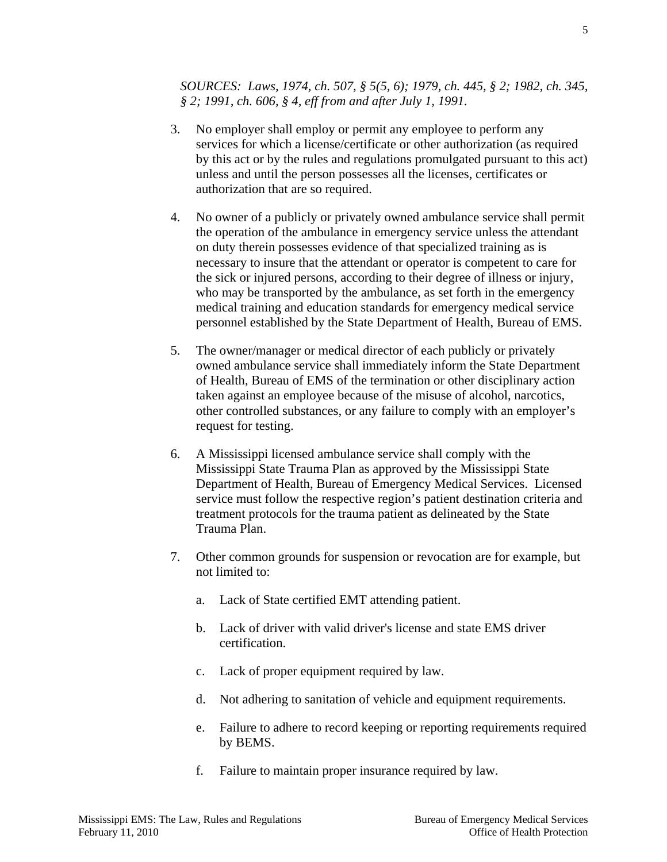*SOURCES: Laws, 1974, ch. 507, § 5(5, 6); 1979, ch. 445, § 2; 1982, ch. 345, § 2; 1991, ch. 606, § 4, eff from and after July 1, 1991.* 

- 3. No employer shall employ or permit any employee to perform any services for which a license/certificate or other authorization (as required by this act or by the rules and regulations promulgated pursuant to this act) unless and until the person possesses all the licenses, certificates or authorization that are so required.
- 4. No owner of a publicly or privately owned ambulance service shall permit the operation of the ambulance in emergency service unless the attendant on duty therein possesses evidence of that specialized training as is necessary to insure that the attendant or operator is competent to care for the sick or injured persons, according to their degree of illness or injury, who may be transported by the ambulance, as set forth in the emergency medical training and education standards for emergency medical service personnel established by the State Department of Health, Bureau of EMS.
- 5. The owner/manager or medical director of each publicly or privately owned ambulance service shall immediately inform the State Department of Health, Bureau of EMS of the termination or other disciplinary action taken against an employee because of the misuse of alcohol, narcotics, other controlled substances, or any failure to comply with an employer's request for testing.
- 6. A Mississippi licensed ambulance service shall comply with the Mississippi State Trauma Plan as approved by the Mississippi State Department of Health, Bureau of Emergency Medical Services. Licensed service must follow the respective region's patient destination criteria and treatment protocols for the trauma patient as delineated by the State Trauma Plan.
- 7. Other common grounds for suspension or revocation are for example, but not limited to:
	- a. Lack of State certified EMT attending patient.
	- b. Lack of driver with valid driver's license and state EMS driver certification.
	- c. Lack of proper equipment required by law.
	- d. Not adhering to sanitation of vehicle and equipment requirements.
	- e. Failure to adhere to record keeping or reporting requirements required by BEMS.
	- f. Failure to maintain proper insurance required by law.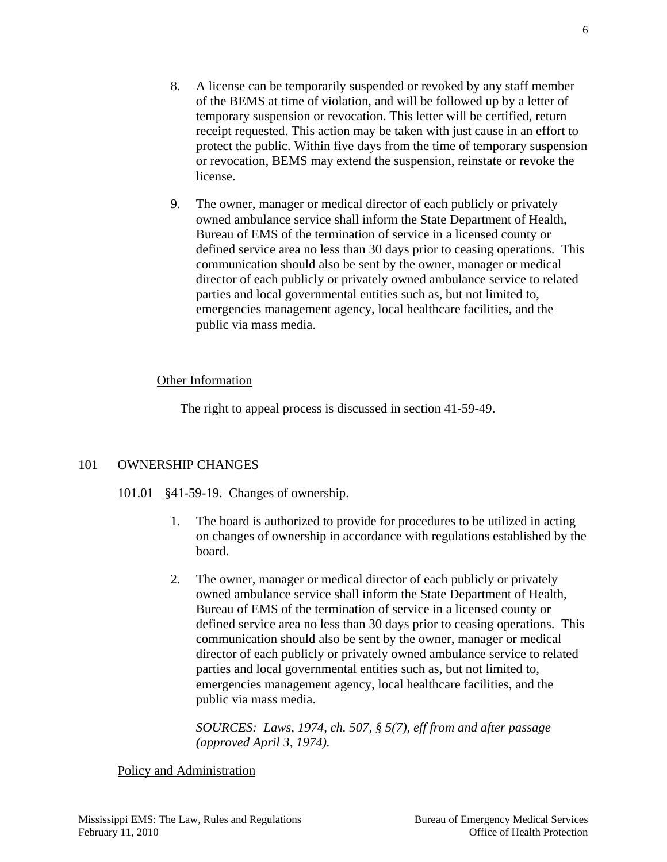- 8. A license can be temporarily suspended or revoked by any staff member of the BEMS at time of violation, and will be followed up by a letter of temporary suspension or revocation. This letter will be certified, return receipt requested. This action may be taken with just cause in an effort to protect the public. Within five days from the time of temporary suspension or revocation, BEMS may extend the suspension, reinstate or revoke the license.
- 9. The owner, manager or medical director of each publicly or privately owned ambulance service shall inform the State Department of Health, Bureau of EMS of the termination of service in a licensed county or defined service area no less than 30 days prior to ceasing operations. This communication should also be sent by the owner, manager or medical director of each publicly or privately owned ambulance service to related parties and local governmental entities such as, but not limited to, emergencies management agency, local healthcare facilities, and the public via mass media.

### Other Information

The right to appeal process is discussed in section 41-59-49.

## 101 OWNERSHIP CHANGES

- 101.01 §41-59-19. Changes of ownership.
	- 1. The board is authorized to provide for procedures to be utilized in acting on changes of ownership in accordance with regulations established by the board.
	- 2. The owner, manager or medical director of each publicly or privately owned ambulance service shall inform the State Department of Health, Bureau of EMS of the termination of service in a licensed county or defined service area no less than 30 days prior to ceasing operations. This communication should also be sent by the owner, manager or medical director of each publicly or privately owned ambulance service to related parties and local governmental entities such as, but not limited to, emergencies management agency, local healthcare facilities, and the public via mass media.

*SOURCES: Laws, 1974, ch. 507, § 5(7), eff from and after passage (approved April 3, 1974).* 

Policy and Administration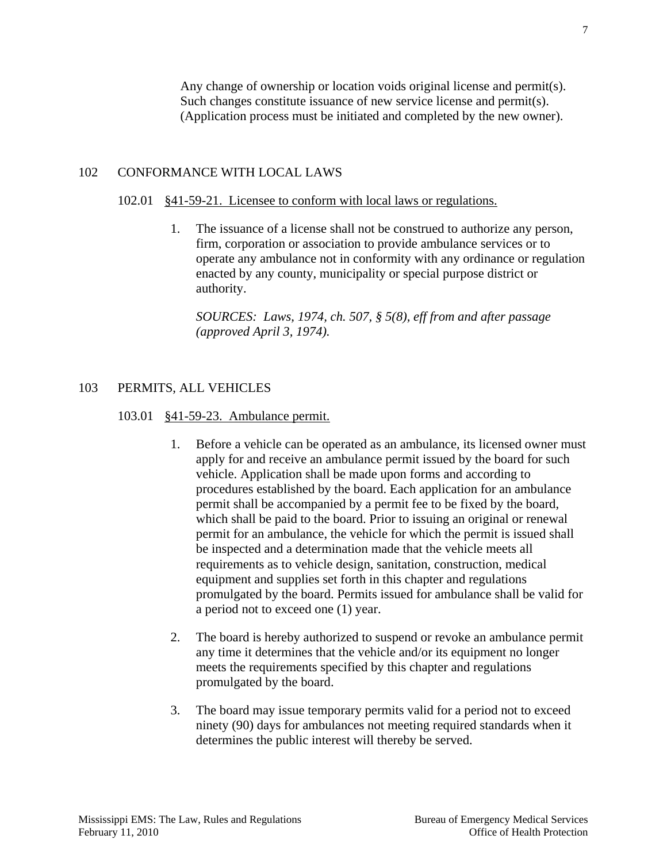Any change of ownership or location voids original license and permit(s). Such changes constitute issuance of new service license and permit(s). (Application process must be initiated and completed by the new owner).

#### 102 CONFORMANCE WITH LOCAL LAWS

#### 102.01 §41-59-21. Licensee to conform with local laws or regulations.

1. The issuance of a license shall not be construed to authorize any person, firm, corporation or association to provide ambulance services or to operate any ambulance not in conformity with any ordinance or regulation enacted by any county, municipality or special purpose district or authority.

*SOURCES: Laws, 1974, ch. 507, § 5(8), eff from and after passage (approved April 3, 1974).* 

#### 103 PERMITS, ALL VEHICLES

- 103.01 §41-59-23. Ambulance permit.
	- 1. Before a vehicle can be operated as an ambulance, its licensed owner must apply for and receive an ambulance permit issued by the board for such vehicle. Application shall be made upon forms and according to procedures established by the board. Each application for an ambulance permit shall be accompanied by a permit fee to be fixed by the board, which shall be paid to the board. Prior to issuing an original or renewal permit for an ambulance, the vehicle for which the permit is issued shall be inspected and a determination made that the vehicle meets all requirements as to vehicle design, sanitation, construction, medical equipment and supplies set forth in this chapter and regulations promulgated by the board. Permits issued for ambulance shall be valid for a period not to exceed one (1) year.
	- 2. The board is hereby authorized to suspend or revoke an ambulance permit any time it determines that the vehicle and/or its equipment no longer meets the requirements specified by this chapter and regulations promulgated by the board.
	- 3. The board may issue temporary permits valid for a period not to exceed ninety (90) days for ambulances not meeting required standards when it determines the public interest will thereby be served.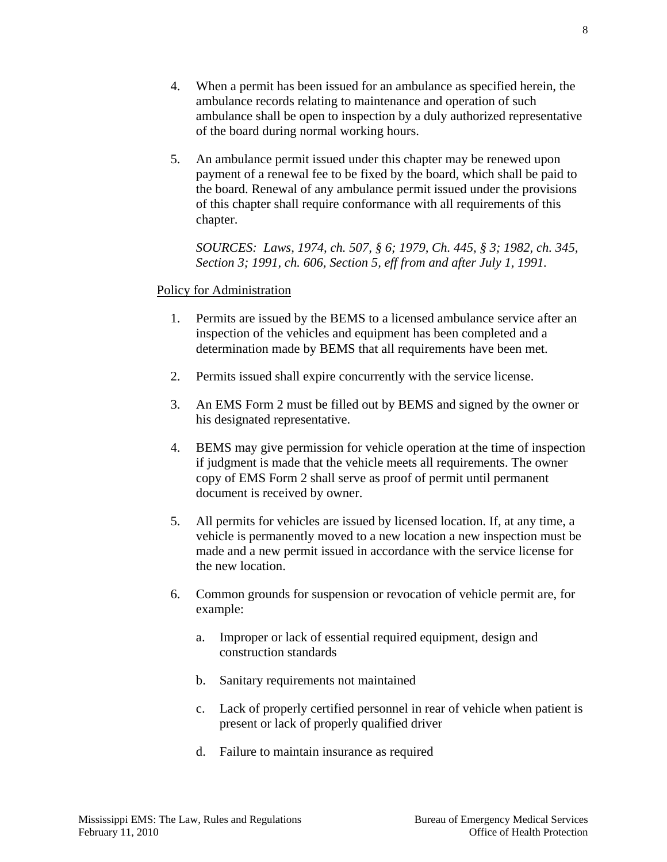- 4. When a permit has been issued for an ambulance as specified herein, the ambulance records relating to maintenance and operation of such ambulance shall be open to inspection by a duly authorized representative of the board during normal working hours.
- 5. An ambulance permit issued under this chapter may be renewed upon payment of a renewal fee to be fixed by the board, which shall be paid to the board. Renewal of any ambulance permit issued under the provisions of this chapter shall require conformance with all requirements of this chapter.

*SOURCES: Laws, 1974, ch. 507, § 6; 1979, Ch. 445, § 3; 1982, ch. 345, Section 3; 1991, ch. 606, Section 5, eff from and after July 1, 1991.* 

#### Policy for Administration

- 1. Permits are issued by the BEMS to a licensed ambulance service after an inspection of the vehicles and equipment has been completed and a determination made by BEMS that all requirements have been met.
- 2. Permits issued shall expire concurrently with the service license.
- 3. An EMS Form 2 must be filled out by BEMS and signed by the owner or his designated representative.
- 4. BEMS may give permission for vehicle operation at the time of inspection if judgment is made that the vehicle meets all requirements. The owner copy of EMS Form 2 shall serve as proof of permit until permanent document is received by owner.
- 5. All permits for vehicles are issued by licensed location. If, at any time, a vehicle is permanently moved to a new location a new inspection must be made and a new permit issued in accordance with the service license for the new location.
- 6. Common grounds for suspension or revocation of vehicle permit are, for example:
	- a. Improper or lack of essential required equipment, design and construction standards
	- b. Sanitary requirements not maintained
	- c. Lack of properly certified personnel in rear of vehicle when patient is present or lack of properly qualified driver
	- d. Failure to maintain insurance as required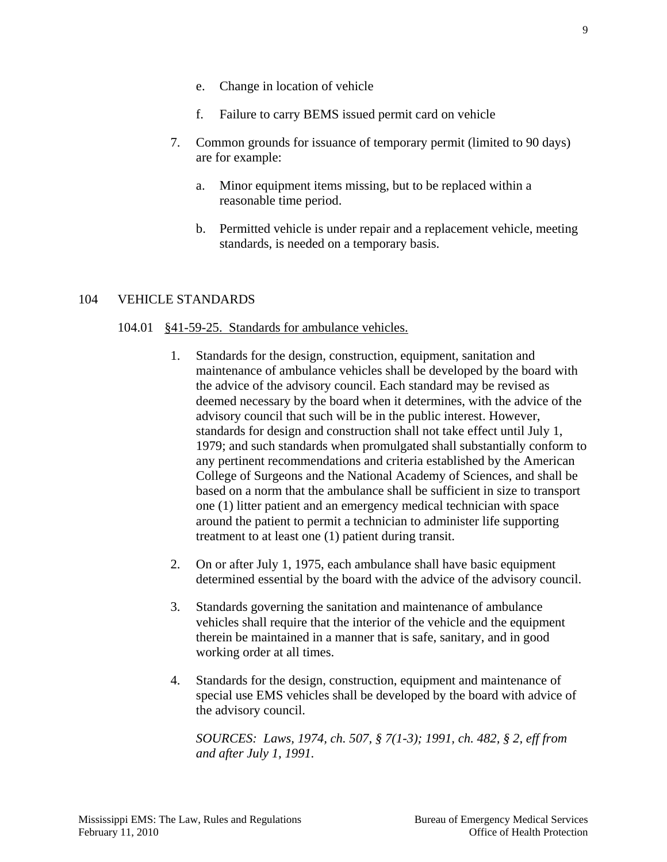- e. Change in location of vehicle
- f. Failure to carry BEMS issued permit card on vehicle
- 7. Common grounds for issuance of temporary permit (limited to 90 days) are for example:
	- a. Minor equipment items missing, but to be replaced within a reasonable time period.
	- b. Permitted vehicle is under repair and a replacement vehicle, meeting standards, is needed on a temporary basis.

## 104 VEHICLE STANDARDS

## 104.01 §41-59-25. Standards for ambulance vehicles.

- 1. Standards for the design, construction, equipment, sanitation and maintenance of ambulance vehicles shall be developed by the board with the advice of the advisory council. Each standard may be revised as deemed necessary by the board when it determines, with the advice of the advisory council that such will be in the public interest. However, standards for design and construction shall not take effect until July 1, 1979; and such standards when promulgated shall substantially conform to any pertinent recommendations and criteria established by the American College of Surgeons and the National Academy of Sciences, and shall be based on a norm that the ambulance shall be sufficient in size to transport one (1) litter patient and an emergency medical technician with space around the patient to permit a technician to administer life supporting treatment to at least one (1) patient during transit.
- 2. On or after July 1, 1975, each ambulance shall have basic equipment determined essential by the board with the advice of the advisory council.
- 3. Standards governing the sanitation and maintenance of ambulance vehicles shall require that the interior of the vehicle and the equipment therein be maintained in a manner that is safe, sanitary, and in good working order at all times.
- 4. Standards for the design, construction, equipment and maintenance of special use EMS vehicles shall be developed by the board with advice of the advisory council.

*SOURCES: Laws, 1974, ch. 507, § 7(1-3); 1991, ch. 482, § 2, eff from and after July 1, 1991.*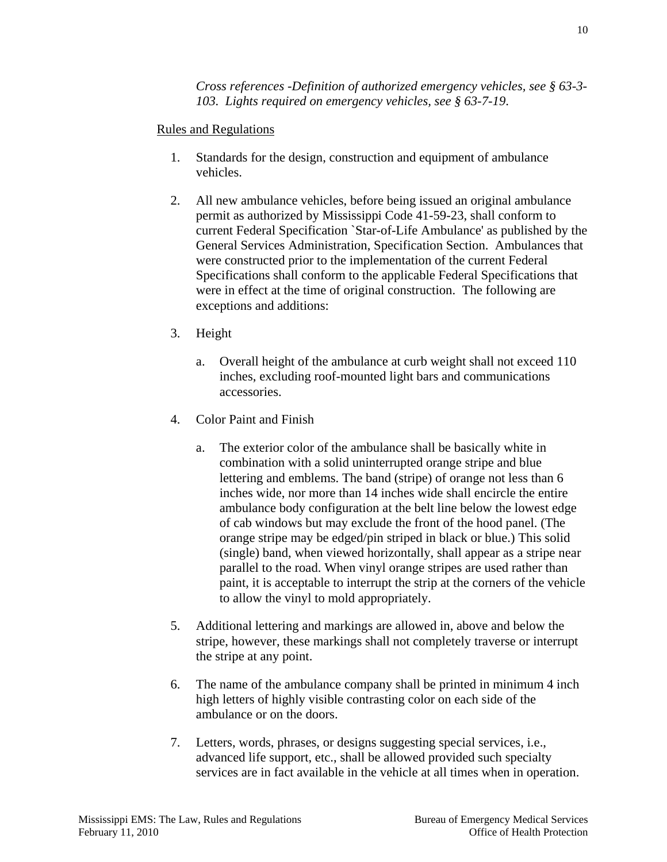*Cross references -Definition of authorized emergency vehicles, see § 63-3- 103. Lights required on emergency vehicles, see § 63-7-19*.

## Rules and Regulations

- 1. Standards for the design, construction and equipment of ambulance vehicles.
- 2. All new ambulance vehicles, before being issued an original ambulance permit as authorized by Mississippi Code 41-59-23, shall conform to current Federal Specification `Star-of-Life Ambulance' as published by the General Services Administration, Specification Section. Ambulances that were constructed prior to the implementation of the current Federal Specifications shall conform to the applicable Federal Specifications that were in effect at the time of original construction. The following are exceptions and additions:
- 3. Height
	- a. Overall height of the ambulance at curb weight shall not exceed 110 inches, excluding roof-mounted light bars and communications accessories.
- 4. Color Paint and Finish
	- a. The exterior color of the ambulance shall be basically white in combination with a solid uninterrupted orange stripe and blue lettering and emblems. The band (stripe) of orange not less than 6 inches wide, nor more than 14 inches wide shall encircle the entire ambulance body configuration at the belt line below the lowest edge of cab windows but may exclude the front of the hood panel. (The orange stripe may be edged/pin striped in black or blue.) This solid (single) band, when viewed horizontally, shall appear as a stripe near parallel to the road. When vinyl orange stripes are used rather than paint, it is acceptable to interrupt the strip at the corners of the vehicle to allow the vinyl to mold appropriately.
- 5. Additional lettering and markings are allowed in, above and below the stripe, however, these markings shall not completely traverse or interrupt the stripe at any point.
- 6. The name of the ambulance company shall be printed in minimum 4 inch high letters of highly visible contrasting color on each side of the ambulance or on the doors.
- 7. Letters, words, phrases, or designs suggesting special services, i.e., advanced life support, etc., shall be allowed provided such specialty services are in fact available in the vehicle at all times when in operation.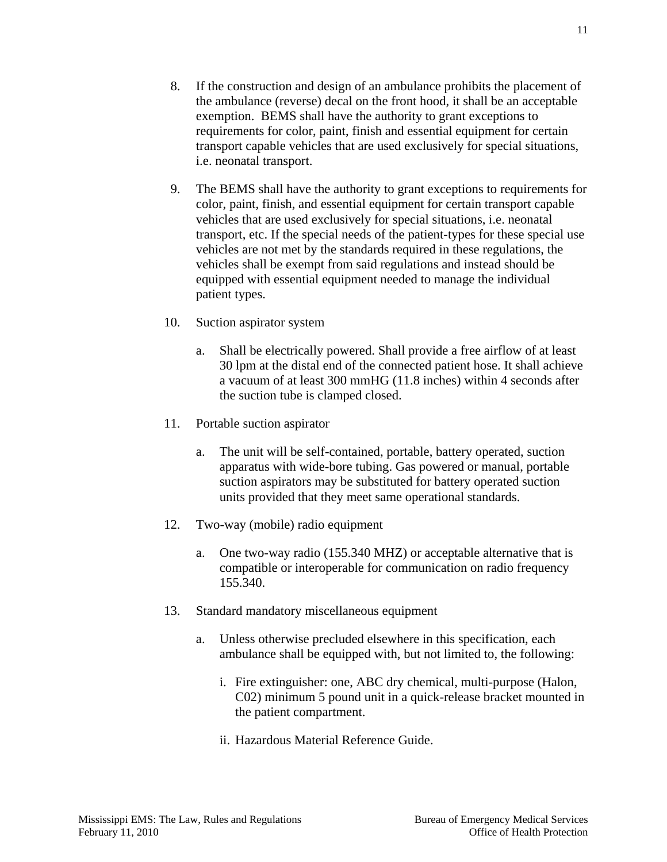- 8. If the construction and design of an ambulance prohibits the placement of the ambulance (reverse) decal on the front hood, it shall be an acceptable exemption. BEMS shall have the authority to grant exceptions to requirements for color, paint, finish and essential equipment for certain transport capable vehicles that are used exclusively for special situations, i.e. neonatal transport.
- 9. The BEMS shall have the authority to grant exceptions to requirements for color, paint, finish, and essential equipment for certain transport capable vehicles that are used exclusively for special situations, i.e. neonatal transport, etc. If the special needs of the patient-types for these special use vehicles are not met by the standards required in these regulations, the vehicles shall be exempt from said regulations and instead should be equipped with essential equipment needed to manage the individual patient types.
- 10. Suction aspirator system
	- a. Shall be electrically powered. Shall provide a free airflow of at least 30 lpm at the distal end of the connected patient hose. It shall achieve a vacuum of at least 300 mmHG (11.8 inches) within 4 seconds after the suction tube is clamped closed.
- 11. Portable suction aspirator
	- a. The unit will be self-contained, portable, battery operated, suction apparatus with wide-bore tubing. Gas powered or manual, portable suction aspirators may be substituted for battery operated suction units provided that they meet same operational standards.
- 12. Two-way (mobile) radio equipment
	- a. One two-way radio (155.340 MHZ) or acceptable alternative that is compatible or interoperable for communication on radio frequency 155.340.
- 13. Standard mandatory miscellaneous equipment
	- a. Unless otherwise precluded elsewhere in this specification, each ambulance shall be equipped with, but not limited to, the following:
		- i. Fire extinguisher: one, ABC dry chemical, multi-purpose (Halon, C02) minimum 5 pound unit in a quick-release bracket mounted in the patient compartment.
		- ii. Hazardous Material Reference Guide.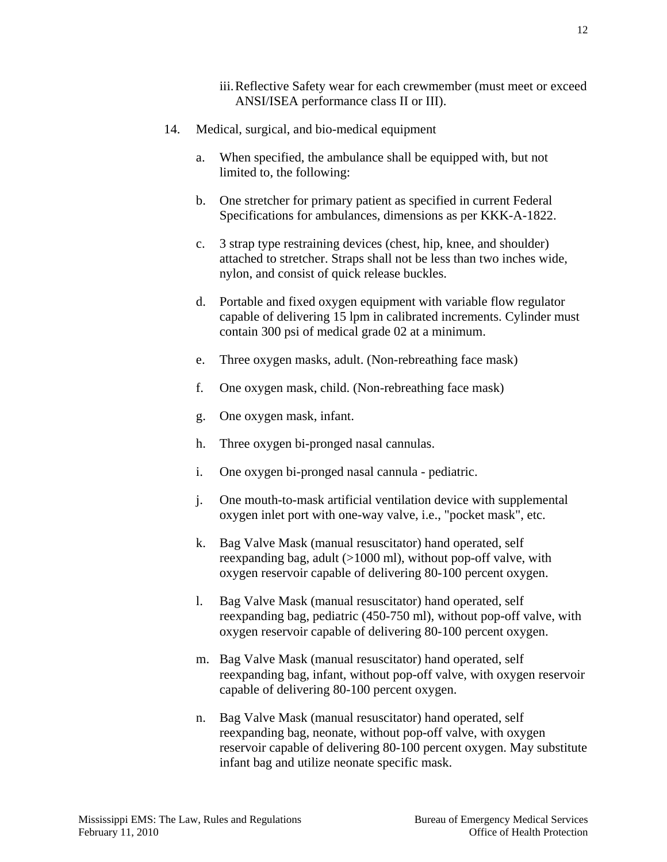- iii.Reflective Safety wear for each crewmember (must meet or exceed ANSI/ISEA performance class II or III).
- 14. Medical, surgical, and bio-medical equipment
	- a. When specified, the ambulance shall be equipped with, but not limited to, the following:
	- b. One stretcher for primary patient as specified in current Federal Specifications for ambulances, dimensions as per KKK-A-1822.
	- c. 3 strap type restraining devices (chest, hip, knee, and shoulder) attached to stretcher. Straps shall not be less than two inches wide, nylon, and consist of quick release buckles.
	- d. Portable and fixed oxygen equipment with variable flow regulator capable of delivering 15 lpm in calibrated increments. Cylinder must contain 300 psi of medical grade 02 at a minimum.
	- e. Three oxygen masks, adult. (Non-rebreathing face mask)
	- f. One oxygen mask, child. (Non-rebreathing face mask)
	- g. One oxygen mask, infant.
	- h. Three oxygen bi-pronged nasal cannulas.
	- i. One oxygen bi-pronged nasal cannula pediatric.
	- j. One mouth-to-mask artificial ventilation device with supplemental oxygen inlet port with one-way valve, i.e., "pocket mask", etc.
	- k. Bag Valve Mask (manual resuscitator) hand operated, self reexpanding bag, adult (>1000 ml), without pop-off valve, with oxygen reservoir capable of delivering 80-100 percent oxygen.
	- l. Bag Valve Mask (manual resuscitator) hand operated, self reexpanding bag, pediatric (450-750 ml), without pop-off valve, with oxygen reservoir capable of delivering 80-100 percent oxygen.
	- m. Bag Valve Mask (manual resuscitator) hand operated, self reexpanding bag, infant, without pop-off valve, with oxygen reservoir capable of delivering 80-100 percent oxygen.
	- n. Bag Valve Mask (manual resuscitator) hand operated, self reexpanding bag, neonate, without pop-off valve, with oxygen reservoir capable of delivering 80-100 percent oxygen. May substitute infant bag and utilize neonate specific mask.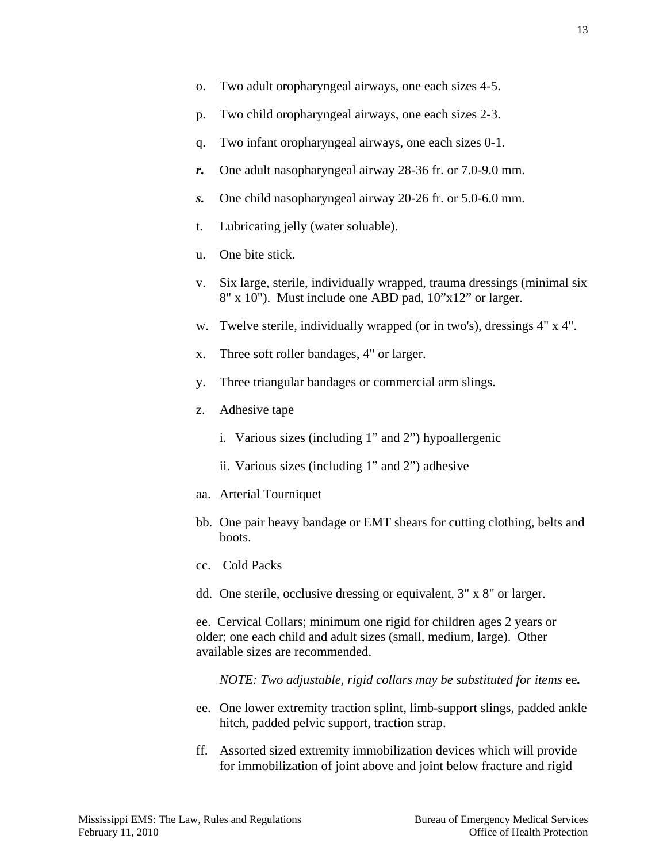- o. Two adult oropharyngeal airways, one each sizes 4-5.
- p. Two child oropharyngeal airways, one each sizes 2-3.
- q. Two infant oropharyngeal airways, one each sizes 0-1.
- *r.* One adult nasopharyngeal airway 28-36 fr. or 7.0-9.0 mm.
- *s.* One child nasopharyngeal airway 20-26 fr. or 5.0-6.0 mm.
- t. Lubricating jelly (water soluable).
- u. One bite stick.
- v. Six large, sterile, individually wrapped, trauma dressings (minimal six 8" x 10"). Must include one ABD pad, 10"x12" or larger.
- w. Twelve sterile, individually wrapped (or in two's), dressings 4" x 4".
- x. Three soft roller bandages, 4" or larger.
- y. Three triangular bandages or commercial arm slings.
- z. Adhesive tape
	- i. Various sizes (including 1" and 2") hypoallergenic
	- ii. Various sizes (including 1" and 2") adhesive
- aa. Arterial Tourniquet
- bb. One pair heavy bandage or EMT shears for cutting clothing, belts and boots.
- cc. Cold Packs
- dd. One sterile, occlusive dressing or equivalent, 3" x 8" or larger.

ee. Cervical Collars; minimum one rigid for children ages 2 years or older; one each child and adult sizes (small, medium, large). Other available sizes are recommended.

*NOTE: Two adjustable, rigid collars may be substituted for items* ee*.* 

- ee. One lower extremity traction splint, limb-support slings, padded ankle hitch, padded pelvic support, traction strap.
- ff. Assorted sized extremity immobilization devices which will provide for immobilization of joint above and joint below fracture and rigid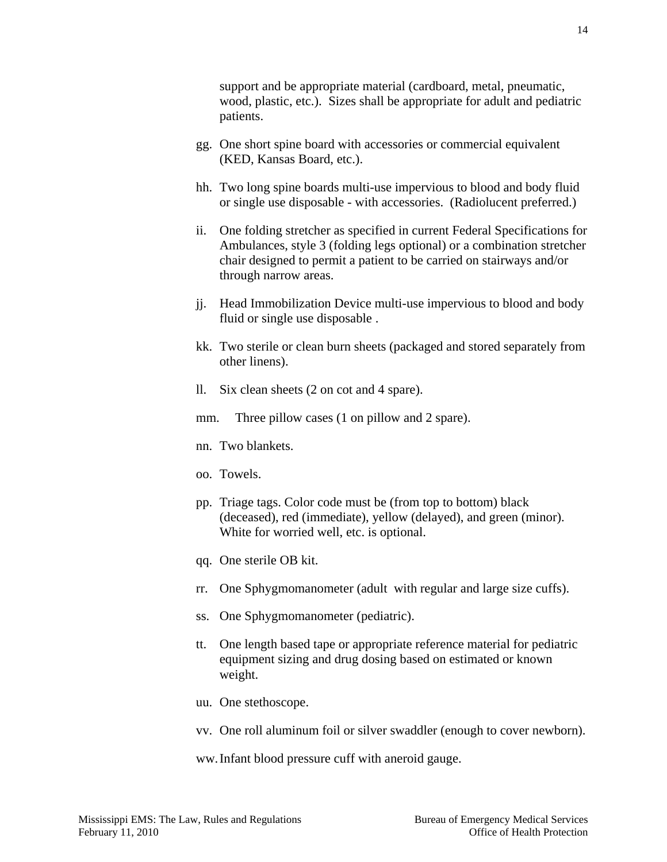support and be appropriate material (cardboard, metal, pneumatic, wood, plastic, etc.). Sizes shall be appropriate for adult and pediatric patients.

- gg. One short spine board with accessories or commercial equivalent (KED, Kansas Board, etc.).
- hh. Two long spine boards multi-use impervious to blood and body fluid or single use disposable - with accessories. (Radiolucent preferred.)
- ii. One folding stretcher as specified in current Federal Specifications for Ambulances, style 3 (folding legs optional) or a combination stretcher chair designed to permit a patient to be carried on stairways and/or through narrow areas.
- jj. Head Immobilization Device multi-use impervious to blood and body fluid or single use disposable .
- kk. Two sterile or clean burn sheets (packaged and stored separately from other linens).
- ll. Six clean sheets (2 on cot and 4 spare).
- mm. Three pillow cases (1 on pillow and 2 spare).
- nn. Two blankets.
- oo. Towels.
- pp. Triage tags. Color code must be (from top to bottom) black (deceased), red (immediate), yellow (delayed), and green (minor). White for worried well, etc. is optional.
- qq. One sterile OB kit.
- rr. One Sphygmomanometer (adult with regular and large size cuffs).
- ss. One Sphygmomanometer (pediatric).
- tt. One length based tape or appropriate reference material for pediatric equipment sizing and drug dosing based on estimated or known weight.
- uu. One stethoscope.
- vv. One roll aluminum foil or silver swaddler (enough to cover newborn).

ww.Infant blood pressure cuff with aneroid gauge.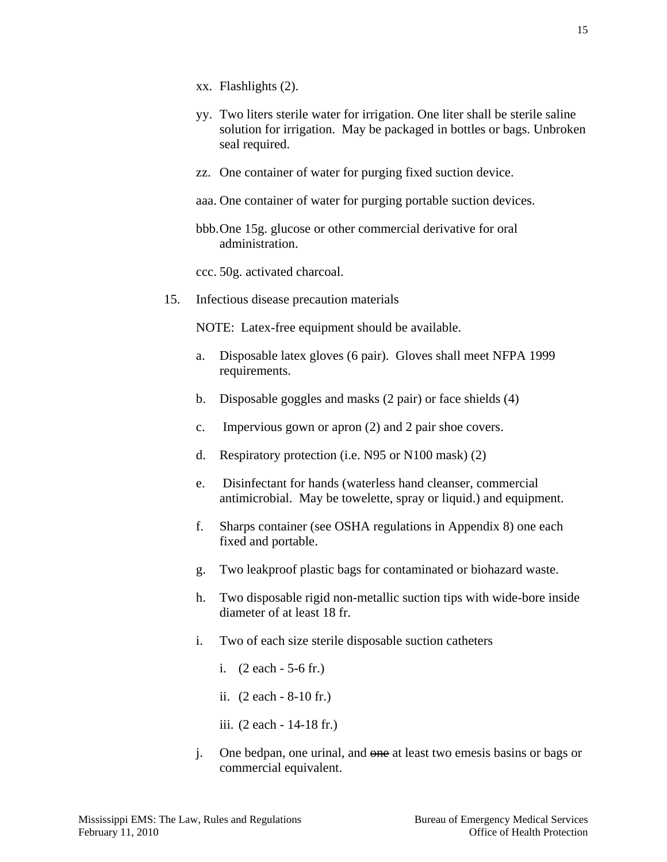- yy. Two liters sterile water for irrigation. One liter shall be sterile saline solution for irrigation. May be packaged in bottles or bags. Unbroken seal required.
- zz. One container of water for purging fixed suction device.
- aaa. One container of water for purging portable suction devices.
- bbb.One 15g. glucose or other commercial derivative for oral administration.

ccc. 50g. activated charcoal.

15. Infectious disease precaution materials

NOTE: Latex-free equipment should be available.

- a. Disposable latex gloves (6 pair). Gloves shall meet NFPA 1999 requirements.
- b. Disposable goggles and masks (2 pair) or face shields (4)
- c. Impervious gown or apron (2) and 2 pair shoe covers.
- d. Respiratory protection (i.e. N95 or N100 mask) (2)
- e. Disinfectant for hands (waterless hand cleanser, commercial antimicrobial. May be towelette, spray or liquid.) and equipment.
- f. Sharps container (see OSHA regulations in Appendix 8) one each fixed and portable.
- g. Two leakproof plastic bags for contaminated or biohazard waste.
- h. Two disposable rigid non-metallic suction tips with wide-bore inside diameter of at least 18 fr.
- i. Two of each size sterile disposable suction catheters
	- i. (2 each 5-6 fr.)
	- ii. (2 each 8-10 fr.)
	- iii. (2 each 14-18 fr.)
- j. One bedpan, one urinal, and one at least two emesis basins or bags or commercial equivalent.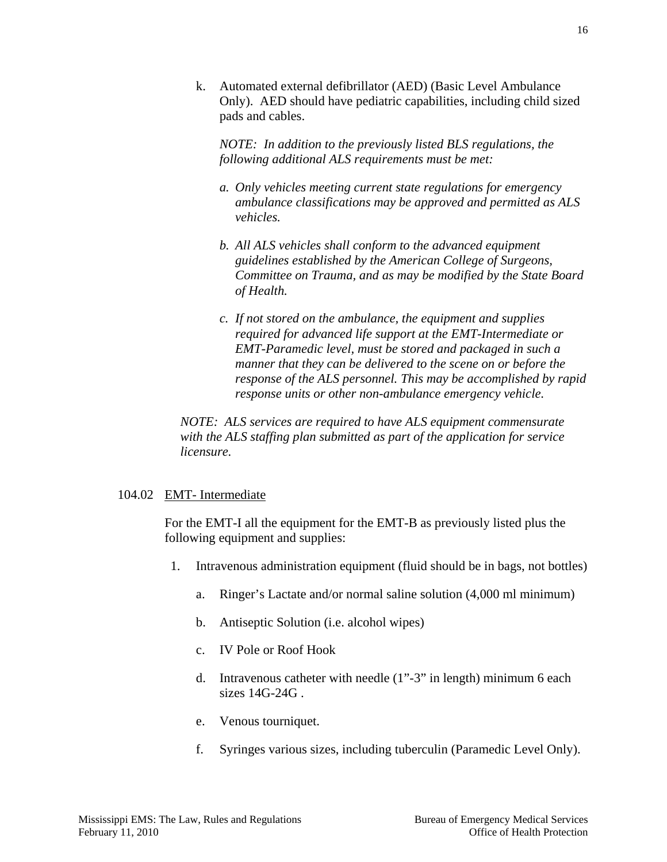k. Automated external defibrillator (AED) (Basic Level Ambulance Only). AED should have pediatric capabilities, including child sized pads and cables.

*NOTE: In addition to the previously listed BLS regulations, the following additional ALS requirements must be met:* 

- *a. Only vehicles meeting current state regulations for emergency ambulance classifications may be approved and permitted as ALS vehicles.*
- *b. All ALS vehicles shall conform to the advanced equipment guidelines established by the American College of Surgeons, Committee on Trauma, and as may be modified by the State Board of Health.*
- *c. If not stored on the ambulance, the equipment and supplies required for advanced life support at the EMT-Intermediate or EMT-Paramedic level, must be stored and packaged in such a manner that they can be delivered to the scene on or before the response of the ALS personnel. This may be accomplished by rapid response units or other non-ambulance emergency vehicle.*

*NOTE: ALS services are required to have ALS equipment commensurate with the ALS staffing plan submitted as part of the application for service licensure.* 

#### 104.02 EMT- Intermediate

For the EMT-I all the equipment for the EMT-B as previously listed plus the following equipment and supplies:

- 1. Intravenous administration equipment (fluid should be in bags, not bottles)
	- a. Ringer's Lactate and/or normal saline solution (4,000 ml minimum)
	- b. Antiseptic Solution (i.e. alcohol wipes)
	- c. IV Pole or Roof Hook
	- d. Intravenous catheter with needle (1"-3" in length) minimum 6 each sizes 14G-24G .
	- e. Venous tourniquet.
	- f. Syringes various sizes, including tuberculin (Paramedic Level Only).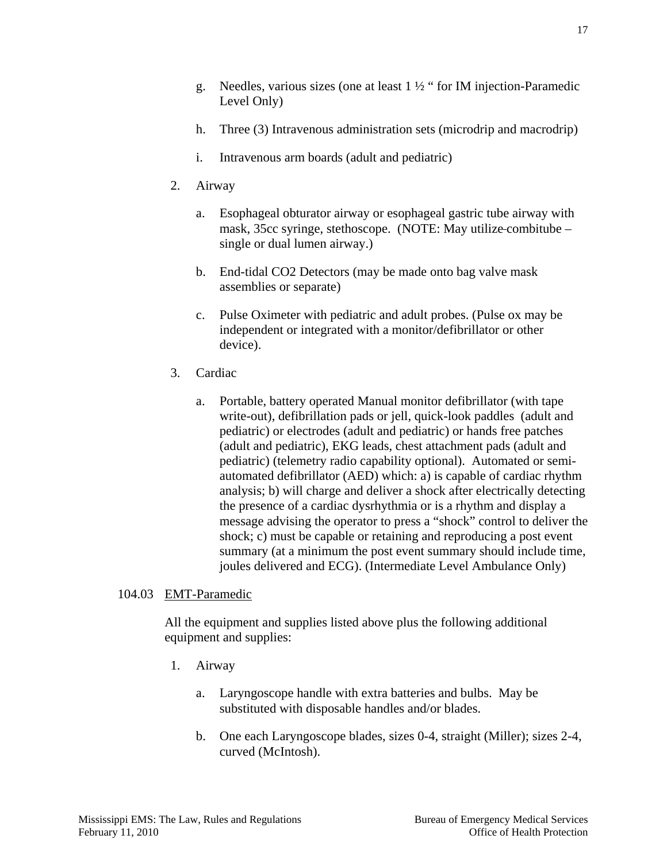- g. Needles, various sizes (one at least 1 ½ " for IM injection-Paramedic Level Only)
- h. Three (3) Intravenous administration sets (microdrip and macrodrip)
- i. Intravenous arm boards (adult and pediatric)
- 2. Airway
	- a. Esophageal obturator airway or esophageal gastric tube airway with mask, 35cc syringe, stethoscope. (NOTE: May utilize combitube – single or dual lumen airway.)
	- b. End-tidal CO2 Detectors (may be made onto bag valve mask assemblies or separate)
	- c. Pulse Oximeter with pediatric and adult probes. (Pulse ox may be independent or integrated with a monitor/defibrillator or other device).
- 3. Cardiac
	- a. Portable, battery operated Manual monitor defibrillator (with tape write-out), defibrillation pads or jell, quick-look paddles (adult and pediatric) or electrodes (adult and pediatric) or hands free patches (adult and pediatric), EKG leads, chest attachment pads (adult and pediatric) (telemetry radio capability optional). Automated or semiautomated defibrillator (AED) which: a) is capable of cardiac rhythm analysis; b) will charge and deliver a shock after electrically detecting the presence of a cardiac dysrhythmia or is a rhythm and display a message advising the operator to press a "shock" control to deliver the shock; c) must be capable or retaining and reproducing a post event summary (at a minimum the post event summary should include time, joules delivered and ECG). (Intermediate Level Ambulance Only)

## 104.03 EMT-Paramedic

All the equipment and supplies listed above plus the following additional equipment and supplies:

- 1. Airway
	- a. Laryngoscope handle with extra batteries and bulbs. May be substituted with disposable handles and/or blades.
	- b. One each Laryngoscope blades, sizes 0-4, straight (Miller); sizes 2-4, curved (McIntosh).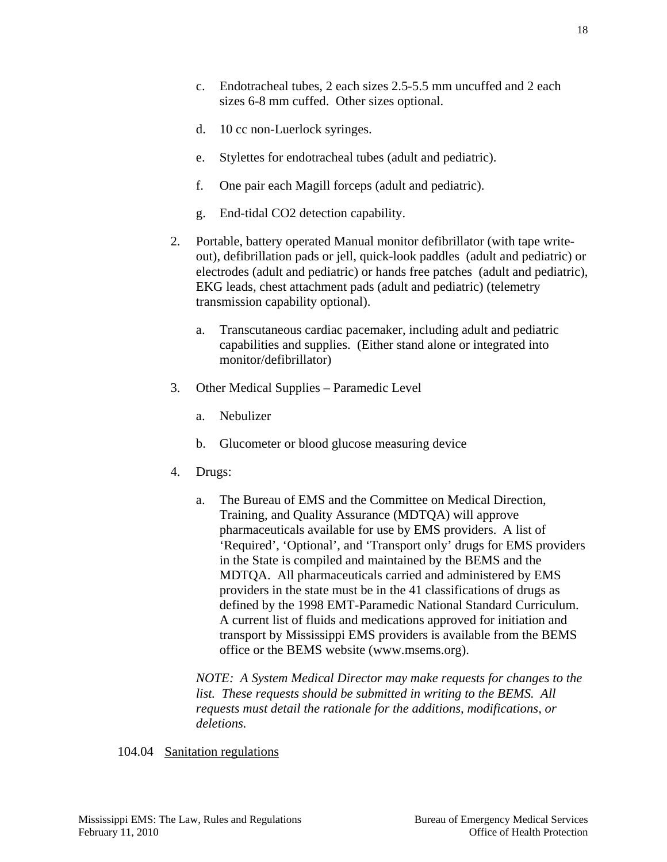- c. Endotracheal tubes, 2 each sizes 2.5-5.5 mm uncuffed and 2 each sizes 6-8 mm cuffed. Other sizes optional.
- d. 10 cc non-Luerlock syringes.
- e. Stylettes for endotracheal tubes (adult and pediatric).
- f. One pair each Magill forceps (adult and pediatric).
- g. End-tidal CO2 detection capability.
- 2. Portable, battery operated Manual monitor defibrillator (with tape writeout), defibrillation pads or jell, quick-look paddles (adult and pediatric) or electrodes (adult and pediatric) or hands free patches (adult and pediatric), EKG leads, chest attachment pads (adult and pediatric) (telemetry transmission capability optional).
	- a. Transcutaneous cardiac pacemaker, including adult and pediatric capabilities and supplies. (Either stand alone or integrated into monitor/defibrillator)
- 3. Other Medical Supplies Paramedic Level
	- a. Nebulizer
	- b. Glucometer or blood glucose measuring device
- 4. Drugs:
	- a. The Bureau of EMS and the Committee on Medical Direction, Training, and Quality Assurance (MDTQA) will approve pharmaceuticals available for use by EMS providers. A list of 'Required', 'Optional', and 'Transport only' drugs for EMS providers in the State is compiled and maintained by the BEMS and the MDTQA. All pharmaceuticals carried and administered by EMS providers in the state must be in the 41 classifications of drugs as defined by the 1998 EMT-Paramedic National Standard Curriculum. A current list of fluids and medications approved for initiation and transport by Mississippi EMS providers is available from the BEMS office or the BEMS website (www.msems.org).

*NOTE: A System Medical Director may make requests for changes to the list. These requests should be submitted in writing to the BEMS. All requests must detail the rationale for the additions, modifications, or deletions.* 

## 104.04 Sanitation regulations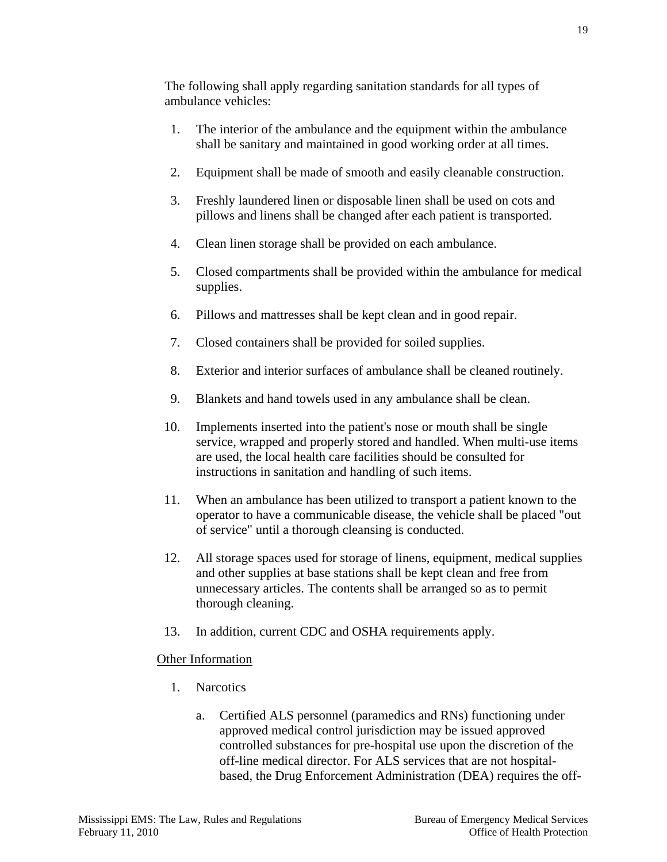The following shall apply regarding sanitation standards for all types of ambulance vehicles:

- 1. The interior of the ambulance and the equipment within the ambulance shall be sanitary and maintained in good working order at all times.
- 2. Equipment shall be made of smooth and easily cleanable construction.
- 3. Freshly laundered linen or disposable linen shall be used on cots and pillows and linens shall be changed after each patient is transported.
- 4. Clean linen storage shall be provided on each ambulance.
- 5. Closed compartments shall be provided within the ambulance for medical supplies.
- 6. Pillows and mattresses shall be kept clean and in good repair.
- 7. Closed containers shall be provided for soiled supplies.
- 8. Exterior and interior surfaces of ambulance shall be cleaned routinely.
- 9. Blankets and hand towels used in any ambulance shall be clean.
- 10. Implements inserted into the patient's nose or mouth shall be single service, wrapped and properly stored and handled. When multi-use items are used, the local health care facilities should be consulted for instructions in sanitation and handling of such items.
- 11. When an ambulance has been utilized to transport a patient known to the operator to have a communicable disease, the vehicle shall be placed "out of service" until a thorough cleansing is conducted.
- 12. All storage spaces used for storage of linens, equipment, medical supplies and other supplies at base stations shall be kept clean and free from unnecessary articles. The contents shall be arranged so as to permit thorough cleaning.
- 13. In addition, current CDC and OSHA requirements apply.

# Other Information

- 1. Narcotics
	- a. Certified ALS personnel (paramedics and RNs) functioning under approved medical control jurisdiction may be issued approved controlled substances for pre-hospital use upon the discretion of the off-line medical director. For ALS services that are not hospitalbased, the Drug Enforcement Administration (DEA) requires the off-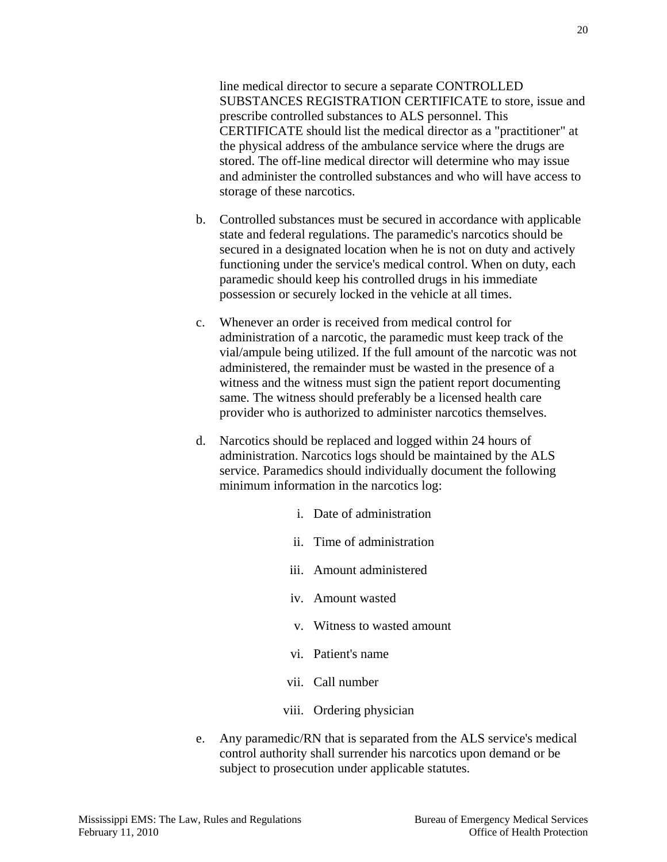line medical director to secure a separate CONTROLLED SUBSTANCES REGISTRATION CERTIFICATE to store, issue and prescribe controlled substances to ALS personnel. This CERTIFICATE should list the medical director as a "practitioner" at the physical address of the ambulance service where the drugs are stored. The off-line medical director will determine who may issue and administer the controlled substances and who will have access to storage of these narcotics.

- b. Controlled substances must be secured in accordance with applicable state and federal regulations. The paramedic's narcotics should be secured in a designated location when he is not on duty and actively functioning under the service's medical control. When on duty, each paramedic should keep his controlled drugs in his immediate possession or securely locked in the vehicle at all times.
- c. Whenever an order is received from medical control for administration of a narcotic, the paramedic must keep track of the vial/ampule being utilized. If the full amount of the narcotic was not administered, the remainder must be wasted in the presence of a witness and the witness must sign the patient report documenting same. The witness should preferably be a licensed health care provider who is authorized to administer narcotics themselves.
- d. Narcotics should be replaced and logged within 24 hours of administration. Narcotics logs should be maintained by the ALS service. Paramedics should individually document the following minimum information in the narcotics log:
	- i. Date of administration
	- ii. Time of administration
	- iii. Amount administered
	- iv. Amount wasted
	- v. Witness to wasted amount
	- vi. Patient's name
	- vii. Call number
	- viii. Ordering physician
- e. Any paramedic/RN that is separated from the ALS service's medical control authority shall surrender his narcotics upon demand or be subject to prosecution under applicable statutes.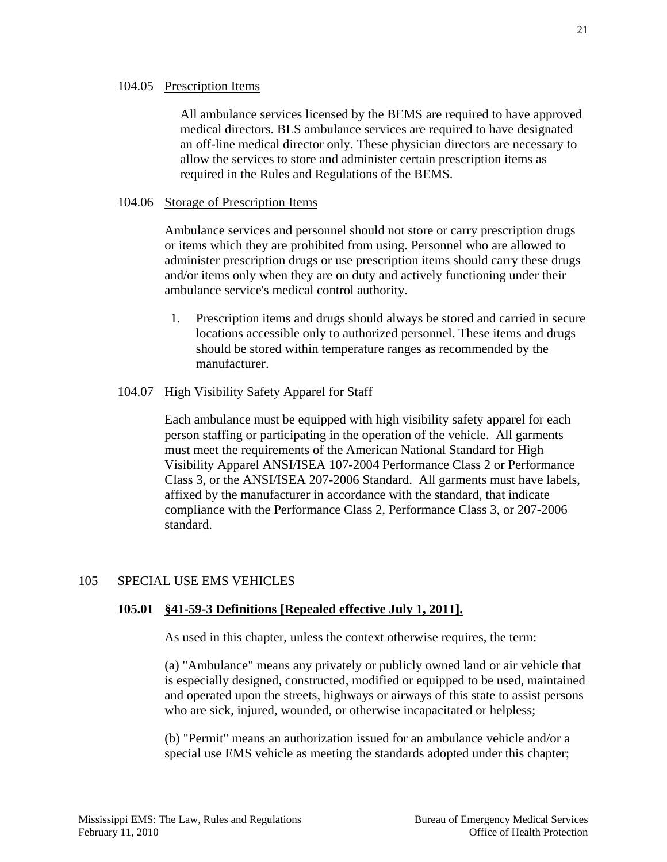#### 104.05 Prescription Items

All ambulance services licensed by the BEMS are required to have approved medical directors. BLS ambulance services are required to have designated an off-line medical director only. These physician directors are necessary to allow the services to store and administer certain prescription items as required in the Rules and Regulations of the BEMS.

#### 104.06 Storage of Prescription Items

Ambulance services and personnel should not store or carry prescription drugs or items which they are prohibited from using. Personnel who are allowed to administer prescription drugs or use prescription items should carry these drugs and/or items only when they are on duty and actively functioning under their ambulance service's medical control authority.

1. Prescription items and drugs should always be stored and carried in secure locations accessible only to authorized personnel. These items and drugs should be stored within temperature ranges as recommended by the manufacturer.

#### 104.07 High Visibility Safety Apparel for Staff

Each ambulance must be equipped with high visibility safety apparel for each person staffing or participating in the operation of the vehicle. All garments must meet the requirements of the American National Standard for High Visibility Apparel ANSI/ISEA 107-2004 Performance Class 2 or Performance Class 3, or the ANSI/ISEA 207-2006 Standard. All garments must have labels, affixed by the manufacturer in accordance with the standard, that indicate compliance with the Performance Class 2, Performance Class 3, or 207-2006 standard.

#### 105 SPECIAL USE EMS VEHICLES

#### **105.01 §41-59-3 Definitions [Repealed effective July 1, 2011].**

As used in this chapter, unless the context otherwise requires, the term:

(a) "Ambulance" means any privately or publicly owned land or air vehicle that is especially designed, constructed, modified or equipped to be used, maintained and operated upon the streets, highways or airways of this state to assist persons who are sick, injured, wounded, or otherwise incapacitated or helpless;

(b) "Permit" means an authorization issued for an ambulance vehicle and/or a special use EMS vehicle as meeting the standards adopted under this chapter;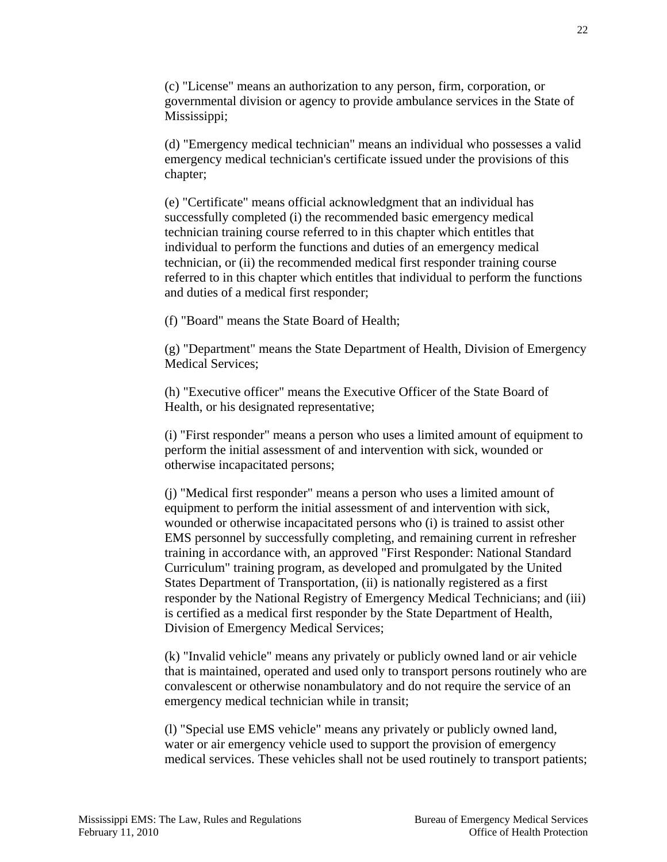(c) "License" means an authorization to any person, firm, corporation, or governmental division or agency to provide ambulance services in the State of Mississippi;

(d) "Emergency medical technician" means an individual who possesses a valid emergency medical technician's certificate issued under the provisions of this chapter;

(e) "Certificate" means official acknowledgment that an individual has successfully completed (i) the recommended basic emergency medical technician training course referred to in this chapter which entitles that individual to perform the functions and duties of an emergency medical technician, or (ii) the recommended medical first responder training course referred to in this chapter which entitles that individual to perform the functions and duties of a medical first responder;

(f) "Board" means the State Board of Health;

(g) "Department" means the State Department of Health, Division of Emergency Medical Services;

(h) "Executive officer" means the Executive Officer of the State Board of Health, or his designated representative;

(i) "First responder" means a person who uses a limited amount of equipment to perform the initial assessment of and intervention with sick, wounded or otherwise incapacitated persons;

(j) "Medical first responder" means a person who uses a limited amount of equipment to perform the initial assessment of and intervention with sick, wounded or otherwise incapacitated persons who (i) is trained to assist other EMS personnel by successfully completing, and remaining current in refresher training in accordance with, an approved "First Responder: National Standard Curriculum" training program, as developed and promulgated by the United States Department of Transportation, (ii) is nationally registered as a first responder by the National Registry of Emergency Medical Technicians; and (iii) is certified as a medical first responder by the State Department of Health, Division of Emergency Medical Services;

(k) "Invalid vehicle" means any privately or publicly owned land or air vehicle that is maintained, operated and used only to transport persons routinely who are convalescent or otherwise nonambulatory and do not require the service of an emergency medical technician while in transit;

(l) "Special use EMS vehicle" means any privately or publicly owned land, water or air emergency vehicle used to support the provision of emergency medical services. These vehicles shall not be used routinely to transport patients;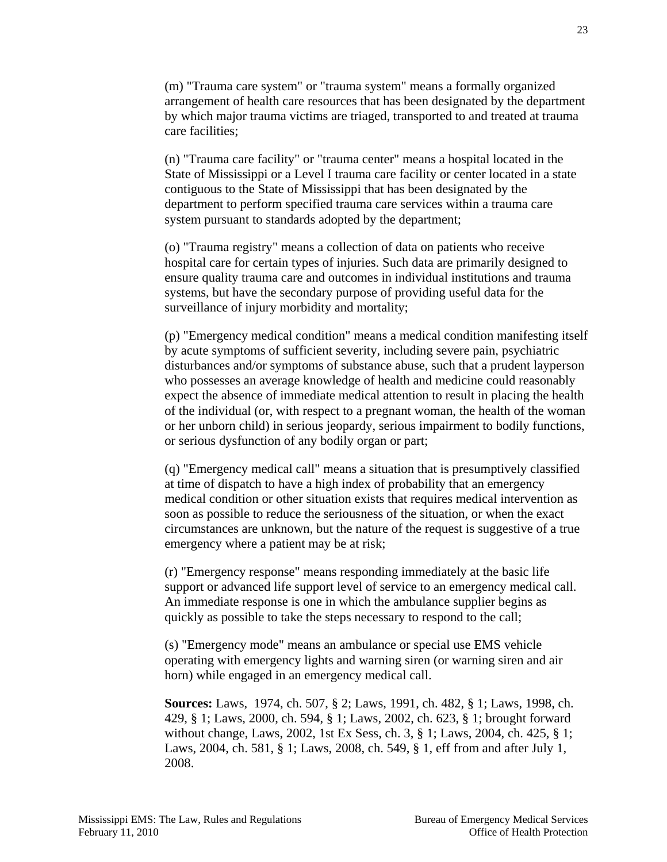(m) "Trauma care system" or "trauma system" means a formally organized arrangement of health care resources that has been designated by the department by which major trauma victims are triaged, transported to and treated at trauma care facilities;

(n) "Trauma care facility" or "trauma center" means a hospital located in the State of Mississippi or a Level I trauma care facility or center located in a state contiguous to the State of Mississippi that has been designated by the department to perform specified trauma care services within a trauma care system pursuant to standards adopted by the department;

(o) "Trauma registry" means a collection of data on patients who receive hospital care for certain types of injuries. Such data are primarily designed to ensure quality trauma care and outcomes in individual institutions and trauma systems, but have the secondary purpose of providing useful data for the surveillance of injury morbidity and mortality;

(p) "Emergency medical condition" means a medical condition manifesting itself by acute symptoms of sufficient severity, including severe pain, psychiatric disturbances and/or symptoms of substance abuse, such that a prudent layperson who possesses an average knowledge of health and medicine could reasonably expect the absence of immediate medical attention to result in placing the health of the individual (or, with respect to a pregnant woman, the health of the woman or her unborn child) in serious jeopardy, serious impairment to bodily functions, or serious dysfunction of any bodily organ or part;

(q) "Emergency medical call" means a situation that is presumptively classified at time of dispatch to have a high index of probability that an emergency medical condition or other situation exists that requires medical intervention as soon as possible to reduce the seriousness of the situation, or when the exact circumstances are unknown, but the nature of the request is suggestive of a true emergency where a patient may be at risk;

(r) "Emergency response" means responding immediately at the basic life support or advanced life support level of service to an emergency medical call. An immediate response is one in which the ambulance supplier begins as quickly as possible to take the steps necessary to respond to the call;

(s) "Emergency mode" means an ambulance or special use EMS vehicle operating with emergency lights and warning siren (or warning siren and air horn) while engaged in an emergency medical call.

**Sources:** Laws, 1974, ch. 507, § 2; Laws, 1991, ch. 482, § 1; Laws, 1998, ch. 429, § 1; Laws, 2000, ch. 594, § 1; Laws, 2002, ch. 623, § 1; brought forward without change, Laws, 2002, 1st Ex Sess, ch. 3, § 1; Laws, 2004, ch. 425, § 1; Laws, 2004, ch. 581, § 1; Laws, 2008, ch. 549, § 1, eff from and after July 1, 2008.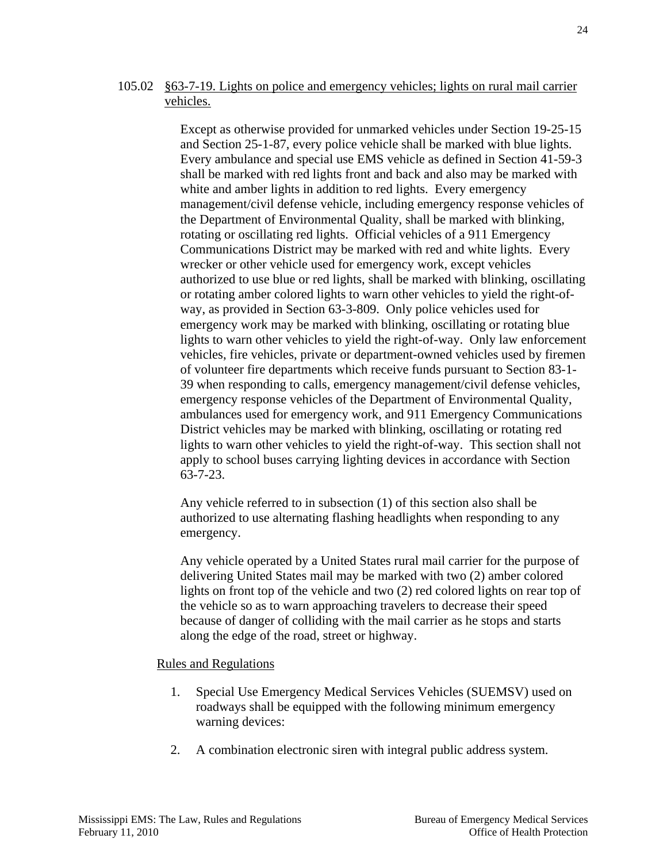## 105.02 §63-7-19. Lights on police and emergency vehicles; lights on rural mail carrier vehicles.

Except as otherwise provided for unmarked vehicles under Section 19-25-15 and Section 25-1-87, every police vehicle shall be marked with blue lights. Every ambulance and special use EMS vehicle as defined in Section 41-59-3 shall be marked with red lights front and back and also may be marked with white and amber lights in addition to red lights. Every emergency management/civil defense vehicle, including emergency response vehicles of the Department of Environmental Quality, shall be marked with blinking, rotating or oscillating red lights. Official vehicles of a 911 Emergency Communications District may be marked with red and white lights. Every wrecker or other vehicle used for emergency work, except vehicles authorized to use blue or red lights, shall be marked with blinking, oscillating or rotating amber colored lights to warn other vehicles to yield the right-ofway, as provided in Section 63-3-809. Only police vehicles used for emergency work may be marked with blinking, oscillating or rotating blue lights to warn other vehicles to yield the right-of-way. Only law enforcement vehicles, fire vehicles, private or department-owned vehicles used by firemen of volunteer fire departments which receive funds pursuant to Section 83-1- 39 when responding to calls, emergency management/civil defense vehicles, emergency response vehicles of the Department of Environmental Quality, ambulances used for emergency work, and 911 Emergency Communications District vehicles may be marked with blinking, oscillating or rotating red lights to warn other vehicles to yield the right-of-way. This section shall not apply to school buses carrying lighting devices in accordance with Section 63-7-23.

Any vehicle referred to in subsection (1) of this section also shall be authorized to use alternating flashing headlights when responding to any emergency.

Any vehicle operated by a United States rural mail carrier for the purpose of delivering United States mail may be marked with two (2) amber colored lights on front top of the vehicle and two (2) red colored lights on rear top of the vehicle so as to warn approaching travelers to decrease their speed because of danger of colliding with the mail carrier as he stops and starts along the edge of the road, street or highway.

#### Rules and Regulations

- 1. Special Use Emergency Medical Services Vehicles (SUEMSV) used on roadways shall be equipped with the following minimum emergency warning devices:
- 2. A combination electronic siren with integral public address system.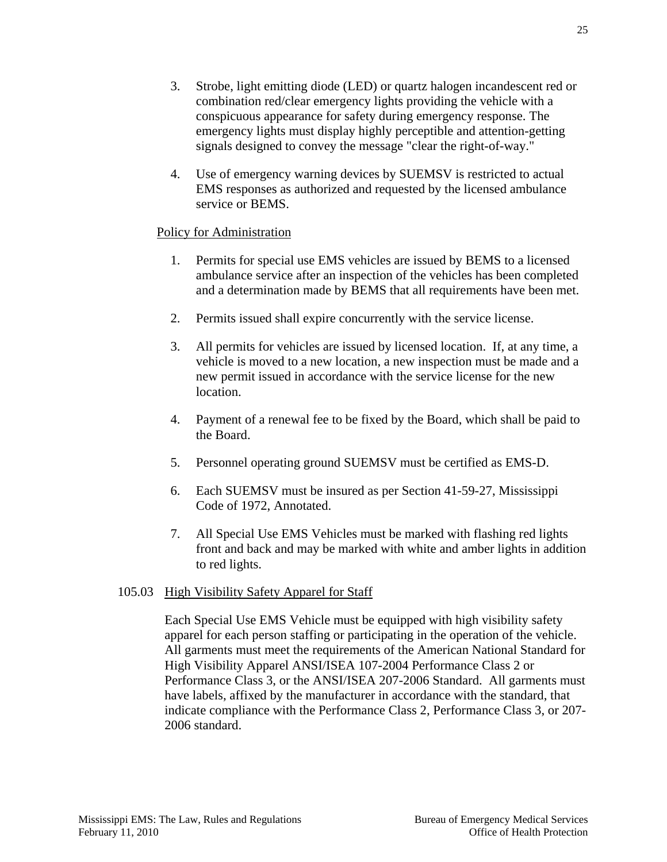- 3. Strobe, light emitting diode (LED) or quartz halogen incandescent red or combination red/clear emergency lights providing the vehicle with a conspicuous appearance for safety during emergency response. The emergency lights must display highly perceptible and attention-getting signals designed to convey the message "clear the right-of-way."
- 4. Use of emergency warning devices by SUEMSV is restricted to actual EMS responses as authorized and requested by the licensed ambulance service or BEMS.

## Policy for Administration

- 1. Permits for special use EMS vehicles are issued by BEMS to a licensed ambulance service after an inspection of the vehicles has been completed and a determination made by BEMS that all requirements have been met.
- 2. Permits issued shall expire concurrently with the service license.
- 3. All permits for vehicles are issued by licensed location. If, at any time, a vehicle is moved to a new location, a new inspection must be made and a new permit issued in accordance with the service license for the new location.
- 4. Payment of a renewal fee to be fixed by the Board, which shall be paid to the Board.
- 5. Personnel operating ground SUEMSV must be certified as EMS-D.
- 6. Each SUEMSV must be insured as per Section 41-59-27, Mississippi Code of 1972, Annotated.
- 7. All Special Use EMS Vehicles must be marked with flashing red lights front and back and may be marked with white and amber lights in addition to red lights.

# 105.03 High Visibility Safety Apparel for Staff

Each Special Use EMS Vehicle must be equipped with high visibility safety apparel for each person staffing or participating in the operation of the vehicle. All garments must meet the requirements of the American National Standard for High Visibility Apparel ANSI/ISEA 107-2004 Performance Class 2 or Performance Class 3, or the ANSI/ISEA 207-2006 Standard. All garments must have labels, affixed by the manufacturer in accordance with the standard, that indicate compliance with the Performance Class 2, Performance Class 3, or 207- 2006 standard.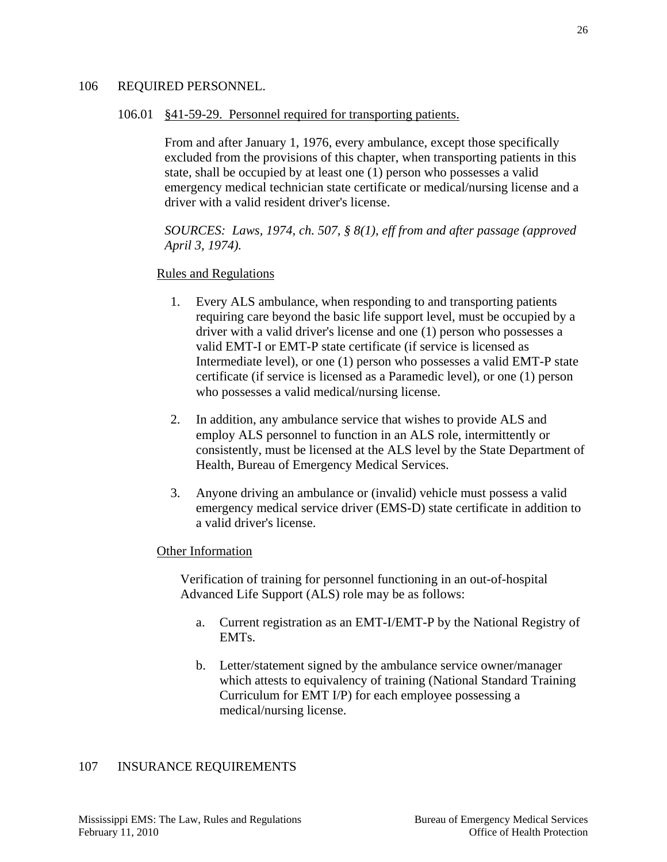#### 106 REQUIRED PERSONNEL.

#### 106.01 §41-59-29. Personnel required for transporting patients.

From and after January 1, 1976, every ambulance, except those specifically excluded from the provisions of this chapter, when transporting patients in this state, shall be occupied by at least one (1) person who possesses a valid emergency medical technician state certificate or medical/nursing license and a driver with a valid resident driver's license.

## *SOURCES: Laws, 1974, ch. 507, § 8(1), eff from and after passage (approved April 3, 1974).*

#### Rules and Regulations

- 1. Every ALS ambulance, when responding to and transporting patients requiring care beyond the basic life support level, must be occupied by a driver with a valid driver's license and one (1) person who possesses a valid EMT-I or EMT-P state certificate (if service is licensed as Intermediate level), or one (1) person who possesses a valid EMT-P state certificate (if service is licensed as a Paramedic level), or one (1) person who possesses a valid medical/nursing license.
- 2. In addition, any ambulance service that wishes to provide ALS and employ ALS personnel to function in an ALS role, intermittently or consistently, must be licensed at the ALS level by the State Department of Health, Bureau of Emergency Medical Services.
- 3. Anyone driving an ambulance or (invalid) vehicle must possess a valid emergency medical service driver (EMS-D) state certificate in addition to a valid driver's license.

#### Other Information

Verification of training for personnel functioning in an out-of-hospital Advanced Life Support (ALS) role may be as follows:

- a. Current registration as an EMT-I/EMT-P by the National Registry of EMTs.
- b. Letter/statement signed by the ambulance service owner/manager which attests to equivalency of training (National Standard Training Curriculum for EMT I/P) for each employee possessing a medical/nursing license.

#### 107 INSURANCE REQUIREMENTS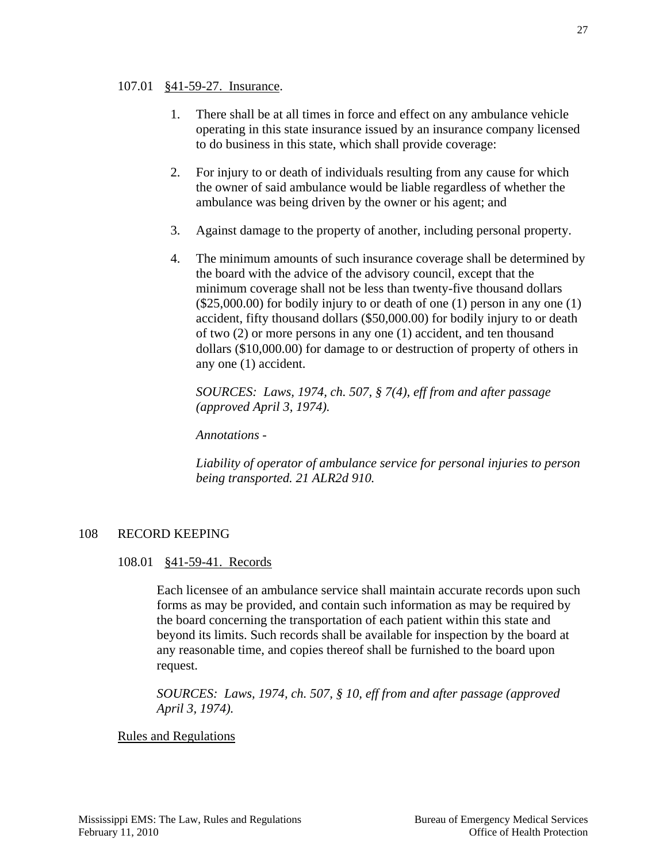#### 107.01 §41-59-27. Insurance.

- 1. There shall be at all times in force and effect on any ambulance vehicle operating in this state insurance issued by an insurance company licensed to do business in this state, which shall provide coverage:
- 2. For injury to or death of individuals resulting from any cause for which the owner of said ambulance would be liable regardless of whether the ambulance was being driven by the owner or his agent; and
- 3. Against damage to the property of another, including personal property.
- 4. The minimum amounts of such insurance coverage shall be determined by the board with the advice of the advisory council, except that the minimum coverage shall not be less than twenty-five thousand dollars  $($25,000.00)$  for bodily injury to or death of one  $(1)$  person in any one  $(1)$ accident, fifty thousand dollars (\$50,000.00) for bodily injury to or death of two (2) or more persons in any one (1) accident, and ten thousand dollars (\$10,000.00) for damage to or destruction of property of others in any one (1) accident.

*SOURCES: Laws, 1974, ch. 507, § 7(4), eff from and after passage (approved April 3, 1974).* 

*Annotations -* 

*Liability of operator of ambulance service for personal injuries to person being transported. 21 ALR2d 910.* 

## 108 RECORD KEEPING

## 108.01 §41-59-41. Records

Each licensee of an ambulance service shall maintain accurate records upon such forms as may be provided, and contain such information as may be required by the board concerning the transportation of each patient within this state and beyond its limits. Such records shall be available for inspection by the board at any reasonable time, and copies thereof shall be furnished to the board upon request.

*SOURCES: Laws, 1974, ch. 507, § 10, eff from and after passage (approved April 3, 1974).* 

## Rules and Regulations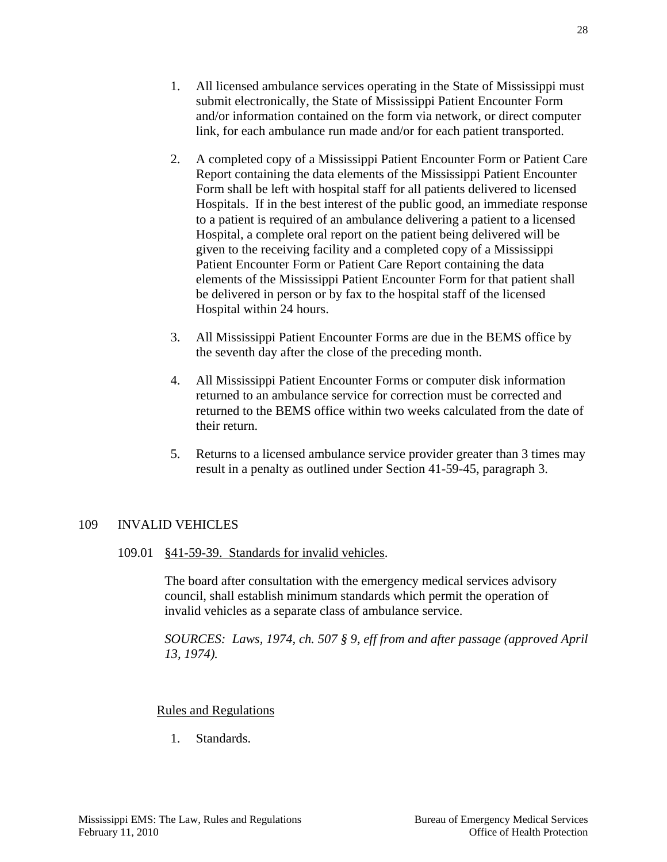- 1. All licensed ambulance services operating in the State of Mississippi must submit electronically, the State of Mississippi Patient Encounter Form and/or information contained on the form via network, or direct computer link, for each ambulance run made and/or for each patient transported.
- 2. A completed copy of a Mississippi Patient Encounter Form or Patient Care Report containing the data elements of the Mississippi Patient Encounter Form shall be left with hospital staff for all patients delivered to licensed Hospitals. If in the best interest of the public good, an immediate response to a patient is required of an ambulance delivering a patient to a licensed Hospital, a complete oral report on the patient being delivered will be given to the receiving facility and a completed copy of a Mississippi Patient Encounter Form or Patient Care Report containing the data elements of the Mississippi Patient Encounter Form for that patient shall be delivered in person or by fax to the hospital staff of the licensed Hospital within 24 hours.
- 3. All Mississippi Patient Encounter Forms are due in the BEMS office by the seventh day after the close of the preceding month.
- 4. All Mississippi Patient Encounter Forms or computer disk information returned to an ambulance service for correction must be corrected and returned to the BEMS office within two weeks calculated from the date of their return.
- 5. Returns to a licensed ambulance service provider greater than 3 times may result in a penalty as outlined under Section 41-59-45, paragraph 3.

## 109 INVALID VEHICLES

109.01 §41-59-39. Standards for invalid vehicles.

The board after consultation with the emergency medical services advisory council, shall establish minimum standards which permit the operation of invalid vehicles as a separate class of ambulance service.

*SOURCES: Laws, 1974, ch. 507 § 9, eff from and after passage (approved April 13, 1974).* 

# Rules and Regulations

1. Standards.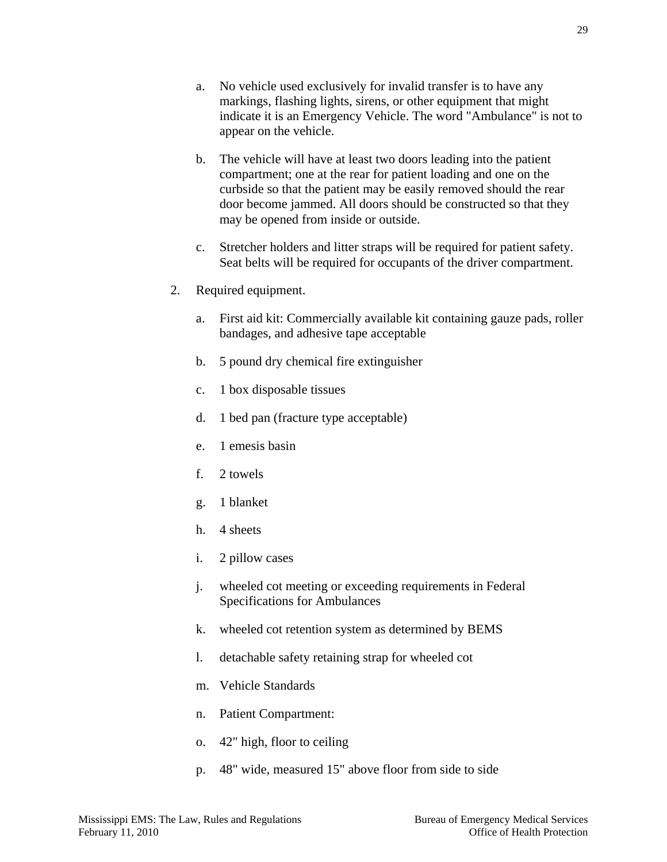- a. No vehicle used exclusively for invalid transfer is to have any markings, flashing lights, sirens, or other equipment that might indicate it is an Emergency Vehicle. The word "Ambulance" is not to appear on the vehicle.
- b. The vehicle will have at least two doors leading into the patient compartment; one at the rear for patient loading and one on the curbside so that the patient may be easily removed should the rear door become jammed. All doors should be constructed so that they may be opened from inside or outside.
- c. Stretcher holders and litter straps will be required for patient safety. Seat belts will be required for occupants of the driver compartment.
- 2. Required equipment.
	- a. First aid kit: Commercially available kit containing gauze pads, roller bandages, and adhesive tape acceptable
	- b. 5 pound dry chemical fire extinguisher
	- c. 1 box disposable tissues
	- d. 1 bed pan (fracture type acceptable)
	- e. 1 emesis basin
	- f. 2 towels
	- g. 1 blanket
	- h. 4 sheets
	- i. 2 pillow cases
	- j. wheeled cot meeting or exceeding requirements in Federal Specifications for Ambulances
	- k. wheeled cot retention system as determined by BEMS
	- l. detachable safety retaining strap for wheeled cot
	- m. Vehicle Standards
	- n. Patient Compartment:
	- o. 42" high, floor to ceiling
	- p. 48" wide, measured 15" above floor from side to side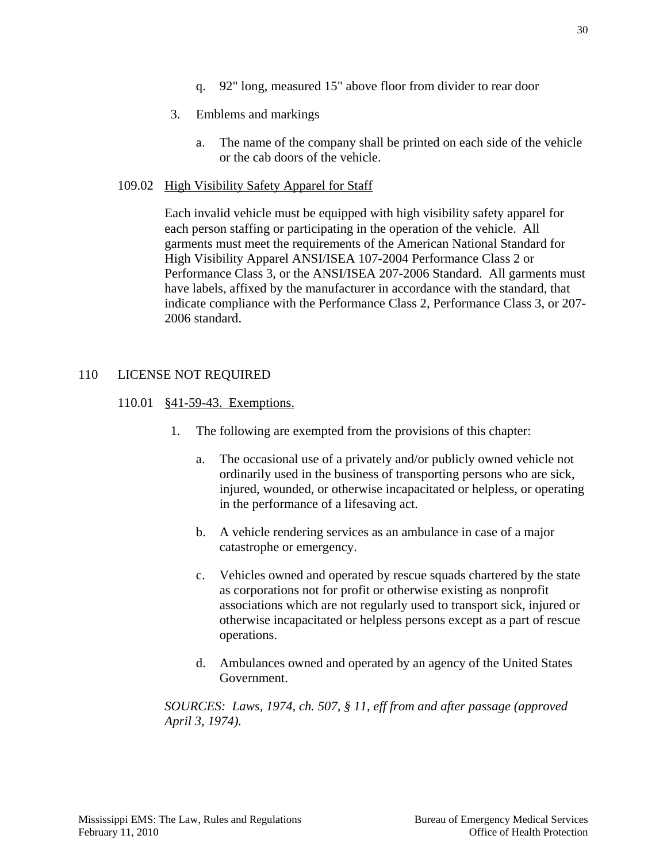- q. 92" long, measured 15" above floor from divider to rear door
- 3. Emblems and markings
	- a. The name of the company shall be printed on each side of the vehicle or the cab doors of the vehicle.

## 109.02 High Visibility Safety Apparel for Staff

Each invalid vehicle must be equipped with high visibility safety apparel for each person staffing or participating in the operation of the vehicle. All garments must meet the requirements of the American National Standard for High Visibility Apparel ANSI/ISEA 107-2004 Performance Class 2 or Performance Class 3, or the ANSI/ISEA 207-2006 Standard. All garments must have labels, affixed by the manufacturer in accordance with the standard, that indicate compliance with the Performance Class 2, Performance Class 3, or 207- 2006 standard.

### 110 LICENSE NOT REQUIRED

### 110.01 §41-59-43. Exemptions.

- 1. The following are exempted from the provisions of this chapter:
	- a. The occasional use of a privately and/or publicly owned vehicle not ordinarily used in the business of transporting persons who are sick, injured, wounded, or otherwise incapacitated or helpless, or operating in the performance of a lifesaving act.
	- b. A vehicle rendering services as an ambulance in case of a major catastrophe or emergency.
	- c. Vehicles owned and operated by rescue squads chartered by the state as corporations not for profit or otherwise existing as nonprofit associations which are not regularly used to transport sick, injured or otherwise incapacitated or helpless persons except as a part of rescue operations.
	- d. Ambulances owned and operated by an agency of the United States Government.

*SOURCES: Laws, 1974, ch. 507, § 11, eff from and after passage (approved April 3, 1974).*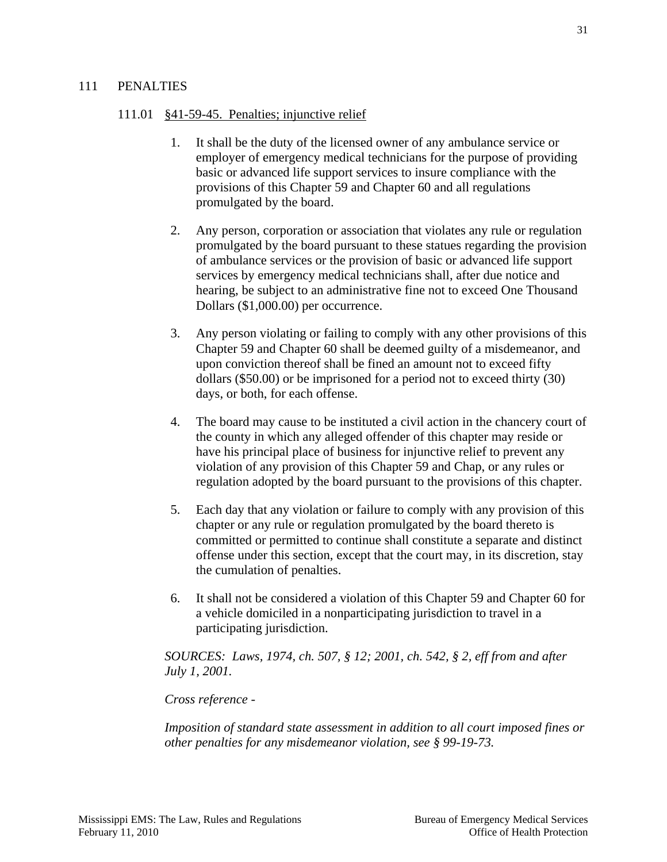## 111.01 §41-59-45. Penalties; injunctive relief

- 1. It shall be the duty of the licensed owner of any ambulance service or employer of emergency medical technicians for the purpose of providing basic or advanced life support services to insure compliance with the provisions of this Chapter 59 and Chapter 60 and all regulations promulgated by the board.
- 2. Any person, corporation or association that violates any rule or regulation promulgated by the board pursuant to these statues regarding the provision of ambulance services or the provision of basic or advanced life support services by emergency medical technicians shall, after due notice and hearing, be subject to an administrative fine not to exceed One Thousand Dollars (\$1,000.00) per occurrence.
- 3. Any person violating or failing to comply with any other provisions of this Chapter 59 and Chapter 60 shall be deemed guilty of a misdemeanor, and upon conviction thereof shall be fined an amount not to exceed fifty dollars (\$50.00) or be imprisoned for a period not to exceed thirty (30) days, or both, for each offense.
- 4. The board may cause to be instituted a civil action in the chancery court of the county in which any alleged offender of this chapter may reside or have his principal place of business for injunctive relief to prevent any violation of any provision of this Chapter 59 and Chap, or any rules or regulation adopted by the board pursuant to the provisions of this chapter.
- 5. Each day that any violation or failure to comply with any provision of this chapter or any rule or regulation promulgated by the board thereto is committed or permitted to continue shall constitute a separate and distinct offense under this section, except that the court may, in its discretion, stay the cumulation of penalties.
- 6. It shall not be considered a violation of this Chapter 59 and Chapter 60 for a vehicle domiciled in a nonparticipating jurisdiction to travel in a participating jurisdiction.

*SOURCES: Laws, 1974, ch. 507, § 12; 2001, ch. 542, § 2, eff from and after July 1, 2001.* 

## *Cross reference -*

*Imposition of standard state assessment in addition to all court imposed fines or other penalties for any misdemeanor violation, see § 99-19-73.*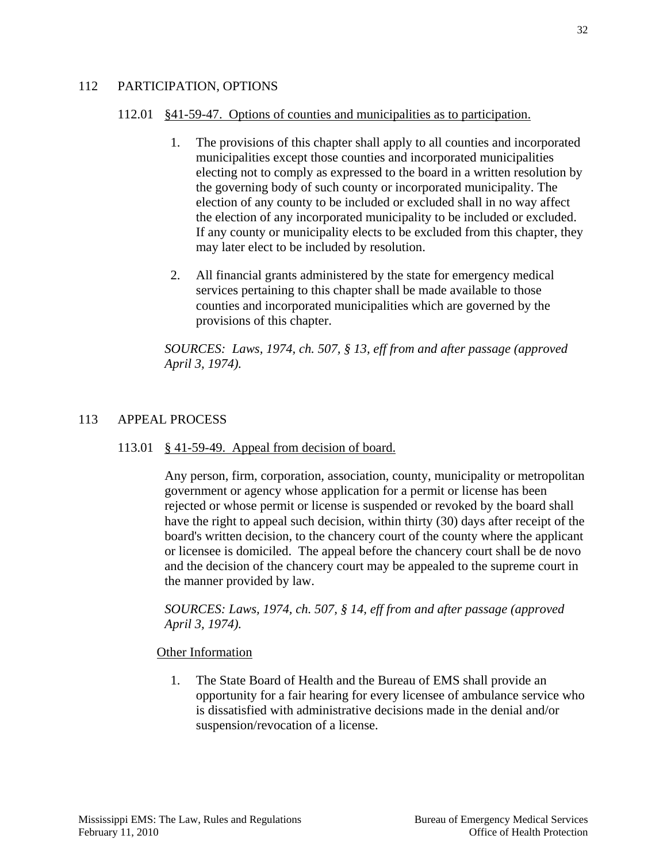## 112 PARTICIPATION, OPTIONS

### 112.01 §41-59-47. Options of counties and municipalities as to participation.

- 1. The provisions of this chapter shall apply to all counties and incorporated municipalities except those counties and incorporated municipalities electing not to comply as expressed to the board in a written resolution by the governing body of such county or incorporated municipality. The election of any county to be included or excluded shall in no way affect the election of any incorporated municipality to be included or excluded. If any county or municipality elects to be excluded from this chapter, they may later elect to be included by resolution.
- 2. All financial grants administered by the state for emergency medical services pertaining to this chapter shall be made available to those counties and incorporated municipalities which are governed by the provisions of this chapter.

*SOURCES: Laws, 1974, ch. 507, § 13, eff from and after passage (approved April 3, 1974).* 

### 113 APPEAL PROCESS

## 113.01 § 41-59-49. Appeal from decision of board.

Any person, firm, corporation, association, county, municipality or metropolitan government or agency whose application for a permit or license has been rejected or whose permit or license is suspended or revoked by the board shall have the right to appeal such decision, within thirty (30) days after receipt of the board's written decision, to the chancery court of the county where the applicant or licensee is domiciled. The appeal before the chancery court shall be de novo and the decision of the chancery court may be appealed to the supreme court in the manner provided by law.

*SOURCES: Laws, 1974, ch. 507, § 14, eff from and after passage (approved April 3, 1974).* 

#### Other Information

1. The State Board of Health and the Bureau of EMS shall provide an opportunity for a fair hearing for every licensee of ambulance service who is dissatisfied with administrative decisions made in the denial and/or suspension/revocation of a license.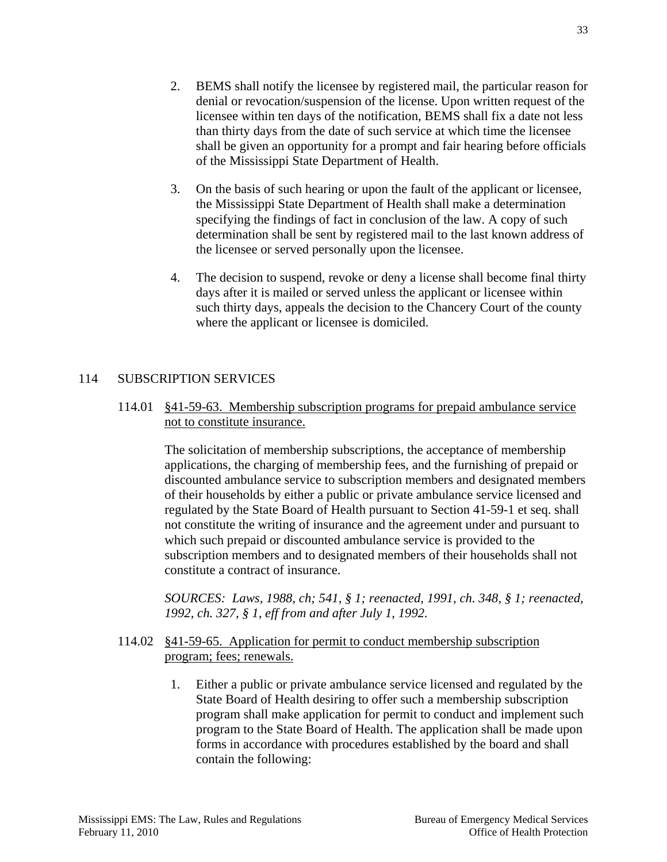- 2. BEMS shall notify the licensee by registered mail, the particular reason for denial or revocation/suspension of the license. Upon written request of the licensee within ten days of the notification, BEMS shall fix a date not less than thirty days from the date of such service at which time the licensee shall be given an opportunity for a prompt and fair hearing before officials of the Mississippi State Department of Health.
- 3. On the basis of such hearing or upon the fault of the applicant or licensee, the Mississippi State Department of Health shall make a determination specifying the findings of fact in conclusion of the law. A copy of such determination shall be sent by registered mail to the last known address of the licensee or served personally upon the licensee.
- 4. The decision to suspend, revoke or deny a license shall become final thirty days after it is mailed or served unless the applicant or licensee within such thirty days, appeals the decision to the Chancery Court of the county where the applicant or licensee is domiciled.

## 114 SUBSCRIPTION SERVICES

114.01 §41-59-63. Membership subscription programs for prepaid ambulance service not to constitute insurance.

> The solicitation of membership subscriptions, the acceptance of membership applications, the charging of membership fees, and the furnishing of prepaid or discounted ambulance service to subscription members and designated members of their households by either a public or private ambulance service licensed and regulated by the State Board of Health pursuant to Section 41-59-1 et seq. shall not constitute the writing of insurance and the agreement under and pursuant to which such prepaid or discounted ambulance service is provided to the subscription members and to designated members of their households shall not constitute a contract of insurance.

> *SOURCES: Laws, 1988, ch; 541, § 1; reenacted, 1991, ch. 348, § 1; reenacted, 1992, ch. 327, § 1, eff from and after July 1, 1992.*

- 114.02 §41-59-65. Application for permit to conduct membership subscription program; fees; renewals.
	- 1. Either a public or private ambulance service licensed and regulated by the State Board of Health desiring to offer such a membership subscription program shall make application for permit to conduct and implement such program to the State Board of Health. The application shall be made upon forms in accordance with procedures established by the board and shall contain the following: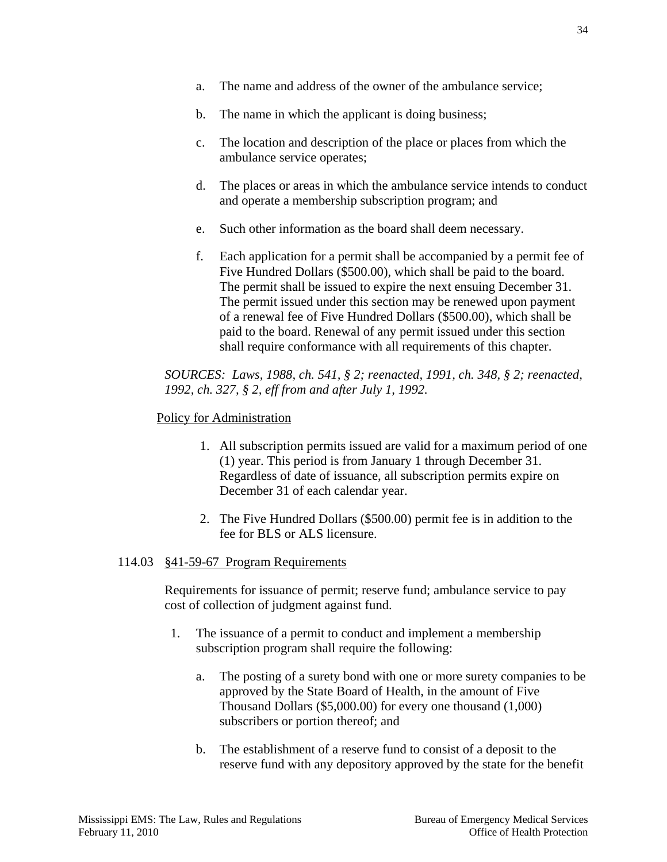- a. The name and address of the owner of the ambulance service;
- b. The name in which the applicant is doing business;
- c. The location and description of the place or places from which the ambulance service operates;
- d. The places or areas in which the ambulance service intends to conduct and operate a membership subscription program; and
- e. Such other information as the board shall deem necessary.
- f. Each application for a permit shall be accompanied by a permit fee of Five Hundred Dollars (\$500.00), which shall be paid to the board. The permit shall be issued to expire the next ensuing December 31. The permit issued under this section may be renewed upon payment of a renewal fee of Five Hundred Dollars (\$500.00), which shall be paid to the board. Renewal of any permit issued under this section shall require conformance with all requirements of this chapter.

*SOURCES: Laws, 1988, ch. 541, § 2; reenacted, 1991, ch. 348, § 2; reenacted, 1992, ch. 327, § 2, eff from and after July 1, 1992.* 

## Policy for Administration

- 1. All subscription permits issued are valid for a maximum period of one (1) year. This period is from January 1 through December 31. Regardless of date of issuance, all subscription permits expire on December 31 of each calendar year.
- 2. The Five Hundred Dollars (\$500.00) permit fee is in addition to the fee for BLS or ALS licensure.

## 114.03 §41-59-67 Program Requirements

Requirements for issuance of permit; reserve fund; ambulance service to pay cost of collection of judgment against fund.

- 1. The issuance of a permit to conduct and implement a membership subscription program shall require the following:
	- a. The posting of a surety bond with one or more surety companies to be approved by the State Board of Health, in the amount of Five Thousand Dollars (\$5,000.00) for every one thousand (1,000) subscribers or portion thereof; and
	- b. The establishment of a reserve fund to consist of a deposit to the reserve fund with any depository approved by the state for the benefit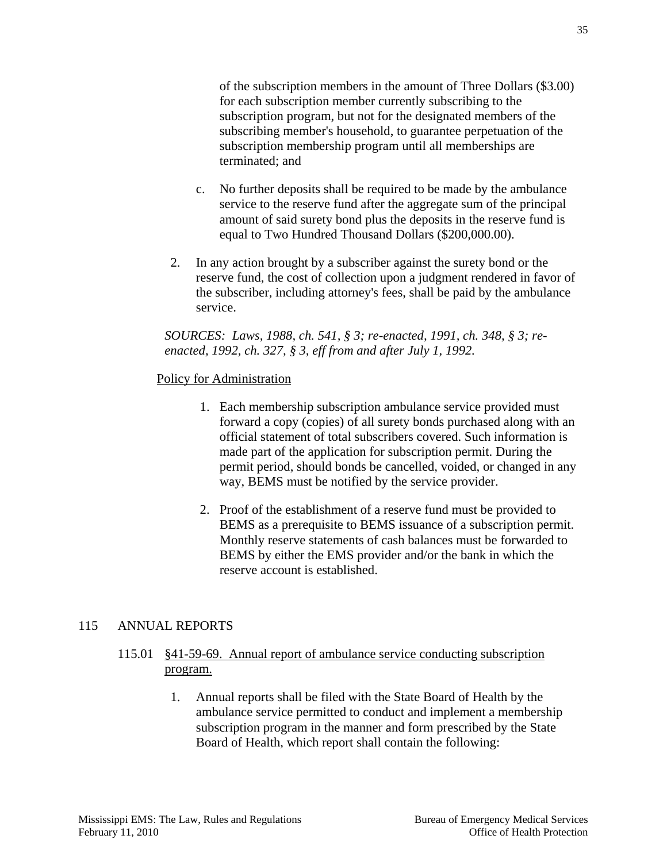of the subscription members in the amount of Three Dollars (\$3.00) for each subscription member currently subscribing to the subscription program, but not for the designated members of the subscribing member's household, to guarantee perpetuation of the subscription membership program until all memberships are terminated; and

- c. No further deposits shall be required to be made by the ambulance service to the reserve fund after the aggregate sum of the principal amount of said surety bond plus the deposits in the reserve fund is equal to Two Hundred Thousand Dollars (\$200,000.00).
- 2. In any action brought by a subscriber against the surety bond or the reserve fund, the cost of collection upon a judgment rendered in favor of the subscriber, including attorney's fees, shall be paid by the ambulance service.

*SOURCES: Laws, 1988, ch. 541, § 3; re-enacted, 1991, ch. 348, § 3; reenacted, 1992, ch. 327, § 3, eff from and after July 1, 1992.* 

## Policy for Administration

- 1. Each membership subscription ambulance service provided must forward a copy (copies) of all surety bonds purchased along with an official statement of total subscribers covered. Such information is made part of the application for subscription permit. During the permit period, should bonds be cancelled, voided, or changed in any way, BEMS must be notified by the service provider.
- 2. Proof of the establishment of a reserve fund must be provided to BEMS as a prerequisite to BEMS issuance of a subscription permit. Monthly reserve statements of cash balances must be forwarded to BEMS by either the EMS provider and/or the bank in which the reserve account is established.

## 115 ANNUAL REPORTS

## 115.01 §41-59-69. Annual report of ambulance service conducting subscription program.

1. Annual reports shall be filed with the State Board of Health by the ambulance service permitted to conduct and implement a membership subscription program in the manner and form prescribed by the State Board of Health, which report shall contain the following: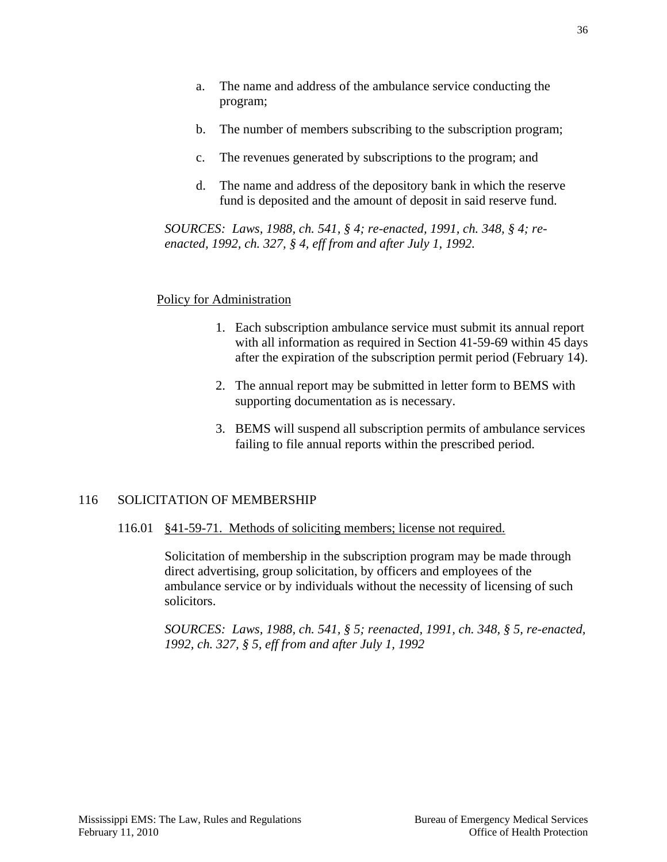- a. The name and address of the ambulance service conducting the program;
- b. The number of members subscribing to the subscription program;
- c. The revenues generated by subscriptions to the program; and
- d. The name and address of the depository bank in which the reserve fund is deposited and the amount of deposit in said reserve fund.

*SOURCES: Laws, 1988, ch. 541, § 4; re-enacted, 1991, ch. 348, § 4; reenacted, 1992, ch. 327, § 4, eff from and after July 1, 1992.* 

## Policy for Administration

- 1. Each subscription ambulance service must submit its annual report with all information as required in Section 41-59-69 within 45 days after the expiration of the subscription permit period (February 14).
- 2. The annual report may be submitted in letter form to BEMS with supporting documentation as is necessary.
- 3. BEMS will suspend all subscription permits of ambulance services failing to file annual reports within the prescribed period.

# 116 SOLICITATION OF MEMBERSHIP

## 116.01 §41-59-71. Methods of soliciting members; license not required.

Solicitation of membership in the subscription program may be made through direct advertising, group solicitation, by officers and employees of the ambulance service or by individuals without the necessity of licensing of such solicitors.

*SOURCES: Laws, 1988, ch. 541, § 5; reenacted, 1991, ch. 348, § 5, re-enacted, 1992, ch. 327, § 5, eff from and after July 1, 1992*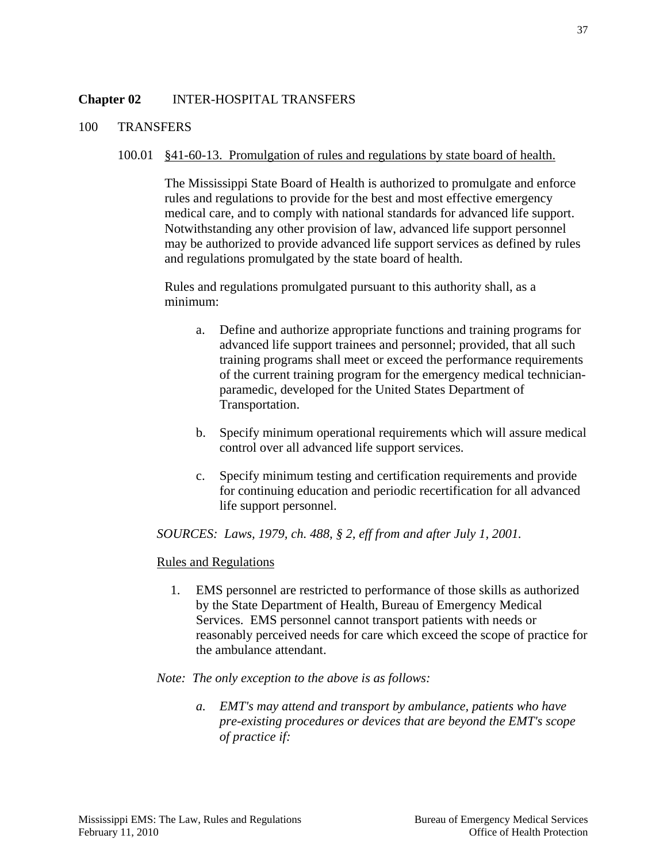#### **Chapter 02** INTER-HOSPITAL TRANSFERS

#### 100 TRANSFERS

#### 100.01 §41-60-13. Promulgation of rules and regulations by state board of health.

The Mississippi State Board of Health is authorized to promulgate and enforce rules and regulations to provide for the best and most effective emergency medical care, and to comply with national standards for advanced life support. Notwithstanding any other provision of law, advanced life support personnel may be authorized to provide advanced life support services as defined by rules and regulations promulgated by the state board of health.

Rules and regulations promulgated pursuant to this authority shall, as a minimum:

- a. Define and authorize appropriate functions and training programs for advanced life support trainees and personnel; provided, that all such training programs shall meet or exceed the performance requirements of the current training program for the emergency medical technicianparamedic, developed for the United States Department of Transportation.
- b. Specify minimum operational requirements which will assure medical control over all advanced life support services.
- c. Specify minimum testing and certification requirements and provide for continuing education and periodic recertification for all advanced life support personnel.

*SOURCES: Laws, 1979, ch. 488, § 2, eff from and after July 1, 2001.* 

#### Rules and Regulations

1. EMS personnel are restricted to performance of those skills as authorized by the State Department of Health, Bureau of Emergency Medical Services. EMS personnel cannot transport patients with needs or reasonably perceived needs for care which exceed the scope of practice for the ambulance attendant.

#### *Note: The only exception to the above is as follows:*

*a. EMT's may attend and transport by ambulance, patients who have pre-existing procedures or devices that are beyond the EMT's scope of practice if:*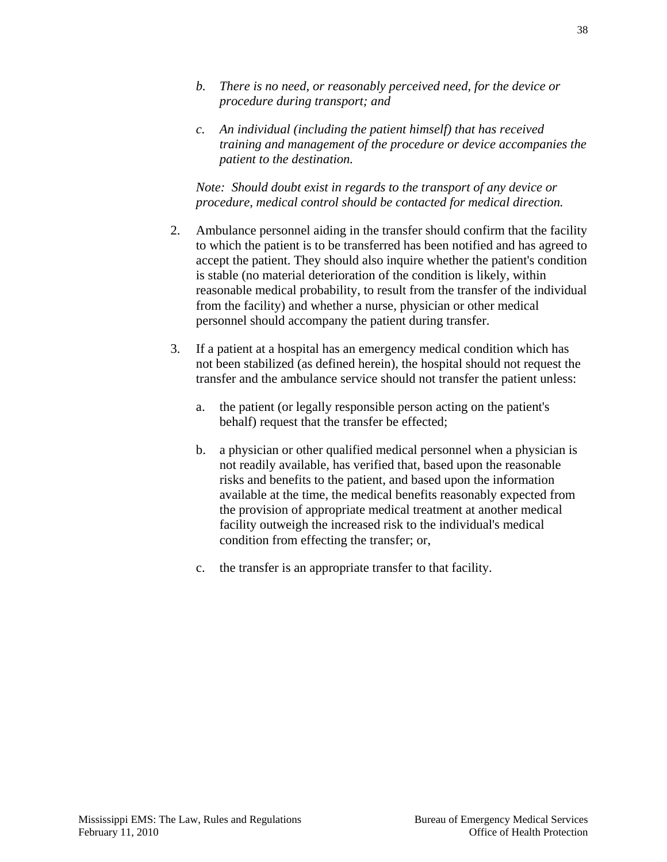- *b. There is no need, or reasonably perceived need, for the device or procedure during transport; and*
- *c. An individual (including the patient himself) that has received training and management of the procedure or device accompanies the patient to the destination.*

*Note: Should doubt exist in regards to the transport of any device or procedure, medical control should be contacted for medical direction.* 

- 2. Ambulance personnel aiding in the transfer should confirm that the facility to which the patient is to be transferred has been notified and has agreed to accept the patient. They should also inquire whether the patient's condition is stable (no material deterioration of the condition is likely, within reasonable medical probability, to result from the transfer of the individual from the facility) and whether a nurse, physician or other medical personnel should accompany the patient during transfer.
- 3. If a patient at a hospital has an emergency medical condition which has not been stabilized (as defined herein), the hospital should not request the transfer and the ambulance service should not transfer the patient unless:
	- a. the patient (or legally responsible person acting on the patient's behalf) request that the transfer be effected;
	- b. a physician or other qualified medical personnel when a physician is not readily available, has verified that, based upon the reasonable risks and benefits to the patient, and based upon the information available at the time, the medical benefits reasonably expected from the provision of appropriate medical treatment at another medical facility outweigh the increased risk to the individual's medical condition from effecting the transfer; or,
	- c. the transfer is an appropriate transfer to that facility.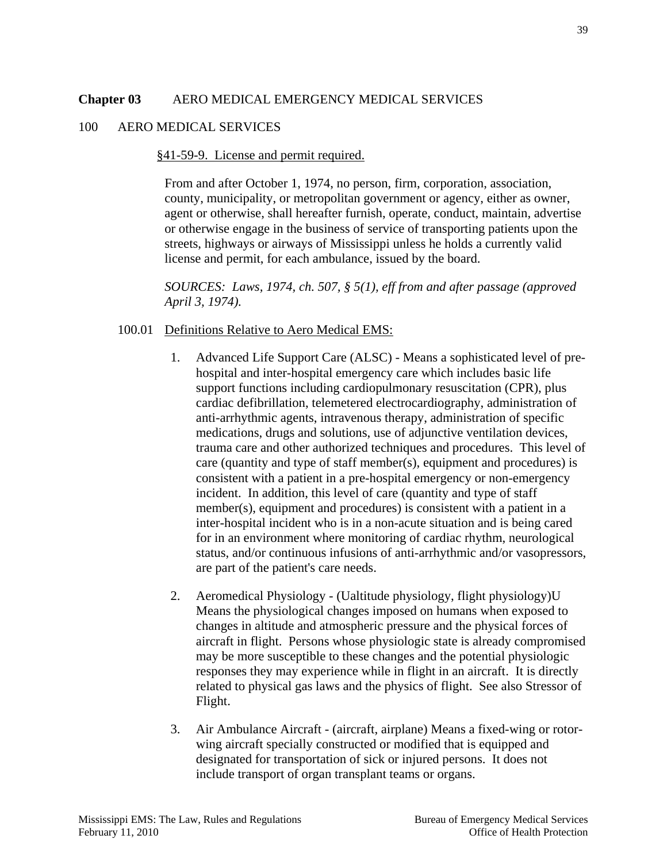### **Chapter 03** AERO MEDICAL EMERGENCY MEDICAL SERVICES

### 100 AERO MEDICAL SERVICES

### §41-59-9. License and permit required.

From and after October 1, 1974, no person, firm, corporation, association, county, municipality, or metropolitan government or agency, either as owner, agent or otherwise, shall hereafter furnish, operate, conduct, maintain, advertise or otherwise engage in the business of service of transporting patients upon the streets, highways or airways of Mississippi unless he holds a currently valid license and permit, for each ambulance, issued by the board.

*SOURCES: Laws, 1974, ch. 507, § 5(1), eff from and after passage (approved April 3, 1974).* 

### 100.01 Definitions Relative to Aero Medical EMS:

- 1. Advanced Life Support Care (ALSC) Means a sophisticated level of prehospital and inter-hospital emergency care which includes basic life support functions including cardiopulmonary resuscitation (CPR), plus cardiac defibrillation, telemetered electrocardiography, administration of anti-arrhythmic agents, intravenous therapy, administration of specific medications, drugs and solutions, use of adjunctive ventilation devices, trauma care and other authorized techniques and procedures. This level of care (quantity and type of staff member(s), equipment and procedures) is consistent with a patient in a pre-hospital emergency or non-emergency incident. In addition, this level of care (quantity and type of staff member(s), equipment and procedures) is consistent with a patient in a inter-hospital incident who is in a non-acute situation and is being cared for in an environment where monitoring of cardiac rhythm, neurological status, and/or continuous infusions of anti-arrhythmic and/or vasopressors, are part of the patient's care needs.
- 2. Aeromedical Physiology (Ualtitude physiology, flight physiology)U Means the physiological changes imposed on humans when exposed to changes in altitude and atmospheric pressure and the physical forces of aircraft in flight. Persons whose physiologic state is already compromised may be more susceptible to these changes and the potential physiologic responses they may experience while in flight in an aircraft. It is directly related to physical gas laws and the physics of flight. See also Stressor of Flight.
- 3. Air Ambulance Aircraft (aircraft, airplane) Means a fixed-wing or rotorwing aircraft specially constructed or modified that is equipped and designated for transportation of sick or injured persons. It does not include transport of organ transplant teams or organs.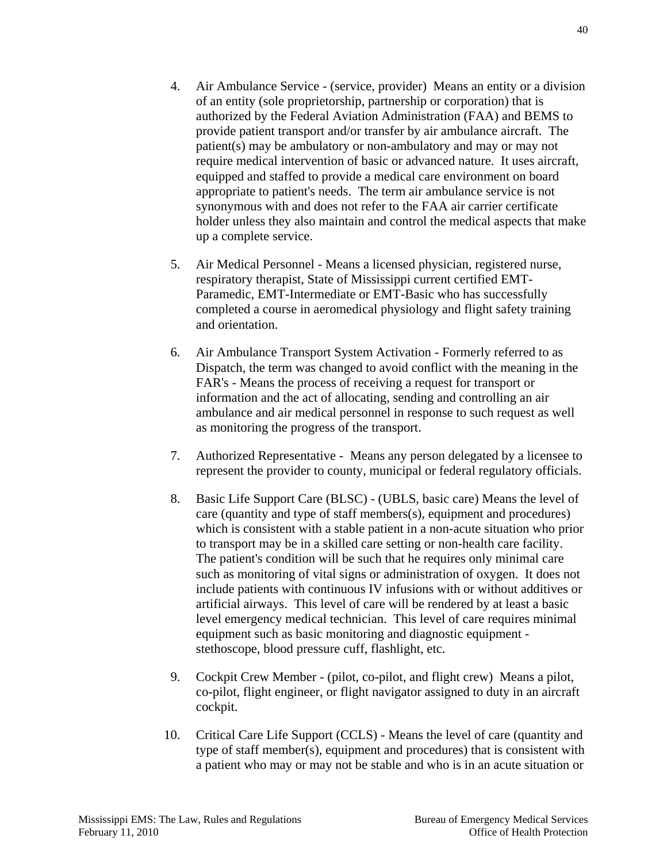- 4. Air Ambulance Service (service, provider) Means an entity or a division of an entity (sole proprietorship, partnership or corporation) that is authorized by the Federal Aviation Administration (FAA) and BEMS to provide patient transport and/or transfer by air ambulance aircraft. The patient(s) may be ambulatory or non-ambulatory and may or may not require medical intervention of basic or advanced nature. It uses aircraft, equipped and staffed to provide a medical care environment on board appropriate to patient's needs. The term air ambulance service is not synonymous with and does not refer to the FAA air carrier certificate holder unless they also maintain and control the medical aspects that make up a complete service.
- 5. Air Medical Personnel Means a licensed physician, registered nurse, respiratory therapist, State of Mississippi current certified EMT-Paramedic, EMT-Intermediate or EMT-Basic who has successfully completed a course in aeromedical physiology and flight safety training and orientation.
- 6. Air Ambulance Transport System Activation Formerly referred to as Dispatch, the term was changed to avoid conflict with the meaning in the FAR's - Means the process of receiving a request for transport or information and the act of allocating, sending and controlling an air ambulance and air medical personnel in response to such request as well as monitoring the progress of the transport.
- 7. Authorized Representative Means any person delegated by a licensee to represent the provider to county, municipal or federal regulatory officials.
- 8. Basic Life Support Care (BLSC) (UBLS, basic care) Means the level of care (quantity and type of staff members(s), equipment and procedures) which is consistent with a stable patient in a non-acute situation who prior to transport may be in a skilled care setting or non-health care facility. The patient's condition will be such that he requires only minimal care such as monitoring of vital signs or administration of oxygen. It does not include patients with continuous IV infusions with or without additives or artificial airways. This level of care will be rendered by at least a basic level emergency medical technician. This level of care requires minimal equipment such as basic monitoring and diagnostic equipment stethoscope, blood pressure cuff, flashlight, etc.
- 9. Cockpit Crew Member (pilot, co-pilot, and flight crew) Means a pilot, co-pilot, flight engineer, or flight navigator assigned to duty in an aircraft cockpit.
- 10. Critical Care Life Support (CCLS) Means the level of care (quantity and type of staff member(s), equipment and procedures) that is consistent with a patient who may or may not be stable and who is in an acute situation or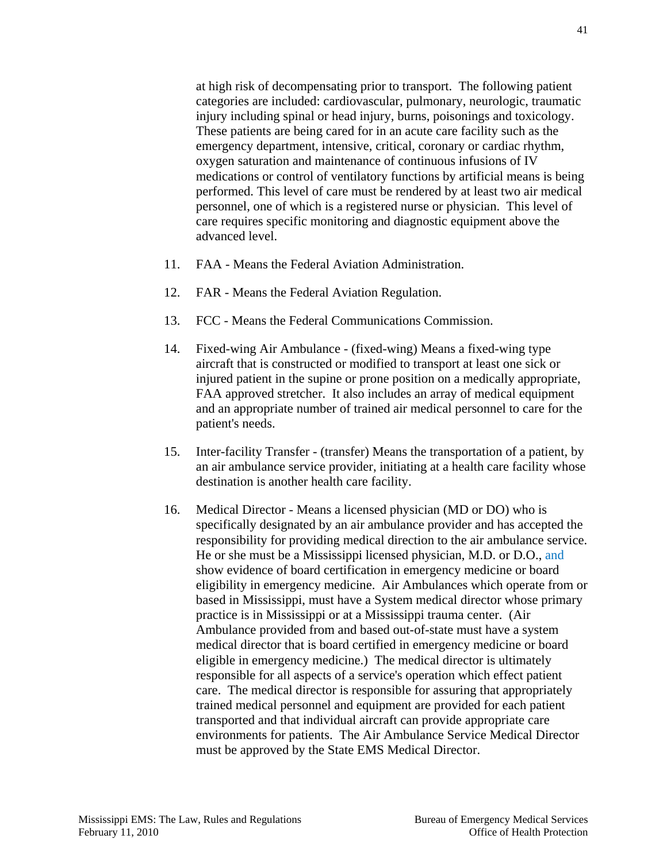at high risk of decompensating prior to transport. The following patient categories are included: cardiovascular, pulmonary, neurologic, traumatic injury including spinal or head injury, burns, poisonings and toxicology. These patients are being cared for in an acute care facility such as the emergency department, intensive, critical, coronary or cardiac rhythm, oxygen saturation and maintenance of continuous infusions of IV medications or control of ventilatory functions by artificial means is being performed. This level of care must be rendered by at least two air medical personnel, one of which is a registered nurse or physician. This level of care requires specific monitoring and diagnostic equipment above the advanced level.

- 11. FAA Means the Federal Aviation Administration.
- 12. FAR Means the Federal Aviation Regulation.
- 13. FCC Means the Federal Communications Commission.
- 14. Fixed-wing Air Ambulance (fixed-wing) Means a fixed-wing type aircraft that is constructed or modified to transport at least one sick or injured patient in the supine or prone position on a medically appropriate, FAA approved stretcher. It also includes an array of medical equipment and an appropriate number of trained air medical personnel to care for the patient's needs.
- 15. Inter-facility Transfer (transfer) Means the transportation of a patient, by an air ambulance service provider, initiating at a health care facility whose destination is another health care facility.
- 16. Medical Director Means a licensed physician (MD or DO) who is specifically designated by an air ambulance provider and has accepted the responsibility for providing medical direction to the air ambulance service. He or she must be a Mississippi licensed physician, M.D. or D.O., and show evidence of board certification in emergency medicine or board eligibility in emergency medicine. Air Ambulances which operate from or based in Mississippi, must have a System medical director whose primary practice is in Mississippi or at a Mississippi trauma center. (Air Ambulance provided from and based out-of-state must have a system medical director that is board certified in emergency medicine or board eligible in emergency medicine.) The medical director is ultimately responsible for all aspects of a service's operation which effect patient care. The medical director is responsible for assuring that appropriately trained medical personnel and equipment are provided for each patient transported and that individual aircraft can provide appropriate care environments for patients. The Air Ambulance Service Medical Director must be approved by the State EMS Medical Director.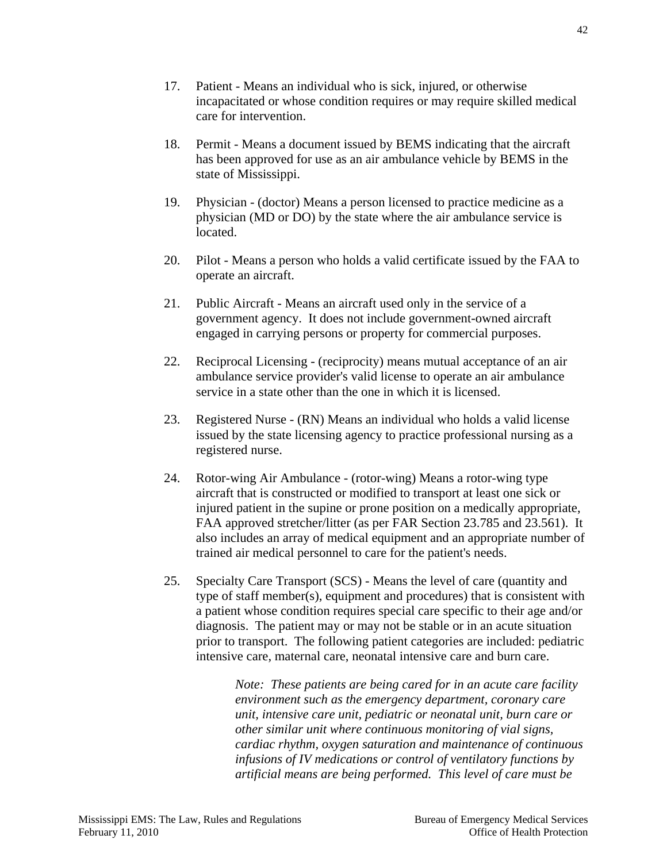- 17. Patient Means an individual who is sick, injured, or otherwise incapacitated or whose condition requires or may require skilled medical care for intervention.
- 18. Permit Means a document issued by BEMS indicating that the aircraft has been approved for use as an air ambulance vehicle by BEMS in the state of Mississippi.
- 19. Physician (doctor) Means a person licensed to practice medicine as a physician (MD or DO) by the state where the air ambulance service is located.
- 20. Pilot Means a person who holds a valid certificate issued by the FAA to operate an aircraft.
- 21. Public Aircraft Means an aircraft used only in the service of a government agency. It does not include government-owned aircraft engaged in carrying persons or property for commercial purposes.
- 22. Reciprocal Licensing (reciprocity) means mutual acceptance of an air ambulance service provider's valid license to operate an air ambulance service in a state other than the one in which it is licensed.
- 23. Registered Nurse (RN) Means an individual who holds a valid license issued by the state licensing agency to practice professional nursing as a registered nurse.
- 24. Rotor-wing Air Ambulance (rotor-wing) Means a rotor-wing type aircraft that is constructed or modified to transport at least one sick or injured patient in the supine or prone position on a medically appropriate, FAA approved stretcher/litter (as per FAR Section 23.785 and 23.561). It also includes an array of medical equipment and an appropriate number of trained air medical personnel to care for the patient's needs.
- 25. Specialty Care Transport (SCS) Means the level of care (quantity and type of staff member(s), equipment and procedures) that is consistent with a patient whose condition requires special care specific to their age and/or diagnosis. The patient may or may not be stable or in an acute situation prior to transport. The following patient categories are included: pediatric intensive care, maternal care, neonatal intensive care and burn care.

*Note: These patients are being cared for in an acute care facility environment such as the emergency department, coronary care unit, intensive care unit, pediatric or neonatal unit, burn care or other similar unit where continuous monitoring of vial signs, cardiac rhythm, oxygen saturation and maintenance of continuous infusions of IV medications or control of ventilatory functions by artificial means are being performed. This level of care must be*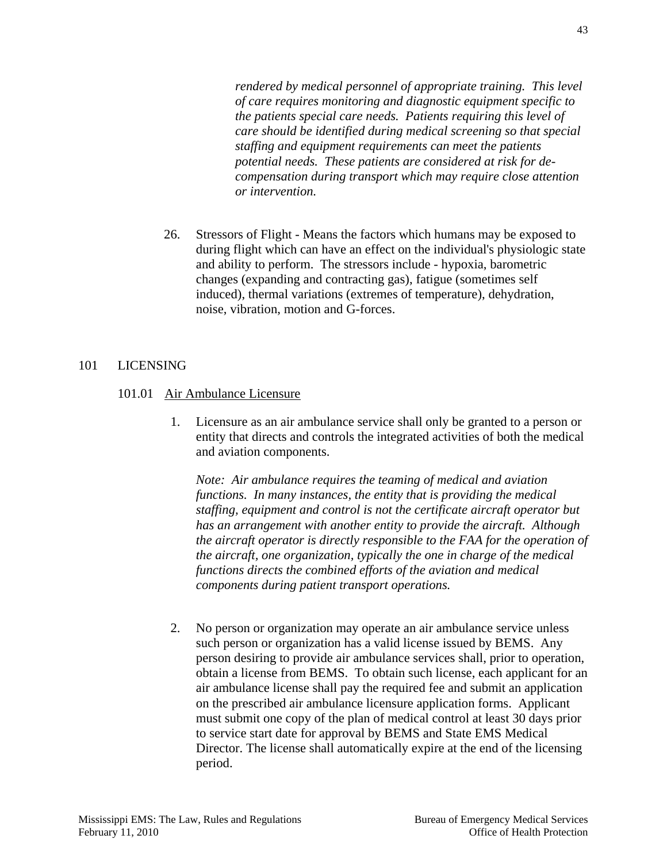*rendered by medical personnel of appropriate training. This level of care requires monitoring and diagnostic equipment specific to the patients special care needs. Patients requiring this level of care should be identified during medical screening so that special staffing and equipment requirements can meet the patients potential needs. These patients are considered at risk for decompensation during transport which may require close attention or intervention.* 

26. Stressors of Flight - Means the factors which humans may be exposed to during flight which can have an effect on the individual's physiologic state and ability to perform. The stressors include - hypoxia, barometric changes (expanding and contracting gas), fatigue (sometimes self induced), thermal variations (extremes of temperature), dehydration, noise, vibration, motion and G-forces.

### 101 LICENSING

- 101.01 Air Ambulance Licensure
	- 1. Licensure as an air ambulance service shall only be granted to a person or entity that directs and controls the integrated activities of both the medical and aviation components.

*Note: Air ambulance requires the teaming of medical and aviation functions. In many instances, the entity that is providing the medical staffing, equipment and control is not the certificate aircraft operator but has an arrangement with another entity to provide the aircraft. Although the aircraft operator is directly responsible to the FAA for the operation of the aircraft, one organization, typically the one in charge of the medical functions directs the combined efforts of the aviation and medical components during patient transport operations.* 

2. No person or organization may operate an air ambulance service unless such person or organization has a valid license issued by BEMS. Any person desiring to provide air ambulance services shall, prior to operation, obtain a license from BEMS. To obtain such license, each applicant for an air ambulance license shall pay the required fee and submit an application on the prescribed air ambulance licensure application forms. Applicant must submit one copy of the plan of medical control at least 30 days prior to service start date for approval by BEMS and State EMS Medical Director. The license shall automatically expire at the end of the licensing period.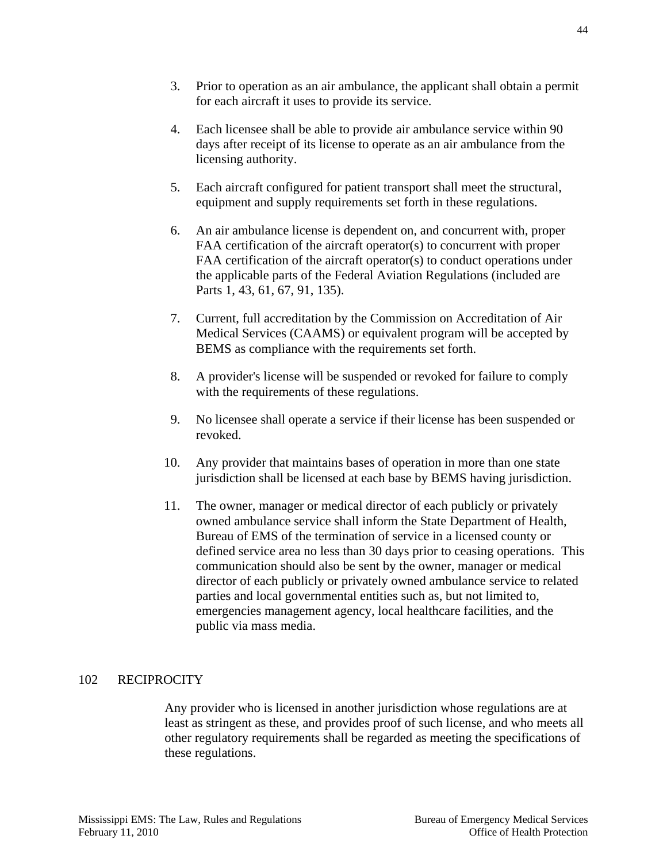- 3. Prior to operation as an air ambulance, the applicant shall obtain a permit for each aircraft it uses to provide its service.
- 4. Each licensee shall be able to provide air ambulance service within 90 days after receipt of its license to operate as an air ambulance from the licensing authority.
- 5. Each aircraft configured for patient transport shall meet the structural, equipment and supply requirements set forth in these regulations.
- 6. An air ambulance license is dependent on, and concurrent with, proper FAA certification of the aircraft operator(s) to concurrent with proper FAA certification of the aircraft operator(s) to conduct operations under the applicable parts of the Federal Aviation Regulations (included are Parts 1, 43, 61, 67, 91, 135).
- 7. Current, full accreditation by the Commission on Accreditation of Air Medical Services (CAAMS) or equivalent program will be accepted by BEMS as compliance with the requirements set forth.
- 8. A provider's license will be suspended or revoked for failure to comply with the requirements of these regulations.
- 9. No licensee shall operate a service if their license has been suspended or revoked.
- 10. Any provider that maintains bases of operation in more than one state jurisdiction shall be licensed at each base by BEMS having jurisdiction.
- 11. The owner, manager or medical director of each publicly or privately owned ambulance service shall inform the State Department of Health, Bureau of EMS of the termination of service in a licensed county or defined service area no less than 30 days prior to ceasing operations. This communication should also be sent by the owner, manager or medical director of each publicly or privately owned ambulance service to related parties and local governmental entities such as, but not limited to, emergencies management agency, local healthcare facilities, and the public via mass media.

### 102 RECIPROCITY

Any provider who is licensed in another jurisdiction whose regulations are at least as stringent as these, and provides proof of such license, and who meets all other regulatory requirements shall be regarded as meeting the specifications of these regulations.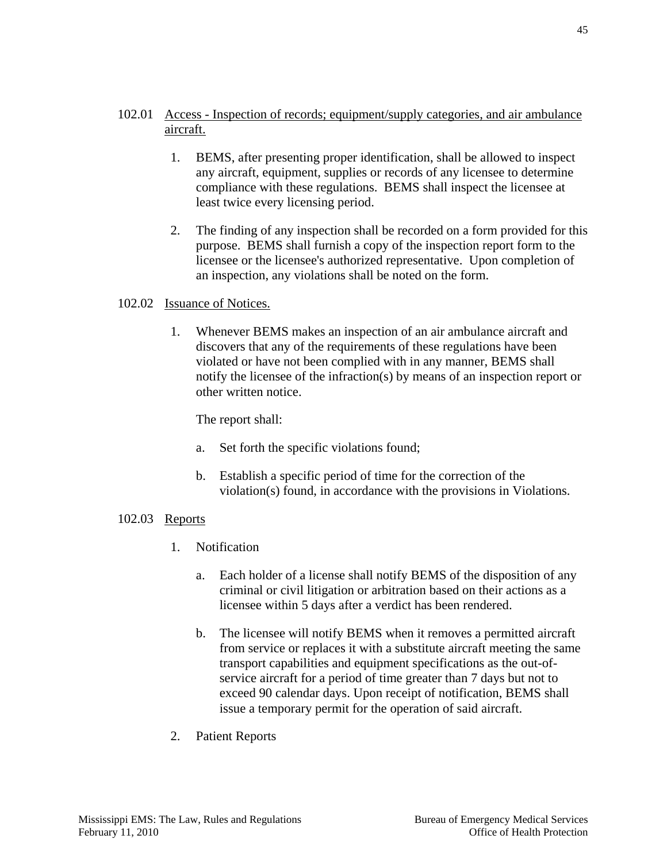- 1. BEMS, after presenting proper identification, shall be allowed to inspect any aircraft, equipment, supplies or records of any licensee to determine compliance with these regulations. BEMS shall inspect the licensee at least twice every licensing period.
- 2. The finding of any inspection shall be recorded on a form provided for this purpose. BEMS shall furnish a copy of the inspection report form to the licensee or the licensee's authorized representative. Upon completion of an inspection, any violations shall be noted on the form.

## 102.02 Issuance of Notices.

1. Whenever BEMS makes an inspection of an air ambulance aircraft and discovers that any of the requirements of these regulations have been violated or have not been complied with in any manner, BEMS shall notify the licensee of the infraction(s) by means of an inspection report or other written notice.

The report shall:

- a. Set forth the specific violations found;
- b. Establish a specific period of time for the correction of the violation(s) found, in accordance with the provisions in Violations.

# 102.03 Reports

- 1. Notification
	- a. Each holder of a license shall notify BEMS of the disposition of any criminal or civil litigation or arbitration based on their actions as a licensee within 5 days after a verdict has been rendered.
	- b. The licensee will notify BEMS when it removes a permitted aircraft from service or replaces it with a substitute aircraft meeting the same transport capabilities and equipment specifications as the out-ofservice aircraft for a period of time greater than 7 days but not to exceed 90 calendar days. Upon receipt of notification, BEMS shall issue a temporary permit for the operation of said aircraft.
- 2. Patient Reports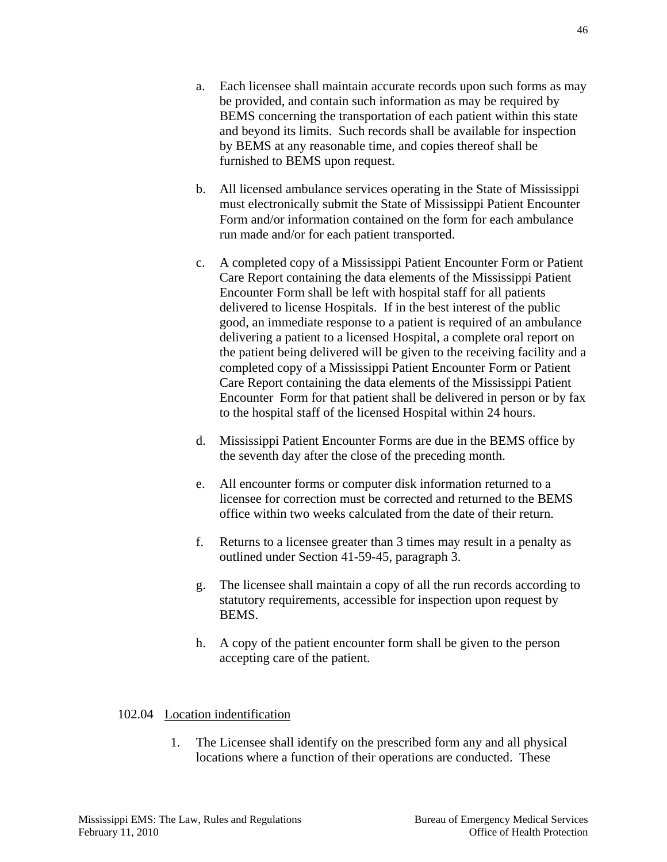- a. Each licensee shall maintain accurate records upon such forms as may be provided, and contain such information as may be required by BEMS concerning the transportation of each patient within this state and beyond its limits. Such records shall be available for inspection by BEMS at any reasonable time, and copies thereof shall be furnished to BEMS upon request.
- b. All licensed ambulance services operating in the State of Mississippi must electronically submit the State of Mississippi Patient Encounter Form and/or information contained on the form for each ambulance run made and/or for each patient transported.
- c. A completed copy of a Mississippi Patient Encounter Form or Patient Care Report containing the data elements of the Mississippi Patient Encounter Form shall be left with hospital staff for all patients delivered to license Hospitals. If in the best interest of the public good, an immediate response to a patient is required of an ambulance delivering a patient to a licensed Hospital, a complete oral report on the patient being delivered will be given to the receiving facility and a completed copy of a Mississippi Patient Encounter Form or Patient Care Report containing the data elements of the Mississippi Patient Encounter Form for that patient shall be delivered in person or by fax to the hospital staff of the licensed Hospital within 24 hours.
- d. Mississippi Patient Encounter Forms are due in the BEMS office by the seventh day after the close of the preceding month.
- e. All encounter forms or computer disk information returned to a licensee for correction must be corrected and returned to the BEMS office within two weeks calculated from the date of their return.
- f. Returns to a licensee greater than 3 times may result in a penalty as outlined under Section 41-59-45, paragraph 3.
- g. The licensee shall maintain a copy of all the run records according to statutory requirements, accessible for inspection upon request by BEMS.
- h. A copy of the patient encounter form shall be given to the person accepting care of the patient.

## 102.04 Location indentification

1. The Licensee shall identify on the prescribed form any and all physical locations where a function of their operations are conducted. These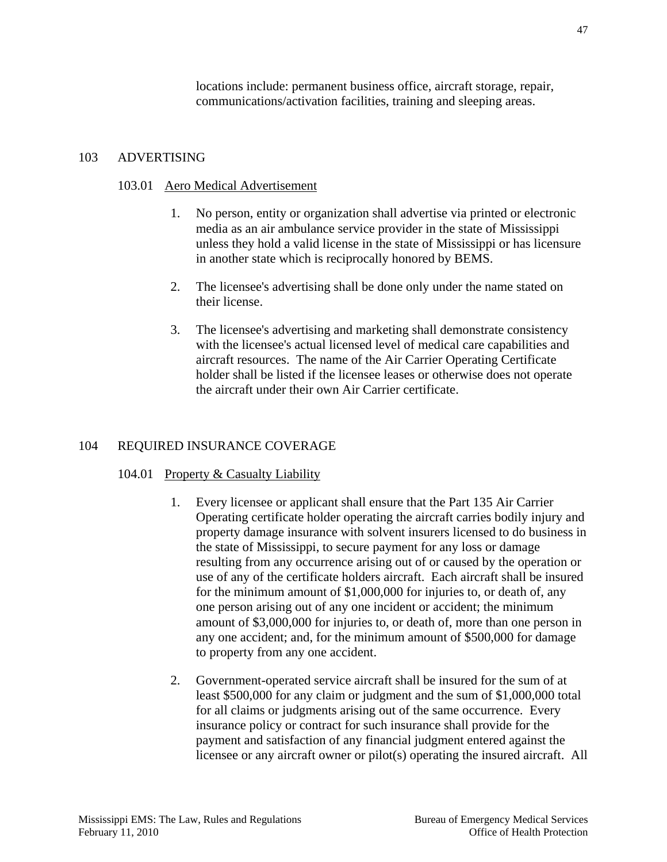locations include: permanent business office, aircraft storage, repair, communications/activation facilities, training and sleeping areas.

#### 103 ADVERTISING

#### 103.01 Aero Medical Advertisement

- 1. No person, entity or organization shall advertise via printed or electronic media as an air ambulance service provider in the state of Mississippi unless they hold a valid license in the state of Mississippi or has licensure in another state which is reciprocally honored by BEMS.
- 2. The licensee's advertising shall be done only under the name stated on their license.
- 3. The licensee's advertising and marketing shall demonstrate consistency with the licensee's actual licensed level of medical care capabilities and aircraft resources. The name of the Air Carrier Operating Certificate holder shall be listed if the licensee leases or otherwise does not operate the aircraft under their own Air Carrier certificate.

#### 104 REQUIRED INSURANCE COVERAGE

#### 104.01 Property & Casualty Liability

- 1. Every licensee or applicant shall ensure that the Part 135 Air Carrier Operating certificate holder operating the aircraft carries bodily injury and property damage insurance with solvent insurers licensed to do business in the state of Mississippi, to secure payment for any loss or damage resulting from any occurrence arising out of or caused by the operation or use of any of the certificate holders aircraft. Each aircraft shall be insured for the minimum amount of \$1,000,000 for injuries to, or death of, any one person arising out of any one incident or accident; the minimum amount of \$3,000,000 for injuries to, or death of, more than one person in any one accident; and, for the minimum amount of \$500,000 for damage to property from any one accident.
- 2. Government-operated service aircraft shall be insured for the sum of at least \$500,000 for any claim or judgment and the sum of \$1,000,000 total for all claims or judgments arising out of the same occurrence. Every insurance policy or contract for such insurance shall provide for the payment and satisfaction of any financial judgment entered against the licensee or any aircraft owner or pilot(s) operating the insured aircraft. All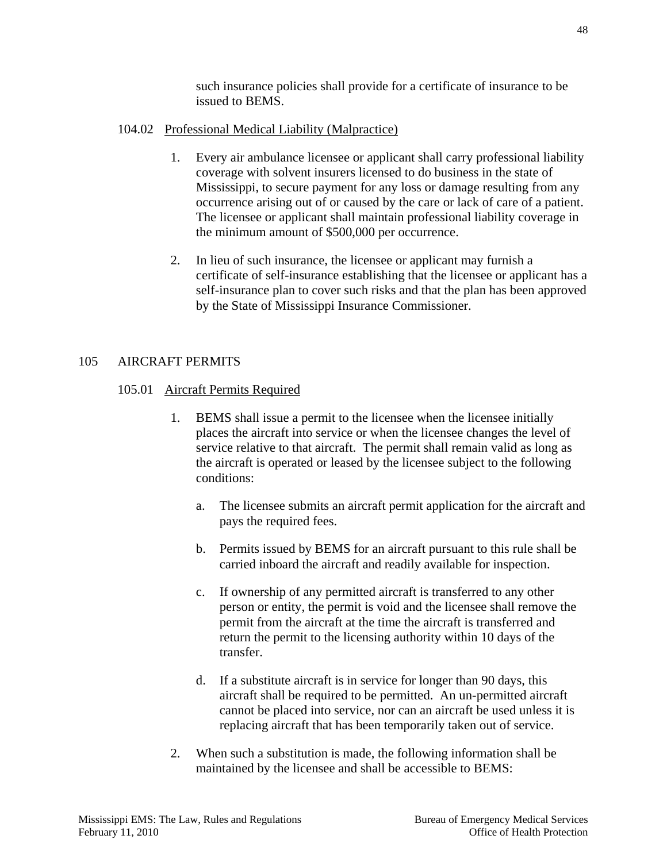such insurance policies shall provide for a certificate of insurance to be issued to BEMS.

### 104.02 Professional Medical Liability (Malpractice)

- 1. Every air ambulance licensee or applicant shall carry professional liability coverage with solvent insurers licensed to do business in the state of Mississippi, to secure payment for any loss or damage resulting from any occurrence arising out of or caused by the care or lack of care of a patient. The licensee or applicant shall maintain professional liability coverage in the minimum amount of \$500,000 per occurrence.
- 2. In lieu of such insurance, the licensee or applicant may furnish a certificate of self-insurance establishing that the licensee or applicant has a self-insurance plan to cover such risks and that the plan has been approved by the State of Mississippi Insurance Commissioner.

### 105 AIRCRAFT PERMITS

### 105.01 Aircraft Permits Required

- 1. BEMS shall issue a permit to the licensee when the licensee initially places the aircraft into service or when the licensee changes the level of service relative to that aircraft. The permit shall remain valid as long as the aircraft is operated or leased by the licensee subject to the following conditions:
	- a. The licensee submits an aircraft permit application for the aircraft and pays the required fees.
	- b. Permits issued by BEMS for an aircraft pursuant to this rule shall be carried inboard the aircraft and readily available for inspection.
	- c. If ownership of any permitted aircraft is transferred to any other person or entity, the permit is void and the licensee shall remove the permit from the aircraft at the time the aircraft is transferred and return the permit to the licensing authority within 10 days of the transfer.
	- d. If a substitute aircraft is in service for longer than 90 days, this aircraft shall be required to be permitted. An un-permitted aircraft cannot be placed into service, nor can an aircraft be used unless it is replacing aircraft that has been temporarily taken out of service.
- 2. When such a substitution is made, the following information shall be maintained by the licensee and shall be accessible to BEMS: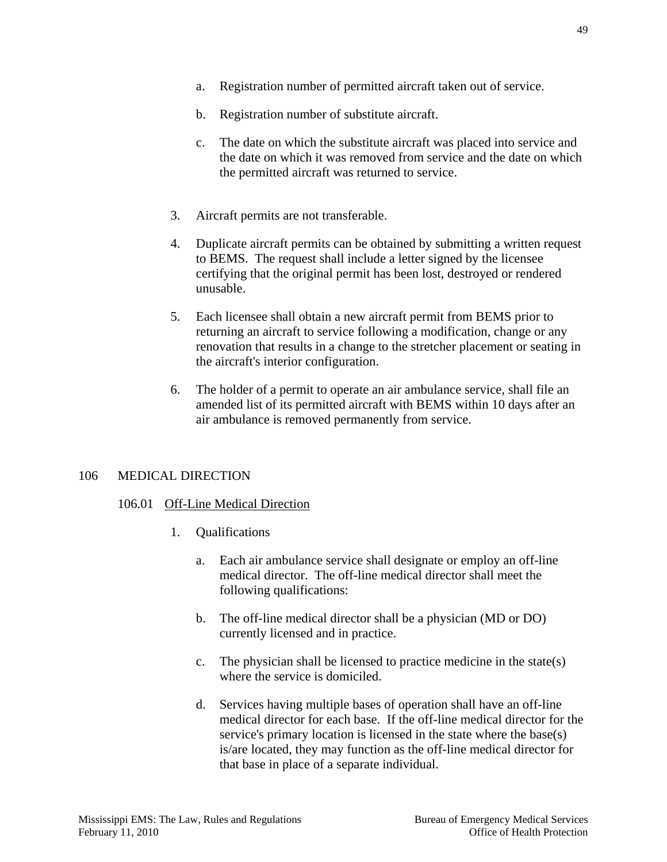- a. Registration number of permitted aircraft taken out of service.
- b. Registration number of substitute aircraft.
- c. The date on which the substitute aircraft was placed into service and the date on which it was removed from service and the date on which the permitted aircraft was returned to service.
- 3. Aircraft permits are not transferable.
- 4. Duplicate aircraft permits can be obtained by submitting a written request to BEMS. The request shall include a letter signed by the licensee certifying that the original permit has been lost, destroyed or rendered unusable.
- 5. Each licensee shall obtain a new aircraft permit from BEMS prior to returning an aircraft to service following a modification, change or any renovation that results in a change to the stretcher placement or seating in the aircraft's interior configuration.
- 6. The holder of a permit to operate an air ambulance service, shall file an amended list of its permitted aircraft with BEMS within 10 days after an air ambulance is removed permanently from service.

# 106 MEDICAL DIRECTION

## 106.01 Off-Line Medical Direction

- 1. Qualifications
	- a. Each air ambulance service shall designate or employ an off-line medical director. The off-line medical director shall meet the following qualifications:
	- b. The off-line medical director shall be a physician (MD or DO) currently licensed and in practice.
	- c. The physician shall be licensed to practice medicine in the state(s) where the service is domiciled.
	- d. Services having multiple bases of operation shall have an off-line medical director for each base. If the off-line medical director for the service's primary location is licensed in the state where the base(s) is/are located, they may function as the off-line medical director for that base in place of a separate individual.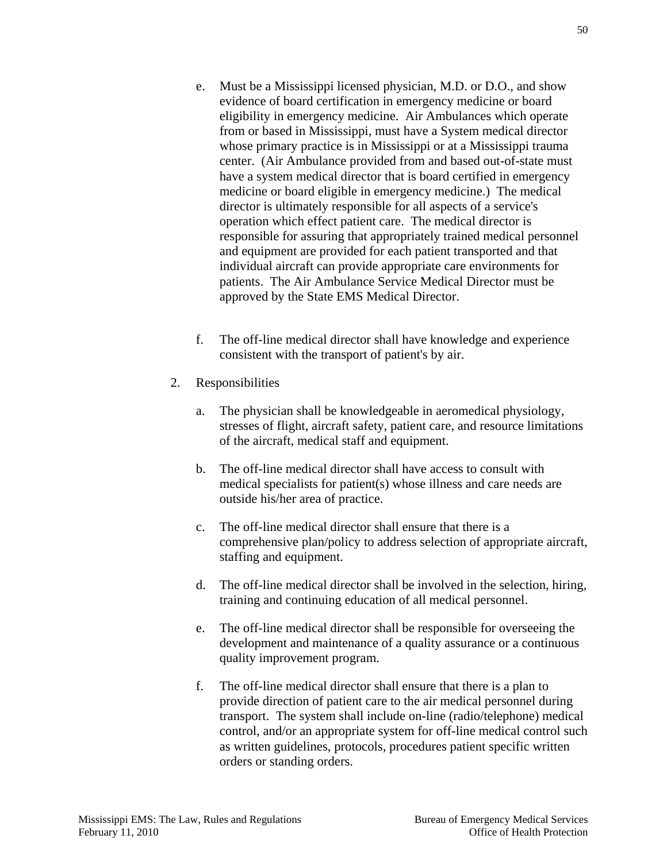- e. Must be a Mississippi licensed physician, M.D. or D.O., and show evidence of board certification in emergency medicine or board eligibility in emergency medicine. Air Ambulances which operate from or based in Mississippi, must have a System medical director whose primary practice is in Mississippi or at a Mississippi trauma center. (Air Ambulance provided from and based out-of-state must have a system medical director that is board certified in emergency medicine or board eligible in emergency medicine.) The medical director is ultimately responsible for all aspects of a service's operation which effect patient care. The medical director is responsible for assuring that appropriately trained medical personnel and equipment are provided for each patient transported and that individual aircraft can provide appropriate care environments for patients. The Air Ambulance Service Medical Director must be approved by the State EMS Medical Director.
- f. The off-line medical director shall have knowledge and experience consistent with the transport of patient's by air.
- 2. Responsibilities
	- a. The physician shall be knowledgeable in aeromedical physiology, stresses of flight, aircraft safety, patient care, and resource limitations of the aircraft, medical staff and equipment.
	- b. The off-line medical director shall have access to consult with medical specialists for patient(s) whose illness and care needs are outside his/her area of practice.
	- c. The off-line medical director shall ensure that there is a comprehensive plan/policy to address selection of appropriate aircraft, staffing and equipment.
	- d. The off-line medical director shall be involved in the selection, hiring, training and continuing education of all medical personnel.
	- e. The off-line medical director shall be responsible for overseeing the development and maintenance of a quality assurance or a continuous quality improvement program.
	- f. The off-line medical director shall ensure that there is a plan to provide direction of patient care to the air medical personnel during transport. The system shall include on-line (radio/telephone) medical control, and/or an appropriate system for off-line medical control such as written guidelines, protocols, procedures patient specific written orders or standing orders.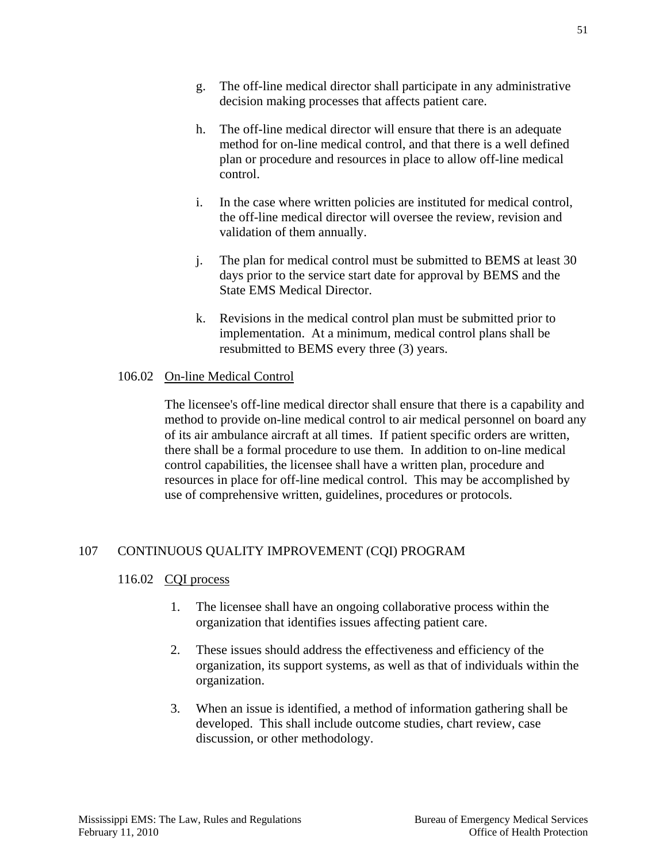- g. The off-line medical director shall participate in any administrative decision making processes that affects patient care.
- h. The off-line medical director will ensure that there is an adequate method for on-line medical control, and that there is a well defined plan or procedure and resources in place to allow off-line medical control.
- i. In the case where written policies are instituted for medical control, the off-line medical director will oversee the review, revision and validation of them annually.
- j. The plan for medical control must be submitted to BEMS at least 30 days prior to the service start date for approval by BEMS and the State EMS Medical Director.
- k. Revisions in the medical control plan must be submitted prior to implementation. At a minimum, medical control plans shall be resubmitted to BEMS every three (3) years.

## 106.02 On-line Medical Control

The licensee's off-line medical director shall ensure that there is a capability and method to provide on-line medical control to air medical personnel on board any of its air ambulance aircraft at all times. If patient specific orders are written, there shall be a formal procedure to use them. In addition to on-line medical control capabilities, the licensee shall have a written plan, procedure and resources in place for off-line medical control. This may be accomplished by use of comprehensive written, guidelines, procedures or protocols.

# 107 CONTINUOUS QUALITY IMPROVEMENT (CQI) PROGRAM

## 116.02 CQI process

- 1. The licensee shall have an ongoing collaborative process within the organization that identifies issues affecting patient care.
- 2. These issues should address the effectiveness and efficiency of the organization, its support systems, as well as that of individuals within the organization.
- 3. When an issue is identified, a method of information gathering shall be developed. This shall include outcome studies, chart review, case discussion, or other methodology.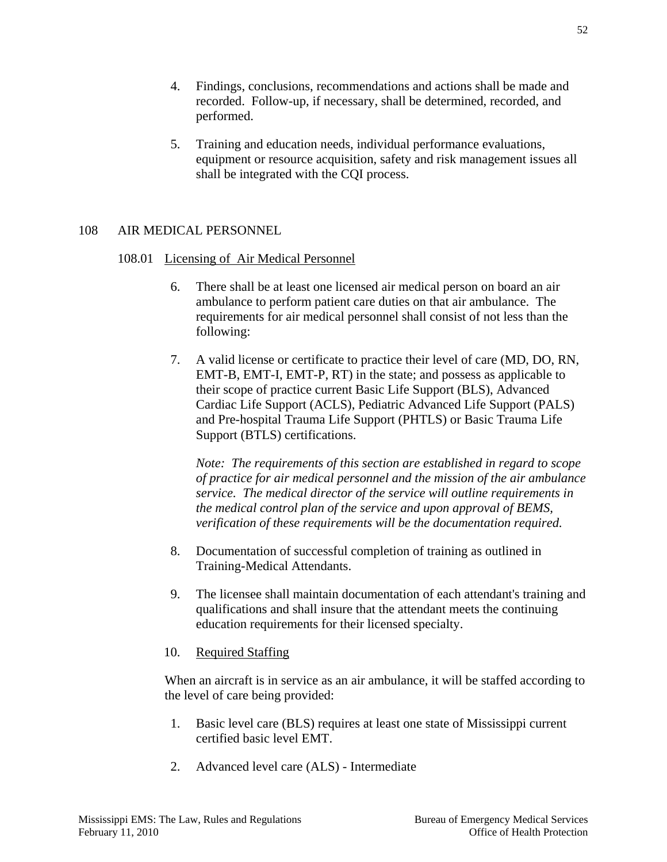- 4. Findings, conclusions, recommendations and actions shall be made and recorded. Follow-up, if necessary, shall be determined, recorded, and performed.
- 5. Training and education needs, individual performance evaluations, equipment or resource acquisition, safety and risk management issues all shall be integrated with the CQI process.

### 108 AIR MEDICAL PERSONNEL

### 108.01 Licensing of Air Medical Personnel

- 6. There shall be at least one licensed air medical person on board an air ambulance to perform patient care duties on that air ambulance. The requirements for air medical personnel shall consist of not less than the following:
- 7. A valid license or certificate to practice their level of care (MD, DO, RN, EMT-B, EMT-I, EMT-P, RT) in the state; and possess as applicable to their scope of practice current Basic Life Support (BLS), Advanced Cardiac Life Support (ACLS), Pediatric Advanced Life Support (PALS) and Pre-hospital Trauma Life Support (PHTLS) or Basic Trauma Life Support (BTLS) certifications.

*Note: The requirements of this section are established in regard to scope of practice for air medical personnel and the mission of the air ambulance service. The medical director of the service will outline requirements in the medical control plan of the service and upon approval of BEMS, verification of these requirements will be the documentation required.* 

- 8. Documentation of successful completion of training as outlined in Training-Medical Attendants.
- 9. The licensee shall maintain documentation of each attendant's training and qualifications and shall insure that the attendant meets the continuing education requirements for their licensed specialty.
- 10. Required Staffing

When an aircraft is in service as an air ambulance, it will be staffed according to the level of care being provided:

- 1. Basic level care (BLS) requires at least one state of Mississippi current certified basic level EMT.
- 2. Advanced level care (ALS) Intermediate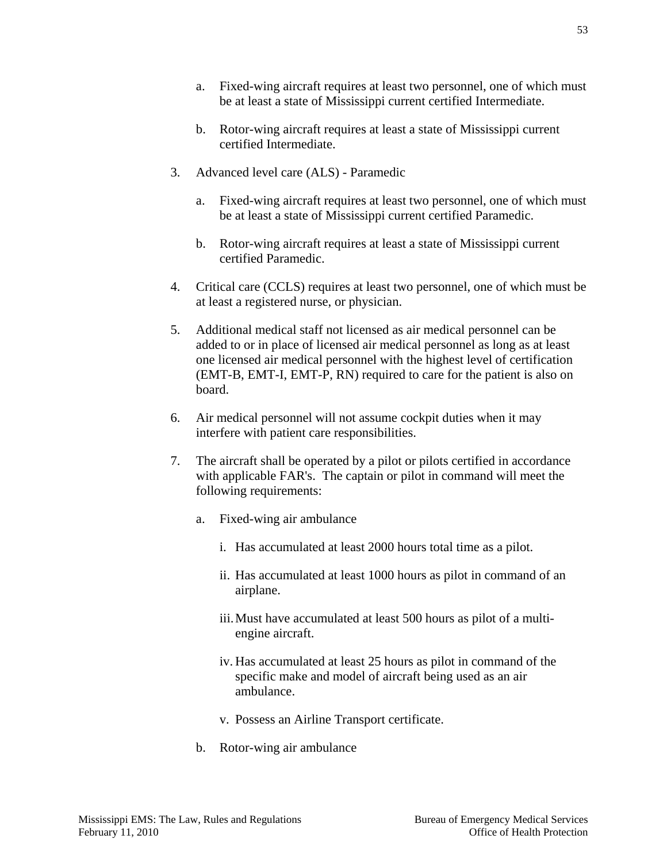- a. Fixed-wing aircraft requires at least two personnel, one of which must be at least a state of Mississippi current certified Intermediate.
- b. Rotor-wing aircraft requires at least a state of Mississippi current certified Intermediate.
- 3. Advanced level care (ALS) Paramedic
	- a. Fixed-wing aircraft requires at least two personnel, one of which must be at least a state of Mississippi current certified Paramedic.
	- b. Rotor-wing aircraft requires at least a state of Mississippi current certified Paramedic.
- 4. Critical care (CCLS) requires at least two personnel, one of which must be at least a registered nurse, or physician.
- 5. Additional medical staff not licensed as air medical personnel can be added to or in place of licensed air medical personnel as long as at least one licensed air medical personnel with the highest level of certification (EMT-B, EMT-I, EMT-P, RN) required to care for the patient is also on board.
- 6. Air medical personnel will not assume cockpit duties when it may interfere with patient care responsibilities.
- 7. The aircraft shall be operated by a pilot or pilots certified in accordance with applicable FAR's. The captain or pilot in command will meet the following requirements:
	- a. Fixed-wing air ambulance
		- i. Has accumulated at least 2000 hours total time as a pilot.
		- ii. Has accumulated at least 1000 hours as pilot in command of an airplane.
		- iii.Must have accumulated at least 500 hours as pilot of a multiengine aircraft.
		- iv. Has accumulated at least 25 hours as pilot in command of the specific make and model of aircraft being used as an air ambulance.
		- v. Possess an Airline Transport certificate.
	- b. Rotor-wing air ambulance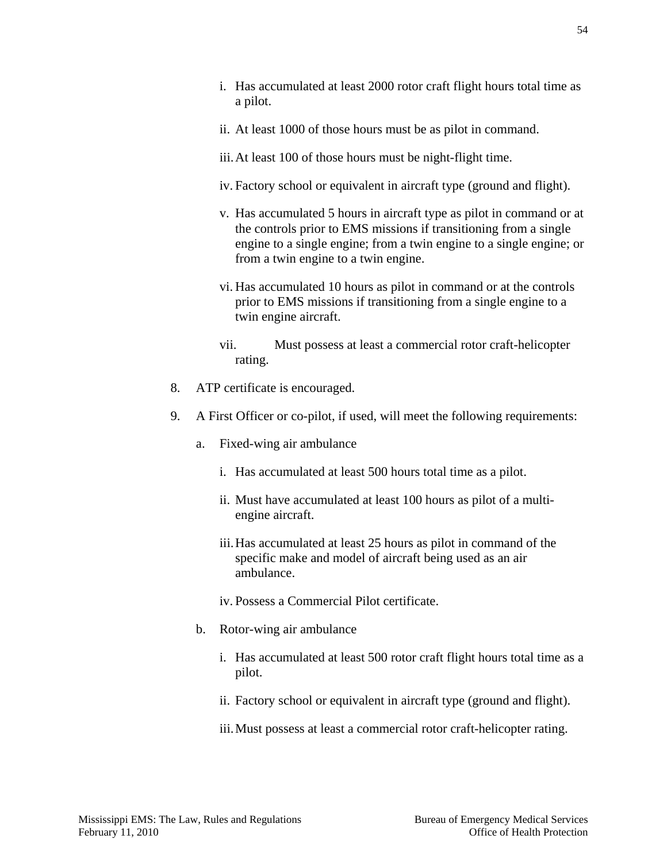- i. Has accumulated at least 2000 rotor craft flight hours total time as a pilot.
- ii. At least 1000 of those hours must be as pilot in command.
- iii.At least 100 of those hours must be night-flight time.
- iv. Factory school or equivalent in aircraft type (ground and flight).
- v. Has accumulated 5 hours in aircraft type as pilot in command or at the controls prior to EMS missions if transitioning from a single engine to a single engine; from a twin engine to a single engine; or from a twin engine to a twin engine.
- vi. Has accumulated 10 hours as pilot in command or at the controls prior to EMS missions if transitioning from a single engine to a twin engine aircraft.
- vii. Must possess at least a commercial rotor craft-helicopter rating.
- 8. ATP certificate is encouraged.
- 9. A First Officer or co-pilot, if used, will meet the following requirements:
	- a. Fixed-wing air ambulance
		- i. Has accumulated at least 500 hours total time as a pilot.
		- ii. Must have accumulated at least 100 hours as pilot of a multiengine aircraft.
		- iii.Has accumulated at least 25 hours as pilot in command of the specific make and model of aircraft being used as an air ambulance.
		- iv. Possess a Commercial Pilot certificate.
	- b. Rotor-wing air ambulance
		- i. Has accumulated at least 500 rotor craft flight hours total time as a pilot.
		- ii. Factory school or equivalent in aircraft type (ground and flight).
		- iii.Must possess at least a commercial rotor craft-helicopter rating.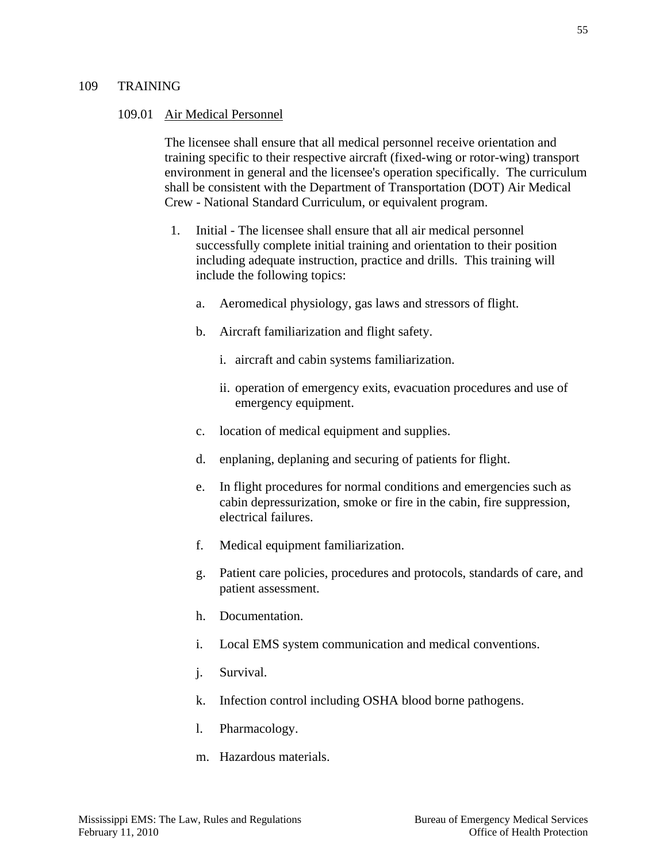#### 109 TRAINING

#### 109.01 Air Medical Personnel

The licensee shall ensure that all medical personnel receive orientation and training specific to their respective aircraft (fixed-wing or rotor-wing) transport environment in general and the licensee's operation specifically. The curriculum shall be consistent with the Department of Transportation (DOT) Air Medical Crew - National Standard Curriculum, or equivalent program.

- 1. Initial The licensee shall ensure that all air medical personnel successfully complete initial training and orientation to their position including adequate instruction, practice and drills. This training will include the following topics:
	- a. Aeromedical physiology, gas laws and stressors of flight.
	- b. Aircraft familiarization and flight safety.
		- i. aircraft and cabin systems familiarization.
		- ii. operation of emergency exits, evacuation procedures and use of emergency equipment.
	- c. location of medical equipment and supplies.
	- d. enplaning, deplaning and securing of patients for flight.
	- e. In flight procedures for normal conditions and emergencies such as cabin depressurization, smoke or fire in the cabin, fire suppression, electrical failures.
	- f. Medical equipment familiarization.
	- g. Patient care policies, procedures and protocols, standards of care, and patient assessment.
	- h. Documentation.
	- i. Local EMS system communication and medical conventions.
	- j. Survival.
	- k. Infection control including OSHA blood borne pathogens.
	- l. Pharmacology.
	- m. Hazardous materials.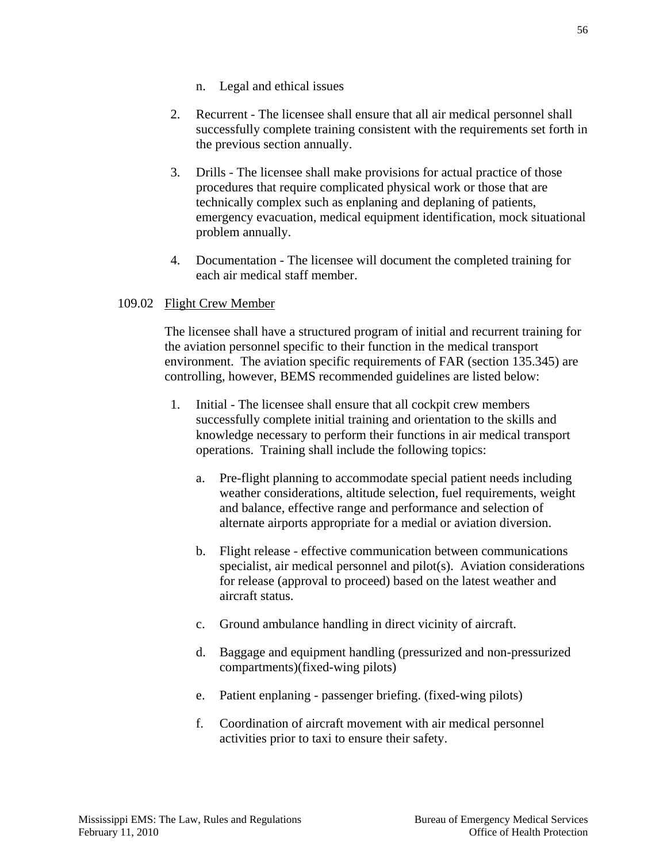- n. Legal and ethical issues
- 2. Recurrent The licensee shall ensure that all air medical personnel shall successfully complete training consistent with the requirements set forth in the previous section annually.
- 3. Drills The licensee shall make provisions for actual practice of those procedures that require complicated physical work or those that are technically complex such as enplaning and deplaning of patients, emergency evacuation, medical equipment identification, mock situational problem annually.
- 4. Documentation The licensee will document the completed training for each air medical staff member.

## 109.02 Flight Crew Member

The licensee shall have a structured program of initial and recurrent training for the aviation personnel specific to their function in the medical transport environment. The aviation specific requirements of FAR (section 135.345) are controlling, however, BEMS recommended guidelines are listed below:

- 1. Initial The licensee shall ensure that all cockpit crew members successfully complete initial training and orientation to the skills and knowledge necessary to perform their functions in air medical transport operations. Training shall include the following topics:
	- a. Pre-flight planning to accommodate special patient needs including weather considerations, altitude selection, fuel requirements, weight and balance, effective range and performance and selection of alternate airports appropriate for a medial or aviation diversion.
	- b. Flight release effective communication between communications specialist, air medical personnel and pilot(s). Aviation considerations for release (approval to proceed) based on the latest weather and aircraft status.
	- c. Ground ambulance handling in direct vicinity of aircraft.
	- d. Baggage and equipment handling (pressurized and non-pressurized compartments)(fixed-wing pilots)
	- e. Patient enplaning passenger briefing. (fixed-wing pilots)
	- f. Coordination of aircraft movement with air medical personnel activities prior to taxi to ensure their safety.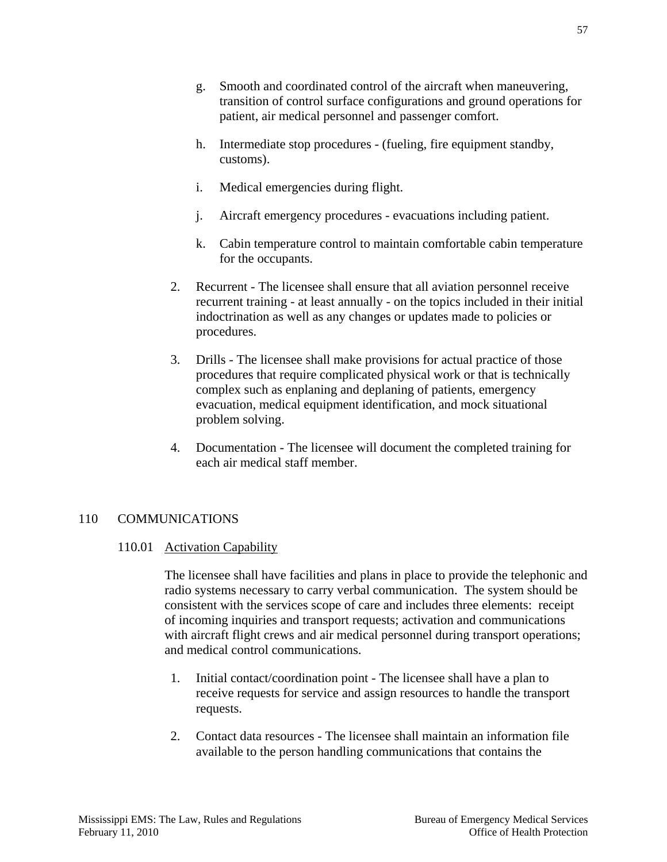- g. Smooth and coordinated control of the aircraft when maneuvering, transition of control surface configurations and ground operations for patient, air medical personnel and passenger comfort.
- h. Intermediate stop procedures (fueling, fire equipment standby, customs).
- i. Medical emergencies during flight.
- j. Aircraft emergency procedures evacuations including patient.
- k. Cabin temperature control to maintain comfortable cabin temperature for the occupants.
- 2. Recurrent The licensee shall ensure that all aviation personnel receive recurrent training - at least annually - on the topics included in their initial indoctrination as well as any changes or updates made to policies or procedures.
- 3. Drills The licensee shall make provisions for actual practice of those procedures that require complicated physical work or that is technically complex such as enplaning and deplaning of patients, emergency evacuation, medical equipment identification, and mock situational problem solving.
- 4. Documentation The licensee will document the completed training for each air medical staff member.

## 110 COMMUNICATIONS

### 110.01 **Activation Capability**

The licensee shall have facilities and plans in place to provide the telephonic and radio systems necessary to carry verbal communication. The system should be consistent with the services scope of care and includes three elements: receipt of incoming inquiries and transport requests; activation and communications with aircraft flight crews and air medical personnel during transport operations; and medical control communications.

- 1. Initial contact/coordination point The licensee shall have a plan to receive requests for service and assign resources to handle the transport requests.
- 2. Contact data resources The licensee shall maintain an information file available to the person handling communications that contains the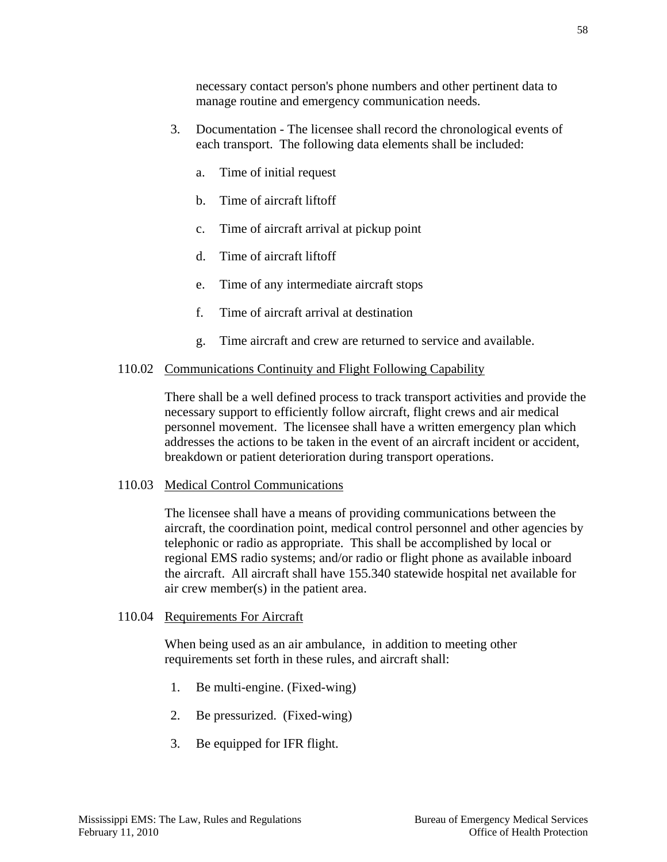necessary contact person's phone numbers and other pertinent data to manage routine and emergency communication needs.

- 3. Documentation The licensee shall record the chronological events of each transport. The following data elements shall be included:
	- a. Time of initial request
	- b. Time of aircraft liftoff
	- c. Time of aircraft arrival at pickup point
	- d. Time of aircraft liftoff
	- e. Time of any intermediate aircraft stops
	- f. Time of aircraft arrival at destination
	- g. Time aircraft and crew are returned to service and available.

### 110.02 Communications Continuity and Flight Following Capability

There shall be a well defined process to track transport activities and provide the necessary support to efficiently follow aircraft, flight crews and air medical personnel movement. The licensee shall have a written emergency plan which addresses the actions to be taken in the event of an aircraft incident or accident, breakdown or patient deterioration during transport operations.

### 110.03 Medical Control Communications

The licensee shall have a means of providing communications between the aircraft, the coordination point, medical control personnel and other agencies by telephonic or radio as appropriate. This shall be accomplished by local or regional EMS radio systems; and/or radio or flight phone as available inboard the aircraft. All aircraft shall have 155.340 statewide hospital net available for air crew member(s) in the patient area.

### 110.04 Requirements For Aircraft

When being used as an air ambulance, in addition to meeting other requirements set forth in these rules, and aircraft shall:

- 1. Be multi-engine. (Fixed-wing)
- 2. Be pressurized. (Fixed-wing)
- 3. Be equipped for IFR flight.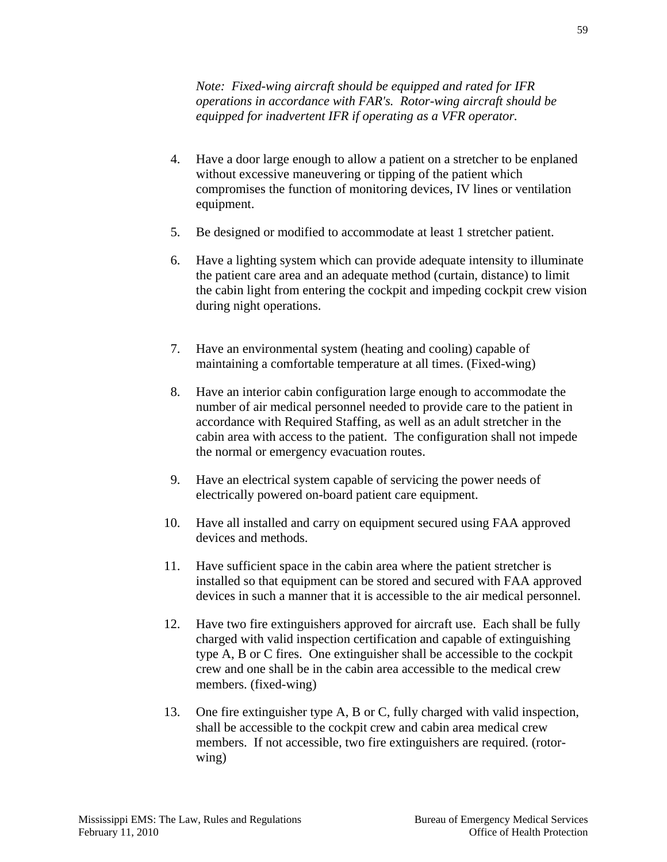*Note: Fixed-wing aircraft should be equipped and rated for IFR operations in accordance with FAR's. Rotor-wing aircraft should be equipped for inadvertent IFR if operating as a VFR operator.* 

- 4. Have a door large enough to allow a patient on a stretcher to be enplaned without excessive maneuvering or tipping of the patient which compromises the function of monitoring devices, IV lines or ventilation equipment.
- 5. Be designed or modified to accommodate at least 1 stretcher patient.
- 6. Have a lighting system which can provide adequate intensity to illuminate the patient care area and an adequate method (curtain, distance) to limit the cabin light from entering the cockpit and impeding cockpit crew vision during night operations.
- 7. Have an environmental system (heating and cooling) capable of maintaining a comfortable temperature at all times. (Fixed-wing)
- 8. Have an interior cabin configuration large enough to accommodate the number of air medical personnel needed to provide care to the patient in accordance with Required Staffing, as well as an adult stretcher in the cabin area with access to the patient. The configuration shall not impede the normal or emergency evacuation routes.
- 9. Have an electrical system capable of servicing the power needs of electrically powered on-board patient care equipment.
- 10. Have all installed and carry on equipment secured using FAA approved devices and methods.
- 11. Have sufficient space in the cabin area where the patient stretcher is installed so that equipment can be stored and secured with FAA approved devices in such a manner that it is accessible to the air medical personnel.
- 12. Have two fire extinguishers approved for aircraft use. Each shall be fully charged with valid inspection certification and capable of extinguishing type A, B or C fires. One extinguisher shall be accessible to the cockpit crew and one shall be in the cabin area accessible to the medical crew members. (fixed-wing)
- 13. One fire extinguisher type A, B or C, fully charged with valid inspection, shall be accessible to the cockpit crew and cabin area medical crew members. If not accessible, two fire extinguishers are required. (rotorwing)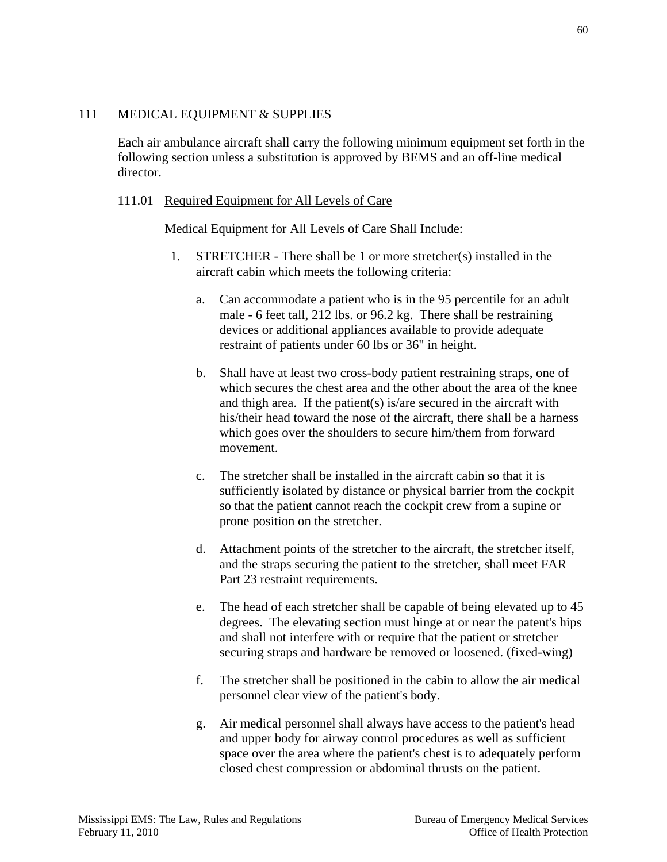### 111 MEDICAL EQUIPMENT & SUPPLIES

Each air ambulance aircraft shall carry the following minimum equipment set forth in the following section unless a substitution is approved by BEMS and an off-line medical director.

### 111.01 Required Equipment for All Levels of Care

Medical Equipment for All Levels of Care Shall Include:

- 1. STRETCHER There shall be 1 or more stretcher(s) installed in the aircraft cabin which meets the following criteria:
	- a. Can accommodate a patient who is in the 95 percentile for an adult male - 6 feet tall, 212 lbs. or 96.2 kg. There shall be restraining devices or additional appliances available to provide adequate restraint of patients under 60 lbs or 36" in height.
	- b. Shall have at least two cross-body patient restraining straps, one of which secures the chest area and the other about the area of the knee and thigh area. If the patient(s) is/are secured in the aircraft with his/their head toward the nose of the aircraft, there shall be a harness which goes over the shoulders to secure him/them from forward movement.
	- c. The stretcher shall be installed in the aircraft cabin so that it is sufficiently isolated by distance or physical barrier from the cockpit so that the patient cannot reach the cockpit crew from a supine or prone position on the stretcher.
	- d. Attachment points of the stretcher to the aircraft, the stretcher itself, and the straps securing the patient to the stretcher, shall meet FAR Part 23 restraint requirements.
	- e. The head of each stretcher shall be capable of being elevated up to 45 degrees. The elevating section must hinge at or near the patent's hips and shall not interfere with or require that the patient or stretcher securing straps and hardware be removed or loosened. (fixed-wing)
	- f. The stretcher shall be positioned in the cabin to allow the air medical personnel clear view of the patient's body.
	- g. Air medical personnel shall always have access to the patient's head and upper body for airway control procedures as well as sufficient space over the area where the patient's chest is to adequately perform closed chest compression or abdominal thrusts on the patient.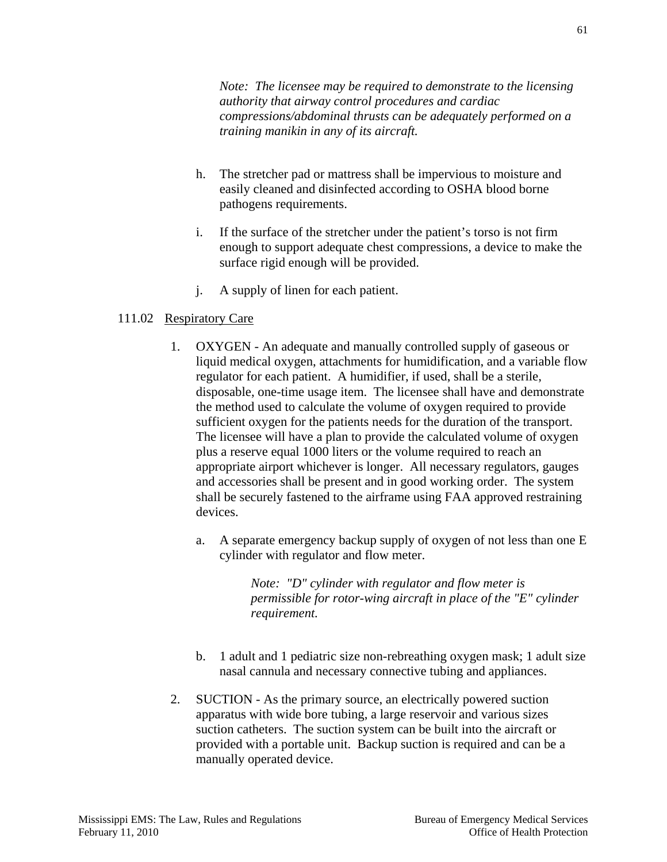*Note: The licensee may be required to demonstrate to the licensing authority that airway control procedures and cardiac compressions/abdominal thrusts can be adequately performed on a training manikin in any of its aircraft.* 

- h. The stretcher pad or mattress shall be impervious to moisture and easily cleaned and disinfected according to OSHA blood borne pathogens requirements.
- i. If the surface of the stretcher under the patient's torso is not firm enough to support adequate chest compressions, a device to make the surface rigid enough will be provided.
- j. A supply of linen for each patient.

## 111.02 Respiratory Care

- 1. OXYGEN An adequate and manually controlled supply of gaseous or liquid medical oxygen, attachments for humidification, and a variable flow regulator for each patient. A humidifier, if used, shall be a sterile, disposable, one-time usage item. The licensee shall have and demonstrate the method used to calculate the volume of oxygen required to provide sufficient oxygen for the patients needs for the duration of the transport. The licensee will have a plan to provide the calculated volume of oxygen plus a reserve equal 1000 liters or the volume required to reach an appropriate airport whichever is longer. All necessary regulators, gauges and accessories shall be present and in good working order. The system shall be securely fastened to the airframe using FAA approved restraining devices.
	- a. A separate emergency backup supply of oxygen of not less than one E cylinder with regulator and flow meter.

*Note: "D" cylinder with regulator and flow meter is permissible for rotor-wing aircraft in place of the "E" cylinder requirement.* 

- b. 1 adult and 1 pediatric size non-rebreathing oxygen mask; 1 adult size nasal cannula and necessary connective tubing and appliances.
- 2. SUCTION As the primary source, an electrically powered suction apparatus with wide bore tubing, a large reservoir and various sizes suction catheters. The suction system can be built into the aircraft or provided with a portable unit. Backup suction is required and can be a manually operated device.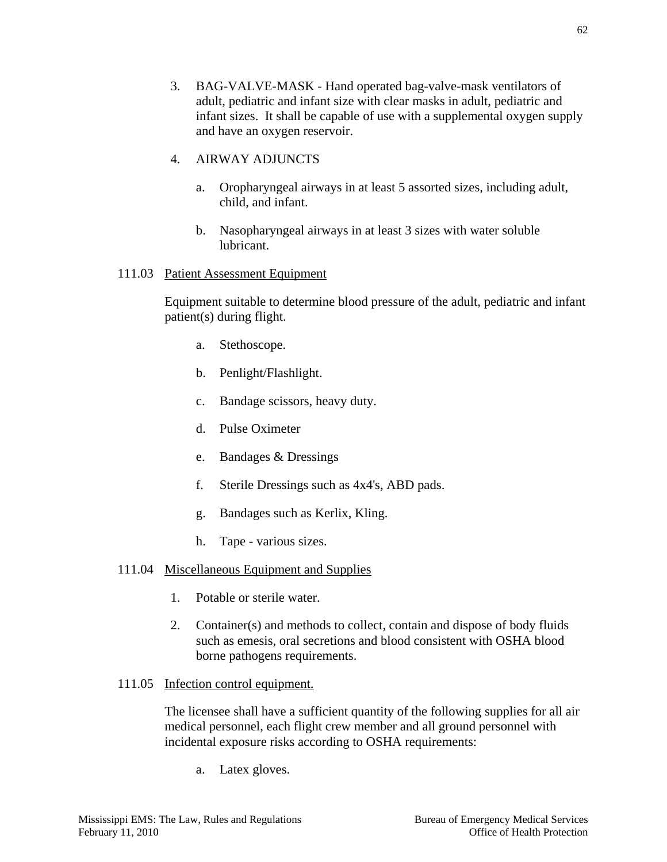3. BAG-VALVE-MASK - Hand operated bag-valve-mask ventilators of adult, pediatric and infant size with clear masks in adult, pediatric and infant sizes. It shall be capable of use with a supplemental oxygen supply and have an oxygen reservoir.

## 4. AIRWAY ADJUNCTS

- a. Oropharyngeal airways in at least 5 assorted sizes, including adult, child, and infant.
- b. Nasopharyngeal airways in at least 3 sizes with water soluble lubricant.

### 111.03 Patient Assessment Equipment

Equipment suitable to determine blood pressure of the adult, pediatric and infant patient(s) during flight.

- a. Stethoscope.
- b. Penlight/Flashlight.
- c. Bandage scissors, heavy duty.
- d. Pulse Oximeter
- e. Bandages & Dressings
- f. Sterile Dressings such as 4x4's, ABD pads.
- g. Bandages such as Kerlix, Kling.
- h. Tape various sizes.

## 111.04 Miscellaneous Equipment and Supplies

- 1. Potable or sterile water.
- 2. Container(s) and methods to collect, contain and dispose of body fluids such as emesis, oral secretions and blood consistent with OSHA blood borne pathogens requirements.
- 111.05 Infection control equipment.

The licensee shall have a sufficient quantity of the following supplies for all air medical personnel, each flight crew member and all ground personnel with incidental exposure risks according to OSHA requirements:

a. Latex gloves.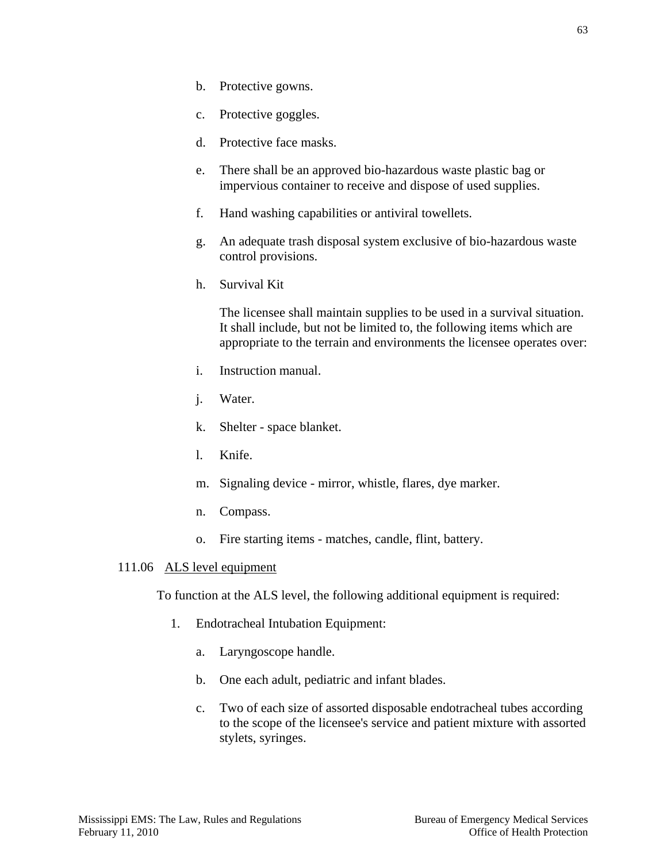- b. Protective gowns.
- c. Protective goggles.
- d. Protective face masks.
- e. There shall be an approved bio-hazardous waste plastic bag or impervious container to receive and dispose of used supplies.
- f. Hand washing capabilities or antiviral towellets.
- g. An adequate trash disposal system exclusive of bio-hazardous waste control provisions.
- h. Survival Kit

The licensee shall maintain supplies to be used in a survival situation. It shall include, but not be limited to, the following items which are appropriate to the terrain and environments the licensee operates over:

- i. Instruction manual.
- j. Water.
- k. Shelter space blanket.
- l. Knife.
- m. Signaling device mirror, whistle, flares, dye marker.
- n. Compass.
- o. Fire starting items matches, candle, flint, battery.

### 111.06 ALS level equipment

To function at the ALS level, the following additional equipment is required:

- 1. Endotracheal Intubation Equipment:
	- a. Laryngoscope handle.
	- b. One each adult, pediatric and infant blades.
	- c. Two of each size of assorted disposable endotracheal tubes according to the scope of the licensee's service and patient mixture with assorted stylets, syringes.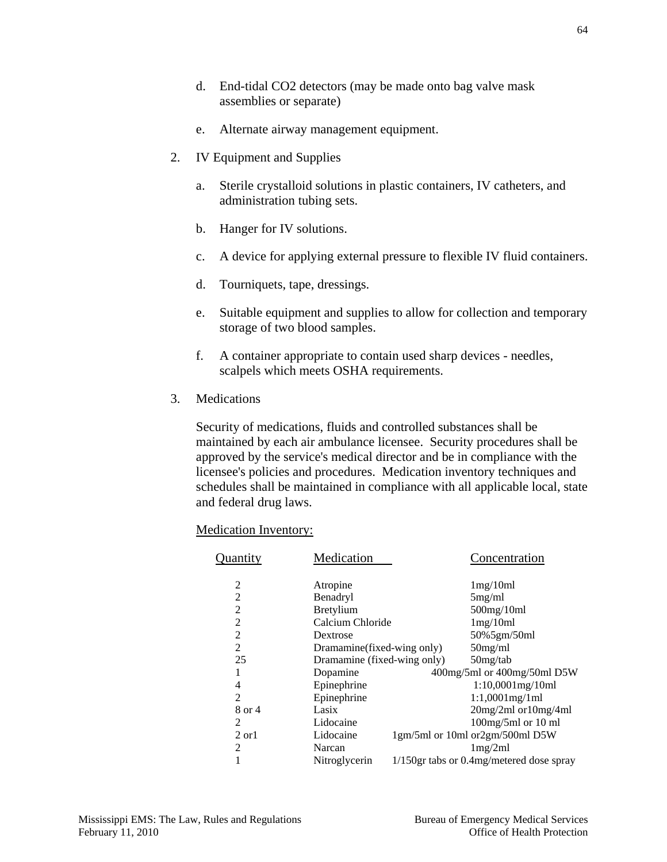- d. End-tidal CO2 detectors (may be made onto bag valve mask assemblies or separate)
- e. Alternate airway management equipment.
- 2. IV Equipment and Supplies
	- a. Sterile crystalloid solutions in plastic containers, IV catheters, and administration tubing sets.
	- b. Hanger for IV solutions.
	- c. A device for applying external pressure to flexible IV fluid containers.
	- d. Tourniquets, tape, dressings.
	- e. Suitable equipment and supplies to allow for collection and temporary storage of two blood samples.
	- f. A container appropriate to contain used sharp devices needles, scalpels which meets OSHA requirements.
- 3. Medications

Security of medications, fluids and controlled substances shall be maintained by each air ambulance licensee. Security procedures shall be approved by the service's medical director and be in compliance with the licensee's policies and procedures. Medication inventory techniques and schedules shall be maintained in compliance with all applicable local, state and federal drug laws.

### Medication Inventory:

| Quantity          | Medication                  | Concentration                               |
|-------------------|-----------------------------|---------------------------------------------|
|                   |                             |                                             |
| $\overline{2}$    | Atropine                    | 1mg/10ml                                    |
| $\overline{2}$    | Benadryl                    | 5mg/ml                                      |
| $\overline{2}$    | <b>Bretylium</b>            | $500$ mg/ $10$ ml                           |
| $\overline{2}$    | Calcium Chloride            | 1mg/10ml                                    |
| $\overline{2}$    | Dextrose                    | 50%5gm/50ml                                 |
| $\overline{2}$    | Dramamine (fixed-wing only) | $50$ mg/ml                                  |
| 25                | Dramamine (fixed-wing only) | 50mg/tab                                    |
|                   | Dopamine                    | 400mg/5ml or 400mg/50ml D5W                 |
| 4                 | Epinephrine                 | $1:10,0001$ mg/10ml                         |
| $\overline{2}$    | Epinephrine                 | $1:1,0001$ mg/1 ml                          |
| 8 or 4            | Lasix                       | 20mg/2ml or10mg/4ml                         |
| 2                 | Lidocaine                   | $100mg/5ml$ or $10 ml$                      |
| $2 \text{ or } 1$ | Lidocaine                   | 1gm/5ml or 10ml or2gm/500ml D5W             |
| 2                 | Narcan                      | 1mg/2ml                                     |
|                   | Nitroglycerin               | $1/150$ gr tabs or 0.4mg/metered dose spray |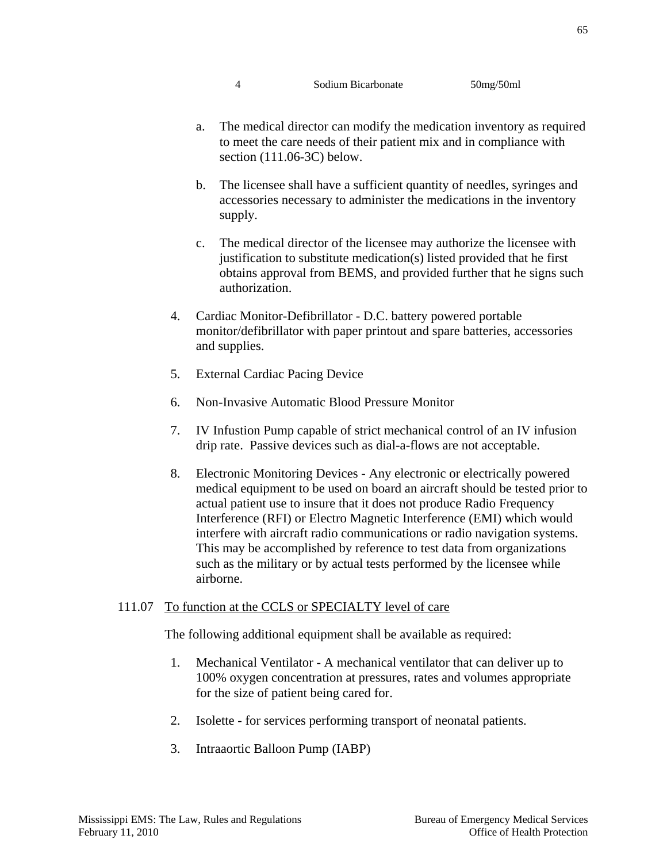- a. The medical director can modify the medication inventory as required to meet the care needs of their patient mix and in compliance with section (111.06-3C) below.
- b. The licensee shall have a sufficient quantity of needles, syringes and accessories necessary to administer the medications in the inventory supply.
- c. The medical director of the licensee may authorize the licensee with justification to substitute medication(s) listed provided that he first obtains approval from BEMS, and provided further that he signs such authorization.
- 4. Cardiac Monitor-Defibrillator D.C. battery powered portable monitor/defibrillator with paper printout and spare batteries, accessories and supplies.
- 5. External Cardiac Pacing Device
- 6. Non-Invasive Automatic Blood Pressure Monitor
- 7. IV Infustion Pump capable of strict mechanical control of an IV infusion drip rate. Passive devices such as dial-a-flows are not acceptable.
- 8. Electronic Monitoring Devices Any electronic or electrically powered medical equipment to be used on board an aircraft should be tested prior to actual patient use to insure that it does not produce Radio Frequency Interference (RFI) or Electro Magnetic Interference (EMI) which would interfere with aircraft radio communications or radio navigation systems. This may be accomplished by reference to test data from organizations such as the military or by actual tests performed by the licensee while airborne.

## 111.07 To function at the CCLS or SPECIALTY level of care

The following additional equipment shall be available as required:

- 1. Mechanical Ventilator A mechanical ventilator that can deliver up to 100% oxygen concentration at pressures, rates and volumes appropriate for the size of patient being cared for.
- 2. Isolette for services performing transport of neonatal patients.
- 3. Intraaortic Balloon Pump (IABP)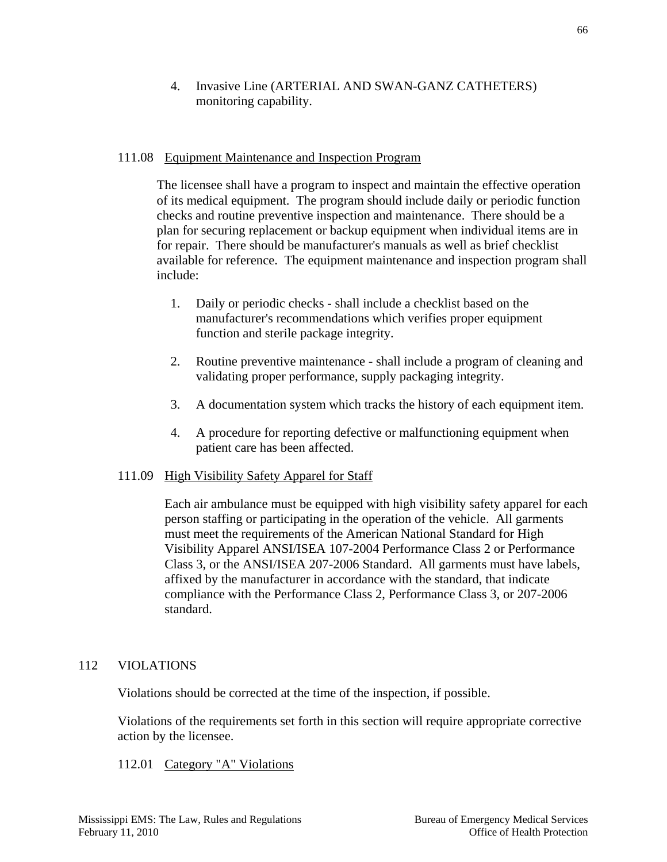4. Invasive Line (ARTERIAL AND SWAN-GANZ CATHETERS) monitoring capability.

#### 111.08 Equipment Maintenance and Inspection Program

The licensee shall have a program to inspect and maintain the effective operation of its medical equipment. The program should include daily or periodic function checks and routine preventive inspection and maintenance. There should be a plan for securing replacement or backup equipment when individual items are in for repair. There should be manufacturer's manuals as well as brief checklist available for reference. The equipment maintenance and inspection program shall include:

- 1. Daily or periodic checks shall include a checklist based on the manufacturer's recommendations which verifies proper equipment function and sterile package integrity.
- 2. Routine preventive maintenance shall include a program of cleaning and validating proper performance, supply packaging integrity.
- 3. A documentation system which tracks the history of each equipment item.
- 4. A procedure for reporting defective or malfunctioning equipment when patient care has been affected.

### 111.09 High Visibility Safety Apparel for Staff

Each air ambulance must be equipped with high visibility safety apparel for each person staffing or participating in the operation of the vehicle. All garments must meet the requirements of the American National Standard for High Visibility Apparel ANSI/ISEA 107-2004 Performance Class 2 or Performance Class 3, or the ANSI/ISEA 207-2006 Standard. All garments must have labels, affixed by the manufacturer in accordance with the standard, that indicate compliance with the Performance Class 2, Performance Class 3, or 207-2006 standard.

### 112 VIOLATIONS

Violations should be corrected at the time of the inspection, if possible.

Violations of the requirements set forth in this section will require appropriate corrective action by the licensee.

### 112.01 Category "A" Violations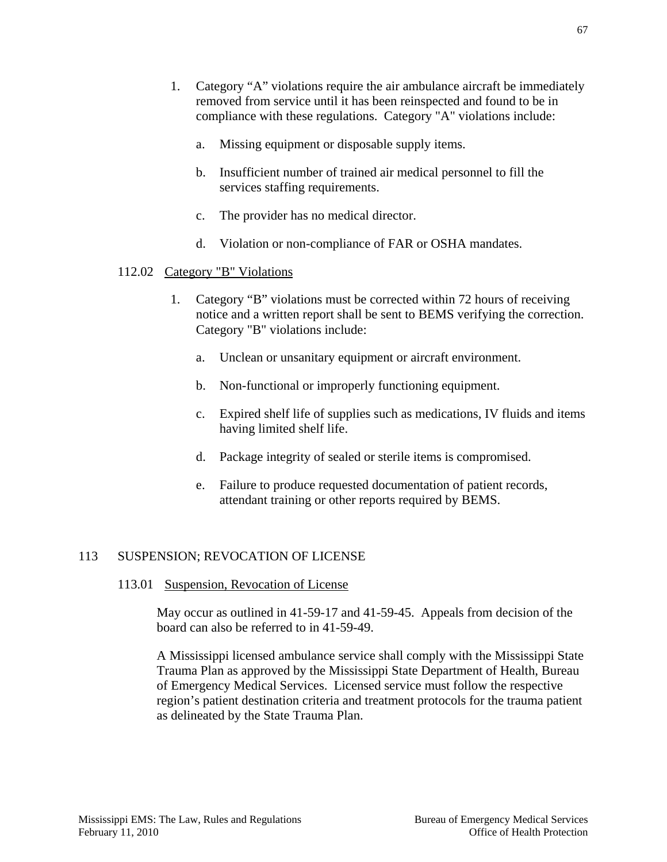- 1. Category "A" violations require the air ambulance aircraft be immediately removed from service until it has been reinspected and found to be in compliance with these regulations. Category "A" violations include:
	- a. Missing equipment or disposable supply items.
	- b. Insufficient number of trained air medical personnel to fill the services staffing requirements.
	- c. The provider has no medical director.
	- d. Violation or non-compliance of FAR or OSHA mandates.

### 112.02 Category "B" Violations

- 1. Category "B" violations must be corrected within 72 hours of receiving notice and a written report shall be sent to BEMS verifying the correction. Category "B" violations include:
	- a. Unclean or unsanitary equipment or aircraft environment.
	- b. Non-functional or improperly functioning equipment.
	- c. Expired shelf life of supplies such as medications, IV fluids and items having limited shelf life.
	- d. Package integrity of sealed or sterile items is compromised.
	- e. Failure to produce requested documentation of patient records, attendant training or other reports required by BEMS.

## 113 SUSPENSION; REVOCATION OF LICENSE

### 113.01 Suspension, Revocation of License

May occur as outlined in 41-59-17 and 41-59-45. Appeals from decision of the board can also be referred to in 41-59-49.

A Mississippi licensed ambulance service shall comply with the Mississippi State Trauma Plan as approved by the Mississippi State Department of Health, Bureau of Emergency Medical Services. Licensed service must follow the respective region's patient destination criteria and treatment protocols for the trauma patient as delineated by the State Trauma Plan.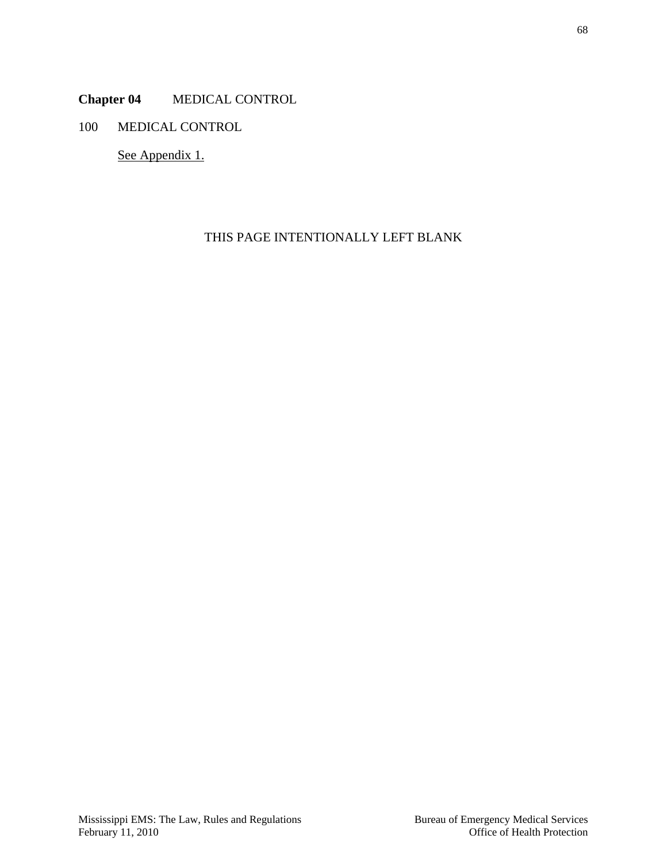# **Chapter 04** MEDICAL CONTROL

# 100 MEDICAL CONTROL

See Appendix 1.

# THIS PAGE INTENTIONALLY LEFT BLANK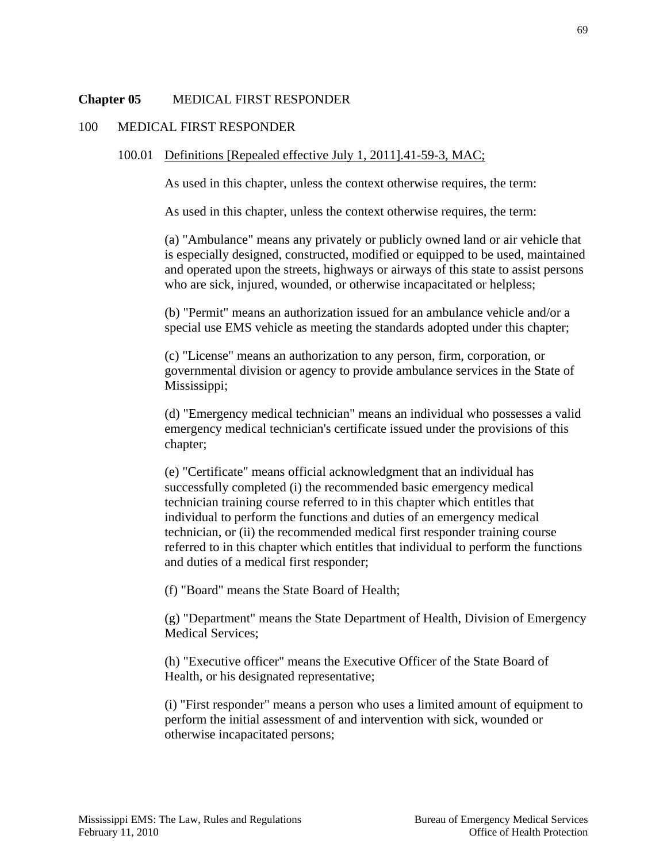#### **Chapter 05** MEDICAL FIRST RESPONDER

#### 100 MEDICAL FIRST RESPONDER

#### 100.01 Definitions [Repealed effective July 1, 2011].41-59-3, MAC;

As used in this chapter, unless the context otherwise requires, the term:

As used in this chapter, unless the context otherwise requires, the term:

(a) "Ambulance" means any privately or publicly owned land or air vehicle that is especially designed, constructed, modified or equipped to be used, maintained and operated upon the streets, highways or airways of this state to assist persons who are sick, injured, wounded, or otherwise incapacitated or helpless;

(b) "Permit" means an authorization issued for an ambulance vehicle and/or a special use EMS vehicle as meeting the standards adopted under this chapter;

(c) "License" means an authorization to any person, firm, corporation, or governmental division or agency to provide ambulance services in the State of Mississippi;

(d) "Emergency medical technician" means an individual who possesses a valid emergency medical technician's certificate issued under the provisions of this chapter;

(e) "Certificate" means official acknowledgment that an individual has successfully completed (i) the recommended basic emergency medical technician training course referred to in this chapter which entitles that individual to perform the functions and duties of an emergency medical technician, or (ii) the recommended medical first responder training course referred to in this chapter which entitles that individual to perform the functions and duties of a medical first responder;

(f) "Board" means the State Board of Health;

(g) "Department" means the State Department of Health, Division of Emergency Medical Services;

(h) "Executive officer" means the Executive Officer of the State Board of Health, or his designated representative;

(i) "First responder" means a person who uses a limited amount of equipment to perform the initial assessment of and intervention with sick, wounded or otherwise incapacitated persons;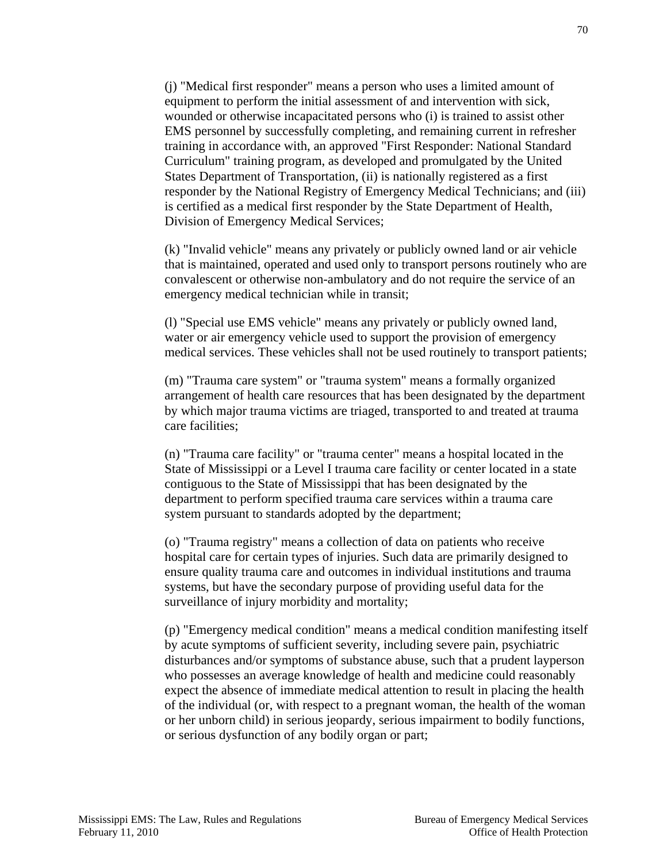(j) "Medical first responder" means a person who uses a limited amount of equipment to perform the initial assessment of and intervention with sick, wounded or otherwise incapacitated persons who (i) is trained to assist other EMS personnel by successfully completing, and remaining current in refresher training in accordance with, an approved "First Responder: National Standard Curriculum" training program, as developed and promulgated by the United States Department of Transportation, (ii) is nationally registered as a first responder by the National Registry of Emergency Medical Technicians; and (iii) is certified as a medical first responder by the State Department of Health, Division of Emergency Medical Services;

(k) "Invalid vehicle" means any privately or publicly owned land or air vehicle that is maintained, operated and used only to transport persons routinely who are convalescent or otherwise non-ambulatory and do not require the service of an emergency medical technician while in transit;

(l) "Special use EMS vehicle" means any privately or publicly owned land, water or air emergency vehicle used to support the provision of emergency medical services. These vehicles shall not be used routinely to transport patients;

(m) "Trauma care system" or "trauma system" means a formally organized arrangement of health care resources that has been designated by the department by which major trauma victims are triaged, transported to and treated at trauma care facilities;

(n) "Trauma care facility" or "trauma center" means a hospital located in the State of Mississippi or a Level I trauma care facility or center located in a state contiguous to the State of Mississippi that has been designated by the department to perform specified trauma care services within a trauma care system pursuant to standards adopted by the department;

(o) "Trauma registry" means a collection of data on patients who receive hospital care for certain types of injuries. Such data are primarily designed to ensure quality trauma care and outcomes in individual institutions and trauma systems, but have the secondary purpose of providing useful data for the surveillance of injury morbidity and mortality;

(p) "Emergency medical condition" means a medical condition manifesting itself by acute symptoms of sufficient severity, including severe pain, psychiatric disturbances and/or symptoms of substance abuse, such that a prudent layperson who possesses an average knowledge of health and medicine could reasonably expect the absence of immediate medical attention to result in placing the health of the individual (or, with respect to a pregnant woman, the health of the woman or her unborn child) in serious jeopardy, serious impairment to bodily functions, or serious dysfunction of any bodily organ or part;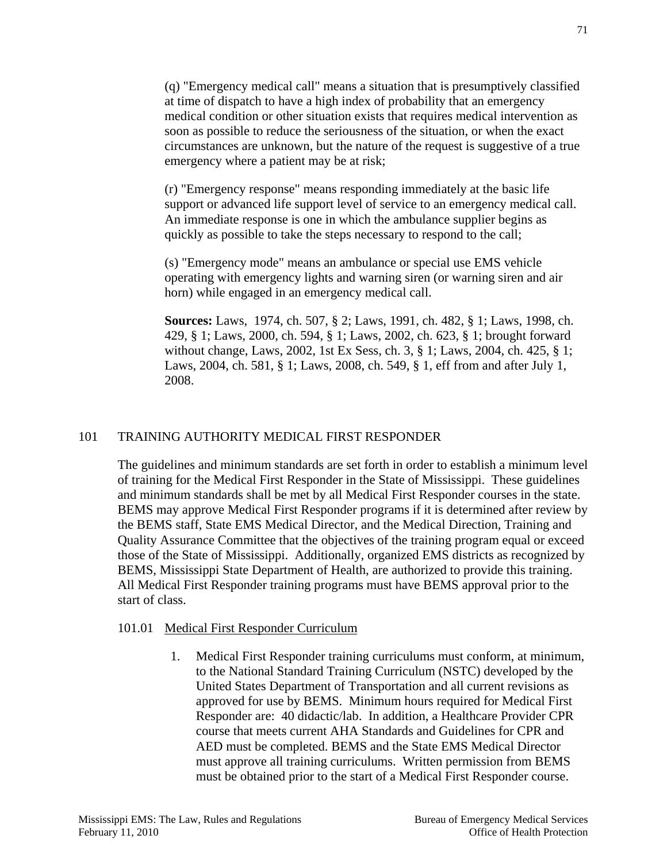(q) "Emergency medical call" means a situation that is presumptively classified at time of dispatch to have a high index of probability that an emergency medical condition or other situation exists that requires medical intervention as soon as possible to reduce the seriousness of the situation, or when the exact circumstances are unknown, but the nature of the request is suggestive of a true emergency where a patient may be at risk;

(r) "Emergency response" means responding immediately at the basic life support or advanced life support level of service to an emergency medical call. An immediate response is one in which the ambulance supplier begins as quickly as possible to take the steps necessary to respond to the call;

(s) "Emergency mode" means an ambulance or special use EMS vehicle operating with emergency lights and warning siren (or warning siren and air horn) while engaged in an emergency medical call.

**Sources:** Laws, 1974, ch. 507, § 2; Laws, 1991, ch. 482, § 1; Laws, 1998, ch. 429, § 1; Laws, 2000, ch. 594, § 1; Laws, 2002, ch. 623, § 1; brought forward without change, Laws, 2002, 1st Ex Sess, ch. 3, § 1; Laws, 2004, ch. 425, § 1; Laws, 2004, ch. 581, § 1; Laws, 2008, ch. 549, § 1, eff from and after July 1, 2008.

## 101 TRAINING AUTHORITY MEDICAL FIRST RESPONDER

The guidelines and minimum standards are set forth in order to establish a minimum level of training for the Medical First Responder in the State of Mississippi. These guidelines and minimum standards shall be met by all Medical First Responder courses in the state. BEMS may approve Medical First Responder programs if it is determined after review by the BEMS staff, State EMS Medical Director, and the Medical Direction, Training and Quality Assurance Committee that the objectives of the training program equal or exceed those of the State of Mississippi. Additionally, organized EMS districts as recognized by BEMS, Mississippi State Department of Health, are authorized to provide this training. All Medical First Responder training programs must have BEMS approval prior to the start of class.

### 101.01 Medical First Responder Curriculum

1. Medical First Responder training curriculums must conform, at minimum, to the National Standard Training Curriculum (NSTC) developed by the United States Department of Transportation and all current revisions as approved for use by BEMS. Minimum hours required for Medical First Responder are: 40 didactic/lab. In addition, a Healthcare Provider CPR course that meets current AHA Standards and Guidelines for CPR and AED must be completed. BEMS and the State EMS Medical Director must approve all training curriculums. Written permission from BEMS must be obtained prior to the start of a Medical First Responder course.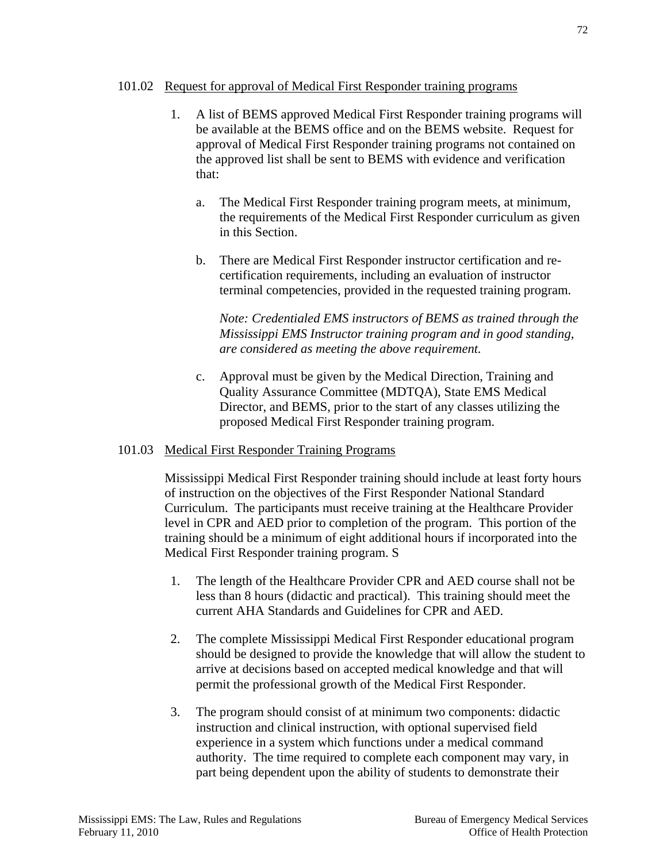### 101.02 Request for approval of Medical First Responder training programs

- 1. A list of BEMS approved Medical First Responder training programs will be available at the BEMS office and on the BEMS website. Request for approval of Medical First Responder training programs not contained on the approved list shall be sent to BEMS with evidence and verification that:
	- a. The Medical First Responder training program meets, at minimum, the requirements of the Medical First Responder curriculum as given in this Section.
	- b. There are Medical First Responder instructor certification and recertification requirements, including an evaluation of instructor terminal competencies, provided in the requested training program.

*Note: Credentialed EMS instructors of BEMS as trained through the Mississippi EMS Instructor training program and in good standing, are considered as meeting the above requirement.* 

c. Approval must be given by the Medical Direction, Training and Quality Assurance Committee (MDTQA), State EMS Medical Director, and BEMS, prior to the start of any classes utilizing the proposed Medical First Responder training program.

### 101.03 Medical First Responder Training Programs

Mississippi Medical First Responder training should include at least forty hours of instruction on the objectives of the First Responder National Standard Curriculum. The participants must receive training at the Healthcare Provider level in CPR and AED prior to completion of the program. This portion of the training should be a minimum of eight additional hours if incorporated into the Medical First Responder training program. S

- 1. The length of the Healthcare Provider CPR and AED course shall not be less than 8 hours (didactic and practical). This training should meet the current AHA Standards and Guidelines for CPR and AED.
- 2. The complete Mississippi Medical First Responder educational program should be designed to provide the knowledge that will allow the student to arrive at decisions based on accepted medical knowledge and that will permit the professional growth of the Medical First Responder.
- 3. The program should consist of at minimum two components: didactic instruction and clinical instruction, with optional supervised field experience in a system which functions under a medical command authority. The time required to complete each component may vary, in part being dependent upon the ability of students to demonstrate their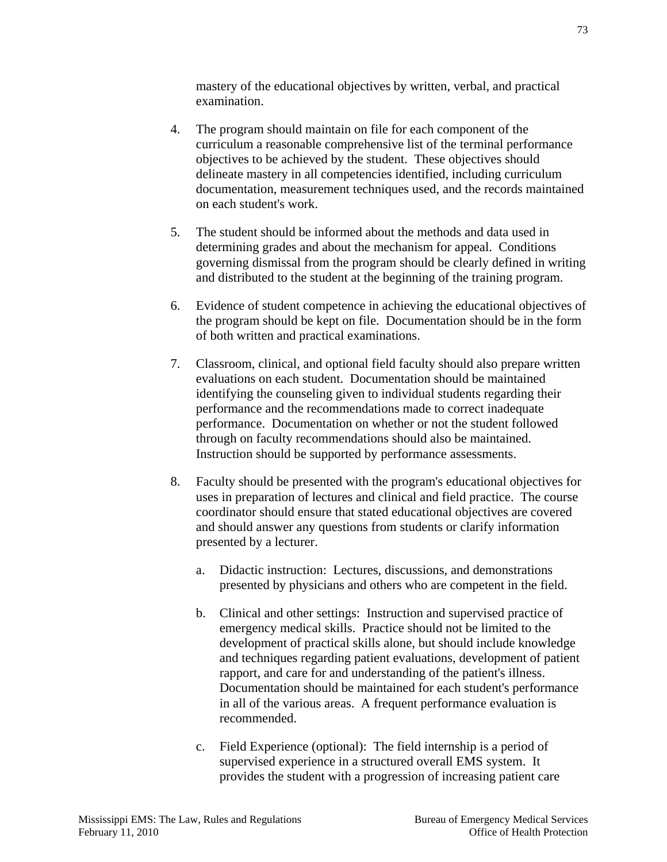mastery of the educational objectives by written, verbal, and practical examination.

- 4. The program should maintain on file for each component of the curriculum a reasonable comprehensive list of the terminal performance objectives to be achieved by the student. These objectives should delineate mastery in all competencies identified, including curriculum documentation, measurement techniques used, and the records maintained on each student's work.
- 5. The student should be informed about the methods and data used in determining grades and about the mechanism for appeal. Conditions governing dismissal from the program should be clearly defined in writing and distributed to the student at the beginning of the training program.
- 6. Evidence of student competence in achieving the educational objectives of the program should be kept on file. Documentation should be in the form of both written and practical examinations.
- 7. Classroom, clinical, and optional field faculty should also prepare written evaluations on each student. Documentation should be maintained identifying the counseling given to individual students regarding their performance and the recommendations made to correct inadequate performance. Documentation on whether or not the student followed through on faculty recommendations should also be maintained. Instruction should be supported by performance assessments.
- 8. Faculty should be presented with the program's educational objectives for uses in preparation of lectures and clinical and field practice. The course coordinator should ensure that stated educational objectives are covered and should answer any questions from students or clarify information presented by a lecturer.
	- a. Didactic instruction: Lectures, discussions, and demonstrations presented by physicians and others who are competent in the field.
	- b. Clinical and other settings: Instruction and supervised practice of emergency medical skills. Practice should not be limited to the development of practical skills alone, but should include knowledge and techniques regarding patient evaluations, development of patient rapport, and care for and understanding of the patient's illness. Documentation should be maintained for each student's performance in all of the various areas. A frequent performance evaluation is recommended.
	- c. Field Experience (optional): The field internship is a period of supervised experience in a structured overall EMS system. It provides the student with a progression of increasing patient care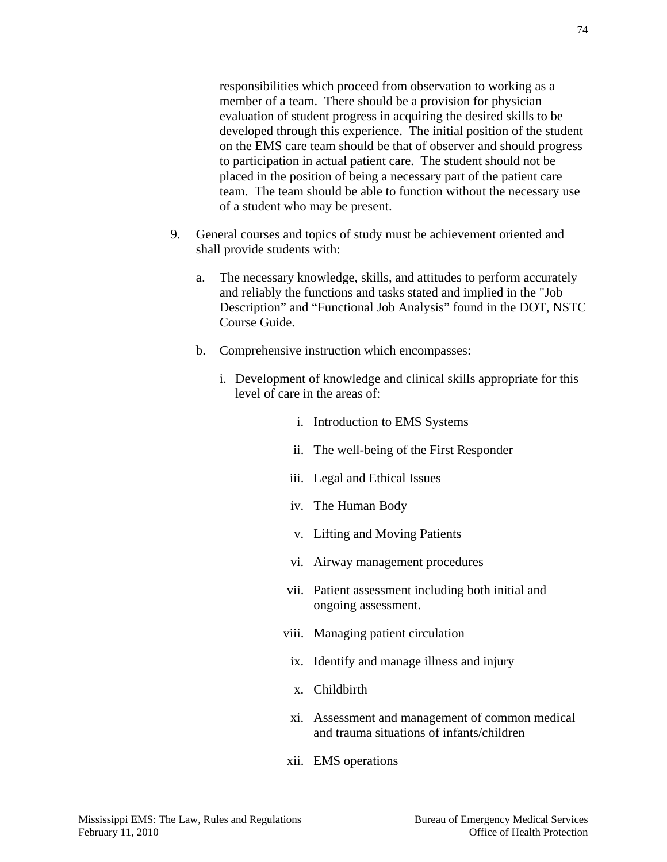responsibilities which proceed from observation to working as a member of a team. There should be a provision for physician evaluation of student progress in acquiring the desired skills to be developed through this experience. The initial position of the student on the EMS care team should be that of observer and should progress to participation in actual patient care. The student should not be placed in the position of being a necessary part of the patient care team. The team should be able to function without the necessary use of a student who may be present.

- 9. General courses and topics of study must be achievement oriented and shall provide students with:
	- a. The necessary knowledge, skills, and attitudes to perform accurately and reliably the functions and tasks stated and implied in the "Job Description" and "Functional Job Analysis" found in the DOT, NSTC Course Guide.
	- b. Comprehensive instruction which encompasses:
		- i. Development of knowledge and clinical skills appropriate for this level of care in the areas of:
			- i. Introduction to EMS Systems
			- ii. The well-being of the First Responder
			- iii. Legal and Ethical Issues
			- iv. The Human Body
			- v. Lifting and Moving Patients
			- vi. Airway management procedures
			- vii. Patient assessment including both initial and ongoing assessment.
			- viii. Managing patient circulation
				- ix. Identify and manage illness and injury
				- x. Childbirth
				- xi. Assessment and management of common medical and trauma situations of infants/children
			- xii. EMS operations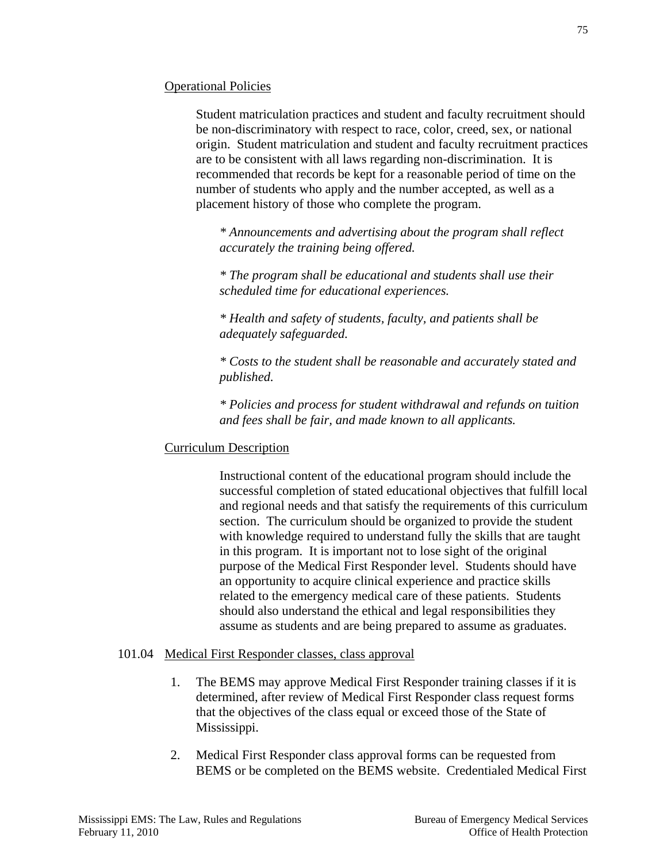#### Operational Policies

Student matriculation practices and student and faculty recruitment should be non-discriminatory with respect to race, color, creed, sex, or national origin. Student matriculation and student and faculty recruitment practices are to be consistent with all laws regarding non-discrimination. It is recommended that records be kept for a reasonable period of time on the number of students who apply and the number accepted, as well as a placement history of those who complete the program.

*\* Announcements and advertising about the program shall reflect accurately the training being offered.* 

*\* The program shall be educational and students shall use their scheduled time for educational experiences.* 

*\* Health and safety of students, faculty, and patients shall be adequately safeguarded.* 

*\* Costs to the student shall be reasonable and accurately stated and published.* 

*\* Policies and process for student withdrawal and refunds on tuition and fees shall be fair, and made known to all applicants.* 

## Curriculum Description

Instructional content of the educational program should include the successful completion of stated educational objectives that fulfill local and regional needs and that satisfy the requirements of this curriculum section. The curriculum should be organized to provide the student with knowledge required to understand fully the skills that are taught in this program. It is important not to lose sight of the original purpose of the Medical First Responder level. Students should have an opportunity to acquire clinical experience and practice skills related to the emergency medical care of these patients. Students should also understand the ethical and legal responsibilities they assume as students and are being prepared to assume as graduates.

#### 101.04 Medical First Responder classes, class approval

- 1. The BEMS may approve Medical First Responder training classes if it is determined, after review of Medical First Responder class request forms that the objectives of the class equal or exceed those of the State of Mississippi.
- 2. Medical First Responder class approval forms can be requested from BEMS or be completed on the BEMS website. Credentialed Medical First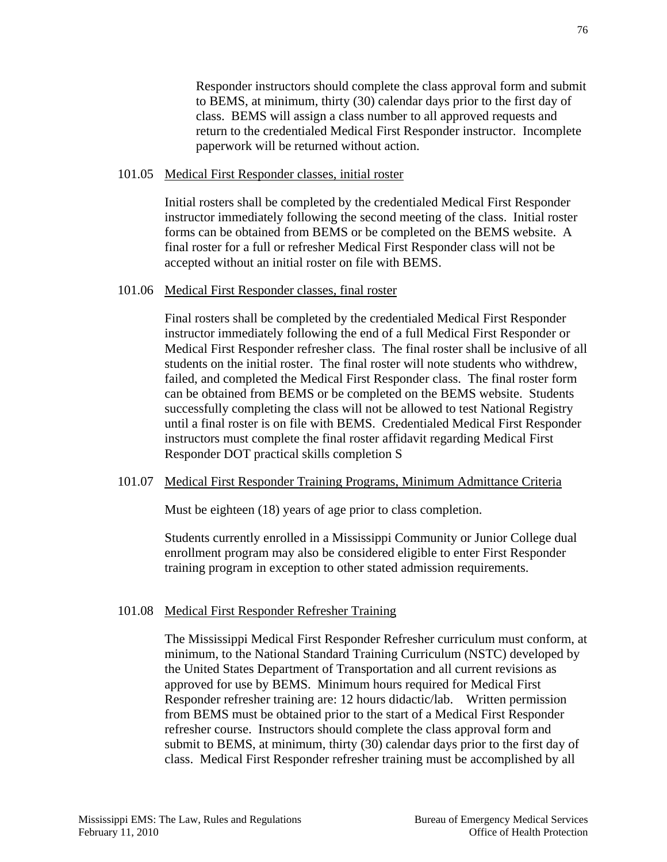Responder instructors should complete the class approval form and submit to BEMS, at minimum, thirty (30) calendar days prior to the first day of class. BEMS will assign a class number to all approved requests and return to the credentialed Medical First Responder instructor. Incomplete paperwork will be returned without action.

#### 101.05 Medical First Responder classes, initial roster

Initial rosters shall be completed by the credentialed Medical First Responder instructor immediately following the second meeting of the class. Initial roster forms can be obtained from BEMS or be completed on the BEMS website. A final roster for a full or refresher Medical First Responder class will not be accepted without an initial roster on file with BEMS.

#### 101.06 Medical First Responder classes, final roster

Final rosters shall be completed by the credentialed Medical First Responder instructor immediately following the end of a full Medical First Responder or Medical First Responder refresher class. The final roster shall be inclusive of all students on the initial roster. The final roster will note students who withdrew, failed, and completed the Medical First Responder class. The final roster form can be obtained from BEMS or be completed on the BEMS website. Students successfully completing the class will not be allowed to test National Registry until a final roster is on file with BEMS. Credentialed Medical First Responder instructors must complete the final roster affidavit regarding Medical First Responder DOT practical skills completion S

#### 101.07 Medical First Responder Training Programs, Minimum Admittance Criteria

Must be eighteen (18) years of age prior to class completion.

Students currently enrolled in a Mississippi Community or Junior College dual enrollment program may also be considered eligible to enter First Responder training program in exception to other stated admission requirements.

#### 101.08 Medical First Responder Refresher Training

The Mississippi Medical First Responder Refresher curriculum must conform, at minimum, to the National Standard Training Curriculum (NSTC) developed by the United States Department of Transportation and all current revisions as approved for use by BEMS. Minimum hours required for Medical First Responder refresher training are: 12 hours didactic/lab. Written permission from BEMS must be obtained prior to the start of a Medical First Responder refresher course. Instructors should complete the class approval form and submit to BEMS, at minimum, thirty (30) calendar days prior to the first day of class. Medical First Responder refresher training must be accomplished by all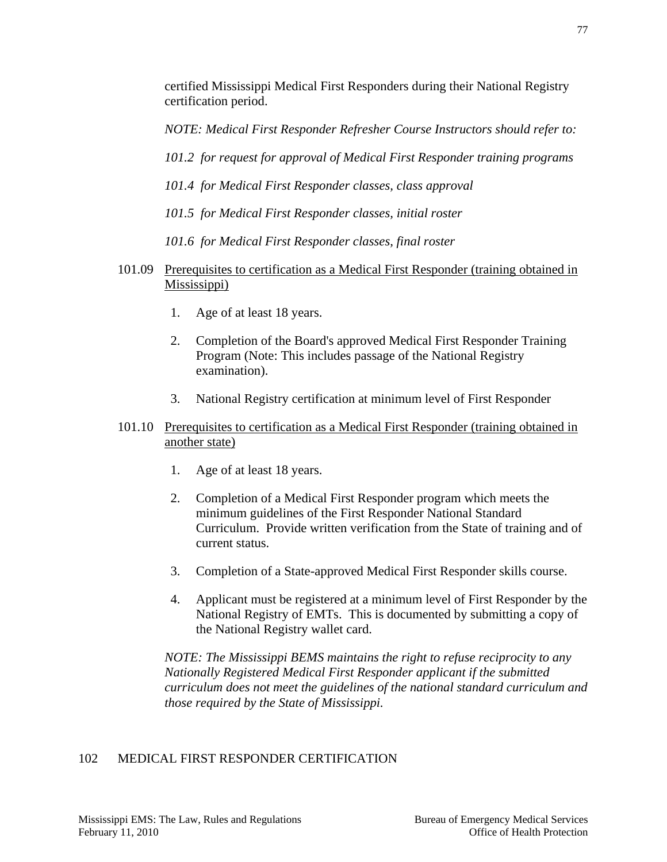certified Mississippi Medical First Responders during their National Registry certification period.

*NOTE: Medical First Responder Refresher Course Instructors should refer to:* 

*101.2 for request for approval of Medical First Responder training programs* 

*101.4 for Medical First Responder classes, class approval* 

- *101.5 for Medical First Responder classes, initial roster*
- *101.6 for Medical First Responder classes, final roster*
- 101.09 Prerequisites to certification as a Medical First Responder (training obtained in Mississippi)
	- 1. Age of at least 18 years.
	- 2. Completion of the Board's approved Medical First Responder Training Program (Note: This includes passage of the National Registry examination).
	- 3. National Registry certification at minimum level of First Responder

## 101.10 Prerequisites to certification as a Medical First Responder (training obtained in another state)

- 1. Age of at least 18 years.
- 2. Completion of a Medical First Responder program which meets the minimum guidelines of the First Responder National Standard Curriculum. Provide written verification from the State of training and of current status.
- 3. Completion of a State-approved Medical First Responder skills course.
- 4. Applicant must be registered at a minimum level of First Responder by the National Registry of EMTs. This is documented by submitting a copy of the National Registry wallet card.

*NOTE: The Mississippi BEMS maintains the right to refuse reciprocity to any Nationally Registered Medical First Responder applicant if the submitted curriculum does not meet the guidelines of the national standard curriculum and those required by the State of Mississippi.* 

#### 102 MEDICAL FIRST RESPONDER CERTIFICATION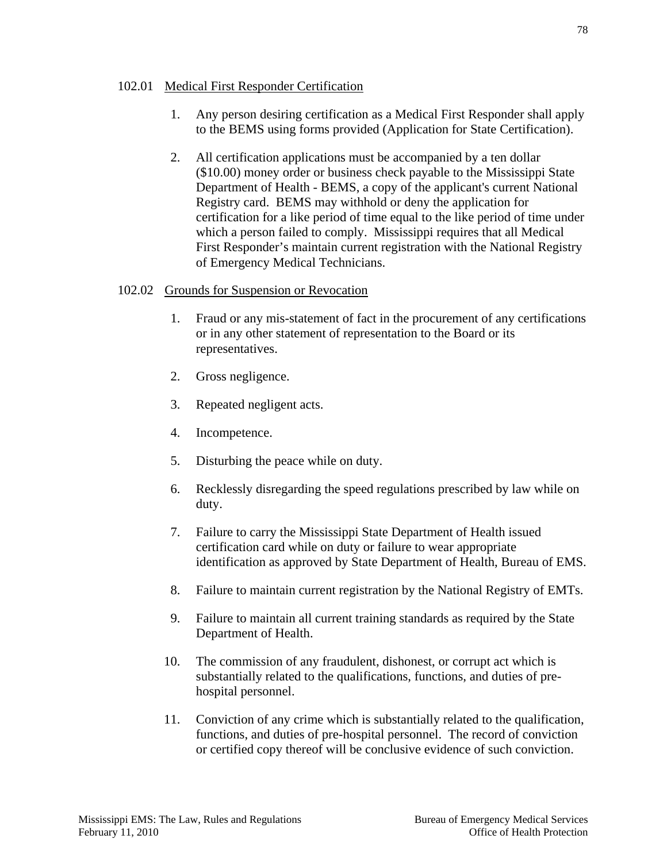#### 102.01 Medical First Responder Certification

- 1. Any person desiring certification as a Medical First Responder shall apply to the BEMS using forms provided (Application for State Certification).
- 2. All certification applications must be accompanied by a ten dollar (\$10.00) money order or business check payable to the Mississippi State Department of Health - BEMS, a copy of the applicant's current National Registry card. BEMS may withhold or deny the application for certification for a like period of time equal to the like period of time under which a person failed to comply. Mississippi requires that all Medical First Responder's maintain current registration with the National Registry of Emergency Medical Technicians.

## 102.02 Grounds for Suspension or Revocation

- 1. Fraud or any mis-statement of fact in the procurement of any certifications or in any other statement of representation to the Board or its representatives.
- 2. Gross negligence.
- 3. Repeated negligent acts.
- 4. Incompetence.
- 5. Disturbing the peace while on duty.
- 6. Recklessly disregarding the speed regulations prescribed by law while on duty.
- 7. Failure to carry the Mississippi State Department of Health issued certification card while on duty or failure to wear appropriate identification as approved by State Department of Health, Bureau of EMS.
- 8. Failure to maintain current registration by the National Registry of EMTs.
- 9. Failure to maintain all current training standards as required by the State Department of Health.
- 10. The commission of any fraudulent, dishonest, or corrupt act which is substantially related to the qualifications, functions, and duties of prehospital personnel.
- 11. Conviction of any crime which is substantially related to the qualification, functions, and duties of pre-hospital personnel. The record of conviction or certified copy thereof will be conclusive evidence of such conviction.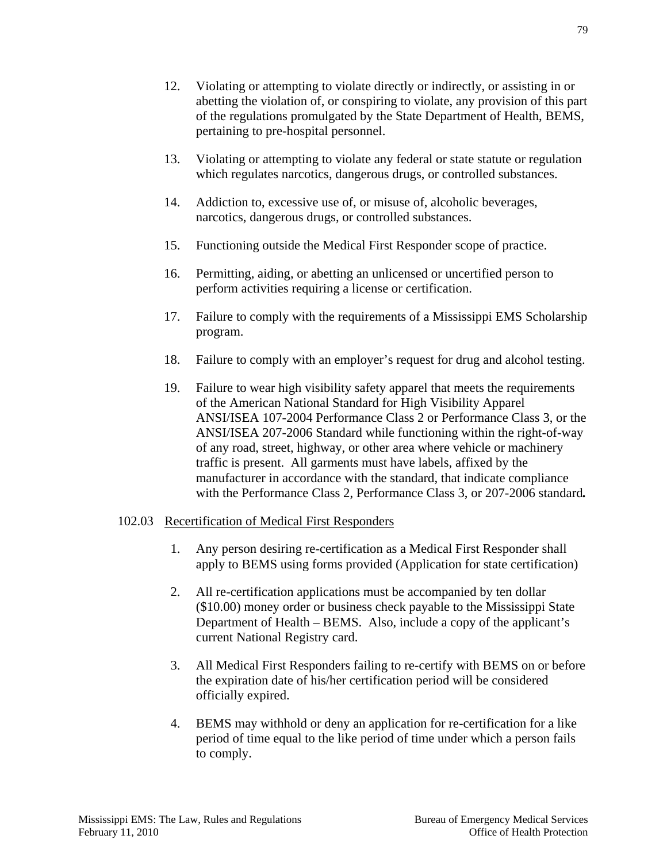- 12. Violating or attempting to violate directly or indirectly, or assisting in or abetting the violation of, or conspiring to violate, any provision of this part of the regulations promulgated by the State Department of Health, BEMS, pertaining to pre-hospital personnel.
- 13. Violating or attempting to violate any federal or state statute or regulation which regulates narcotics, dangerous drugs, or controlled substances.
- 14. Addiction to, excessive use of, or misuse of, alcoholic beverages, narcotics, dangerous drugs, or controlled substances.
- 15. Functioning outside the Medical First Responder scope of practice.
- 16. Permitting, aiding, or abetting an unlicensed or uncertified person to perform activities requiring a license or certification.
- 17. Failure to comply with the requirements of a Mississippi EMS Scholarship program.
- 18. Failure to comply with an employer's request for drug and alcohol testing.
- 19. Failure to wear high visibility safety apparel that meets the requirements of the American National Standard for High Visibility Apparel ANSI/ISEA 107-2004 Performance Class 2 or Performance Class 3, or the ANSI/ISEA 207-2006 Standard while functioning within the right-of-way of any road, street, highway, or other area where vehicle or machinery traffic is present. All garments must have labels, affixed by the manufacturer in accordance with the standard, that indicate compliance with the Performance Class 2, Performance Class 3, or 207-2006 standard*.*

## 102.03 Recertification of Medical First Responders

- 1. Any person desiring re-certification as a Medical First Responder shall apply to BEMS using forms provided (Application for state certification)
- 2. All re-certification applications must be accompanied by ten dollar (\$10.00) money order or business check payable to the Mississippi State Department of Health – BEMS. Also, include a copy of the applicant's current National Registry card.
- 3. All Medical First Responders failing to re-certify with BEMS on or before the expiration date of his/her certification period will be considered officially expired.
- 4. BEMS may withhold or deny an application for re-certification for a like period of time equal to the like period of time under which a person fails to comply.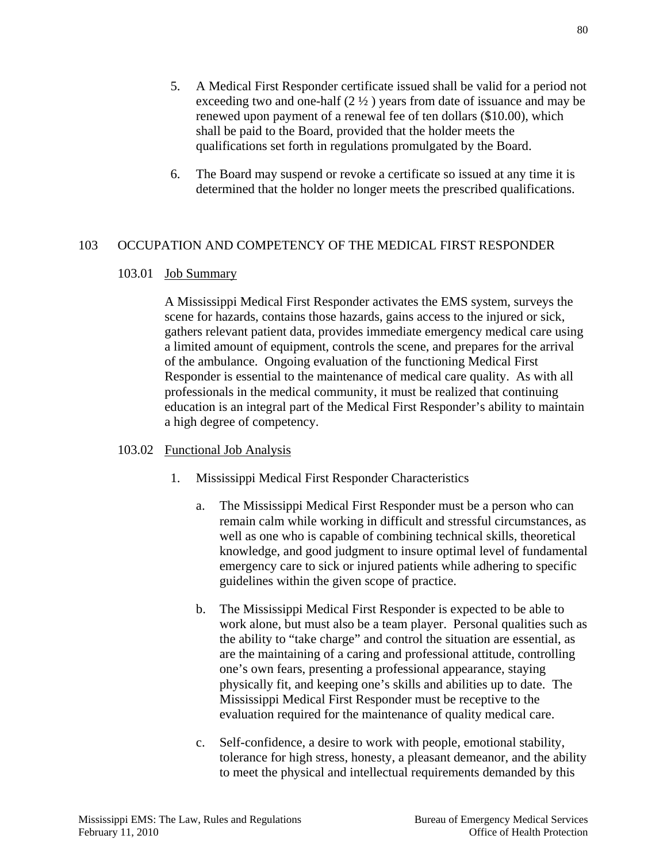- 5. A Medical First Responder certificate issued shall be valid for a period not exceeding two and one-half  $(2 \frac{1}{2})$  years from date of issuance and may be renewed upon payment of a renewal fee of ten dollars (\$10.00), which shall be paid to the Board, provided that the holder meets the qualifications set forth in regulations promulgated by the Board.
- 6. The Board may suspend or revoke a certificate so issued at any time it is determined that the holder no longer meets the prescribed qualifications.

# 103 OCCUPATION AND COMPETENCY OF THE MEDICAL FIRST RESPONDER

## 103.01 Job Summary

A Mississippi Medical First Responder activates the EMS system, surveys the scene for hazards, contains those hazards, gains access to the injured or sick, gathers relevant patient data, provides immediate emergency medical care using a limited amount of equipment, controls the scene, and prepares for the arrival of the ambulance. Ongoing evaluation of the functioning Medical First Responder is essential to the maintenance of medical care quality. As with all professionals in the medical community, it must be realized that continuing education is an integral part of the Medical First Responder's ability to maintain a high degree of competency.

## 103.02 Functional Job Analysis

- 1. Mississippi Medical First Responder Characteristics
	- a. The Mississippi Medical First Responder must be a person who can remain calm while working in difficult and stressful circumstances, as well as one who is capable of combining technical skills, theoretical knowledge, and good judgment to insure optimal level of fundamental emergency care to sick or injured patients while adhering to specific guidelines within the given scope of practice.
	- b. The Mississippi Medical First Responder is expected to be able to work alone, but must also be a team player. Personal qualities such as the ability to "take charge" and control the situation are essential, as are the maintaining of a caring and professional attitude, controlling one's own fears, presenting a professional appearance, staying physically fit, and keeping one's skills and abilities up to date. The Mississippi Medical First Responder must be receptive to the evaluation required for the maintenance of quality medical care.
	- c. Self-confidence, a desire to work with people, emotional stability, tolerance for high stress, honesty, a pleasant demeanor, and the ability to meet the physical and intellectual requirements demanded by this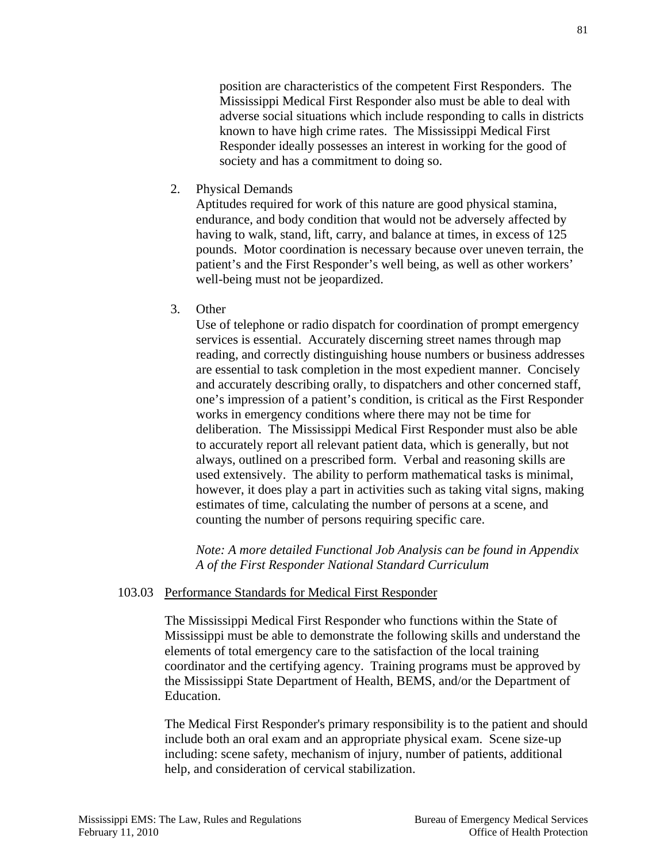position are characteristics of the competent First Responders. The Mississippi Medical First Responder also must be able to deal with adverse social situations which include responding to calls in districts known to have high crime rates. The Mississippi Medical First Responder ideally possesses an interest in working for the good of society and has a commitment to doing so.

2. Physical Demands

Aptitudes required for work of this nature are good physical stamina, endurance, and body condition that would not be adversely affected by having to walk, stand, lift, carry, and balance at times, in excess of 125 pounds. Motor coordination is necessary because over uneven terrain, the patient's and the First Responder's well being, as well as other workers' well-being must not be jeopardized.

3. Other

Use of telephone or radio dispatch for coordination of prompt emergency services is essential. Accurately discerning street names through map reading, and correctly distinguishing house numbers or business addresses are essential to task completion in the most expedient manner. Concisely and accurately describing orally, to dispatchers and other concerned staff, one's impression of a patient's condition, is critical as the First Responder works in emergency conditions where there may not be time for deliberation. The Mississippi Medical First Responder must also be able to accurately report all relevant patient data, which is generally, but not always, outlined on a prescribed form. Verbal and reasoning skills are used extensively. The ability to perform mathematical tasks is minimal, however, it does play a part in activities such as taking vital signs, making estimates of time, calculating the number of persons at a scene, and counting the number of persons requiring specific care.

*Note: A more detailed Functional Job Analysis can be found in Appendix A of the First Responder National Standard Curriculum* 

#### 103.03 Performance Standards for Medical First Responder

The Mississippi Medical First Responder who functions within the State of Mississippi must be able to demonstrate the following skills and understand the elements of total emergency care to the satisfaction of the local training coordinator and the certifying agency. Training programs must be approved by the Mississippi State Department of Health, BEMS, and/or the Department of Education.

The Medical First Responder's primary responsibility is to the patient and should include both an oral exam and an appropriate physical exam. Scene size-up including: scene safety, mechanism of injury, number of patients, additional help, and consideration of cervical stabilization.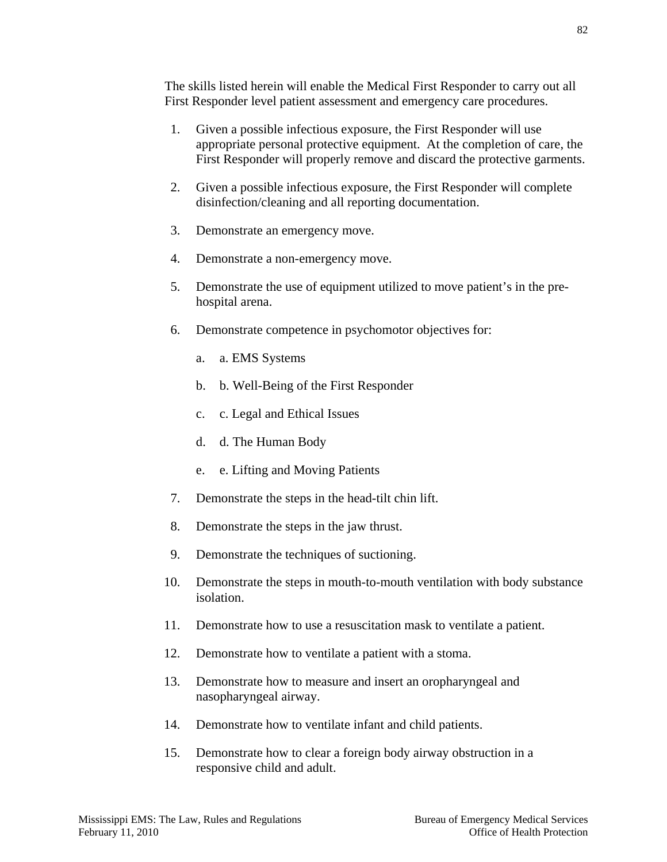- 1. Given a possible infectious exposure, the First Responder will use appropriate personal protective equipment. At the completion of care, the First Responder will properly remove and discard the protective garments.
- 2. Given a possible infectious exposure, the First Responder will complete disinfection/cleaning and all reporting documentation.
- 3. Demonstrate an emergency move.
- 4. Demonstrate a non-emergency move.
- 5. Demonstrate the use of equipment utilized to move patient's in the prehospital arena.
- 6. Demonstrate competence in psychomotor objectives for:
	- a. a. EMS Systems
	- b. b. Well-Being of the First Responder
	- c. c. Legal and Ethical Issues
	- d. d. The Human Body
	- e. e. Lifting and Moving Patients
- 7. Demonstrate the steps in the head-tilt chin lift.
- 8. Demonstrate the steps in the jaw thrust.
- 9. Demonstrate the techniques of suctioning.
- 10. Demonstrate the steps in mouth-to-mouth ventilation with body substance isolation.
- 11. Demonstrate how to use a resuscitation mask to ventilate a patient.
- 12. Demonstrate how to ventilate a patient with a stoma.
- 13. Demonstrate how to measure and insert an oropharyngeal and nasopharyngeal airway.
- 14. Demonstrate how to ventilate infant and child patients.
- 15. Demonstrate how to clear a foreign body airway obstruction in a responsive child and adult.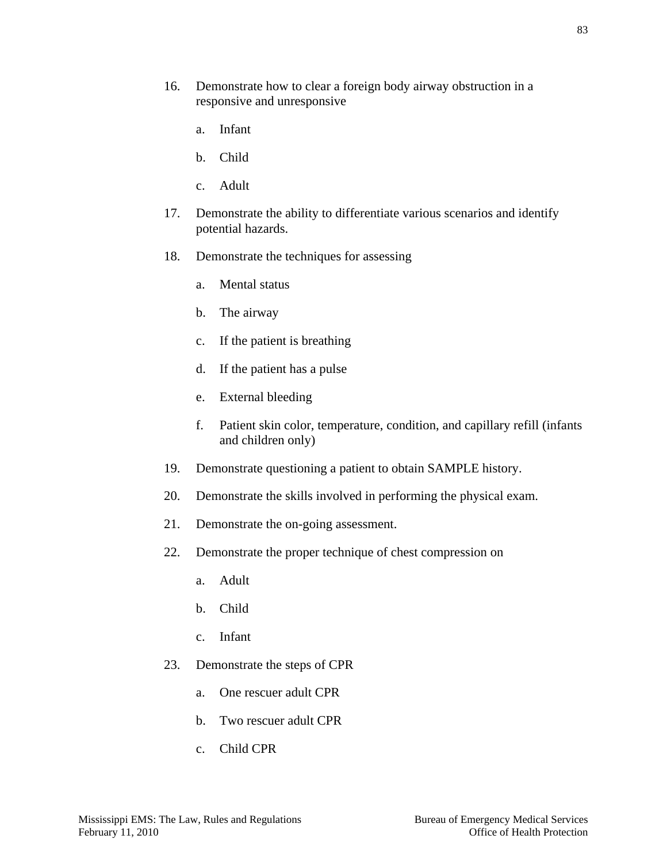- 16. Demonstrate how to clear a foreign body airway obstruction in a responsive and unresponsive
	- a. Infant
	- b. Child
	- c. Adult
- 17. Demonstrate the ability to differentiate various scenarios and identify potential hazards.
- 18. Demonstrate the techniques for assessing
	- a. Mental status
	- b. The airway
	- c. If the patient is breathing
	- d. If the patient has a pulse
	- e. External bleeding
	- f. Patient skin color, temperature, condition, and capillary refill (infants and children only)
- 19. Demonstrate questioning a patient to obtain SAMPLE history.
- 20. Demonstrate the skills involved in performing the physical exam.
- 21. Demonstrate the on-going assessment.
- 22. Demonstrate the proper technique of chest compression on
	- a. Adult
	- b. Child
	- c. Infant
- 23. Demonstrate the steps of CPR
	- a. One rescuer adult CPR
	- b. Two rescuer adult CPR
	- c. Child CPR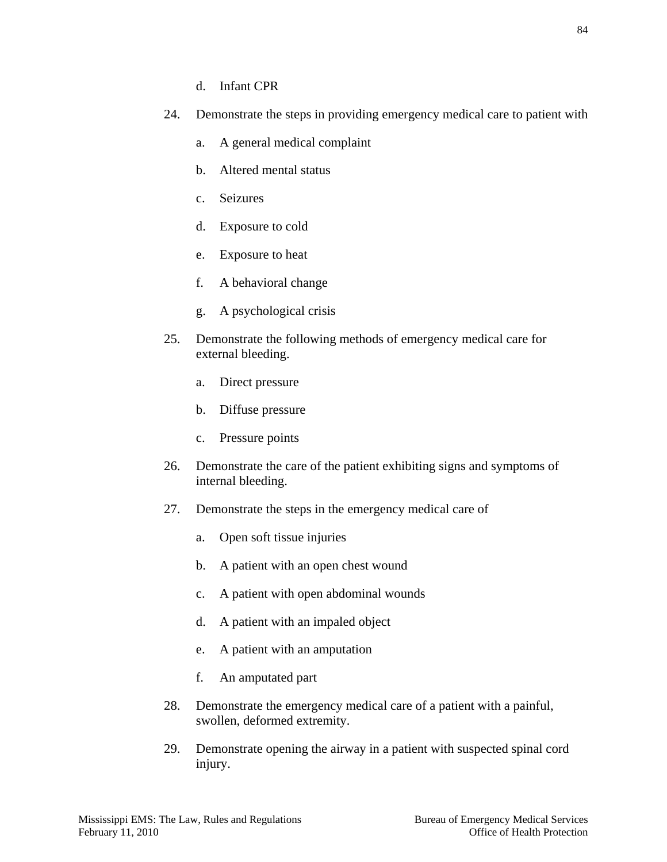- d. Infant CPR
- 24. Demonstrate the steps in providing emergency medical care to patient with
	- a. A general medical complaint
	- b. Altered mental status
	- c. Seizures
	- d. Exposure to cold
	- e. Exposure to heat
	- f. A behavioral change
	- g. A psychological crisis
- 25. Demonstrate the following methods of emergency medical care for external bleeding.
	- a. Direct pressure
	- b. Diffuse pressure
	- c. Pressure points
- 26. Demonstrate the care of the patient exhibiting signs and symptoms of internal bleeding.
- 27. Demonstrate the steps in the emergency medical care of
	- a. Open soft tissue injuries
	- b. A patient with an open chest wound
	- c. A patient with open abdominal wounds
	- d. A patient with an impaled object
	- e. A patient with an amputation
	- f. An amputated part
- 28. Demonstrate the emergency medical care of a patient with a painful, swollen, deformed extremity.
- 29. Demonstrate opening the airway in a patient with suspected spinal cord injury.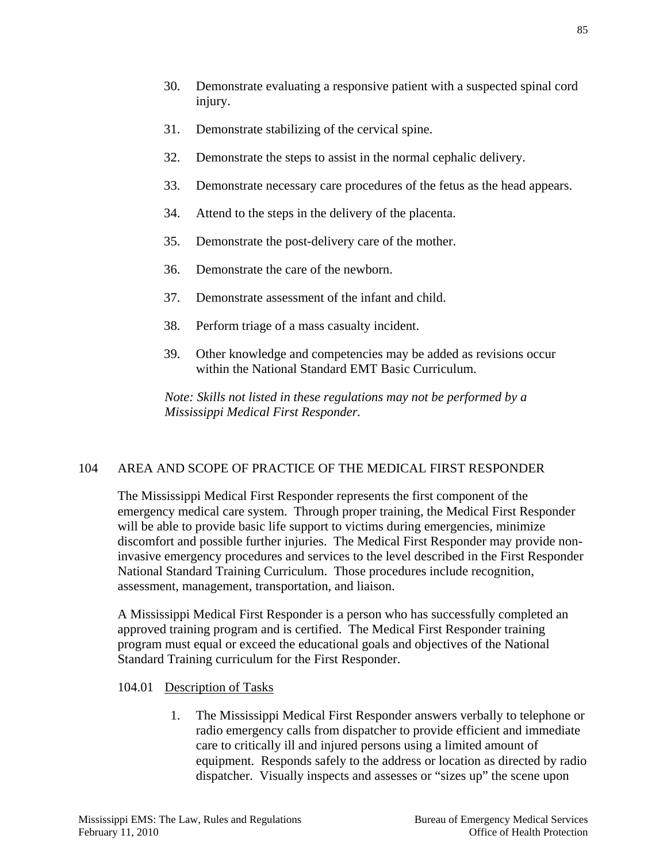- 30. Demonstrate evaluating a responsive patient with a suspected spinal cord injury.
- 31. Demonstrate stabilizing of the cervical spine.
- 32. Demonstrate the steps to assist in the normal cephalic delivery.
- 33. Demonstrate necessary care procedures of the fetus as the head appears.
- 34. Attend to the steps in the delivery of the placenta.
- 35. Demonstrate the post-delivery care of the mother.
- 36. Demonstrate the care of the newborn.
- 37. Demonstrate assessment of the infant and child.
- 38. Perform triage of a mass casualty incident.
- 39. Other knowledge and competencies may be added as revisions occur within the National Standard EMT Basic Curriculum.

*Note: Skills not listed in these regulations may not be performed by a Mississippi Medical First Responder.* 

# 104 AREA AND SCOPE OF PRACTICE OF THE MEDICAL FIRST RESPONDER

The Mississippi Medical First Responder represents the first component of the emergency medical care system. Through proper training, the Medical First Responder will be able to provide basic life support to victims during emergencies, minimize discomfort and possible further injuries. The Medical First Responder may provide noninvasive emergency procedures and services to the level described in the First Responder National Standard Training Curriculum. Those procedures include recognition, assessment, management, transportation, and liaison.

A Mississippi Medical First Responder is a person who has successfully completed an approved training program and is certified. The Medical First Responder training program must equal or exceed the educational goals and objectives of the National Standard Training curriculum for the First Responder.

## 104.01 Description of Tasks

1. The Mississippi Medical First Responder answers verbally to telephone or radio emergency calls from dispatcher to provide efficient and immediate care to critically ill and injured persons using a limited amount of equipment. Responds safely to the address or location as directed by radio dispatcher. Visually inspects and assesses or "sizes up" the scene upon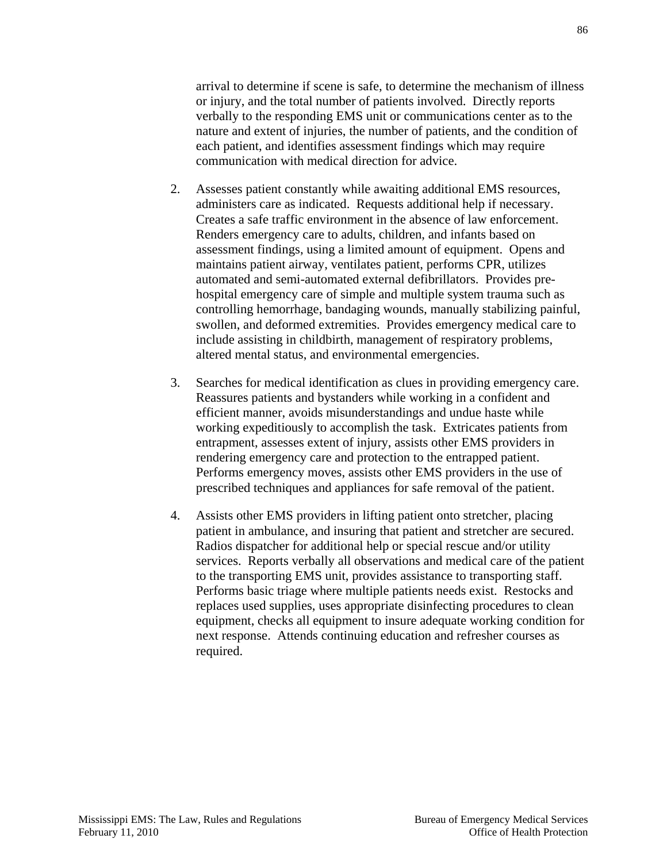arrival to determine if scene is safe, to determine the mechanism of illness or injury, and the total number of patients involved. Directly reports verbally to the responding EMS unit or communications center as to the nature and extent of injuries, the number of patients, and the condition of each patient, and identifies assessment findings which may require communication with medical direction for advice.

- 2. Assesses patient constantly while awaiting additional EMS resources, administers care as indicated. Requests additional help if necessary. Creates a safe traffic environment in the absence of law enforcement. Renders emergency care to adults, children, and infants based on assessment findings, using a limited amount of equipment. Opens and maintains patient airway, ventilates patient, performs CPR, utilizes automated and semi-automated external defibrillators. Provides prehospital emergency care of simple and multiple system trauma such as controlling hemorrhage, bandaging wounds, manually stabilizing painful, swollen, and deformed extremities. Provides emergency medical care to include assisting in childbirth, management of respiratory problems, altered mental status, and environmental emergencies.
- 3. Searches for medical identification as clues in providing emergency care. Reassures patients and bystanders while working in a confident and efficient manner, avoids misunderstandings and undue haste while working expeditiously to accomplish the task. Extricates patients from entrapment, assesses extent of injury, assists other EMS providers in rendering emergency care and protection to the entrapped patient. Performs emergency moves, assists other EMS providers in the use of prescribed techniques and appliances for safe removal of the patient.
- 4. Assists other EMS providers in lifting patient onto stretcher, placing patient in ambulance, and insuring that patient and stretcher are secured. Radios dispatcher for additional help or special rescue and/or utility services. Reports verbally all observations and medical care of the patient to the transporting EMS unit, provides assistance to transporting staff. Performs basic triage where multiple patients needs exist. Restocks and replaces used supplies, uses appropriate disinfecting procedures to clean equipment, checks all equipment to insure adequate working condition for next response. Attends continuing education and refresher courses as required.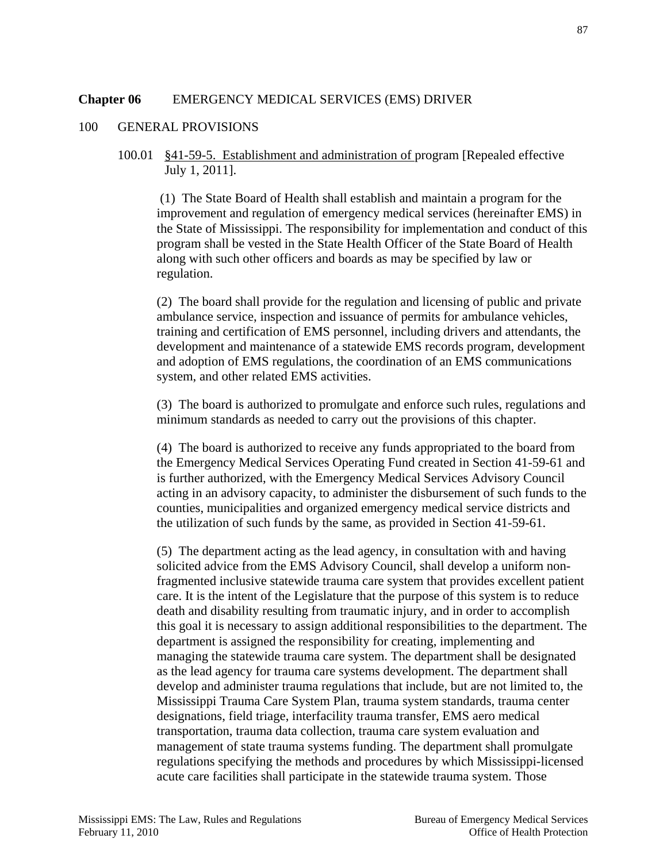#### **Chapter 06** EMERGENCY MEDICAL SERVICES (EMS) DRIVER

#### 100 GENERAL PROVISIONS

100.01 §41-59-5. Establishment and administration of program [Repealed effective July 1, 2011].

 (1) The State Board of Health shall establish and maintain a program for the improvement and regulation of emergency medical services (hereinafter EMS) in the State of Mississippi. The responsibility for implementation and conduct of this program shall be vested in the State Health Officer of the State Board of Health along with such other officers and boards as may be specified by law or regulation.

(2) The board shall provide for the regulation and licensing of public and private ambulance service, inspection and issuance of permits for ambulance vehicles, training and certification of EMS personnel, including drivers and attendants, the development and maintenance of a statewide EMS records program, development and adoption of EMS regulations, the coordination of an EMS communications system, and other related EMS activities.

(3) The board is authorized to promulgate and enforce such rules, regulations and minimum standards as needed to carry out the provisions of this chapter.

(4) The board is authorized to receive any funds appropriated to the board from the Emergency Medical Services Operating Fund created in Section 41-59-61 and is further authorized, with the Emergency Medical Services Advisory Council acting in an advisory capacity, to administer the disbursement of such funds to the counties, municipalities and organized emergency medical service districts and the utilization of such funds by the same, as provided in Section 41-59-61.

(5) The department acting as the lead agency, in consultation with and having solicited advice from the EMS Advisory Council, shall develop a uniform nonfragmented inclusive statewide trauma care system that provides excellent patient care. It is the intent of the Legislature that the purpose of this system is to reduce death and disability resulting from traumatic injury, and in order to accomplish this goal it is necessary to assign additional responsibilities to the department. The department is assigned the responsibility for creating, implementing and managing the statewide trauma care system. The department shall be designated as the lead agency for trauma care systems development. The department shall develop and administer trauma regulations that include, but are not limited to, the Mississippi Trauma Care System Plan, trauma system standards, trauma center designations, field triage, interfacility trauma transfer, EMS aero medical transportation, trauma data collection, trauma care system evaluation and management of state trauma systems funding. The department shall promulgate regulations specifying the methods and procedures by which Mississippi-licensed acute care facilities shall participate in the statewide trauma system. Those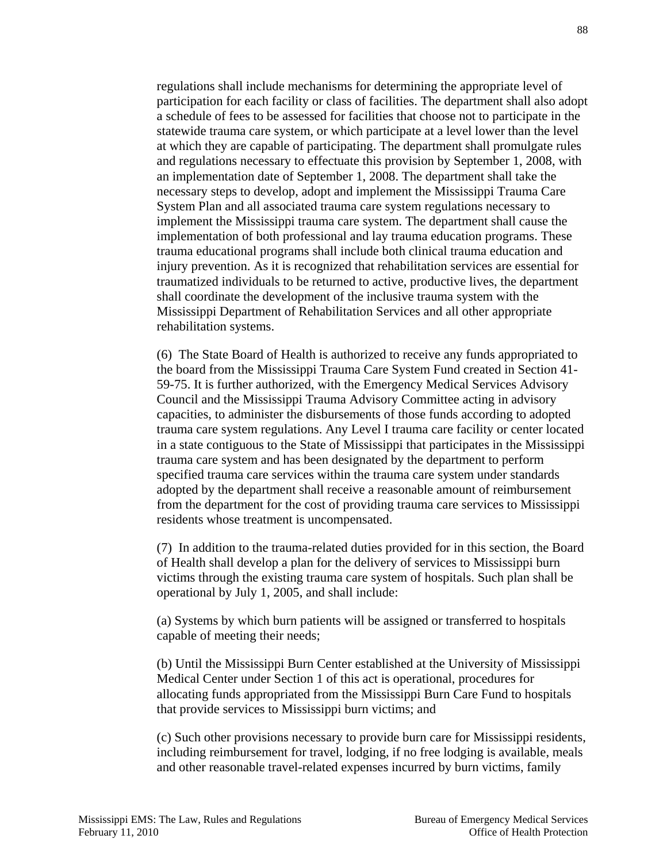regulations shall include mechanisms for determining the appropriate level of participation for each facility or class of facilities. The department shall also adopt a schedule of fees to be assessed for facilities that choose not to participate in the statewide trauma care system, or which participate at a level lower than the level at which they are capable of participating. The department shall promulgate rules and regulations necessary to effectuate this provision by September 1, 2008, with an implementation date of September 1, 2008. The department shall take the necessary steps to develop, adopt and implement the Mississippi Trauma Care System Plan and all associated trauma care system regulations necessary to implement the Mississippi trauma care system. The department shall cause the implementation of both professional and lay trauma education programs. These trauma educational programs shall include both clinical trauma education and injury prevention. As it is recognized that rehabilitation services are essential for traumatized individuals to be returned to active, productive lives, the department shall coordinate the development of the inclusive trauma system with the Mississippi Department of Rehabilitation Services and all other appropriate rehabilitation systems.

(6) The State Board of Health is authorized to receive any funds appropriated to the board from the Mississippi Trauma Care System Fund created in Section 41- 59-75. It is further authorized, with the Emergency Medical Services Advisory Council and the Mississippi Trauma Advisory Committee acting in advisory capacities, to administer the disbursements of those funds according to adopted trauma care system regulations. Any Level I trauma care facility or center located in a state contiguous to the State of Mississippi that participates in the Mississippi trauma care system and has been designated by the department to perform specified trauma care services within the trauma care system under standards adopted by the department shall receive a reasonable amount of reimbursement from the department for the cost of providing trauma care services to Mississippi residents whose treatment is uncompensated.

(7) In addition to the trauma-related duties provided for in this section, the Board of Health shall develop a plan for the delivery of services to Mississippi burn victims through the existing trauma care system of hospitals. Such plan shall be operational by July 1, 2005, and shall include:

(a) Systems by which burn patients will be assigned or transferred to hospitals capable of meeting their needs;

(b) Until the Mississippi Burn Center established at the University of Mississippi Medical Center under Section 1 of this act is operational, procedures for allocating funds appropriated from the Mississippi Burn Care Fund to hospitals that provide services to Mississippi burn victims; and

(c) Such other provisions necessary to provide burn care for Mississippi residents, including reimbursement for travel, lodging, if no free lodging is available, meals and other reasonable travel-related expenses incurred by burn victims, family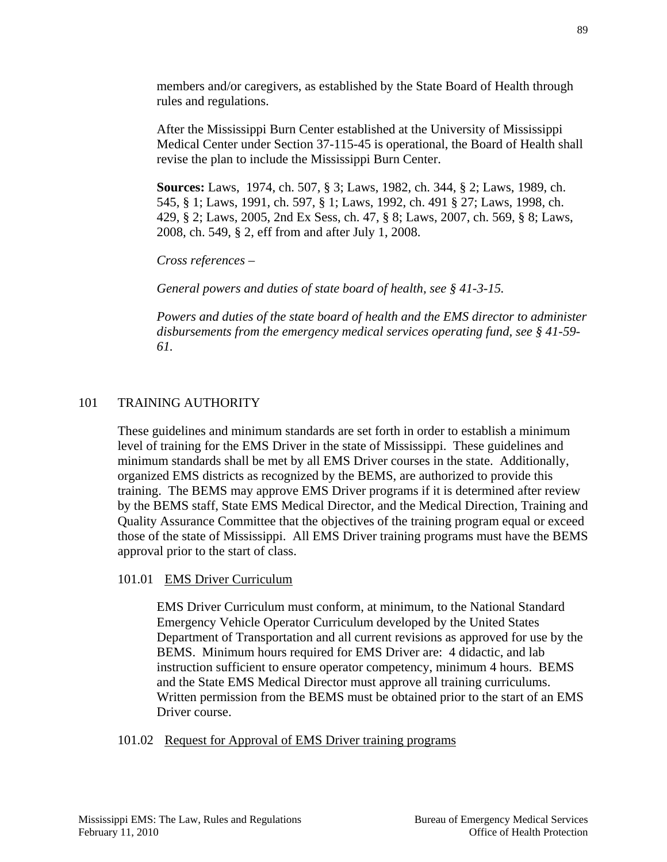members and/or caregivers, as established by the State Board of Health through rules and regulations.

After the Mississippi Burn Center established at the University of Mississippi Medical Center under Section 37-115-45 is operational, the Board of Health shall revise the plan to include the Mississippi Burn Center.

**Sources:** Laws, 1974, ch. 507, § 3; Laws, 1982, ch. 344, § 2; Laws, 1989, ch. 545, § 1; Laws, 1991, ch. 597, § 1; Laws, 1992, ch. 491 § 27; Laws, 1998, ch. 429, § 2; Laws, 2005, 2nd Ex Sess, ch. 47, § 8; Laws, 2007, ch. 569, § 8; Laws, 2008, ch. 549, § 2, eff from and after July 1, 2008.

*Cross references –* 

*General powers and duties of state board of health, see § 41-3-15.* 

*Powers and duties of the state board of health and the EMS director to administer disbursements from the emergency medical services operating fund, see § 41-59- 61.*

# 101 TRAINING AUTHORITY

These guidelines and minimum standards are set forth in order to establish a minimum level of training for the EMS Driver in the state of Mississippi. These guidelines and minimum standards shall be met by all EMS Driver courses in the state. Additionally, organized EMS districts as recognized by the BEMS, are authorized to provide this training. The BEMS may approve EMS Driver programs if it is determined after review by the BEMS staff, State EMS Medical Director, and the Medical Direction, Training and Quality Assurance Committee that the objectives of the training program equal or exceed those of the state of Mississippi. All EMS Driver training programs must have the BEMS approval prior to the start of class.

## 101.01 EMS Driver Curriculum

EMS Driver Curriculum must conform, at minimum, to the National Standard Emergency Vehicle Operator Curriculum developed by the United States Department of Transportation and all current revisions as approved for use by the BEMS. Minimum hours required for EMS Driver are: 4 didactic, and lab instruction sufficient to ensure operator competency, minimum 4 hours. BEMS and the State EMS Medical Director must approve all training curriculums. Written permission from the BEMS must be obtained prior to the start of an EMS Driver course.

101.02 Request for Approval of EMS Driver training programs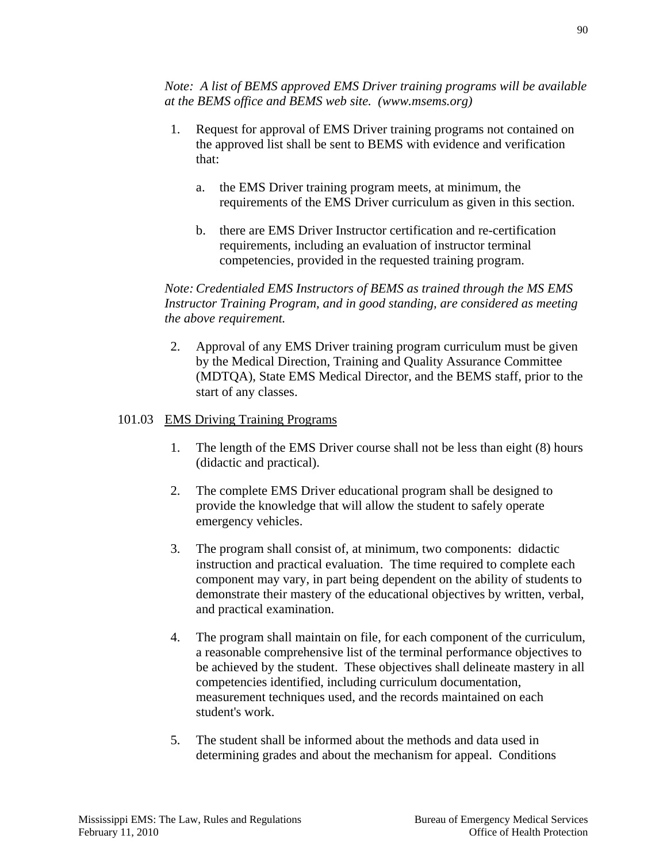*Note: A list of BEMS approved EMS Driver training programs will be available at the BEMS office and BEMS web site. (www.msems.org)* 

- 1. Request for approval of EMS Driver training programs not contained on the approved list shall be sent to BEMS with evidence and verification that:
	- a. the EMS Driver training program meets, at minimum, the requirements of the EMS Driver curriculum as given in this section.
	- b. there are EMS Driver Instructor certification and re-certification requirements, including an evaluation of instructor terminal competencies, provided in the requested training program.

## *Note: Credentialed EMS Instructors of BEMS as trained through the MS EMS Instructor Training Program, and in good standing, are considered as meeting the above requirement.*

2. Approval of any EMS Driver training program curriculum must be given by the Medical Direction, Training and Quality Assurance Committee (MDTQA), State EMS Medical Director, and the BEMS staff, prior to the start of any classes.

## 101.03 EMS Driving Training Programs

- 1. The length of the EMS Driver course shall not be less than eight (8) hours (didactic and practical).
- 2. The complete EMS Driver educational program shall be designed to provide the knowledge that will allow the student to safely operate emergency vehicles.
- 3. The program shall consist of, at minimum, two components: didactic instruction and practical evaluation. The time required to complete each component may vary, in part being dependent on the ability of students to demonstrate their mastery of the educational objectives by written, verbal, and practical examination.
- 4. The program shall maintain on file, for each component of the curriculum, a reasonable comprehensive list of the terminal performance objectives to be achieved by the student. These objectives shall delineate mastery in all competencies identified, including curriculum documentation, measurement techniques used, and the records maintained on each student's work.
- 5. The student shall be informed about the methods and data used in determining grades and about the mechanism for appeal. Conditions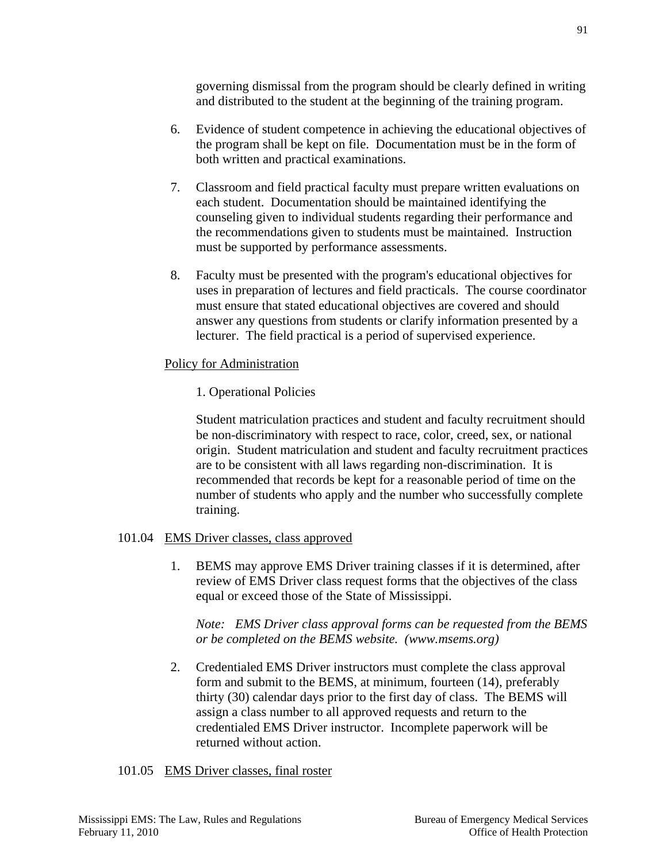governing dismissal from the program should be clearly defined in writing and distributed to the student at the beginning of the training program.

- 6. Evidence of student competence in achieving the educational objectives of the program shall be kept on file. Documentation must be in the form of both written and practical examinations.
- 7. Classroom and field practical faculty must prepare written evaluations on each student. Documentation should be maintained identifying the counseling given to individual students regarding their performance and the recommendations given to students must be maintained. Instruction must be supported by performance assessments.
- 8. Faculty must be presented with the program's educational objectives for uses in preparation of lectures and field practicals. The course coordinator must ensure that stated educational objectives are covered and should answer any questions from students or clarify information presented by a lecturer. The field practical is a period of supervised experience.

### Policy for Administration

1. Operational Policies

Student matriculation practices and student and faculty recruitment should be non-discriminatory with respect to race, color, creed, sex, or national origin. Student matriculation and student and faculty recruitment practices are to be consistent with all laws regarding non-discrimination. It is recommended that records be kept for a reasonable period of time on the number of students who apply and the number who successfully complete training.

## 101.04 EMS Driver classes, class approved

1. BEMS may approve EMS Driver training classes if it is determined, after review of EMS Driver class request forms that the objectives of the class equal or exceed those of the State of Mississippi.

*Note: EMS Driver class approval forms can be requested from the BEMS or be completed on the BEMS website. (www.msems.org)* 

2. Credentialed EMS Driver instructors must complete the class approval form and submit to the BEMS, at minimum, fourteen (14), preferably thirty (30) calendar days prior to the first day of class. The BEMS will assign a class number to all approved requests and return to the credentialed EMS Driver instructor. Incomplete paperwork will be returned without action.

#### 101.05 EMS Driver classes, final roster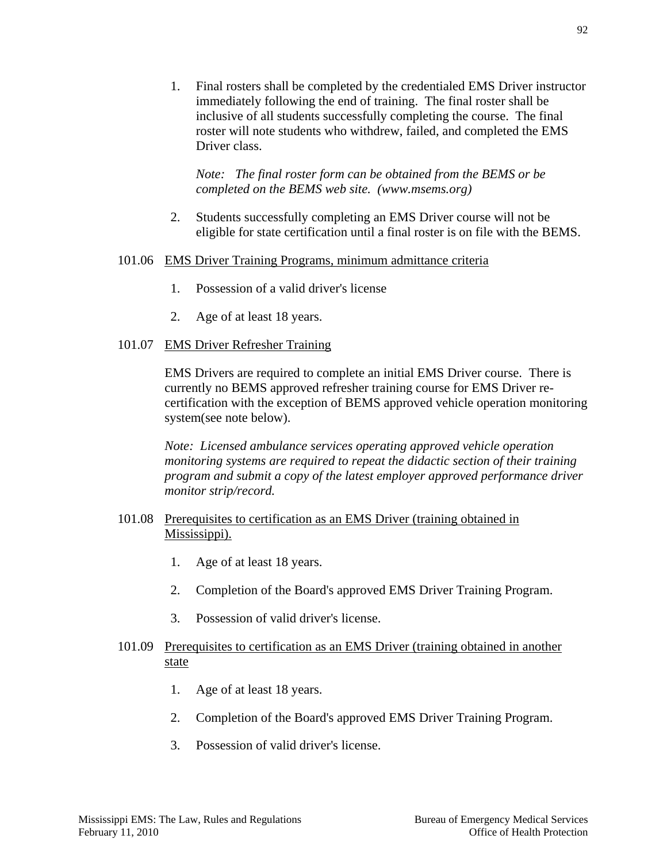1. Final rosters shall be completed by the credentialed EMS Driver instructor immediately following the end of training. The final roster shall be inclusive of all students successfully completing the course. The final roster will note students who withdrew, failed, and completed the EMS Driver class.

*Note: The final roster form can be obtained from the BEMS or be completed on the BEMS web site. (www.msems.org)* 

2. Students successfully completing an EMS Driver course will not be eligible for state certification until a final roster is on file with the BEMS.

#### 101.06 EMS Driver Training Programs, minimum admittance criteria

- 1. Possession of a valid driver's license
- 2. Age of at least 18 years.

### 101.07 EMS Driver Refresher Training

EMS Drivers are required to complete an initial EMS Driver course. There is currently no BEMS approved refresher training course for EMS Driver recertification with the exception of BEMS approved vehicle operation monitoring system(see note below).

*Note: Licensed ambulance services operating approved vehicle operation monitoring systems are required to repeat the didactic section of their training program and submit a copy of the latest employer approved performance driver monitor strip/record.* 

## 101.08 Prerequisites to certification as an EMS Driver (training obtained in Mississippi).

- 1. Age of at least 18 years.
- 2. Completion of the Board's approved EMS Driver Training Program.
- 3. Possession of valid driver's license.

## 101.09 Prerequisites to certification as an EMS Driver (training obtained in another state

- 1. Age of at least 18 years.
- 2. Completion of the Board's approved EMS Driver Training Program.
- 3. Possession of valid driver's license.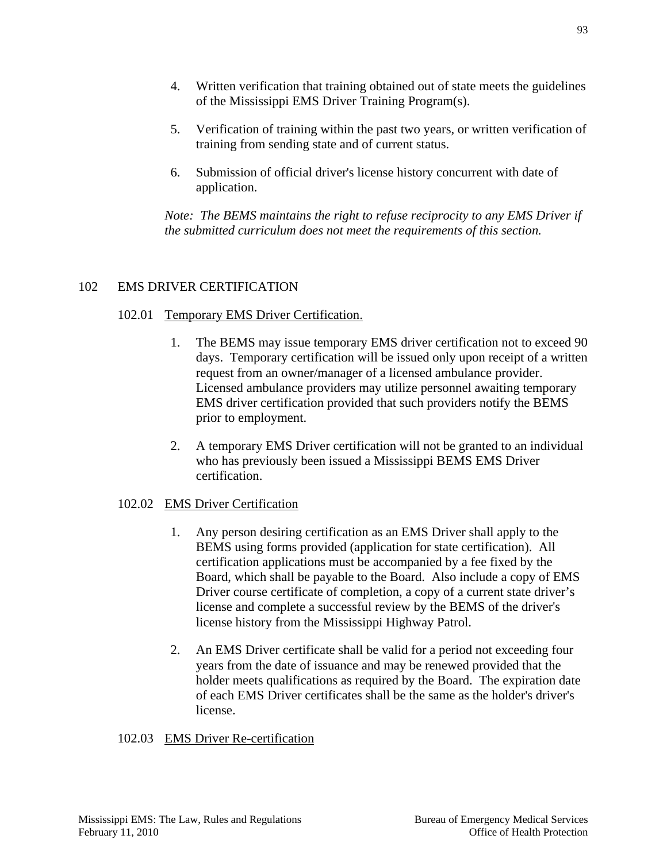- 4. Written verification that training obtained out of state meets the guidelines of the Mississippi EMS Driver Training Program(s).
- 5. Verification of training within the past two years, or written verification of training from sending state and of current status.
- 6. Submission of official driver's license history concurrent with date of application.

*Note: The BEMS maintains the right to refuse reciprocity to any EMS Driver if the submitted curriculum does not meet the requirements of this section.* 

# 102 EMS DRIVER CERTIFICATION

# 102.01 Temporary EMS Driver Certification.

- 1. The BEMS may issue temporary EMS driver certification not to exceed 90 days. Temporary certification will be issued only upon receipt of a written request from an owner/manager of a licensed ambulance provider. Licensed ambulance providers may utilize personnel awaiting temporary EMS driver certification provided that such providers notify the BEMS prior to employment.
- 2. A temporary EMS Driver certification will not be granted to an individual who has previously been issued a Mississippi BEMS EMS Driver certification.

# 102.02 EMS Driver Certification

- 1. Any person desiring certification as an EMS Driver shall apply to the BEMS using forms provided (application for state certification). All certification applications must be accompanied by a fee fixed by the Board, which shall be payable to the Board. Also include a copy of EMS Driver course certificate of completion, a copy of a current state driver's license and complete a successful review by the BEMS of the driver's license history from the Mississippi Highway Patrol.
- 2. An EMS Driver certificate shall be valid for a period not exceeding four years from the date of issuance and may be renewed provided that the holder meets qualifications as required by the Board. The expiration date of each EMS Driver certificates shall be the same as the holder's driver's license.

## 102.03 EMS Driver Re-certification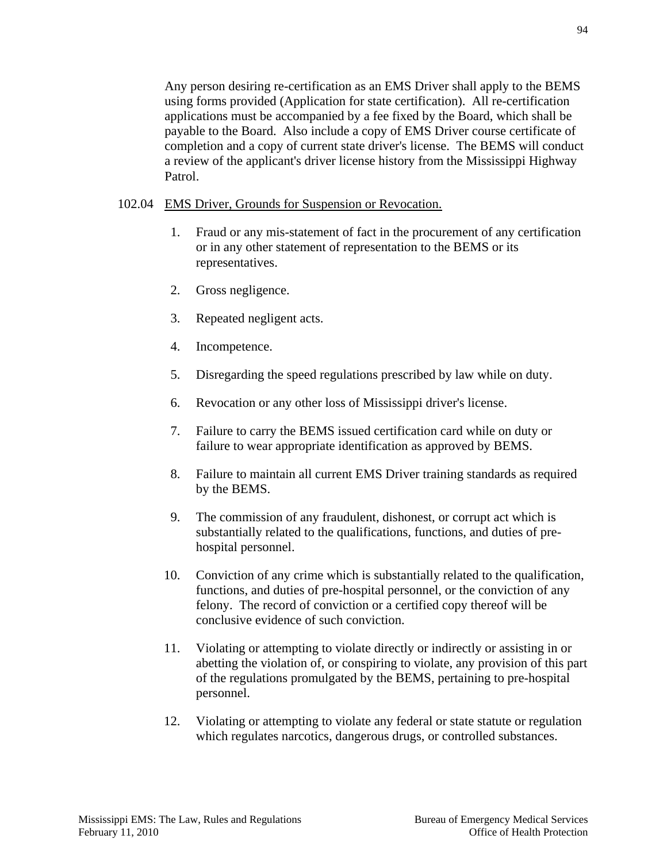Any person desiring re-certification as an EMS Driver shall apply to the BEMS using forms provided (Application for state certification). All re-certification applications must be accompanied by a fee fixed by the Board, which shall be payable to the Board. Also include a copy of EMS Driver course certificate of completion and a copy of current state driver's license. The BEMS will conduct a review of the applicant's driver license history from the Mississippi Highway Patrol.

### 102.04 EMS Driver, Grounds for Suspension or Revocation.

- 1. Fraud or any mis-statement of fact in the procurement of any certification or in any other statement of representation to the BEMS or its representatives.
- 2. Gross negligence.
- 3. Repeated negligent acts.
- 4. Incompetence.
- 5. Disregarding the speed regulations prescribed by law while on duty.
- 6. Revocation or any other loss of Mississippi driver's license.
- 7. Failure to carry the BEMS issued certification card while on duty or failure to wear appropriate identification as approved by BEMS.
- 8. Failure to maintain all current EMS Driver training standards as required by the BEMS.
- 9. The commission of any fraudulent, dishonest, or corrupt act which is substantially related to the qualifications, functions, and duties of prehospital personnel.
- 10. Conviction of any crime which is substantially related to the qualification, functions, and duties of pre-hospital personnel, or the conviction of any felony. The record of conviction or a certified copy thereof will be conclusive evidence of such conviction.
- 11. Violating or attempting to violate directly or indirectly or assisting in or abetting the violation of, or conspiring to violate, any provision of this part of the regulations promulgated by the BEMS, pertaining to pre-hospital personnel.
- 12. Violating or attempting to violate any federal or state statute or regulation which regulates narcotics, dangerous drugs, or controlled substances.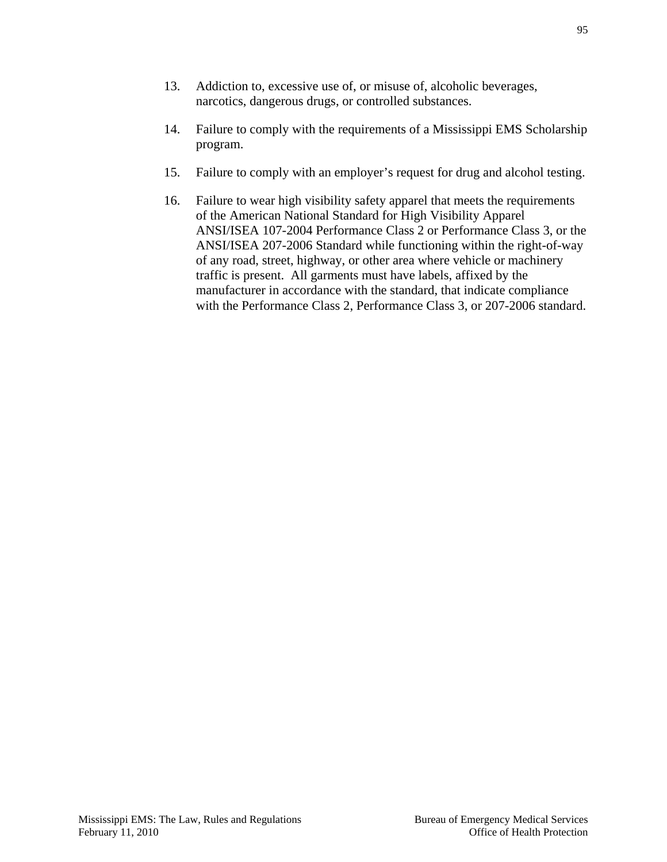- 13. Addiction to, excessive use of, or misuse of, alcoholic beverages, narcotics, dangerous drugs, or controlled substances.
- 14. Failure to comply with the requirements of a Mississippi EMS Scholarship program.
- 15. Failure to comply with an employer's request for drug and alcohol testing.
- 16. Failure to wear high visibility safety apparel that meets the requirements of the American National Standard for High Visibility Apparel ANSI/ISEA 107-2004 Performance Class 2 or Performance Class 3, or the ANSI/ISEA 207-2006 Standard while functioning within the right-of-way of any road, street, highway, or other area where vehicle or machinery traffic is present. All garments must have labels, affixed by the manufacturer in accordance with the standard, that indicate compliance with the Performance Class 2, Performance Class 3, or 207-2006 standard.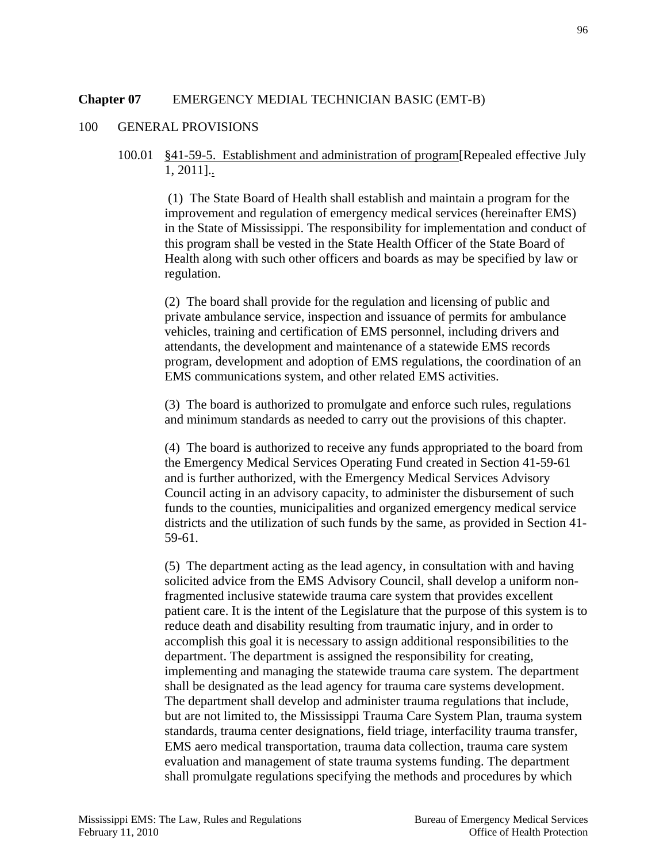#### **Chapter 07** EMERGENCY MEDIAL TECHNICIAN BASIC (EMT-B)

#### 100 GENERAL PROVISIONS

100.01 §41-59-5. Establishment and administration of program[Repealed effective July  $1, 2011$ ]...

 (1) The State Board of Health shall establish and maintain a program for the improvement and regulation of emergency medical services (hereinafter EMS) in the State of Mississippi. The responsibility for implementation and conduct of this program shall be vested in the State Health Officer of the State Board of Health along with such other officers and boards as may be specified by law or regulation.

(2) The board shall provide for the regulation and licensing of public and private ambulance service, inspection and issuance of permits for ambulance vehicles, training and certification of EMS personnel, including drivers and attendants, the development and maintenance of a statewide EMS records program, development and adoption of EMS regulations, the coordination of an EMS communications system, and other related EMS activities.

(3) The board is authorized to promulgate and enforce such rules, regulations and minimum standards as needed to carry out the provisions of this chapter.

(4) The board is authorized to receive any funds appropriated to the board from the Emergency Medical Services Operating Fund created in Section 41-59-61 and is further authorized, with the Emergency Medical Services Advisory Council acting in an advisory capacity, to administer the disbursement of such funds to the counties, municipalities and organized emergency medical service districts and the utilization of such funds by the same, as provided in Section 41- 59-61.

(5) The department acting as the lead agency, in consultation with and having solicited advice from the EMS Advisory Council, shall develop a uniform nonfragmented inclusive statewide trauma care system that provides excellent patient care. It is the intent of the Legislature that the purpose of this system is to reduce death and disability resulting from traumatic injury, and in order to accomplish this goal it is necessary to assign additional responsibilities to the department. The department is assigned the responsibility for creating, implementing and managing the statewide trauma care system. The department shall be designated as the lead agency for trauma care systems development. The department shall develop and administer trauma regulations that include, but are not limited to, the Mississippi Trauma Care System Plan, trauma system standards, trauma center designations, field triage, interfacility trauma transfer, EMS aero medical transportation, trauma data collection, trauma care system evaluation and management of state trauma systems funding. The department shall promulgate regulations specifying the methods and procedures by which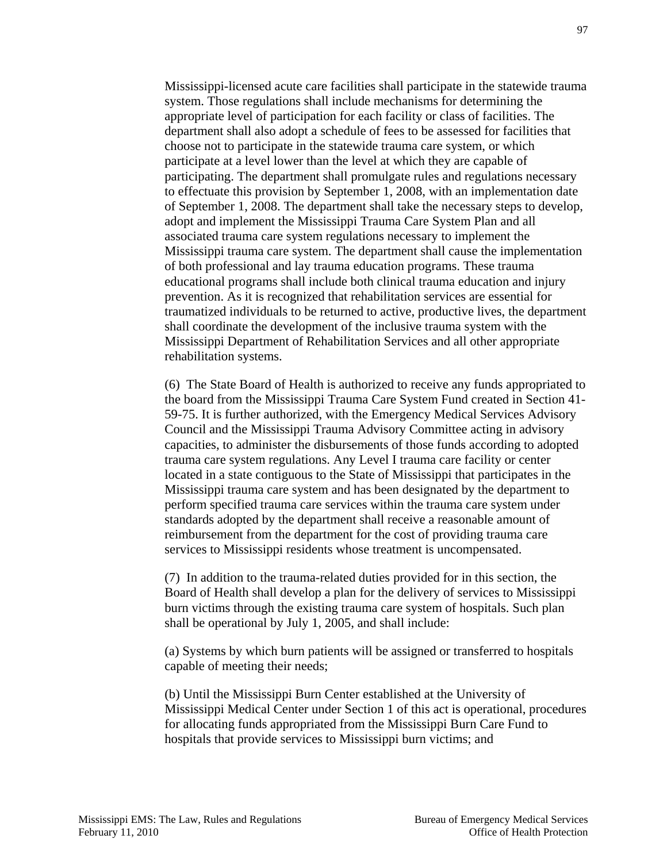Mississippi-licensed acute care facilities shall participate in the statewide trauma system. Those regulations shall include mechanisms for determining the appropriate level of participation for each facility or class of facilities. The department shall also adopt a schedule of fees to be assessed for facilities that choose not to participate in the statewide trauma care system, or which participate at a level lower than the level at which they are capable of participating. The department shall promulgate rules and regulations necessary to effectuate this provision by September 1, 2008, with an implementation date of September 1, 2008. The department shall take the necessary steps to develop, adopt and implement the Mississippi Trauma Care System Plan and all associated trauma care system regulations necessary to implement the Mississippi trauma care system. The department shall cause the implementation of both professional and lay trauma education programs. These trauma educational programs shall include both clinical trauma education and injury prevention. As it is recognized that rehabilitation services are essential for traumatized individuals to be returned to active, productive lives, the department shall coordinate the development of the inclusive trauma system with the Mississippi Department of Rehabilitation Services and all other appropriate rehabilitation systems.

(6) The State Board of Health is authorized to receive any funds appropriated to the board from the Mississippi Trauma Care System Fund created in Section 41- 59-75. It is further authorized, with the Emergency Medical Services Advisory Council and the Mississippi Trauma Advisory Committee acting in advisory capacities, to administer the disbursements of those funds according to adopted trauma care system regulations. Any Level I trauma care facility or center located in a state contiguous to the State of Mississippi that participates in the Mississippi trauma care system and has been designated by the department to perform specified trauma care services within the trauma care system under standards adopted by the department shall receive a reasonable amount of reimbursement from the department for the cost of providing trauma care services to Mississippi residents whose treatment is uncompensated.

(7) In addition to the trauma-related duties provided for in this section, the Board of Health shall develop a plan for the delivery of services to Mississippi burn victims through the existing trauma care system of hospitals. Such plan shall be operational by July 1, 2005, and shall include:

(a) Systems by which burn patients will be assigned or transferred to hospitals capable of meeting their needs;

(b) Until the Mississippi Burn Center established at the University of Mississippi Medical Center under Section 1 of this act is operational, procedures for allocating funds appropriated from the Mississippi Burn Care Fund to hospitals that provide services to Mississippi burn victims; and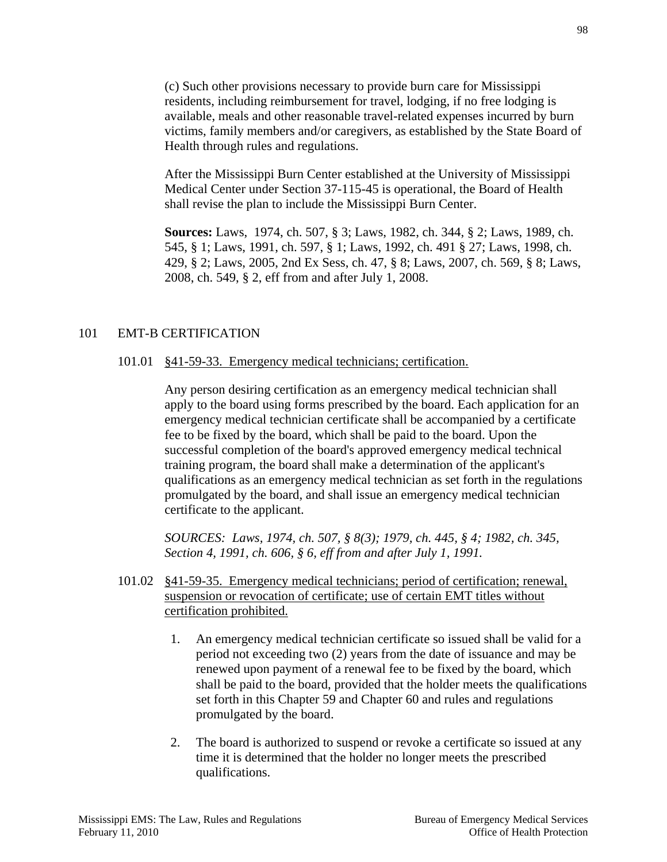(c) Such other provisions necessary to provide burn care for Mississippi residents, including reimbursement for travel, lodging, if no free lodging is available, meals and other reasonable travel-related expenses incurred by burn victims, family members and/or caregivers, as established by the State Board of Health through rules and regulations.

After the Mississippi Burn Center established at the University of Mississippi Medical Center under Section 37-115-45 is operational, the Board of Health shall revise the plan to include the Mississippi Burn Center.

**Sources:** Laws, 1974, ch. 507, § 3; Laws, 1982, ch. 344, § 2; Laws, 1989, ch. 545, § 1; Laws, 1991, ch. 597, § 1; Laws, 1992, ch. 491 § 27; Laws, 1998, ch. 429, § 2; Laws, 2005, 2nd Ex Sess, ch. 47, § 8; Laws, 2007, ch. 569, § 8; Laws, 2008, ch. 549, § 2, eff from and after July 1, 2008.

#### 101 EMT-B CERTIFICATION

101.01 §41-59-33. Emergency medical technicians; certification.

Any person desiring certification as an emergency medical technician shall apply to the board using forms prescribed by the board. Each application for an emergency medical technician certificate shall be accompanied by a certificate fee to be fixed by the board, which shall be paid to the board. Upon the successful completion of the board's approved emergency medical technical training program, the board shall make a determination of the applicant's qualifications as an emergency medical technician as set forth in the regulations promulgated by the board, and shall issue an emergency medical technician certificate to the applicant.

*SOURCES: Laws, 1974, ch. 507, § 8(3); 1979, ch. 445, § 4; 1982, ch. 345, Section 4, 1991, ch. 606, § 6, eff from and after July 1, 1991.* 

- 101.02 §41-59-35. Emergency medical technicians; period of certification; renewal, suspension or revocation of certificate; use of certain EMT titles without certification prohibited.
	- 1. An emergency medical technician certificate so issued shall be valid for a period not exceeding two (2) years from the date of issuance and may be renewed upon payment of a renewal fee to be fixed by the board, which shall be paid to the board, provided that the holder meets the qualifications set forth in this Chapter 59 and Chapter 60 and rules and regulations promulgated by the board.
	- 2. The board is authorized to suspend or revoke a certificate so issued at any time it is determined that the holder no longer meets the prescribed qualifications.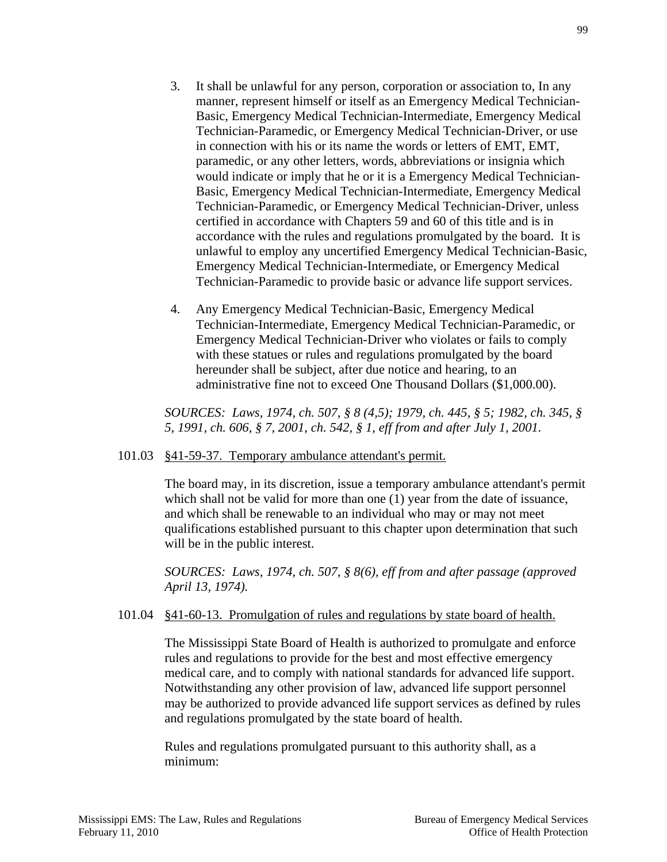- 3. It shall be unlawful for any person, corporation or association to, In any manner, represent himself or itself as an Emergency Medical Technician-Basic, Emergency Medical Technician-Intermediate, Emergency Medical Technician-Paramedic, or Emergency Medical Technician-Driver, or use in connection with his or its name the words or letters of EMT, EMT, paramedic, or any other letters, words, abbreviations or insignia which would indicate or imply that he or it is a Emergency Medical Technician-Basic, Emergency Medical Technician-Intermediate, Emergency Medical Technician-Paramedic, or Emergency Medical Technician-Driver, unless certified in accordance with Chapters 59 and 60 of this title and is in accordance with the rules and regulations promulgated by the board. It is unlawful to employ any uncertified Emergency Medical Technician-Basic, Emergency Medical Technician-Intermediate, or Emergency Medical Technician-Paramedic to provide basic or advance life support services.
- 4. Any Emergency Medical Technician-Basic, Emergency Medical Technician-Intermediate, Emergency Medical Technician-Paramedic, or Emergency Medical Technician-Driver who violates or fails to comply with these statues or rules and regulations promulgated by the board hereunder shall be subject, after due notice and hearing, to an administrative fine not to exceed One Thousand Dollars (\$1,000.00).

*SOURCES: Laws, 1974, ch. 507, § 8 (4,5); 1979, ch. 445, § 5; 1982, ch. 345, § 5, 1991, ch. 606, § 7, 2001, ch. 542, § 1, eff from and after July 1, 2001.* 

#### 101.03 §41-59-37. Temporary ambulance attendant's permit.

The board may, in its discretion, issue a temporary ambulance attendant's permit which shall not be valid for more than one (1) year from the date of issuance, and which shall be renewable to an individual who may or may not meet qualifications established pursuant to this chapter upon determination that such will be in the public interest.

*SOURCES: Laws, 1974, ch. 507, § 8(6), eff from and after passage (approved April 13, 1974).* 

#### 101.04 §41-60-13. Promulgation of rules and regulations by state board of health.

The Mississippi State Board of Health is authorized to promulgate and enforce rules and regulations to provide for the best and most effective emergency medical care, and to comply with national standards for advanced life support. Notwithstanding any other provision of law, advanced life support personnel may be authorized to provide advanced life support services as defined by rules and regulations promulgated by the state board of health.

Rules and regulations promulgated pursuant to this authority shall, as a minimum: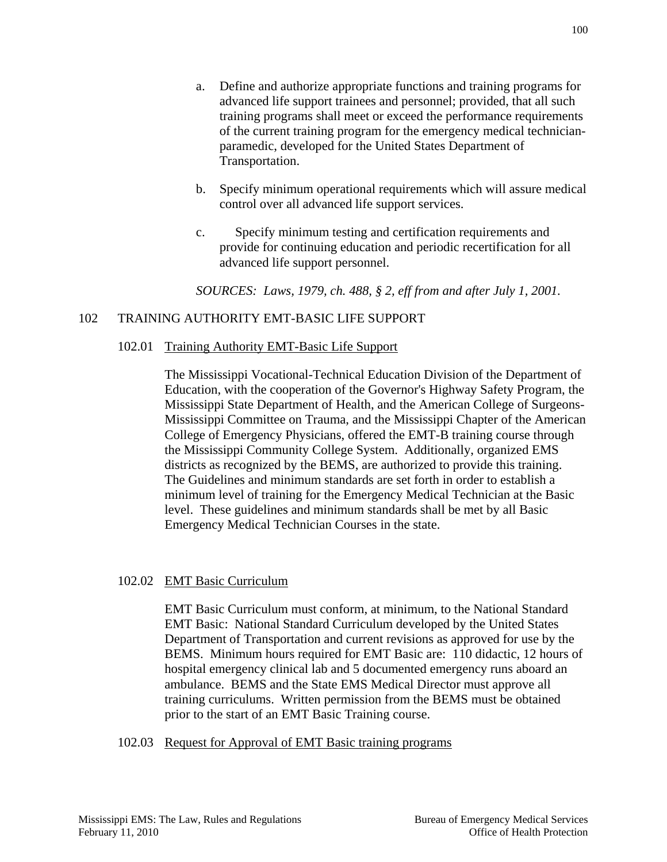- a. Define and authorize appropriate functions and training programs for advanced life support trainees and personnel; provided, that all such training programs shall meet or exceed the performance requirements of the current training program for the emergency medical technicianparamedic, developed for the United States Department of Transportation.
- b. Specify minimum operational requirements which will assure medical control over all advanced life support services.
- c. Specify minimum testing and certification requirements and provide for continuing education and periodic recertification for all advanced life support personnel.

*SOURCES: Laws, 1979, ch. 488, § 2, eff from and after July 1, 2001.* 

### 102 TRAINING AUTHORITY EMT-BASIC LIFE SUPPORT

### 102.01 Training Authority EMT-Basic Life Support

The Mississippi Vocational-Technical Education Division of the Department of Education, with the cooperation of the Governor's Highway Safety Program, the Mississippi State Department of Health, and the American College of Surgeons-Mississippi Committee on Trauma, and the Mississippi Chapter of the American College of Emergency Physicians, offered the EMT-B training course through the Mississippi Community College System. Additionally, organized EMS districts as recognized by the BEMS, are authorized to provide this training. The Guidelines and minimum standards are set forth in order to establish a minimum level of training for the Emergency Medical Technician at the Basic level. These guidelines and minimum standards shall be met by all Basic Emergency Medical Technician Courses in the state.

#### 102.02 EMT Basic Curriculum

EMT Basic Curriculum must conform, at minimum, to the National Standard EMT Basic: National Standard Curriculum developed by the United States Department of Transportation and current revisions as approved for use by the BEMS. Minimum hours required for EMT Basic are: 110 didactic, 12 hours of hospital emergency clinical lab and 5 documented emergency runs aboard an ambulance. BEMS and the State EMS Medical Director must approve all training curriculums. Written permission from the BEMS must be obtained prior to the start of an EMT Basic Training course.

102.03 Request for Approval of EMT Basic training programs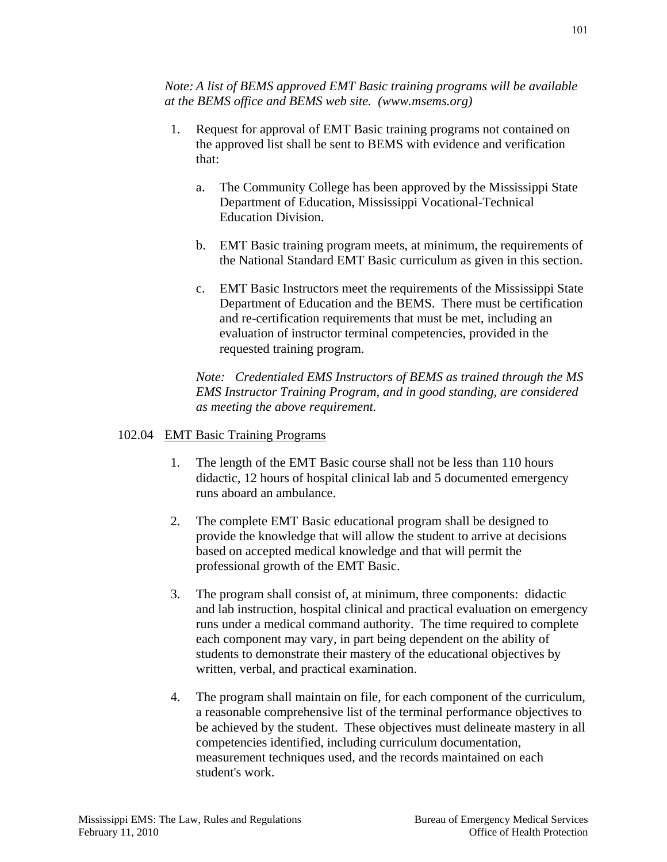*Note: A list of BEMS approved EMT Basic training programs will be available at the BEMS office and BEMS web site. (www.msems.org)* 

- 1. Request for approval of EMT Basic training programs not contained on the approved list shall be sent to BEMS with evidence and verification that:
	- a. The Community College has been approved by the Mississippi State Department of Education, Mississippi Vocational-Technical Education Division.
	- b. EMT Basic training program meets, at minimum, the requirements of the National Standard EMT Basic curriculum as given in this section.
	- c. EMT Basic Instructors meet the requirements of the Mississippi State Department of Education and the BEMS. There must be certification and re-certification requirements that must be met, including an evaluation of instructor terminal competencies, provided in the requested training program.

*Note: Credentialed EMS Instructors of BEMS as trained through the MS EMS Instructor Training Program, and in good standing, are considered as meeting the above requirement.* 

#### 102.04 EMT Basic Training Programs

- 1. The length of the EMT Basic course shall not be less than 110 hours didactic, 12 hours of hospital clinical lab and 5 documented emergency runs aboard an ambulance.
- 2. The complete EMT Basic educational program shall be designed to provide the knowledge that will allow the student to arrive at decisions based on accepted medical knowledge and that will permit the professional growth of the EMT Basic.
- 3. The program shall consist of, at minimum, three components: didactic and lab instruction, hospital clinical and practical evaluation on emergency runs under a medical command authority. The time required to complete each component may vary, in part being dependent on the ability of students to demonstrate their mastery of the educational objectives by written, verbal, and practical examination.
- 4. The program shall maintain on file, for each component of the curriculum, a reasonable comprehensive list of the terminal performance objectives to be achieved by the student. These objectives must delineate mastery in all competencies identified, including curriculum documentation, measurement techniques used, and the records maintained on each student's work.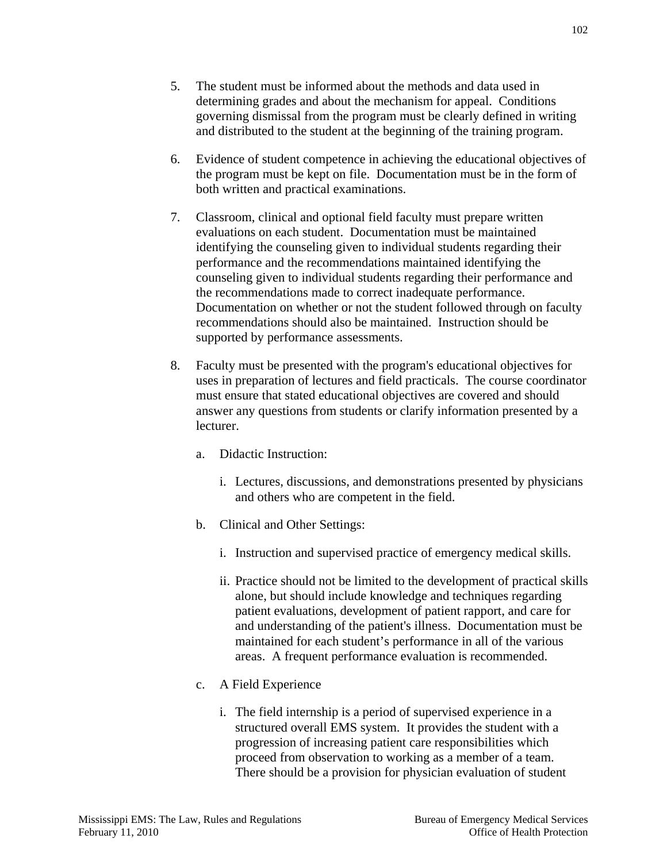- 5. The student must be informed about the methods and data used in determining grades and about the mechanism for appeal. Conditions governing dismissal from the program must be clearly defined in writing and distributed to the student at the beginning of the training program.
- 6. Evidence of student competence in achieving the educational objectives of the program must be kept on file. Documentation must be in the form of both written and practical examinations.
- 7. Classroom, clinical and optional field faculty must prepare written evaluations on each student. Documentation must be maintained identifying the counseling given to individual students regarding their performance and the recommendations maintained identifying the counseling given to individual students regarding their performance and the recommendations made to correct inadequate performance. Documentation on whether or not the student followed through on faculty recommendations should also be maintained. Instruction should be supported by performance assessments.
- 8. Faculty must be presented with the program's educational objectives for uses in preparation of lectures and field practicals. The course coordinator must ensure that stated educational objectives are covered and should answer any questions from students or clarify information presented by a lecturer.
	- a. Didactic Instruction:
		- i. Lectures, discussions, and demonstrations presented by physicians and others who are competent in the field.
	- b. Clinical and Other Settings:
		- i. Instruction and supervised practice of emergency medical skills.
		- ii. Practice should not be limited to the development of practical skills alone, but should include knowledge and techniques regarding patient evaluations, development of patient rapport, and care for and understanding of the patient's illness. Documentation must be maintained for each student's performance in all of the various areas. A frequent performance evaluation is recommended.
	- c. A Field Experience
		- i. The field internship is a period of supervised experience in a structured overall EMS system. It provides the student with a progression of increasing patient care responsibilities which proceed from observation to working as a member of a team. There should be a provision for physician evaluation of student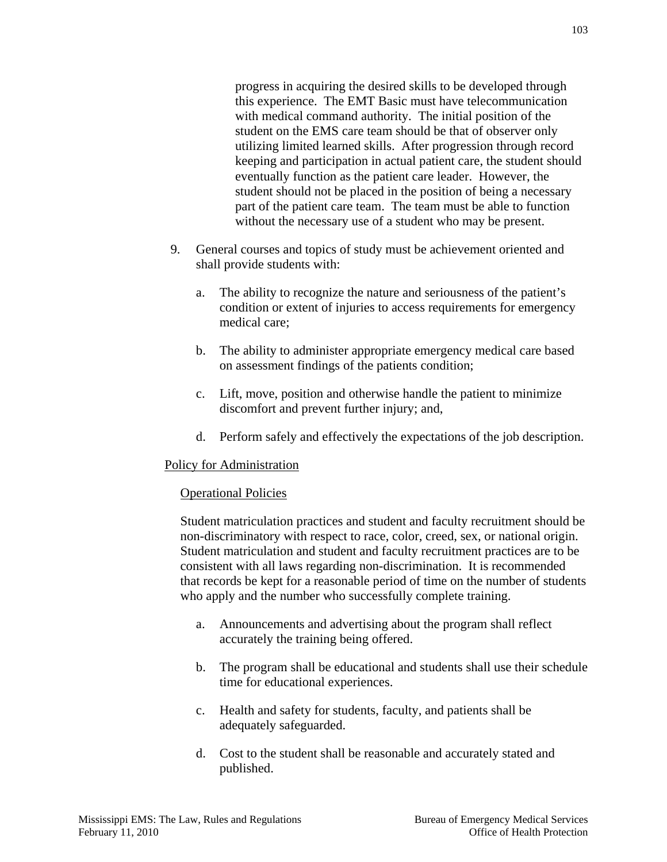progress in acquiring the desired skills to be developed through this experience. The EMT Basic must have telecommunication with medical command authority. The initial position of the student on the EMS care team should be that of observer only utilizing limited learned skills. After progression through record keeping and participation in actual patient care, the student should eventually function as the patient care leader. However, the student should not be placed in the position of being a necessary part of the patient care team. The team must be able to function without the necessary use of a student who may be present.

- 9. General courses and topics of study must be achievement oriented and shall provide students with:
	- a. The ability to recognize the nature and seriousness of the patient's condition or extent of injuries to access requirements for emergency medical care;
	- b. The ability to administer appropriate emergency medical care based on assessment findings of the patients condition;
	- c. Lift, move, position and otherwise handle the patient to minimize discomfort and prevent further injury; and,
	- d. Perform safely and effectively the expectations of the job description.

## Policy for Administration

## Operational Policies

Student matriculation practices and student and faculty recruitment should be non-discriminatory with respect to race, color, creed, sex, or national origin. Student matriculation and student and faculty recruitment practices are to be consistent with all laws regarding non-discrimination. It is recommended that records be kept for a reasonable period of time on the number of students who apply and the number who successfully complete training.

- a. Announcements and advertising about the program shall reflect accurately the training being offered.
- b. The program shall be educational and students shall use their schedule time for educational experiences.
- c. Health and safety for students, faculty, and patients shall be adequately safeguarded.
- d. Cost to the student shall be reasonable and accurately stated and published.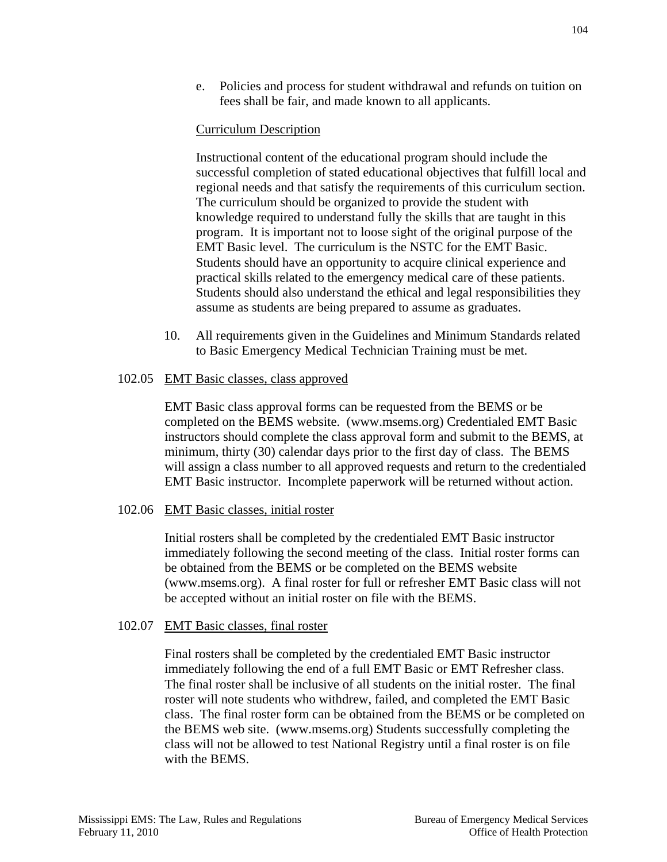104

e. Policies and process for student withdrawal and refunds on tuition on fees shall be fair, and made known to all applicants.

## Curriculum Description

Instructional content of the educational program should include the successful completion of stated educational objectives that fulfill local and regional needs and that satisfy the requirements of this curriculum section. The curriculum should be organized to provide the student with knowledge required to understand fully the skills that are taught in this program. It is important not to loose sight of the original purpose of the EMT Basic level. The curriculum is the NSTC for the EMT Basic. Students should have an opportunity to acquire clinical experience and practical skills related to the emergency medical care of these patients. Students should also understand the ethical and legal responsibilities they assume as students are being prepared to assume as graduates.

10. All requirements given in the Guidelines and Minimum Standards related to Basic Emergency Medical Technician Training must be met.

## 102.05 EMT Basic classes, class approved

EMT Basic class approval forms can be requested from the BEMS or be completed on the BEMS website. (www.msems.org) Credentialed EMT Basic instructors should complete the class approval form and submit to the BEMS, at minimum, thirty (30) calendar days prior to the first day of class. The BEMS will assign a class number to all approved requests and return to the credentialed EMT Basic instructor. Incomplete paperwork will be returned without action.

## 102.06 EMT Basic classes, initial roster

Initial rosters shall be completed by the credentialed EMT Basic instructor immediately following the second meeting of the class. Initial roster forms can be obtained from the BEMS or be completed on the BEMS website (www.msems.org). A final roster for full or refresher EMT Basic class will not be accepted without an initial roster on file with the BEMS.

## 102.07 EMT Basic classes, final roster

Final rosters shall be completed by the credentialed EMT Basic instructor immediately following the end of a full EMT Basic or EMT Refresher class. The final roster shall be inclusive of all students on the initial roster. The final roster will note students who withdrew, failed, and completed the EMT Basic class. The final roster form can be obtained from the BEMS or be completed on the BEMS web site. (www.msems.org) Students successfully completing the class will not be allowed to test National Registry until a final roster is on file with the BEMS.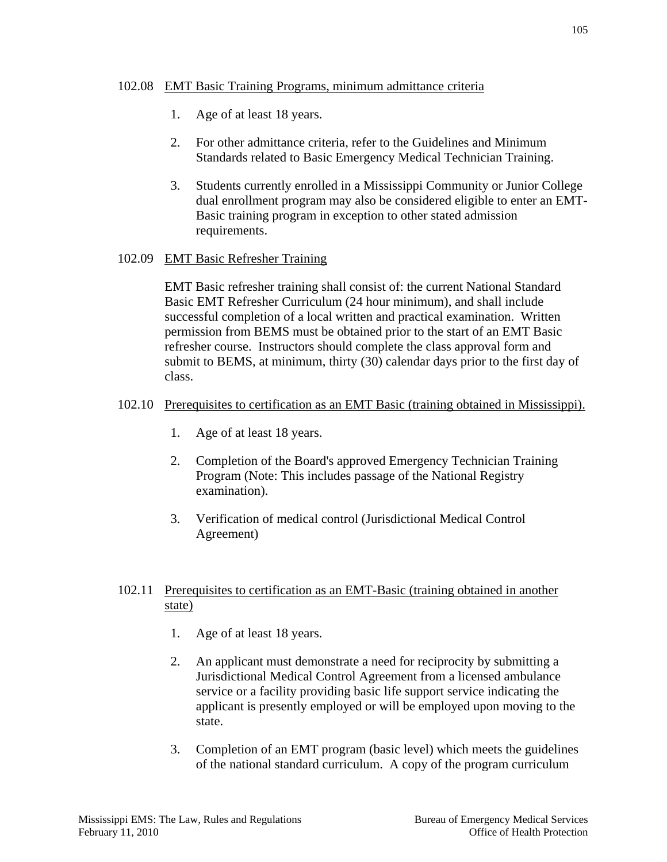#### 102.08 EMT Basic Training Programs, minimum admittance criteria

- 1. Age of at least 18 years.
- 2. For other admittance criteria, refer to the Guidelines and Minimum Standards related to Basic Emergency Medical Technician Training.
- 3. Students currently enrolled in a Mississippi Community or Junior College dual enrollment program may also be considered eligible to enter an EMT-Basic training program in exception to other stated admission requirements.

# 102.09 EMT Basic Refresher Training

EMT Basic refresher training shall consist of: the current National Standard Basic EMT Refresher Curriculum (24 hour minimum), and shall include successful completion of a local written and practical examination. Written permission from BEMS must be obtained prior to the start of an EMT Basic refresher course. Instructors should complete the class approval form and submit to BEMS, at minimum, thirty (30) calendar days prior to the first day of class.

### 102.10 Prerequisites to certification as an EMT Basic (training obtained in Mississippi).

- 1. Age of at least 18 years.
- 2. Completion of the Board's approved Emergency Technician Training Program (Note: This includes passage of the National Registry examination).
- 3. Verification of medical control (Jurisdictional Medical Control Agreement)

# 102.11 Prerequisites to certification as an EMT-Basic (training obtained in another state)

- 1. Age of at least 18 years.
- 2. An applicant must demonstrate a need for reciprocity by submitting a Jurisdictional Medical Control Agreement from a licensed ambulance service or a facility providing basic life support service indicating the applicant is presently employed or will be employed upon moving to the state.
- 3. Completion of an EMT program (basic level) which meets the guidelines of the national standard curriculum. A copy of the program curriculum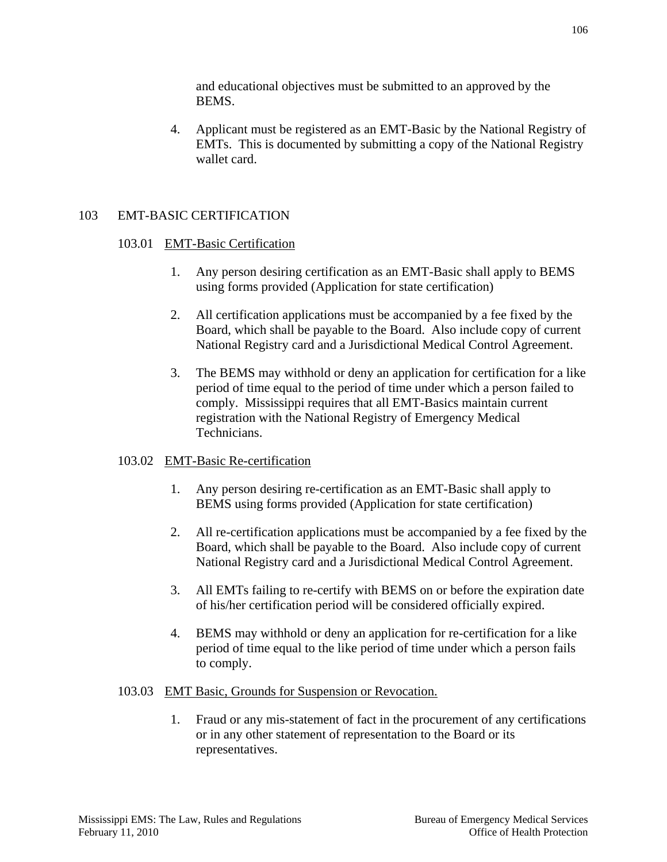and educational objectives must be submitted to an approved by the BEMS.

4. Applicant must be registered as an EMT-Basic by the National Registry of EMTs. This is documented by submitting a copy of the National Registry wallet card.

# 103 EMT-BASIC CERTIFICATION

## 103.01 EMT-Basic Certification

- 1. Any person desiring certification as an EMT-Basic shall apply to BEMS using forms provided (Application for state certification)
- 2. All certification applications must be accompanied by a fee fixed by the Board, which shall be payable to the Board. Also include copy of current National Registry card and a Jurisdictional Medical Control Agreement.
- 3. The BEMS may withhold or deny an application for certification for a like period of time equal to the period of time under which a person failed to comply. Mississippi requires that all EMT-Basics maintain current registration with the National Registry of Emergency Medical Technicians.

## 103.02 EMT-Basic Re-certification

- 1. Any person desiring re-certification as an EMT-Basic shall apply to BEMS using forms provided (Application for state certification)
- 2. All re-certification applications must be accompanied by a fee fixed by the Board, which shall be payable to the Board. Also include copy of current National Registry card and a Jurisdictional Medical Control Agreement.
- 3. All EMTs failing to re-certify with BEMS on or before the expiration date of his/her certification period will be considered officially expired.
- 4. BEMS may withhold or deny an application for re-certification for a like period of time equal to the like period of time under which a person fails to comply.

## 103.03 EMT Basic, Grounds for Suspension or Revocation.

1. Fraud or any mis-statement of fact in the procurement of any certifications or in any other statement of representation to the Board or its representatives.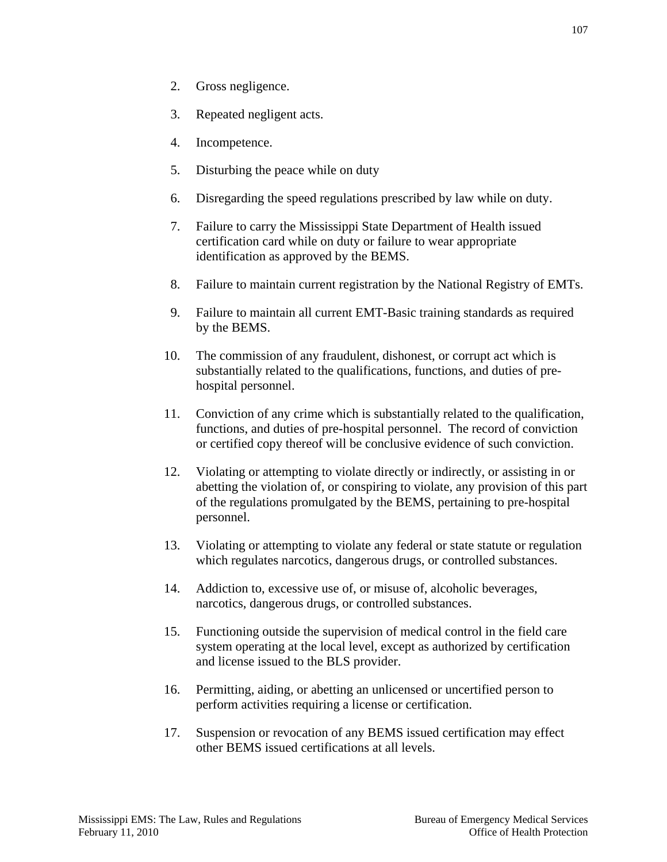- 2. Gross negligence.
- 3. Repeated negligent acts.
- 4. Incompetence.
- 5. Disturbing the peace while on duty
- 6. Disregarding the speed regulations prescribed by law while on duty.
- 7. Failure to carry the Mississippi State Department of Health issued certification card while on duty or failure to wear appropriate identification as approved by the BEMS.
- 8. Failure to maintain current registration by the National Registry of EMTs.
- 9. Failure to maintain all current EMT-Basic training standards as required by the BEMS.
- 10. The commission of any fraudulent, dishonest, or corrupt act which is substantially related to the qualifications, functions, and duties of prehospital personnel.
- 11. Conviction of any crime which is substantially related to the qualification, functions, and duties of pre-hospital personnel. The record of conviction or certified copy thereof will be conclusive evidence of such conviction.
- 12. Violating or attempting to violate directly or indirectly, or assisting in or abetting the violation of, or conspiring to violate, any provision of this part of the regulations promulgated by the BEMS, pertaining to pre-hospital personnel.
- 13. Violating or attempting to violate any federal or state statute or regulation which regulates narcotics, dangerous drugs, or controlled substances.
- 14. Addiction to, excessive use of, or misuse of, alcoholic beverages, narcotics, dangerous drugs, or controlled substances.
- 15. Functioning outside the supervision of medical control in the field care system operating at the local level, except as authorized by certification and license issued to the BLS provider.
- 16. Permitting, aiding, or abetting an unlicensed or uncertified person to perform activities requiring a license or certification.
- 17. Suspension or revocation of any BEMS issued certification may effect other BEMS issued certifications at all levels.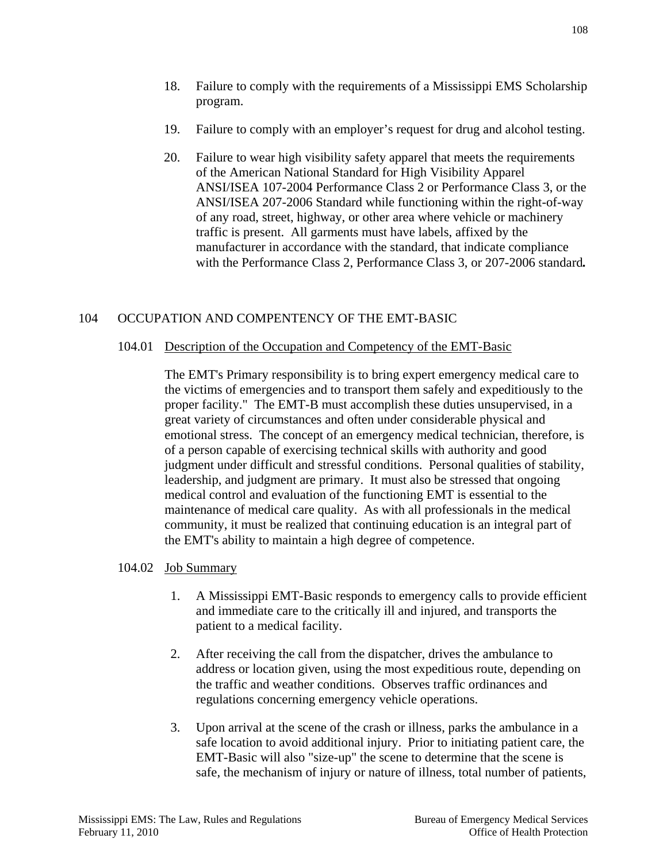- 18. Failure to comply with the requirements of a Mississippi EMS Scholarship program.
- 19. Failure to comply with an employer's request for drug and alcohol testing.
- 20. Failure to wear high visibility safety apparel that meets the requirements of the American National Standard for High Visibility Apparel ANSI/ISEA 107-2004 Performance Class 2 or Performance Class 3, or the ANSI/ISEA 207-2006 Standard while functioning within the right-of-way of any road, street, highway, or other area where vehicle or machinery traffic is present. All garments must have labels, affixed by the manufacturer in accordance with the standard, that indicate compliance with the Performance Class 2, Performance Class 3, or 207-2006 standard*.*

# 104 OCCUPATION AND COMPENTENCY OF THE EMT-BASIC

## 104.01 Description of the Occupation and Competency of the EMT-Basic

The EMT's Primary responsibility is to bring expert emergency medical care to the victims of emergencies and to transport them safely and expeditiously to the proper facility." The EMT-B must accomplish these duties unsupervised, in a great variety of circumstances and often under considerable physical and emotional stress. The concept of an emergency medical technician, therefore, is of a person capable of exercising technical skills with authority and good judgment under difficult and stressful conditions. Personal qualities of stability, leadership, and judgment are primary. It must also be stressed that ongoing medical control and evaluation of the functioning EMT is essential to the maintenance of medical care quality. As with all professionals in the medical community, it must be realized that continuing education is an integral part of the EMT's ability to maintain a high degree of competence.

## 104.02 Job Summary

- 1. A Mississippi EMT-Basic responds to emergency calls to provide efficient and immediate care to the critically ill and injured, and transports the patient to a medical facility.
- 2. After receiving the call from the dispatcher, drives the ambulance to address or location given, using the most expeditious route, depending on the traffic and weather conditions. Observes traffic ordinances and regulations concerning emergency vehicle operations.
- 3. Upon arrival at the scene of the crash or illness, parks the ambulance in a safe location to avoid additional injury. Prior to initiating patient care, the EMT-Basic will also "size-up" the scene to determine that the scene is safe, the mechanism of injury or nature of illness, total number of patients,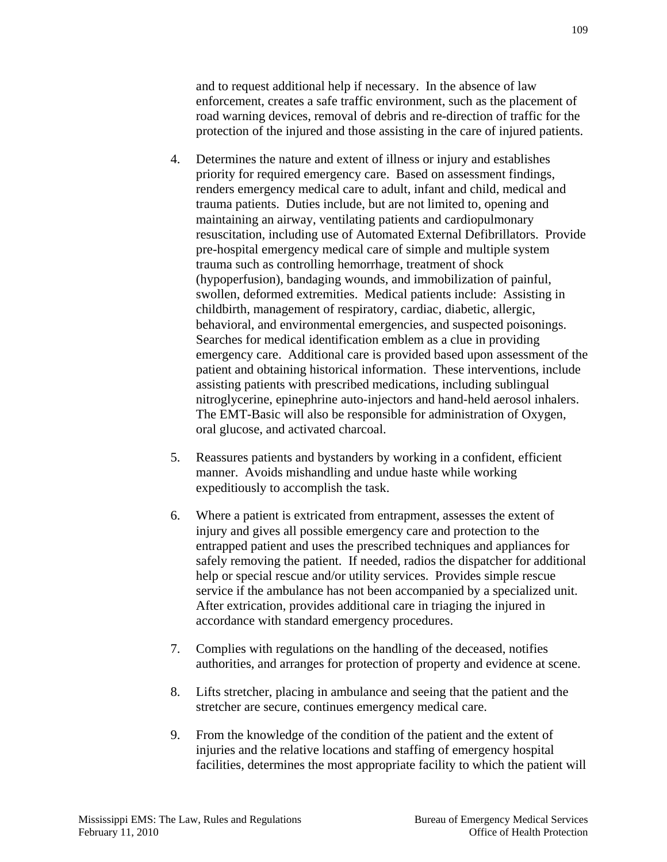and to request additional help if necessary. In the absence of law enforcement, creates a safe traffic environment, such as the placement of road warning devices, removal of debris and re-direction of traffic for the protection of the injured and those assisting in the care of injured patients.

- 4. Determines the nature and extent of illness or injury and establishes priority for required emergency care. Based on assessment findings, renders emergency medical care to adult, infant and child, medical and trauma patients. Duties include, but are not limited to, opening and maintaining an airway, ventilating patients and cardiopulmonary resuscitation, including use of Automated External Defibrillators. Provide pre-hospital emergency medical care of simple and multiple system trauma such as controlling hemorrhage, treatment of shock (hypoperfusion), bandaging wounds, and immobilization of painful, swollen, deformed extremities. Medical patients include: Assisting in childbirth, management of respiratory, cardiac, diabetic, allergic, behavioral, and environmental emergencies, and suspected poisonings. Searches for medical identification emblem as a clue in providing emergency care. Additional care is provided based upon assessment of the patient and obtaining historical information. These interventions, include assisting patients with prescribed medications, including sublingual nitroglycerine, epinephrine auto-injectors and hand-held aerosol inhalers. The EMT-Basic will also be responsible for administration of Oxygen, oral glucose, and activated charcoal.
- 5. Reassures patients and bystanders by working in a confident, efficient manner. Avoids mishandling and undue haste while working expeditiously to accomplish the task.
- 6. Where a patient is extricated from entrapment, assesses the extent of injury and gives all possible emergency care and protection to the entrapped patient and uses the prescribed techniques and appliances for safely removing the patient. If needed, radios the dispatcher for additional help or special rescue and/or utility services. Provides simple rescue service if the ambulance has not been accompanied by a specialized unit. After extrication, provides additional care in triaging the injured in accordance with standard emergency procedures.
- 7. Complies with regulations on the handling of the deceased, notifies authorities, and arranges for protection of property and evidence at scene.
- 8. Lifts stretcher, placing in ambulance and seeing that the patient and the stretcher are secure, continues emergency medical care.
- 9. From the knowledge of the condition of the patient and the extent of injuries and the relative locations and staffing of emergency hospital facilities, determines the most appropriate facility to which the patient will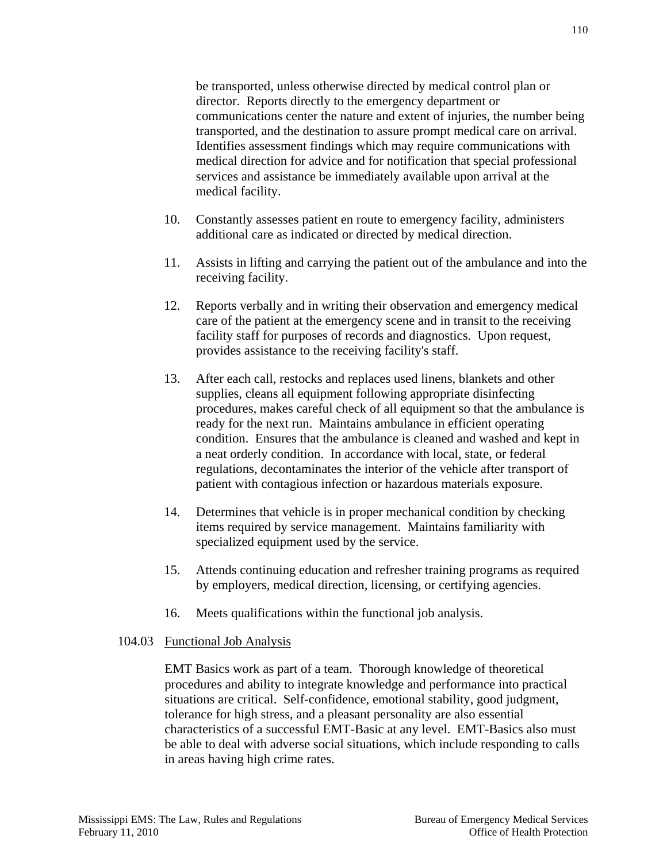be transported, unless otherwise directed by medical control plan or director. Reports directly to the emergency department or communications center the nature and extent of injuries, the number being transported, and the destination to assure prompt medical care on arrival. Identifies assessment findings which may require communications with medical direction for advice and for notification that special professional services and assistance be immediately available upon arrival at the medical facility.

- 10. Constantly assesses patient en route to emergency facility, administers additional care as indicated or directed by medical direction.
- 11. Assists in lifting and carrying the patient out of the ambulance and into the receiving facility.
- 12. Reports verbally and in writing their observation and emergency medical care of the patient at the emergency scene and in transit to the receiving facility staff for purposes of records and diagnostics. Upon request, provides assistance to the receiving facility's staff.
- 13. After each call, restocks and replaces used linens, blankets and other supplies, cleans all equipment following appropriate disinfecting procedures, makes careful check of all equipment so that the ambulance is ready for the next run. Maintains ambulance in efficient operating condition. Ensures that the ambulance is cleaned and washed and kept in a neat orderly condition. In accordance with local, state, or federal regulations, decontaminates the interior of the vehicle after transport of patient with contagious infection or hazardous materials exposure.
- 14. Determines that vehicle is in proper mechanical condition by checking items required by service management. Maintains familiarity with specialized equipment used by the service.
- 15. Attends continuing education and refresher training programs as required by employers, medical direction, licensing, or certifying agencies.
- 16. Meets qualifications within the functional job analysis.

#### 104.03 Functional Job Analysis

EMT Basics work as part of a team. Thorough knowledge of theoretical procedures and ability to integrate knowledge and performance into practical situations are critical. Self-confidence, emotional stability, good judgment, tolerance for high stress, and a pleasant personality are also essential characteristics of a successful EMT-Basic at any level. EMT-Basics also must be able to deal with adverse social situations, which include responding to calls in areas having high crime rates.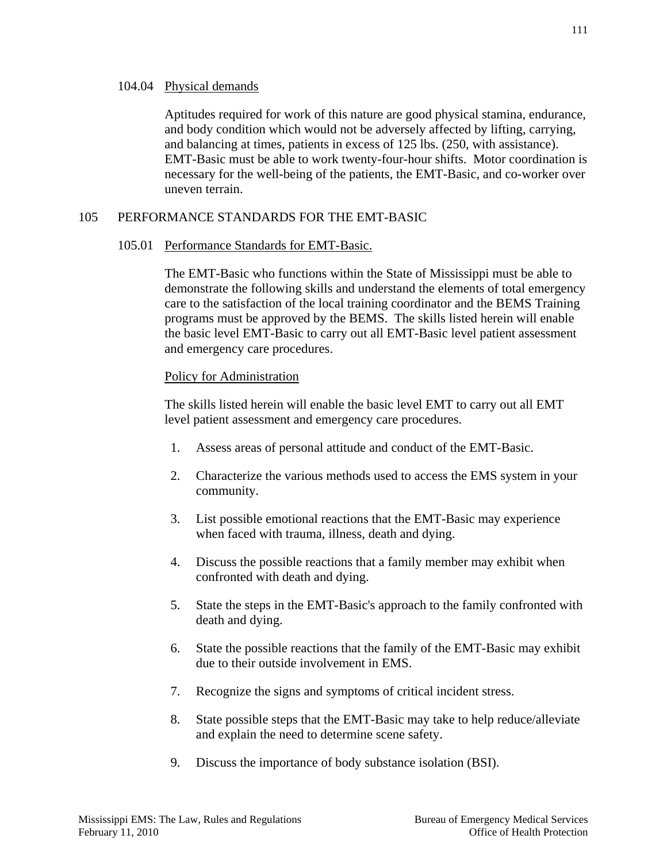### 104.04 Physical demands

Aptitudes required for work of this nature are good physical stamina, endurance, and body condition which would not be adversely affected by lifting, carrying, and balancing at times, patients in excess of 125 lbs. (250, with assistance). EMT-Basic must be able to work twenty-four-hour shifts. Motor coordination is necessary for the well-being of the patients, the EMT-Basic, and co-worker over uneven terrain.

### 105 PERFORMANCE STANDARDS FOR THE EMT-BASIC

## 105.01 Performance Standards for EMT-Basic.

The EMT-Basic who functions within the State of Mississippi must be able to demonstrate the following skills and understand the elements of total emergency care to the satisfaction of the local training coordinator and the BEMS Training programs must be approved by the BEMS. The skills listed herein will enable the basic level EMT-Basic to carry out all EMT-Basic level patient assessment and emergency care procedures.

## Policy for Administration

The skills listed herein will enable the basic level EMT to carry out all EMT level patient assessment and emergency care procedures.

- 1. Assess areas of personal attitude and conduct of the EMT-Basic.
- 2. Characterize the various methods used to access the EMS system in your community.
- 3. List possible emotional reactions that the EMT-Basic may experience when faced with trauma, illness, death and dying.
- 4. Discuss the possible reactions that a family member may exhibit when confronted with death and dying.
- 5. State the steps in the EMT-Basic's approach to the family confronted with death and dying.
- 6. State the possible reactions that the family of the EMT-Basic may exhibit due to their outside involvement in EMS.
- 7. Recognize the signs and symptoms of critical incident stress.
- 8. State possible steps that the EMT-Basic may take to help reduce/alleviate and explain the need to determine scene safety.
- 9. Discuss the importance of body substance isolation (BSI).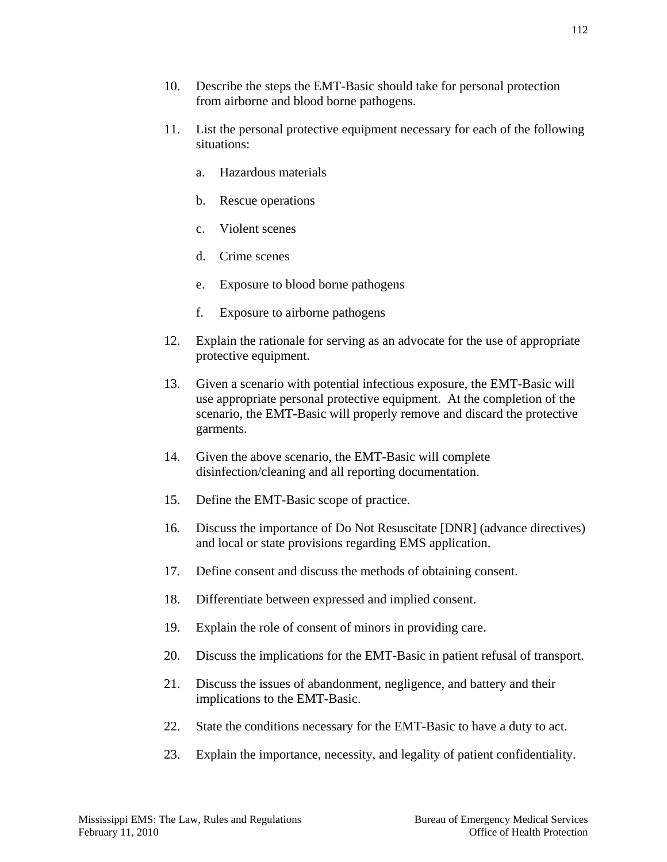- 10. Describe the steps the EMT-Basic should take for personal protection from airborne and blood borne pathogens.
- 11. List the personal protective equipment necessary for each of the following situations:
	- a. Hazardous materials
	- b. Rescue operations
	- c. Violent scenes
	- d. Crime scenes
	- e. Exposure to blood borne pathogens
	- f. Exposure to airborne pathogens
- 12. Explain the rationale for serving as an advocate for the use of appropriate protective equipment.
- 13. Given a scenario with potential infectious exposure, the EMT-Basic will use appropriate personal protective equipment. At the completion of the scenario, the EMT-Basic will properly remove and discard the protective garments.
- 14. Given the above scenario, the EMT-Basic will complete disinfection/cleaning and all reporting documentation.
- 15. Define the EMT-Basic scope of practice.
- 16. Discuss the importance of Do Not Resuscitate [DNR] (advance directives) and local or state provisions regarding EMS application.
- 17. Define consent and discuss the methods of obtaining consent.
- 18. Differentiate between expressed and implied consent.
- 19. Explain the role of consent of minors in providing care.
- 20. Discuss the implications for the EMT-Basic in patient refusal of transport.
- 21. Discuss the issues of abandonment, negligence, and battery and their implications to the EMT-Basic.
- 22. State the conditions necessary for the EMT-Basic to have a duty to act.
- 23. Explain the importance, necessity, and legality of patient confidentiality.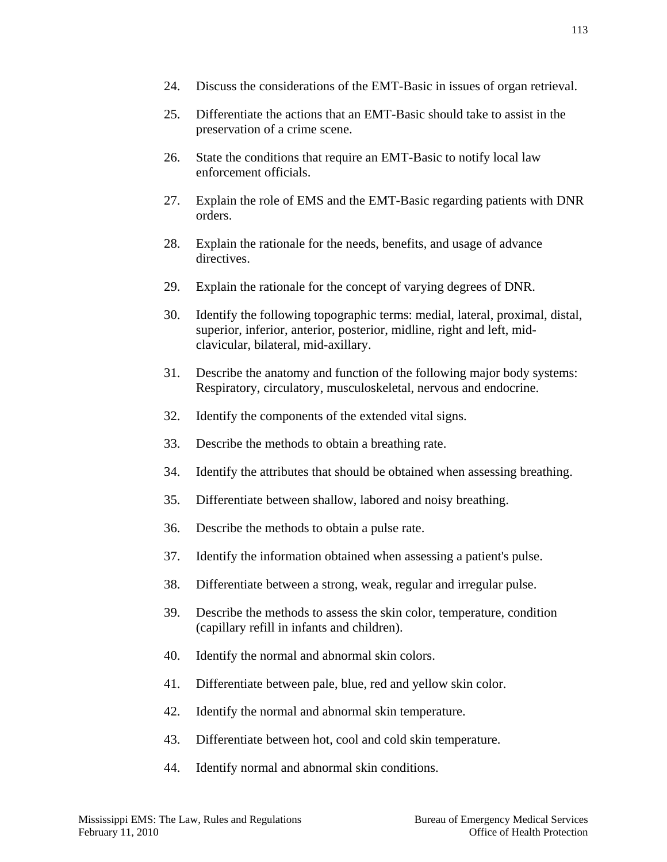- 24. Discuss the considerations of the EMT-Basic in issues of organ retrieval.
- 25. Differentiate the actions that an EMT-Basic should take to assist in the preservation of a crime scene.
- 26. State the conditions that require an EMT-Basic to notify local law enforcement officials.
- 27. Explain the role of EMS and the EMT-Basic regarding patients with DNR orders.
- 28. Explain the rationale for the needs, benefits, and usage of advance directives.
- 29. Explain the rationale for the concept of varying degrees of DNR.
- 30. Identify the following topographic terms: medial, lateral, proximal, distal, superior, inferior, anterior, posterior, midline, right and left, midclavicular, bilateral, mid-axillary.
- 31. Describe the anatomy and function of the following major body systems: Respiratory, circulatory, musculoskeletal, nervous and endocrine.
- 32. Identify the components of the extended vital signs.
- 33. Describe the methods to obtain a breathing rate.
- 34. Identify the attributes that should be obtained when assessing breathing.
- 35. Differentiate between shallow, labored and noisy breathing.
- 36. Describe the methods to obtain a pulse rate.
- 37. Identify the information obtained when assessing a patient's pulse.
- 38. Differentiate between a strong, weak, regular and irregular pulse.
- 39. Describe the methods to assess the skin color, temperature, condition (capillary refill in infants and children).
- 40. Identify the normal and abnormal skin colors.
- 41. Differentiate between pale, blue, red and yellow skin color.
- 42. Identify the normal and abnormal skin temperature.
- 43. Differentiate between hot, cool and cold skin temperature.
- 44. Identify normal and abnormal skin conditions.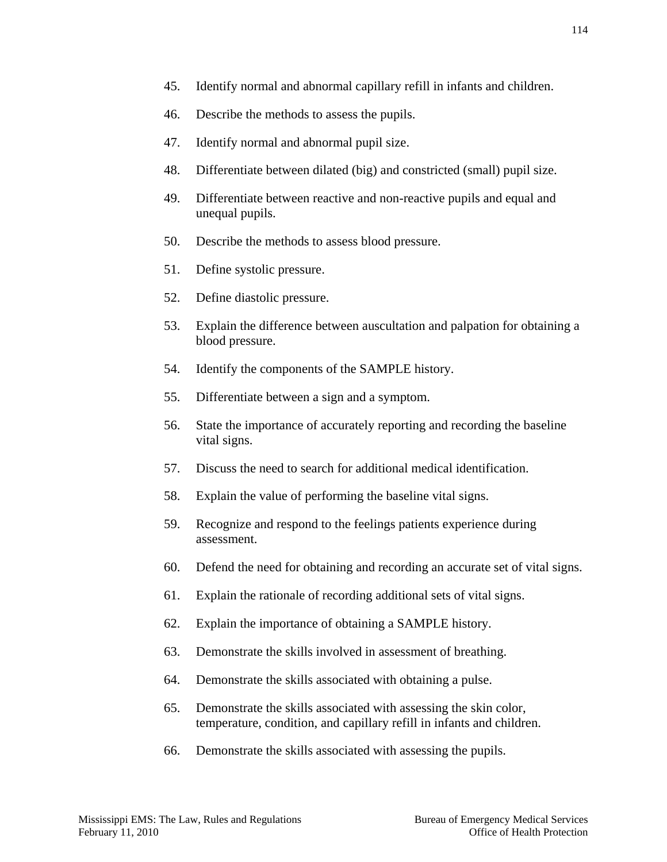- 45. Identify normal and abnormal capillary refill in infants and children.
- 46. Describe the methods to assess the pupils.
- 47. Identify normal and abnormal pupil size.
- 48. Differentiate between dilated (big) and constricted (small) pupil size.
- 49. Differentiate between reactive and non-reactive pupils and equal and unequal pupils.
- 50. Describe the methods to assess blood pressure.
- 51. Define systolic pressure.
- 52. Define diastolic pressure.
- 53. Explain the difference between auscultation and palpation for obtaining a blood pressure.
- 54. Identify the components of the SAMPLE history.
- 55. Differentiate between a sign and a symptom.
- 56. State the importance of accurately reporting and recording the baseline vital signs.
- 57. Discuss the need to search for additional medical identification.
- 58. Explain the value of performing the baseline vital signs.
- 59. Recognize and respond to the feelings patients experience during assessment.
- 60. Defend the need for obtaining and recording an accurate set of vital signs.
- 61. Explain the rationale of recording additional sets of vital signs.
- 62. Explain the importance of obtaining a SAMPLE history.
- 63. Demonstrate the skills involved in assessment of breathing.
- 64. Demonstrate the skills associated with obtaining a pulse.
- 65. Demonstrate the skills associated with assessing the skin color, temperature, condition, and capillary refill in infants and children.
- 66. Demonstrate the skills associated with assessing the pupils.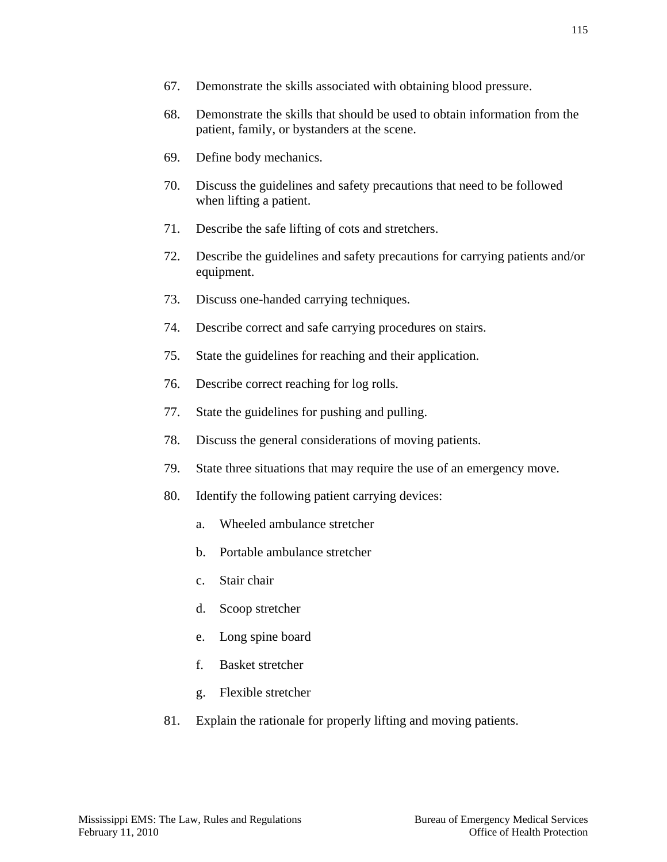- 67. Demonstrate the skills associated with obtaining blood pressure.
- 68. Demonstrate the skills that should be used to obtain information from the patient, family, or bystanders at the scene.
- 69. Define body mechanics.
- 70. Discuss the guidelines and safety precautions that need to be followed when lifting a patient.
- 71. Describe the safe lifting of cots and stretchers.
- 72. Describe the guidelines and safety precautions for carrying patients and/or equipment.
- 73. Discuss one-handed carrying techniques.
- 74. Describe correct and safe carrying procedures on stairs.
- 75. State the guidelines for reaching and their application.
- 76. Describe correct reaching for log rolls.
- 77. State the guidelines for pushing and pulling.
- 78. Discuss the general considerations of moving patients.
- 79. State three situations that may require the use of an emergency move.
- 80. Identify the following patient carrying devices:
	- a. Wheeled ambulance stretcher
	- b. Portable ambulance stretcher
	- c. Stair chair
	- d. Scoop stretcher
	- e. Long spine board
	- f. Basket stretcher
	- g. Flexible stretcher
- 81. Explain the rationale for properly lifting and moving patients.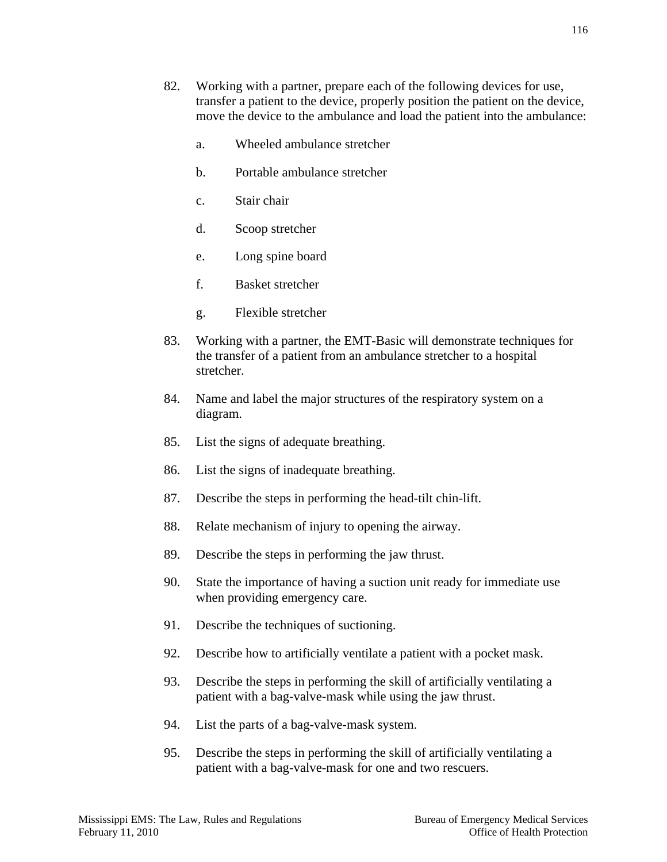- 82. Working with a partner, prepare each of the following devices for use, transfer a patient to the device, properly position the patient on the device, move the device to the ambulance and load the patient into the ambulance:
	- a. Wheeled ambulance stretcher
	- b. Portable ambulance stretcher
	- c. Stair chair
	- d. Scoop stretcher
	- e. Long spine board
	- f. Basket stretcher
	- g. Flexible stretcher
- 83. Working with a partner, the EMT-Basic will demonstrate techniques for the transfer of a patient from an ambulance stretcher to a hospital stretcher.
- 84. Name and label the major structures of the respiratory system on a diagram.
- 85. List the signs of adequate breathing.
- 86. List the signs of inadequate breathing.
- 87. Describe the steps in performing the head-tilt chin-lift.
- 88. Relate mechanism of injury to opening the airway.
- 89. Describe the steps in performing the jaw thrust.
- 90. State the importance of having a suction unit ready for immediate use when providing emergency care.
- 91. Describe the techniques of suctioning.
- 92. Describe how to artificially ventilate a patient with a pocket mask.
- 93. Describe the steps in performing the skill of artificially ventilating a patient with a bag-valve-mask while using the jaw thrust.
- 94. List the parts of a bag-valve-mask system.
- 95. Describe the steps in performing the skill of artificially ventilating a patient with a bag-valve-mask for one and two rescuers.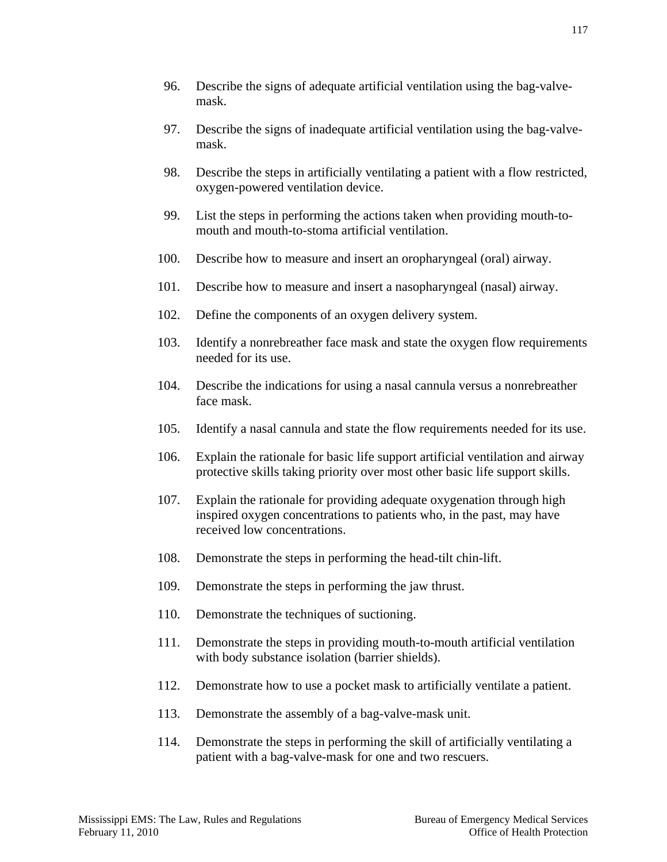- 96. Describe the signs of adequate artificial ventilation using the bag-valvemask.
- 97. Describe the signs of inadequate artificial ventilation using the bag-valvemask.
- 98. Describe the steps in artificially ventilating a patient with a flow restricted, oxygen-powered ventilation device.
- 99. List the steps in performing the actions taken when providing mouth-tomouth and mouth-to-stoma artificial ventilation.
- 100. Describe how to measure and insert an oropharyngeal (oral) airway.
- 101. Describe how to measure and insert a nasopharyngeal (nasal) airway.
- 102. Define the components of an oxygen delivery system.
- 103. Identify a nonrebreather face mask and state the oxygen flow requirements needed for its use.
- 104. Describe the indications for using a nasal cannula versus a nonrebreather face mask.
- 105. Identify a nasal cannula and state the flow requirements needed for its use.
- 106. Explain the rationale for basic life support artificial ventilation and airway protective skills taking priority over most other basic life support skills.
- 107. Explain the rationale for providing adequate oxygenation through high inspired oxygen concentrations to patients who, in the past, may have received low concentrations.
- 108. Demonstrate the steps in performing the head-tilt chin-lift.
- 109. Demonstrate the steps in performing the jaw thrust.
- 110. Demonstrate the techniques of suctioning.
- 111. Demonstrate the steps in providing mouth-to-mouth artificial ventilation with body substance isolation (barrier shields).
- 112. Demonstrate how to use a pocket mask to artificially ventilate a patient.
- 113. Demonstrate the assembly of a bag-valve-mask unit.
- 114. Demonstrate the steps in performing the skill of artificially ventilating a patient with a bag-valve-mask for one and two rescuers.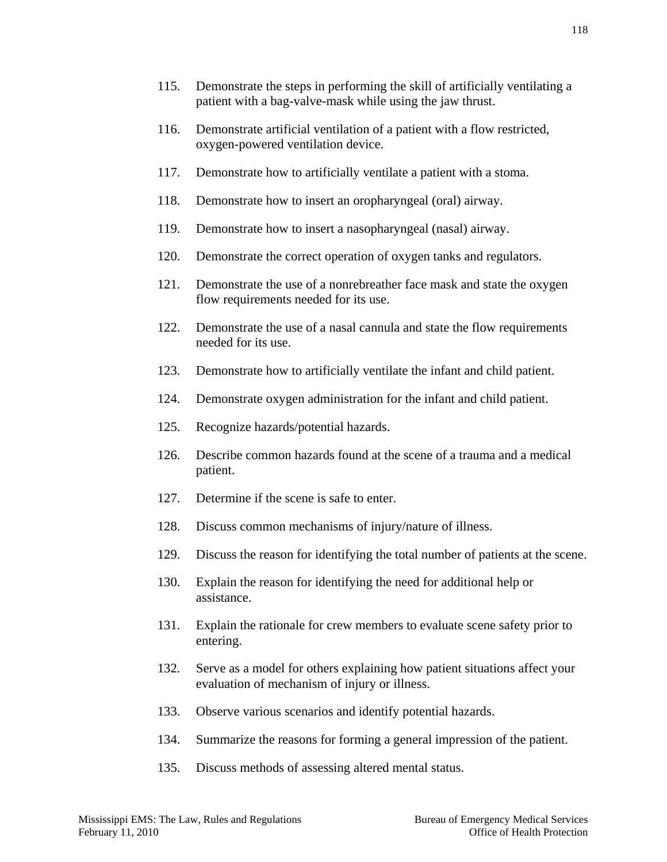- 115. Demonstrate the steps in performing the skill of artificially ventilating a patient with a bag-valve-mask while using the jaw thrust.
- 116. Demonstrate artificial ventilation of a patient with a flow restricted, oxygen-powered ventilation device.
- 117. Demonstrate how to artificially ventilate a patient with a stoma.
- 118. Demonstrate how to insert an oropharyngeal (oral) airway.
- 119. Demonstrate how to insert a nasopharyngeal (nasal) airway.
- 120. Demonstrate the correct operation of oxygen tanks and regulators.
- 121. Demonstrate the use of a nonrebreather face mask and state the oxygen flow requirements needed for its use.
- 122. Demonstrate the use of a nasal cannula and state the flow requirements needed for its use.
- 123. Demonstrate how to artificially ventilate the infant and child patient.
- 124. Demonstrate oxygen administration for the infant and child patient.
- 125. Recognize hazards/potential hazards.
- 126. Describe common hazards found at the scene of a trauma and a medical patient.
- 127. Determine if the scene is safe to enter.
- 128. Discuss common mechanisms of injury/nature of illness.
- 129. Discuss the reason for identifying the total number of patients at the scene.
- 130. Explain the reason for identifying the need for additional help or assistance.
- 131. Explain the rationale for crew members to evaluate scene safety prior to entering.
- 132. Serve as a model for others explaining how patient situations affect your evaluation of mechanism of injury or illness.
- 133. Observe various scenarios and identify potential hazards.
- 134. Summarize the reasons for forming a general impression of the patient.
- 135. Discuss methods of assessing altered mental status.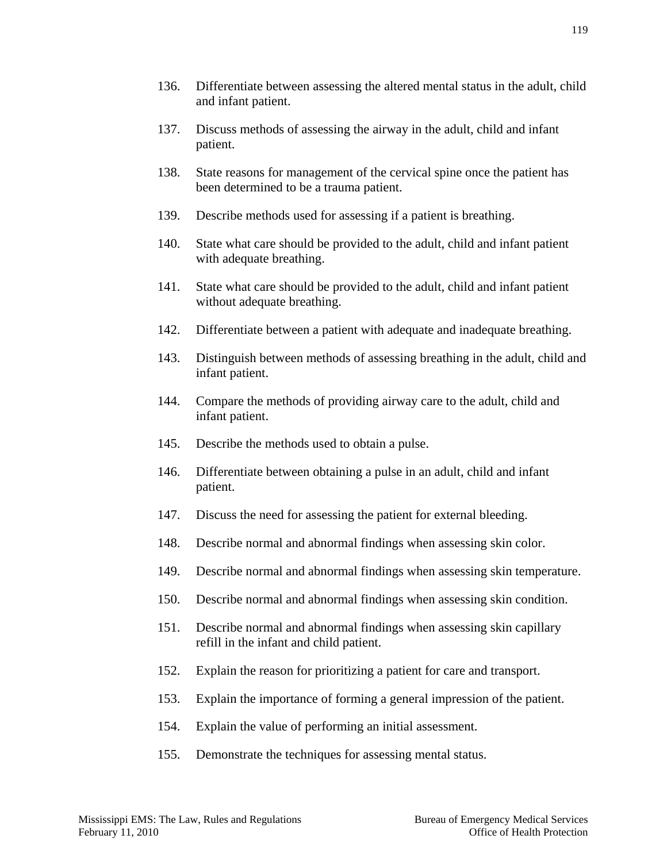- 136. Differentiate between assessing the altered mental status in the adult, child and infant patient.
- 137. Discuss methods of assessing the airway in the adult, child and infant patient.
- 138. State reasons for management of the cervical spine once the patient has been determined to be a trauma patient.
- 139. Describe methods used for assessing if a patient is breathing.
- 140. State what care should be provided to the adult, child and infant patient with adequate breathing.
- 141. State what care should be provided to the adult, child and infant patient without adequate breathing.
- 142. Differentiate between a patient with adequate and inadequate breathing.
- 143. Distinguish between methods of assessing breathing in the adult, child and infant patient.
- 144. Compare the methods of providing airway care to the adult, child and infant patient.
- 145. Describe the methods used to obtain a pulse.
- 146. Differentiate between obtaining a pulse in an adult, child and infant patient.
- 147. Discuss the need for assessing the patient for external bleeding.
- 148. Describe normal and abnormal findings when assessing skin color.
- 149. Describe normal and abnormal findings when assessing skin temperature.
- 150. Describe normal and abnormal findings when assessing skin condition.
- 151. Describe normal and abnormal findings when assessing skin capillary refill in the infant and child patient.
- 152. Explain the reason for prioritizing a patient for care and transport.
- 153. Explain the importance of forming a general impression of the patient.
- 154. Explain the value of performing an initial assessment.
- 155. Demonstrate the techniques for assessing mental status.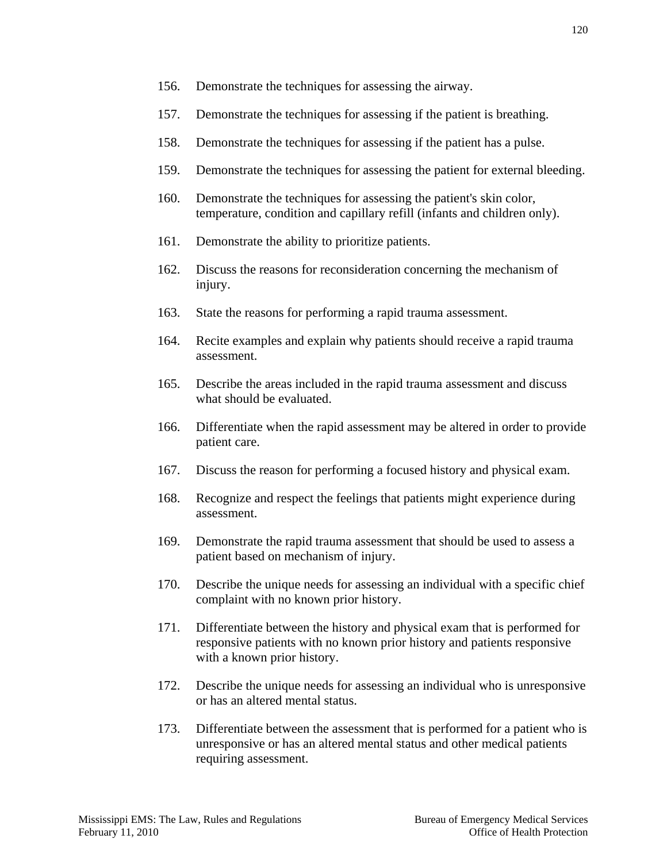- 156. Demonstrate the techniques for assessing the airway.
- 157. Demonstrate the techniques for assessing if the patient is breathing.
- 158. Demonstrate the techniques for assessing if the patient has a pulse.
- 159. Demonstrate the techniques for assessing the patient for external bleeding.
- 160. Demonstrate the techniques for assessing the patient's skin color, temperature, condition and capillary refill (infants and children only).
- 161. Demonstrate the ability to prioritize patients.
- 162. Discuss the reasons for reconsideration concerning the mechanism of injury.
- 163. State the reasons for performing a rapid trauma assessment.
- 164. Recite examples and explain why patients should receive a rapid trauma assessment.
- 165. Describe the areas included in the rapid trauma assessment and discuss what should be evaluated.
- 166. Differentiate when the rapid assessment may be altered in order to provide patient care.
- 167. Discuss the reason for performing a focused history and physical exam.
- 168. Recognize and respect the feelings that patients might experience during assessment.
- 169. Demonstrate the rapid trauma assessment that should be used to assess a patient based on mechanism of injury.
- 170. Describe the unique needs for assessing an individual with a specific chief complaint with no known prior history.
- 171. Differentiate between the history and physical exam that is performed for responsive patients with no known prior history and patients responsive with a known prior history.
- 172. Describe the unique needs for assessing an individual who is unresponsive or has an altered mental status.
- 173. Differentiate between the assessment that is performed for a patient who is unresponsive or has an altered mental status and other medical patients requiring assessment.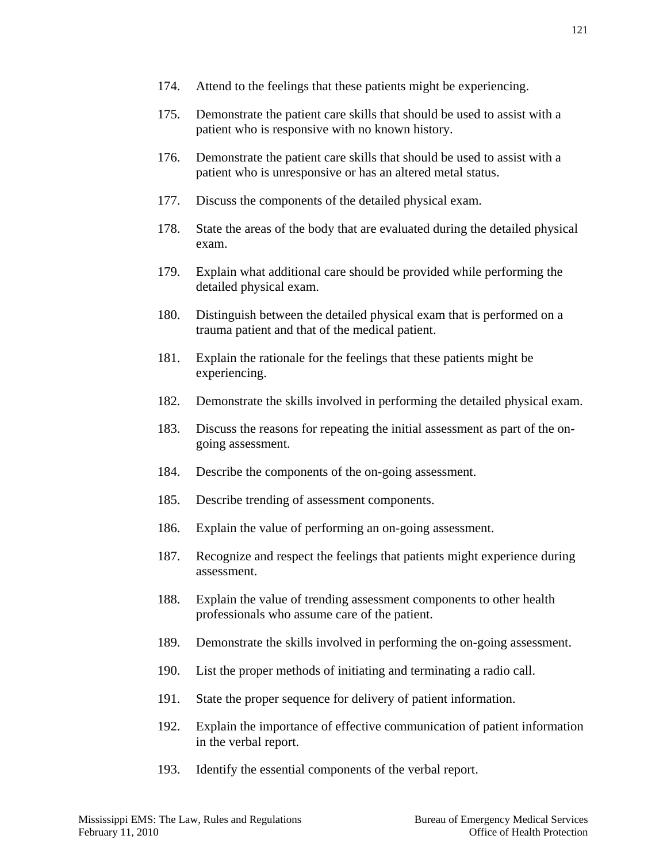- 174. Attend to the feelings that these patients might be experiencing.
- 175. Demonstrate the patient care skills that should be used to assist with a patient who is responsive with no known history.
- 176. Demonstrate the patient care skills that should be used to assist with a patient who is unresponsive or has an altered metal status.
- 177. Discuss the components of the detailed physical exam.
- 178. State the areas of the body that are evaluated during the detailed physical exam.
- 179. Explain what additional care should be provided while performing the detailed physical exam.
- 180. Distinguish between the detailed physical exam that is performed on a trauma patient and that of the medical patient.
- 181. Explain the rationale for the feelings that these patients might be experiencing.
- 182. Demonstrate the skills involved in performing the detailed physical exam.
- 183. Discuss the reasons for repeating the initial assessment as part of the ongoing assessment.
- 184. Describe the components of the on-going assessment.
- 185. Describe trending of assessment components.
- 186. Explain the value of performing an on-going assessment.
- 187. Recognize and respect the feelings that patients might experience during assessment.
- 188. Explain the value of trending assessment components to other health professionals who assume care of the patient.
- 189. Demonstrate the skills involved in performing the on-going assessment.
- 190. List the proper methods of initiating and terminating a radio call.
- 191. State the proper sequence for delivery of patient information.
- 192. Explain the importance of effective communication of patient information in the verbal report.
- 193. Identify the essential components of the verbal report.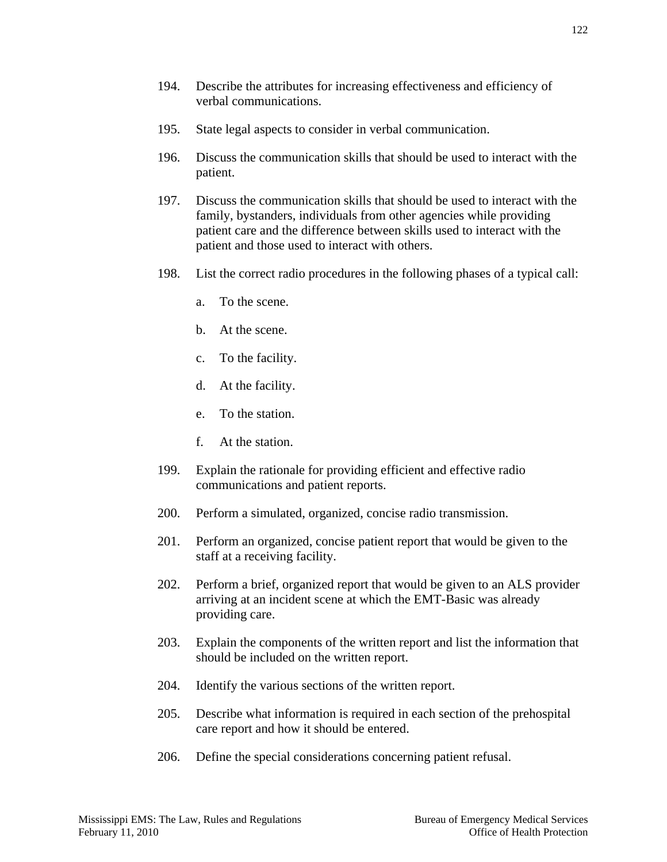- 194. Describe the attributes for increasing effectiveness and efficiency of verbal communications.
- 195. State legal aspects to consider in verbal communication.
- 196. Discuss the communication skills that should be used to interact with the patient.
- 197. Discuss the communication skills that should be used to interact with the family, bystanders, individuals from other agencies while providing patient care and the difference between skills used to interact with the patient and those used to interact with others.
- 198. List the correct radio procedures in the following phases of a typical call:
	- a. To the scene.
	- b. At the scene.
	- c. To the facility.
	- d. At the facility.
	- e. To the station.
	- f. At the station.
- 199. Explain the rationale for providing efficient and effective radio communications and patient reports.
- 200. Perform a simulated, organized, concise radio transmission.
- 201. Perform an organized, concise patient report that would be given to the staff at a receiving facility.
- 202. Perform a brief, organized report that would be given to an ALS provider arriving at an incident scene at which the EMT-Basic was already providing care.
- 203. Explain the components of the written report and list the information that should be included on the written report.
- 204. Identify the various sections of the written report.
- 205. Describe what information is required in each section of the prehospital care report and how it should be entered.
- 206. Define the special considerations concerning patient refusal.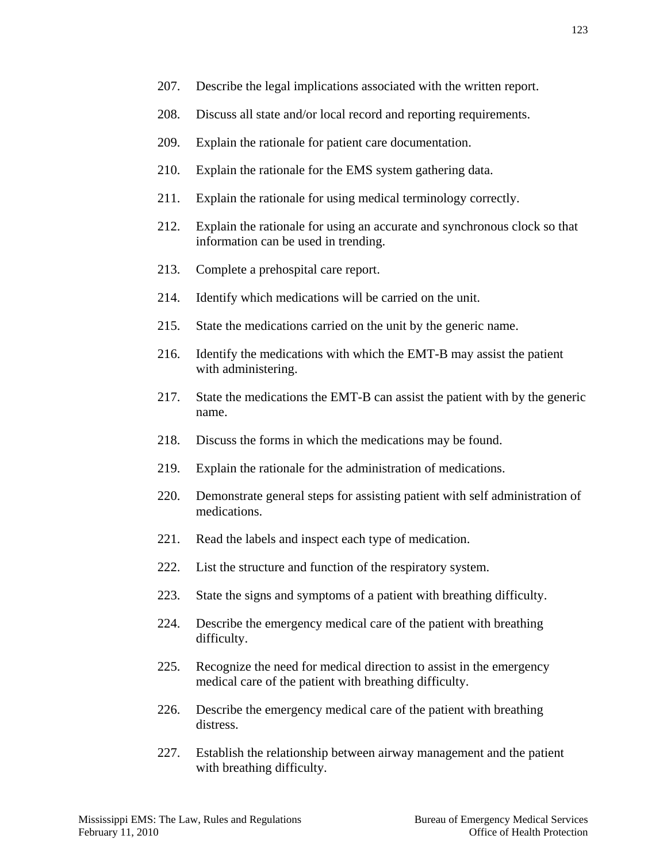- 207. Describe the legal implications associated with the written report.
- 208. Discuss all state and/or local record and reporting requirements.
- 209. Explain the rationale for patient care documentation.
- 210. Explain the rationale for the EMS system gathering data.
- 211. Explain the rationale for using medical terminology correctly.
- 212. Explain the rationale for using an accurate and synchronous clock so that information can be used in trending.
- 213. Complete a prehospital care report.
- 214. Identify which medications will be carried on the unit.
- 215. State the medications carried on the unit by the generic name.
- 216. Identify the medications with which the EMT-B may assist the patient with administering.
- 217. State the medications the EMT-B can assist the patient with by the generic name.
- 218. Discuss the forms in which the medications may be found.
- 219. Explain the rationale for the administration of medications.
- 220. Demonstrate general steps for assisting patient with self administration of medications.
- 221. Read the labels and inspect each type of medication.
- 222. List the structure and function of the respiratory system.
- 223. State the signs and symptoms of a patient with breathing difficulty.
- 224. Describe the emergency medical care of the patient with breathing difficulty.
- 225. Recognize the need for medical direction to assist in the emergency medical care of the patient with breathing difficulty.
- 226. Describe the emergency medical care of the patient with breathing distress.
- 227. Establish the relationship between airway management and the patient with breathing difficulty.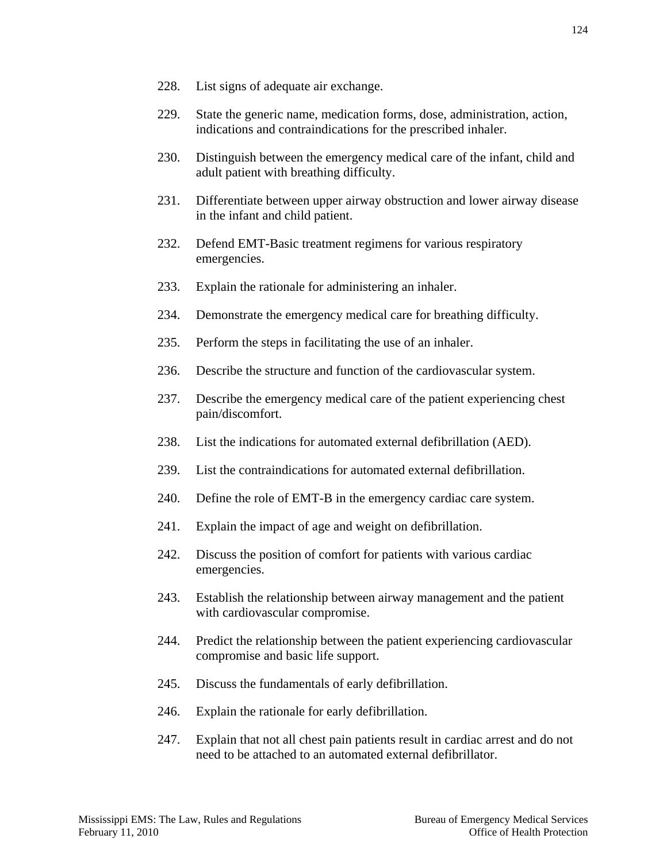124

- 228. List signs of adequate air exchange.
- 229. State the generic name, medication forms, dose, administration, action, indications and contraindications for the prescribed inhaler.
- 230. Distinguish between the emergency medical care of the infant, child and adult patient with breathing difficulty.
- 231. Differentiate between upper airway obstruction and lower airway disease in the infant and child patient.
- 232. Defend EMT-Basic treatment regimens for various respiratory emergencies.
- 233. Explain the rationale for administering an inhaler.
- 234. Demonstrate the emergency medical care for breathing difficulty.
- 235. Perform the steps in facilitating the use of an inhaler.
- 236. Describe the structure and function of the cardiovascular system.
- 237. Describe the emergency medical care of the patient experiencing chest pain/discomfort.
- 238. List the indications for automated external defibrillation (AED).
- 239. List the contraindications for automated external defibrillation.
- 240. Define the role of EMT-B in the emergency cardiac care system.
- 241. Explain the impact of age and weight on defibrillation.
- 242. Discuss the position of comfort for patients with various cardiac emergencies.
- 243. Establish the relationship between airway management and the patient with cardiovascular compromise.
- 244. Predict the relationship between the patient experiencing cardiovascular compromise and basic life support.
- 245. Discuss the fundamentals of early defibrillation.
- 246. Explain the rationale for early defibrillation.
- 247. Explain that not all chest pain patients result in cardiac arrest and do not need to be attached to an automated external defibrillator.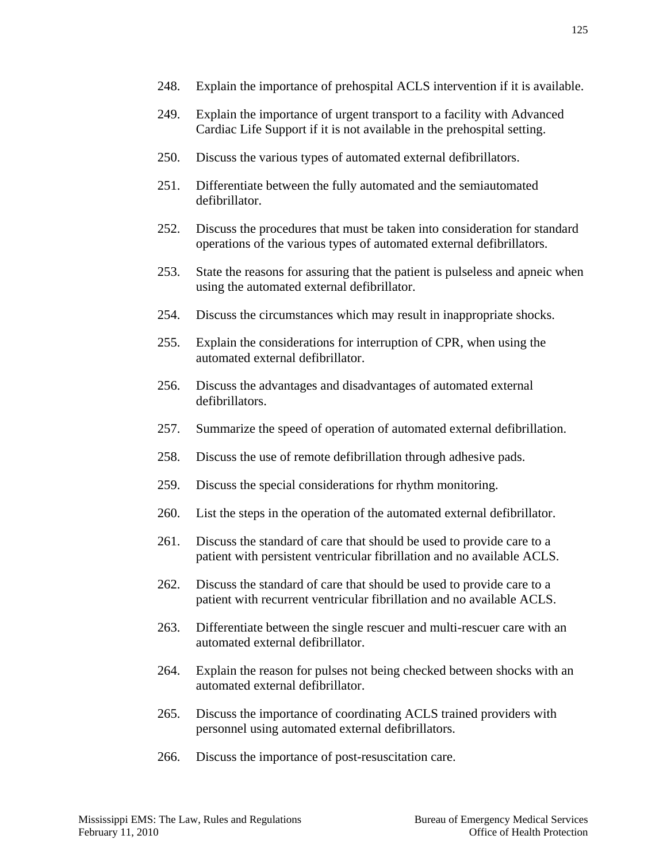- 248. Explain the importance of prehospital ACLS intervention if it is available.
- 249. Explain the importance of urgent transport to a facility with Advanced Cardiac Life Support if it is not available in the prehospital setting.
- 250. Discuss the various types of automated external defibrillators.
- 251. Differentiate between the fully automated and the semiautomated defibrillator.
- 252. Discuss the procedures that must be taken into consideration for standard operations of the various types of automated external defibrillators.
- 253. State the reasons for assuring that the patient is pulseless and apneic when using the automated external defibrillator.
- 254. Discuss the circumstances which may result in inappropriate shocks.
- 255. Explain the considerations for interruption of CPR, when using the automated external defibrillator.
- 256. Discuss the advantages and disadvantages of automated external defibrillators.
- 257. Summarize the speed of operation of automated external defibrillation.
- 258. Discuss the use of remote defibrillation through adhesive pads.
- 259. Discuss the special considerations for rhythm monitoring.
- 260. List the steps in the operation of the automated external defibrillator.
- 261. Discuss the standard of care that should be used to provide care to a patient with persistent ventricular fibrillation and no available ACLS.
- 262. Discuss the standard of care that should be used to provide care to a patient with recurrent ventricular fibrillation and no available ACLS.
- 263. Differentiate between the single rescuer and multi-rescuer care with an automated external defibrillator.
- 264. Explain the reason for pulses not being checked between shocks with an automated external defibrillator.
- 265. Discuss the importance of coordinating ACLS trained providers with personnel using automated external defibrillators.
- 266. Discuss the importance of post-resuscitation care.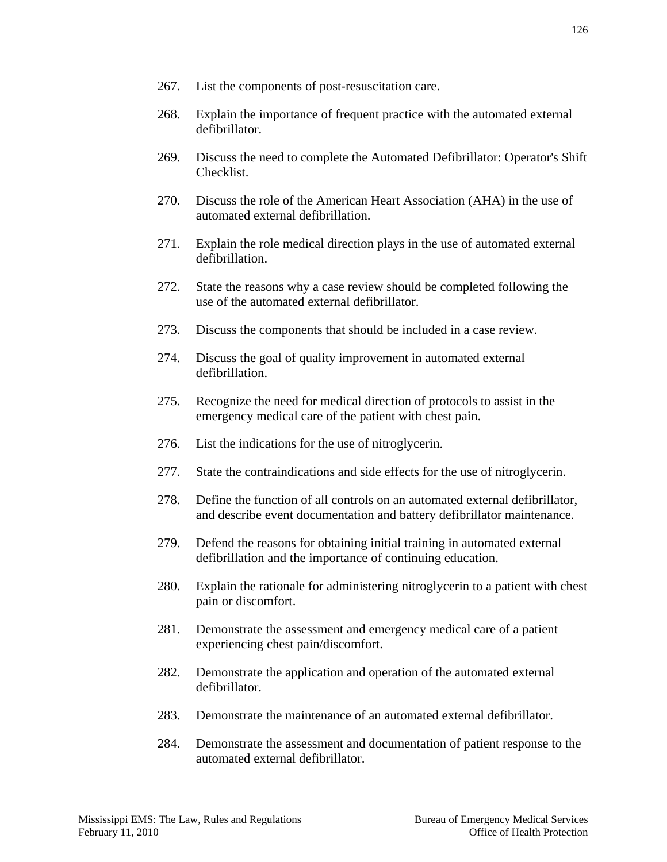- 267. List the components of post-resuscitation care.
- 268. Explain the importance of frequent practice with the automated external defibrillator.
- 269. Discuss the need to complete the Automated Defibrillator: Operator's Shift Checklist.
- 270. Discuss the role of the American Heart Association (AHA) in the use of automated external defibrillation.
- 271. Explain the role medical direction plays in the use of automated external defibrillation.
- 272. State the reasons why a case review should be completed following the use of the automated external defibrillator.
- 273. Discuss the components that should be included in a case review.
- 274. Discuss the goal of quality improvement in automated external defibrillation.
- 275. Recognize the need for medical direction of protocols to assist in the emergency medical care of the patient with chest pain.
- 276. List the indications for the use of nitroglycerin.
- 277. State the contraindications and side effects for the use of nitroglycerin.
- 278. Define the function of all controls on an automated external defibrillator, and describe event documentation and battery defibrillator maintenance.
- 279. Defend the reasons for obtaining initial training in automated external defibrillation and the importance of continuing education.
- 280. Explain the rationale for administering nitroglycerin to a patient with chest pain or discomfort.
- 281. Demonstrate the assessment and emergency medical care of a patient experiencing chest pain/discomfort.
- 282. Demonstrate the application and operation of the automated external defibrillator.
- 283. Demonstrate the maintenance of an automated external defibrillator.
- 284. Demonstrate the assessment and documentation of patient response to the automated external defibrillator.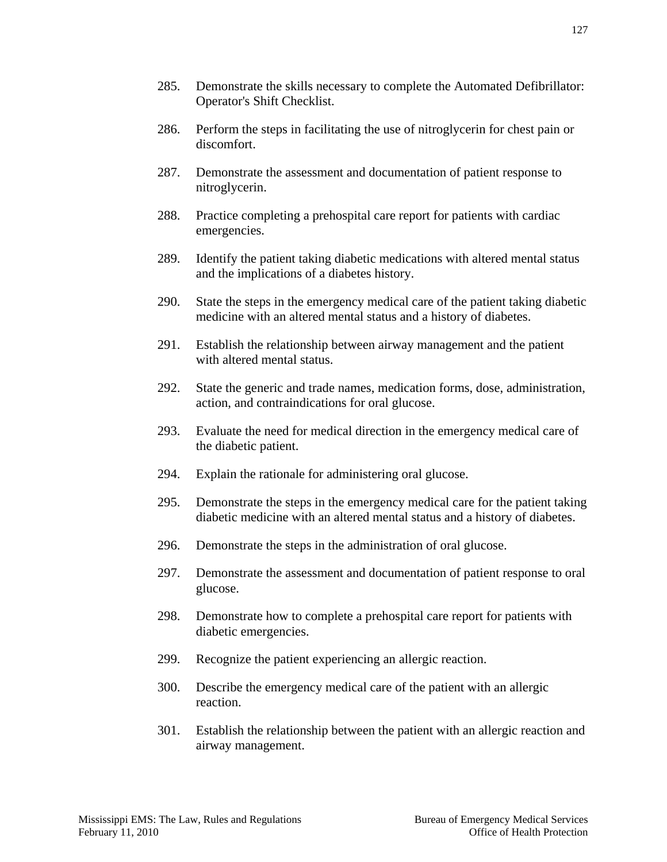- 285. Demonstrate the skills necessary to complete the Automated Defibrillator: Operator's Shift Checklist.
- 286. Perform the steps in facilitating the use of nitroglycerin for chest pain or discomfort.
- 287. Demonstrate the assessment and documentation of patient response to nitroglycerin.
- 288. Practice completing a prehospital care report for patients with cardiac emergencies.
- 289. Identify the patient taking diabetic medications with altered mental status and the implications of a diabetes history.
- 290. State the steps in the emergency medical care of the patient taking diabetic medicine with an altered mental status and a history of diabetes.
- 291. Establish the relationship between airway management and the patient with altered mental status.
- 292. State the generic and trade names, medication forms, dose, administration, action, and contraindications for oral glucose.
- 293. Evaluate the need for medical direction in the emergency medical care of the diabetic patient.
- 294. Explain the rationale for administering oral glucose.
- 295. Demonstrate the steps in the emergency medical care for the patient taking diabetic medicine with an altered mental status and a history of diabetes.
- 296. Demonstrate the steps in the administration of oral glucose.
- 297. Demonstrate the assessment and documentation of patient response to oral glucose.
- 298. Demonstrate how to complete a prehospital care report for patients with diabetic emergencies.
- 299. Recognize the patient experiencing an allergic reaction.
- 300. Describe the emergency medical care of the patient with an allergic reaction.
- 301. Establish the relationship between the patient with an allergic reaction and airway management.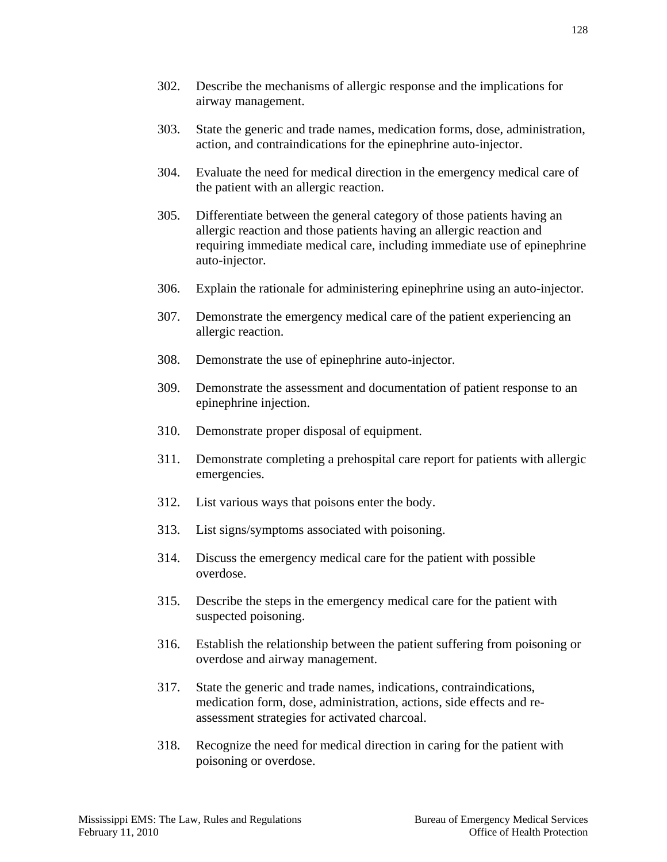- 302. Describe the mechanisms of allergic response and the implications for airway management.
- 303. State the generic and trade names, medication forms, dose, administration, action, and contraindications for the epinephrine auto-injector.
- 304. Evaluate the need for medical direction in the emergency medical care of the patient with an allergic reaction.
- 305. Differentiate between the general category of those patients having an allergic reaction and those patients having an allergic reaction and requiring immediate medical care, including immediate use of epinephrine auto-injector.
- 306. Explain the rationale for administering epinephrine using an auto-injector.
- 307. Demonstrate the emergency medical care of the patient experiencing an allergic reaction.
- 308. Demonstrate the use of epinephrine auto-injector.
- 309. Demonstrate the assessment and documentation of patient response to an epinephrine injection.
- 310. Demonstrate proper disposal of equipment.
- 311. Demonstrate completing a prehospital care report for patients with allergic emergencies.
- 312. List various ways that poisons enter the body.
- 313. List signs/symptoms associated with poisoning.
- 314. Discuss the emergency medical care for the patient with possible overdose.
- 315. Describe the steps in the emergency medical care for the patient with suspected poisoning.
- 316. Establish the relationship between the patient suffering from poisoning or overdose and airway management.
- 317. State the generic and trade names, indications, contraindications, medication form, dose, administration, actions, side effects and reassessment strategies for activated charcoal.
- 318. Recognize the need for medical direction in caring for the patient with poisoning or overdose.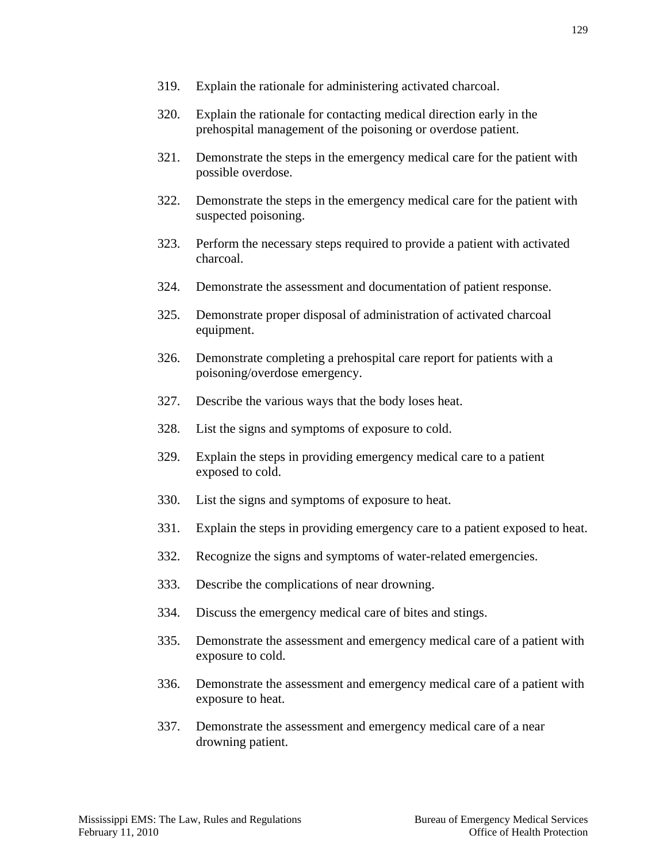- 319. Explain the rationale for administering activated charcoal.
- 320. Explain the rationale for contacting medical direction early in the prehospital management of the poisoning or overdose patient.
- 321. Demonstrate the steps in the emergency medical care for the patient with possible overdose.
- 322. Demonstrate the steps in the emergency medical care for the patient with suspected poisoning.
- 323. Perform the necessary steps required to provide a patient with activated charcoal.
- 324. Demonstrate the assessment and documentation of patient response.
- 325. Demonstrate proper disposal of administration of activated charcoal equipment.
- 326. Demonstrate completing a prehospital care report for patients with a poisoning/overdose emergency.
- 327. Describe the various ways that the body loses heat.
- 328. List the signs and symptoms of exposure to cold.
- 329. Explain the steps in providing emergency medical care to a patient exposed to cold.
- 330. List the signs and symptoms of exposure to heat.
- 331. Explain the steps in providing emergency care to a patient exposed to heat.
- 332. Recognize the signs and symptoms of water-related emergencies.
- 333. Describe the complications of near drowning.
- 334. Discuss the emergency medical care of bites and stings.
- 335. Demonstrate the assessment and emergency medical care of a patient with exposure to cold.
- 336. Demonstrate the assessment and emergency medical care of a patient with exposure to heat.
- 337. Demonstrate the assessment and emergency medical care of a near drowning patient.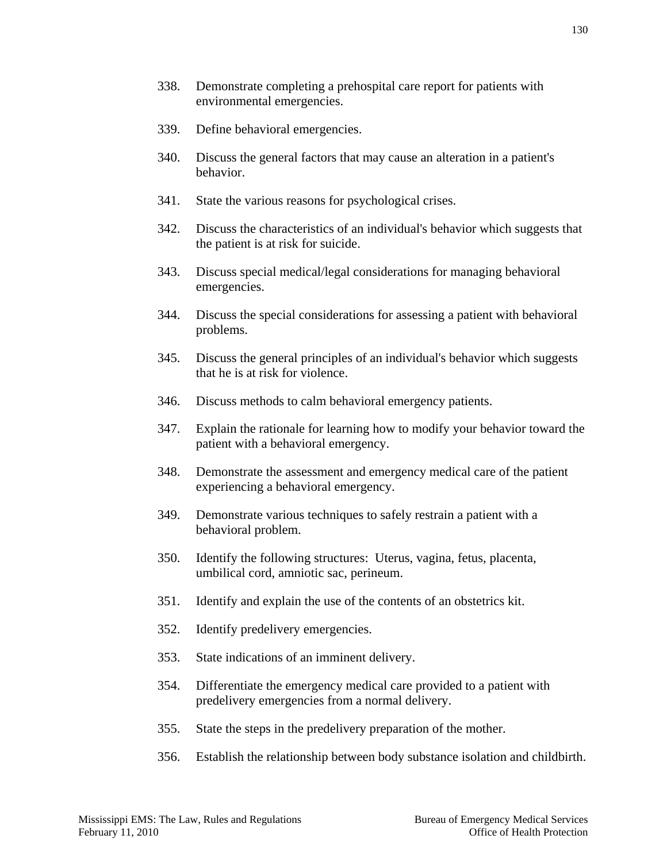- 338. Demonstrate completing a prehospital care report for patients with environmental emergencies.
- 339. Define behavioral emergencies.
- 340. Discuss the general factors that may cause an alteration in a patient's behavior.
- 341. State the various reasons for psychological crises.
- 342. Discuss the characteristics of an individual's behavior which suggests that the patient is at risk for suicide.
- 343. Discuss special medical/legal considerations for managing behavioral emergencies.
- 344. Discuss the special considerations for assessing a patient with behavioral problems.
- 345. Discuss the general principles of an individual's behavior which suggests that he is at risk for violence.
- 346. Discuss methods to calm behavioral emergency patients.
- 347. Explain the rationale for learning how to modify your behavior toward the patient with a behavioral emergency.
- 348. Demonstrate the assessment and emergency medical care of the patient experiencing a behavioral emergency.
- 349. Demonstrate various techniques to safely restrain a patient with a behavioral problem.
- 350. Identify the following structures: Uterus, vagina, fetus, placenta, umbilical cord, amniotic sac, perineum.
- 351. Identify and explain the use of the contents of an obstetrics kit.
- 352. Identify predelivery emergencies.
- 353. State indications of an imminent delivery.
- 354. Differentiate the emergency medical care provided to a patient with predelivery emergencies from a normal delivery.
- 355. State the steps in the predelivery preparation of the mother.
- 356. Establish the relationship between body substance isolation and childbirth.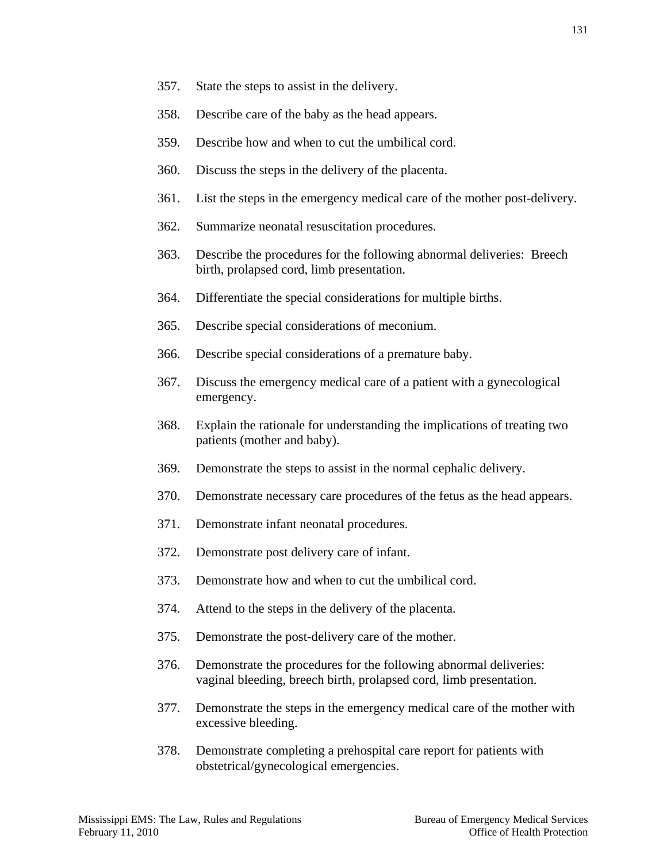- 358. Describe care of the baby as the head appears.
- 359. Describe how and when to cut the umbilical cord.
- 360. Discuss the steps in the delivery of the placenta.
- 361. List the steps in the emergency medical care of the mother post-delivery.
- 362. Summarize neonatal resuscitation procedures.
- 363. Describe the procedures for the following abnormal deliveries: Breech birth, prolapsed cord, limb presentation.
- 364. Differentiate the special considerations for multiple births.
- 365. Describe special considerations of meconium.
- 366. Describe special considerations of a premature baby.
- 367. Discuss the emergency medical care of a patient with a gynecological emergency.
- 368. Explain the rationale for understanding the implications of treating two patients (mother and baby).
- 369. Demonstrate the steps to assist in the normal cephalic delivery.
- 370. Demonstrate necessary care procedures of the fetus as the head appears.
- 371. Demonstrate infant neonatal procedures.
- 372. Demonstrate post delivery care of infant.
- 373. Demonstrate how and when to cut the umbilical cord.
- 374. Attend to the steps in the delivery of the placenta.
- 375. Demonstrate the post-delivery care of the mother.
- 376. Demonstrate the procedures for the following abnormal deliveries: vaginal bleeding, breech birth, prolapsed cord, limb presentation.
- 377. Demonstrate the steps in the emergency medical care of the mother with excessive bleeding.
- 378. Demonstrate completing a prehospital care report for patients with obstetrical/gynecological emergencies.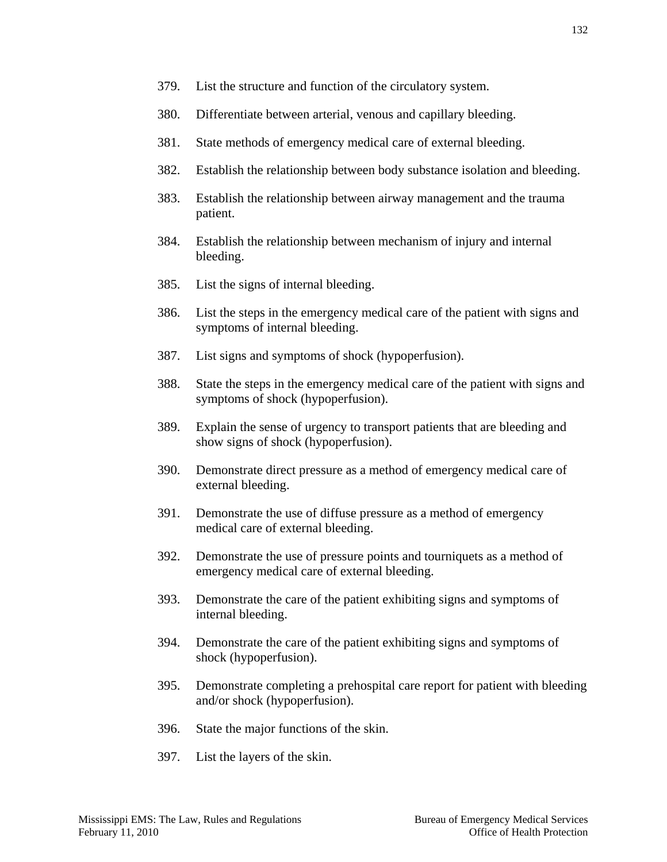- 379. List the structure and function of the circulatory system.
- 380. Differentiate between arterial, venous and capillary bleeding.
- 381. State methods of emergency medical care of external bleeding.
- 382. Establish the relationship between body substance isolation and bleeding.
- 383. Establish the relationship between airway management and the trauma patient.
- 384. Establish the relationship between mechanism of injury and internal bleeding.
- 385. List the signs of internal bleeding.
- 386. List the steps in the emergency medical care of the patient with signs and symptoms of internal bleeding.
- 387. List signs and symptoms of shock (hypoperfusion).
- 388. State the steps in the emergency medical care of the patient with signs and symptoms of shock (hypoperfusion).
- 389. Explain the sense of urgency to transport patients that are bleeding and show signs of shock (hypoperfusion).
- 390. Demonstrate direct pressure as a method of emergency medical care of external bleeding.
- 391. Demonstrate the use of diffuse pressure as a method of emergency medical care of external bleeding.
- 392. Demonstrate the use of pressure points and tourniquets as a method of emergency medical care of external bleeding.
- 393. Demonstrate the care of the patient exhibiting signs and symptoms of internal bleeding.
- 394. Demonstrate the care of the patient exhibiting signs and symptoms of shock (hypoperfusion).
- 395. Demonstrate completing a prehospital care report for patient with bleeding and/or shock (hypoperfusion).
- 396. State the major functions of the skin.
- 397. List the layers of the skin.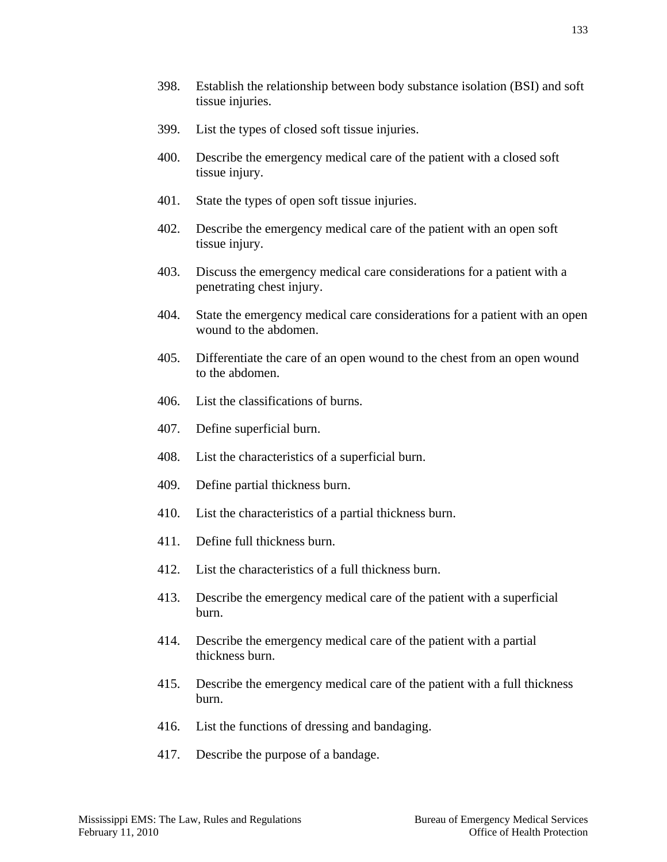- 398. Establish the relationship between body substance isolation (BSI) and soft tissue injuries.
- 399. List the types of closed soft tissue injuries.
- 400. Describe the emergency medical care of the patient with a closed soft tissue injury.
- 401. State the types of open soft tissue injuries.
- 402. Describe the emergency medical care of the patient with an open soft tissue injury.
- 403. Discuss the emergency medical care considerations for a patient with a penetrating chest injury.
- 404. State the emergency medical care considerations for a patient with an open wound to the abdomen.
- 405. Differentiate the care of an open wound to the chest from an open wound to the abdomen.
- 406. List the classifications of burns.
- 407. Define superficial burn.
- 408. List the characteristics of a superficial burn.
- 409. Define partial thickness burn.
- 410. List the characteristics of a partial thickness burn.
- 411. Define full thickness burn.
- 412. List the characteristics of a full thickness burn.
- 413. Describe the emergency medical care of the patient with a superficial burn.
- 414. Describe the emergency medical care of the patient with a partial thickness burn.
- 415. Describe the emergency medical care of the patient with a full thickness burn.
- 416. List the functions of dressing and bandaging.
- 417. Describe the purpose of a bandage.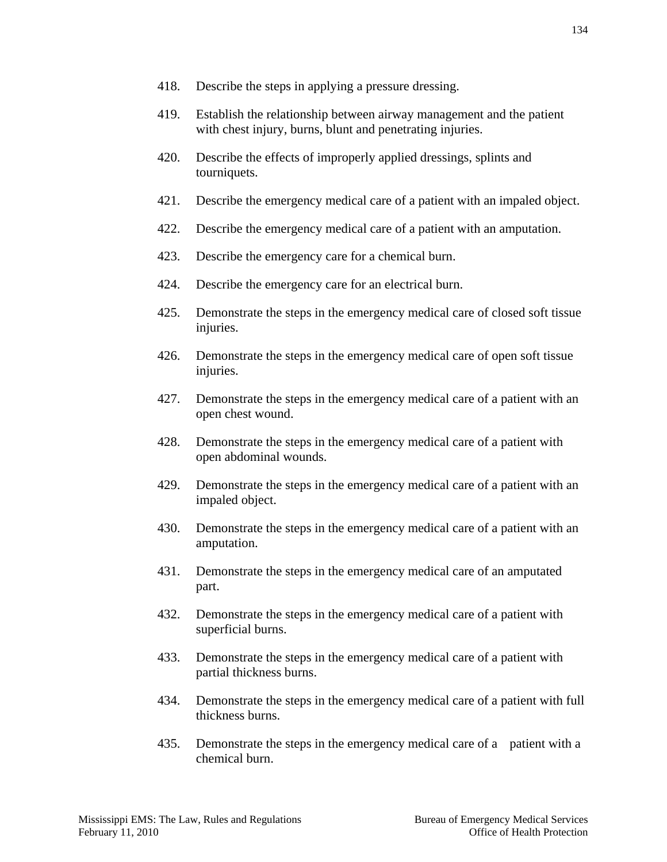- 418. Describe the steps in applying a pressure dressing.
- 419. Establish the relationship between airway management and the patient with chest injury, burns, blunt and penetrating injuries.
- 420. Describe the effects of improperly applied dressings, splints and tourniquets.
- 421. Describe the emergency medical care of a patient with an impaled object.
- 422. Describe the emergency medical care of a patient with an amputation.
- 423. Describe the emergency care for a chemical burn.
- 424. Describe the emergency care for an electrical burn.
- 425. Demonstrate the steps in the emergency medical care of closed soft tissue injuries.
- 426. Demonstrate the steps in the emergency medical care of open soft tissue injuries.
- 427. Demonstrate the steps in the emergency medical care of a patient with an open chest wound.
- 428. Demonstrate the steps in the emergency medical care of a patient with open abdominal wounds.
- 429. Demonstrate the steps in the emergency medical care of a patient with an impaled object.
- 430. Demonstrate the steps in the emergency medical care of a patient with an amputation.
- 431. Demonstrate the steps in the emergency medical care of an amputated part.
- 432. Demonstrate the steps in the emergency medical care of a patient with superficial burns.
- 433. Demonstrate the steps in the emergency medical care of a patient with partial thickness burns.
- 434. Demonstrate the steps in the emergency medical care of a patient with full thickness burns.
- 435. Demonstrate the steps in the emergency medical care of a patient with a chemical burn.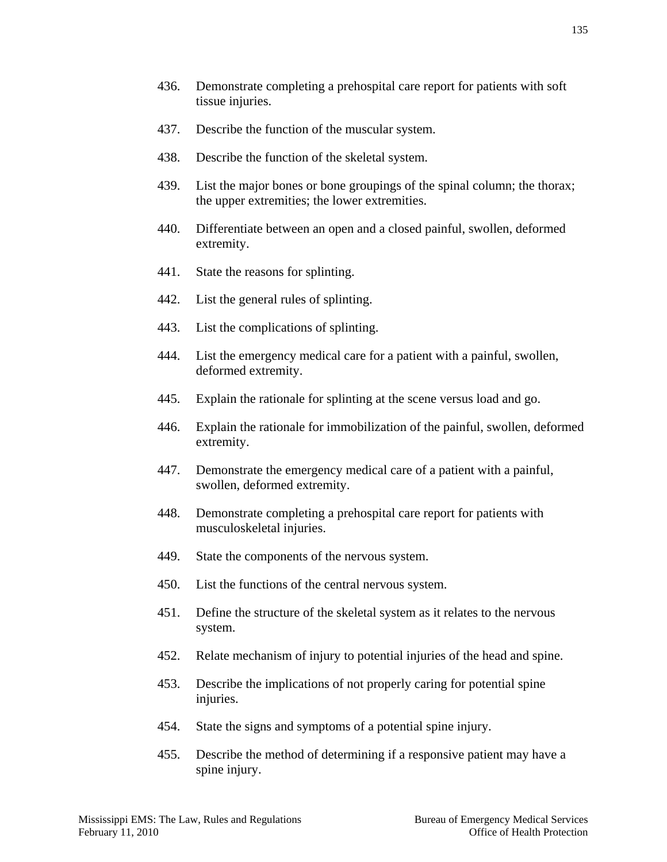- 436. Demonstrate completing a prehospital care report for patients with soft tissue injuries.
- 437. Describe the function of the muscular system.
- 438. Describe the function of the skeletal system.
- 439. List the major bones or bone groupings of the spinal column; the thorax; the upper extremities; the lower extremities.
- 440. Differentiate between an open and a closed painful, swollen, deformed extremity.
- 441. State the reasons for splinting.
- 442. List the general rules of splinting.
- 443. List the complications of splinting.
- 444. List the emergency medical care for a patient with a painful, swollen, deformed extremity.
- 445. Explain the rationale for splinting at the scene versus load and go.
- 446. Explain the rationale for immobilization of the painful, swollen, deformed extremity.
- 447. Demonstrate the emergency medical care of a patient with a painful, swollen, deformed extremity.
- 448. Demonstrate completing a prehospital care report for patients with musculoskeletal injuries.
- 449. State the components of the nervous system.
- 450. List the functions of the central nervous system.
- 451. Define the structure of the skeletal system as it relates to the nervous system.
- 452. Relate mechanism of injury to potential injuries of the head and spine.
- 453. Describe the implications of not properly caring for potential spine injuries.
- 454. State the signs and symptoms of a potential spine injury.
- 455. Describe the method of determining if a responsive patient may have a spine injury.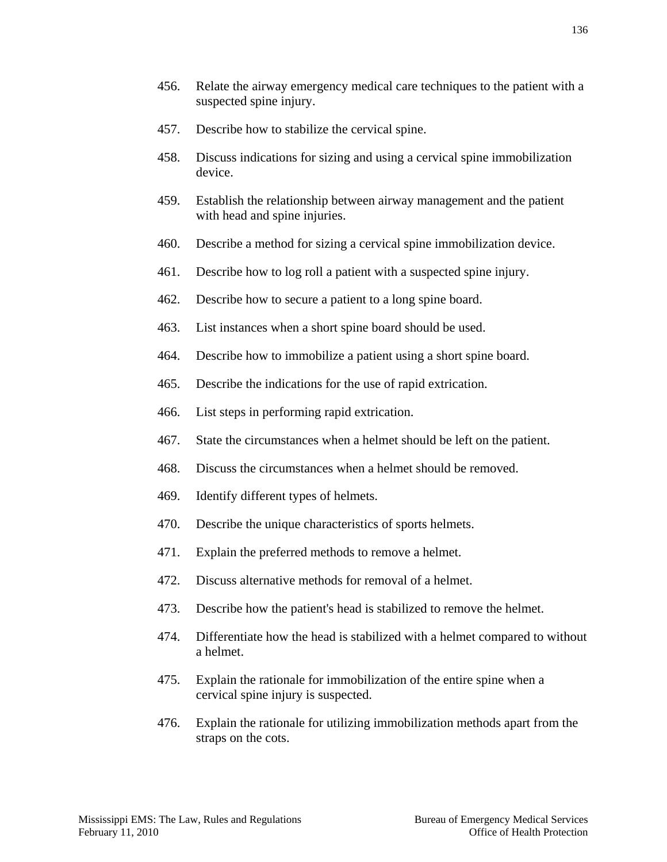- 456. Relate the airway emergency medical care techniques to the patient with a suspected spine injury.
- 457. Describe how to stabilize the cervical spine.
- 458. Discuss indications for sizing and using a cervical spine immobilization device.
- 459. Establish the relationship between airway management and the patient with head and spine injuries.
- 460. Describe a method for sizing a cervical spine immobilization device.
- 461. Describe how to log roll a patient with a suspected spine injury.
- 462. Describe how to secure a patient to a long spine board.
- 463. List instances when a short spine board should be used.
- 464. Describe how to immobilize a patient using a short spine board.
- 465. Describe the indications for the use of rapid extrication.
- 466. List steps in performing rapid extrication.
- 467. State the circumstances when a helmet should be left on the patient.
- 468. Discuss the circumstances when a helmet should be removed.
- 469. Identify different types of helmets.
- 470. Describe the unique characteristics of sports helmets.
- 471. Explain the preferred methods to remove a helmet.
- 472. Discuss alternative methods for removal of a helmet.
- 473. Describe how the patient's head is stabilized to remove the helmet.
- 474. Differentiate how the head is stabilized with a helmet compared to without a helmet.
- 475. Explain the rationale for immobilization of the entire spine when a cervical spine injury is suspected.
- 476. Explain the rationale for utilizing immobilization methods apart from the straps on the cots.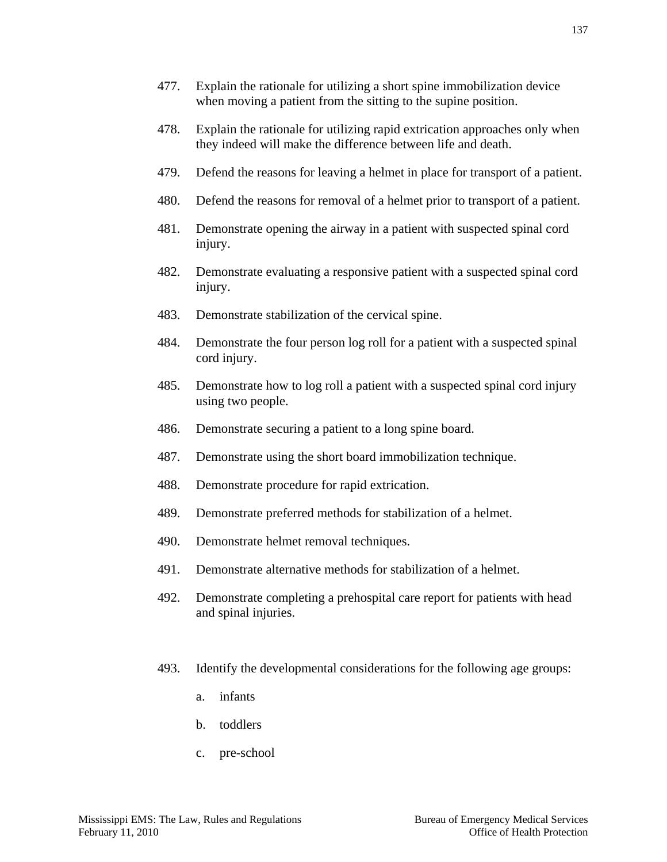- 477. Explain the rationale for utilizing a short spine immobilization device when moving a patient from the sitting to the supine position.
- 478. Explain the rationale for utilizing rapid extrication approaches only when they indeed will make the difference between life and death.
- 479. Defend the reasons for leaving a helmet in place for transport of a patient.
- 480. Defend the reasons for removal of a helmet prior to transport of a patient.
- 481. Demonstrate opening the airway in a patient with suspected spinal cord injury.
- 482. Demonstrate evaluating a responsive patient with a suspected spinal cord injury.
- 483. Demonstrate stabilization of the cervical spine.
- 484. Demonstrate the four person log roll for a patient with a suspected spinal cord injury.
- 485. Demonstrate how to log roll a patient with a suspected spinal cord injury using two people.
- 486. Demonstrate securing a patient to a long spine board.
- 487. Demonstrate using the short board immobilization technique.
- 488. Demonstrate procedure for rapid extrication.
- 489. Demonstrate preferred methods for stabilization of a helmet.
- 490. Demonstrate helmet removal techniques.
- 491. Demonstrate alternative methods for stabilization of a helmet.
- 492. Demonstrate completing a prehospital care report for patients with head and spinal injuries.
- 493. Identify the developmental considerations for the following age groups:
	- a. infants
	- b. toddlers
	- c. pre-school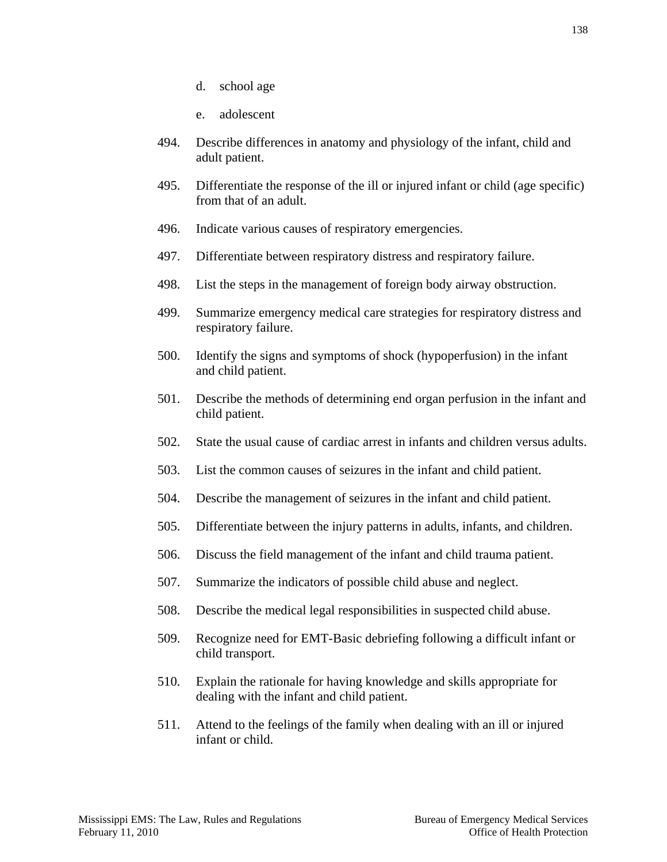- d. school age
- e. adolescent
- 494. Describe differences in anatomy and physiology of the infant, child and adult patient.
- 495. Differentiate the response of the ill or injured infant or child (age specific) from that of an adult.
- 496. Indicate various causes of respiratory emergencies.
- 497. Differentiate between respiratory distress and respiratory failure.
- 498. List the steps in the management of foreign body airway obstruction.
- 499. Summarize emergency medical care strategies for respiratory distress and respiratory failure.
- 500. Identify the signs and symptoms of shock (hypoperfusion) in the infant and child patient.
- 501. Describe the methods of determining end organ perfusion in the infant and child patient.
- 502. State the usual cause of cardiac arrest in infants and children versus adults.
- 503. List the common causes of seizures in the infant and child patient.
- 504. Describe the management of seizures in the infant and child patient.
- 505. Differentiate between the injury patterns in adults, infants, and children.
- 506. Discuss the field management of the infant and child trauma patient.
- 507. Summarize the indicators of possible child abuse and neglect.
- 508. Describe the medical legal responsibilities in suspected child abuse.
- 509. Recognize need for EMT-Basic debriefing following a difficult infant or child transport.
- 510. Explain the rationale for having knowledge and skills appropriate for dealing with the infant and child patient.
- 511. Attend to the feelings of the family when dealing with an ill or injured infant or child.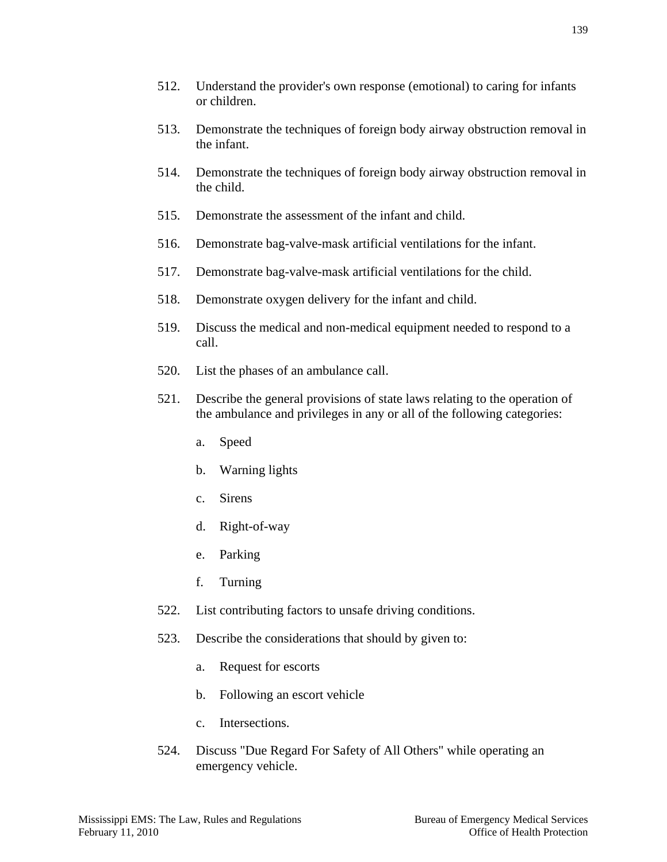- 512. Understand the provider's own response (emotional) to caring for infants or children.
- 513. Demonstrate the techniques of foreign body airway obstruction removal in the infant.
- 514. Demonstrate the techniques of foreign body airway obstruction removal in the child.
- 515. Demonstrate the assessment of the infant and child.
- 516. Demonstrate bag-valve-mask artificial ventilations for the infant.
- 517. Demonstrate bag-valve-mask artificial ventilations for the child.
- 518. Demonstrate oxygen delivery for the infant and child.
- 519. Discuss the medical and non-medical equipment needed to respond to a call.
- 520. List the phases of an ambulance call.
- 521. Describe the general provisions of state laws relating to the operation of the ambulance and privileges in any or all of the following categories:
	- a. Speed
	- b. Warning lights
	- c. Sirens
	- d. Right-of-way
	- e. Parking
	- f. Turning
- 522. List contributing factors to unsafe driving conditions.
- 523. Describe the considerations that should by given to:
	- a. Request for escorts
	- b. Following an escort vehicle
	- c. Intersections.
- 524. Discuss "Due Regard For Safety of All Others" while operating an emergency vehicle.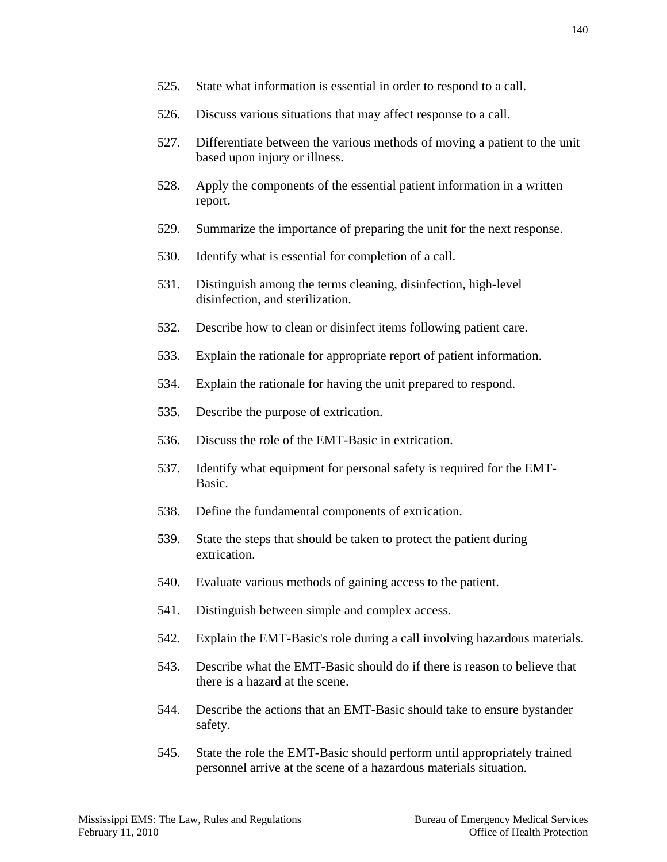- 525. State what information is essential in order to respond to a call.
- 526. Discuss various situations that may affect response to a call.
- 527. Differentiate between the various methods of moving a patient to the unit based upon injury or illness.
- 528. Apply the components of the essential patient information in a written report.
- 529. Summarize the importance of preparing the unit for the next response.
- 530. Identify what is essential for completion of a call.
- 531. Distinguish among the terms cleaning, disinfection, high-level disinfection, and sterilization.
- 532. Describe how to clean or disinfect items following patient care.
- 533. Explain the rationale for appropriate report of patient information.
- 534. Explain the rationale for having the unit prepared to respond.
- 535. Describe the purpose of extrication.
- 536. Discuss the role of the EMT-Basic in extrication.
- 537. Identify what equipment for personal safety is required for the EMT-Basic.
- 538. Define the fundamental components of extrication.
- 539. State the steps that should be taken to protect the patient during extrication.
- 540. Evaluate various methods of gaining access to the patient.
- 541. Distinguish between simple and complex access.
- 542. Explain the EMT-Basic's role during a call involving hazardous materials.
- 543. Describe what the EMT-Basic should do if there is reason to believe that there is a hazard at the scene.
- 544. Describe the actions that an EMT-Basic should take to ensure bystander safety.
- 545. State the role the EMT-Basic should perform until appropriately trained personnel arrive at the scene of a hazardous materials situation.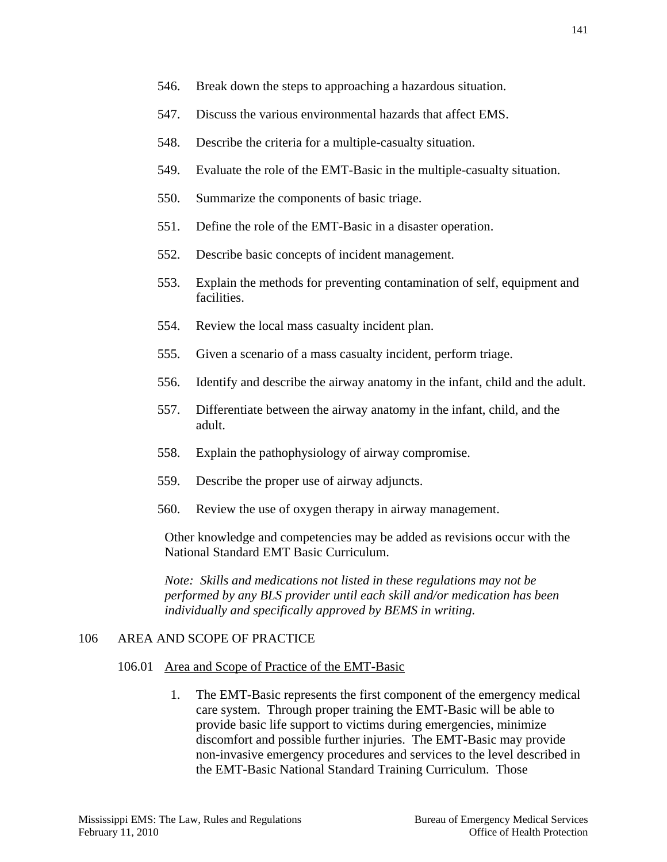- 546. Break down the steps to approaching a hazardous situation.
- 547. Discuss the various environmental hazards that affect EMS.
- 548. Describe the criteria for a multiple-casualty situation.
- 549. Evaluate the role of the EMT-Basic in the multiple-casualty situation.
- 550. Summarize the components of basic triage.
- 551. Define the role of the EMT-Basic in a disaster operation.
- 552. Describe basic concepts of incident management.
- 553. Explain the methods for preventing contamination of self, equipment and facilities.
- 554. Review the local mass casualty incident plan.
- 555. Given a scenario of a mass casualty incident, perform triage.
- 556. Identify and describe the airway anatomy in the infant, child and the adult.
- 557. Differentiate between the airway anatomy in the infant, child, and the adult.
- 558. Explain the pathophysiology of airway compromise.
- 559. Describe the proper use of airway adjuncts.
- 560. Review the use of oxygen therapy in airway management.

Other knowledge and competencies may be added as revisions occur with the National Standard EMT Basic Curriculum.

*Note: Skills and medications not listed in these regulations may not be performed by any BLS provider until each skill and/or medication has been individually and specifically approved by BEMS in writing.* 

### 106 AREA AND SCOPE OF PRACTICE

### 106.01 Area and Scope of Practice of the EMT-Basic

1. The EMT-Basic represents the first component of the emergency medical care system. Through proper training the EMT-Basic will be able to provide basic life support to victims during emergencies, minimize discomfort and possible further injuries. The EMT-Basic may provide non-invasive emergency procedures and services to the level described in the EMT-Basic National Standard Training Curriculum. Those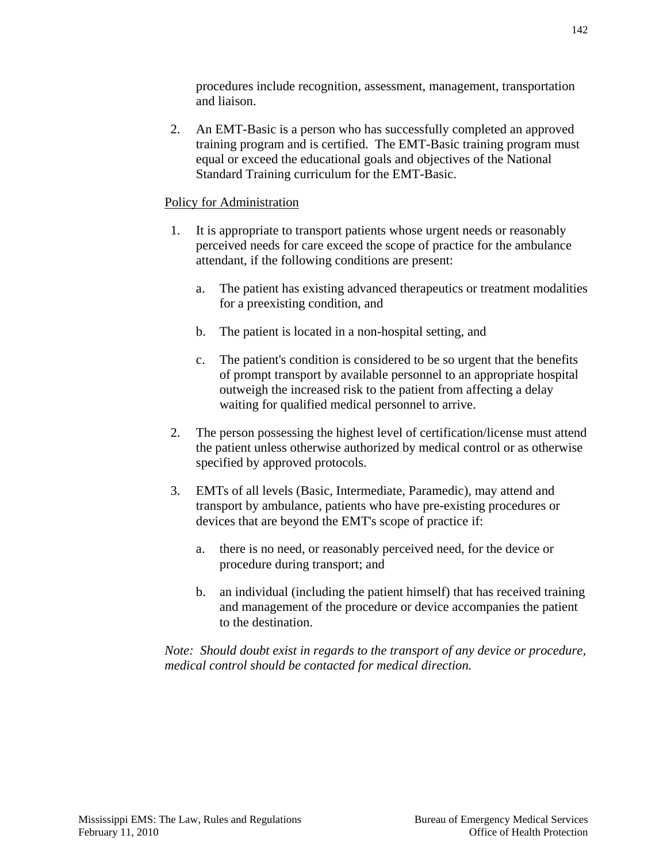procedures include recognition, assessment, management, transportation and liaison.

2. An EMT-Basic is a person who has successfully completed an approved training program and is certified. The EMT-Basic training program must equal or exceed the educational goals and objectives of the National Standard Training curriculum for the EMT-Basic.

## Policy for Administration

- 1. It is appropriate to transport patients whose urgent needs or reasonably perceived needs for care exceed the scope of practice for the ambulance attendant, if the following conditions are present:
	- a. The patient has existing advanced therapeutics or treatment modalities for a preexisting condition, and
	- b. The patient is located in a non-hospital setting, and
	- c. The patient's condition is considered to be so urgent that the benefits of prompt transport by available personnel to an appropriate hospital outweigh the increased risk to the patient from affecting a delay waiting for qualified medical personnel to arrive.
- 2. The person possessing the highest level of certification/license must attend the patient unless otherwise authorized by medical control or as otherwise specified by approved protocols.
- 3. EMTs of all levels (Basic, Intermediate, Paramedic), may attend and transport by ambulance, patients who have pre-existing procedures or devices that are beyond the EMT's scope of practice if:
	- a. there is no need, or reasonably perceived need, for the device or procedure during transport; and
	- b. an individual (including the patient himself) that has received training and management of the procedure or device accompanies the patient to the destination.

*Note: Should doubt exist in regards to the transport of any device or procedure, medical control should be contacted for medical direction.*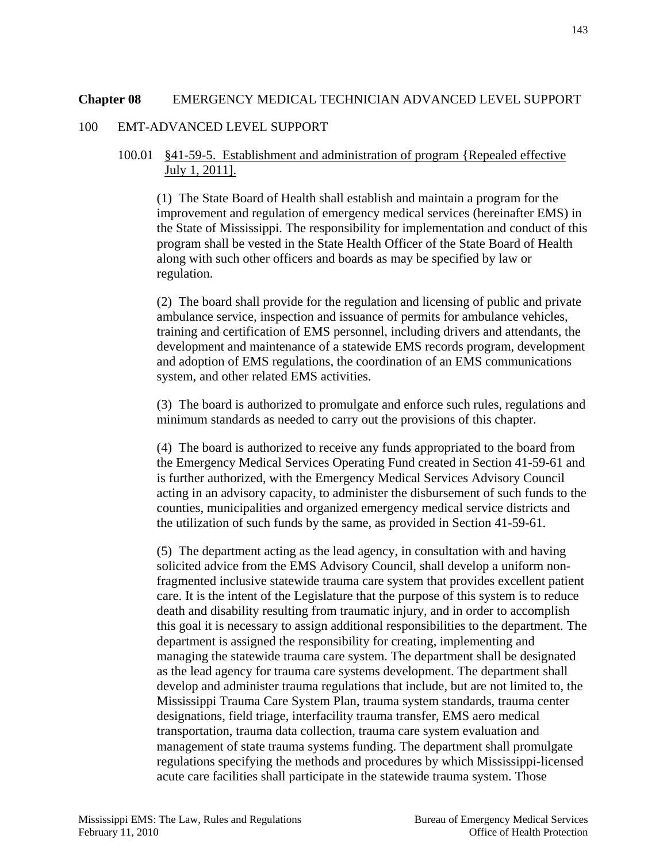### **Chapter 08** EMERGENCY MEDICAL TECHNICIAN ADVANCED LEVEL SUPPORT

### 100 EMT-ADVANCED LEVEL SUPPORT

# 100.01 §41-59-5. Establishment and administration of program {Repealed effective July 1, 2011].

(1) The State Board of Health shall establish and maintain a program for the improvement and regulation of emergency medical services (hereinafter EMS) in the State of Mississippi. The responsibility for implementation and conduct of this program shall be vested in the State Health Officer of the State Board of Health along with such other officers and boards as may be specified by law or regulation.

(2) The board shall provide for the regulation and licensing of public and private ambulance service, inspection and issuance of permits for ambulance vehicles, training and certification of EMS personnel, including drivers and attendants, the development and maintenance of a statewide EMS records program, development and adoption of EMS regulations, the coordination of an EMS communications system, and other related EMS activities.

(3) The board is authorized to promulgate and enforce such rules, regulations and minimum standards as needed to carry out the provisions of this chapter.

(4) The board is authorized to receive any funds appropriated to the board from the Emergency Medical Services Operating Fund created in Section 41-59-61 and is further authorized, with the Emergency Medical Services Advisory Council acting in an advisory capacity, to administer the disbursement of such funds to the counties, municipalities and organized emergency medical service districts and the utilization of such funds by the same, as provided in Section 41-59-61.

(5) The department acting as the lead agency, in consultation with and having solicited advice from the EMS Advisory Council, shall develop a uniform nonfragmented inclusive statewide trauma care system that provides excellent patient care. It is the intent of the Legislature that the purpose of this system is to reduce death and disability resulting from traumatic injury, and in order to accomplish this goal it is necessary to assign additional responsibilities to the department. The department is assigned the responsibility for creating, implementing and managing the statewide trauma care system. The department shall be designated as the lead agency for trauma care systems development. The department shall develop and administer trauma regulations that include, but are not limited to, the Mississippi Trauma Care System Plan, trauma system standards, trauma center designations, field triage, interfacility trauma transfer, EMS aero medical transportation, trauma data collection, trauma care system evaluation and management of state trauma systems funding. The department shall promulgate regulations specifying the methods and procedures by which Mississippi-licensed acute care facilities shall participate in the statewide trauma system. Those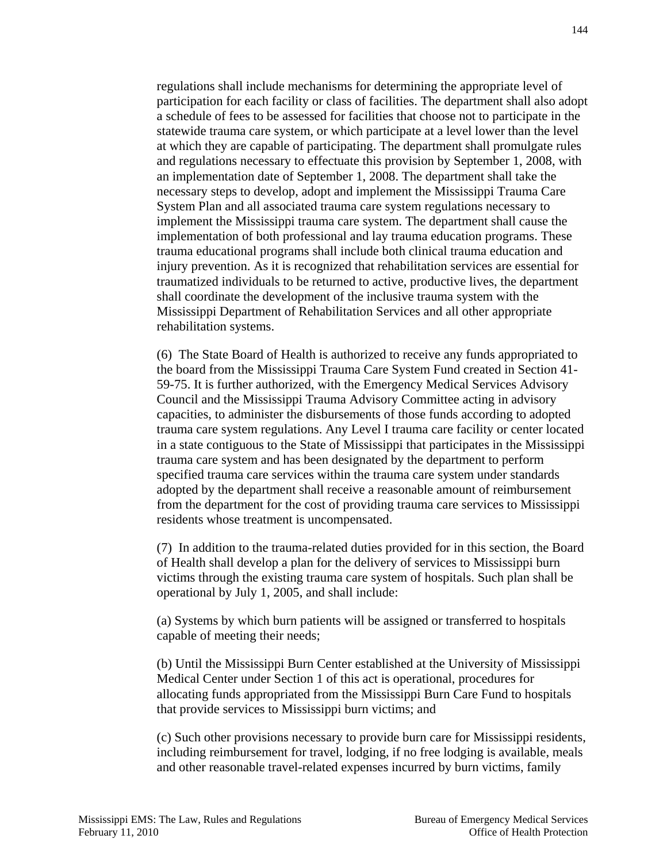regulations shall include mechanisms for determining the appropriate level of participation for each facility or class of facilities. The department shall also adopt a schedule of fees to be assessed for facilities that choose not to participate in the statewide trauma care system, or which participate at a level lower than the level at which they are capable of participating. The department shall promulgate rules and regulations necessary to effectuate this provision by September 1, 2008, with an implementation date of September 1, 2008. The department shall take the necessary steps to develop, adopt and implement the Mississippi Trauma Care System Plan and all associated trauma care system regulations necessary to implement the Mississippi trauma care system. The department shall cause the implementation of both professional and lay trauma education programs. These trauma educational programs shall include both clinical trauma education and injury prevention. As it is recognized that rehabilitation services are essential for traumatized individuals to be returned to active, productive lives, the department shall coordinate the development of the inclusive trauma system with the Mississippi Department of Rehabilitation Services and all other appropriate rehabilitation systems.

(6) The State Board of Health is authorized to receive any funds appropriated to the board from the Mississippi Trauma Care System Fund created in Section 41- 59-75. It is further authorized, with the Emergency Medical Services Advisory Council and the Mississippi Trauma Advisory Committee acting in advisory capacities, to administer the disbursements of those funds according to adopted trauma care system regulations. Any Level I trauma care facility or center located in a state contiguous to the State of Mississippi that participates in the Mississippi trauma care system and has been designated by the department to perform specified trauma care services within the trauma care system under standards adopted by the department shall receive a reasonable amount of reimbursement from the department for the cost of providing trauma care services to Mississippi residents whose treatment is uncompensated.

(7) In addition to the trauma-related duties provided for in this section, the Board of Health shall develop a plan for the delivery of services to Mississippi burn victims through the existing trauma care system of hospitals. Such plan shall be operational by July 1, 2005, and shall include:

(a) Systems by which burn patients will be assigned or transferred to hospitals capable of meeting their needs;

(b) Until the Mississippi Burn Center established at the University of Mississippi Medical Center under Section 1 of this act is operational, procedures for allocating funds appropriated from the Mississippi Burn Care Fund to hospitals that provide services to Mississippi burn victims; and

(c) Such other provisions necessary to provide burn care for Mississippi residents, including reimbursement for travel, lodging, if no free lodging is available, meals and other reasonable travel-related expenses incurred by burn victims, family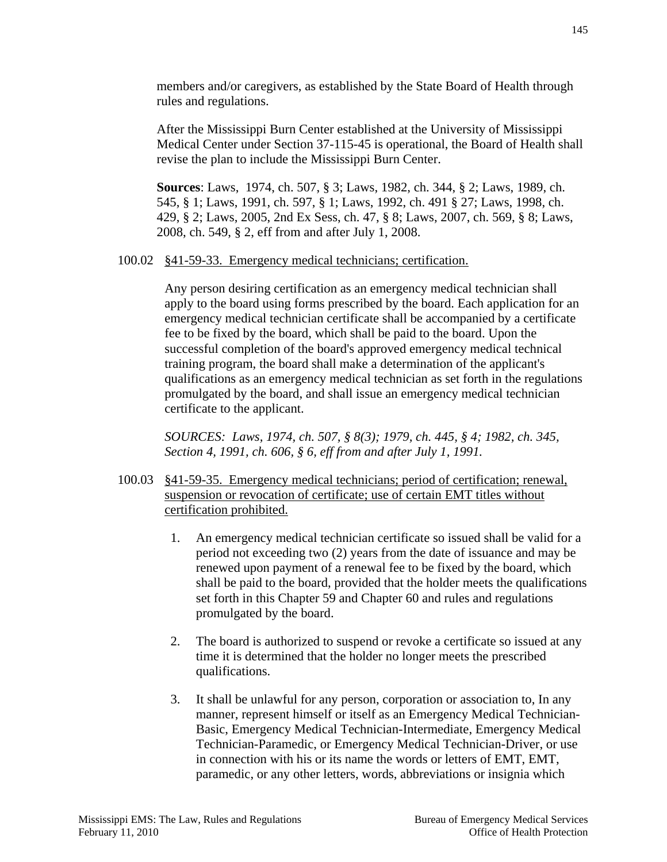members and/or caregivers, as established by the State Board of Health through rules and regulations.

After the Mississippi Burn Center established at the University of Mississippi Medical Center under Section 37-115-45 is operational, the Board of Health shall revise the plan to include the Mississippi Burn Center.

**Sources**: Laws, 1974, ch. 507, § 3; Laws, 1982, ch. 344, § 2; Laws, 1989, ch. 545, § 1; Laws, 1991, ch. 597, § 1; Laws, 1992, ch. 491 § 27; Laws, 1998, ch. 429, § 2; Laws, 2005, 2nd Ex Sess, ch. 47, § 8; Laws, 2007, ch. 569, § 8; Laws, 2008, ch. 549, § 2, eff from and after July 1, 2008.

### 100.02 §41-59-33. Emergency medical technicians; certification.

Any person desiring certification as an emergency medical technician shall apply to the board using forms prescribed by the board. Each application for an emergency medical technician certificate shall be accompanied by a certificate fee to be fixed by the board, which shall be paid to the board. Upon the successful completion of the board's approved emergency medical technical training program, the board shall make a determination of the applicant's qualifications as an emergency medical technician as set forth in the regulations promulgated by the board, and shall issue an emergency medical technician certificate to the applicant.

*SOURCES: Laws, 1974, ch. 507, § 8(3); 1979, ch. 445, § 4; 1982, ch. 345, Section 4, 1991, ch. 606, § 6, eff from and after July 1, 1991.* 

- 100.03 §41-59-35. Emergency medical technicians; period of certification; renewal, suspension or revocation of certificate; use of certain EMT titles without certification prohibited.
	- 1. An emergency medical technician certificate so issued shall be valid for a period not exceeding two (2) years from the date of issuance and may be renewed upon payment of a renewal fee to be fixed by the board, which shall be paid to the board, provided that the holder meets the qualifications set forth in this Chapter 59 and Chapter 60 and rules and regulations promulgated by the board.
	- 2. The board is authorized to suspend or revoke a certificate so issued at any time it is determined that the holder no longer meets the prescribed qualifications.
	- 3. It shall be unlawful for any person, corporation or association to, In any manner, represent himself or itself as an Emergency Medical Technician-Basic, Emergency Medical Technician-Intermediate, Emergency Medical Technician-Paramedic, or Emergency Medical Technician-Driver, or use in connection with his or its name the words or letters of EMT, EMT, paramedic, or any other letters, words, abbreviations or insignia which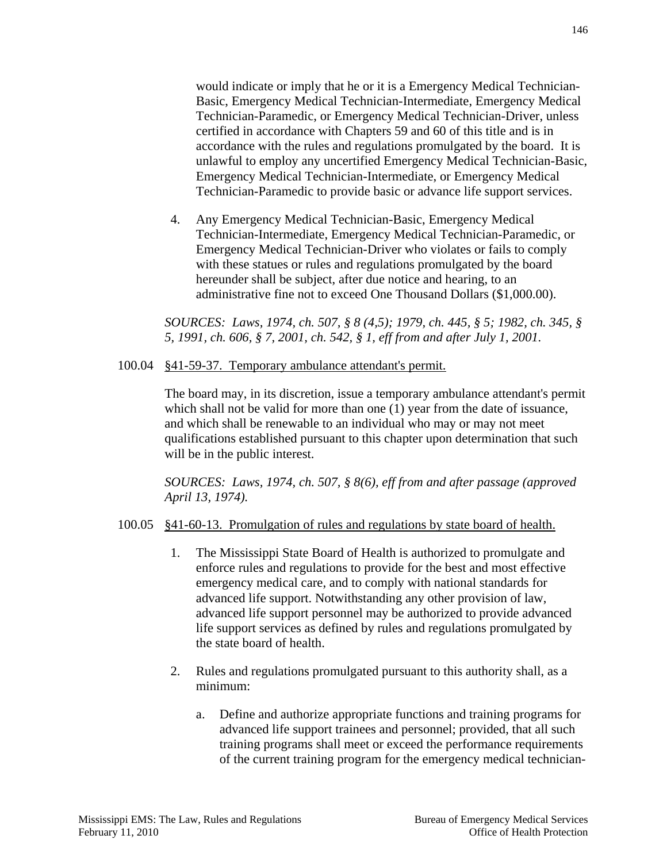would indicate or imply that he or it is a Emergency Medical Technician-Basic, Emergency Medical Technician-Intermediate, Emergency Medical Technician-Paramedic, or Emergency Medical Technician-Driver, unless certified in accordance with Chapters 59 and 60 of this title and is in accordance with the rules and regulations promulgated by the board. It is unlawful to employ any uncertified Emergency Medical Technician-Basic, Emergency Medical Technician-Intermediate, or Emergency Medical Technician-Paramedic to provide basic or advance life support services.

4. Any Emergency Medical Technician-Basic, Emergency Medical Technician-Intermediate, Emergency Medical Technician-Paramedic, or Emergency Medical Technician-Driver who violates or fails to comply with these statues or rules and regulations promulgated by the board hereunder shall be subject, after due notice and hearing, to an administrative fine not to exceed One Thousand Dollars (\$1,000.00).

*SOURCES: Laws, 1974, ch. 507, § 8 (4,5); 1979, ch. 445, § 5; 1982, ch. 345, § 5, 1991, ch. 606, § 7, 2001, ch. 542, § 1, eff from and after July 1, 2001.* 

100.04 §41-59-37. Temporary ambulance attendant's permit.

The board may, in its discretion, issue a temporary ambulance attendant's permit which shall not be valid for more than one  $(1)$  year from the date of issuance, and which shall be renewable to an individual who may or may not meet qualifications established pursuant to this chapter upon determination that such will be in the public interest.

*SOURCES: Laws, 1974, ch. 507, § 8(6), eff from and after passage (approved April 13, 1974).* 

100.05 §41-60-13. Promulgation of rules and regulations by state board of health.

- 1. The Mississippi State Board of Health is authorized to promulgate and enforce rules and regulations to provide for the best and most effective emergency medical care, and to comply with national standards for advanced life support. Notwithstanding any other provision of law, advanced life support personnel may be authorized to provide advanced life support services as defined by rules and regulations promulgated by the state board of health.
- 2. Rules and regulations promulgated pursuant to this authority shall, as a minimum:
	- a. Define and authorize appropriate functions and training programs for advanced life support trainees and personnel; provided, that all such training programs shall meet or exceed the performance requirements of the current training program for the emergency medical technician-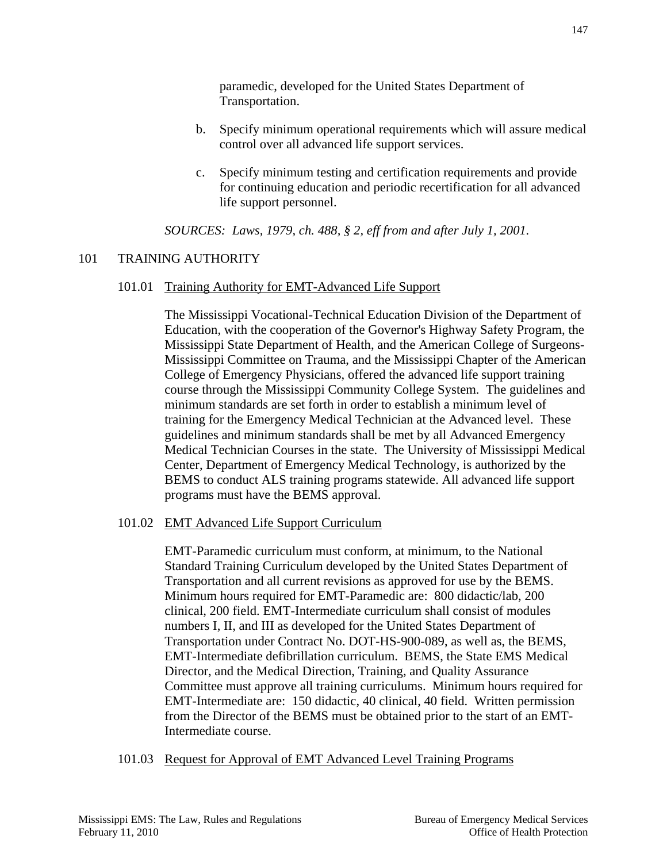paramedic, developed for the United States Department of Transportation.

- b. Specify minimum operational requirements which will assure medical control over all advanced life support services.
- c. Specify minimum testing and certification requirements and provide for continuing education and periodic recertification for all advanced life support personnel.

*SOURCES: Laws, 1979, ch. 488, § 2, eff from and after July 1, 2001.* 

## 101 TRAINING AUTHORITY

### 101.01 Training Authority for EMT-Advanced Life Support

The Mississippi Vocational-Technical Education Division of the Department of Education, with the cooperation of the Governor's Highway Safety Program, the Mississippi State Department of Health, and the American College of Surgeons-Mississippi Committee on Trauma, and the Mississippi Chapter of the American College of Emergency Physicians, offered the advanced life support training course through the Mississippi Community College System. The guidelines and minimum standards are set forth in order to establish a minimum level of training for the Emergency Medical Technician at the Advanced level. These guidelines and minimum standards shall be met by all Advanced Emergency Medical Technician Courses in the state. The University of Mississippi Medical Center, Department of Emergency Medical Technology, is authorized by the BEMS to conduct ALS training programs statewide. All advanced life support programs must have the BEMS approval.

### 101.02 EMT Advanced Life Support Curriculum

EMT-Paramedic curriculum must conform, at minimum, to the National Standard Training Curriculum developed by the United States Department of Transportation and all current revisions as approved for use by the BEMS. Minimum hours required for EMT-Paramedic are: 800 didactic/lab, 200 clinical, 200 field. EMT-Intermediate curriculum shall consist of modules numbers I, II, and III as developed for the United States Department of Transportation under Contract No. DOT-HS-900-089, as well as, the BEMS, EMT-Intermediate defibrillation curriculum. BEMS, the State EMS Medical Director, and the Medical Direction, Training, and Quality Assurance Committee must approve all training curriculums. Minimum hours required for EMT-Intermediate are: 150 didactic, 40 clinical, 40 field. Written permission from the Director of the BEMS must be obtained prior to the start of an EMT-Intermediate course.

### 101.03 Request for Approval of EMT Advanced Level Training Programs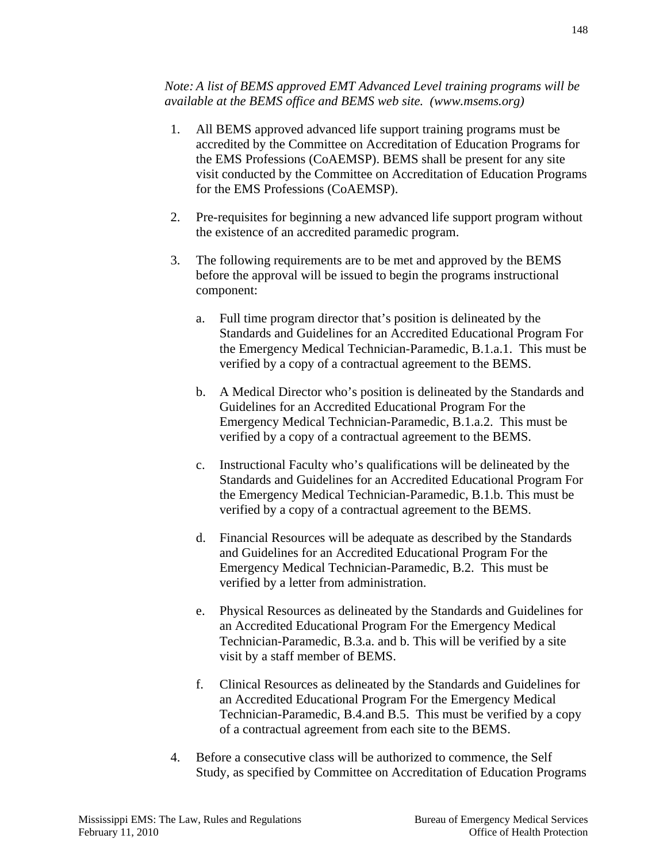*Note: A list of BEMS approved EMT Advanced Level training programs will be available at the BEMS office and BEMS web site. (www.msems.org)* 

- 1. All BEMS approved advanced life support training programs must be accredited by the Committee on Accreditation of Education Programs for the EMS Professions (CoAEMSP). BEMS shall be present for any site visit conducted by the Committee on Accreditation of Education Programs for the EMS Professions (CoAEMSP).
- 2. Pre-requisites for beginning a new advanced life support program without the existence of an accredited paramedic program.
- 3. The following requirements are to be met and approved by the BEMS before the approval will be issued to begin the programs instructional component:
	- a. Full time program director that's position is delineated by the Standards and Guidelines for an Accredited Educational Program For the Emergency Medical Technician-Paramedic, B.1.a.1. This must be verified by a copy of a contractual agreement to the BEMS.
	- b. A Medical Director who's position is delineated by the Standards and Guidelines for an Accredited Educational Program For the Emergency Medical Technician-Paramedic, B.1.a.2. This must be verified by a copy of a contractual agreement to the BEMS.
	- c. Instructional Faculty who's qualifications will be delineated by the Standards and Guidelines for an Accredited Educational Program For the Emergency Medical Technician-Paramedic, B.1.b. This must be verified by a copy of a contractual agreement to the BEMS.
	- d. Financial Resources will be adequate as described by the Standards and Guidelines for an Accredited Educational Program For the Emergency Medical Technician-Paramedic, B.2. This must be verified by a letter from administration.
	- e. Physical Resources as delineated by the Standards and Guidelines for an Accredited Educational Program For the Emergency Medical Technician-Paramedic, B.3.a. and b. This will be verified by a site visit by a staff member of BEMS.
	- f. Clinical Resources as delineated by the Standards and Guidelines for an Accredited Educational Program For the Emergency Medical Technician-Paramedic, B.4.and B.5. This must be verified by a copy of a contractual agreement from each site to the BEMS.
- 4. Before a consecutive class will be authorized to commence, the Self Study, as specified by Committee on Accreditation of Education Programs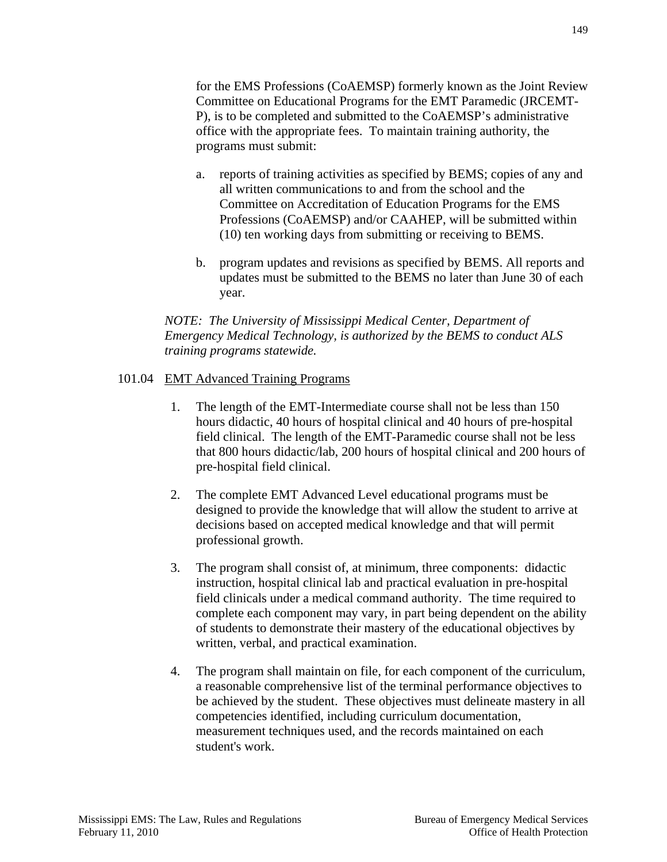for the EMS Professions (CoAEMSP) formerly known as the Joint Review Committee on Educational Programs for the EMT Paramedic (JRCEMT-P), is to be completed and submitted to the CoAEMSP's administrative office with the appropriate fees. To maintain training authority, the programs must submit:

- a. reports of training activities as specified by BEMS; copies of any and all written communications to and from the school and the Committee on Accreditation of Education Programs for the EMS Professions (CoAEMSP) and/or CAAHEP, will be submitted within (10) ten working days from submitting or receiving to BEMS.
- b. program updates and revisions as specified by BEMS. All reports and updates must be submitted to the BEMS no later than June 30 of each year.

*NOTE: The University of Mississippi Medical Center, Department of Emergency Medical Technology, is authorized by the BEMS to conduct ALS training programs statewide.* 

## 101.04 EMT Advanced Training Programs

- 1. The length of the EMT-Intermediate course shall not be less than 150 hours didactic, 40 hours of hospital clinical and 40 hours of pre-hospital field clinical. The length of the EMT-Paramedic course shall not be less that 800 hours didactic/lab, 200 hours of hospital clinical and 200 hours of pre-hospital field clinical.
- 2. The complete EMT Advanced Level educational programs must be designed to provide the knowledge that will allow the student to arrive at decisions based on accepted medical knowledge and that will permit professional growth.
- 3. The program shall consist of, at minimum, three components: didactic instruction, hospital clinical lab and practical evaluation in pre-hospital field clinicals under a medical command authority. The time required to complete each component may vary, in part being dependent on the ability of students to demonstrate their mastery of the educational objectives by written, verbal, and practical examination.
- 4. The program shall maintain on file, for each component of the curriculum, a reasonable comprehensive list of the terminal performance objectives to be achieved by the student. These objectives must delineate mastery in all competencies identified, including curriculum documentation, measurement techniques used, and the records maintained on each student's work.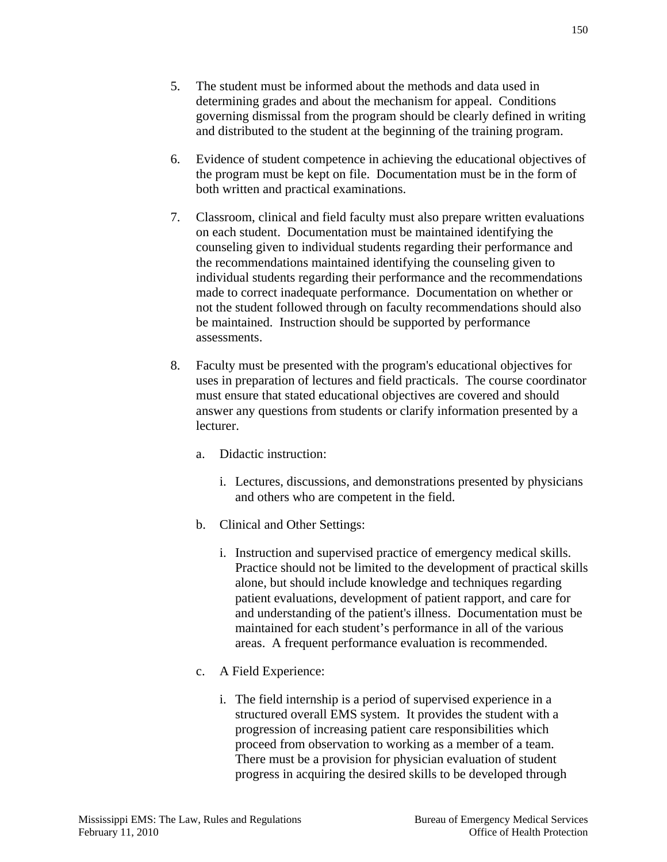- 5. The student must be informed about the methods and data used in determining grades and about the mechanism for appeal. Conditions governing dismissal from the program should be clearly defined in writing and distributed to the student at the beginning of the training program.
- 6. Evidence of student competence in achieving the educational objectives of the program must be kept on file. Documentation must be in the form of both written and practical examinations.
- 7. Classroom, clinical and field faculty must also prepare written evaluations on each student. Documentation must be maintained identifying the counseling given to individual students regarding their performance and the recommendations maintained identifying the counseling given to individual students regarding their performance and the recommendations made to correct inadequate performance. Documentation on whether or not the student followed through on faculty recommendations should also be maintained. Instruction should be supported by performance assessments.
- 8. Faculty must be presented with the program's educational objectives for uses in preparation of lectures and field practicals. The course coordinator must ensure that stated educational objectives are covered and should answer any questions from students or clarify information presented by a lecturer.
	- a. Didactic instruction:
		- i. Lectures, discussions, and demonstrations presented by physicians and others who are competent in the field.
	- b. Clinical and Other Settings:
		- i. Instruction and supervised practice of emergency medical skills. Practice should not be limited to the development of practical skills alone, but should include knowledge and techniques regarding patient evaluations, development of patient rapport, and care for and understanding of the patient's illness. Documentation must be maintained for each student's performance in all of the various areas. A frequent performance evaluation is recommended.
	- c. A Field Experience:
		- i. The field internship is a period of supervised experience in a structured overall EMS system. It provides the student with a progression of increasing patient care responsibilities which proceed from observation to working as a member of a team. There must be a provision for physician evaluation of student progress in acquiring the desired skills to be developed through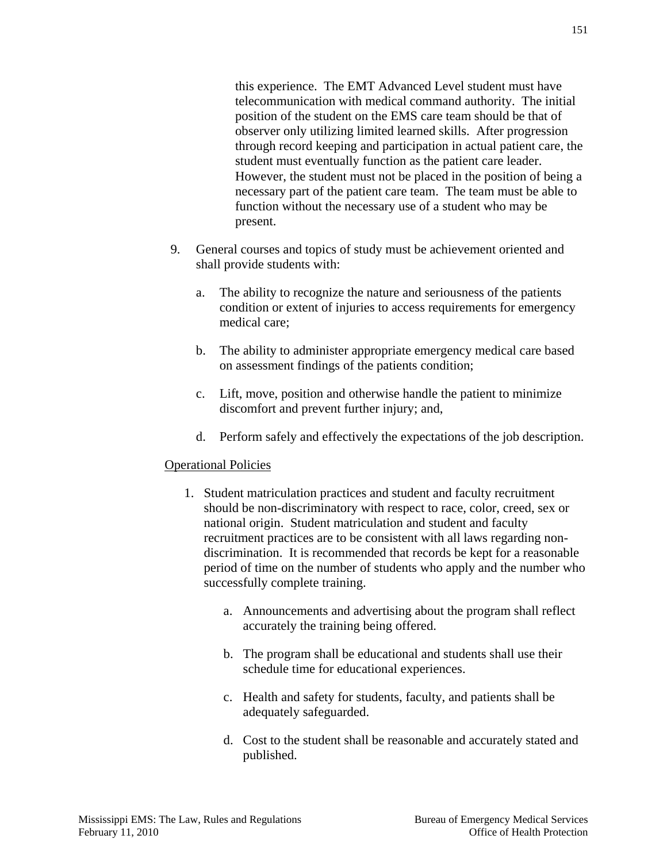this experience. The EMT Advanced Level student must have telecommunication with medical command authority. The initial position of the student on the EMS care team should be that of observer only utilizing limited learned skills. After progression through record keeping and participation in actual patient care, the student must eventually function as the patient care leader. However, the student must not be placed in the position of being a necessary part of the patient care team. The team must be able to function without the necessary use of a student who may be present.

- 9. General courses and topics of study must be achievement oriented and shall provide students with:
	- a. The ability to recognize the nature and seriousness of the patients condition or extent of injuries to access requirements for emergency medical care;
	- b. The ability to administer appropriate emergency medical care based on assessment findings of the patients condition;
	- c. Lift, move, position and otherwise handle the patient to minimize discomfort and prevent further injury; and,
	- d. Perform safely and effectively the expectations of the job description.

## Operational Policies

- 1. Student matriculation practices and student and faculty recruitment should be non-discriminatory with respect to race, color, creed, sex or national origin. Student matriculation and student and faculty recruitment practices are to be consistent with all laws regarding nondiscrimination. It is recommended that records be kept for a reasonable period of time on the number of students who apply and the number who successfully complete training.
	- a. Announcements and advertising about the program shall reflect accurately the training being offered.
	- b. The program shall be educational and students shall use their schedule time for educational experiences.
	- c. Health and safety for students, faculty, and patients shall be adequately safeguarded.
	- d. Cost to the student shall be reasonable and accurately stated and published.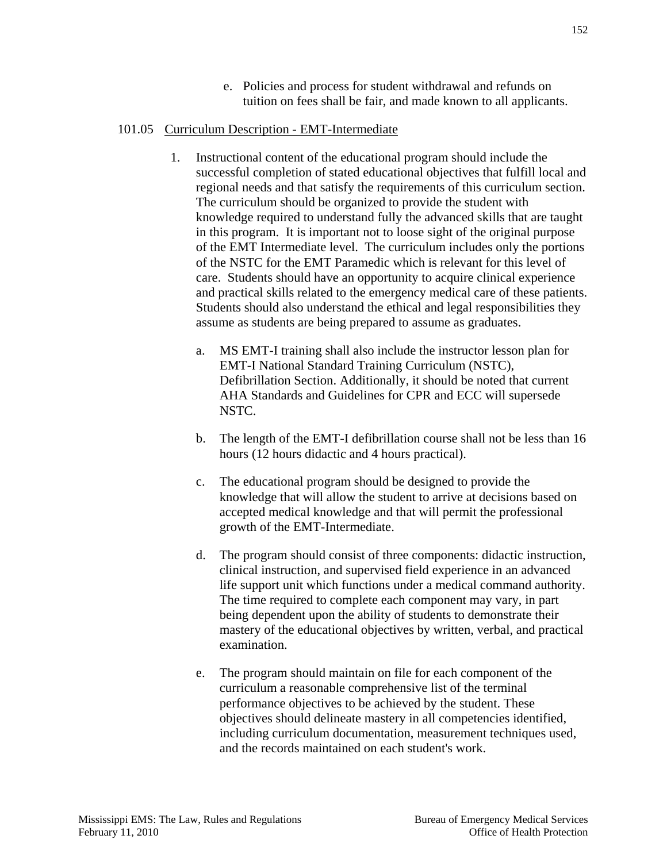e. Policies and process for student withdrawal and refunds on tuition on fees shall be fair, and made known to all applicants.

# 101.05 Curriculum Description - EMT-Intermediate

- 1. Instructional content of the educational program should include the successful completion of stated educational objectives that fulfill local and regional needs and that satisfy the requirements of this curriculum section. The curriculum should be organized to provide the student with knowledge required to understand fully the advanced skills that are taught in this program. It is important not to loose sight of the original purpose of the EMT Intermediate level. The curriculum includes only the portions of the NSTC for the EMT Paramedic which is relevant for this level of care. Students should have an opportunity to acquire clinical experience and practical skills related to the emergency medical care of these patients. Students should also understand the ethical and legal responsibilities they assume as students are being prepared to assume as graduates.
	- a. MS EMT-I training shall also include the instructor lesson plan for EMT-I National Standard Training Curriculum (NSTC), Defibrillation Section. Additionally, it should be noted that current AHA Standards and Guidelines for CPR and ECC will supersede NSTC.
	- b. The length of the EMT-I defibrillation course shall not be less than 16 hours (12 hours didactic and 4 hours practical).
	- c. The educational program should be designed to provide the knowledge that will allow the student to arrive at decisions based on accepted medical knowledge and that will permit the professional growth of the EMT-Intermediate.
	- d. The program should consist of three components: didactic instruction, clinical instruction, and supervised field experience in an advanced life support unit which functions under a medical command authority. The time required to complete each component may vary, in part being dependent upon the ability of students to demonstrate their mastery of the educational objectives by written, verbal, and practical examination.
	- e. The program should maintain on file for each component of the curriculum a reasonable comprehensive list of the terminal performance objectives to be achieved by the student. These objectives should delineate mastery in all competencies identified, including curriculum documentation, measurement techniques used, and the records maintained on each student's work.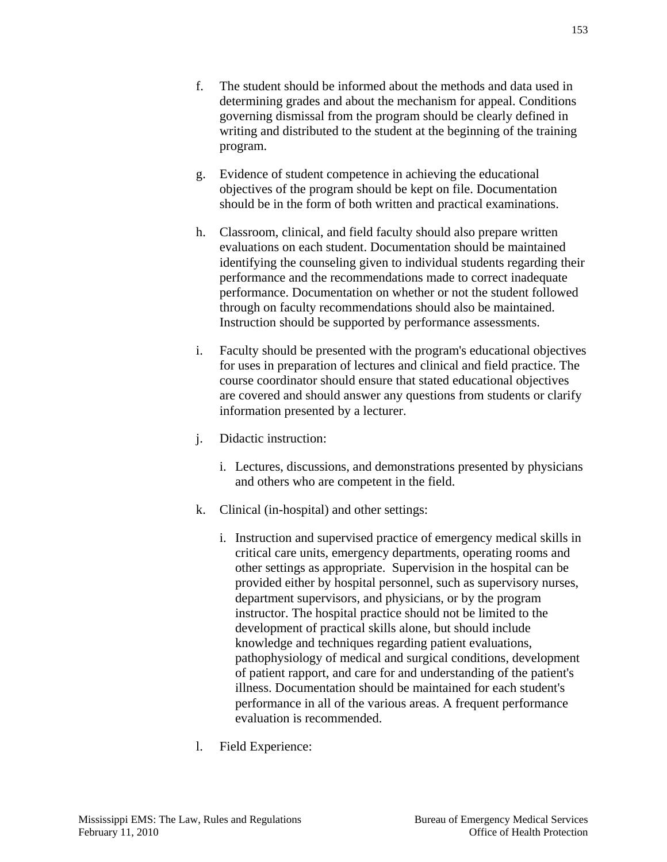- f. The student should be informed about the methods and data used in determining grades and about the mechanism for appeal. Conditions governing dismissal from the program should be clearly defined in writing and distributed to the student at the beginning of the training program.
- g. Evidence of student competence in achieving the educational objectives of the program should be kept on file. Documentation should be in the form of both written and practical examinations.
- h. Classroom, clinical, and field faculty should also prepare written evaluations on each student. Documentation should be maintained identifying the counseling given to individual students regarding their performance and the recommendations made to correct inadequate performance. Documentation on whether or not the student followed through on faculty recommendations should also be maintained. Instruction should be supported by performance assessments.
- i. Faculty should be presented with the program's educational objectives for uses in preparation of lectures and clinical and field practice. The course coordinator should ensure that stated educational objectives are covered and should answer any questions from students or clarify information presented by a lecturer.
- j. Didactic instruction:
	- i. Lectures, discussions, and demonstrations presented by physicians and others who are competent in the field.
- k. Clinical (in-hospital) and other settings:
	- i. Instruction and supervised practice of emergency medical skills in critical care units, emergency departments, operating rooms and other settings as appropriate. Supervision in the hospital can be provided either by hospital personnel, such as supervisory nurses, department supervisors, and physicians, or by the program instructor. The hospital practice should not be limited to the development of practical skills alone, but should include knowledge and techniques regarding patient evaluations, pathophysiology of medical and surgical conditions, development of patient rapport, and care for and understanding of the patient's illness. Documentation should be maintained for each student's performance in all of the various areas. A frequent performance evaluation is recommended.
- l. Field Experience: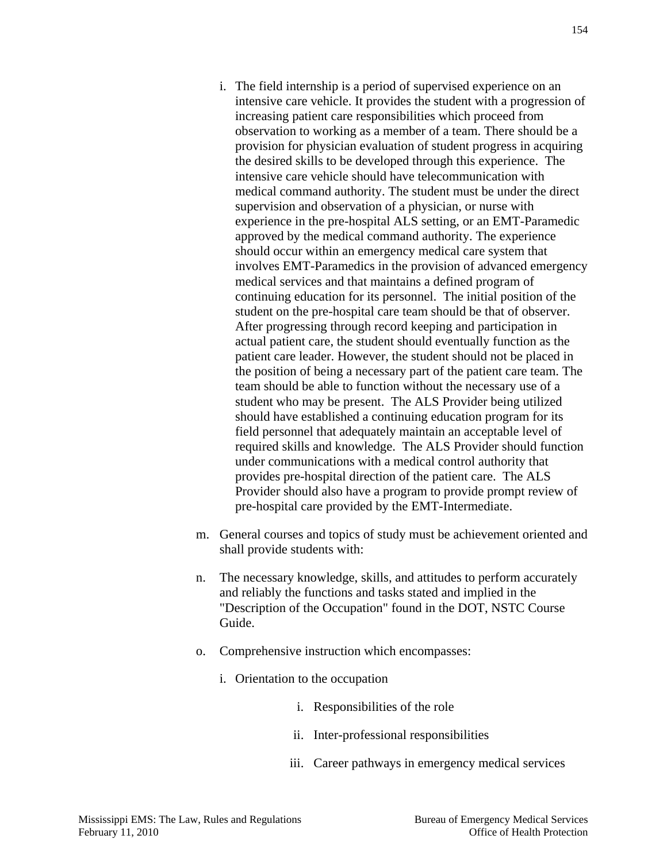- i. The field internship is a period of supervised experience on an intensive care vehicle. It provides the student with a progression of increasing patient care responsibilities which proceed from observation to working as a member of a team. There should be a provision for physician evaluation of student progress in acquiring the desired skills to be developed through this experience. The intensive care vehicle should have telecommunication with medical command authority. The student must be under the direct supervision and observation of a physician, or nurse with experience in the pre-hospital ALS setting, or an EMT-Paramedic approved by the medical command authority. The experience should occur within an emergency medical care system that involves EMT-Paramedics in the provision of advanced emergency medical services and that maintains a defined program of continuing education for its personnel. The initial position of the student on the pre-hospital care team should be that of observer. After progressing through record keeping and participation in actual patient care, the student should eventually function as the patient care leader. However, the student should not be placed in the position of being a necessary part of the patient care team. The team should be able to function without the necessary use of a student who may be present. The ALS Provider being utilized should have established a continuing education program for its field personnel that adequately maintain an acceptable level of required skills and knowledge. The ALS Provider should function under communications with a medical control authority that provides pre-hospital direction of the patient care. The ALS Provider should also have a program to provide prompt review of pre-hospital care provided by the EMT-Intermediate.
- m. General courses and topics of study must be achievement oriented and shall provide students with:
- n. The necessary knowledge, skills, and attitudes to perform accurately and reliably the functions and tasks stated and implied in the "Description of the Occupation" found in the DOT, NSTC Course Guide.
- o. Comprehensive instruction which encompasses:
	- i. Orientation to the occupation
		- i. Responsibilities of the role
		- ii. Inter-professional responsibilities
		- iii. Career pathways in emergency medical services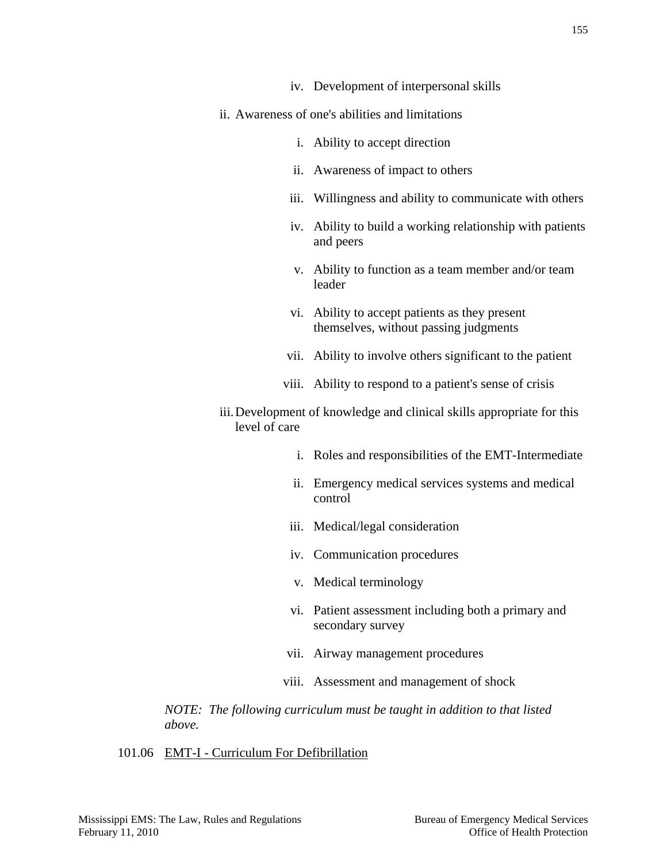- iv. Development of interpersonal skills
- ii. Awareness of one's abilities and limitations
	- i. Ability to accept direction
	- ii. Awareness of impact to others
	- iii. Willingness and ability to communicate with others
	- iv. Ability to build a working relationship with patients and peers
	- v. Ability to function as a team member and/or team leader
	- vi. Ability to accept patients as they present themselves, without passing judgments
	- vii. Ability to involve others significant to the patient
	- viii. Ability to respond to a patient's sense of crisis
- iii.Development of knowledge and clinical skills appropriate for this level of care
	- i. Roles and responsibilities of the EMT-Intermediate
	- ii. Emergency medical services systems and medical control
	- iii. Medical/legal consideration
	- iv. Communication procedures
	- v. Medical terminology
	- vi. Patient assessment including both a primary and secondary survey
	- vii. Airway management procedures
	- viii. Assessment and management of shock

*NOTE: The following curriculum must be taught in addition to that listed above.* 

101.06 EMT-I - Curriculum For Defibrillation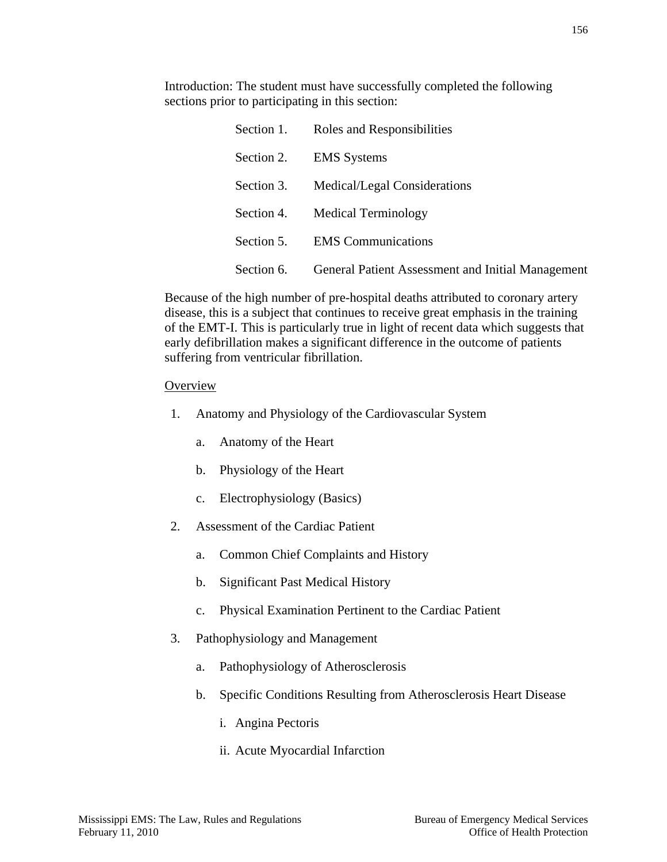Introduction: The student must have successfully completed the following sections prior to participating in this section:

| Section 1. | Roles and Responsibilities                        |
|------------|---------------------------------------------------|
| Section 2. | <b>EMS</b> Systems                                |
| Section 3. | Medical/Legal Considerations                      |
| Section 4. | <b>Medical Terminology</b>                        |
| Section 5. | <b>EMS</b> Communications                         |
| Section 6. | General Patient Assessment and Initial Management |

Because of the high number of pre-hospital deaths attributed to coronary artery disease, this is a subject that continues to receive great emphasis in the training of the EMT-I. This is particularly true in light of recent data which suggests that early defibrillation makes a significant difference in the outcome of patients suffering from ventricular fibrillation.

### **Overview**

- 1. Anatomy and Physiology of the Cardiovascular System
	- a. Anatomy of the Heart
	- b. Physiology of the Heart
	- c. Electrophysiology (Basics)
- 2. Assessment of the Cardiac Patient
	- a. Common Chief Complaints and History
	- b. Significant Past Medical History
	- c. Physical Examination Pertinent to the Cardiac Patient
- 3. Pathophysiology and Management
	- a. Pathophysiology of Atherosclerosis
	- b. Specific Conditions Resulting from Atherosclerosis Heart Disease
		- i. Angina Pectoris
		- ii. Acute Myocardial Infarction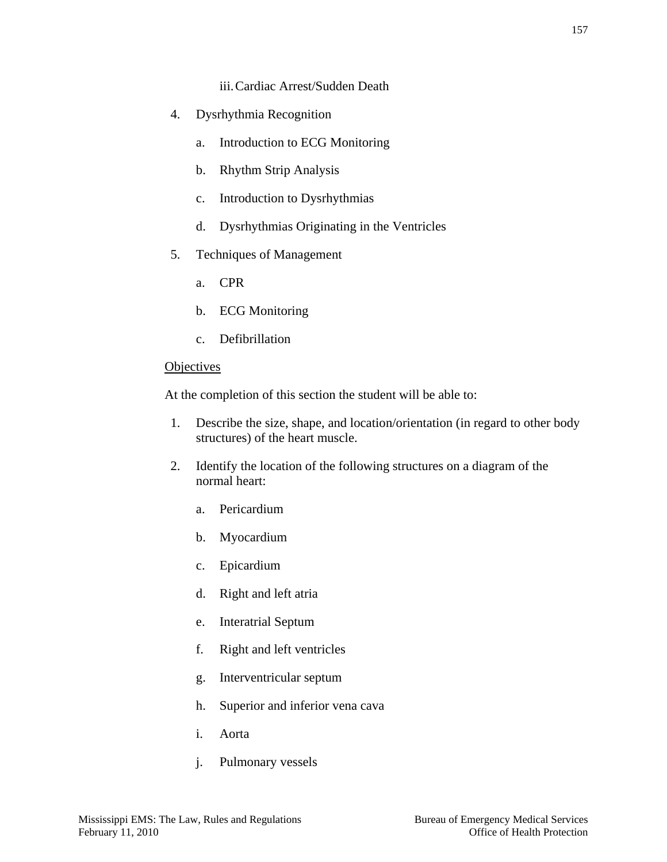- 4. Dysrhythmia Recognition
	- a. Introduction to ECG Monitoring
	- b. Rhythm Strip Analysis
	- c. Introduction to Dysrhythmias
	- d. Dysrhythmias Originating in the Ventricles
- 5. Techniques of Management
	- a. CPR
	- b. ECG Monitoring
	- c. Defibrillation

### **Objectives**

At the completion of this section the student will be able to:

- 1. Describe the size, shape, and location/orientation (in regard to other body structures) of the heart muscle.
- 2. Identify the location of the following structures on a diagram of the normal heart:
	- a. Pericardium
	- b. Myocardium
	- c. Epicardium
	- d. Right and left atria
	- e. Interatrial Septum
	- f. Right and left ventricles
	- g. Interventricular septum
	- h. Superior and inferior vena cava
	- i. Aorta
	- j. Pulmonary vessels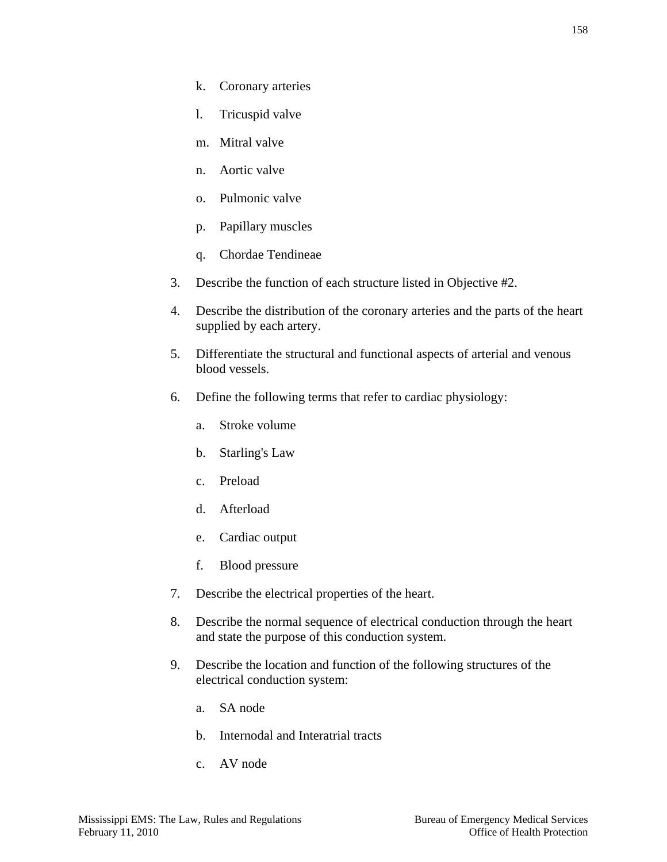- k. Coronary arteries
- l. Tricuspid valve
- m. Mitral valve
- n. Aortic valve
- o. Pulmonic valve
- p. Papillary muscles
- q. Chordae Tendineae
- 3. Describe the function of each structure listed in Objective #2.
- 4. Describe the distribution of the coronary arteries and the parts of the heart supplied by each artery.
- 5. Differentiate the structural and functional aspects of arterial and venous blood vessels.
- 6. Define the following terms that refer to cardiac physiology:
	- a. Stroke volume
	- b. Starling's Law
	- c. Preload
	- d. Afterload
	- e. Cardiac output
	- f. Blood pressure
- 7. Describe the electrical properties of the heart.
- 8. Describe the normal sequence of electrical conduction through the heart and state the purpose of this conduction system.
- 9. Describe the location and function of the following structures of the electrical conduction system:
	- a. SA node
	- b. Internodal and Interatrial tracts
	- c. AV node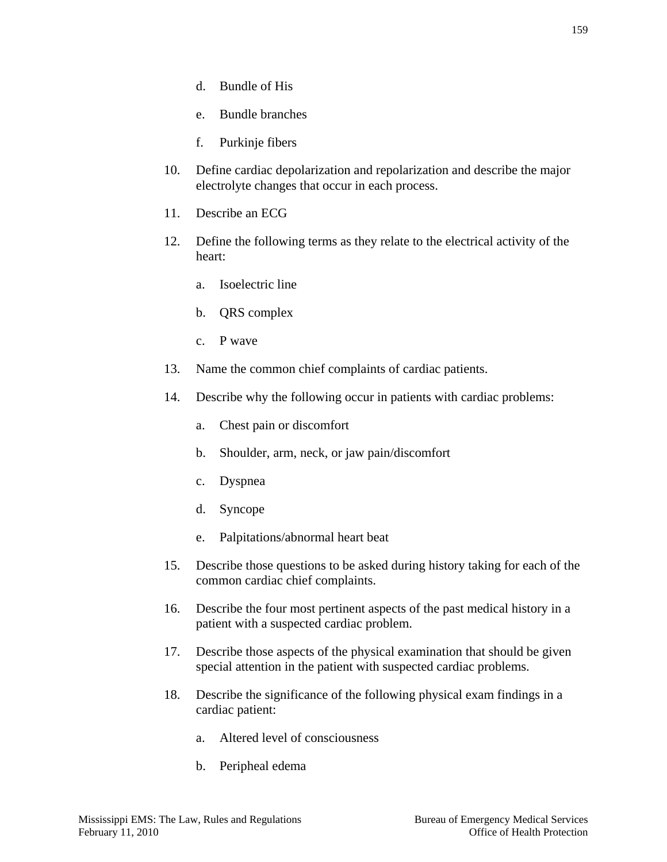- d. Bundle of His
- e. Bundle branches
- f. Purkinje fibers
- 10. Define cardiac depolarization and repolarization and describe the major electrolyte changes that occur in each process.
- 11. Describe an ECG
- 12. Define the following terms as they relate to the electrical activity of the heart:
	- a. Isoelectric line
	- b. QRS complex
	- c. P wave
- 13. Name the common chief complaints of cardiac patients.
- 14. Describe why the following occur in patients with cardiac problems:
	- a. Chest pain or discomfort
	- b. Shoulder, arm, neck, or jaw pain/discomfort
	- c. Dyspnea
	- d. Syncope
	- e. Palpitations/abnormal heart beat
- 15. Describe those questions to be asked during history taking for each of the common cardiac chief complaints.
- 16. Describe the four most pertinent aspects of the past medical history in a patient with a suspected cardiac problem.
- 17. Describe those aspects of the physical examination that should be given special attention in the patient with suspected cardiac problems.
- 18. Describe the significance of the following physical exam findings in a cardiac patient:
	- a. Altered level of consciousness
	- b. Peripheal edema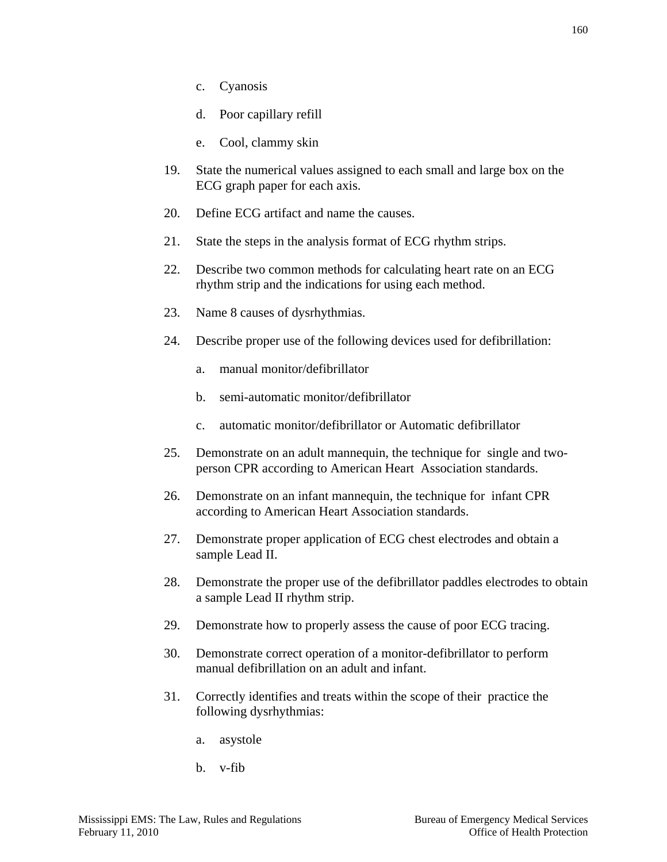- c. Cyanosis
- d. Poor capillary refill
- e. Cool, clammy skin
- 19. State the numerical values assigned to each small and large box on the ECG graph paper for each axis.
- 20. Define ECG artifact and name the causes.
- 21. State the steps in the analysis format of ECG rhythm strips.
- 22. Describe two common methods for calculating heart rate on an ECG rhythm strip and the indications for using each method.
- 23. Name 8 causes of dysrhythmias.
- 24. Describe proper use of the following devices used for defibrillation:
	- a. manual monitor/defibrillator
	- b. semi-automatic monitor/defibrillator
	- c. automatic monitor/defibrillator or Automatic defibrillator
- 25. Demonstrate on an adult mannequin, the technique for single and twoperson CPR according to American Heart Association standards.
- 26. Demonstrate on an infant mannequin, the technique for infant CPR according to American Heart Association standards.
- 27. Demonstrate proper application of ECG chest electrodes and obtain a sample Lead II.
- 28. Demonstrate the proper use of the defibrillator paddles electrodes to obtain a sample Lead II rhythm strip.
- 29. Demonstrate how to properly assess the cause of poor ECG tracing.
- 30. Demonstrate correct operation of a monitor-defibrillator to perform manual defibrillation on an adult and infant.
- 31. Correctly identifies and treats within the scope of their practice the following dysrhythmias:
	- a. asystole
	- b. v-fib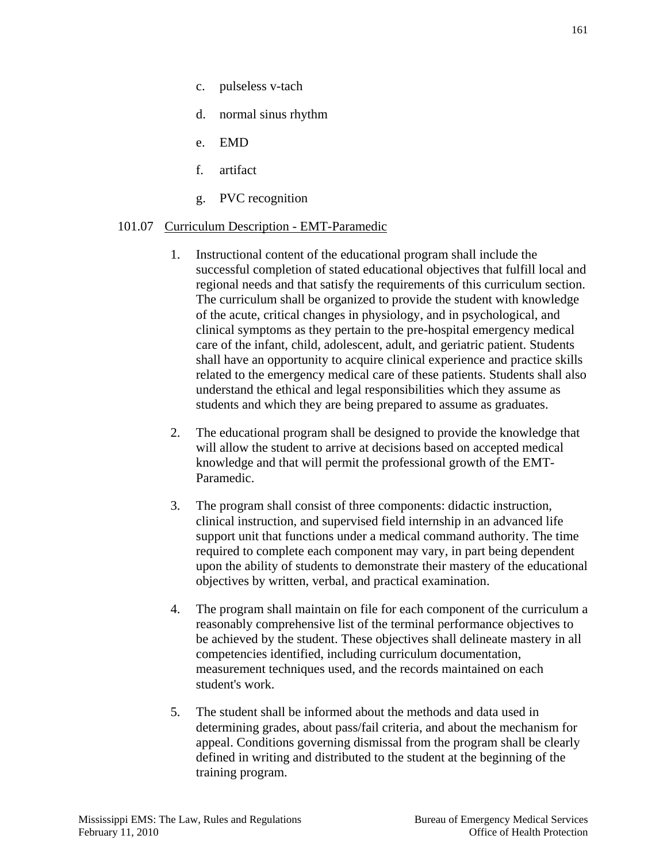- c. pulseless v-tach
- d. normal sinus rhythm
- e. EMD
- f. artifact
- g. PVC recognition

## 101.07 Curriculum Description - EMT-Paramedic

- 1. Instructional content of the educational program shall include the successful completion of stated educational objectives that fulfill local and regional needs and that satisfy the requirements of this curriculum section. The curriculum shall be organized to provide the student with knowledge of the acute, critical changes in physiology, and in psychological, and clinical symptoms as they pertain to the pre-hospital emergency medical care of the infant, child, adolescent, adult, and geriatric patient. Students shall have an opportunity to acquire clinical experience and practice skills related to the emergency medical care of these patients. Students shall also understand the ethical and legal responsibilities which they assume as students and which they are being prepared to assume as graduates.
- 2. The educational program shall be designed to provide the knowledge that will allow the student to arrive at decisions based on accepted medical knowledge and that will permit the professional growth of the EMT-Paramedic.
- 3. The program shall consist of three components: didactic instruction, clinical instruction, and supervised field internship in an advanced life support unit that functions under a medical command authority. The time required to complete each component may vary, in part being dependent upon the ability of students to demonstrate their mastery of the educational objectives by written, verbal, and practical examination.
- 4. The program shall maintain on file for each component of the curriculum a reasonably comprehensive list of the terminal performance objectives to be achieved by the student. These objectives shall delineate mastery in all competencies identified, including curriculum documentation, measurement techniques used, and the records maintained on each student's work.
- 5. The student shall be informed about the methods and data used in determining grades, about pass/fail criteria, and about the mechanism for appeal. Conditions governing dismissal from the program shall be clearly defined in writing and distributed to the student at the beginning of the training program.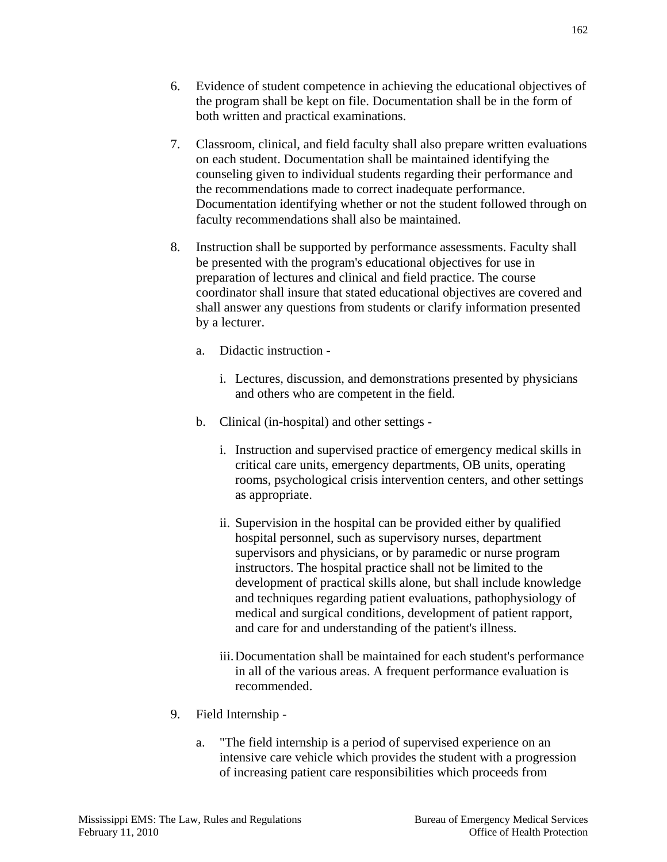- 6. Evidence of student competence in achieving the educational objectives of the program shall be kept on file. Documentation shall be in the form of both written and practical examinations.
- 7. Classroom, clinical, and field faculty shall also prepare written evaluations on each student. Documentation shall be maintained identifying the counseling given to individual students regarding their performance and the recommendations made to correct inadequate performance. Documentation identifying whether or not the student followed through on faculty recommendations shall also be maintained.
- 8. Instruction shall be supported by performance assessments. Faculty shall be presented with the program's educational objectives for use in preparation of lectures and clinical and field practice. The course coordinator shall insure that stated educational objectives are covered and shall answer any questions from students or clarify information presented by a lecturer.
	- a. Didactic instruction
		- i. Lectures, discussion, and demonstrations presented by physicians and others who are competent in the field.
	- b. Clinical (in-hospital) and other settings
		- i. Instruction and supervised practice of emergency medical skills in critical care units, emergency departments, OB units, operating rooms, psychological crisis intervention centers, and other settings as appropriate.
		- ii. Supervision in the hospital can be provided either by qualified hospital personnel, such as supervisory nurses, department supervisors and physicians, or by paramedic or nurse program instructors. The hospital practice shall not be limited to the development of practical skills alone, but shall include knowledge and techniques regarding patient evaluations, pathophysiology of medical and surgical conditions, development of patient rapport, and care for and understanding of the patient's illness.
		- iii.Documentation shall be maintained for each student's performance in all of the various areas. A frequent performance evaluation is recommended.
- 9. Field Internship
	- a. "The field internship is a period of supervised experience on an intensive care vehicle which provides the student with a progression of increasing patient care responsibilities which proceeds from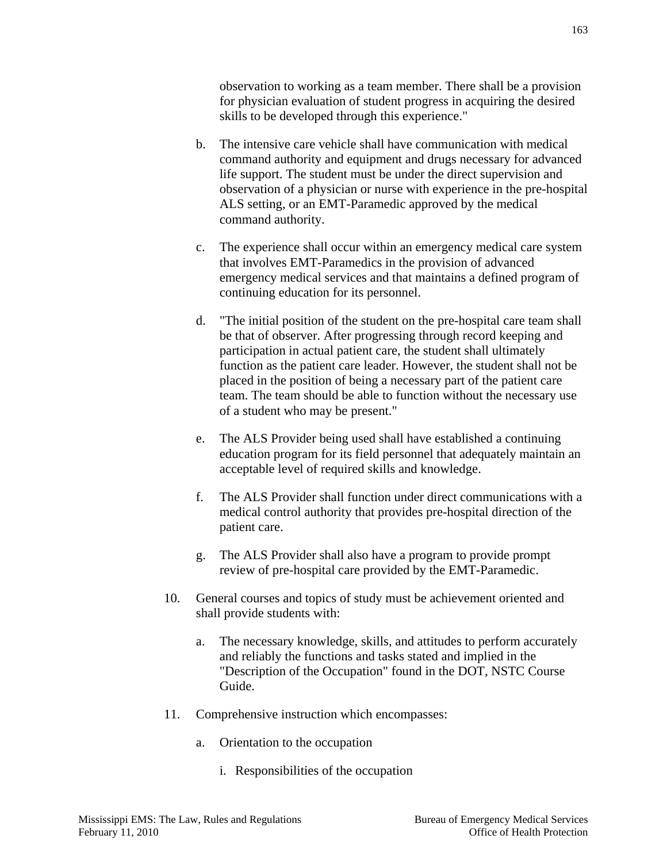observation to working as a team member. There shall be a provision for physician evaluation of student progress in acquiring the desired skills to be developed through this experience."

- b. The intensive care vehicle shall have communication with medical command authority and equipment and drugs necessary for advanced life support. The student must be under the direct supervision and observation of a physician or nurse with experience in the pre-hospital ALS setting, or an EMT-Paramedic approved by the medical command authority.
- c. The experience shall occur within an emergency medical care system that involves EMT-Paramedics in the provision of advanced emergency medical services and that maintains a defined program of continuing education for its personnel.
- d. "The initial position of the student on the pre-hospital care team shall be that of observer. After progressing through record keeping and participation in actual patient care, the student shall ultimately function as the patient care leader. However, the student shall not be placed in the position of being a necessary part of the patient care team. The team should be able to function without the necessary use of a student who may be present."
- e. The ALS Provider being used shall have established a continuing education program for its field personnel that adequately maintain an acceptable level of required skills and knowledge.
- f. The ALS Provider shall function under direct communications with a medical control authority that provides pre-hospital direction of the patient care.
- g. The ALS Provider shall also have a program to provide prompt review of pre-hospital care provided by the EMT-Paramedic.
- 10. General courses and topics of study must be achievement oriented and shall provide students with:
	- a. The necessary knowledge, skills, and attitudes to perform accurately and reliably the functions and tasks stated and implied in the "Description of the Occupation" found in the DOT, NSTC Course Guide.
- 11. Comprehensive instruction which encompasses:
	- a. Orientation to the occupation
		- i. Responsibilities of the occupation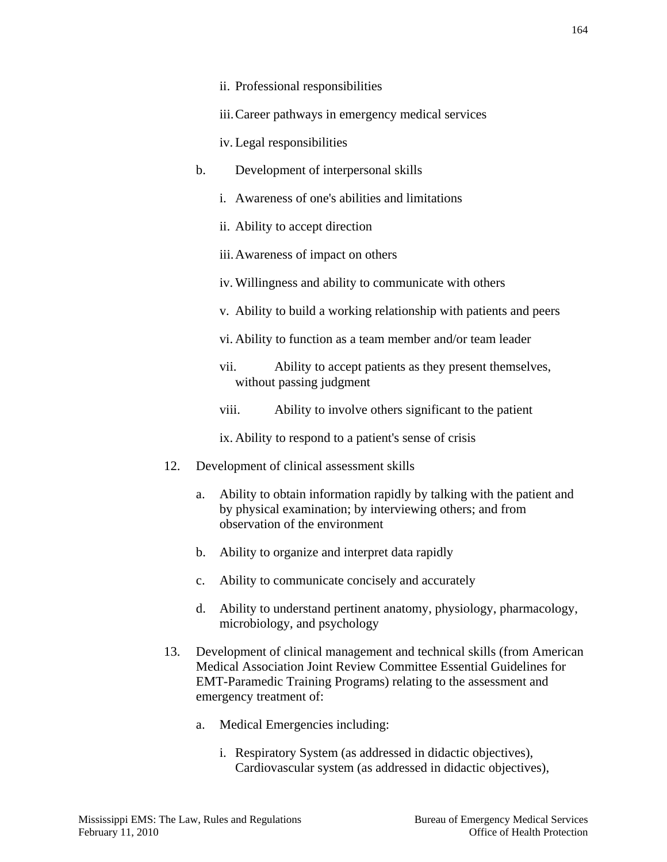- ii. Professional responsibilities
- iii.Career pathways in emergency medical services
- iv. Legal responsibilities
- b. Development of interpersonal skills
	- i. Awareness of one's abilities and limitations
	- ii. Ability to accept direction
	- iii.Awareness of impact on others
	- iv. Willingness and ability to communicate with others
	- v. Ability to build a working relationship with patients and peers
	- vi. Ability to function as a team member and/or team leader
	- vii. Ability to accept patients as they present themselves, without passing judgment
	- viii. Ability to involve others significant to the patient
	- ix. Ability to respond to a patient's sense of crisis
- 12. Development of clinical assessment skills
	- a. Ability to obtain information rapidly by talking with the patient and by physical examination; by interviewing others; and from observation of the environment
	- b. Ability to organize and interpret data rapidly
	- c. Ability to communicate concisely and accurately
	- d. Ability to understand pertinent anatomy, physiology, pharmacology, microbiology, and psychology
- 13. Development of clinical management and technical skills (from American Medical Association Joint Review Committee Essential Guidelines for EMT-Paramedic Training Programs) relating to the assessment and emergency treatment of:
	- a. Medical Emergencies including:
		- i. Respiratory System (as addressed in didactic objectives), Cardiovascular system (as addressed in didactic objectives),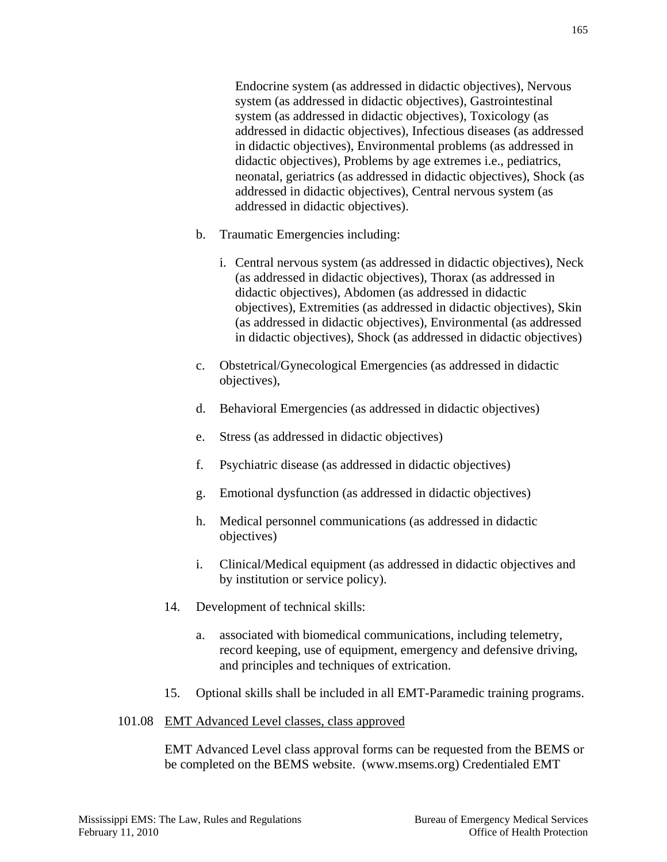Endocrine system (as addressed in didactic objectives), Nervous system (as addressed in didactic objectives), Gastrointestinal system (as addressed in didactic objectives), Toxicology (as addressed in didactic objectives), Infectious diseases (as addressed in didactic objectives), Environmental problems (as addressed in didactic objectives), Problems by age extremes i.e., pediatrics, neonatal, geriatrics (as addressed in didactic objectives), Shock (as addressed in didactic objectives), Central nervous system (as addressed in didactic objectives).

- b. Traumatic Emergencies including:
	- i. Central nervous system (as addressed in didactic objectives), Neck (as addressed in didactic objectives), Thorax (as addressed in didactic objectives), Abdomen (as addressed in didactic objectives), Extremities (as addressed in didactic objectives), Skin (as addressed in didactic objectives), Environmental (as addressed in didactic objectives), Shock (as addressed in didactic objectives)
- c. Obstetrical/Gynecological Emergencies (as addressed in didactic objectives),
- d. Behavioral Emergencies (as addressed in didactic objectives)
- e. Stress (as addressed in didactic objectives)
- f. Psychiatric disease (as addressed in didactic objectives)
- g. Emotional dysfunction (as addressed in didactic objectives)
- h. Medical personnel communications (as addressed in didactic objectives)
- i. Clinical/Medical equipment (as addressed in didactic objectives and by institution or service policy).
- 14. Development of technical skills:
	- a. associated with biomedical communications, including telemetry, record keeping, use of equipment, emergency and defensive driving, and principles and techniques of extrication.
- 15. Optional skills shall be included in all EMT-Paramedic training programs.

## 101.08 EMT Advanced Level classes, class approved

EMT Advanced Level class approval forms can be requested from the BEMS or be completed on the BEMS website. (www.msems.org) Credentialed EMT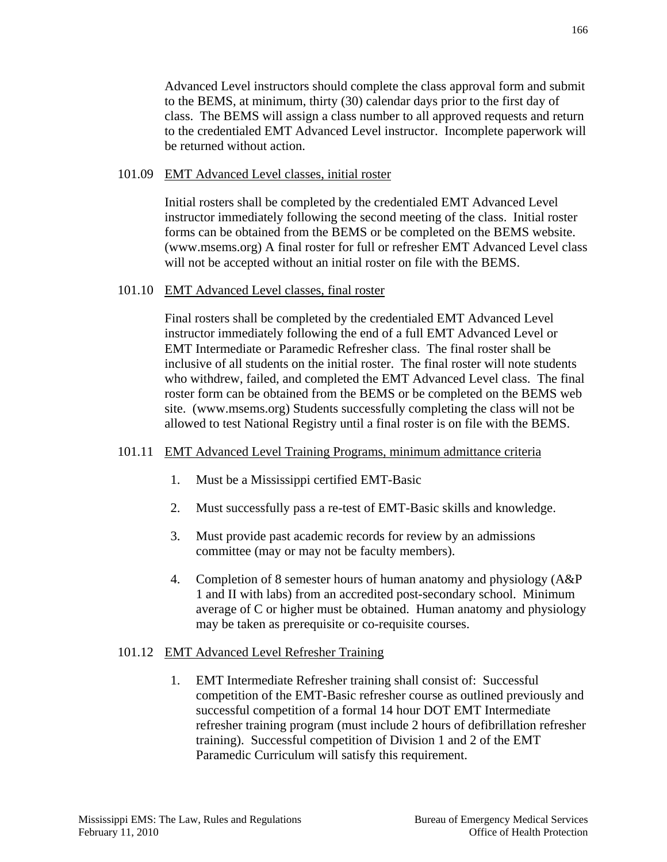Advanced Level instructors should complete the class approval form and submit to the BEMS, at minimum, thirty (30) calendar days prior to the first day of class. The BEMS will assign a class number to all approved requests and return to the credentialed EMT Advanced Level instructor. Incomplete paperwork will be returned without action.

### 101.09 EMT Advanced Level classes, initial roster

Initial rosters shall be completed by the credentialed EMT Advanced Level instructor immediately following the second meeting of the class. Initial roster forms can be obtained from the BEMS or be completed on the BEMS website. (www.msems.org) A final roster for full or refresher EMT Advanced Level class will not be accepted without an initial roster on file with the BEMS.

## 101.10 EMT Advanced Level classes, final roster

Final rosters shall be completed by the credentialed EMT Advanced Level instructor immediately following the end of a full EMT Advanced Level or EMT Intermediate or Paramedic Refresher class. The final roster shall be inclusive of all students on the initial roster. The final roster will note students who withdrew, failed, and completed the EMT Advanced Level class. The final roster form can be obtained from the BEMS or be completed on the BEMS web site. (www.msems.org) Students successfully completing the class will not be allowed to test National Registry until a final roster is on file with the BEMS.

## 101.11 EMT Advanced Level Training Programs, minimum admittance criteria

- 1. Must be a Mississippi certified EMT-Basic
- 2. Must successfully pass a re-test of EMT-Basic skills and knowledge.
- 3. Must provide past academic records for review by an admissions committee (may or may not be faculty members).
- 4. Completion of 8 semester hours of human anatomy and physiology (A&P 1 and II with labs) from an accredited post-secondary school. Minimum average of C or higher must be obtained. Human anatomy and physiology may be taken as prerequisite or co-requisite courses.

## 101.12 EMT Advanced Level Refresher Training

1. EMT Intermediate Refresher training shall consist of: Successful competition of the EMT-Basic refresher course as outlined previously and successful competition of a formal 14 hour DOT EMT Intermediate refresher training program (must include 2 hours of defibrillation refresher training). Successful competition of Division 1 and 2 of the EMT Paramedic Curriculum will satisfy this requirement.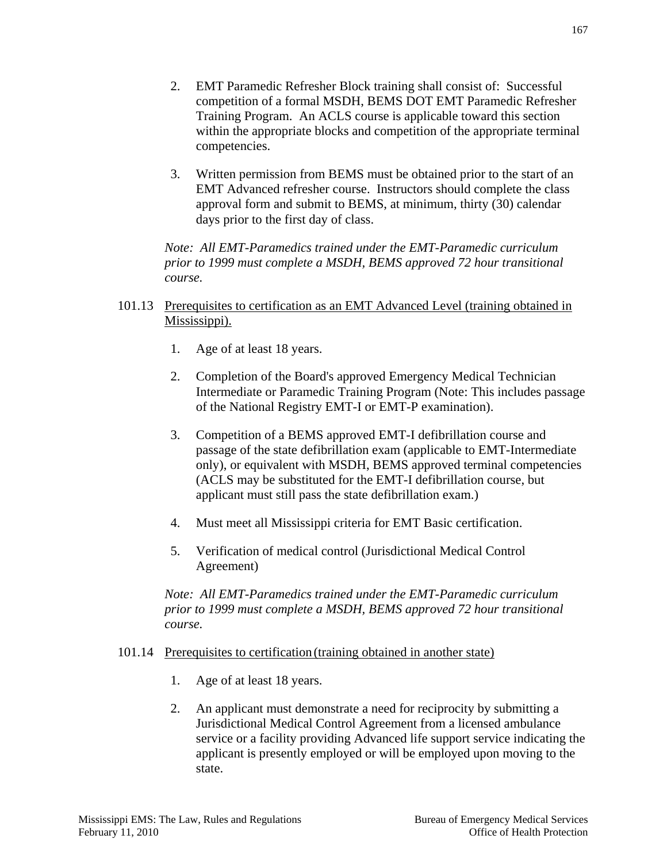- 2. EMT Paramedic Refresher Block training shall consist of: Successful competition of a formal MSDH, BEMS DOT EMT Paramedic Refresher Training Program. An ACLS course is applicable toward this section within the appropriate blocks and competition of the appropriate terminal competencies.
- 3. Written permission from BEMS must be obtained prior to the start of an EMT Advanced refresher course. Instructors should complete the class approval form and submit to BEMS, at minimum, thirty (30) calendar days prior to the first day of class.

*Note: All EMT-Paramedics trained under the EMT-Paramedic curriculum prior to 1999 must complete a MSDH, BEMS approved 72 hour transitional course.* 

- 101.13 Prerequisites to certification as an EMT Advanced Level (training obtained in Mississippi).
	- 1. Age of at least 18 years.
	- 2. Completion of the Board's approved Emergency Medical Technician Intermediate or Paramedic Training Program (Note: This includes passage of the National Registry EMT-I or EMT-P examination).
	- 3. Competition of a BEMS approved EMT-I defibrillation course and passage of the state defibrillation exam (applicable to EMT-Intermediate only), or equivalent with MSDH, BEMS approved terminal competencies (ACLS may be substituted for the EMT-I defibrillation course, but applicant must still pass the state defibrillation exam.)
	- 4. Must meet all Mississippi criteria for EMT Basic certification.
	- 5. Verification of medical control (Jurisdictional Medical Control Agreement)

*Note: All EMT-Paramedics trained under the EMT-Paramedic curriculum prior to 1999 must complete a MSDH, BEMS approved 72 hour transitional course.* 

## 101.14 Prerequisites to certification (training obtained in another state)

- 1. Age of at least 18 years.
- 2. An applicant must demonstrate a need for reciprocity by submitting a Jurisdictional Medical Control Agreement from a licensed ambulance service or a facility providing Advanced life support service indicating the applicant is presently employed or will be employed upon moving to the state.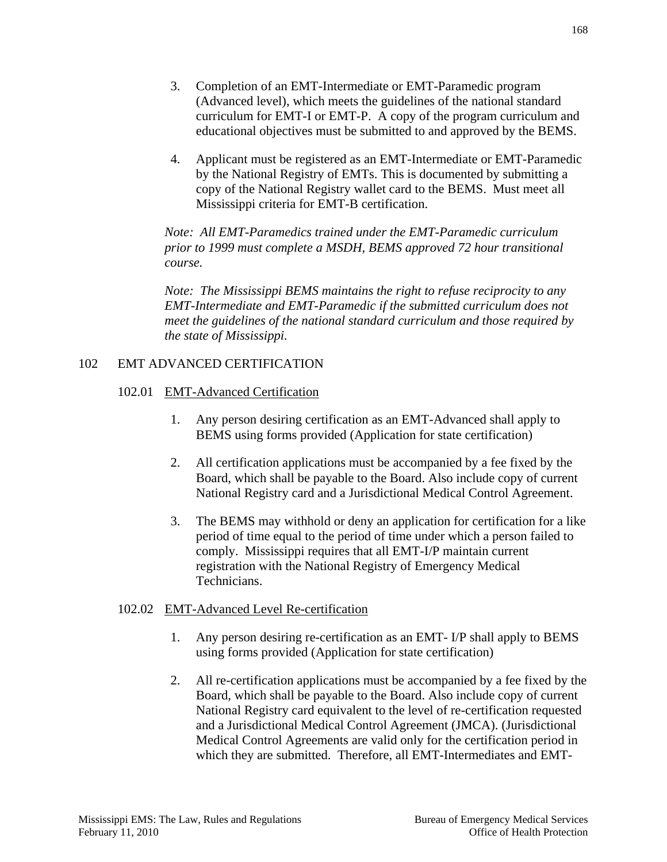- 3. Completion of an EMT-Intermediate or EMT-Paramedic program (Advanced level), which meets the guidelines of the national standard curriculum for EMT-I or EMT-P. A copy of the program curriculum and educational objectives must be submitted to and approved by the BEMS.
- 4. Applicant must be registered as an EMT-Intermediate or EMT-Paramedic by the National Registry of EMTs. This is documented by submitting a copy of the National Registry wallet card to the BEMS. Must meet all Mississippi criteria for EMT-B certification.

*Note: All EMT-Paramedics trained under the EMT-Paramedic curriculum prior to 1999 must complete a MSDH, BEMS approved 72 hour transitional course.* 

*Note: The Mississippi BEMS maintains the right to refuse reciprocity to any EMT-Intermediate and EMT-Paramedic if the submitted curriculum does not meet the guidelines of the national standard curriculum and those required by the state of Mississippi.* 

## 102 EMT ADVANCED CERTIFICATION

## 102.01 EMT-Advanced Certification

- 1. Any person desiring certification as an EMT-Advanced shall apply to BEMS using forms provided (Application for state certification)
- 2. All certification applications must be accompanied by a fee fixed by the Board, which shall be payable to the Board. Also include copy of current National Registry card and a Jurisdictional Medical Control Agreement.
- 3. The BEMS may withhold or deny an application for certification for a like period of time equal to the period of time under which a person failed to comply. Mississippi requires that all EMT-I/P maintain current registration with the National Registry of Emergency Medical Technicians.

## 102.02 EMT-Advanced Level Re-certification

- 1. Any person desiring re-certification as an EMT- I/P shall apply to BEMS using forms provided (Application for state certification)
- 2. All re-certification applications must be accompanied by a fee fixed by the Board, which shall be payable to the Board. Also include copy of current National Registry card equivalent to the level of re-certification requested and a Jurisdictional Medical Control Agreement (JMCA). (Jurisdictional Medical Control Agreements are valid only for the certification period in which they are submitted. Therefore, all EMT-Intermediates and EMT-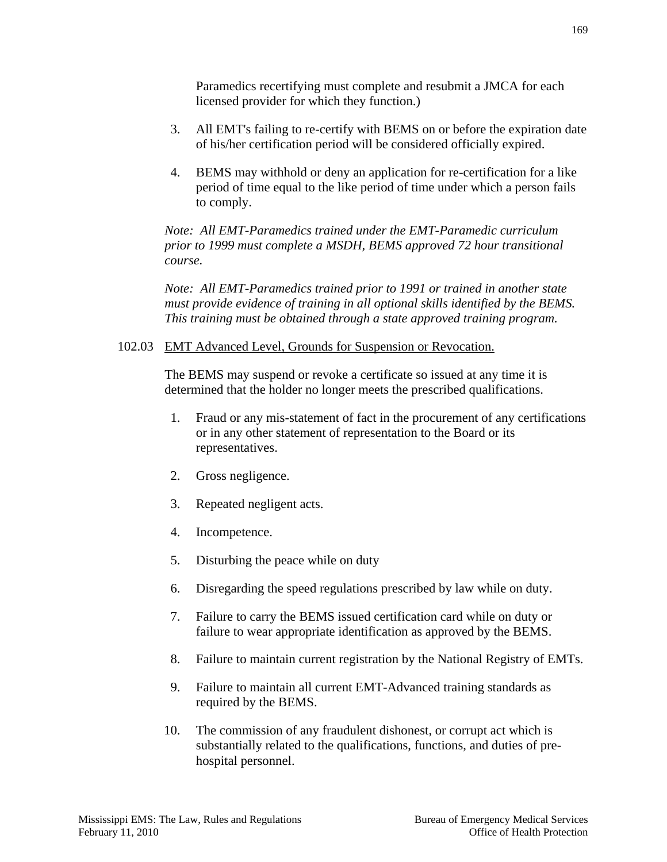Paramedics recertifying must complete and resubmit a JMCA for each licensed provider for which they function.)

- 3. All EMT's failing to re-certify with BEMS on or before the expiration date of his/her certification period will be considered officially expired.
- 4. BEMS may withhold or deny an application for re-certification for a like period of time equal to the like period of time under which a person fails to comply.

*Note: All EMT-Paramedics trained under the EMT-Paramedic curriculum prior to 1999 must complete a MSDH, BEMS approved 72 hour transitional course.* 

*Note: All EMT-Paramedics trained prior to 1991 or trained in another state must provide evidence of training in all optional skills identified by the BEMS. This training must be obtained through a state approved training program.* 

## 102.03 EMT Advanced Level, Grounds for Suspension or Revocation.

The BEMS may suspend or revoke a certificate so issued at any time it is determined that the holder no longer meets the prescribed qualifications.

- 1. Fraud or any mis-statement of fact in the procurement of any certifications or in any other statement of representation to the Board or its representatives.
- 2. Gross negligence.
- 3. Repeated negligent acts.
- 4. Incompetence.
- 5. Disturbing the peace while on duty
- 6. Disregarding the speed regulations prescribed by law while on duty.
- 7. Failure to carry the BEMS issued certification card while on duty or failure to wear appropriate identification as approved by the BEMS.
- 8. Failure to maintain current registration by the National Registry of EMTs.
- 9. Failure to maintain all current EMT-Advanced training standards as required by the BEMS.
- 10. The commission of any fraudulent dishonest, or corrupt act which is substantially related to the qualifications, functions, and duties of prehospital personnel.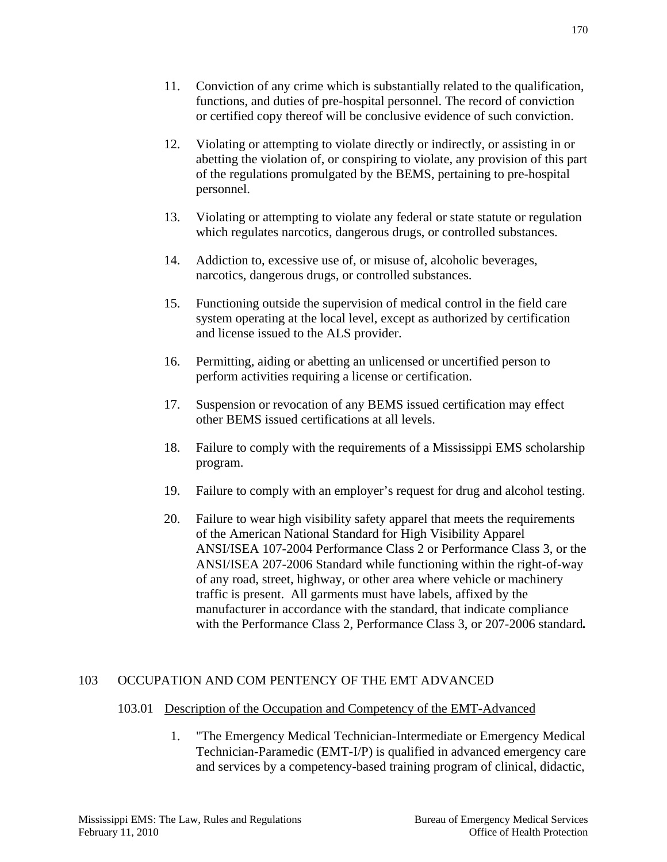- 11. Conviction of any crime which is substantially related to the qualification, functions, and duties of pre-hospital personnel. The record of conviction or certified copy thereof will be conclusive evidence of such conviction.
- 12. Violating or attempting to violate directly or indirectly, or assisting in or abetting the violation of, or conspiring to violate, any provision of this part of the regulations promulgated by the BEMS, pertaining to pre-hospital personnel.
- 13. Violating or attempting to violate any federal or state statute or regulation which regulates narcotics, dangerous drugs, or controlled substances.
- 14. Addiction to, excessive use of, or misuse of, alcoholic beverages, narcotics, dangerous drugs, or controlled substances.
- 15. Functioning outside the supervision of medical control in the field care system operating at the local level, except as authorized by certification and license issued to the ALS provider.
- 16. Permitting, aiding or abetting an unlicensed or uncertified person to perform activities requiring a license or certification.
- 17. Suspension or revocation of any BEMS issued certification may effect other BEMS issued certifications at all levels.
- 18. Failure to comply with the requirements of a Mississippi EMS scholarship program.
- 19. Failure to comply with an employer's request for drug and alcohol testing.
- 20. Failure to wear high visibility safety apparel that meets the requirements of the American National Standard for High Visibility Apparel ANSI/ISEA 107-2004 Performance Class 2 or Performance Class 3, or the ANSI/ISEA 207-2006 Standard while functioning within the right-of-way of any road, street, highway, or other area where vehicle or machinery traffic is present. All garments must have labels, affixed by the manufacturer in accordance with the standard, that indicate compliance with the Performance Class 2, Performance Class 3, or 207-2006 standard*.*

### 103 OCCUPATION AND COM PENTENCY OF THE EMT ADVANCED

### 103.01 Description of the Occupation and Competency of the EMT-Advanced

1. "The Emergency Medical Technician-Intermediate or Emergency Medical Technician-Paramedic (EMT-I/P) is qualified in advanced emergency care and services by a competency-based training program of clinical, didactic,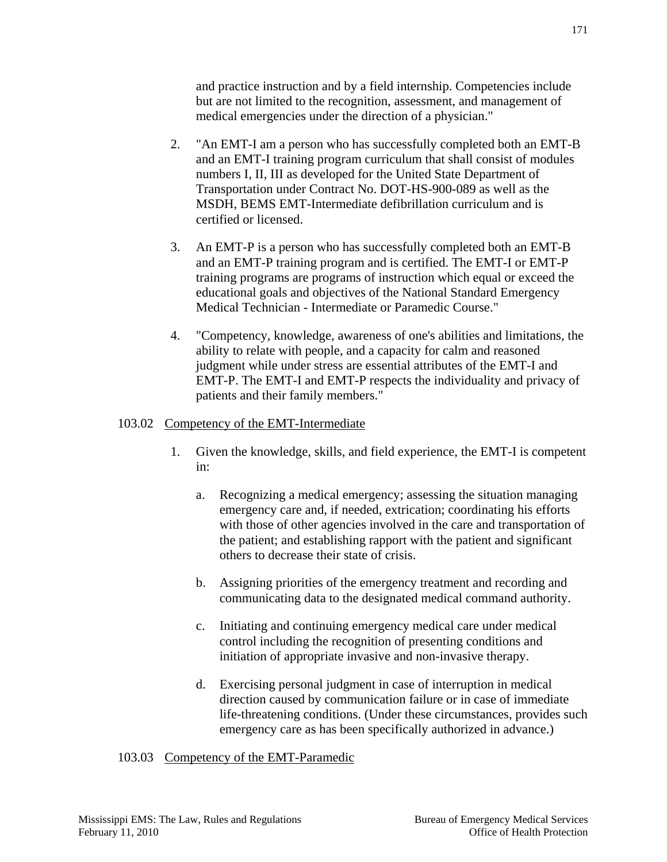and practice instruction and by a field internship. Competencies include but are not limited to the recognition, assessment, and management of medical emergencies under the direction of a physician."

- 2. "An EMT-I am a person who has successfully completed both an EMT-B and an EMT-I training program curriculum that shall consist of modules numbers I, II, III as developed for the United State Department of Transportation under Contract No. DOT-HS-900-089 as well as the MSDH, BEMS EMT-Intermediate defibrillation curriculum and is certified or licensed.
- 3. An EMT-P is a person who has successfully completed both an EMT-B and an EMT-P training program and is certified. The EMT-I or EMT-P training programs are programs of instruction which equal or exceed the educational goals and objectives of the National Standard Emergency Medical Technician - Intermediate or Paramedic Course."
- 4. "Competency, knowledge, awareness of one's abilities and limitations, the ability to relate with people, and a capacity for calm and reasoned judgment while under stress are essential attributes of the EMT-I and EMT-P. The EMT-I and EMT-P respects the individuality and privacy of patients and their family members."

## 103.02 Competency of the EMT-Intermediate

- 1. Given the knowledge, skills, and field experience, the EMT-I is competent in:
	- a. Recognizing a medical emergency; assessing the situation managing emergency care and, if needed, extrication; coordinating his efforts with those of other agencies involved in the care and transportation of the patient; and establishing rapport with the patient and significant others to decrease their state of crisis.
	- b. Assigning priorities of the emergency treatment and recording and communicating data to the designated medical command authority.
	- c. Initiating and continuing emergency medical care under medical control including the recognition of presenting conditions and initiation of appropriate invasive and non-invasive therapy.
	- d. Exercising personal judgment in case of interruption in medical direction caused by communication failure or in case of immediate life-threatening conditions. (Under these circumstances, provides such emergency care as has been specifically authorized in advance.)

### 103.03 Competency of the EMT-Paramedic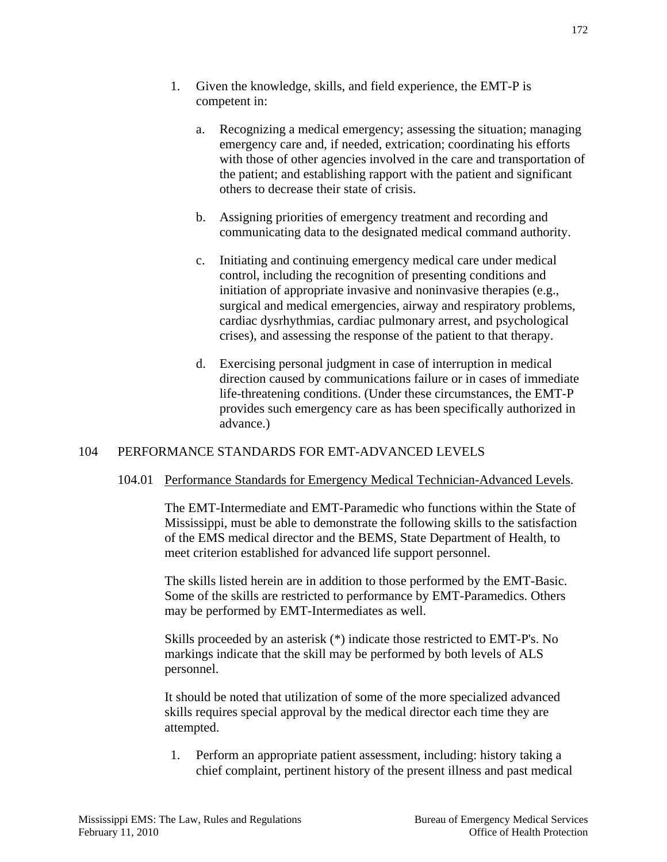- 1. Given the knowledge, skills, and field experience, the EMT-P is competent in:
	- a. Recognizing a medical emergency; assessing the situation; managing emergency care and, if needed, extrication; coordinating his efforts with those of other agencies involved in the care and transportation of the patient; and establishing rapport with the patient and significant others to decrease their state of crisis.
	- b. Assigning priorities of emergency treatment and recording and communicating data to the designated medical command authority.
	- c. Initiating and continuing emergency medical care under medical control, including the recognition of presenting conditions and initiation of appropriate invasive and noninvasive therapies (e.g., surgical and medical emergencies, airway and respiratory problems, cardiac dysrhythmias, cardiac pulmonary arrest, and psychological crises), and assessing the response of the patient to that therapy.
	- d. Exercising personal judgment in case of interruption in medical direction caused by communications failure or in cases of immediate life-threatening conditions. (Under these circumstances, the EMT-P provides such emergency care as has been specifically authorized in advance.)

## 104 PERFORMANCE STANDARDS FOR EMT-ADVANCED LEVELS

### 104.01 Performance Standards for Emergency Medical Technician-Advanced Levels.

The EMT-Intermediate and EMT-Paramedic who functions within the State of Mississippi, must be able to demonstrate the following skills to the satisfaction of the EMS medical director and the BEMS, State Department of Health, to meet criterion established for advanced life support personnel.

The skills listed herein are in addition to those performed by the EMT-Basic. Some of the skills are restricted to performance by EMT-Paramedics. Others may be performed by EMT-Intermediates as well.

Skills proceeded by an asterisk (\*) indicate those restricted to EMT-P's. No markings indicate that the skill may be performed by both levels of ALS personnel.

It should be noted that utilization of some of the more specialized advanced skills requires special approval by the medical director each time they are attempted.

1. Perform an appropriate patient assessment, including: history taking a chief complaint, pertinent history of the present illness and past medical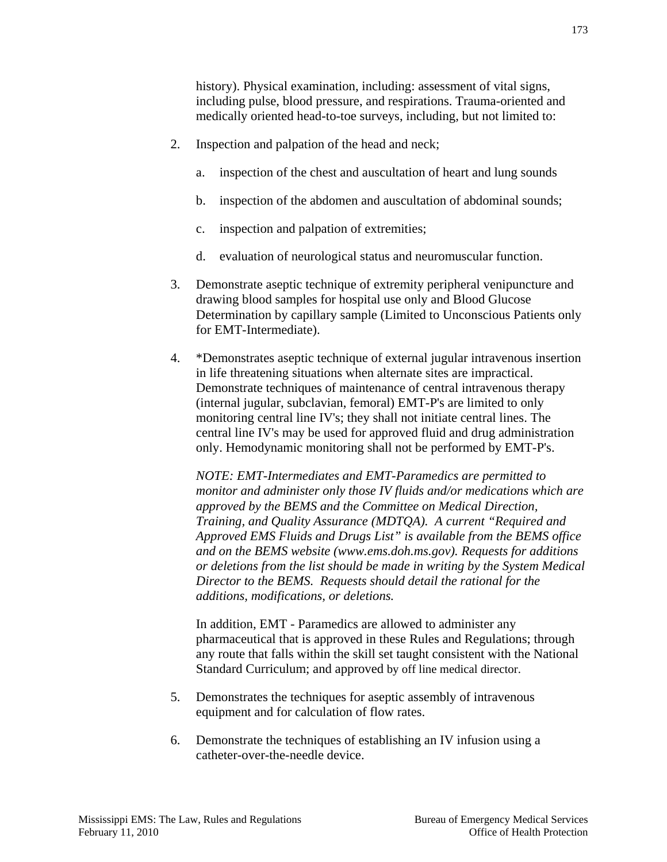history). Physical examination, including: assessment of vital signs, including pulse, blood pressure, and respirations. Trauma-oriented and medically oriented head-to-toe surveys, including, but not limited to:

- 2. Inspection and palpation of the head and neck;
	- a. inspection of the chest and auscultation of heart and lung sounds
	- b. inspection of the abdomen and auscultation of abdominal sounds;
	- c. inspection and palpation of extremities;
	- d. evaluation of neurological status and neuromuscular function.
- 3. Demonstrate aseptic technique of extremity peripheral venipuncture and drawing blood samples for hospital use only and Blood Glucose Determination by capillary sample (Limited to Unconscious Patients only for EMT-Intermediate).
- 4. \*Demonstrates aseptic technique of external jugular intravenous insertion in life threatening situations when alternate sites are impractical. Demonstrate techniques of maintenance of central intravenous therapy (internal jugular, subclavian, femoral) EMT-P's are limited to only monitoring central line IV's; they shall not initiate central lines. The central line IV's may be used for approved fluid and drug administration only. Hemodynamic monitoring shall not be performed by EMT-P's.

*NOTE: EMT-Intermediates and EMT-Paramedics are permitted to monitor and administer only those IV fluids and/or medications which are approved by the BEMS and the Committee on Medical Direction, Training, and Quality Assurance (MDTQA). A current "Required and Approved EMS Fluids and Drugs List" is available from the BEMS office and on the BEMS website (www.ems.doh.ms.gov). Requests for additions or deletions from the list should be made in writing by the System Medical Director to the BEMS. Requests should detail the rational for the additions, modifications, or deletions.* 

In addition, EMT - Paramedics are allowed to administer any pharmaceutical that is approved in these Rules and Regulations; through any route that falls within the skill set taught consistent with the National Standard Curriculum; and approved by off line medical director.

- 5. Demonstrates the techniques for aseptic assembly of intravenous equipment and for calculation of flow rates.
- 6. Demonstrate the techniques of establishing an IV infusion using a catheter-over-the-needle device.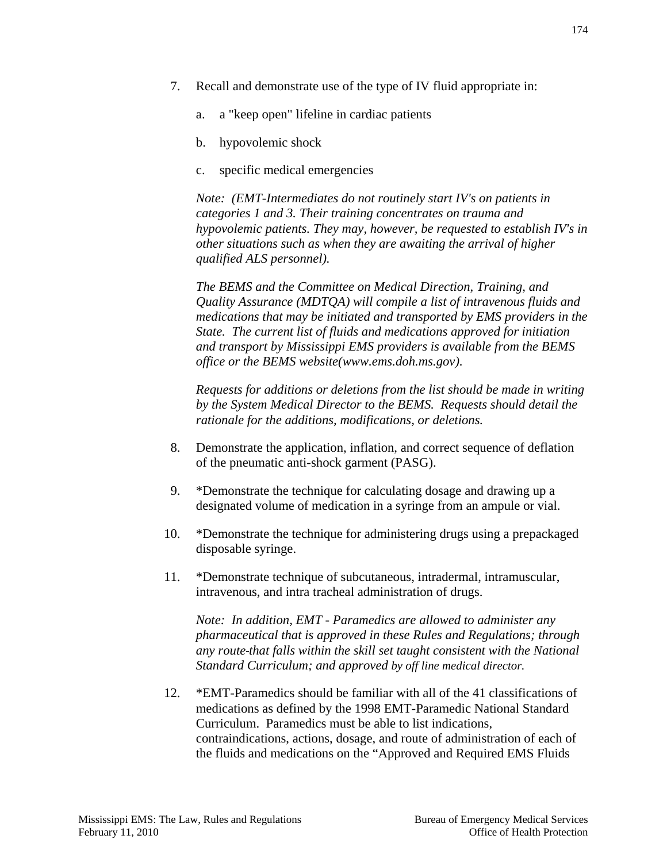- a. a "keep open" lifeline in cardiac patients
- b. hypovolemic shock
- c. specific medical emergencies

*Note: (EMT-Intermediates do not routinely start IV's on patients in categories 1 and 3. Their training concentrates on trauma and hypovolemic patients. They may, however, be requested to establish IV's in other situations such as when they are awaiting the arrival of higher qualified ALS personnel).* 

*The BEMS and the Committee on Medical Direction, Training, and Quality Assurance (MDTQA) will compile a list of intravenous fluids and medications that may be initiated and transported by EMS providers in the State. The current list of fluids and medications approved for initiation and transport by Mississippi EMS providers is available from the BEMS office or the BEMS website(www.ems.doh.ms.gov).* 

*Requests for additions or deletions from the list should be made in writing by the System Medical Director to the BEMS. Requests should detail the rationale for the additions, modifications, or deletions.* 

- 8. Demonstrate the application, inflation, and correct sequence of deflation of the pneumatic anti-shock garment (PASG).
- 9. \*Demonstrate the technique for calculating dosage and drawing up a designated volume of medication in a syringe from an ampule or vial.
- 10. \*Demonstrate the technique for administering drugs using a prepackaged disposable syringe.
- 11. \*Demonstrate technique of subcutaneous, intradermal, intramuscular, intravenous, and intra tracheal administration of drugs.

*Note: In addition, EMT - Paramedics are allowed to administer any pharmaceutical that is approved in these Rules and Regulations; through any route that falls within the skill set taught consistent with the National Standard Curriculum; and approved by off line medical director.*

12. \*EMT-Paramedics should be familiar with all of the 41 classifications of medications as defined by the 1998 EMT-Paramedic National Standard Curriculum. Paramedics must be able to list indications, contraindications, actions, dosage, and route of administration of each of the fluids and medications on the "Approved and Required EMS Fluids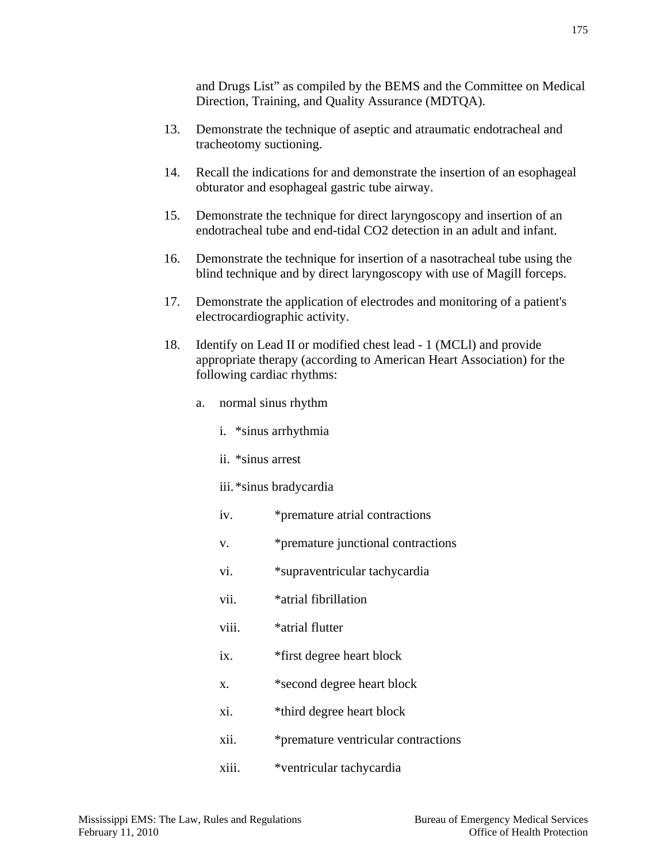and Drugs List" as compiled by the BEMS and the Committee on Medical Direction, Training, and Quality Assurance (MDTQA).

- 13. Demonstrate the technique of aseptic and atraumatic endotracheal and tracheotomy suctioning.
- 14. Recall the indications for and demonstrate the insertion of an esophageal obturator and esophageal gastric tube airway.
- 15. Demonstrate the technique for direct laryngoscopy and insertion of an endotracheal tube and end-tidal CO2 detection in an adult and infant.
- 16. Demonstrate the technique for insertion of a nasotracheal tube using the blind technique and by direct laryngoscopy with use of Magill forceps.
- 17. Demonstrate the application of electrodes and monitoring of a patient's electrocardiographic activity.
- 18. Identify on Lead II or modified chest lead 1 (MCLl) and provide appropriate therapy (according to American Heart Association) for the following cardiac rhythms:
	- a. normal sinus rhythm
		- i. \*sinus arrhythmia
		- ii. \*sinus arrest
		- iii.\*sinus bradycardia
		- iv. \*premature atrial contractions
		- v. \* premature junctional contractions
		- vi. \*supraventricular tachycardia
		- vii. \*atrial fibrillation
		- viii. \*atrial flutter
		- ix. \*first degree heart block
		- x. \*second degree heart block
		- xi. \*third degree heart block
		- xii. \*premature ventricular contractions
		- xiii. \*ventricular tachycardia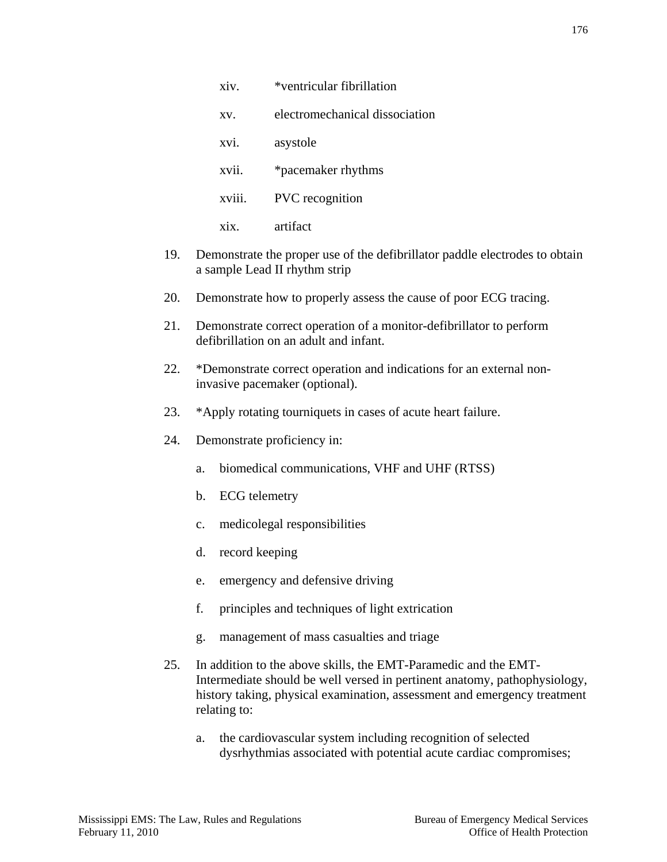| xiv.   | *ventricular fibrillation      |
|--------|--------------------------------|
| XV.    | electromechanical dissociation |
| xvi.   | asystole                       |
| xvii.  | *pacemaker rhythms             |
| xviii. | PVC recognition                |
| X1X    | artifact                       |

- 19. Demonstrate the proper use of the defibrillator paddle electrodes to obtain a sample Lead II rhythm strip
- 20. Demonstrate how to properly assess the cause of poor ECG tracing.
- 21. Demonstrate correct operation of a monitor-defibrillator to perform defibrillation on an adult and infant.
- 22. \*Demonstrate correct operation and indications for an external noninvasive pacemaker (optional).
- 23. \*Apply rotating tourniquets in cases of acute heart failure.
- 24. Demonstrate proficiency in:
	- a. biomedical communications, VHF and UHF (RTSS)
	- b. ECG telemetry
	- c. medicolegal responsibilities
	- d. record keeping
	- e. emergency and defensive driving
	- f. principles and techniques of light extrication
	- g. management of mass casualties and triage
- 25. In addition to the above skills, the EMT-Paramedic and the EMT-Intermediate should be well versed in pertinent anatomy, pathophysiology, history taking, physical examination, assessment and emergency treatment relating to:
	- a. the cardiovascular system including recognition of selected dysrhythmias associated with potential acute cardiac compromises;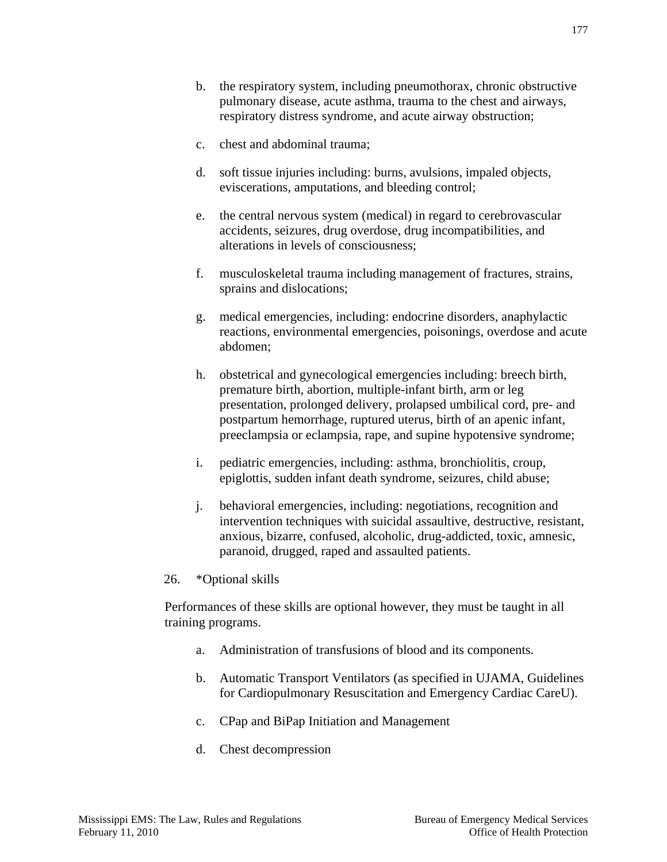- b. the respiratory system, including pneumothorax, chronic obstructive pulmonary disease, acute asthma, trauma to the chest and airways, respiratory distress syndrome, and acute airway obstruction;
- c. chest and abdominal trauma;
- d. soft tissue injuries including: burns, avulsions, impaled objects, eviscerations, amputations, and bleeding control;
- e. the central nervous system (medical) in regard to cerebrovascular accidents, seizures, drug overdose, drug incompatibilities, and alterations in levels of consciousness;
- f. musculoskeletal trauma including management of fractures, strains, sprains and dislocations;
- g. medical emergencies, including: endocrine disorders, anaphylactic reactions, environmental emergencies, poisonings, overdose and acute abdomen;
- h. obstetrical and gynecological emergencies including: breech birth, premature birth, abortion, multiple-infant birth, arm or leg presentation, prolonged delivery, prolapsed umbilical cord, pre- and postpartum hemorrhage, ruptured uterus, birth of an apenic infant, preeclampsia or eclampsia, rape, and supine hypotensive syndrome;
- i. pediatric emergencies, including: asthma, bronchiolitis, croup, epiglottis, sudden infant death syndrome, seizures, child abuse;
- j. behavioral emergencies, including: negotiations, recognition and intervention techniques with suicidal assaultive, destructive, resistant, anxious, bizarre, confused, alcoholic, drug-addicted, toxic, amnesic, paranoid, drugged, raped and assaulted patients.
- 26. \*Optional skills

Performances of these skills are optional however, they must be taught in all training programs.

- a. Administration of transfusions of blood and its components.
- b. Automatic Transport Ventilators (as specified in UJAMA, Guidelines for Cardiopulmonary Resuscitation and Emergency Cardiac CareU).
- c. CPap and BiPap Initiation and Management
- d. Chest decompression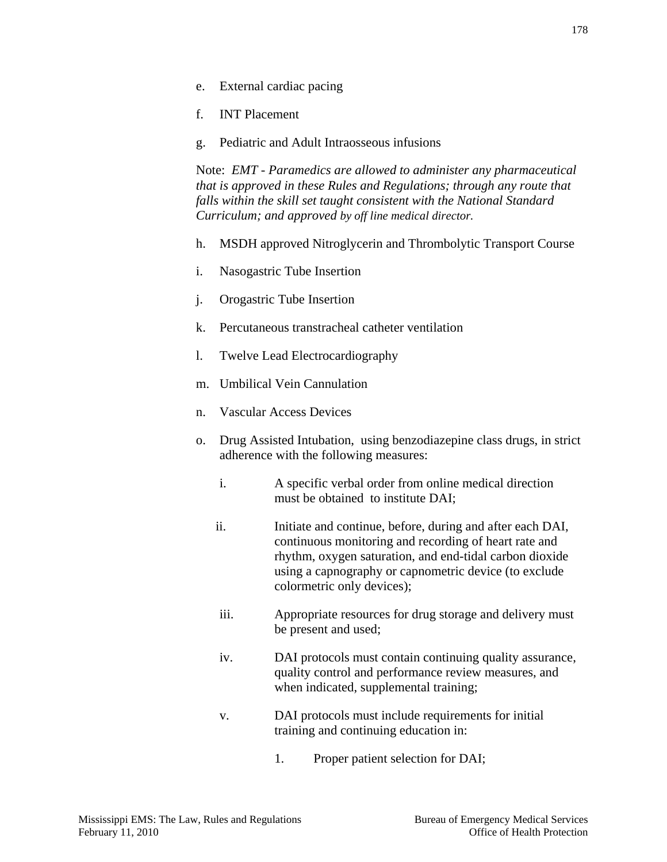- e. External cardiac pacing
- f. INT Placement
- g. Pediatric and Adult Intraosseous infusions

Note: *EMT - Paramedics are allowed to administer any pharmaceutical that is approved in these Rules and Regulations; through any route that falls within the skill set taught consistent with the National Standard Curriculum; and approved by off line medical director.*

- h. MSDH approved Nitroglycerin and Thrombolytic Transport Course
- i. Nasogastric Tube Insertion
- j. Orogastric Tube Insertion
- k. Percutaneous transtracheal catheter ventilation
- l. Twelve Lead Electrocardiography
- m. Umbilical Vein Cannulation
- n. Vascular Access Devices
- o. Drug Assisted Intubation, using benzodiazepine class drugs, in strict adherence with the following measures:
	- i. A specific verbal order from online medical direction must be obtained to institute DAI;
	- ii. Initiate and continue, before, during and after each DAI, continuous monitoring and recording of heart rate and rhythm, oxygen saturation, and end-tidal carbon dioxide using a capnography or capnometric device (to exclude colormetric only devices);
	- iii. Appropriate resources for drug storage and delivery must be present and used;
	- iv. DAI protocols must contain continuing quality assurance, quality control and performance review measures, and when indicated, supplemental training;
	- v. DAI protocols must include requirements for initial training and continuing education in:
		- 1. Proper patient selection for DAI;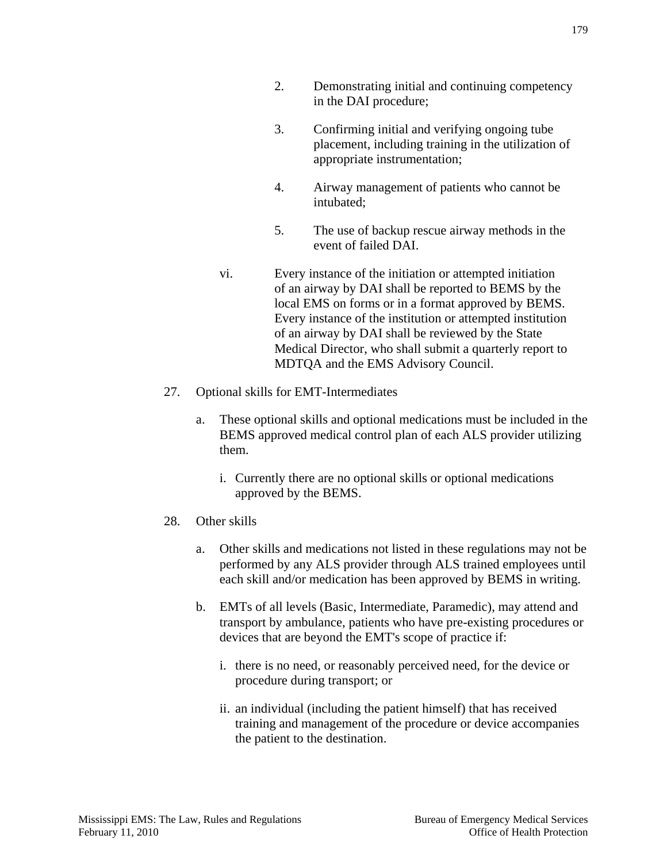- 2. Demonstrating initial and continuing competency in the DAI procedure;
- 3. Confirming initial and verifying ongoing tube placement, including training in the utilization of appropriate instrumentation;
- 4. Airway management of patients who cannot be intubated;
- 5. The use of backup rescue airway methods in the event of failed DAI.
- vi. Every instance of the initiation or attempted initiation of an airway by DAI shall be reported to BEMS by the local EMS on forms or in a format approved by BEMS. Every instance of the institution or attempted institution of an airway by DAI shall be reviewed by the State Medical Director, who shall submit a quarterly report to MDTQA and the EMS Advisory Council.
- 27. Optional skills for EMT-Intermediates
	- a. These optional skills and optional medications must be included in the BEMS approved medical control plan of each ALS provider utilizing them.
		- i. Currently there are no optional skills or optional medications approved by the BEMS.
- 28. Other skills
	- a. Other skills and medications not listed in these regulations may not be performed by any ALS provider through ALS trained employees until each skill and/or medication has been approved by BEMS in writing.
	- b. EMTs of all levels (Basic, Intermediate, Paramedic), may attend and transport by ambulance, patients who have pre-existing procedures or devices that are beyond the EMT's scope of practice if:
		- i. there is no need, or reasonably perceived need, for the device or procedure during transport; or
		- ii. an individual (including the patient himself) that has received training and management of the procedure or device accompanies the patient to the destination.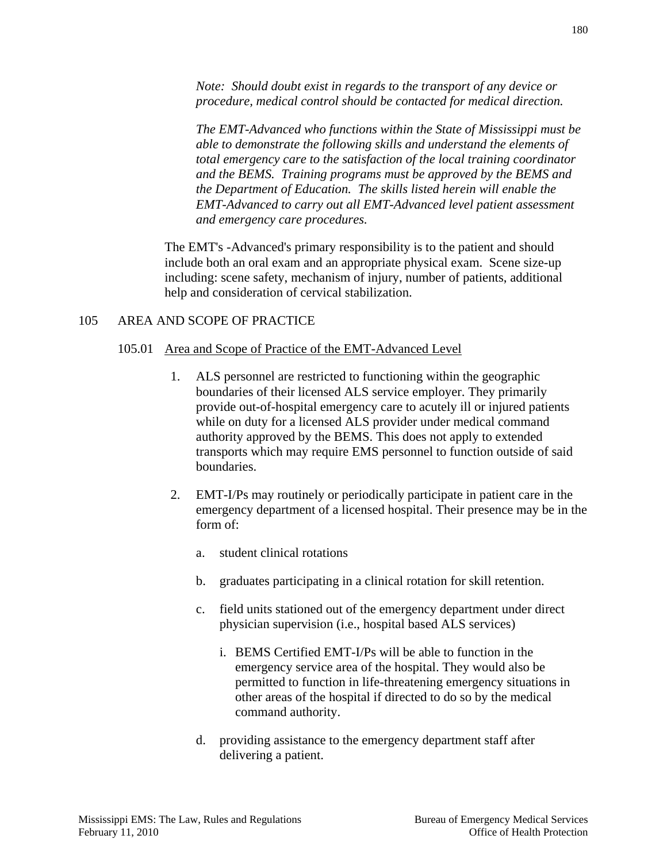*Note: Should doubt exist in regards to the transport of any device or procedure, medical control should be contacted for medical direction.* 

*The EMT-Advanced who functions within the State of Mississippi must be able to demonstrate the following skills and understand the elements of total emergency care to the satisfaction of the local training coordinator and the BEMS. Training programs must be approved by the BEMS and the Department of Education. The skills listed herein will enable the EMT-Advanced to carry out all EMT-Advanced level patient assessment and emergency care procedures.* 

The EMT's -Advanced's primary responsibility is to the patient and should include both an oral exam and an appropriate physical exam. Scene size-up including: scene safety, mechanism of injury, number of patients, additional help and consideration of cervical stabilization.

## 105 AREA AND SCOPE OF PRACTICE

## 105.01 Area and Scope of Practice of the EMT-Advanced Level

- 1. ALS personnel are restricted to functioning within the geographic boundaries of their licensed ALS service employer. They primarily provide out-of-hospital emergency care to acutely ill or injured patients while on duty for a licensed ALS provider under medical command authority approved by the BEMS. This does not apply to extended transports which may require EMS personnel to function outside of said boundaries.
- 2. EMT-I/Ps may routinely or periodically participate in patient care in the emergency department of a licensed hospital. Their presence may be in the form of:
	- a. student clinical rotations
	- b. graduates participating in a clinical rotation for skill retention.
	- c. field units stationed out of the emergency department under direct physician supervision (i.e., hospital based ALS services)
		- i. BEMS Certified EMT-I/Ps will be able to function in the emergency service area of the hospital. They would also be permitted to function in life-threatening emergency situations in other areas of the hospital if directed to do so by the medical command authority.
	- d. providing assistance to the emergency department staff after delivering a patient.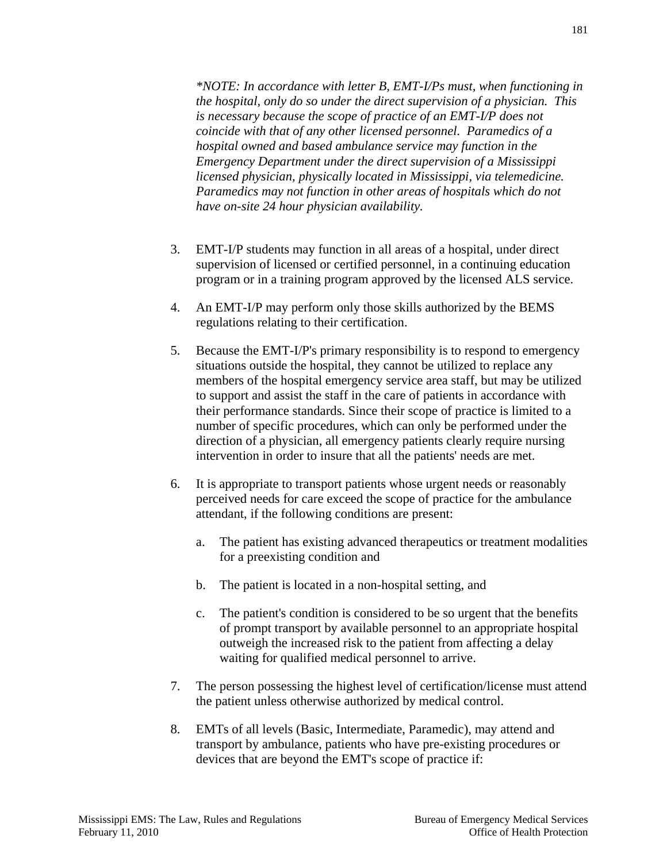*\*NOTE: In accordance with letter B, EMT-I/Ps must, when functioning in the hospital, only do so under the direct supervision of a physician. This is necessary because the scope of practice of an EMT-I/P does not coincide with that of any other licensed personnel. Paramedics of a hospital owned and based ambulance service may function in the Emergency Department under the direct supervision of a Mississippi licensed physician, physically located in Mississippi, via telemedicine. Paramedics may not function in other areas of hospitals which do not have on-site 24 hour physician availability.* 

- 3. EMT-I/P students may function in all areas of a hospital, under direct supervision of licensed or certified personnel, in a continuing education program or in a training program approved by the licensed ALS service.
- 4. An EMT-I/P may perform only those skills authorized by the BEMS regulations relating to their certification.
- 5. Because the EMT-I/P's primary responsibility is to respond to emergency situations outside the hospital, they cannot be utilized to replace any members of the hospital emergency service area staff, but may be utilized to support and assist the staff in the care of patients in accordance with their performance standards. Since their scope of practice is limited to a number of specific procedures, which can only be performed under the direction of a physician, all emergency patients clearly require nursing intervention in order to insure that all the patients' needs are met.
- 6. It is appropriate to transport patients whose urgent needs or reasonably perceived needs for care exceed the scope of practice for the ambulance attendant, if the following conditions are present:
	- a. The patient has existing advanced therapeutics or treatment modalities for a preexisting condition and
	- b. The patient is located in a non-hospital setting, and
	- c. The patient's condition is considered to be so urgent that the benefits of prompt transport by available personnel to an appropriate hospital outweigh the increased risk to the patient from affecting a delay waiting for qualified medical personnel to arrive.
- 7. The person possessing the highest level of certification/license must attend the patient unless otherwise authorized by medical control.
- 8. EMTs of all levels (Basic, Intermediate, Paramedic), may attend and transport by ambulance, patients who have pre-existing procedures or devices that are beyond the EMT's scope of practice if: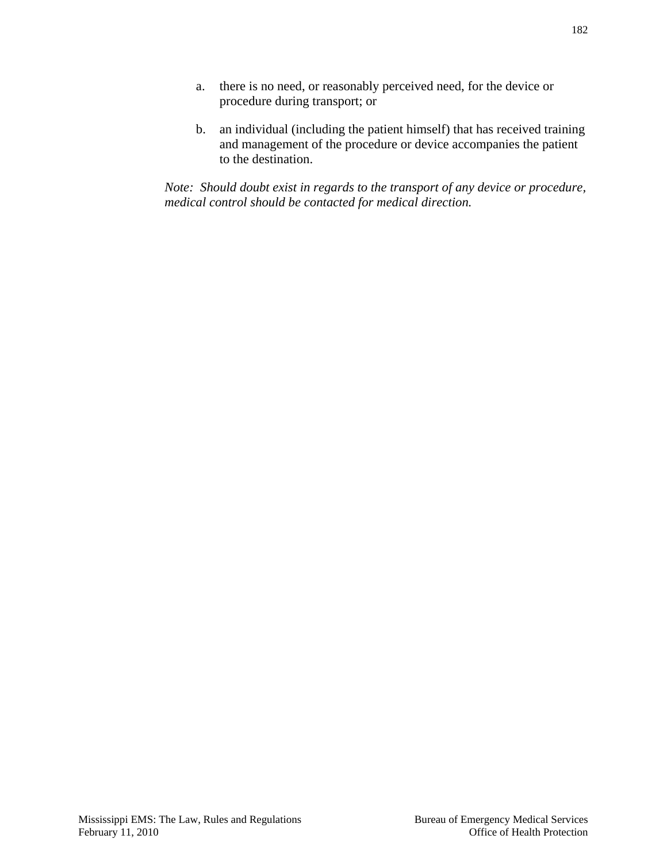- a. there is no need, or reasonably perceived need, for the device or procedure during transport; or
- b. an individual (including the patient himself) that has received training and management of the procedure or device accompanies the patient to the destination.

*Note: Should doubt exist in regards to the transport of any device or procedure, medical control should be contacted for medical direction.*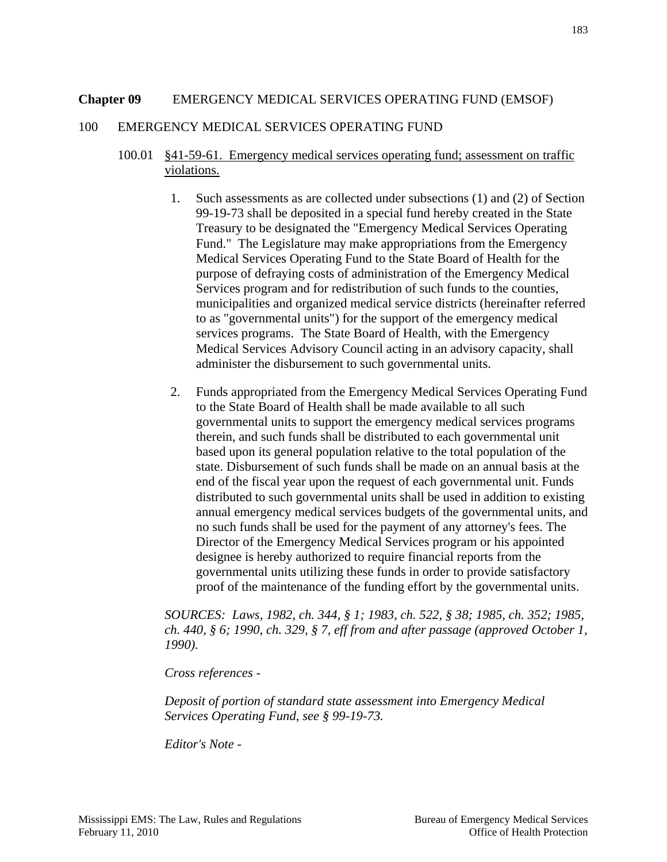# **Chapter 09** EMERGENCY MEDICAL SERVICES OPERATING FUND (EMSOF)

# 100 EMERGENCY MEDICAL SERVICES OPERATING FUND

- 100.01 §41-59-61. Emergency medical services operating fund; assessment on traffic violations.
	- 1. Such assessments as are collected under subsections (1) and (2) of Section 99-19-73 shall be deposited in a special fund hereby created in the State Treasury to be designated the "Emergency Medical Services Operating Fund." The Legislature may make appropriations from the Emergency Medical Services Operating Fund to the State Board of Health for the purpose of defraying costs of administration of the Emergency Medical Services program and for redistribution of such funds to the counties, municipalities and organized medical service districts (hereinafter referred to as "governmental units") for the support of the emergency medical services programs. The State Board of Health, with the Emergency Medical Services Advisory Council acting in an advisory capacity, shall administer the disbursement to such governmental units.
	- 2. Funds appropriated from the Emergency Medical Services Operating Fund to the State Board of Health shall be made available to all such governmental units to support the emergency medical services programs therein, and such funds shall be distributed to each governmental unit based upon its general population relative to the total population of the state. Disbursement of such funds shall be made on an annual basis at the end of the fiscal year upon the request of each governmental unit. Funds distributed to such governmental units shall be used in addition to existing annual emergency medical services budgets of the governmental units, and no such funds shall be used for the payment of any attorney's fees. The Director of the Emergency Medical Services program or his appointed designee is hereby authorized to require financial reports from the governmental units utilizing these funds in order to provide satisfactory proof of the maintenance of the funding effort by the governmental units.

*SOURCES: Laws, 1982, ch. 344, § 1; 1983, ch. 522, § 38; 1985, ch. 352; 1985, ch. 440, § 6; 1990, ch. 329, § 7, eff from and after passage (approved October 1, 1990).* 

*Cross references -* 

*Deposit of portion of standard state assessment into Emergency Medical Services Operating Fund, see § 99-19-73.* 

*Editor's Note -*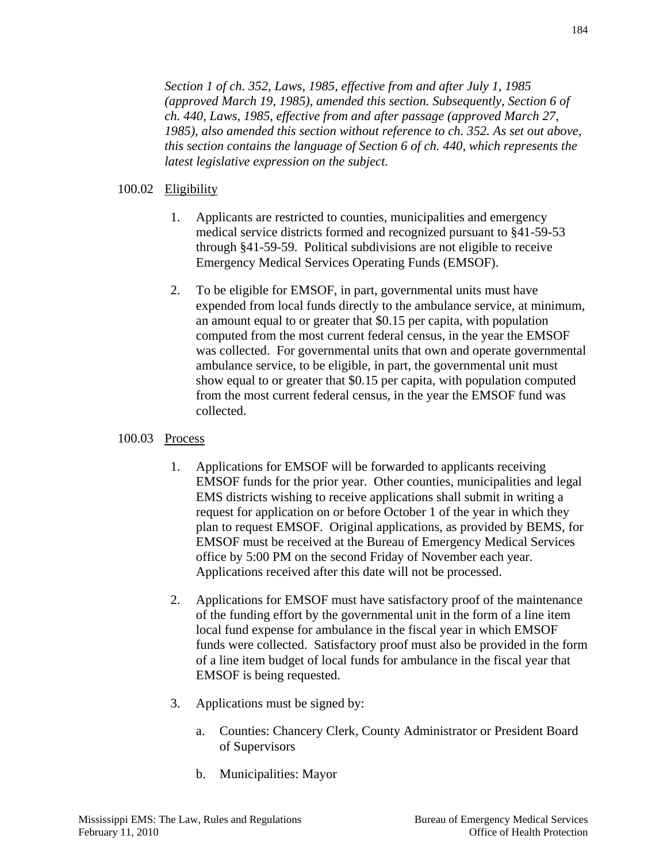*Section 1 of ch. 352, Laws, 1985, effective from and after July 1, 1985 (approved March 19, 1985), amended this section. Subsequently, Section 6 of ch. 440, Laws, 1985, effective from and after passage (approved March 27, 1985), also amended this section without reference to ch. 352. As set out above, this section contains the language of Section 6 of ch. 440, which represents the latest legislative expression on the subject.* 

# 100.02 Eligibility

- 1. Applicants are restricted to counties, municipalities and emergency medical service districts formed and recognized pursuant to §41-59-53 through §41-59-59. Political subdivisions are not eligible to receive Emergency Medical Services Operating Funds (EMSOF).
- 2. To be eligible for EMSOF, in part, governmental units must have expended from local funds directly to the ambulance service, at minimum, an amount equal to or greater that \$0.15 per capita, with population computed from the most current federal census, in the year the EMSOF was collected. For governmental units that own and operate governmental ambulance service, to be eligible, in part, the governmental unit must show equal to or greater that \$0.15 per capita, with population computed from the most current federal census, in the year the EMSOF fund was collected.

# 100.03 Process

- 1. Applications for EMSOF will be forwarded to applicants receiving EMSOF funds for the prior year. Other counties, municipalities and legal EMS districts wishing to receive applications shall submit in writing a request for application on or before October 1 of the year in which they plan to request EMSOF. Original applications, as provided by BEMS, for EMSOF must be received at the Bureau of Emergency Medical Services office by 5:00 PM on the second Friday of November each year. Applications received after this date will not be processed.
- 2. Applications for EMSOF must have satisfactory proof of the maintenance of the funding effort by the governmental unit in the form of a line item local fund expense for ambulance in the fiscal year in which EMSOF funds were collected. Satisfactory proof must also be provided in the form of a line item budget of local funds for ambulance in the fiscal year that EMSOF is being requested.
- 3. Applications must be signed by:
	- a. Counties: Chancery Clerk, County Administrator or President Board of Supervisors
	- b. Municipalities: Mayor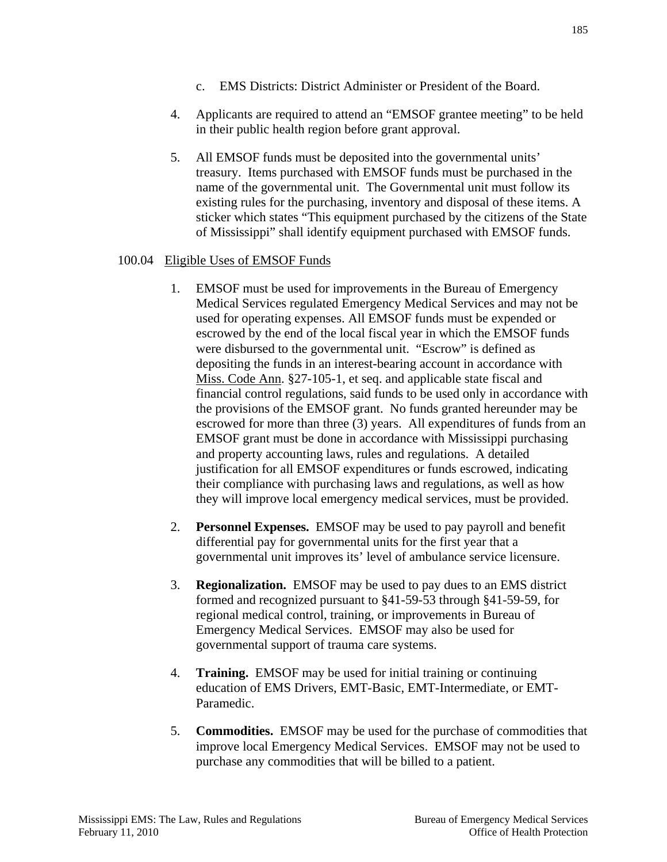- c. EMS Districts: District Administer or President of the Board.
- 4. Applicants are required to attend an "EMSOF grantee meeting" to be held in their public health region before grant approval.
- 5. All EMSOF funds must be deposited into the governmental units' treasury. Items purchased with EMSOF funds must be purchased in the name of the governmental unit. The Governmental unit must follow its existing rules for the purchasing, inventory and disposal of these items. A sticker which states "This equipment purchased by the citizens of the State of Mississippi" shall identify equipment purchased with EMSOF funds.

# 100.04 Eligible Uses of EMSOF Funds

- 1. EMSOF must be used for improvements in the Bureau of Emergency Medical Services regulated Emergency Medical Services and may not be used for operating expenses. All EMSOF funds must be expended or escrowed by the end of the local fiscal year in which the EMSOF funds were disbursed to the governmental unit. "Escrow" is defined as depositing the funds in an interest-bearing account in accordance with Miss. Code Ann. §27-105-1, et seq. and applicable state fiscal and financial control regulations, said funds to be used only in accordance with the provisions of the EMSOF grant. No funds granted hereunder may be escrowed for more than three (3) years. All expenditures of funds from an EMSOF grant must be done in accordance with Mississippi purchasing and property accounting laws, rules and regulations. A detailed justification for all EMSOF expenditures or funds escrowed*,* indicating their compliance with purchasing laws and regulations, as well as how they will improve local emergency medical services, must be provided.
- 2. **Personnel Expenses.** EMSOF may be used to pay payroll and benefit differential pay for governmental units for the first year that a governmental unit improves its' level of ambulance service licensure.
- 3. **Regionalization.** EMSOF may be used to pay dues to an EMS district formed and recognized pursuant to §41-59-53 through §41-59-59, for regional medical control, training, or improvements in Bureau of Emergency Medical Services. EMSOF may also be used for governmental support of trauma care systems.
- 4. **Training.** EMSOF may be used for initial training or continuing education of EMS Drivers, EMT-Basic, EMT-Intermediate, or EMT-Paramedic.
- 5. **Commodities.** EMSOF may be used for the purchase of commodities that improve local Emergency Medical Services. EMSOF may not be used to purchase any commodities that will be billed to a patient.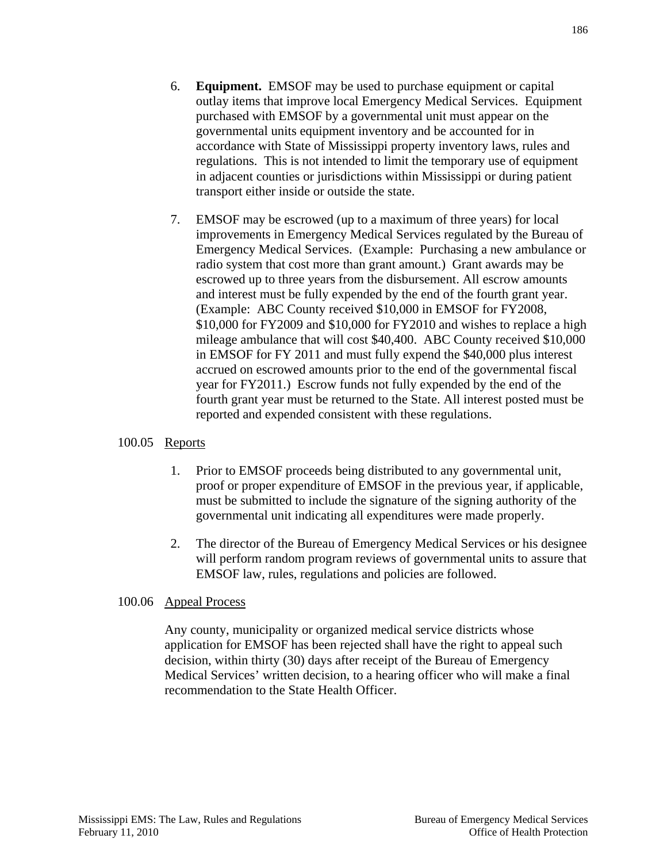- 6. **Equipment.** EMSOF may be used to purchase equipment or capital outlay items that improve local Emergency Medical Services. Equipment purchased with EMSOF by a governmental unit must appear on the governmental units equipment inventory and be accounted for in accordance with State of Mississippi property inventory laws, rules and regulations. This is not intended to limit the temporary use of equipment in adjacent counties or jurisdictions within Mississippi or during patient transport either inside or outside the state.
- 7. EMSOF may be escrowed (up to a maximum of three years) for local improvements in Emergency Medical Services regulated by the Bureau of Emergency Medical Services. (Example: Purchasing a new ambulance or radio system that cost more than grant amount.) Grant awards may be escrowed up to three years from the disbursement. All escrow amounts and interest must be fully expended by the end of the fourth grant year. (Example: ABC County received \$10,000 in EMSOF for FY2008, \$10,000 for FY2009 and \$10,000 for FY2010 and wishes to replace a high mileage ambulance that will cost \$40,400. ABC County received \$10,000 in EMSOF for FY 2011 and must fully expend the \$40,000 plus interest accrued on escrowed amounts prior to the end of the governmental fiscal year for FY2011.) Escrow funds not fully expended by the end of the fourth grant year must be returned to the State. All interest posted must be reported and expended consistent with these regulations.

# 100.05 Reports

- 1. Prior to EMSOF proceeds being distributed to any governmental unit, proof or proper expenditure of EMSOF in the previous year, if applicable, must be submitted to include the signature of the signing authority of the governmental unit indicating all expenditures were made properly.
- 2. The director of the Bureau of Emergency Medical Services or his designee will perform random program reviews of governmental units to assure that EMSOF law, rules, regulations and policies are followed.

# 100.06 Appeal Process

Any county, municipality or organized medical service districts whose application for EMSOF has been rejected shall have the right to appeal such decision, within thirty (30) days after receipt of the Bureau of Emergency Medical Services' written decision, to a hearing officer who will make a final recommendation to the State Health Officer.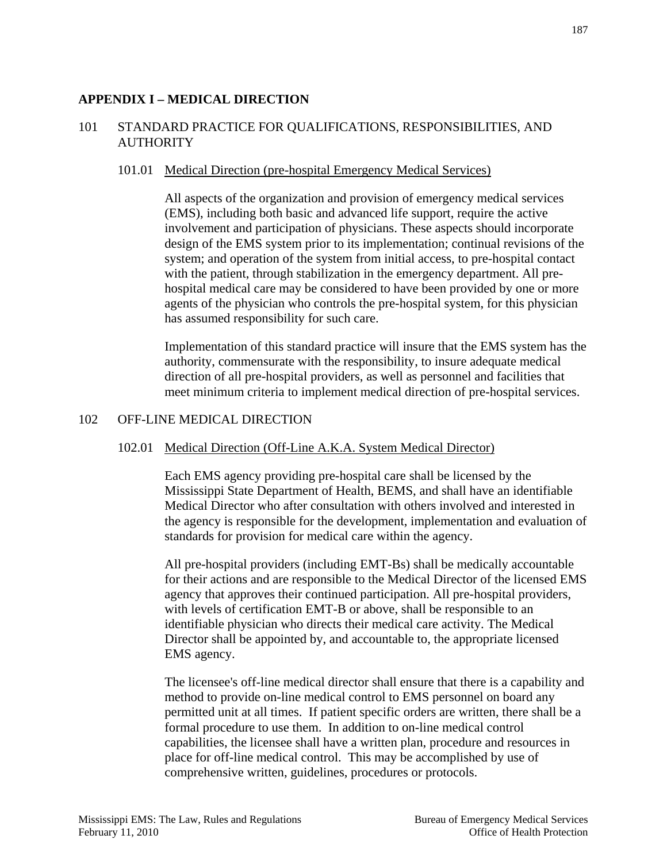# **APPENDIX I – MEDICAL DIRECTION**

# 101 STANDARD PRACTICE FOR QUALIFICATIONS, RESPONSIBILITIES, AND **AUTHORITY**

# 101.01 Medical Direction (pre-hospital Emergency Medical Services)

All aspects of the organization and provision of emergency medical services (EMS), including both basic and advanced life support, require the active involvement and participation of physicians. These aspects should incorporate design of the EMS system prior to its implementation; continual revisions of the system; and operation of the system from initial access, to pre-hospital contact with the patient, through stabilization in the emergency department. All prehospital medical care may be considered to have been provided by one or more agents of the physician who controls the pre-hospital system, for this physician has assumed responsibility for such care.

Implementation of this standard practice will insure that the EMS system has the authority, commensurate with the responsibility, to insure adequate medical direction of all pre-hospital providers, as well as personnel and facilities that meet minimum criteria to implement medical direction of pre-hospital services.

# 102 OFF-LINE MEDICAL DIRECTION

# 102.01 Medical Direction (Off-Line A.K.A. System Medical Director)

Each EMS agency providing pre-hospital care shall be licensed by the Mississippi State Department of Health, BEMS, and shall have an identifiable Medical Director who after consultation with others involved and interested in the agency is responsible for the development, implementation and evaluation of standards for provision for medical care within the agency.

All pre-hospital providers (including EMT-Bs) shall be medically accountable for their actions and are responsible to the Medical Director of the licensed EMS agency that approves their continued participation. All pre-hospital providers, with levels of certification EMT-B or above, shall be responsible to an identifiable physician who directs their medical care activity. The Medical Director shall be appointed by, and accountable to, the appropriate licensed EMS agency.

The licensee's off-line medical director shall ensure that there is a capability and method to provide on-line medical control to EMS personnel on board any permitted unit at all times. If patient specific orders are written, there shall be a formal procedure to use them. In addition to on-line medical control capabilities, the licensee shall have a written plan, procedure and resources in place for off-line medical control. This may be accomplished by use of comprehensive written, guidelines, procedures or protocols.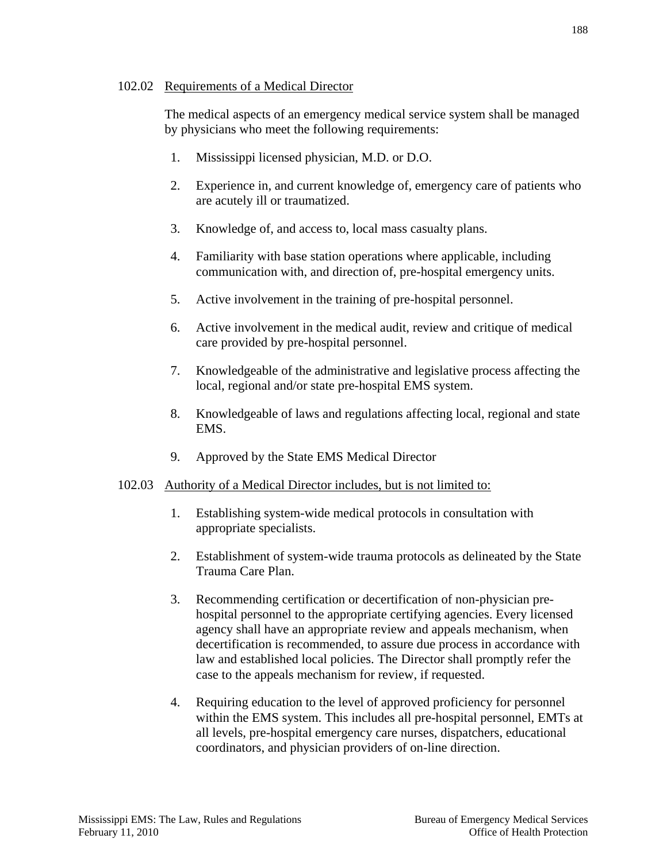The medical aspects of an emergency medical service system shall be managed by physicians who meet the following requirements:

- 1. Mississippi licensed physician, M.D. or D.O.
- 2. Experience in, and current knowledge of, emergency care of patients who are acutely ill or traumatized.
- 3. Knowledge of, and access to, local mass casualty plans.
- 4. Familiarity with base station operations where applicable, including communication with, and direction of, pre-hospital emergency units.
- 5. Active involvement in the training of pre-hospital personnel.
- 6. Active involvement in the medical audit, review and critique of medical care provided by pre-hospital personnel.
- 7. Knowledgeable of the administrative and legislative process affecting the local, regional and/or state pre-hospital EMS system.
- 8. Knowledgeable of laws and regulations affecting local, regional and state EMS.
- 9. Approved by the State EMS Medical Director

# 102.03 Authority of a Medical Director includes, but is not limited to:

- 1. Establishing system-wide medical protocols in consultation with appropriate specialists.
- 2. Establishment of system-wide trauma protocols as delineated by the State Trauma Care Plan.
- 3. Recommending certification or decertification of non-physician prehospital personnel to the appropriate certifying agencies. Every licensed agency shall have an appropriate review and appeals mechanism, when decertification is recommended, to assure due process in accordance with law and established local policies. The Director shall promptly refer the case to the appeals mechanism for review, if requested.
- 4. Requiring education to the level of approved proficiency for personnel within the EMS system. This includes all pre-hospital personnel, EMTs at all levels, pre-hospital emergency care nurses, dispatchers, educational coordinators, and physician providers of on-line direction.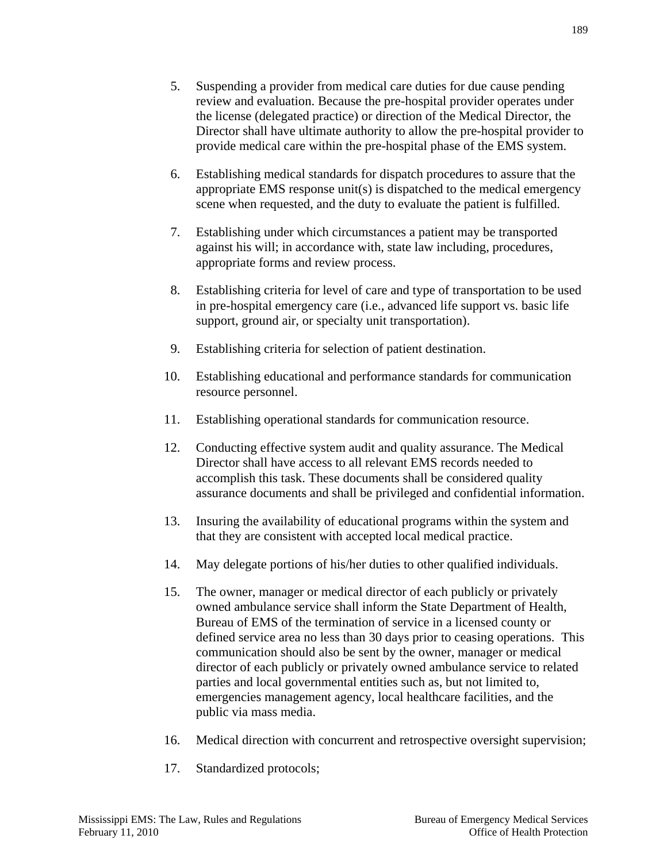- 5. Suspending a provider from medical care duties for due cause pending review and evaluation. Because the pre-hospital provider operates under the license (delegated practice) or direction of the Medical Director, the Director shall have ultimate authority to allow the pre-hospital provider to provide medical care within the pre-hospital phase of the EMS system.
- 6. Establishing medical standards for dispatch procedures to assure that the appropriate EMS response unit(s) is dispatched to the medical emergency scene when requested, and the duty to evaluate the patient is fulfilled.
- 7. Establishing under which circumstances a patient may be transported against his will; in accordance with, state law including, procedures, appropriate forms and review process.
- 8. Establishing criteria for level of care and type of transportation to be used in pre-hospital emergency care (i.e., advanced life support vs. basic life support, ground air, or specialty unit transportation).
- 9. Establishing criteria for selection of patient destination.
- 10. Establishing educational and performance standards for communication resource personnel.
- 11. Establishing operational standards for communication resource.
- 12. Conducting effective system audit and quality assurance. The Medical Director shall have access to all relevant EMS records needed to accomplish this task. These documents shall be considered quality assurance documents and shall be privileged and confidential information.
- 13. Insuring the availability of educational programs within the system and that they are consistent with accepted local medical practice.
- 14. May delegate portions of his/her duties to other qualified individuals.
- 15. The owner, manager or medical director of each publicly or privately owned ambulance service shall inform the State Department of Health, Bureau of EMS of the termination of service in a licensed county or defined service area no less than 30 days prior to ceasing operations. This communication should also be sent by the owner, manager or medical director of each publicly or privately owned ambulance service to related parties and local governmental entities such as, but not limited to, emergencies management agency, local healthcare facilities, and the public via mass media.
- 16. Medical direction with concurrent and retrospective oversight supervision;
- 17. Standardized protocols;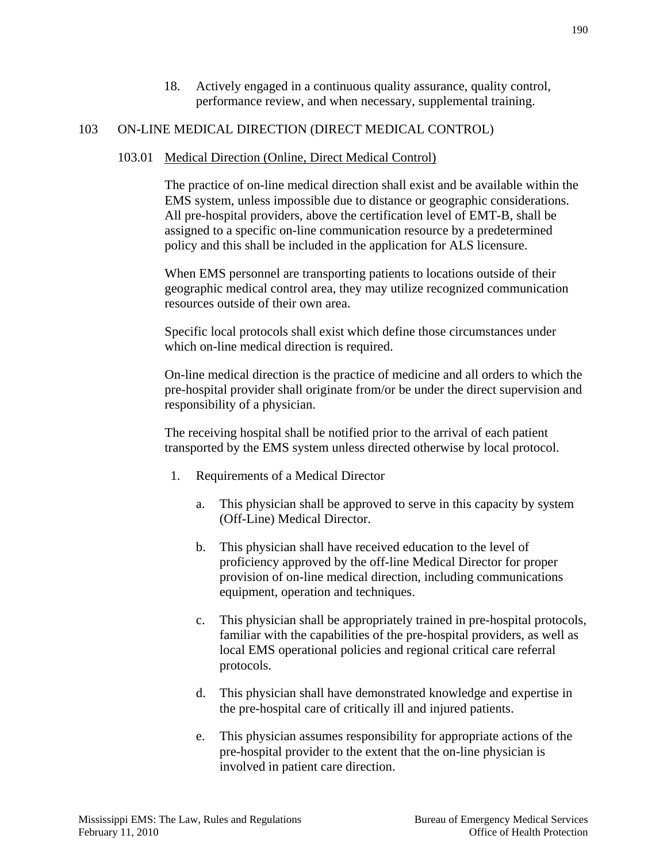18. Actively engaged in a continuous quality assurance, quality control, performance review, and when necessary, supplemental training.

# 103 ON-LINE MEDICAL DIRECTION (DIRECT MEDICAL CONTROL)

# 103.01 Medical Direction (Online, Direct Medical Control)

The practice of on-line medical direction shall exist and be available within the EMS system, unless impossible due to distance or geographic considerations. All pre-hospital providers, above the certification level of EMT-B, shall be assigned to a specific on-line communication resource by a predetermined policy and this shall be included in the application for ALS licensure.

When EMS personnel are transporting patients to locations outside of their geographic medical control area, they may utilize recognized communication resources outside of their own area.

Specific local protocols shall exist which define those circumstances under which on-line medical direction is required.

On-line medical direction is the practice of medicine and all orders to which the pre-hospital provider shall originate from/or be under the direct supervision and responsibility of a physician.

The receiving hospital shall be notified prior to the arrival of each patient transported by the EMS system unless directed otherwise by local protocol.

- 1. Requirements of a Medical Director
	- a. This physician shall be approved to serve in this capacity by system (Off-Line) Medical Director.
	- b. This physician shall have received education to the level of proficiency approved by the off-line Medical Director for proper provision of on-line medical direction, including communications equipment, operation and techniques.
	- c. This physician shall be appropriately trained in pre-hospital protocols, familiar with the capabilities of the pre-hospital providers, as well as local EMS operational policies and regional critical care referral protocols.
	- d. This physician shall have demonstrated knowledge and expertise in the pre-hospital care of critically ill and injured patients.
	- e. This physician assumes responsibility for appropriate actions of the pre-hospital provider to the extent that the on-line physician is involved in patient care direction.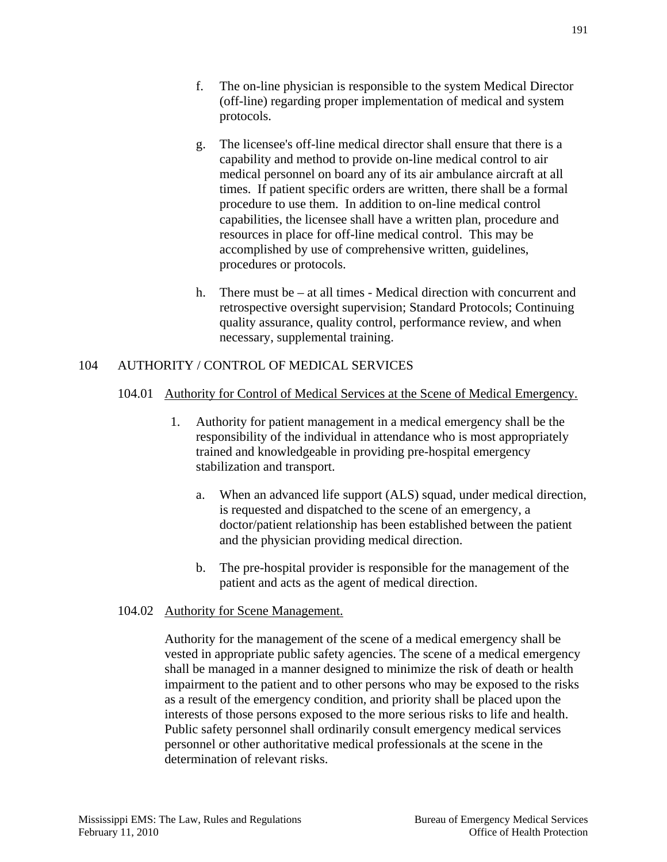- f. The on-line physician is responsible to the system Medical Director (off-line) regarding proper implementation of medical and system protocols.
- g. The licensee's off-line medical director shall ensure that there is a capability and method to provide on-line medical control to air medical personnel on board any of its air ambulance aircraft at all times. If patient specific orders are written, there shall be a formal procedure to use them. In addition to on-line medical control capabilities, the licensee shall have a written plan, procedure and resources in place for off-line medical control. This may be accomplished by use of comprehensive written, guidelines, procedures or protocols.
- h. There must be at all times Medical direction with concurrent and retrospective oversight supervision; Standard Protocols; Continuing quality assurance, quality control, performance review, and when necessary, supplemental training.

# 104 AUTHORITY / CONTROL OF MEDICAL SERVICES

# 104.01 Authority for Control of Medical Services at the Scene of Medical Emergency.

- 1. Authority for patient management in a medical emergency shall be the responsibility of the individual in attendance who is most appropriately trained and knowledgeable in providing pre-hospital emergency stabilization and transport.
	- a. When an advanced life support (ALS) squad, under medical direction, is requested and dispatched to the scene of an emergency, a doctor/patient relationship has been established between the patient and the physician providing medical direction.
	- b. The pre-hospital provider is responsible for the management of the patient and acts as the agent of medical direction.

# 104.02 Authority for Scene Management.

Authority for the management of the scene of a medical emergency shall be vested in appropriate public safety agencies. The scene of a medical emergency shall be managed in a manner designed to minimize the risk of death or health impairment to the patient and to other persons who may be exposed to the risks as a result of the emergency condition, and priority shall be placed upon the interests of those persons exposed to the more serious risks to life and health. Public safety personnel shall ordinarily consult emergency medical services personnel or other authoritative medical professionals at the scene in the determination of relevant risks.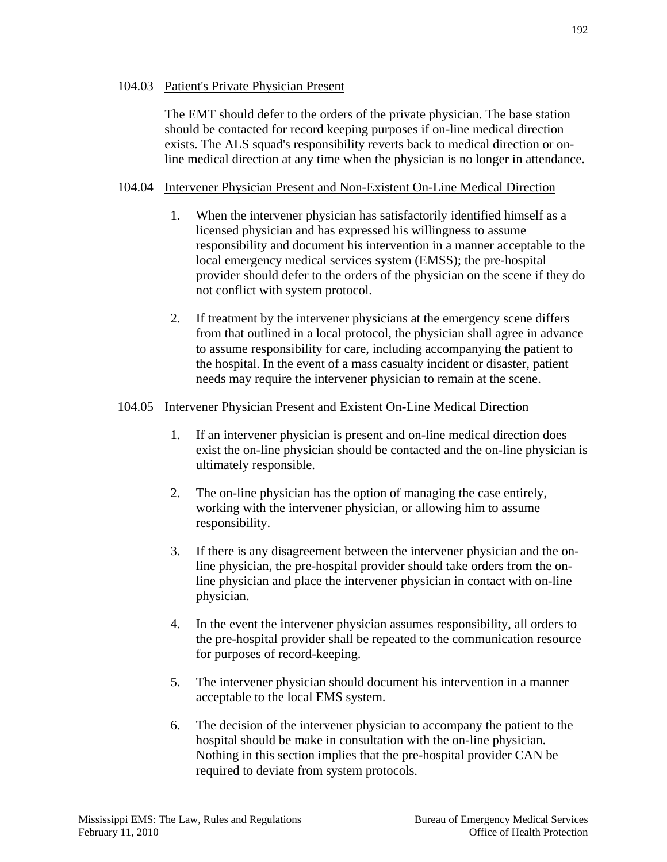# 104.03 Patient's Private Physician Present

The EMT should defer to the orders of the private physician. The base station should be contacted for record keeping purposes if on-line medical direction exists. The ALS squad's responsibility reverts back to medical direction or online medical direction at any time when the physician is no longer in attendance.

# 104.04 Intervener Physician Present and Non-Existent On-Line Medical Direction

- 1. When the intervener physician has satisfactorily identified himself as a licensed physician and has expressed his willingness to assume responsibility and document his intervention in a manner acceptable to the local emergency medical services system (EMSS); the pre-hospital provider should defer to the orders of the physician on the scene if they do not conflict with system protocol.
- 2. If treatment by the intervener physicians at the emergency scene differs from that outlined in a local protocol, the physician shall agree in advance to assume responsibility for care, including accompanying the patient to the hospital. In the event of a mass casualty incident or disaster, patient needs may require the intervener physician to remain at the scene.

# 104.05 Intervener Physician Present and Existent On-Line Medical Direction

- 1. If an intervener physician is present and on-line medical direction does exist the on-line physician should be contacted and the on-line physician is ultimately responsible.
- 2. The on-line physician has the option of managing the case entirely, working with the intervener physician, or allowing him to assume responsibility.
- 3. If there is any disagreement between the intervener physician and the online physician, the pre-hospital provider should take orders from the online physician and place the intervener physician in contact with on-line physician.
- 4. In the event the intervener physician assumes responsibility, all orders to the pre-hospital provider shall be repeated to the communication resource for purposes of record-keeping.
- 5. The intervener physician should document his intervention in a manner acceptable to the local EMS system.
- 6. The decision of the intervener physician to accompany the patient to the hospital should be make in consultation with the on-line physician. Nothing in this section implies that the pre-hospital provider CAN be required to deviate from system protocols.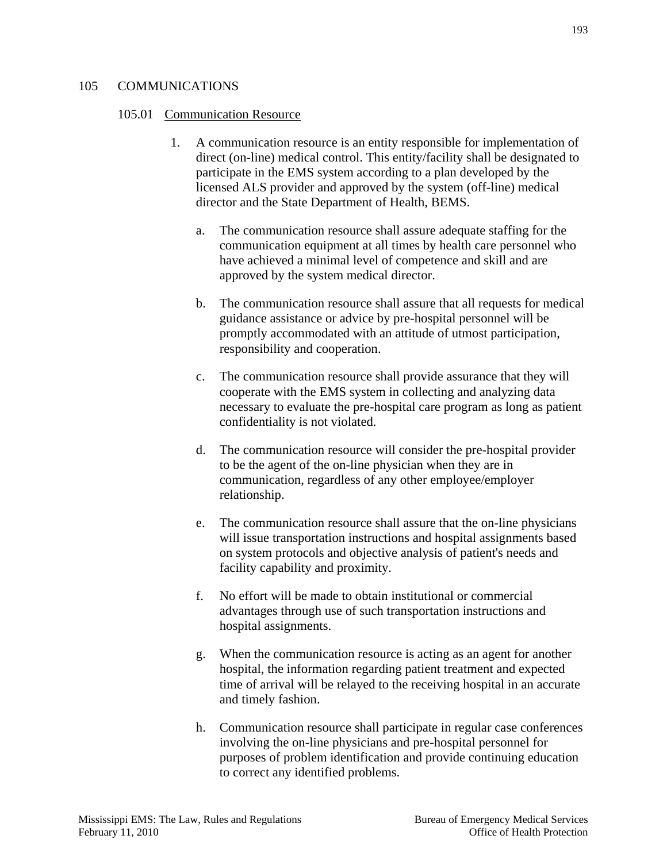# 105 COMMUNICATIONS

### 105.01 Communication Resource

- 1. A communication resource is an entity responsible for implementation of direct (on-line) medical control. This entity/facility shall be designated to participate in the EMS system according to a plan developed by the licensed ALS provider and approved by the system (off-line) medical director and the State Department of Health, BEMS.
	- a. The communication resource shall assure adequate staffing for the communication equipment at all times by health care personnel who have achieved a minimal level of competence and skill and are approved by the system medical director.
	- b. The communication resource shall assure that all requests for medical guidance assistance or advice by pre-hospital personnel will be promptly accommodated with an attitude of utmost participation, responsibility and cooperation.
	- c. The communication resource shall provide assurance that they will cooperate with the EMS system in collecting and analyzing data necessary to evaluate the pre-hospital care program as long as patient confidentiality is not violated.
	- d. The communication resource will consider the pre-hospital provider to be the agent of the on-line physician when they are in communication, regardless of any other employee/employer relationship.
	- e. The communication resource shall assure that the on-line physicians will issue transportation instructions and hospital assignments based on system protocols and objective analysis of patient's needs and facility capability and proximity.
	- f. No effort will be made to obtain institutional or commercial advantages through use of such transportation instructions and hospital assignments.
	- g. When the communication resource is acting as an agent for another hospital, the information regarding patient treatment and expected time of arrival will be relayed to the receiving hospital in an accurate and timely fashion.
	- h. Communication resource shall participate in regular case conferences involving the on-line physicians and pre-hospital personnel for purposes of problem identification and provide continuing education to correct any identified problems.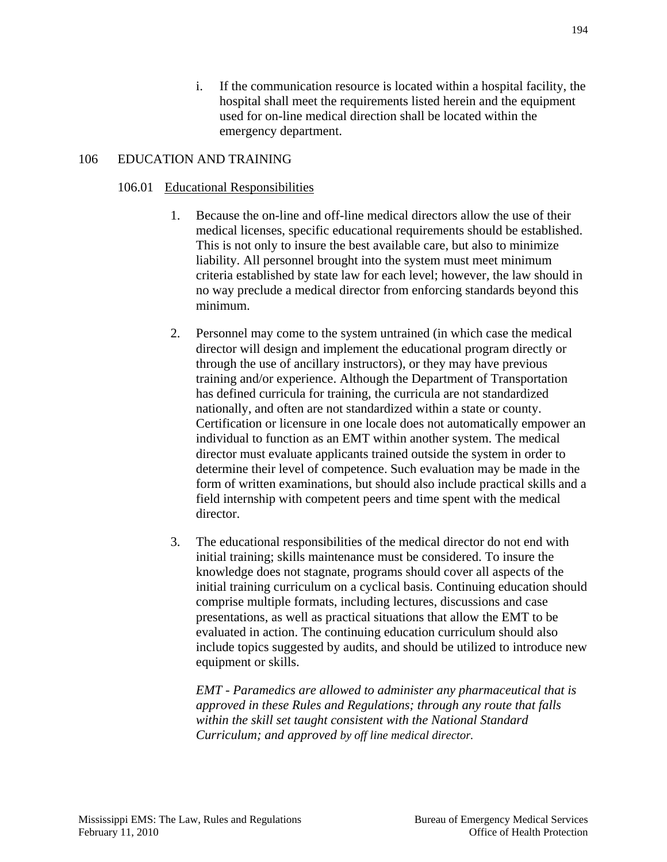i. If the communication resource is located within a hospital facility, the hospital shall meet the requirements listed herein and the equipment used for on-line medical direction shall be located within the emergency department.

# 106 EDUCATION AND TRAINING

### 106.01 Educational Responsibilities

- 1. Because the on-line and off-line medical directors allow the use of their medical licenses, specific educational requirements should be established. This is not only to insure the best available care, but also to minimize liability. All personnel brought into the system must meet minimum criteria established by state law for each level; however, the law should in no way preclude a medical director from enforcing standards beyond this minimum.
- 2. Personnel may come to the system untrained (in which case the medical director will design and implement the educational program directly or through the use of ancillary instructors), or they may have previous training and/or experience. Although the Department of Transportation has defined curricula for training, the curricula are not standardized nationally, and often are not standardized within a state or county. Certification or licensure in one locale does not automatically empower an individual to function as an EMT within another system. The medical director must evaluate applicants trained outside the system in order to determine their level of competence. Such evaluation may be made in the form of written examinations, but should also include practical skills and a field internship with competent peers and time spent with the medical director.
- 3. The educational responsibilities of the medical director do not end with initial training; skills maintenance must be considered. To insure the knowledge does not stagnate, programs should cover all aspects of the initial training curriculum on a cyclical basis. Continuing education should comprise multiple formats, including lectures, discussions and case presentations, as well as practical situations that allow the EMT to be evaluated in action. The continuing education curriculum should also include topics suggested by audits, and should be utilized to introduce new equipment or skills.

*EMT - Paramedics are allowed to administer any pharmaceutical that is approved in these Rules and Regulations; through any route that falls within the skill set taught consistent with the National Standard Curriculum; and approved by off line medical director.*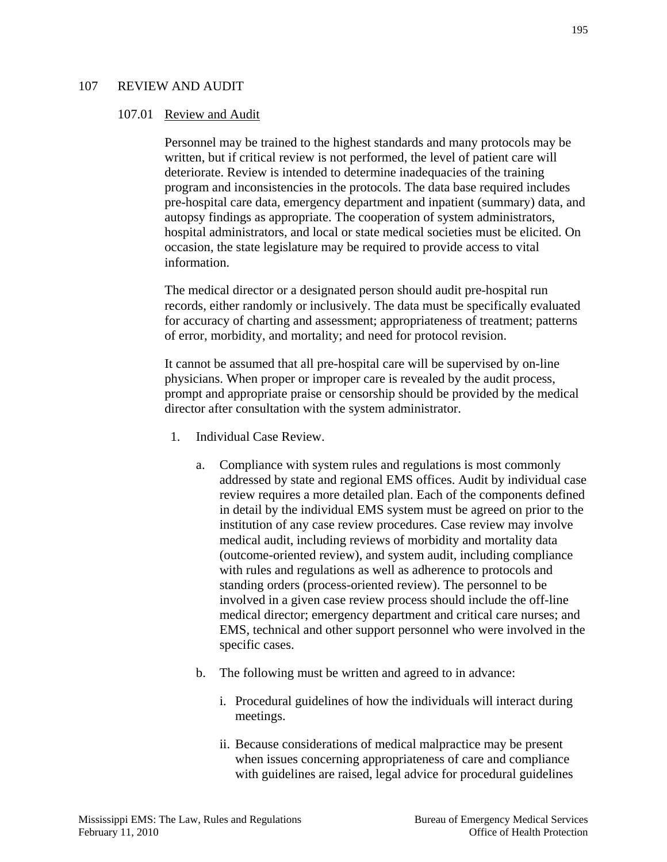#### 107 REVIEW AND AUDIT

#### 107.01 Review and Audit

Personnel may be trained to the highest standards and many protocols may be written, but if critical review is not performed, the level of patient care will deteriorate. Review is intended to determine inadequacies of the training program and inconsistencies in the protocols. The data base required includes pre-hospital care data, emergency department and inpatient (summary) data, and autopsy findings as appropriate. The cooperation of system administrators, hospital administrators, and local or state medical societies must be elicited. On occasion, the state legislature may be required to provide access to vital information.

The medical director or a designated person should audit pre-hospital run records, either randomly or inclusively. The data must be specifically evaluated for accuracy of charting and assessment; appropriateness of treatment; patterns of error, morbidity, and mortality; and need for protocol revision.

It cannot be assumed that all pre-hospital care will be supervised by on-line physicians. When proper or improper care is revealed by the audit process, prompt and appropriate praise or censorship should be provided by the medical director after consultation with the system administrator.

- 1. Individual Case Review.
	- a. Compliance with system rules and regulations is most commonly addressed by state and regional EMS offices. Audit by individual case review requires a more detailed plan. Each of the components defined in detail by the individual EMS system must be agreed on prior to the institution of any case review procedures. Case review may involve medical audit, including reviews of morbidity and mortality data (outcome-oriented review), and system audit, including compliance with rules and regulations as well as adherence to protocols and standing orders (process-oriented review). The personnel to be involved in a given case review process should include the off-line medical director; emergency department and critical care nurses; and EMS, technical and other support personnel who were involved in the specific cases.
	- b. The following must be written and agreed to in advance:
		- i. Procedural guidelines of how the individuals will interact during meetings.
		- ii. Because considerations of medical malpractice may be present when issues concerning appropriateness of care and compliance with guidelines are raised, legal advice for procedural guidelines

195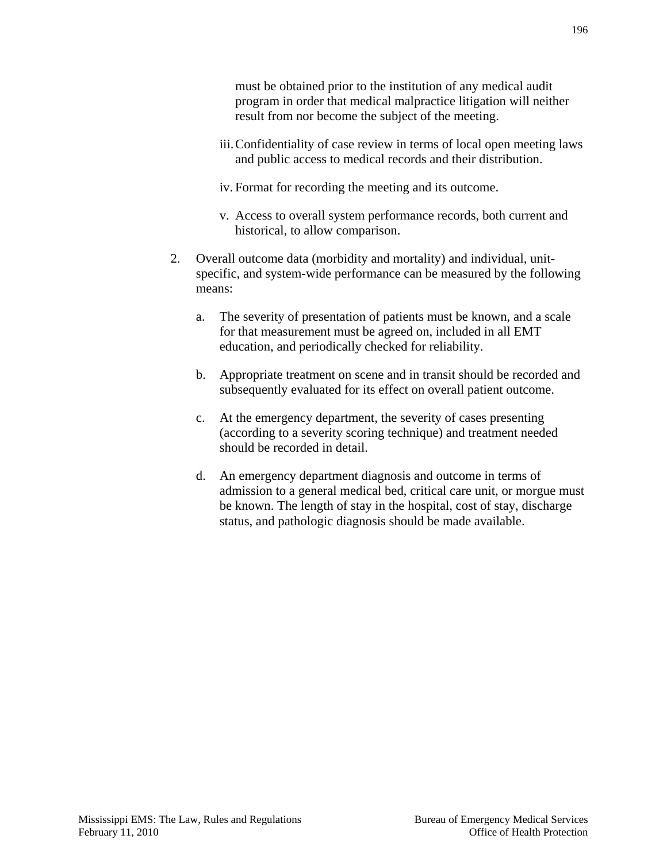must be obtained prior to the institution of any medical audit program in order that medical malpractice litigation will neither result from nor become the subject of the meeting.

- iii.Confidentiality of case review in terms of local open meeting laws and public access to medical records and their distribution.
- iv. Format for recording the meeting and its outcome.
- v. Access to overall system performance records, both current and historical, to allow comparison.
- 2. Overall outcome data (morbidity and mortality) and individual, unitspecific, and system-wide performance can be measured by the following means:
	- a. The severity of presentation of patients must be known, and a scale for that measurement must be agreed on, included in all EMT education, and periodically checked for reliability.
	- b. Appropriate treatment on scene and in transit should be recorded and subsequently evaluated for its effect on overall patient outcome.
	- c. At the emergency department, the severity of cases presenting (according to a severity scoring technique) and treatment needed should be recorded in detail.
	- d. An emergency department diagnosis and outcome in terms of admission to a general medical bed, critical care unit, or morgue must be known. The length of stay in the hospital, cost of stay, discharge status, and pathologic diagnosis should be made available.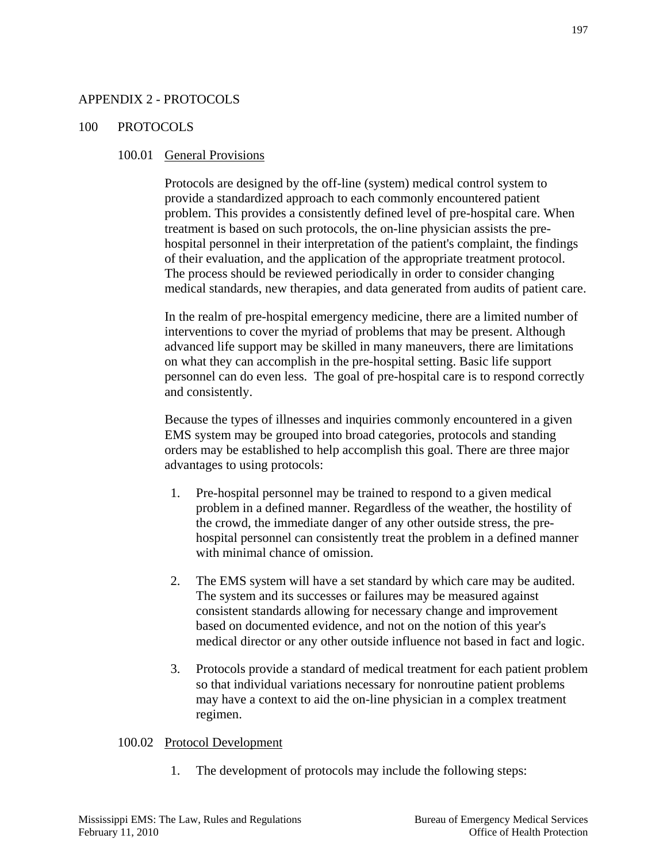### APPENDIX 2 - PROTOCOLS

#### 100 PROTOCOLS

#### 100.01 General Provisions

Protocols are designed by the off-line (system) medical control system to provide a standardized approach to each commonly encountered patient problem. This provides a consistently defined level of pre-hospital care. When treatment is based on such protocols, the on-line physician assists the prehospital personnel in their interpretation of the patient's complaint, the findings of their evaluation, and the application of the appropriate treatment protocol. The process should be reviewed periodically in order to consider changing medical standards, new therapies, and data generated from audits of patient care.

In the realm of pre-hospital emergency medicine, there are a limited number of interventions to cover the myriad of problems that may be present. Although advanced life support may be skilled in many maneuvers, there are limitations on what they can accomplish in the pre-hospital setting. Basic life support personnel can do even less. The goal of pre-hospital care is to respond correctly and consistently.

Because the types of illnesses and inquiries commonly encountered in a given EMS system may be grouped into broad categories, protocols and standing orders may be established to help accomplish this goal. There are three major advantages to using protocols:

- 1. Pre-hospital personnel may be trained to respond to a given medical problem in a defined manner. Regardless of the weather, the hostility of the crowd, the immediate danger of any other outside stress, the prehospital personnel can consistently treat the problem in a defined manner with minimal chance of omission.
- 2. The EMS system will have a set standard by which care may be audited. The system and its successes or failures may be measured against consistent standards allowing for necessary change and improvement based on documented evidence, and not on the notion of this year's medical director or any other outside influence not based in fact and logic.
- 3. Protocols provide a standard of medical treatment for each patient problem so that individual variations necessary for nonroutine patient problems may have a context to aid the on-line physician in a complex treatment regimen.

### 100.02 Protocol Development

1. The development of protocols may include the following steps: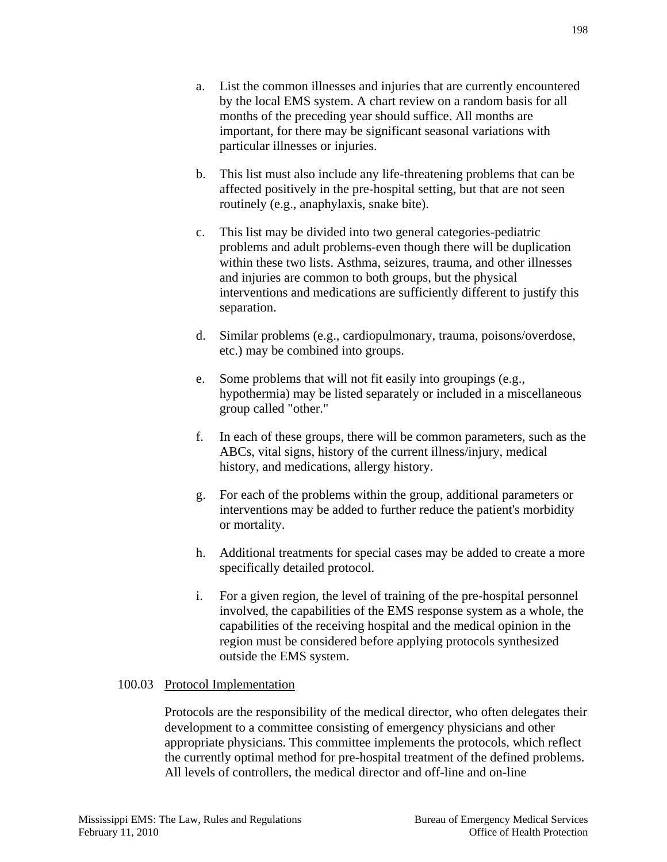- a. List the common illnesses and injuries that are currently encountered by the local EMS system. A chart review on a random basis for all months of the preceding year should suffice. All months are important, for there may be significant seasonal variations with particular illnesses or injuries.
- b. This list must also include any life-threatening problems that can be affected positively in the pre-hospital setting, but that are not seen routinely (e.g., anaphylaxis, snake bite).
- c. This list may be divided into two general categories-pediatric problems and adult problems-even though there will be duplication within these two lists. Asthma, seizures, trauma, and other illnesses and injuries are common to both groups, but the physical interventions and medications are sufficiently different to justify this separation.
- d. Similar problems (e.g., cardiopulmonary, trauma, poisons/overdose, etc.) may be combined into groups.
- e. Some problems that will not fit easily into groupings (e.g., hypothermia) may be listed separately or included in a miscellaneous group called "other."
- f. In each of these groups, there will be common parameters, such as the ABCs, vital signs, history of the current illness/injury, medical history, and medications, allergy history.
- g. For each of the problems within the group, additional parameters or interventions may be added to further reduce the patient's morbidity or mortality.
- h. Additional treatments for special cases may be added to create a more specifically detailed protocol.
- i. For a given region, the level of training of the pre-hospital personnel involved, the capabilities of the EMS response system as a whole, the capabilities of the receiving hospital and the medical opinion in the region must be considered before applying protocols synthesized outside the EMS system.

# 100.03 Protocol Implementation

Protocols are the responsibility of the medical director, who often delegates their development to a committee consisting of emergency physicians and other appropriate physicians. This committee implements the protocols, which reflect the currently optimal method for pre-hospital treatment of the defined problems. All levels of controllers, the medical director and off-line and on-line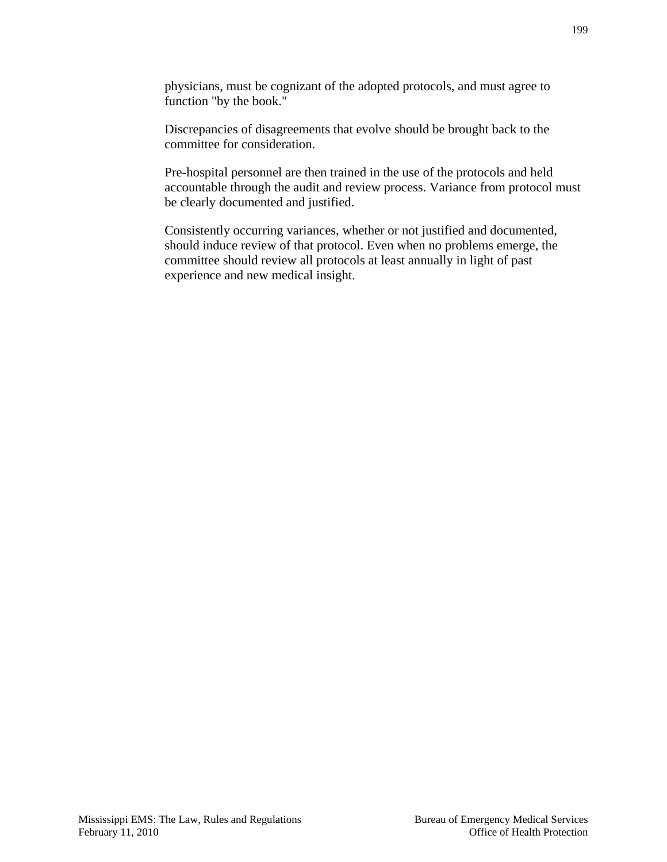physicians, must be cognizant of the adopted protocols, and must agree to function "by the book."

Discrepancies of disagreements that evolve should be brought back to the committee for consideration.

Pre-hospital personnel are then trained in the use of the protocols and held accountable through the audit and review process. Variance from protocol must be clearly documented and justified.

Consistently occurring variances, whether or not justified and documented, should induce review of that protocol. Even when no problems emerge, the committee should review all protocols at least annually in light of past experience and new medical insight.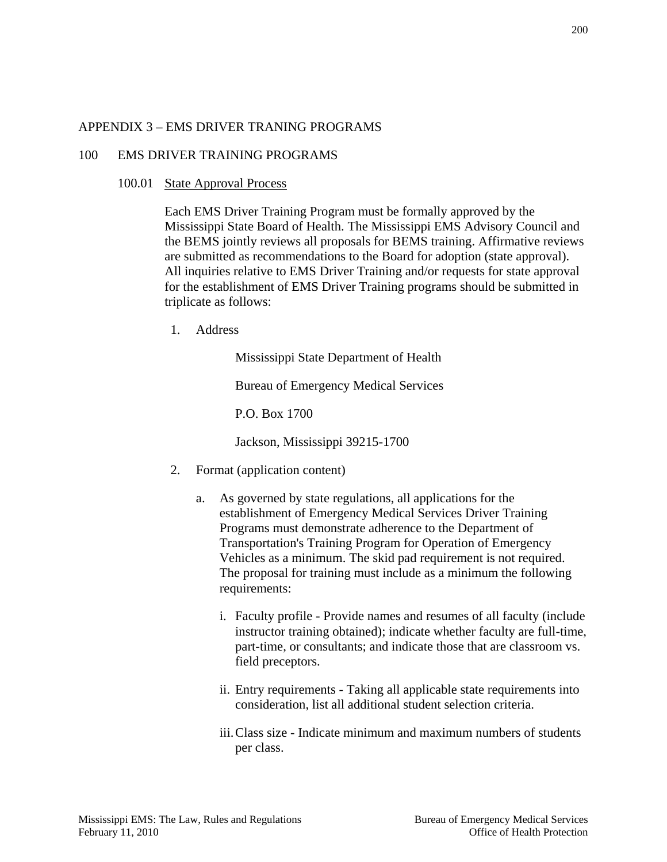# APPENDIX 3 – EMS DRIVER TRANING PROGRAMS

### 100 EMS DRIVER TRAINING PROGRAMS

### 100.01 State Approval Process

Each EMS Driver Training Program must be formally approved by the Mississippi State Board of Health. The Mississippi EMS Advisory Council and the BEMS jointly reviews all proposals for BEMS training. Affirmative reviews are submitted as recommendations to the Board for adoption (state approval). All inquiries relative to EMS Driver Training and/or requests for state approval for the establishment of EMS Driver Training programs should be submitted in triplicate as follows:

1. Address

Mississippi State Department of Health

Bureau of Emergency Medical Services

P.O. Box 1700

Jackson, Mississippi 39215-1700

- 2. Format (application content)
	- a. As governed by state regulations, all applications for the establishment of Emergency Medical Services Driver Training Programs must demonstrate adherence to the Department of Transportation's Training Program for Operation of Emergency Vehicles as a minimum. The skid pad requirement is not required. The proposal for training must include as a minimum the following requirements:
		- i. Faculty profile Provide names and resumes of all faculty (include instructor training obtained); indicate whether faculty are full-time, part-time, or consultants; and indicate those that are classroom vs. field preceptors.
		- ii. Entry requirements Taking all applicable state requirements into consideration, list all additional student selection criteria.
		- iii.Class size Indicate minimum and maximum numbers of students per class.

200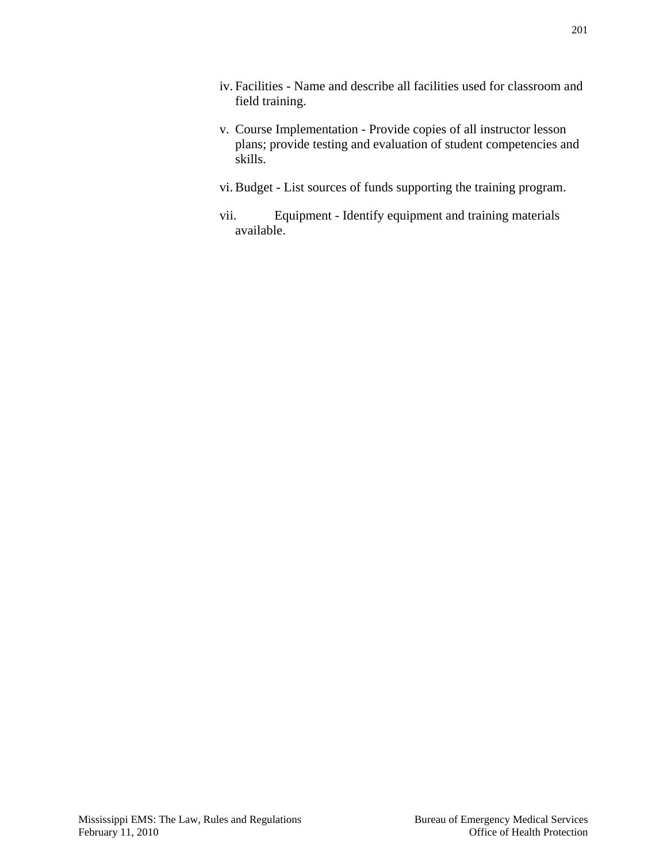- iv. Facilities Name and describe all facilities used for classroom and field training.
- v. Course Implementation Provide copies of all instructor lesson plans; provide testing and evaluation of student competencies and skills.
- vi. Budget List sources of funds supporting the training program.
- vii. Equipment Identify equipment and training materials available.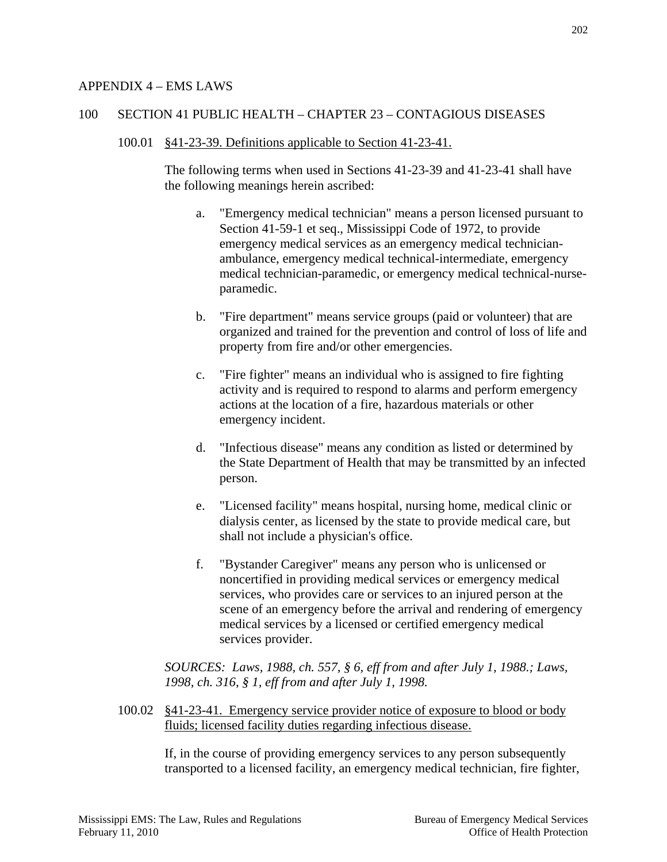#### APPENDIX 4 – EMS LAWS

# 100 SECTION 41 PUBLIC HEALTH – CHAPTER 23 – CONTAGIOUS DISEASES

#### 100.01 §41-23-39. Definitions applicable to Section 41-23-41.

The following terms when used in Sections 41-23-39 and 41-23-41 shall have the following meanings herein ascribed:

- a. "Emergency medical technician" means a person licensed pursuant to Section 41-59-1 et seq., Mississippi Code of 1972, to provide emergency medical services as an emergency medical technicianambulance, emergency medical technical-intermediate, emergency medical technician-paramedic, or emergency medical technical-nurseparamedic.
- b. "Fire department" means service groups (paid or volunteer) that are organized and trained for the prevention and control of loss of life and property from fire and/or other emergencies.
- c. "Fire fighter" means an individual who is assigned to fire fighting activity and is required to respond to alarms and perform emergency actions at the location of a fire, hazardous materials or other emergency incident.
- d. "Infectious disease" means any condition as listed or determined by the State Department of Health that may be transmitted by an infected person.
- e. "Licensed facility" means hospital, nursing home, medical clinic or dialysis center, as licensed by the state to provide medical care, but shall not include a physician's office.
- f. "Bystander Caregiver" means any person who is unlicensed or noncertified in providing medical services or emergency medical services, who provides care or services to an injured person at the scene of an emergency before the arrival and rendering of emergency medical services by a licensed or certified emergency medical services provider.

*SOURCES: Laws, 1988, ch. 557, § 6, eff from and after July 1, 1988.; Laws, 1998, ch. 316, § 1, eff from and after July 1, 1998.* 

100.02 §41-23-41. Emergency service provider notice of exposure to blood or body fluids; licensed facility duties regarding infectious disease.

> If, in the course of providing emergency services to any person subsequently transported to a licensed facility, an emergency medical technician, fire fighter,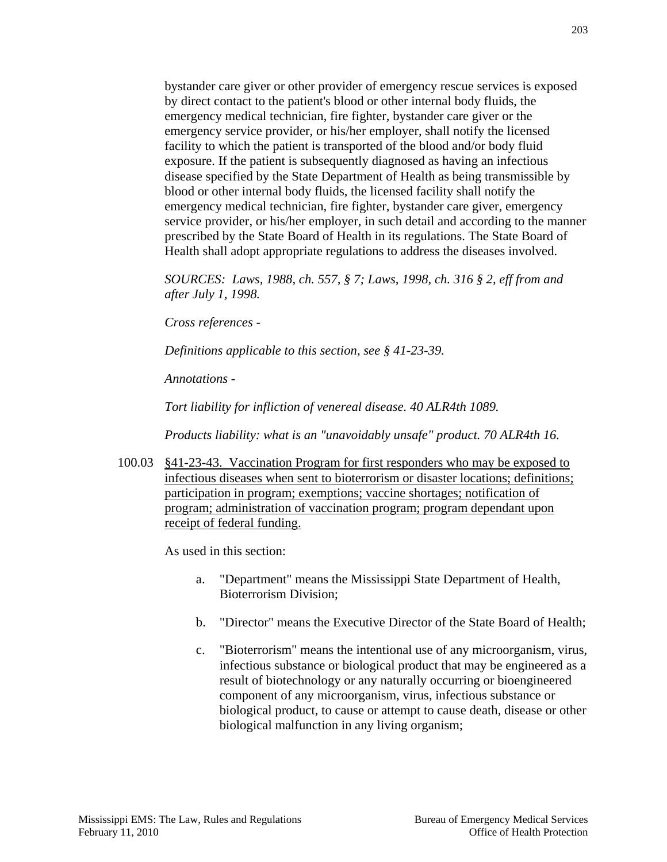bystander care giver or other provider of emergency rescue services is exposed by direct contact to the patient's blood or other internal body fluids, the emergency medical technician, fire fighter, bystander care giver or the emergency service provider, or his/her employer, shall notify the licensed facility to which the patient is transported of the blood and/or body fluid exposure. If the patient is subsequently diagnosed as having an infectious disease specified by the State Department of Health as being transmissible by blood or other internal body fluids, the licensed facility shall notify the emergency medical technician, fire fighter, bystander care giver, emergency service provider, or his/her employer, in such detail and according to the manner prescribed by the State Board of Health in its regulations. The State Board of Health shall adopt appropriate regulations to address the diseases involved.

*SOURCES: Laws, 1988, ch. 557, § 7; Laws, 1998, ch. 316 § 2, eff from and after July 1, 1998.* 

*Cross references -* 

*Definitions applicable to this section, see § 41-23-39.* 

*Annotations -* 

*Tort liability for infliction of venereal disease. 40 ALR4th 1089.* 

*Products liability: what is an "unavoidably unsafe" product. 70 ALR4th 16.* 

100.03 §41-23-43. Vaccination Program for first responders who may be exposed to infectious diseases when sent to bioterrorism or disaster locations; definitions; participation in program; exemptions; vaccine shortages; notification of program; administration of vaccination program; program dependant upon receipt of federal funding.

As used in this section:

- a. "Department" means the Mississippi State Department of Health, Bioterrorism Division;
- b. "Director" means the Executive Director of the State Board of Health;
- c. "Bioterrorism" means the intentional use of any microorganism, virus, infectious substance or biological product that may be engineered as a result of biotechnology or any naturally occurring or bioengineered component of any microorganism, virus, infectious substance or biological product, to cause or attempt to cause death, disease or other biological malfunction in any living organism;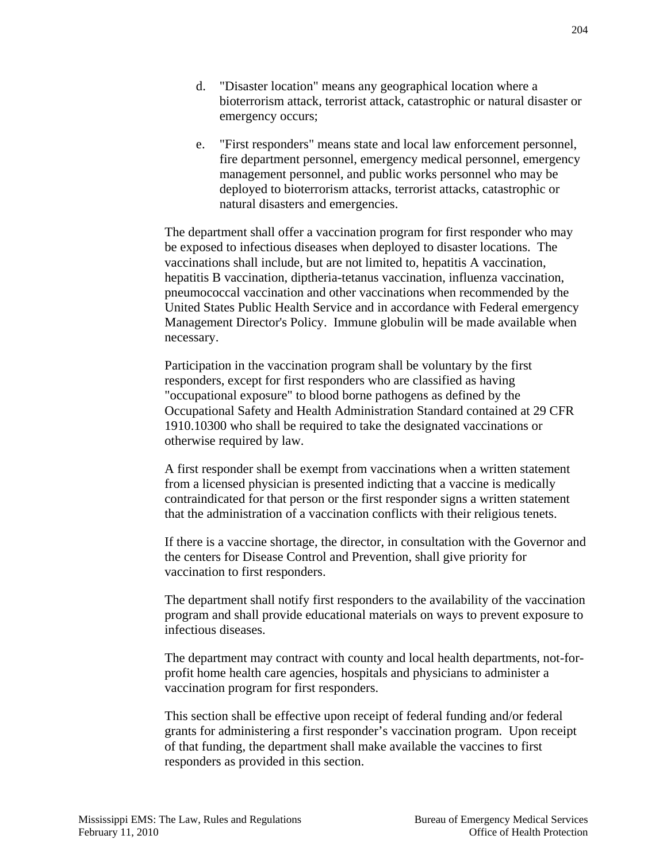- d. "Disaster location" means any geographical location where a bioterrorism attack, terrorist attack, catastrophic or natural disaster or emergency occurs;
- e. "First responders" means state and local law enforcement personnel, fire department personnel, emergency medical personnel, emergency management personnel, and public works personnel who may be deployed to bioterrorism attacks, terrorist attacks, catastrophic or natural disasters and emergencies.

The department shall offer a vaccination program for first responder who may be exposed to infectious diseases when deployed to disaster locations. The vaccinations shall include, but are not limited to, hepatitis A vaccination, hepatitis B vaccination, diptheria-tetanus vaccination, influenza vaccination, pneumococcal vaccination and other vaccinations when recommended by the United States Public Health Service and in accordance with Federal emergency Management Director's Policy. Immune globulin will be made available when necessary.

Participation in the vaccination program shall be voluntary by the first responders, except for first responders who are classified as having "occupational exposure" to blood borne pathogens as defined by the Occupational Safety and Health Administration Standard contained at 29 CFR 1910.10300 who shall be required to take the designated vaccinations or otherwise required by law.

A first responder shall be exempt from vaccinations when a written statement from a licensed physician is presented indicting that a vaccine is medically contraindicated for that person or the first responder signs a written statement that the administration of a vaccination conflicts with their religious tenets.

If there is a vaccine shortage, the director, in consultation with the Governor and the centers for Disease Control and Prevention, shall give priority for vaccination to first responders.

The department shall notify first responders to the availability of the vaccination program and shall provide educational materials on ways to prevent exposure to infectious diseases.

The department may contract with county and local health departments, not-forprofit home health care agencies, hospitals and physicians to administer a vaccination program for first responders.

This section shall be effective upon receipt of federal funding and/or federal grants for administering a first responder's vaccination program. Upon receipt of that funding, the department shall make available the vaccines to first responders as provided in this section.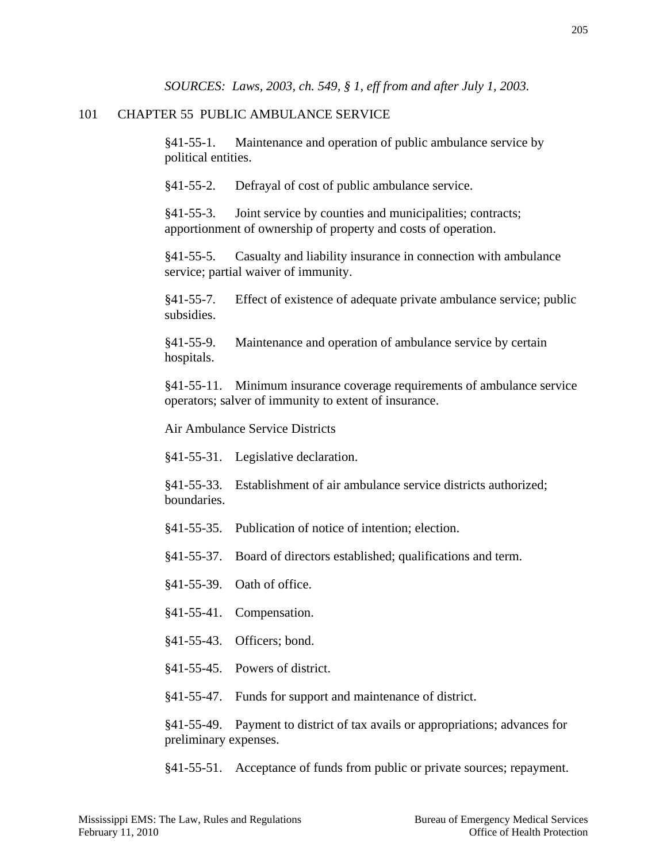*SOURCES: Laws, 2003, ch. 549, § 1, eff from and after July 1, 2003.* 

# 101 CHAPTER 55 PUBLIC AMBULANCE SERVICE

§41-55-1. Maintenance and operation of public ambulance service by political entities.

§41-55-2. Defrayal of cost of public ambulance service.

§41-55-3. Joint service by counties and municipalities; contracts; apportionment of ownership of property and costs of operation.

§41-55-5. Casualty and liability insurance in connection with ambulance service; partial waiver of immunity.

§41-55-7. Effect of existence of adequate private ambulance service; public subsidies.

§41-55-9. Maintenance and operation of ambulance service by certain hospitals.

§41-55-11. Minimum insurance coverage requirements of ambulance service operators; salver of immunity to extent of insurance.

Air Ambulance Service Districts

§41-55-31. Legislative declaration.

§41-55-33. Establishment of air ambulance service districts authorized; boundaries.

- §41-55-35. Publication of notice of intention; election.
- §41-55-37. Board of directors established; qualifications and term.

§41-55-39. Oath of office.

- §41-55-41. Compensation.
- §41-55-43. Officers; bond.
- §41-55-45. Powers of district.

§41-55-47. Funds for support and maintenance of district.

§41-55-49. Payment to district of tax avails or appropriations; advances for preliminary expenses.

§41-55-51. Acceptance of funds from public or private sources; repayment.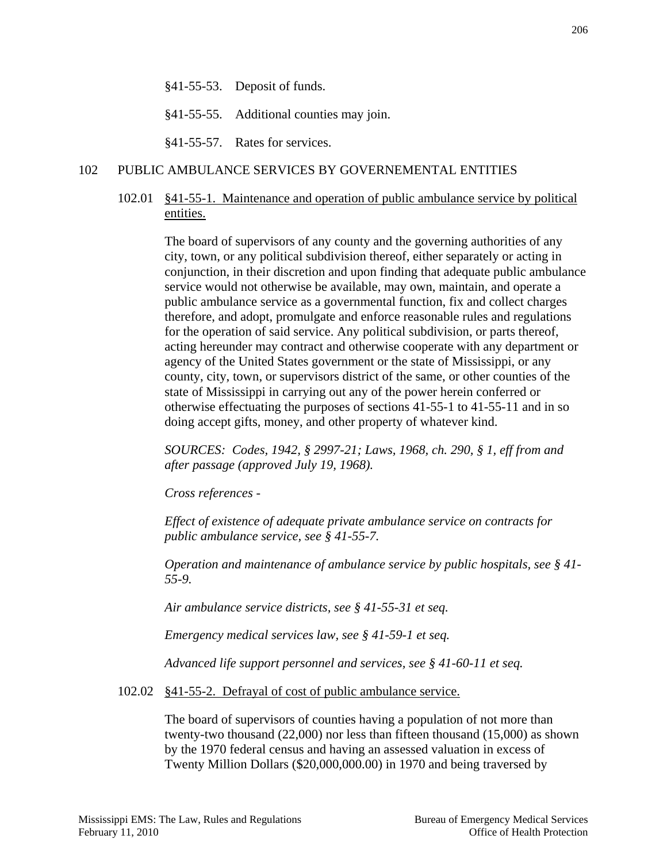§41-55-53. Deposit of funds. §41-55-55. Additional counties may join. §41-55-57. Rates for services.

# 102 PUBLIC AMBULANCE SERVICES BY GOVERNEMENTAL ENTITIES

102.01 §41-55-1. Maintenance and operation of public ambulance service by political entities.

> The board of supervisors of any county and the governing authorities of any city, town, or any political subdivision thereof, either separately or acting in conjunction, in their discretion and upon finding that adequate public ambulance service would not otherwise be available, may own, maintain, and operate a public ambulance service as a governmental function, fix and collect charges therefore, and adopt, promulgate and enforce reasonable rules and regulations for the operation of said service. Any political subdivision, or parts thereof, acting hereunder may contract and otherwise cooperate with any department or agency of the United States government or the state of Mississippi, or any county, city, town, or supervisors district of the same, or other counties of the state of Mississippi in carrying out any of the power herein conferred or otherwise effectuating the purposes of sections 41-55-1 to 41-55-11 and in so doing accept gifts, money, and other property of whatever kind.

*SOURCES: Codes, 1942, § 2997-21; Laws, 1968, ch. 290, § 1, eff from and after passage (approved July 19, 1968).* 

*Cross references -* 

*Effect of existence of adequate private ambulance service on contracts for public ambulance service, see § 41-55-7.* 

*Operation and maintenance of ambulance service by public hospitals, see § 41- 55-9.* 

*Air ambulance service districts, see § 41-55-31 et seq.* 

*Emergency medical services law, see § 41-59-1 et seq.* 

*Advanced life support personnel and services, see § 41-60-11 et seq.* 

102.02 §41-55-2. Defrayal of cost of public ambulance service.

The board of supervisors of counties having a population of not more than twenty-two thousand (22,000) nor less than fifteen thousand (15,000) as shown by the 1970 federal census and having an assessed valuation in excess of Twenty Million Dollars (\$20,000,000.00) in 1970 and being traversed by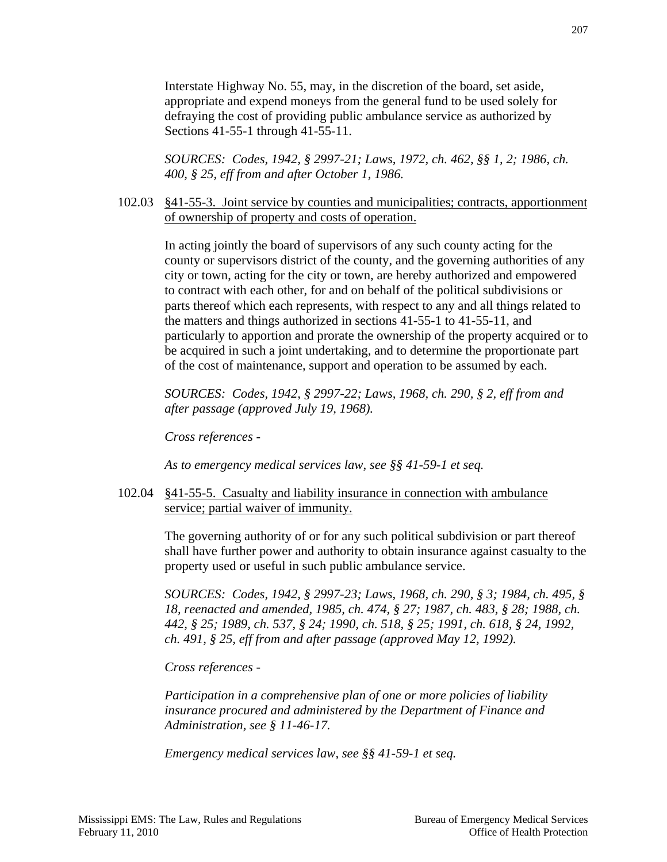Interstate Highway No. 55, may, in the discretion of the board, set aside, appropriate and expend moneys from the general fund to be used solely for defraying the cost of providing public ambulance service as authorized by Sections 41-55-1 through 41-55-11.

*SOURCES: Codes, 1942, § 2997-21; Laws, 1972, ch. 462, §§ 1, 2; 1986, ch. 400, § 25, eff from and after October 1, 1986.* 

102.03 §41-55-3. Joint service by counties and municipalities; contracts, apportionment of ownership of property and costs of operation.

In acting jointly the board of supervisors of any such county acting for the county or supervisors district of the county, and the governing authorities of any city or town, acting for the city or town, are hereby authorized and empowered to contract with each other, for and on behalf of the political subdivisions or parts thereof which each represents, with respect to any and all things related to the matters and things authorized in sections 41-55-1 to 41-55-11, and particularly to apportion and prorate the ownership of the property acquired or to be acquired in such a joint undertaking, and to determine the proportionate part of the cost of maintenance, support and operation to be assumed by each.

*SOURCES: Codes, 1942, § 2997-22; Laws, 1968, ch. 290, § 2, eff from and after passage (approved July 19, 1968).* 

*Cross references -* 

*As to emergency medical services law, see §§ 41-59-1 et seq.* 

102.04 §41-55-5. Casualty and liability insurance in connection with ambulance service; partial waiver of immunity.

> The governing authority of or for any such political subdivision or part thereof shall have further power and authority to obtain insurance against casualty to the property used or useful in such public ambulance service.

> *SOURCES: Codes, 1942, § 2997-23; Laws, 1968, ch. 290, § 3; 1984, ch. 495, § 18, reenacted and amended, 1985, ch. 474, § 27; 1987, ch. 483, § 28; 1988, ch. 442, § 25; 1989, ch. 537, § 24; 1990, ch. 518, § 25; 1991, ch. 618, § 24, 1992, ch. 491, § 25, eff from and after passage (approved May 12, 1992).*

*Cross references -* 

*Participation in a comprehensive plan of one or more policies of liability insurance procured and administered by the Department of Finance and Administration, see § 11-46-17.* 

*Emergency medical services law, see §§ 41-59-1 et seq.*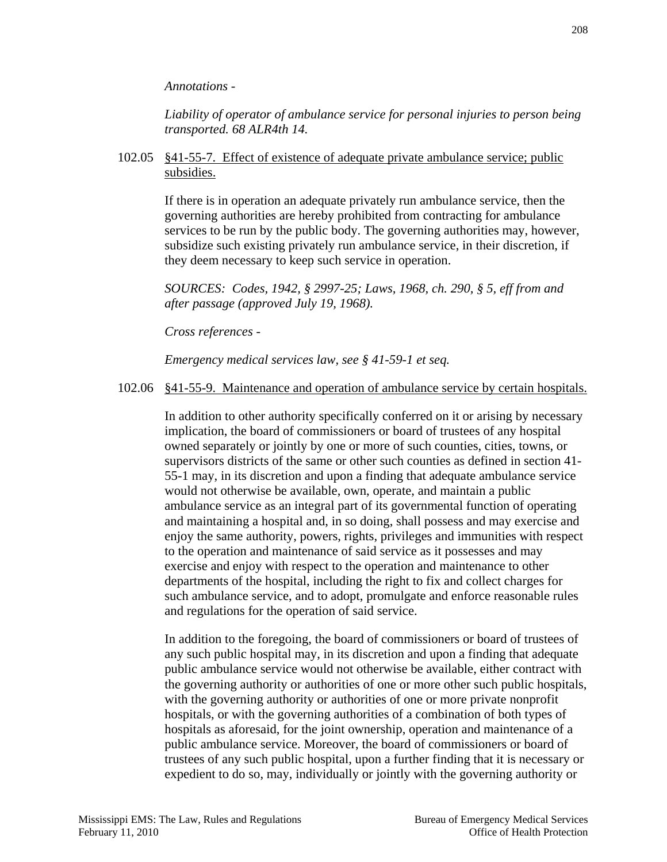*Annotations -* 

*Liability of operator of ambulance service for personal injuries to person being transported. 68 ALR4th 14.* 

102.05 §41-55-7. Effect of existence of adequate private ambulance service; public subsidies.

> If there is in operation an adequate privately run ambulance service, then the governing authorities are hereby prohibited from contracting for ambulance services to be run by the public body. The governing authorities may, however, subsidize such existing privately run ambulance service, in their discretion, if they deem necessary to keep such service in operation.

*SOURCES: Codes, 1942, § 2997-25; Laws, 1968, ch. 290, § 5, eff from and after passage (approved July 19, 1968).* 

*Cross references -* 

*Emergency medical services law, see § 41-59-1 et seq.* 

102.06 §41-55-9. Maintenance and operation of ambulance service by certain hospitals.

In addition to other authority specifically conferred on it or arising by necessary implication, the board of commissioners or board of trustees of any hospital owned separately or jointly by one or more of such counties, cities, towns, or supervisors districts of the same or other such counties as defined in section 41- 55-1 may, in its discretion and upon a finding that adequate ambulance service would not otherwise be available, own, operate, and maintain a public ambulance service as an integral part of its governmental function of operating and maintaining a hospital and, in so doing, shall possess and may exercise and enjoy the same authority, powers, rights, privileges and immunities with respect to the operation and maintenance of said service as it possesses and may exercise and enjoy with respect to the operation and maintenance to other departments of the hospital, including the right to fix and collect charges for such ambulance service, and to adopt, promulgate and enforce reasonable rules and regulations for the operation of said service.

In addition to the foregoing, the board of commissioners or board of trustees of any such public hospital may, in its discretion and upon a finding that adequate public ambulance service would not otherwise be available, either contract with the governing authority or authorities of one or more other such public hospitals, with the governing authority or authorities of one or more private nonprofit hospitals, or with the governing authorities of a combination of both types of hospitals as aforesaid, for the joint ownership, operation and maintenance of a public ambulance service. Moreover, the board of commissioners or board of trustees of any such public hospital, upon a further finding that it is necessary or expedient to do so, may, individually or jointly with the governing authority or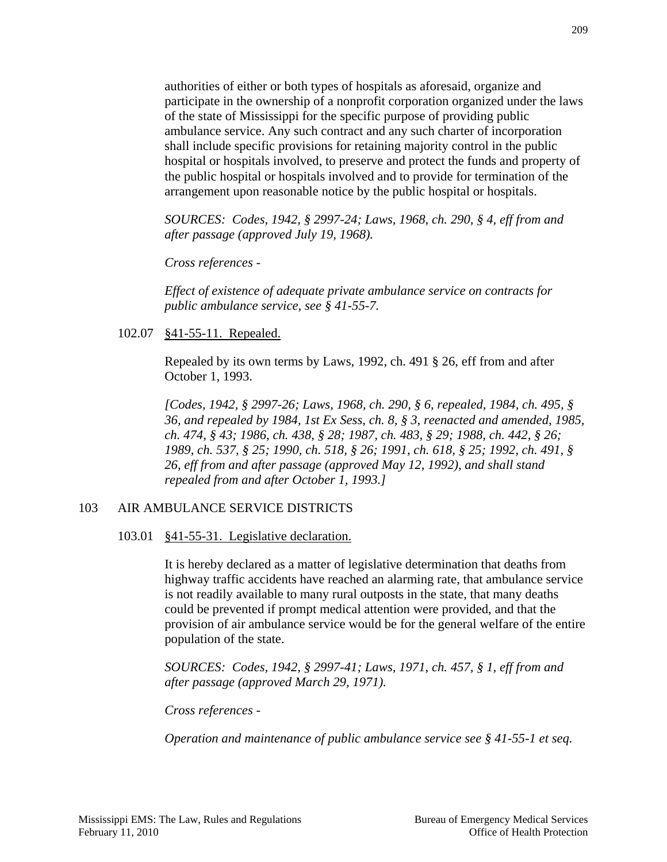authorities of either or both types of hospitals as aforesaid, organize and participate in the ownership of a nonprofit corporation organized under the laws of the state of Mississippi for the specific purpose of providing public ambulance service. Any such contract and any such charter of incorporation shall include specific provisions for retaining majority control in the public hospital or hospitals involved, to preserve and protect the funds and property of the public hospital or hospitals involved and to provide for termination of the arrangement upon reasonable notice by the public hospital or hospitals.

*SOURCES: Codes, 1942, § 2997-24; Laws, 1968, ch. 290, § 4, eff from and after passage (approved July 19, 1968).* 

*Cross references -* 

*Effect of existence of adequate private ambulance service on contracts for public ambulance service, see § 41-55-7.* 

102.07 §41-55-11. Repealed.

Repealed by its own terms by Laws, 1992, ch. 491 § 26, eff from and after October 1, 1993.

*[Codes, 1942, § 2997-26; Laws, 1968, ch. 290, § 6, repealed, 1984, ch. 495, § 36, and repealed by 1984, 1st Ex Sess, ch. 8, § 3, reenacted and amended, 1985, ch. 474, § 43; 1986, ch. 438, § 28; 1987, ch. 483, § 29; 1988, ch. 442, § 26; 1989, ch. 537, § 25; 1990, ch. 518, § 26; 1991, ch. 618, § 25; 1992, ch. 491, § 26, eff from and after passage (approved May 12, 1992), and shall stand repealed from and after October 1, 1993.]* 

# 103 AIR AMBULANCE SERVICE DISTRICTS

103.01 §41-55-31. Legislative declaration.

It is hereby declared as a matter of legislative determination that deaths from highway traffic accidents have reached an alarming rate, that ambulance service is not readily available to many rural outposts in the state, that many deaths could be prevented if prompt medical attention were provided, and that the provision of air ambulance service would be for the general welfare of the entire population of the state.

*SOURCES: Codes, 1942, § 2997-41; Laws, 1971, ch. 457, § 1, eff from and after passage (approved March 29, 1971).* 

*Cross references -* 

*Operation and maintenance of public ambulance service see § 41-55-1 et seq.*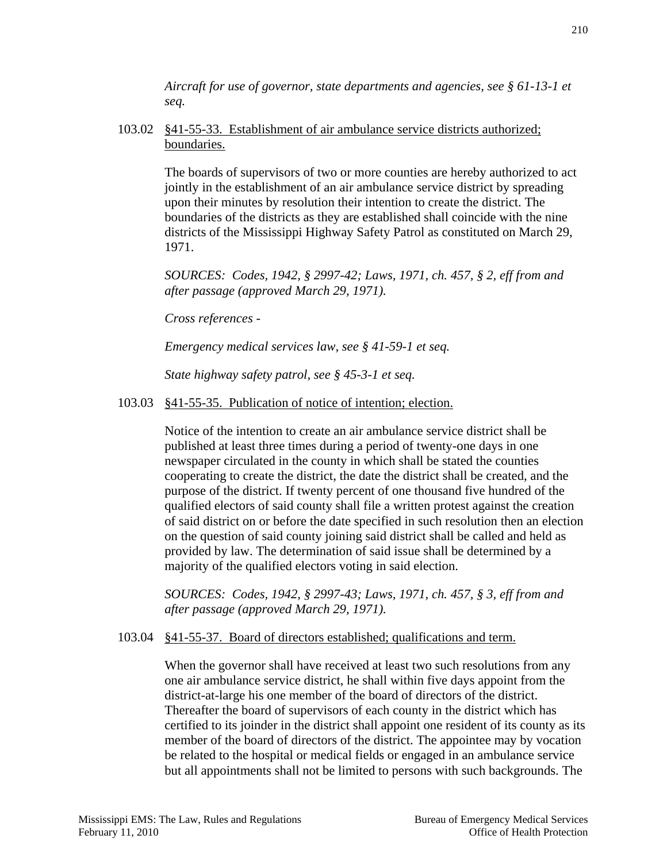*Aircraft for use of governor, state departments and agencies, see § 61-13-1 et seq.* 

103.02 §41-55-33. Establishment of air ambulance service districts authorized; boundaries.

> The boards of supervisors of two or more counties are hereby authorized to act jointly in the establishment of an air ambulance service district by spreading upon their minutes by resolution their intention to create the district. The boundaries of the districts as they are established shall coincide with the nine districts of the Mississippi Highway Safety Patrol as constituted on March 29, 1971.

*SOURCES: Codes, 1942, § 2997-42; Laws, 1971, ch. 457, § 2, eff from and after passage (approved March 29, 1971).* 

*Cross references -* 

*Emergency medical services law, see § 41-59-1 et seq.* 

*State highway safety patrol, see § 45-3-1 et seq.* 

# 103.03 §41-55-35. Publication of notice of intention; election.

Notice of the intention to create an air ambulance service district shall be published at least three times during a period of twenty-one days in one newspaper circulated in the county in which shall be stated the counties cooperating to create the district, the date the district shall be created, and the purpose of the district. If twenty percent of one thousand five hundred of the qualified electors of said county shall file a written protest against the creation of said district on or before the date specified in such resolution then an election on the question of said county joining said district shall be called and held as provided by law. The determination of said issue shall be determined by a majority of the qualified electors voting in said election.

*SOURCES: Codes, 1942, § 2997-43; Laws, 1971, ch. 457, § 3, eff from and after passage (approved March 29, 1971).* 

# 103.04 §41-55-37. Board of directors established; qualifications and term.

When the governor shall have received at least two such resolutions from any one air ambulance service district, he shall within five days appoint from the district-at-large his one member of the board of directors of the district. Thereafter the board of supervisors of each county in the district which has certified to its joinder in the district shall appoint one resident of its county as its member of the board of directors of the district. The appointee may by vocation be related to the hospital or medical fields or engaged in an ambulance service but all appointments shall not be limited to persons with such backgrounds. The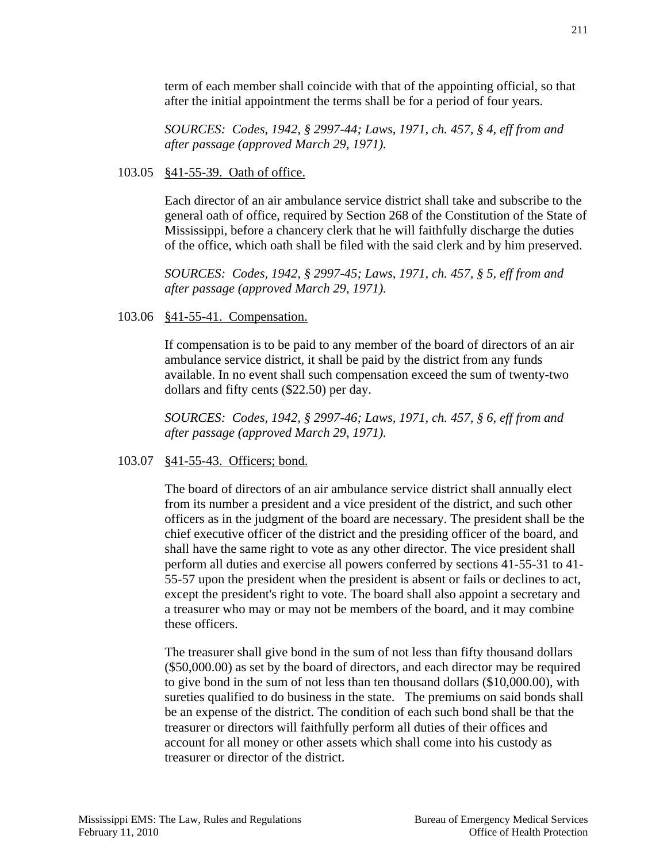term of each member shall coincide with that of the appointing official, so that after the initial appointment the terms shall be for a period of four years.

*SOURCES: Codes, 1942, § 2997-44; Laws, 1971, ch. 457, § 4, eff from and after passage (approved March 29, 1971).* 

103.05 §41-55-39. Oath of office.

Each director of an air ambulance service district shall take and subscribe to the general oath of office, required by Section 268 of the Constitution of the State of Mississippi, before a chancery clerk that he will faithfully discharge the duties of the office, which oath shall be filed with the said clerk and by him preserved.

*SOURCES: Codes, 1942, § 2997-45; Laws, 1971, ch. 457, § 5, eff from and after passage (approved March 29, 1971).* 

# 103.06 §41-55-41. Compensation.

If compensation is to be paid to any member of the board of directors of an air ambulance service district, it shall be paid by the district from any funds available. In no event shall such compensation exceed the sum of twenty-two dollars and fifty cents (\$22.50) per day.

*SOURCES: Codes, 1942, § 2997-46; Laws, 1971, ch. 457, § 6, eff from and after passage (approved March 29, 1971).* 

# 103.07 §41-55-43. Officers; bond.

The board of directors of an air ambulance service district shall annually elect from its number a president and a vice president of the district, and such other officers as in the judgment of the board are necessary. The president shall be the chief executive officer of the district and the presiding officer of the board, and shall have the same right to vote as any other director. The vice president shall perform all duties and exercise all powers conferred by sections 41-55-31 to 41- 55-57 upon the president when the president is absent or fails or declines to act, except the president's right to vote. The board shall also appoint a secretary and a treasurer who may or may not be members of the board, and it may combine these officers.

The treasurer shall give bond in the sum of not less than fifty thousand dollars (\$50,000.00) as set by the board of directors, and each director may be required to give bond in the sum of not less than ten thousand dollars (\$10,000.00), with sureties qualified to do business in the state. The premiums on said bonds shall be an expense of the district. The condition of each such bond shall be that the treasurer or directors will faithfully perform all duties of their offices and account for all money or other assets which shall come into his custody as treasurer or director of the district.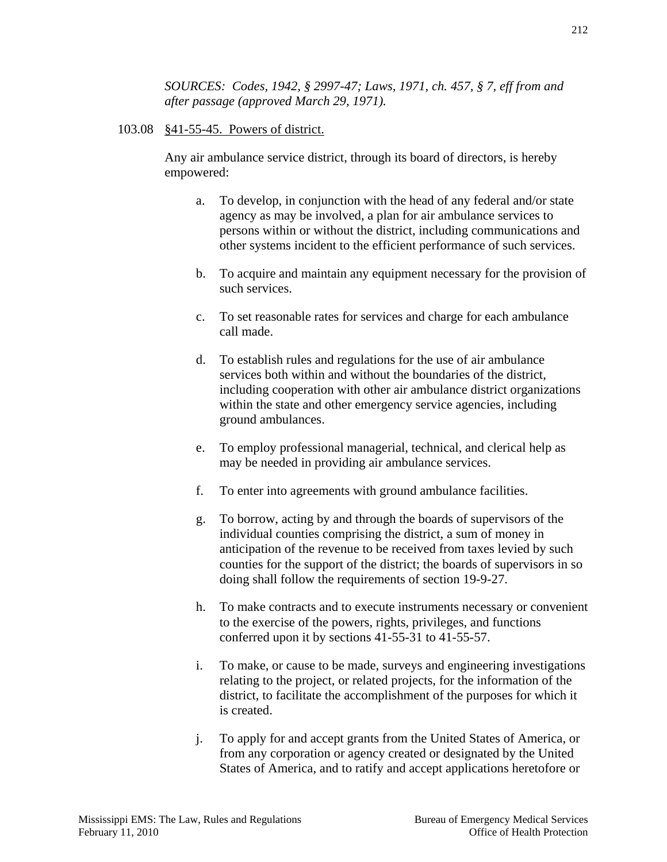*SOURCES: Codes, 1942, § 2997-47; Laws, 1971, ch. 457, § 7, eff from and after passage (approved March 29, 1971).* 

103.08 §41-55-45. Powers of district.

Any air ambulance service district, through its board of directors, is hereby empowered:

- a. To develop, in conjunction with the head of any federal and/or state agency as may be involved, a plan for air ambulance services to persons within or without the district, including communications and other systems incident to the efficient performance of such services.
- b. To acquire and maintain any equipment necessary for the provision of such services.
- c. To set reasonable rates for services and charge for each ambulance call made.
- d. To establish rules and regulations for the use of air ambulance services both within and without the boundaries of the district, including cooperation with other air ambulance district organizations within the state and other emergency service agencies, including ground ambulances.
- e. To employ professional managerial, technical, and clerical help as may be needed in providing air ambulance services.
- f. To enter into agreements with ground ambulance facilities.
- g. To borrow, acting by and through the boards of supervisors of the individual counties comprising the district, a sum of money in anticipation of the revenue to be received from taxes levied by such counties for the support of the district; the boards of supervisors in so doing shall follow the requirements of section 19-9-27.
- h. To make contracts and to execute instruments necessary or convenient to the exercise of the powers, rights, privileges, and functions conferred upon it by sections 41-55-31 to 41-55-57.
- i. To make, or cause to be made, surveys and engineering investigations relating to the project, or related projects, for the information of the district, to facilitate the accomplishment of the purposes for which it is created.
- j. To apply for and accept grants from the United States of America, or from any corporation or agency created or designated by the United States of America, and to ratify and accept applications heretofore or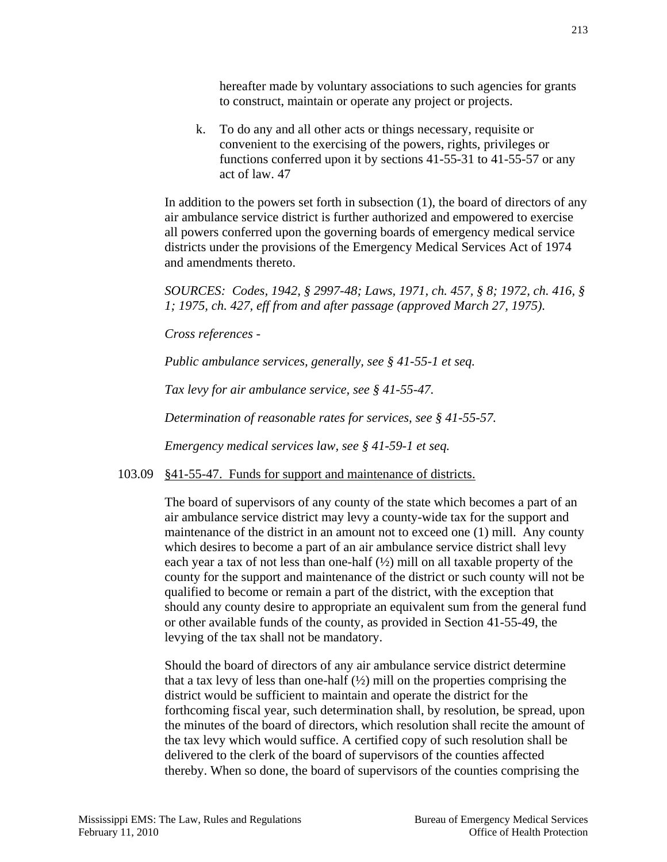hereafter made by voluntary associations to such agencies for grants to construct, maintain or operate any project or projects.

k. To do any and all other acts or things necessary, requisite or convenient to the exercising of the powers, rights, privileges or functions conferred upon it by sections 41-55-31 to 41-55-57 or any act of law. 47

In addition to the powers set forth in subsection (1), the board of directors of any air ambulance service district is further authorized and empowered to exercise all powers conferred upon the governing boards of emergency medical service districts under the provisions of the Emergency Medical Services Act of 1974 and amendments thereto.

*SOURCES: Codes, 1942, § 2997-48; Laws, 1971, ch. 457, § 8; 1972, ch. 416, § 1; 1975, ch. 427, eff from and after passage (approved March 27, 1975).* 

*Cross references -* 

*Public ambulance services, generally, see § 41-55-1 et seq.* 

*Tax levy for air ambulance service, see § 41-55-47.* 

*Determination of reasonable rates for services, see § 41-55-57.* 

*Emergency medical services law, see § 41-59-1 et seq.* 

103.09 §41-55-47. Funds for support and maintenance of districts.

The board of supervisors of any county of the state which becomes a part of an air ambulance service district may levy a county-wide tax for the support and maintenance of the district in an amount not to exceed one (1) mill. Any county which desires to become a part of an air ambulance service district shall levy each year a tax of not less than one-half  $(\frac{1}{2})$  mill on all taxable property of the county for the support and maintenance of the district or such county will not be qualified to become or remain a part of the district, with the exception that should any county desire to appropriate an equivalent sum from the general fund or other available funds of the county, as provided in Section 41-55-49, the levying of the tax shall not be mandatory.

Should the board of directors of any air ambulance service district determine that a tax levy of less than one-half  $(½)$  mill on the properties comprising the district would be sufficient to maintain and operate the district for the forthcoming fiscal year, such determination shall, by resolution, be spread, upon the minutes of the board of directors, which resolution shall recite the amount of the tax levy which would suffice. A certified copy of such resolution shall be delivered to the clerk of the board of supervisors of the counties affected thereby. When so done, the board of supervisors of the counties comprising the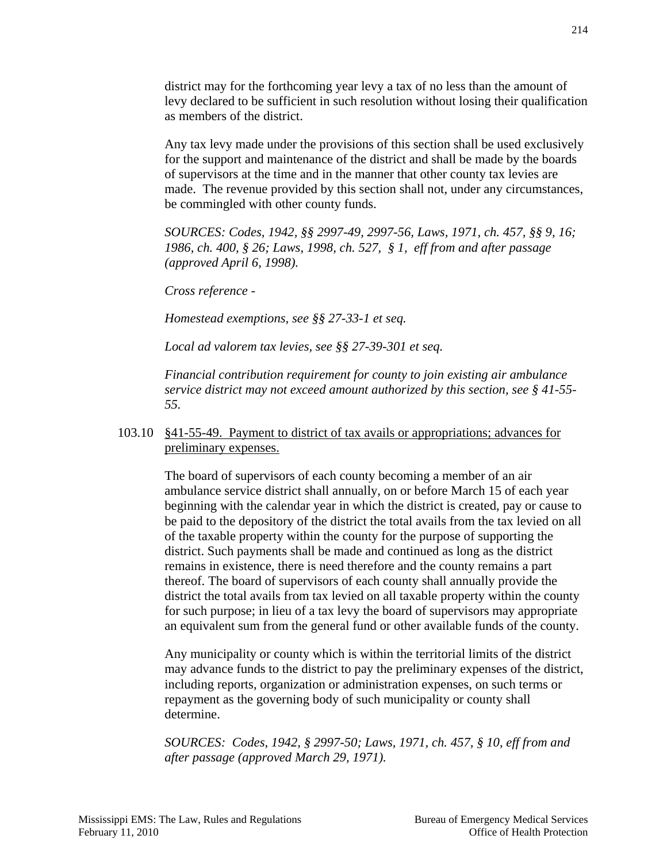district may for the forthcoming year levy a tax of no less than the amount of levy declared to be sufficient in such resolution without losing their qualification as members of the district.

Any tax levy made under the provisions of this section shall be used exclusively for the support and maintenance of the district and shall be made by the boards of supervisors at the time and in the manner that other county tax levies are made. The revenue provided by this section shall not, under any circumstances, be commingled with other county funds.

*SOURCES: Codes, 1942, §§ 2997-49, 2997-56, Laws, 1971, ch. 457, §§ 9, 16; 1986, ch. 400, § 26; Laws, 1998, ch. 527, § 1, eff from and after passage (approved April 6, 1998).* 

*Cross reference -* 

*Homestead exemptions, see §§ 27-33-1 et seq.* 

*Local ad valorem tax levies, see §§ 27-39-301 et seq.* 

*Financial contribution requirement for county to join existing air ambulance service district may not exceed amount authorized by this section, see § 41-55- 55.* 

103.10 §41-55-49. Payment to district of tax avails or appropriations; advances for preliminary expenses.

> The board of supervisors of each county becoming a member of an air ambulance service district shall annually, on or before March 15 of each year beginning with the calendar year in which the district is created, pay or cause to be paid to the depository of the district the total avails from the tax levied on all of the taxable property within the county for the purpose of supporting the district. Such payments shall be made and continued as long as the district remains in existence, there is need therefore and the county remains a part thereof. The board of supervisors of each county shall annually provide the district the total avails from tax levied on all taxable property within the county for such purpose; in lieu of a tax levy the board of supervisors may appropriate an equivalent sum from the general fund or other available funds of the county.

> Any municipality or county which is within the territorial limits of the district may advance funds to the district to pay the preliminary expenses of the district, including reports, organization or administration expenses, on such terms or repayment as the governing body of such municipality or county shall determine.

*SOURCES: Codes, 1942, § 2997-50; Laws, 1971, ch. 457, § 10, eff from and after passage (approved March 29, 1971).*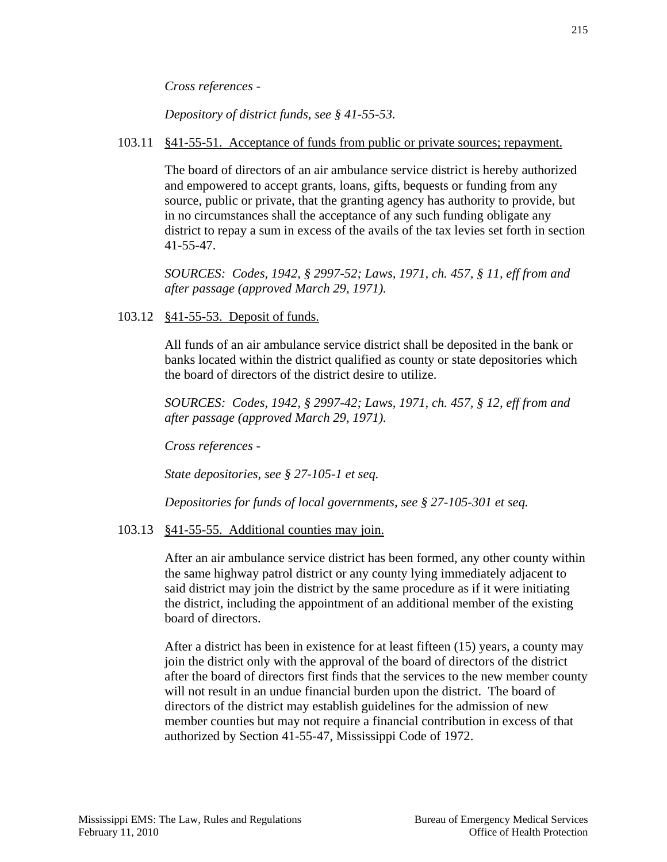*Cross references -* 

*Depository of district funds, see § 41-55-53.* 

103.11 §41-55-51. Acceptance of funds from public or private sources; repayment.

The board of directors of an air ambulance service district is hereby authorized and empowered to accept grants, loans, gifts, bequests or funding from any source, public or private, that the granting agency has authority to provide, but in no circumstances shall the acceptance of any such funding obligate any district to repay a sum in excess of the avails of the tax levies set forth in section 41-55-47.

*SOURCES: Codes, 1942, § 2997-52; Laws, 1971, ch. 457, § 11, eff from and after passage (approved March 29, 1971).* 

103.12 §41-55-53. Deposit of funds.

All funds of an air ambulance service district shall be deposited in the bank or banks located within the district qualified as county or state depositories which the board of directors of the district desire to utilize.

*SOURCES: Codes, 1942, § 2997-42; Laws, 1971, ch. 457, § 12, eff from and after passage (approved March 29, 1971).* 

*Cross references -* 

*State depositories, see § 27-105-1 et seq.* 

*Depositories for funds of local governments, see § 27-105-301 et seq.* 

# 103.13 §41-55-55. Additional counties may join.

After an air ambulance service district has been formed, any other county within the same highway patrol district or any county lying immediately adjacent to said district may join the district by the same procedure as if it were initiating the district, including the appointment of an additional member of the existing board of directors.

After a district has been in existence for at least fifteen (15) years, a county may join the district only with the approval of the board of directors of the district after the board of directors first finds that the services to the new member county will not result in an undue financial burden upon the district. The board of directors of the district may establish guidelines for the admission of new member counties but may not require a financial contribution in excess of that authorized by Section 41-55-47, Mississippi Code of 1972.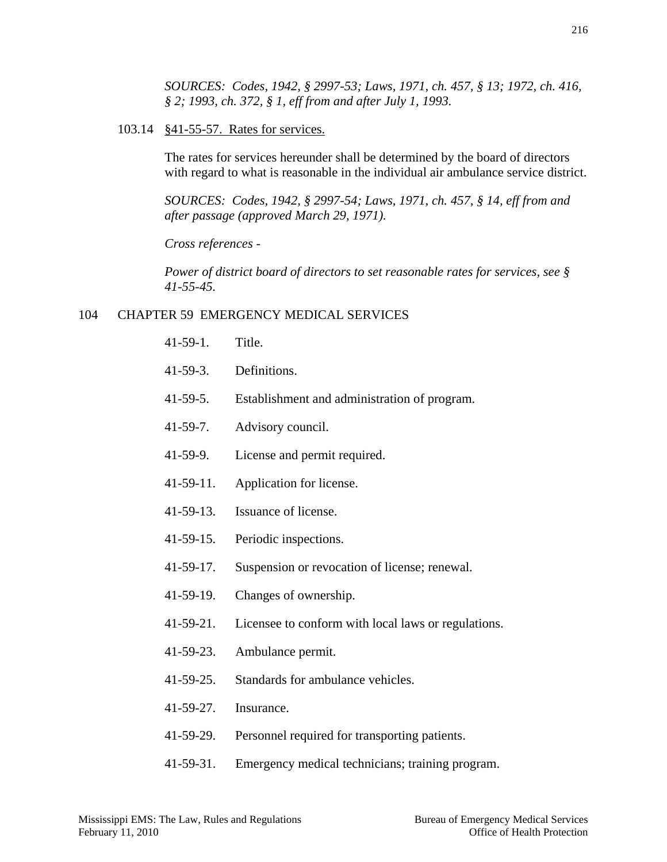*SOURCES: Codes, 1942, § 2997-53; Laws, 1971, ch. 457, § 13; 1972, ch. 416, § 2; 1993, ch. 372, § 1, eff from and after July 1, 1993.* 

103.14 <u>§41-55-57. Rates for services.</u>

The rates for services hereunder shall be determined by the board of directors with regard to what is reasonable in the individual air ambulance service district.

*SOURCES: Codes, 1942, § 2997-54; Laws, 1971, ch. 457, § 14, eff from and after passage (approved March 29, 1971).* 

*Cross references -* 

*Power of district board of directors to set reasonable rates for services, see § 41-55-45.* 

#### 104 CHAPTER 59 EMERGENCY MEDICAL SERVICES

| Title. |
|--------|
|        |

- 41-59-3. Definitions.
- 41-59-5. Establishment and administration of program.
- 41-59-7. Advisory council.
- 41-59-9. License and permit required.
- 41-59-11. Application for license.
- 41-59-13. Issuance of license.
- 41-59-15. Periodic inspections.
- 41-59-17. Suspension or revocation of license; renewal.
- 41-59-19. Changes of ownership.
- 41-59-21. Licensee to conform with local laws or regulations.
- 41-59-23. Ambulance permit.
- 41-59-25. Standards for ambulance vehicles.
- 41-59-27. Insurance.
- 41-59-29. Personnel required for transporting patients.
- 41-59-31. Emergency medical technicians; training program.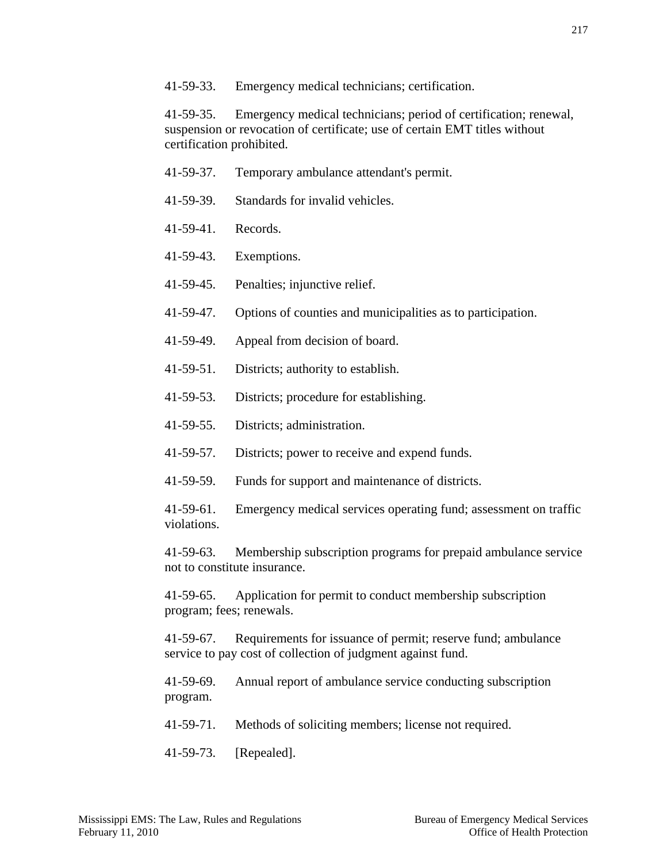41-59-33. Emergency medical technicians; certification.

41-59-35. Emergency medical technicians; period of certification; renewal, suspension or revocation of certificate; use of certain EMT titles without certification prohibited.

- 41-59-37. Temporary ambulance attendant's permit.
- 41-59-39. Standards for invalid vehicles.
- 41-59-41. Records.
- 41-59-43. Exemptions.
- 41-59-45. Penalties; injunctive relief.
- 41-59-47. Options of counties and municipalities as to participation.
- 41-59-49. Appeal from decision of board.
- 41-59-51. Districts; authority to establish.
- 41-59-53. Districts; procedure for establishing.
- 41-59-55. Districts; administration.
- 41-59-57. Districts; power to receive and expend funds.
- 41-59-59. Funds for support and maintenance of districts.

41-59-61. Emergency medical services operating fund; assessment on traffic violations.

41-59-63. Membership subscription programs for prepaid ambulance service not to constitute insurance.

41-59-65. Application for permit to conduct membership subscription program; fees; renewals.

41-59-67. Requirements for issuance of permit; reserve fund; ambulance service to pay cost of collection of judgment against fund.

41-59-69. Annual report of ambulance service conducting subscription program.

- 41-59-71. Methods of soliciting members; license not required.
- 41-59-73. [Repealed].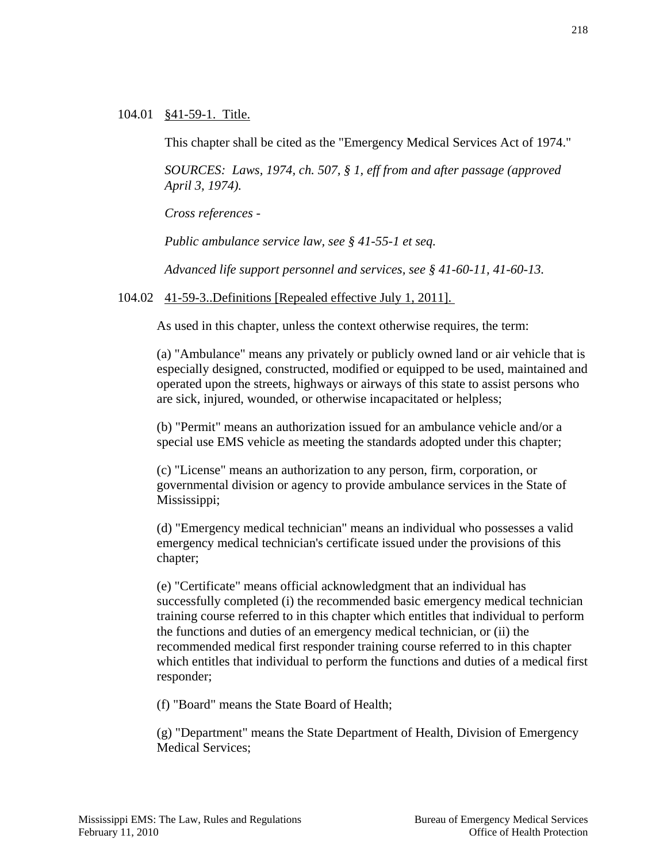### 104.01 §41-59-1. Title.

This chapter shall be cited as the "Emergency Medical Services Act of 1974."

*SOURCES: Laws, 1974, ch. 507, § 1, eff from and after passage (approved April 3, 1974).* 

*Cross references -* 

*Public ambulance service law, see § 41-55-1 et seq.* 

*Advanced life support personnel and services, see § 41-60-11, 41-60-13.* 

104.02 41-59-3..Definitions [Repealed effective July 1, 2011].

As used in this chapter, unless the context otherwise requires, the term:

(a) "Ambulance" means any privately or publicly owned land or air vehicle that is especially designed, constructed, modified or equipped to be used, maintained and operated upon the streets, highways or airways of this state to assist persons who are sick, injured, wounded, or otherwise incapacitated or helpless;

(b) "Permit" means an authorization issued for an ambulance vehicle and/or a special use EMS vehicle as meeting the standards adopted under this chapter;

(c) "License" means an authorization to any person, firm, corporation, or governmental division or agency to provide ambulance services in the State of Mississippi;

(d) "Emergency medical technician" means an individual who possesses a valid emergency medical technician's certificate issued under the provisions of this chapter;

(e) "Certificate" means official acknowledgment that an individual has successfully completed (i) the recommended basic emergency medical technician training course referred to in this chapter which entitles that individual to perform the functions and duties of an emergency medical technician, or (ii) the recommended medical first responder training course referred to in this chapter which entitles that individual to perform the functions and duties of a medical first responder;

(f) "Board" means the State Board of Health;

(g) "Department" means the State Department of Health, Division of Emergency Medical Services;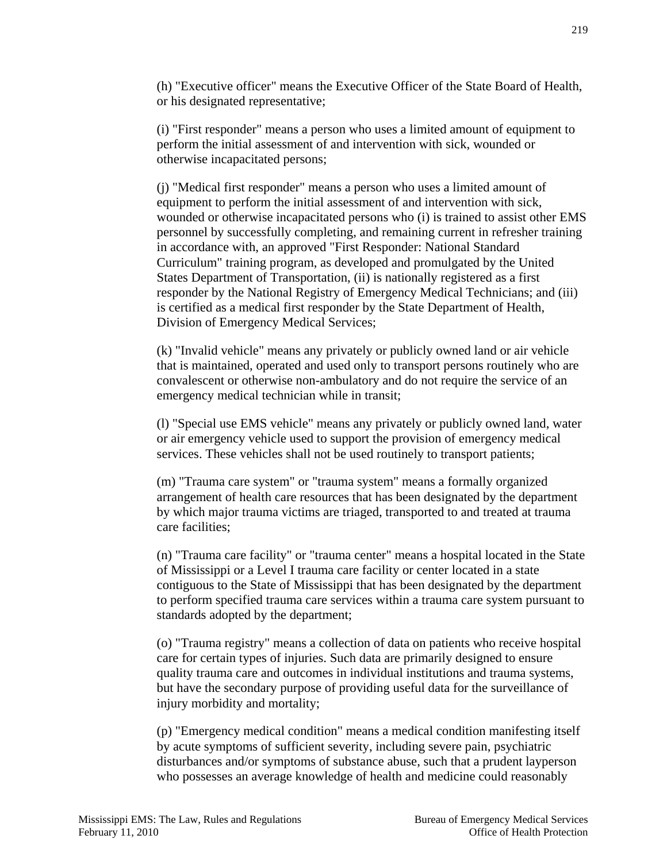(h) "Executive officer" means the Executive Officer of the State Board of Health, or his designated representative;

(i) "First responder" means a person who uses a limited amount of equipment to perform the initial assessment of and intervention with sick, wounded or otherwise incapacitated persons;

(j) "Medical first responder" means a person who uses a limited amount of equipment to perform the initial assessment of and intervention with sick, wounded or otherwise incapacitated persons who (i) is trained to assist other EMS personnel by successfully completing, and remaining current in refresher training in accordance with, an approved "First Responder: National Standard Curriculum" training program, as developed and promulgated by the United States Department of Transportation, (ii) is nationally registered as a first responder by the National Registry of Emergency Medical Technicians; and (iii) is certified as a medical first responder by the State Department of Health, Division of Emergency Medical Services;

(k) "Invalid vehicle" means any privately or publicly owned land or air vehicle that is maintained, operated and used only to transport persons routinely who are convalescent or otherwise non-ambulatory and do not require the service of an emergency medical technician while in transit;

(l) "Special use EMS vehicle" means any privately or publicly owned land, water or air emergency vehicle used to support the provision of emergency medical services. These vehicles shall not be used routinely to transport patients;

(m) "Trauma care system" or "trauma system" means a formally organized arrangement of health care resources that has been designated by the department by which major trauma victims are triaged, transported to and treated at trauma care facilities;

(n) "Trauma care facility" or "trauma center" means a hospital located in the State of Mississippi or a Level I trauma care facility or center located in a state contiguous to the State of Mississippi that has been designated by the department to perform specified trauma care services within a trauma care system pursuant to standards adopted by the department;

(o) "Trauma registry" means a collection of data on patients who receive hospital care for certain types of injuries. Such data are primarily designed to ensure quality trauma care and outcomes in individual institutions and trauma systems, but have the secondary purpose of providing useful data for the surveillance of injury morbidity and mortality;

(p) "Emergency medical condition" means a medical condition manifesting itself by acute symptoms of sufficient severity, including severe pain, psychiatric disturbances and/or symptoms of substance abuse, such that a prudent layperson who possesses an average knowledge of health and medicine could reasonably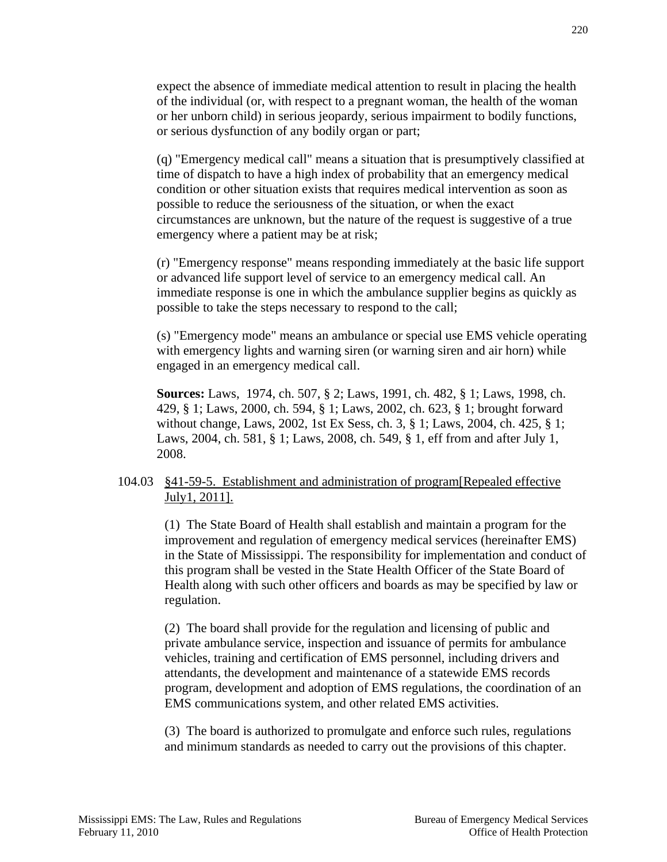expect the absence of immediate medical attention to result in placing the health of the individual (or, with respect to a pregnant woman, the health of the woman or her unborn child) in serious jeopardy, serious impairment to bodily functions, or serious dysfunction of any bodily organ or part;

(q) "Emergency medical call" means a situation that is presumptively classified at time of dispatch to have a high index of probability that an emergency medical condition or other situation exists that requires medical intervention as soon as possible to reduce the seriousness of the situation, or when the exact circumstances are unknown, but the nature of the request is suggestive of a true emergency where a patient may be at risk;

(r) "Emergency response" means responding immediately at the basic life support or advanced life support level of service to an emergency medical call. An immediate response is one in which the ambulance supplier begins as quickly as possible to take the steps necessary to respond to the call;

(s) "Emergency mode" means an ambulance or special use EMS vehicle operating with emergency lights and warning siren (or warning siren and air horn) while engaged in an emergency medical call.

**Sources:** Laws, 1974, ch. 507, § 2; Laws, 1991, ch. 482, § 1; Laws, 1998, ch. 429, § 1; Laws, 2000, ch. 594, § 1; Laws, 2002, ch. 623, § 1; brought forward without change, Laws, 2002, 1st Ex Sess, ch. 3, § 1; Laws, 2004, ch. 425, § 1; Laws, 2004, ch. 581, § 1; Laws, 2008, ch. 549, § 1, eff from and after July 1, 2008.

### 104.03 §41-59-5. Establishment and administration of program[Repealed effective July1, 2011].

(1) The State Board of Health shall establish and maintain a program for the improvement and regulation of emergency medical services (hereinafter EMS) in the State of Mississippi. The responsibility for implementation and conduct of this program shall be vested in the State Health Officer of the State Board of Health along with such other officers and boards as may be specified by law or regulation.

(2) The board shall provide for the regulation and licensing of public and private ambulance service, inspection and issuance of permits for ambulance vehicles, training and certification of EMS personnel, including drivers and attendants, the development and maintenance of a statewide EMS records program, development and adoption of EMS regulations, the coordination of an EMS communications system, and other related EMS activities.

(3) The board is authorized to promulgate and enforce such rules, regulations and minimum standards as needed to carry out the provisions of this chapter.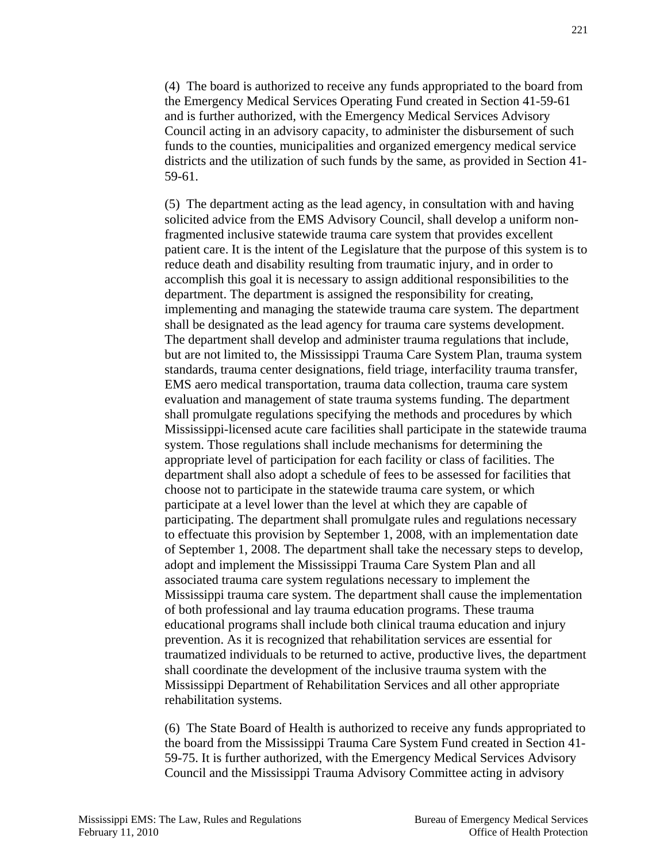221

the Emergency Medical Services Operating Fund created in Section 41-59-61 and is further authorized, with the Emergency Medical Services Advisory Council acting in an advisory capacity, to administer the disbursement of such funds to the counties, municipalities and organized emergency medical service districts and the utilization of such funds by the same, as provided in Section 41- 59-61.

(5) The department acting as the lead agency, in consultation with and having solicited advice from the EMS Advisory Council, shall develop a uniform nonfragmented inclusive statewide trauma care system that provides excellent patient care. It is the intent of the Legislature that the purpose of this system is to reduce death and disability resulting from traumatic injury, and in order to accomplish this goal it is necessary to assign additional responsibilities to the department. The department is assigned the responsibility for creating, implementing and managing the statewide trauma care system. The department shall be designated as the lead agency for trauma care systems development. The department shall develop and administer trauma regulations that include, but are not limited to, the Mississippi Trauma Care System Plan, trauma system standards, trauma center designations, field triage, interfacility trauma transfer, EMS aero medical transportation, trauma data collection, trauma care system evaluation and management of state trauma systems funding. The department shall promulgate regulations specifying the methods and procedures by which Mississippi-licensed acute care facilities shall participate in the statewide trauma system. Those regulations shall include mechanisms for determining the appropriate level of participation for each facility or class of facilities. The department shall also adopt a schedule of fees to be assessed for facilities that choose not to participate in the statewide trauma care system, or which participate at a level lower than the level at which they are capable of participating. The department shall promulgate rules and regulations necessary to effectuate this provision by September 1, 2008, with an implementation date of September 1, 2008. The department shall take the necessary steps to develop, adopt and implement the Mississippi Trauma Care System Plan and all associated trauma care system regulations necessary to implement the Mississippi trauma care system. The department shall cause the implementation of both professional and lay trauma education programs. These trauma educational programs shall include both clinical trauma education and injury prevention. As it is recognized that rehabilitation services are essential for traumatized individuals to be returned to active, productive lives, the department shall coordinate the development of the inclusive trauma system with the Mississippi Department of Rehabilitation Services and all other appropriate rehabilitation systems.

(6) The State Board of Health is authorized to receive any funds appropriated to the board from the Mississippi Trauma Care System Fund created in Section 41- 59-75. It is further authorized, with the Emergency Medical Services Advisory Council and the Mississippi Trauma Advisory Committee acting in advisory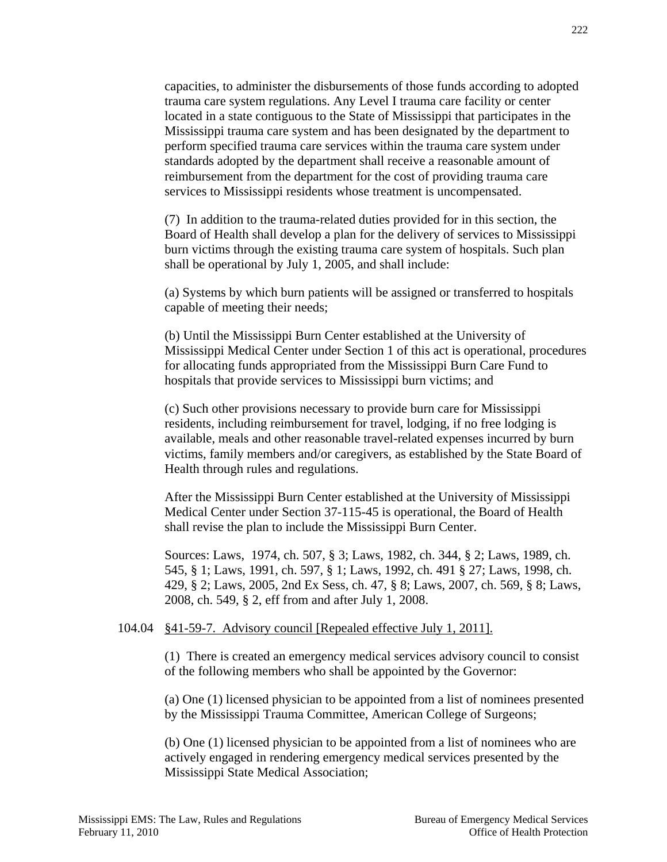capacities, to administer the disbursements of those funds according to adopted trauma care system regulations. Any Level I trauma care facility or center located in a state contiguous to the State of Mississippi that participates in the Mississippi trauma care system and has been designated by the department to perform specified trauma care services within the trauma care system under standards adopted by the department shall receive a reasonable amount of reimbursement from the department for the cost of providing trauma care services to Mississippi residents whose treatment is uncompensated.

(7) In addition to the trauma-related duties provided for in this section, the Board of Health shall develop a plan for the delivery of services to Mississippi burn victims through the existing trauma care system of hospitals. Such plan shall be operational by July 1, 2005, and shall include:

(a) Systems by which burn patients will be assigned or transferred to hospitals capable of meeting their needs;

(b) Until the Mississippi Burn Center established at the University of Mississippi Medical Center under Section 1 of this act is operational, procedures for allocating funds appropriated from the Mississippi Burn Care Fund to hospitals that provide services to Mississippi burn victims; and

(c) Such other provisions necessary to provide burn care for Mississippi residents, including reimbursement for travel, lodging, if no free lodging is available, meals and other reasonable travel-related expenses incurred by burn victims, family members and/or caregivers, as established by the State Board of Health through rules and regulations.

After the Mississippi Burn Center established at the University of Mississippi Medical Center under Section 37-115-45 is operational, the Board of Health shall revise the plan to include the Mississippi Burn Center.

Sources: Laws, 1974, ch. 507, § 3; Laws, 1982, ch. 344, § 2; Laws, 1989, ch. 545, § 1; Laws, 1991, ch. 597, § 1; Laws, 1992, ch. 491 § 27; Laws, 1998, ch. 429, § 2; Laws, 2005, 2nd Ex Sess, ch. 47, § 8; Laws, 2007, ch. 569, § 8; Laws, 2008, ch. 549, § 2, eff from and after July 1, 2008.

### 104.04 §41-59-7. Advisory council [Repealed effective July 1, 2011].

(1) There is created an emergency medical services advisory council to consist of the following members who shall be appointed by the Governor:

(a) One (1) licensed physician to be appointed from a list of nominees presented by the Mississippi Trauma Committee, American College of Surgeons;

(b) One (1) licensed physician to be appointed from a list of nominees who are actively engaged in rendering emergency medical services presented by the Mississippi State Medical Association;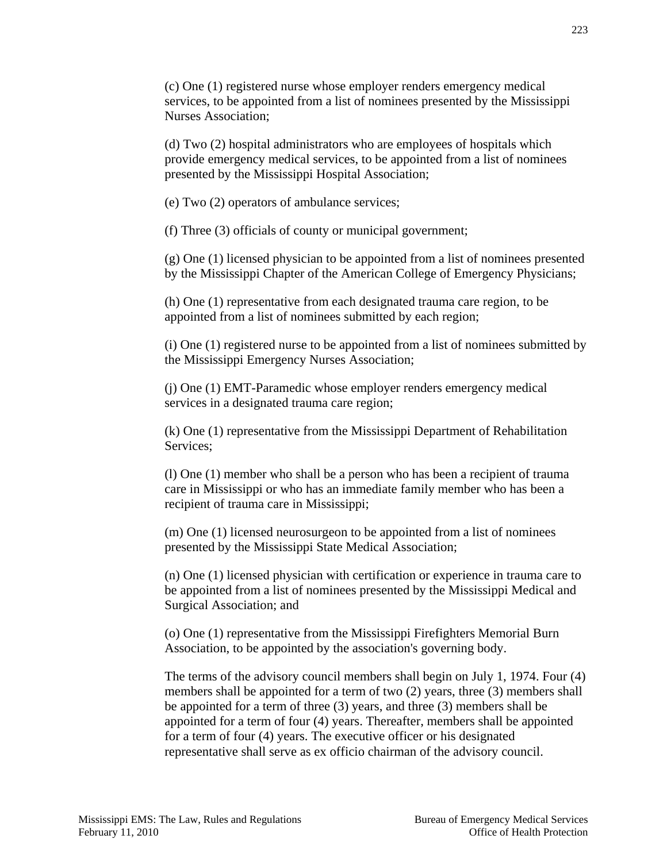(c) One (1) registered nurse whose employer renders emergency medical services, to be appointed from a list of nominees presented by the Mississippi Nurses Association;

(d) Two (2) hospital administrators who are employees of hospitals which provide emergency medical services, to be appointed from a list of nominees presented by the Mississippi Hospital Association;

(e) Two (2) operators of ambulance services;

(f) Three (3) officials of county or municipal government;

 $(g)$  One  $(1)$  licensed physician to be appointed from a list of nominees presented by the Mississippi Chapter of the American College of Emergency Physicians;

(h) One (1) representative from each designated trauma care region, to be appointed from a list of nominees submitted by each region;

(i) One (1) registered nurse to be appointed from a list of nominees submitted by the Mississippi Emergency Nurses Association;

(j) One (1) EMT-Paramedic whose employer renders emergency medical services in a designated trauma care region;

(k) One (1) representative from the Mississippi Department of Rehabilitation Services;

(l) One (1) member who shall be a person who has been a recipient of trauma care in Mississippi or who has an immediate family member who has been a recipient of trauma care in Mississippi;

(m) One (1) licensed neurosurgeon to be appointed from a list of nominees presented by the Mississippi State Medical Association;

(n) One (1) licensed physician with certification or experience in trauma care to be appointed from a list of nominees presented by the Mississippi Medical and Surgical Association; and

(o) One (1) representative from the Mississippi Firefighters Memorial Burn Association, to be appointed by the association's governing body.

The terms of the advisory council members shall begin on July 1, 1974. Four (4) members shall be appointed for a term of two (2) years, three (3) members shall be appointed for a term of three (3) years, and three (3) members shall be appointed for a term of four (4) years. Thereafter, members shall be appointed for a term of four (4) years. The executive officer or his designated representative shall serve as ex officio chairman of the advisory council.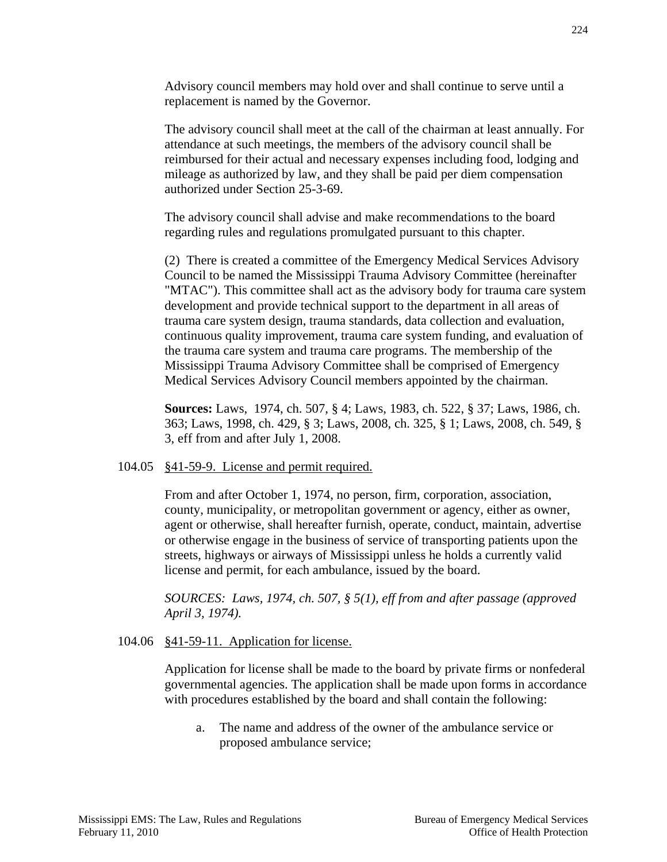Advisory council members may hold over and shall continue to serve until a replacement is named by the Governor.

The advisory council shall meet at the call of the chairman at least annually. For attendance at such meetings, the members of the advisory council shall be reimbursed for their actual and necessary expenses including food, lodging and mileage as authorized by law, and they shall be paid per diem compensation authorized under Section 25-3-69.

The advisory council shall advise and make recommendations to the board regarding rules and regulations promulgated pursuant to this chapter.

(2) There is created a committee of the Emergency Medical Services Advisory Council to be named the Mississippi Trauma Advisory Committee (hereinafter "MTAC"). This committee shall act as the advisory body for trauma care system development and provide technical support to the department in all areas of trauma care system design, trauma standards, data collection and evaluation, continuous quality improvement, trauma care system funding, and evaluation of the trauma care system and trauma care programs. The membership of the Mississippi Trauma Advisory Committee shall be comprised of Emergency Medical Services Advisory Council members appointed by the chairman.

**Sources:** Laws, 1974, ch. 507, § 4; Laws, 1983, ch. 522, § 37; Laws, 1986, ch. 363; Laws, 1998, ch. 429, § 3; Laws, 2008, ch. 325, § 1; Laws, 2008, ch. 549, § 3, eff from and after July 1, 2008.

#### 104.05 §41-59-9. License and permit required.

From and after October 1, 1974, no person, firm, corporation, association, county, municipality, or metropolitan government or agency, either as owner, agent or otherwise, shall hereafter furnish, operate, conduct, maintain, advertise or otherwise engage in the business of service of transporting patients upon the streets, highways or airways of Mississippi unless he holds a currently valid license and permit, for each ambulance, issued by the board.

*SOURCES: Laws, 1974, ch. 507, § 5(1), eff from and after passage (approved April 3, 1974).* 

#### 104.06 §41-59-11. Application for license.

Application for license shall be made to the board by private firms or nonfederal governmental agencies. The application shall be made upon forms in accordance with procedures established by the board and shall contain the following:

a. The name and address of the owner of the ambulance service or proposed ambulance service;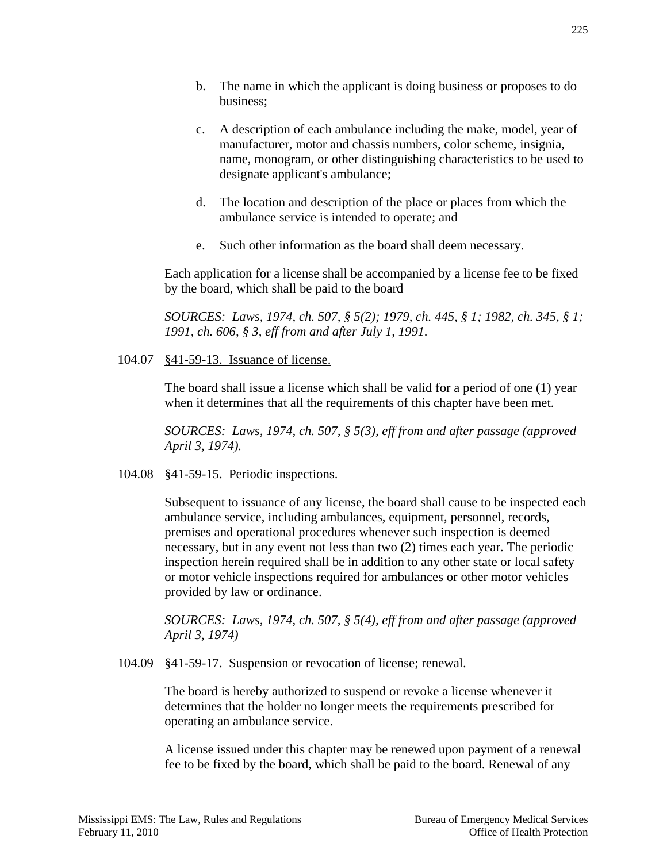- b. The name in which the applicant is doing business or proposes to do business;
- c. A description of each ambulance including the make, model, year of manufacturer, motor and chassis numbers, color scheme, insignia, name, monogram, or other distinguishing characteristics to be used to designate applicant's ambulance;
- d. The location and description of the place or places from which the ambulance service is intended to operate; and
- e. Such other information as the board shall deem necessary.

Each application for a license shall be accompanied by a license fee to be fixed by the board, which shall be paid to the board

*SOURCES: Laws, 1974, ch. 507, § 5(2); 1979, ch. 445, § 1; 1982, ch. 345, § 1; 1991, ch. 606, § 3, eff from and after July 1, 1991.* 

104.07 §41-59-13. Issuance of license.

The board shall issue a license which shall be valid for a period of one (1) year when it determines that all the requirements of this chapter have been met.

*SOURCES: Laws, 1974, ch. 507, § 5(3), eff from and after passage (approved April 3, 1974).* 

104.08 §41-59-15. Periodic inspections.

Subsequent to issuance of any license, the board shall cause to be inspected each ambulance service, including ambulances, equipment, personnel, records, premises and operational procedures whenever such inspection is deemed necessary, but in any event not less than two (2) times each year. The periodic inspection herein required shall be in addition to any other state or local safety or motor vehicle inspections required for ambulances or other motor vehicles provided by law or ordinance.

*SOURCES: Laws, 1974, ch. 507, § 5(4), eff from and after passage (approved April 3, 1974)* 

104.09 §41-59-17. Suspension or revocation of license; renewal.

The board is hereby authorized to suspend or revoke a license whenever it determines that the holder no longer meets the requirements prescribed for operating an ambulance service.

A license issued under this chapter may be renewed upon payment of a renewal fee to be fixed by the board, which shall be paid to the board. Renewal of any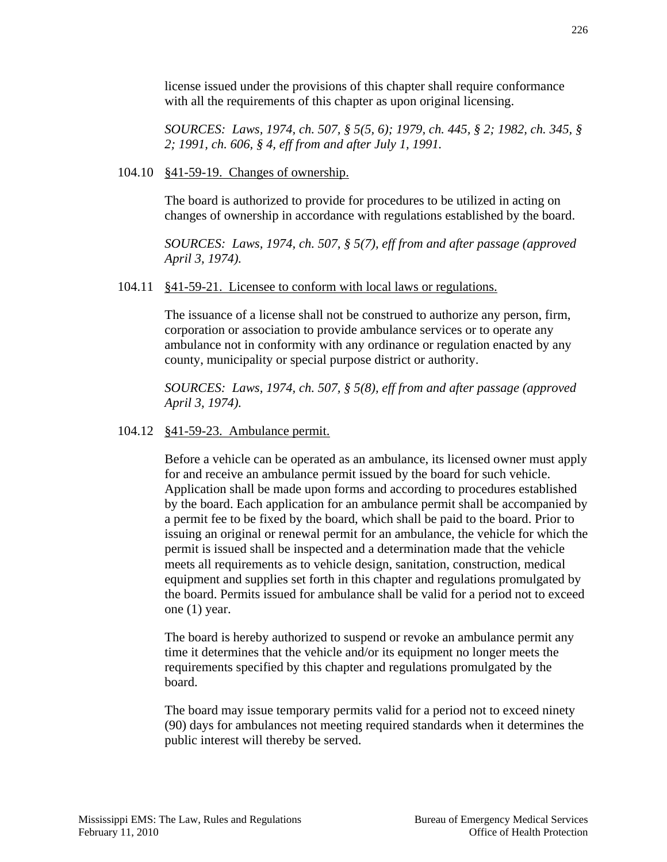license issued under the provisions of this chapter shall require conformance with all the requirements of this chapter as upon original licensing.

*SOURCES: Laws, 1974, ch. 507, § 5(5, 6); 1979, ch. 445, § 2; 1982, ch. 345, § 2; 1991, ch. 606, § 4, eff from and after July 1, 1991.* 

### 104.10 §41-59-19. Changes of ownership.

The board is authorized to provide for procedures to be utilized in acting on changes of ownership in accordance with regulations established by the board.

*SOURCES: Laws, 1974, ch. 507, § 5(7), eff from and after passage (approved April 3, 1974).* 

#### 104.11 §41-59-21. Licensee to conform with local laws or regulations.

The issuance of a license shall not be construed to authorize any person, firm, corporation or association to provide ambulance services or to operate any ambulance not in conformity with any ordinance or regulation enacted by any county, municipality or special purpose district or authority.

*SOURCES: Laws, 1974, ch. 507, § 5(8), eff from and after passage (approved April 3, 1974).* 

### 104.12 §41-59-23. Ambulance permit.

Before a vehicle can be operated as an ambulance, its licensed owner must apply for and receive an ambulance permit issued by the board for such vehicle. Application shall be made upon forms and according to procedures established by the board. Each application for an ambulance permit shall be accompanied by a permit fee to be fixed by the board, which shall be paid to the board. Prior to issuing an original or renewal permit for an ambulance, the vehicle for which the permit is issued shall be inspected and a determination made that the vehicle meets all requirements as to vehicle design, sanitation, construction, medical equipment and supplies set forth in this chapter and regulations promulgated by the board. Permits issued for ambulance shall be valid for a period not to exceed one (1) year.

The board is hereby authorized to suspend or revoke an ambulance permit any time it determines that the vehicle and/or its equipment no longer meets the requirements specified by this chapter and regulations promulgated by the board.

The board may issue temporary permits valid for a period not to exceed ninety (90) days for ambulances not meeting required standards when it determines the public interest will thereby be served.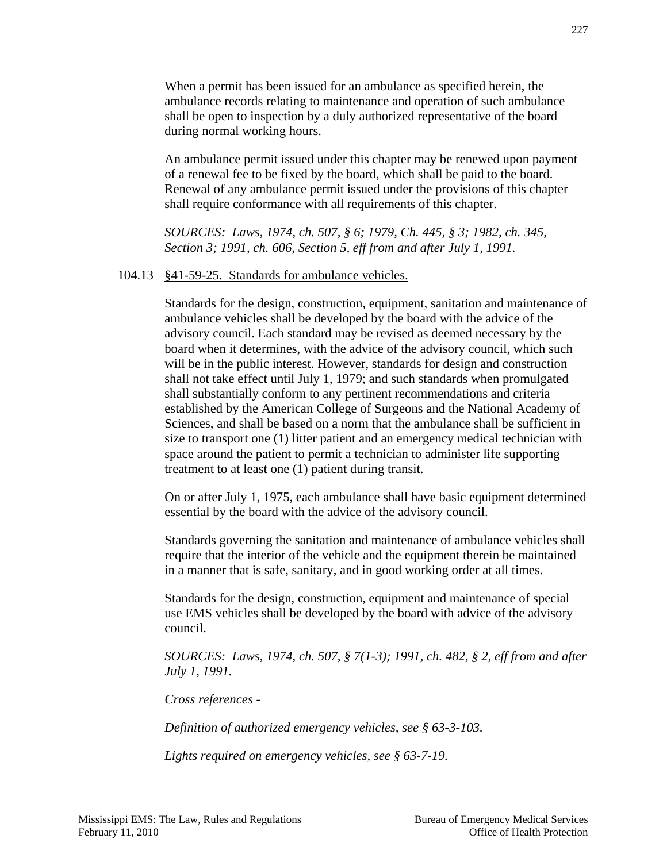When a permit has been issued for an ambulance as specified herein, the ambulance records relating to maintenance and operation of such ambulance shall be open to inspection by a duly authorized representative of the board during normal working hours.

An ambulance permit issued under this chapter may be renewed upon payment of a renewal fee to be fixed by the board, which shall be paid to the board. Renewal of any ambulance permit issued under the provisions of this chapter shall require conformance with all requirements of this chapter.

*SOURCES: Laws, 1974, ch. 507, § 6; 1979, Ch. 445, § 3; 1982, ch. 345, Section 3; 1991, ch. 606, Section 5, eff from and after July 1, 1991.* 

#### 104.13 §41-59-25. Standards for ambulance vehicles.

Standards for the design, construction, equipment, sanitation and maintenance of ambulance vehicles shall be developed by the board with the advice of the advisory council. Each standard may be revised as deemed necessary by the board when it determines, with the advice of the advisory council, which such will be in the public interest. However, standards for design and construction shall not take effect until July 1, 1979; and such standards when promulgated shall substantially conform to any pertinent recommendations and criteria established by the American College of Surgeons and the National Academy of Sciences, and shall be based on a norm that the ambulance shall be sufficient in size to transport one (1) litter patient and an emergency medical technician with space around the patient to permit a technician to administer life supporting treatment to at least one (1) patient during transit.

On or after July 1, 1975, each ambulance shall have basic equipment determined essential by the board with the advice of the advisory council.

Standards governing the sanitation and maintenance of ambulance vehicles shall require that the interior of the vehicle and the equipment therein be maintained in a manner that is safe, sanitary, and in good working order at all times.

Standards for the design, construction, equipment and maintenance of special use EMS vehicles shall be developed by the board with advice of the advisory council.

*SOURCES: Laws, 1974, ch. 507, § 7(1-3); 1991, ch. 482, § 2, eff from and after July 1, 1991.* 

*Cross references -* 

*Definition of authorized emergency vehicles, see § 63-3-103.* 

*Lights required on emergency vehicles, see § 63-7-19.*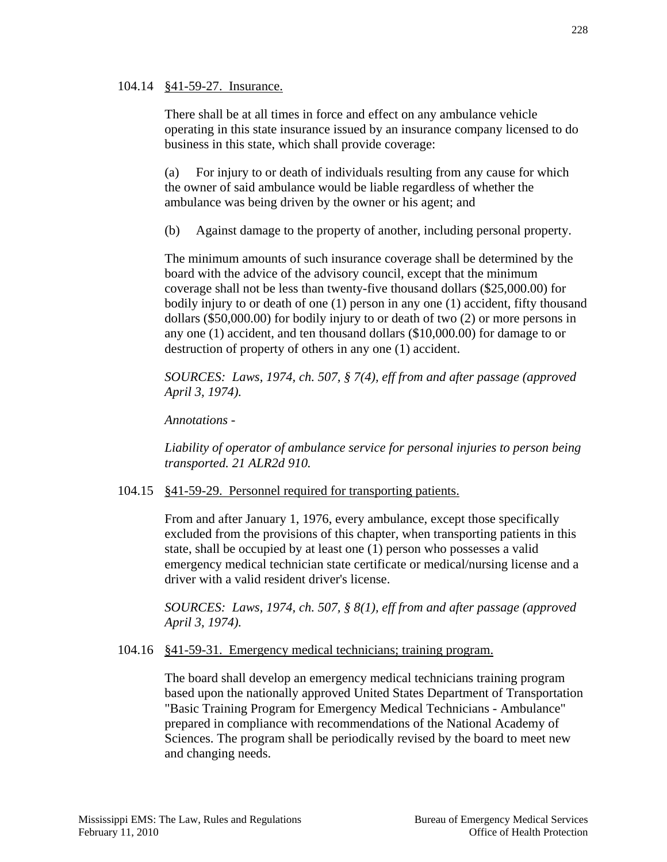#### 104.14 §41-59-27. Insurance.

There shall be at all times in force and effect on any ambulance vehicle operating in this state insurance issued by an insurance company licensed to do business in this state, which shall provide coverage:

(a) For injury to or death of individuals resulting from any cause for which the owner of said ambulance would be liable regardless of whether the ambulance was being driven by the owner or his agent; and

(b) Against damage to the property of another, including personal property.

The minimum amounts of such insurance coverage shall be determined by the board with the advice of the advisory council, except that the minimum coverage shall not be less than twenty-five thousand dollars (\$25,000.00) for bodily injury to or death of one (1) person in any one (1) accident, fifty thousand dollars (\$50,000.00) for bodily injury to or death of two (2) or more persons in any one (1) accident, and ten thousand dollars (\$10,000.00) for damage to or destruction of property of others in any one (1) accident.

*SOURCES: Laws, 1974, ch. 507, § 7(4), eff from and after passage (approved April 3, 1974).* 

*Annotations -* 

*Liability of operator of ambulance service for personal injuries to person being transported. 21 ALR2d 910.* 

# 104.15 §41-59-29. Personnel required for transporting patients.

From and after January 1, 1976, every ambulance, except those specifically excluded from the provisions of this chapter, when transporting patients in this state, shall be occupied by at least one (1) person who possesses a valid emergency medical technician state certificate or medical/nursing license and a driver with a valid resident driver's license.

*SOURCES: Laws, 1974, ch. 507, § 8(1), eff from and after passage (approved April 3, 1974).* 

104.16 §41-59-31. Emergency medical technicians; training program.

The board shall develop an emergency medical technicians training program based upon the nationally approved United States Department of Transportation "Basic Training Program for Emergency Medical Technicians - Ambulance" prepared in compliance with recommendations of the National Academy of Sciences. The program shall be periodically revised by the board to meet new and changing needs.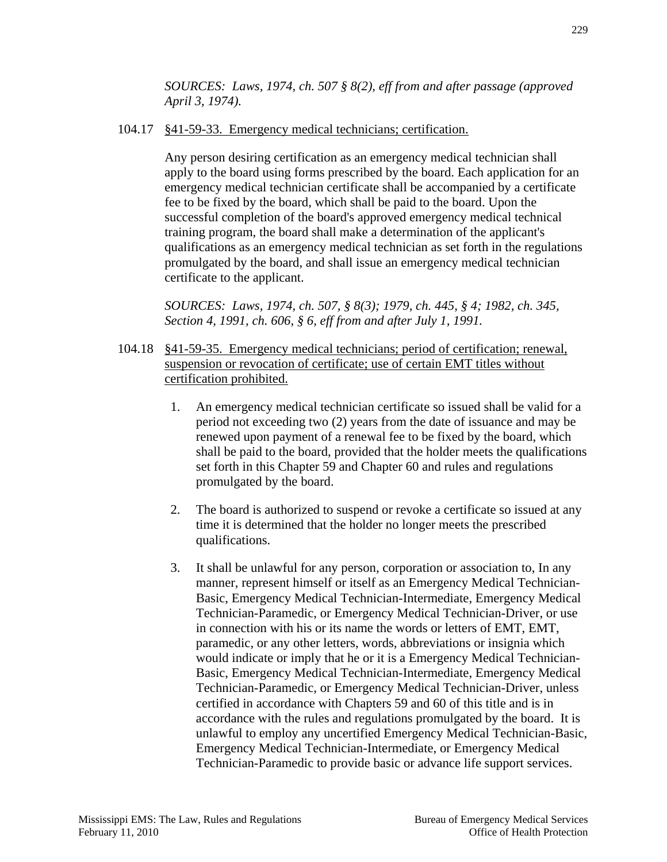*SOURCES: Laws, 1974, ch. 507 § 8(2), eff from and after passage (approved April 3, 1974).* 

# 104.17 §41-59-33. Emergency medical technicians; certification.

Any person desiring certification as an emergency medical technician shall apply to the board using forms prescribed by the board. Each application for an emergency medical technician certificate shall be accompanied by a certificate fee to be fixed by the board, which shall be paid to the board. Upon the successful completion of the board's approved emergency medical technical training program, the board shall make a determination of the applicant's qualifications as an emergency medical technician as set forth in the regulations promulgated by the board, and shall issue an emergency medical technician certificate to the applicant.

*SOURCES: Laws, 1974, ch. 507, § 8(3); 1979, ch. 445, § 4; 1982, ch. 345, Section 4, 1991, ch. 606, § 6, eff from and after July 1, 1991.* 

- 104.18 §41-59-35. Emergency medical technicians; period of certification; renewal, suspension or revocation of certificate; use of certain EMT titles without certification prohibited.
	- 1. An emergency medical technician certificate so issued shall be valid for a period not exceeding two (2) years from the date of issuance and may be renewed upon payment of a renewal fee to be fixed by the board, which shall be paid to the board, provided that the holder meets the qualifications set forth in this Chapter 59 and Chapter 60 and rules and regulations promulgated by the board.
	- 2. The board is authorized to suspend or revoke a certificate so issued at any time it is determined that the holder no longer meets the prescribed qualifications.
	- 3. It shall be unlawful for any person, corporation or association to, In any manner, represent himself or itself as an Emergency Medical Technician-Basic, Emergency Medical Technician-Intermediate, Emergency Medical Technician-Paramedic, or Emergency Medical Technician-Driver, or use in connection with his or its name the words or letters of EMT, EMT, paramedic, or any other letters, words, abbreviations or insignia which would indicate or imply that he or it is a Emergency Medical Technician-Basic, Emergency Medical Technician-Intermediate, Emergency Medical Technician-Paramedic, or Emergency Medical Technician-Driver, unless certified in accordance with Chapters 59 and 60 of this title and is in accordance with the rules and regulations promulgated by the board. It is unlawful to employ any uncertified Emergency Medical Technician-Basic, Emergency Medical Technician-Intermediate, or Emergency Medical Technician-Paramedic to provide basic or advance life support services.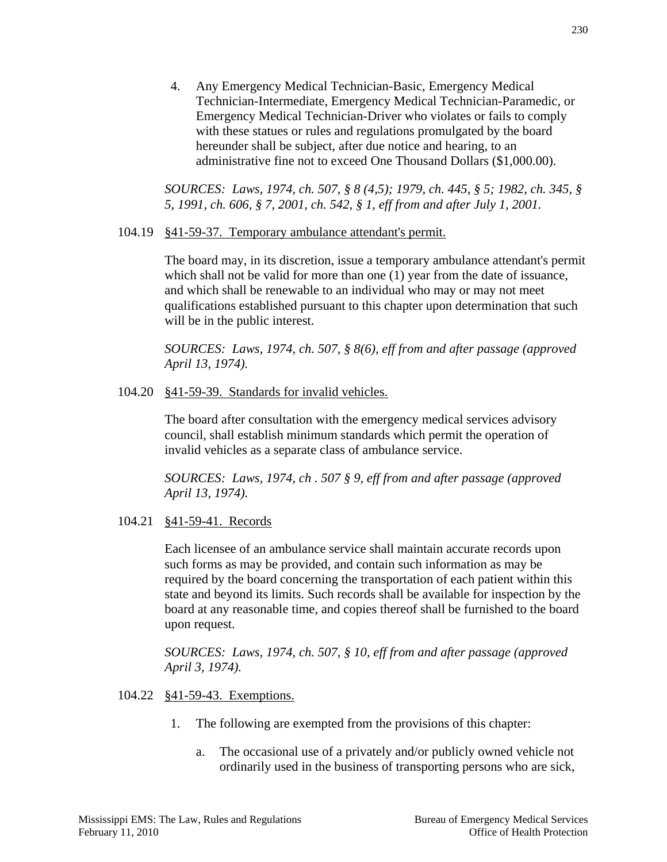4. Any Emergency Medical Technician-Basic, Emergency Medical Technician-Intermediate, Emergency Medical Technician-Paramedic, or Emergency Medical Technician-Driver who violates or fails to comply with these statues or rules and regulations promulgated by the board hereunder shall be subject, after due notice and hearing, to an administrative fine not to exceed One Thousand Dollars (\$1,000.00).

*SOURCES: Laws, 1974, ch. 507, § 8 (4,5); 1979, ch. 445, § 5; 1982, ch. 345, § 5, 1991, ch. 606, § 7, 2001, ch. 542, § 1, eff from and after July 1, 2001.* 

### 104.19 §41-59-37. Temporary ambulance attendant's permit.

The board may, in its discretion, issue a temporary ambulance attendant's permit which shall not be valid for more than one (1) year from the date of issuance, and which shall be renewable to an individual who may or may not meet qualifications established pursuant to this chapter upon determination that such will be in the public interest.

*SOURCES: Laws, 1974, ch. 507, § 8(6), eff from and after passage (approved April 13, 1974).* 

104.20 §41-59-39. Standards for invalid vehicles.

The board after consultation with the emergency medical services advisory council, shall establish minimum standards which permit the operation of invalid vehicles as a separate class of ambulance service.

*SOURCES: Laws, 1974, ch . 507 § 9, eff from and after passage (approved April 13, 1974).* 

104.21 §41-59-41. Records

Each licensee of an ambulance service shall maintain accurate records upon such forms as may be provided, and contain such information as may be required by the board concerning the transportation of each patient within this state and beyond its limits. Such records shall be available for inspection by the board at any reasonable time, and copies thereof shall be furnished to the board upon request.

*SOURCES: Laws, 1974, ch. 507, § 10, eff from and after passage (approved April 3, 1974).* 

- 104.22 §41-59-43. Exemptions.
	- 1. The following are exempted from the provisions of this chapter:
		- a. The occasional use of a privately and/or publicly owned vehicle not ordinarily used in the business of transporting persons who are sick,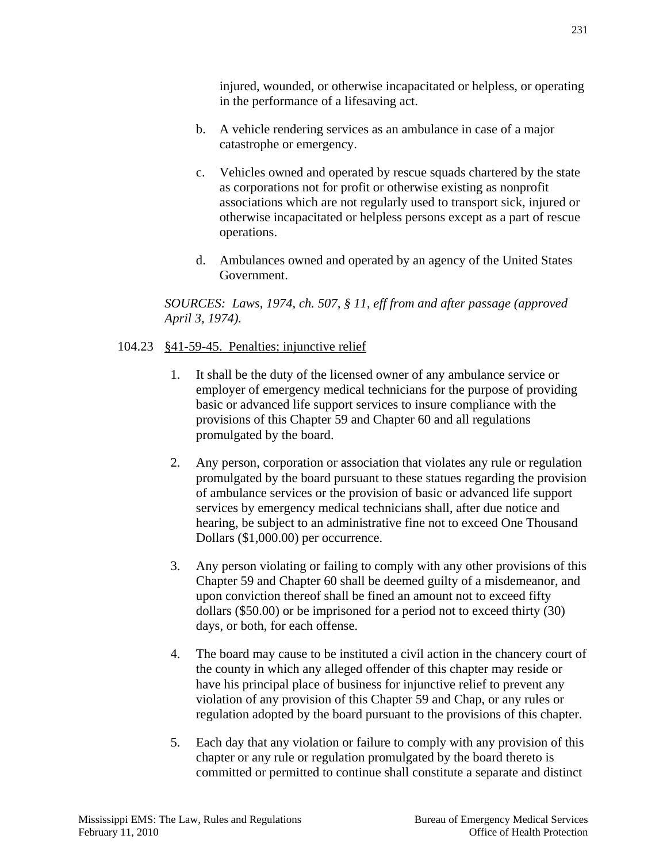injured, wounded, or otherwise incapacitated or helpless, or operating in the performance of a lifesaving act.

- b. A vehicle rendering services as an ambulance in case of a major catastrophe or emergency.
- c. Vehicles owned and operated by rescue squads chartered by the state as corporations not for profit or otherwise existing as nonprofit associations which are not regularly used to transport sick, injured or otherwise incapacitated or helpless persons except as a part of rescue operations.
- d. Ambulances owned and operated by an agency of the United States Government.

*SOURCES: Laws, 1974, ch. 507, § 11, eff from and after passage (approved April 3, 1974).* 

# 104.23 §41-59-45. Penalties; injunctive relief

- 1. It shall be the duty of the licensed owner of any ambulance service or employer of emergency medical technicians for the purpose of providing basic or advanced life support services to insure compliance with the provisions of this Chapter 59 and Chapter 60 and all regulations promulgated by the board.
- 2. Any person, corporation or association that violates any rule or regulation promulgated by the board pursuant to these statues regarding the provision of ambulance services or the provision of basic or advanced life support services by emergency medical technicians shall, after due notice and hearing, be subject to an administrative fine not to exceed One Thousand Dollars (\$1,000.00) per occurrence.
- 3. Any person violating or failing to comply with any other provisions of this Chapter 59 and Chapter 60 shall be deemed guilty of a misdemeanor, and upon conviction thereof shall be fined an amount not to exceed fifty dollars (\$50.00) or be imprisoned for a period not to exceed thirty (30) days, or both, for each offense.
- 4. The board may cause to be instituted a civil action in the chancery court of the county in which any alleged offender of this chapter may reside or have his principal place of business for injunctive relief to prevent any violation of any provision of this Chapter 59 and Chap, or any rules or regulation adopted by the board pursuant to the provisions of this chapter.
- 5. Each day that any violation or failure to comply with any provision of this chapter or any rule or regulation promulgated by the board thereto is committed or permitted to continue shall constitute a separate and distinct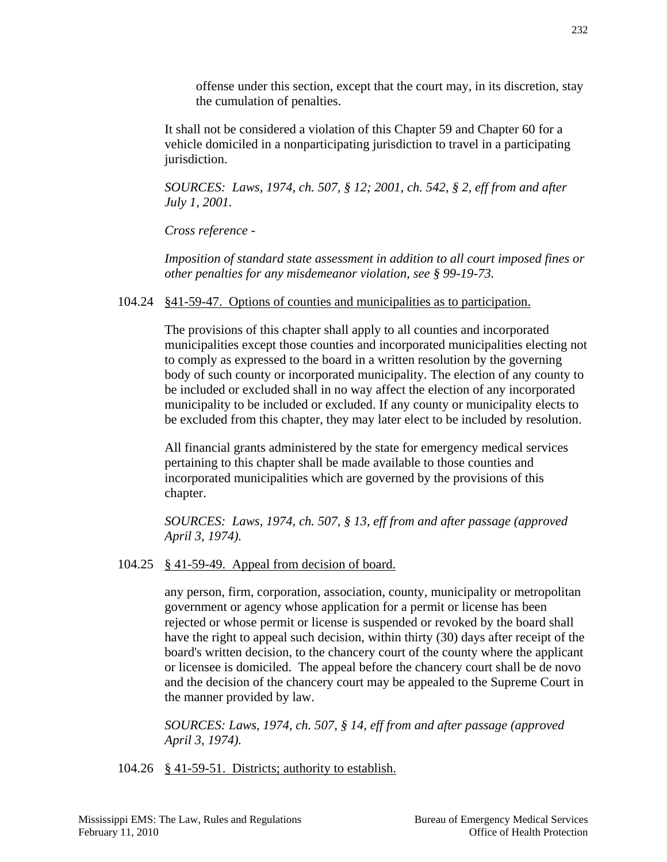offense under this section, except that the court may, in its discretion, stay the cumulation of penalties.

It shall not be considered a violation of this Chapter 59 and Chapter 60 for a vehicle domiciled in a nonparticipating jurisdiction to travel in a participating jurisdiction.

*SOURCES: Laws, 1974, ch. 507, § 12; 2001, ch. 542, § 2, eff from and after July 1, 2001.* 

*Cross reference -* 

*Imposition of standard state assessment in addition to all court imposed fines or other penalties for any misdemeanor violation, see § 99-19-73.* 

104.24 §41-59-47. Options of counties and municipalities as to participation.

The provisions of this chapter shall apply to all counties and incorporated municipalities except those counties and incorporated municipalities electing not to comply as expressed to the board in a written resolution by the governing body of such county or incorporated municipality. The election of any county to be included or excluded shall in no way affect the election of any incorporated municipality to be included or excluded. If any county or municipality elects to be excluded from this chapter, they may later elect to be included by resolution.

All financial grants administered by the state for emergency medical services pertaining to this chapter shall be made available to those counties and incorporated municipalities which are governed by the provisions of this chapter.

*SOURCES: Laws, 1974, ch. 507, § 13, eff from and after passage (approved April 3, 1974).* 

104.25 § 41-59-49. Appeal from decision of board.

any person, firm, corporation, association, county, municipality or metropolitan government or agency whose application for a permit or license has been rejected or whose permit or license is suspended or revoked by the board shall have the right to appeal such decision, within thirty (30) days after receipt of the board's written decision, to the chancery court of the county where the applicant or licensee is domiciled. The appeal before the chancery court shall be de novo and the decision of the chancery court may be appealed to the Supreme Court in the manner provided by law.

*SOURCES: Laws, 1974, ch. 507, § 14, eff from and after passage (approved April 3, 1974).* 

104.26 § 41-59-51. Districts; authority to establish.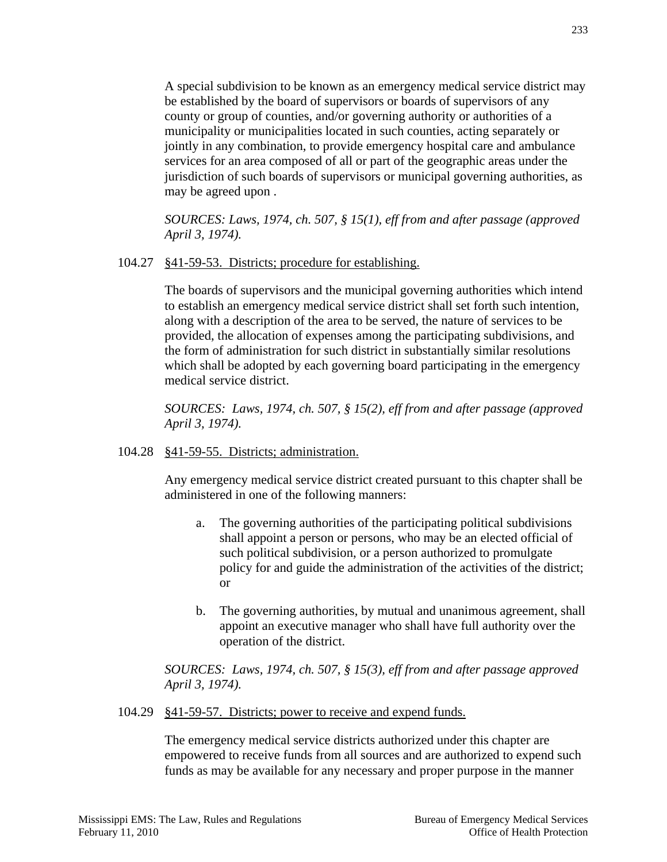A special subdivision to be known as an emergency medical service district may be established by the board of supervisors or boards of supervisors of any county or group of counties, and/or governing authority or authorities of a municipality or municipalities located in such counties, acting separately or jointly in any combination, to provide emergency hospital care and ambulance services for an area composed of all or part of the geographic areas under the jurisdiction of such boards of supervisors or municipal governing authorities, as may be agreed upon .

*SOURCES: Laws, 1974, ch. 507, § 15(1), eff from and after passage (approved April 3, 1974).* 

#### 104.27 §41-59-53. Districts; procedure for establishing.

The boards of supervisors and the municipal governing authorities which intend to establish an emergency medical service district shall set forth such intention, along with a description of the area to be served, the nature of services to be provided, the allocation of expenses among the participating subdivisions, and the form of administration for such district in substantially similar resolutions which shall be adopted by each governing board participating in the emergency medical service district.

*SOURCES: Laws, 1974, ch. 507, § 15(2), eff from and after passage (approved April 3, 1974).* 

104.28 §41-59-55. Districts; administration.

Any emergency medical service district created pursuant to this chapter shall be administered in one of the following manners:

- a. The governing authorities of the participating political subdivisions shall appoint a person or persons, who may be an elected official of such political subdivision, or a person authorized to promulgate policy for and guide the administration of the activities of the district; or
- b. The governing authorities, by mutual and unanimous agreement, shall appoint an executive manager who shall have full authority over the operation of the district.

*SOURCES: Laws, 1974, ch. 507, § 15(3), eff from and after passage approved April 3, 1974).* 

104.29 §41-59-57. Districts; power to receive and expend funds.

The emergency medical service districts authorized under this chapter are empowered to receive funds from all sources and are authorized to expend such funds as may be available for any necessary and proper purpose in the manner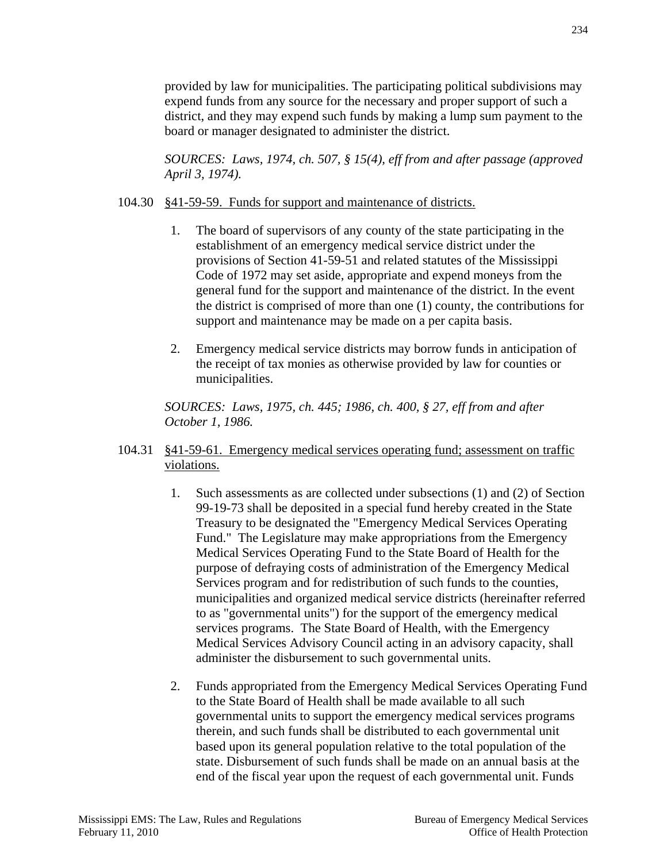provided by law for municipalities. The participating political subdivisions may expend funds from any source for the necessary and proper support of such a district, and they may expend such funds by making a lump sum payment to the board or manager designated to administer the district.

*SOURCES: Laws, 1974, ch. 507, § 15(4), eff from and after passage (approved April 3, 1974).* 

### 104.30 §41-59-59. Funds for support and maintenance of districts.

- 1. The board of supervisors of any county of the state participating in the establishment of an emergency medical service district under the provisions of Section 41-59-51 and related statutes of the Mississippi Code of 1972 may set aside, appropriate and expend moneys from the general fund for the support and maintenance of the district. In the event the district is comprised of more than one (1) county, the contributions for support and maintenance may be made on a per capita basis.
- 2. Emergency medical service districts may borrow funds in anticipation of the receipt of tax monies as otherwise provided by law for counties or municipalities.

*SOURCES: Laws, 1975, ch. 445; 1986, ch. 400, § 27, eff from and after October 1, 1986.* 

- 104.31 §41-59-61. Emergency medical services operating fund; assessment on traffic violations.
	- 1. Such assessments as are collected under subsections (1) and (2) of Section 99-19-73 shall be deposited in a special fund hereby created in the State Treasury to be designated the "Emergency Medical Services Operating Fund." The Legislature may make appropriations from the Emergency Medical Services Operating Fund to the State Board of Health for the purpose of defraying costs of administration of the Emergency Medical Services program and for redistribution of such funds to the counties, municipalities and organized medical service districts (hereinafter referred to as "governmental units") for the support of the emergency medical services programs. The State Board of Health, with the Emergency Medical Services Advisory Council acting in an advisory capacity, shall administer the disbursement to such governmental units.
	- 2. Funds appropriated from the Emergency Medical Services Operating Fund to the State Board of Health shall be made available to all such governmental units to support the emergency medical services programs therein, and such funds shall be distributed to each governmental unit based upon its general population relative to the total population of the state. Disbursement of such funds shall be made on an annual basis at the end of the fiscal year upon the request of each governmental unit. Funds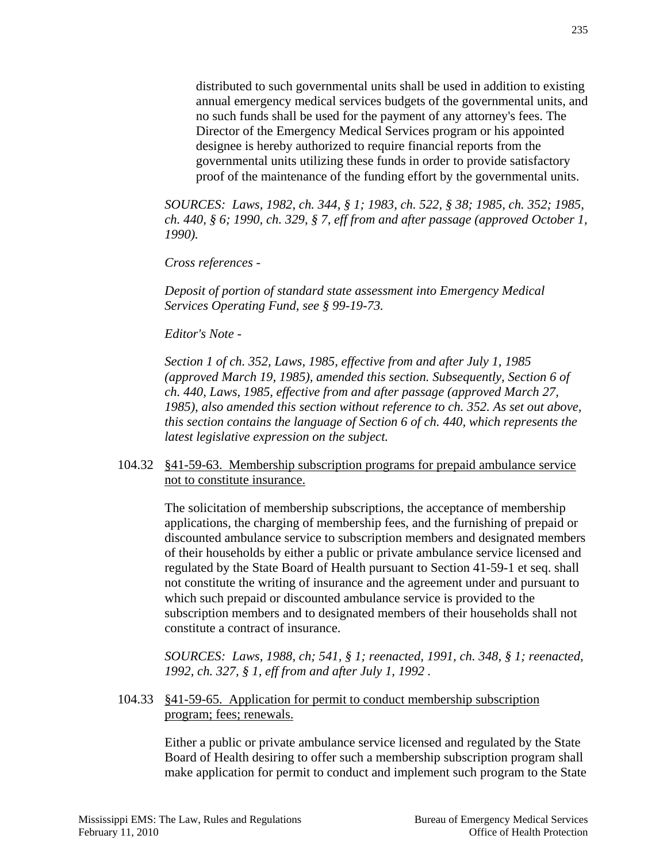distributed to such governmental units shall be used in addition to existing annual emergency medical services budgets of the governmental units, and no such funds shall be used for the payment of any attorney's fees. The Director of the Emergency Medical Services program or his appointed designee is hereby authorized to require financial reports from the governmental units utilizing these funds in order to provide satisfactory proof of the maintenance of the funding effort by the governmental units.

*SOURCES: Laws, 1982, ch. 344, § 1; 1983, ch. 522, § 38; 1985, ch. 352; 1985, ch. 440, § 6; 1990, ch. 329, § 7, eff from and after passage (approved October 1, 1990).* 

*Cross references -* 

*Deposit of portion of standard state assessment into Emergency Medical Services Operating Fund, see § 99-19-73.* 

*Editor's Note -* 

*Section 1 of ch. 352, Laws, 1985, effective from and after July 1, 1985 (approved March 19, 1985), amended this section. Subsequently, Section 6 of ch. 440, Laws, 1985, effective from and after passage (approved March 27, 1985), also amended this section without reference to ch. 352. As set out above, this section contains the language of Section 6 of ch. 440, which represents the latest legislative expression on the subject.* 

104.32 §41-59-63. Membership subscription programs for prepaid ambulance service not to constitute insurance.

> The solicitation of membership subscriptions, the acceptance of membership applications, the charging of membership fees, and the furnishing of prepaid or discounted ambulance service to subscription members and designated members of their households by either a public or private ambulance service licensed and regulated by the State Board of Health pursuant to Section 41-59-1 et seq. shall not constitute the writing of insurance and the agreement under and pursuant to which such prepaid or discounted ambulance service is provided to the subscription members and to designated members of their households shall not constitute a contract of insurance.

> *SOURCES: Laws, 1988, ch; 541, § 1; reenacted, 1991, ch. 348, § 1; reenacted, 1992, ch. 327, § 1, eff from and after July 1, 1992 .*

104.33 §41-59-65. Application for permit to conduct membership subscription program; fees; renewals.

> Either a public or private ambulance service licensed and regulated by the State Board of Health desiring to offer such a membership subscription program shall make application for permit to conduct and implement such program to the State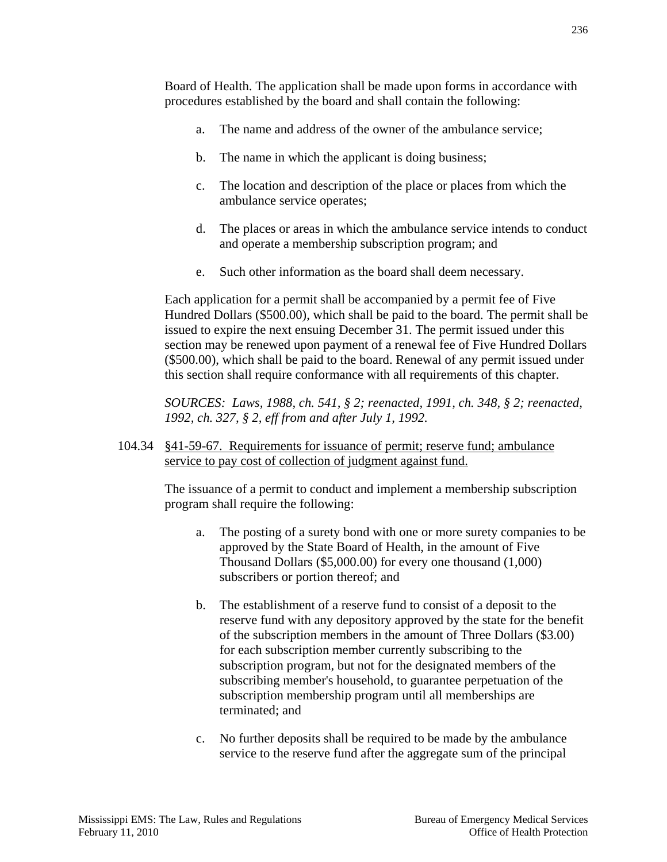Board of Health. The application shall be made upon forms in accordance with procedures established by the board and shall contain the following:

- a. The name and address of the owner of the ambulance service;
- b. The name in which the applicant is doing business;
- c. The location and description of the place or places from which the ambulance service operates;
- d. The places or areas in which the ambulance service intends to conduct and operate a membership subscription program; and
- e. Such other information as the board shall deem necessary.

Each application for a permit shall be accompanied by a permit fee of Five Hundred Dollars (\$500.00), which shall be paid to the board. The permit shall be issued to expire the next ensuing December 31. The permit issued under this section may be renewed upon payment of a renewal fee of Five Hundred Dollars (\$500.00), which shall be paid to the board. Renewal of any permit issued under this section shall require conformance with all requirements of this chapter.

*SOURCES: Laws, 1988, ch. 541, § 2; reenacted, 1991, ch. 348, § 2; reenacted, 1992, ch. 327, § 2, eff from and after July 1, 1992.* 

104.34 §41-59-67. Requirements for issuance of permit; reserve fund; ambulance service to pay cost of collection of judgment against fund.

> The issuance of a permit to conduct and implement a membership subscription program shall require the following:

- a. The posting of a surety bond with one or more surety companies to be approved by the State Board of Health, in the amount of Five Thousand Dollars (\$5,000.00) for every one thousand (1,000) subscribers or portion thereof; and
- b. The establishment of a reserve fund to consist of a deposit to the reserve fund with any depository approved by the state for the benefit of the subscription members in the amount of Three Dollars (\$3.00) for each subscription member currently subscribing to the subscription program, but not for the designated members of the subscribing member's household, to guarantee perpetuation of the subscription membership program until all memberships are terminated; and
- c. No further deposits shall be required to be made by the ambulance service to the reserve fund after the aggregate sum of the principal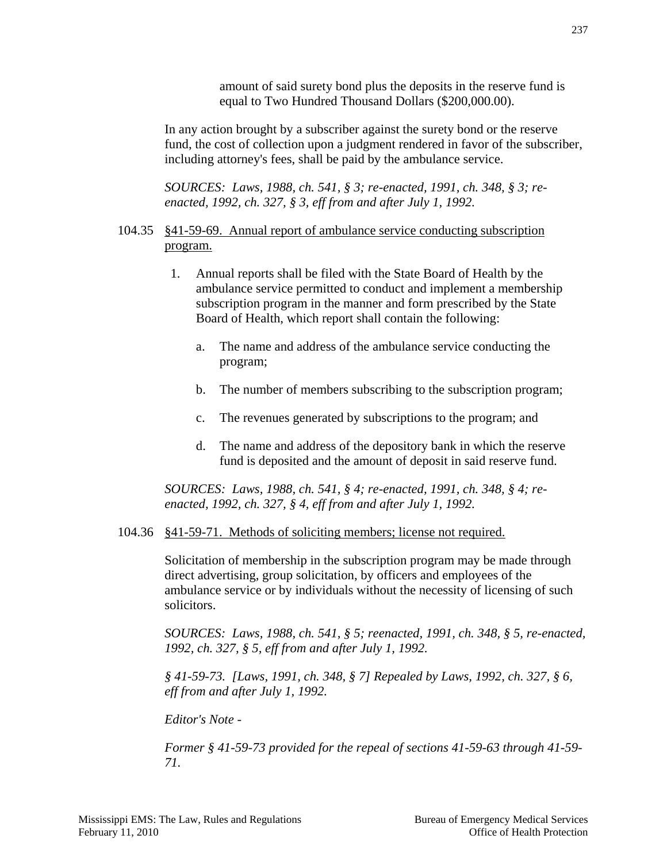amount of said surety bond plus the deposits in the reserve fund is equal to Two Hundred Thousand Dollars (\$200,000.00).

In any action brought by a subscriber against the surety bond or the reserve fund, the cost of collection upon a judgment rendered in favor of the subscriber, including attorney's fees, shall be paid by the ambulance service.

*SOURCES: Laws, 1988, ch. 541, § 3; re-enacted, 1991, ch. 348, § 3; reenacted, 1992, ch. 327, § 3, eff from and after July 1, 1992.* 

# 104.35 §41-59-69. Annual report of ambulance service conducting subscription program.

- 1. Annual reports shall be filed with the State Board of Health by the ambulance service permitted to conduct and implement a membership subscription program in the manner and form prescribed by the State Board of Health, which report shall contain the following:
	- a. The name and address of the ambulance service conducting the program;
	- b. The number of members subscribing to the subscription program;
	- c. The revenues generated by subscriptions to the program; and
	- d. The name and address of the depository bank in which the reserve fund is deposited and the amount of deposit in said reserve fund.

*SOURCES: Laws, 1988, ch. 541, § 4; re-enacted, 1991, ch. 348, § 4; reenacted, 1992, ch. 327, § 4, eff from and after July 1, 1992.* 

# 104.36 §41-59-71. Methods of soliciting members; license not required.

Solicitation of membership in the subscription program may be made through direct advertising, group solicitation, by officers and employees of the ambulance service or by individuals without the necessity of licensing of such solicitors.

*SOURCES: Laws, 1988, ch. 541, § 5; reenacted, 1991, ch. 348, § 5, re-enacted, 1992, ch. 327, § 5, eff from and after July 1, 1992.* 

*§ 41-59-73. [Laws, 1991, ch. 348, § 7] Repealed by Laws, 1992, ch. 327, § 6, eff from and after July 1, 1992.* 

*Editor's Note -* 

*Former § 41-59-73 provided for the repeal of sections 41-59-63 through 41-59- 71.*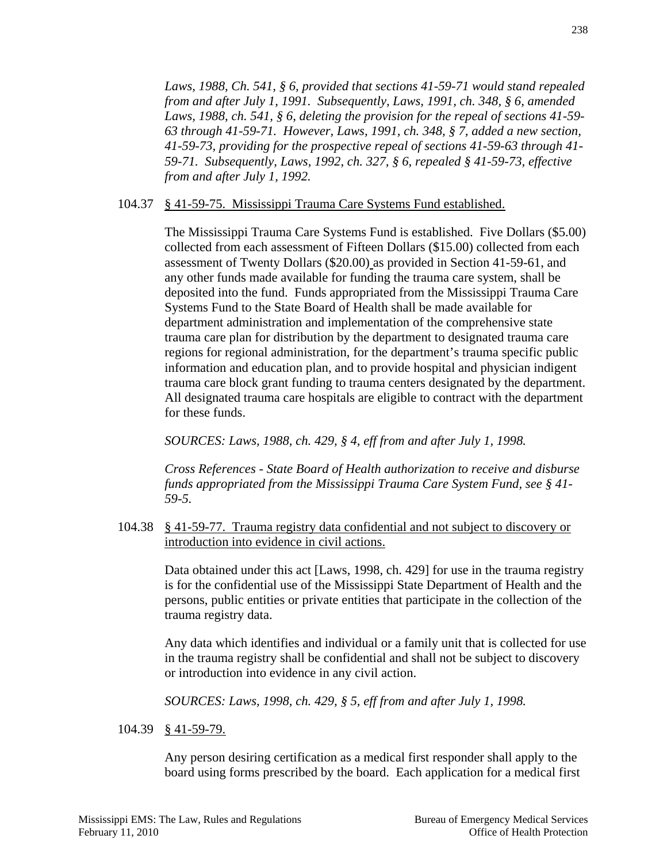*Laws, 1988, Ch. 541, § 6, provided that sections 41-59-71 would stand repealed from and after July 1, 1991. Subsequently, Laws, 1991, ch. 348, § 6, amended Laws, 1988, ch. 541, § 6, deleting the provision for the repeal of sections 41-59- 63 through 41-59-71. However, Laws, 1991, ch. 348, § 7, added a new section, 41-59-73, providing for the prospective repeal of sections 41-59-63 through 41- 59-71. Subsequently, Laws, 1992, ch. 327, § 6, repealed § 41-59-73, effective from and after July 1, 1992.* 

### 104.37 § 41-59-75. Mississippi Trauma Care Systems Fund established.

The Mississippi Trauma Care Systems Fund is established. Five Dollars (\$5.00) collected from each assessment of Fifteen Dollars (\$15.00) collected from each assessment of Twenty Dollars (\$20.00) as provided in Section 41-59-61, and any other funds made available for funding the trauma care system, shall be deposited into the fund. Funds appropriated from the Mississippi Trauma Care Systems Fund to the State Board of Health shall be made available for department administration and implementation of the comprehensive state trauma care plan for distribution by the department to designated trauma care regions for regional administration, for the department's trauma specific public information and education plan, and to provide hospital and physician indigent trauma care block grant funding to trauma centers designated by the department. All designated trauma care hospitals are eligible to contract with the department for these funds.

*SOURCES: Laws, 1988, ch. 429, § 4, eff from and after July 1, 1998.* 

*Cross References - State Board of Health authorization to receive and disburse funds appropriated from the Mississippi Trauma Care System Fund, see § 41- 59-5.* 

104.38 § 41-59-77. Trauma registry data confidential and not subject to discovery or introduction into evidence in civil actions.

> Data obtained under this act [Laws, 1998, ch. 429] for use in the trauma registry is for the confidential use of the Mississippi State Department of Health and the persons, public entities or private entities that participate in the collection of the trauma registry data.

> Any data which identifies and individual or a family unit that is collected for use in the trauma registry shall be confidential and shall not be subject to discovery or introduction into evidence in any civil action.

*SOURCES: Laws, 1998, ch. 429, § 5, eff from and after July 1, 1998.* 

104.39 § 41-59-79.

Any person desiring certification as a medical first responder shall apply to the board using forms prescribed by the board. Each application for a medical first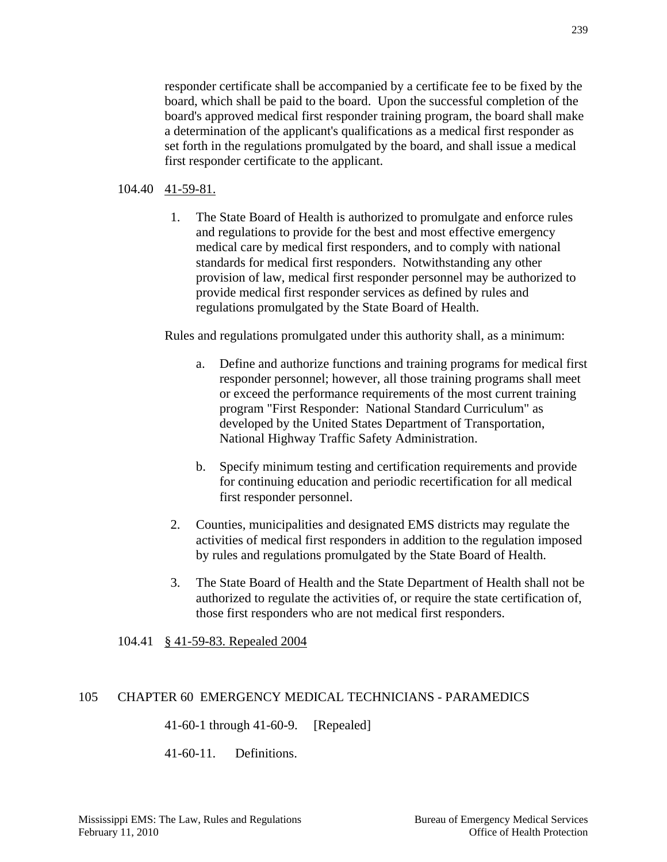responder certificate shall be accompanied by a certificate fee to be fixed by the board, which shall be paid to the board. Upon the successful completion of the board's approved medical first responder training program, the board shall make a determination of the applicant's qualifications as a medical first responder as set forth in the regulations promulgated by the board, and shall issue a medical first responder certificate to the applicant.

#### 104.40 41-59-81.

1. The State Board of Health is authorized to promulgate and enforce rules and regulations to provide for the best and most effective emergency medical care by medical first responders, and to comply with national standards for medical first responders. Notwithstanding any other provision of law, medical first responder personnel may be authorized to provide medical first responder services as defined by rules and regulations promulgated by the State Board of Health.

Rules and regulations promulgated under this authority shall, as a minimum:

- a. Define and authorize functions and training programs for medical first responder personnel; however, all those training programs shall meet or exceed the performance requirements of the most current training program "First Responder: National Standard Curriculum" as developed by the United States Department of Transportation, National Highway Traffic Safety Administration.
- b. Specify minimum testing and certification requirements and provide for continuing education and periodic recertification for all medical first responder personnel.
- 2. Counties, municipalities and designated EMS districts may regulate the activities of medical first responders in addition to the regulation imposed by rules and regulations promulgated by the State Board of Health.
- 3. The State Board of Health and the State Department of Health shall not be authorized to regulate the activities of, or require the state certification of, those first responders who are not medical first responders.

104.41 § 41-59-83. Repealed 2004

### 105 CHAPTER 60 EMERGENCY MEDICAL TECHNICIANS - PARAMEDICS

41-60-1 through 41-60-9. [Repealed]

41-60-11. Definitions.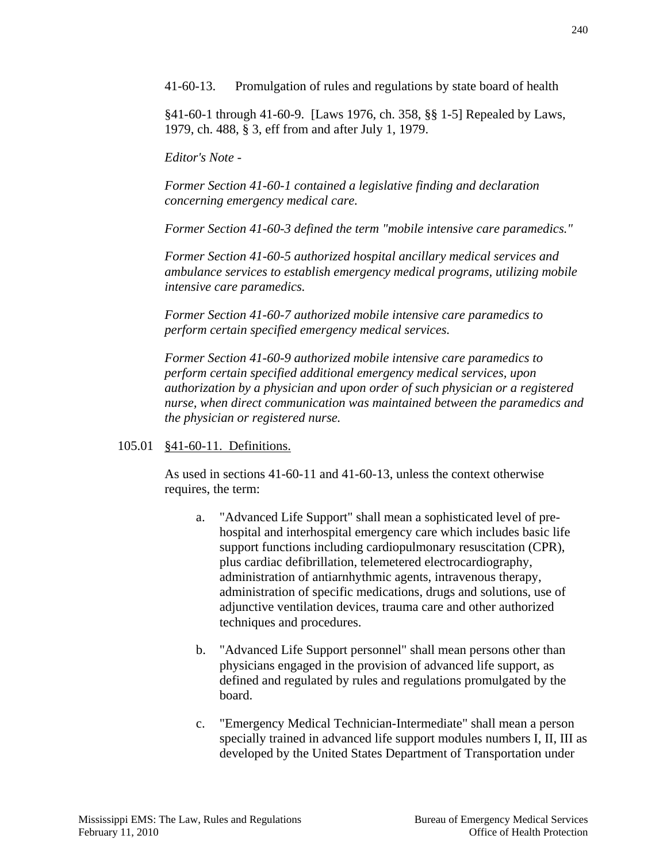41-60-13. Promulgation of rules and regulations by state board of health

§41-60-1 through 41-60-9. [Laws 1976, ch. 358, §§ 1-5] Repealed by Laws, 1979, ch. 488, § 3, eff from and after July 1, 1979.

*Editor's Note -* 

*Former Section 41-60-1 contained a legislative finding and declaration concerning emergency medical care.* 

*Former Section 41-60-3 defined the term "mobile intensive care paramedics."* 

*Former Section 41-60-5 authorized hospital ancillary medical services and ambulance services to establish emergency medical programs, utilizing mobile intensive care paramedics.* 

*Former Section 41-60-7 authorized mobile intensive care paramedics to perform certain specified emergency medical services.* 

*Former Section 41-60-9 authorized mobile intensive care paramedics to perform certain specified additional emergency medical services, upon authorization by a physician and upon order of such physician or a registered nurse, when direct communication was maintained between the paramedics and the physician or registered nurse.* 

# 105.01 §41-60-11. Definitions.

As used in sections 41-60-11 and 41-60-13, unless the context otherwise requires, the term:

- a. "Advanced Life Support" shall mean a sophisticated level of prehospital and interhospital emergency care which includes basic life support functions including cardiopulmonary resuscitation (CPR), plus cardiac defibrillation, telemetered electrocardiography, administration of antiarnhythmic agents, intravenous therapy, administration of specific medications, drugs and solutions, use of adjunctive ventilation devices, trauma care and other authorized techniques and procedures.
- b. "Advanced Life Support personnel" shall mean persons other than physicians engaged in the provision of advanced life support, as defined and regulated by rules and regulations promulgated by the board.
- c. "Emergency Medical Technician-Intermediate" shall mean a person specially trained in advanced life support modules numbers I, II, III as developed by the United States Department of Transportation under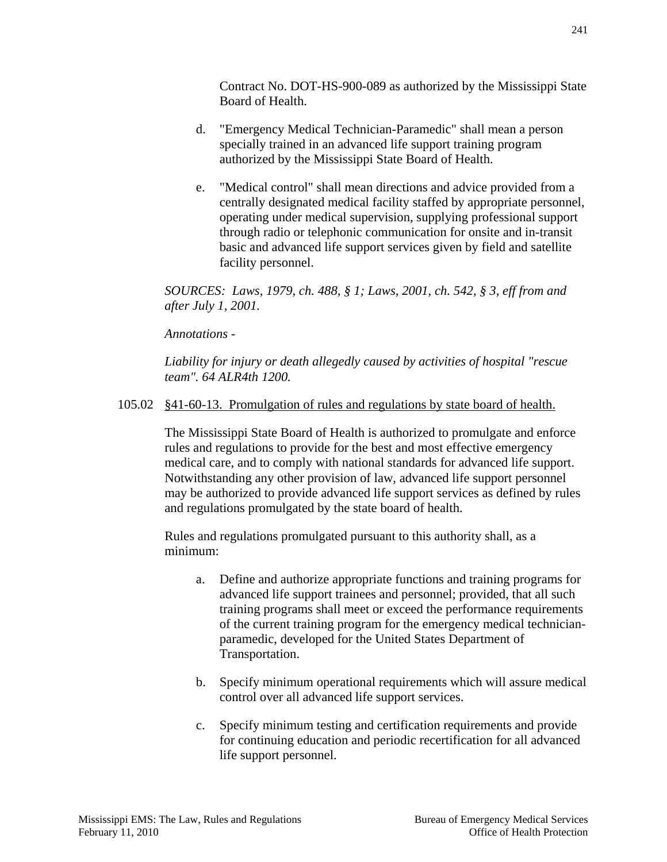Contract No. DOT-HS-900-089 as authorized by the Mississippi State Board of Health.

- d. "Emergency Medical Technician-Paramedic" shall mean a person specially trained in an advanced life support training program authorized by the Mississippi State Board of Health.
- e. "Medical control" shall mean directions and advice provided from a centrally designated medical facility staffed by appropriate personnel, operating under medical supervision, supplying professional support through radio or telephonic communication for onsite and in-transit basic and advanced life support services given by field and satellite facility personnel.

*SOURCES: Laws, 1979, ch. 488, § 1; Laws, 2001, ch. 542, § 3, eff from and after July 1, 2001.* 

*Annotations -* 

*Liability for injury or death allegedly caused by activities of hospital "rescue team". 64 ALR4th 1200.* 

# 105.02 §41-60-13. Promulgation of rules and regulations by state board of health.

The Mississippi State Board of Health is authorized to promulgate and enforce rules and regulations to provide for the best and most effective emergency medical care, and to comply with national standards for advanced life support. Notwithstanding any other provision of law, advanced life support personnel may be authorized to provide advanced life support services as defined by rules and regulations promulgated by the state board of health.

Rules and regulations promulgated pursuant to this authority shall, as a minimum:

- a. Define and authorize appropriate functions and training programs for advanced life support trainees and personnel; provided, that all such training programs shall meet or exceed the performance requirements of the current training program for the emergency medical technicianparamedic, developed for the United States Department of Transportation.
- b. Specify minimum operational requirements which will assure medical control over all advanced life support services.
- c. Specify minimum testing and certification requirements and provide for continuing education and periodic recertification for all advanced life support personnel.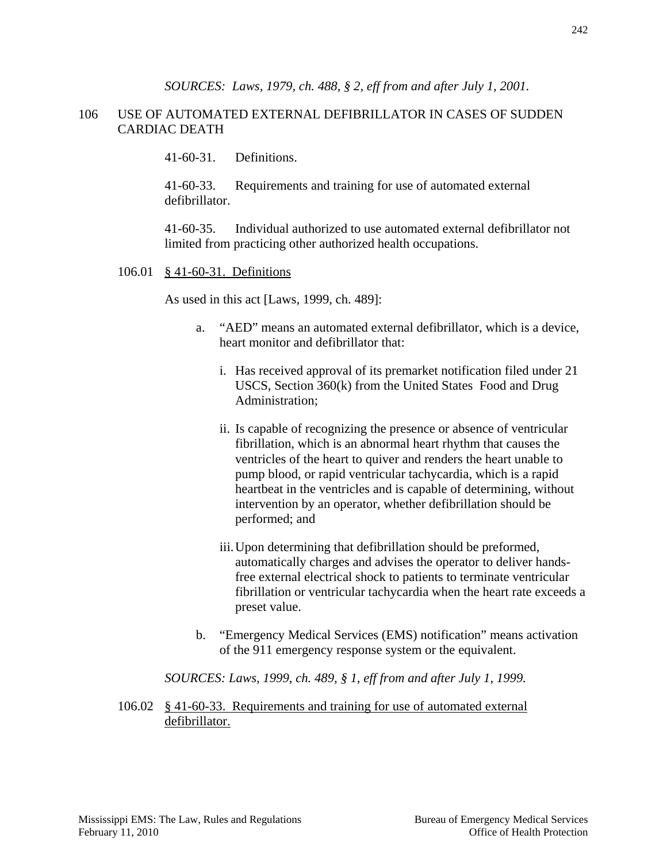*SOURCES: Laws, 1979, ch. 488, § 2, eff from and after July 1, 2001.* 

### 106 USE OF AUTOMATED EXTERNAL DEFIBRILLATOR IN CASES OF SUDDEN CARDIAC DEATH

41-60-31. Definitions.

41-60-33. Requirements and training for use of automated external defibrillator.

41-60-35. Individual authorized to use automated external defibrillator not limited from practicing other authorized health occupations.

#### 106.01 § 41-60-31. Definitions

As used in this act [Laws, 1999, ch. 489]:

- a. "AED" means an automated external defibrillator, which is a device, heart monitor and defibrillator that:
	- i. Has received approval of its premarket notification filed under 21 USCS, Section 360(k) from the United States Food and Drug Administration;
	- ii. Is capable of recognizing the presence or absence of ventricular fibrillation, which is an abnormal heart rhythm that causes the ventricles of the heart to quiver and renders the heart unable to pump blood, or rapid ventricular tachycardia, which is a rapid heartbeat in the ventricles and is capable of determining, without intervention by an operator, whether defibrillation should be performed; and
	- iii.Upon determining that defibrillation should be preformed, automatically charges and advises the operator to deliver handsfree external electrical shock to patients to terminate ventricular fibrillation or ventricular tachycardia when the heart rate exceeds a preset value.
- b. "Emergency Medical Services (EMS) notification" means activation of the 911 emergency response system or the equivalent.

*SOURCES: Laws, 1999, ch. 489, § 1, eff from and after July 1, 1999.* 

### 106.02 § 41-60-33. Requirements and training for use of automated external defibrillator.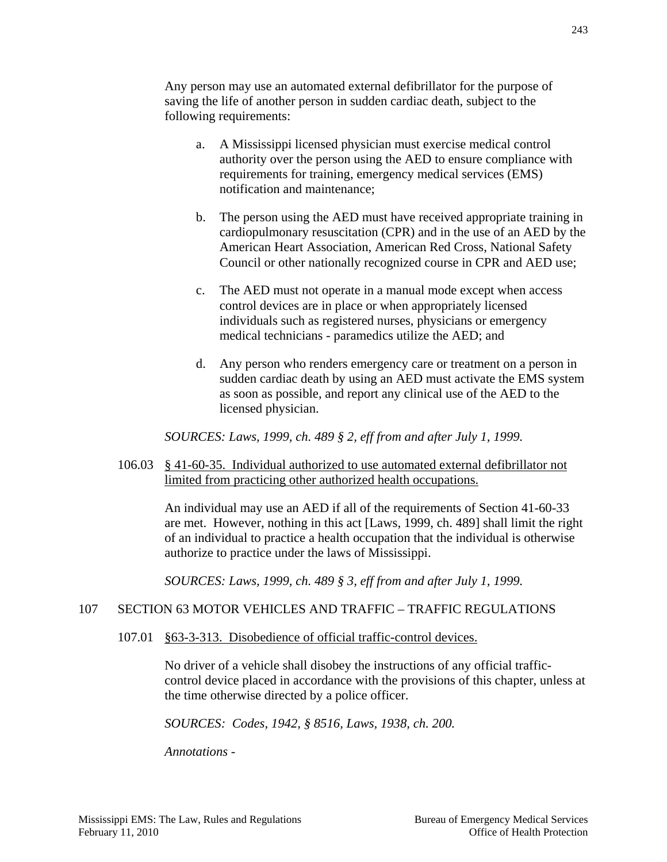Any person may use an automated external defibrillator for the purpose of saving the life of another person in sudden cardiac death, subject to the following requirements:

- a. A Mississippi licensed physician must exercise medical control authority over the person using the AED to ensure compliance with requirements for training, emergency medical services (EMS) notification and maintenance;
- b. The person using the AED must have received appropriate training in cardiopulmonary resuscitation (CPR) and in the use of an AED by the American Heart Association, American Red Cross, National Safety Council or other nationally recognized course in CPR and AED use;
- c. The AED must not operate in a manual mode except when access control devices are in place or when appropriately licensed individuals such as registered nurses, physicians or emergency medical technicians - paramedics utilize the AED; and
- d. Any person who renders emergency care or treatment on a person in sudden cardiac death by using an AED must activate the EMS system as soon as possible, and report any clinical use of the AED to the licensed physician.

*SOURCES: Laws, 1999, ch. 489 § 2, eff from and after July 1, 1999.* 

106.03 § 41-60-35. Individual authorized to use automated external defibrillator not limited from practicing other authorized health occupations.

> An individual may use an AED if all of the requirements of Section 41-60-33 are met. However, nothing in this act [Laws, 1999, ch. 489] shall limit the right of an individual to practice a health occupation that the individual is otherwise authorize to practice under the laws of Mississippi.

*SOURCES: Laws, 1999, ch. 489 § 3, eff from and after July 1, 1999.* 

# 107 SECTION 63 MOTOR VEHICLES AND TRAFFIC – TRAFFIC REGULATIONS

107.01 §63-3-313. Disobedience of official traffic-control devices.

No driver of a vehicle shall disobey the instructions of any official trafficcontrol device placed in accordance with the provisions of this chapter, unless at the time otherwise directed by a police officer.

*SOURCES: Codes, 1942, § 8516, Laws, 1938, ch. 200.* 

*Annotations -*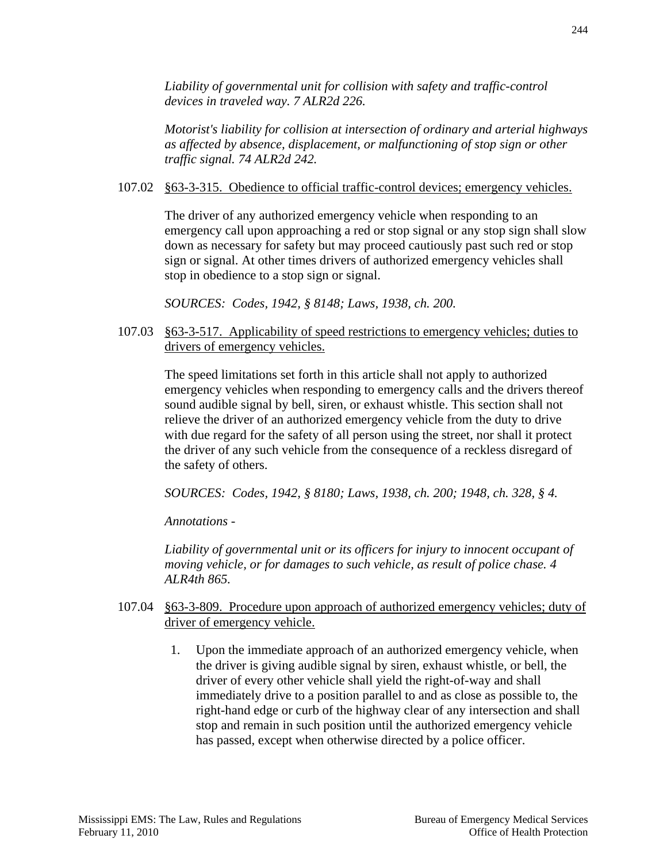*Liability of governmental unit for collision with safety and traffic-control devices in traveled way. 7 ALR2d 226.* 

*Motorist's liability for collision at intersection of ordinary and arterial highways as affected by absence, displacement, or malfunctioning of stop sign or other traffic signal. 74 ALR2d 242.* 

107.02 §63-3-315. Obedience to official traffic-control devices; emergency vehicles.

The driver of any authorized emergency vehicle when responding to an emergency call upon approaching a red or stop signal or any stop sign shall slow down as necessary for safety but may proceed cautiously past such red or stop sign or signal. At other times drivers of authorized emergency vehicles shall stop in obedience to a stop sign or signal.

*SOURCES: Codes, 1942, § 8148; Laws, 1938, ch. 200.* 

107.03 §63-3-517. Applicability of speed restrictions to emergency vehicles; duties to drivers of emergency vehicles.

> The speed limitations set forth in this article shall not apply to authorized emergency vehicles when responding to emergency calls and the drivers thereof sound audible signal by bell, siren, or exhaust whistle. This section shall not relieve the driver of an authorized emergency vehicle from the duty to drive with due regard for the safety of all person using the street, nor shall it protect the driver of any such vehicle from the consequence of a reckless disregard of the safety of others.

*SOURCES: Codes, 1942, § 8180; Laws, 1938, ch. 200; 1948, ch. 328, § 4.* 

*Annotations -* 

*Liability of governmental unit or its officers for injury to innocent occupant of moving vehicle, or for damages to such vehicle, as result of police chase. 4 ALR4th 865.* 

- 107.04 §63-3-809. Procedure upon approach of authorized emergency vehicles; duty of driver of emergency vehicle.
	- 1. Upon the immediate approach of an authorized emergency vehicle, when the driver is giving audible signal by siren, exhaust whistle, or bell, the driver of every other vehicle shall yield the right-of-way and shall immediately drive to a position parallel to and as close as possible to, the right-hand edge or curb of the highway clear of any intersection and shall stop and remain in such position until the authorized emergency vehicle has passed, except when otherwise directed by a police officer.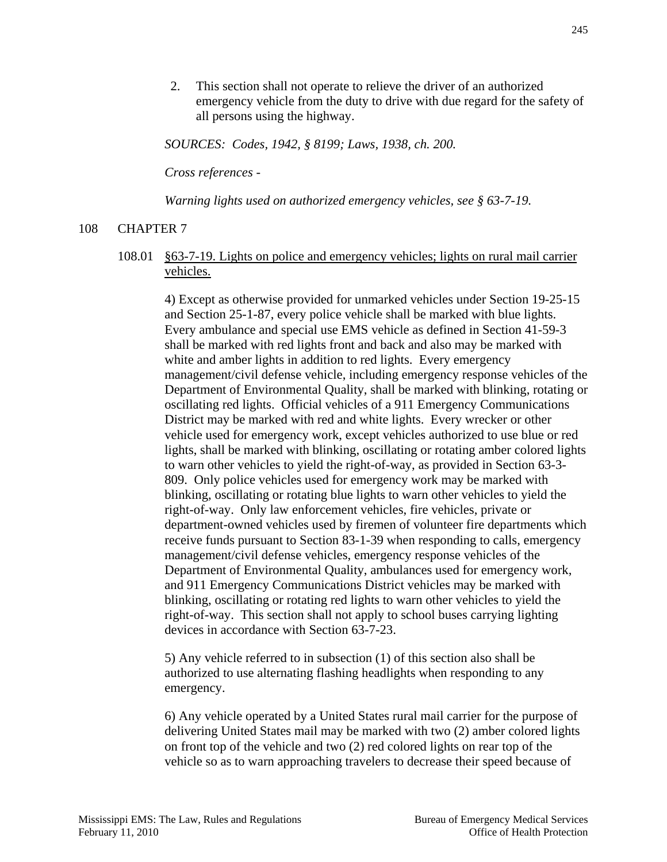2. This section shall not operate to relieve the driver of an authorized emergency vehicle from the duty to drive with due regard for the safety of all persons using the highway.

*SOURCES: Codes, 1942, § 8199; Laws, 1938, ch. 200.* 

*Cross references -* 

*Warning lights used on authorized emergency vehicles, see § 63-7-19.* 

### 108 CHAPTER 7

# 108.01 §63-7-19. Lights on police and emergency vehicles; lights on rural mail carrier vehicles.

4) Except as otherwise provided for unmarked vehicles under Section 19-25-15 and Section 25-1-87, every police vehicle shall be marked with blue lights. Every ambulance and special use EMS vehicle as defined in Section 41-59-3 shall be marked with red lights front and back and also may be marked with white and amber lights in addition to red lights. Every emergency management/civil defense vehicle, including emergency response vehicles of the Department of Environmental Quality, shall be marked with blinking, rotating or oscillating red lights. Official vehicles of a 911 Emergency Communications District may be marked with red and white lights. Every wrecker or other vehicle used for emergency work, except vehicles authorized to use blue or red lights, shall be marked with blinking, oscillating or rotating amber colored lights to warn other vehicles to yield the right-of-way, as provided in Section 63-3- 809. Only police vehicles used for emergency work may be marked with blinking, oscillating or rotating blue lights to warn other vehicles to yield the right-of-way. Only law enforcement vehicles, fire vehicles, private or department-owned vehicles used by firemen of volunteer fire departments which receive funds pursuant to Section 83-1-39 when responding to calls, emergency management/civil defense vehicles, emergency response vehicles of the Department of Environmental Quality, ambulances used for emergency work, and 911 Emergency Communications District vehicles may be marked with blinking, oscillating or rotating red lights to warn other vehicles to yield the right-of-way. This section shall not apply to school buses carrying lighting devices in accordance with Section 63-7-23.

5) Any vehicle referred to in subsection (1) of this section also shall be authorized to use alternating flashing headlights when responding to any emergency.

6) Any vehicle operated by a United States rural mail carrier for the purpose of delivering United States mail may be marked with two (2) amber colored lights on front top of the vehicle and two (2) red colored lights on rear top of the vehicle so as to warn approaching travelers to decrease their speed because of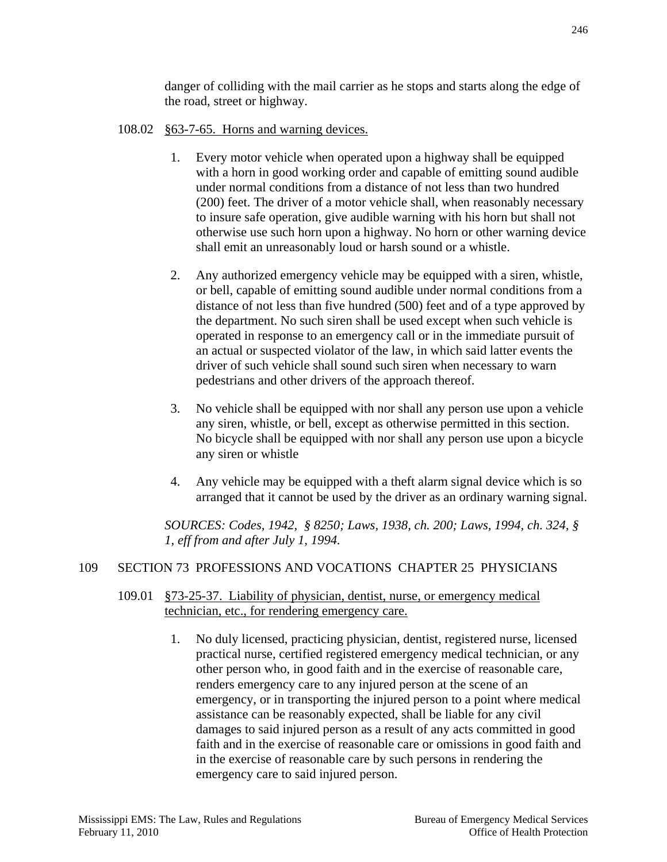danger of colliding with the mail carrier as he stops and starts along the edge of the road, street or highway.

108.02 §63-7-65. Horns and warning devices.

- 1. Every motor vehicle when operated upon a highway shall be equipped with a horn in good working order and capable of emitting sound audible under normal conditions from a distance of not less than two hundred (200) feet. The driver of a motor vehicle shall, when reasonably necessary to insure safe operation, give audible warning with his horn but shall not otherwise use such horn upon a highway. No horn or other warning device shall emit an unreasonably loud or harsh sound or a whistle.
- 2. Any authorized emergency vehicle may be equipped with a siren, whistle, or bell, capable of emitting sound audible under normal conditions from a distance of not less than five hundred (500) feet and of a type approved by the department. No such siren shall be used except when such vehicle is operated in response to an emergency call or in the immediate pursuit of an actual or suspected violator of the law, in which said latter events the driver of such vehicle shall sound such siren when necessary to warn pedestrians and other drivers of the approach thereof.
- 3. No vehicle shall be equipped with nor shall any person use upon a vehicle any siren, whistle, or bell, except as otherwise permitted in this section. No bicycle shall be equipped with nor shall any person use upon a bicycle any siren or whistle
- 4. Any vehicle may be equipped with a theft alarm signal device which is so arranged that it cannot be used by the driver as an ordinary warning signal.

*SOURCES: Codes, 1942, § 8250; Laws, 1938, ch. 200; Laws, 1994, ch. 324, § 1, eff from and after July 1, 1994.* 

# 109 SECTION 73 PROFESSIONS AND VOCATIONS CHAPTER 25 PHYSICIANS

- 109.01 §73-25-37. Liability of physician, dentist, nurse, or emergency medical technician, etc., for rendering emergency care.
	- 1. No duly licensed, practicing physician, dentist, registered nurse, licensed practical nurse, certified registered emergency medical technician, or any other person who, in good faith and in the exercise of reasonable care, renders emergency care to any injured person at the scene of an emergency, or in transporting the injured person to a point where medical assistance can be reasonably expected, shall be liable for any civil damages to said injured person as a result of any acts committed in good faith and in the exercise of reasonable care or omissions in good faith and in the exercise of reasonable care by such persons in rendering the emergency care to said injured person.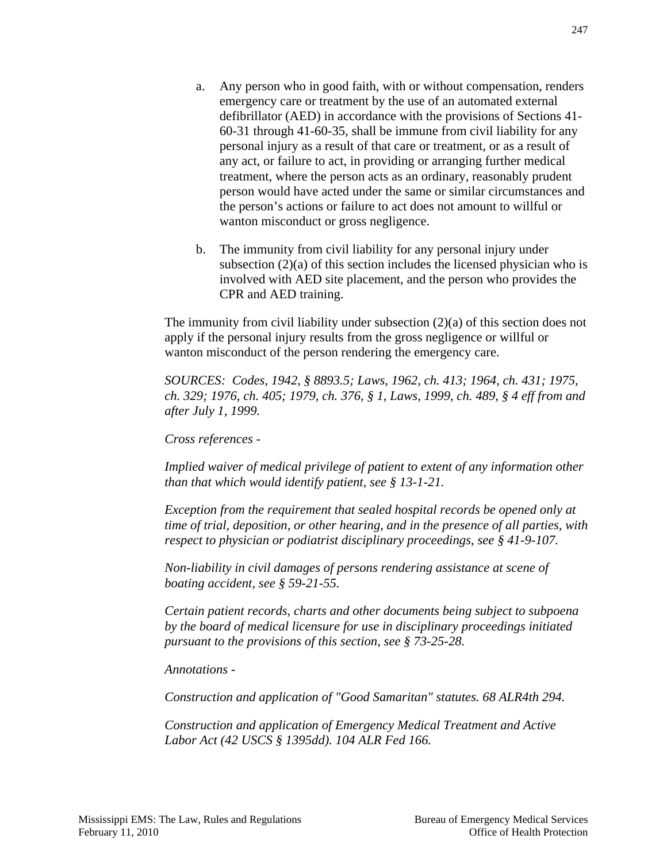- a. Any person who in good faith, with or without compensation, renders emergency care or treatment by the use of an automated external defibrillator (AED) in accordance with the provisions of Sections 41- 60-31 through 41-60-35, shall be immune from civil liability for any personal injury as a result of that care or treatment, or as a result of any act, or failure to act, in providing or arranging further medical treatment, where the person acts as an ordinary, reasonably prudent person would have acted under the same or similar circumstances and the person's actions or failure to act does not amount to willful or wanton misconduct or gross negligence.
- b. The immunity from civil liability for any personal injury under subsection  $(2)(a)$  of this section includes the licensed physician who is involved with AED site placement, and the person who provides the CPR and AED training.

The immunity from civil liability under subsection (2)(a) of this section does not apply if the personal injury results from the gross negligence or willful or wanton misconduct of the person rendering the emergency care.

*SOURCES: Codes, 1942, § 8893.5; Laws, 1962, ch. 413; 1964, ch. 431; 1975, ch. 329; 1976, ch. 405; 1979, ch. 376, § 1, Laws, 1999, ch. 489, § 4 eff from and after July 1, 1999.* 

*Cross references -* 

*Implied waiver of medical privilege of patient to extent of any information other than that which would identify patient, see § 13-1-21.* 

*Exception from the requirement that sealed hospital records be opened only at time of trial, deposition, or other hearing, and in the presence of all parties, with respect to physician or podiatrist disciplinary proceedings, see § 41-9-107.* 

*Non-liability in civil damages of persons rendering assistance at scene of boating accident, see § 59-21-55.* 

*Certain patient records, charts and other documents being subject to subpoena by the board of medical licensure for use in disciplinary proceedings initiated pursuant to the provisions of this section, see § 73-25-28.* 

*Annotations -* 

*Construction and application of "Good Samaritan" statutes. 68 ALR4th 294.* 

*Construction and application of Emergency Medical Treatment and Active Labor Act (42 USCS § 1395dd). 104 ALR Fed 166.*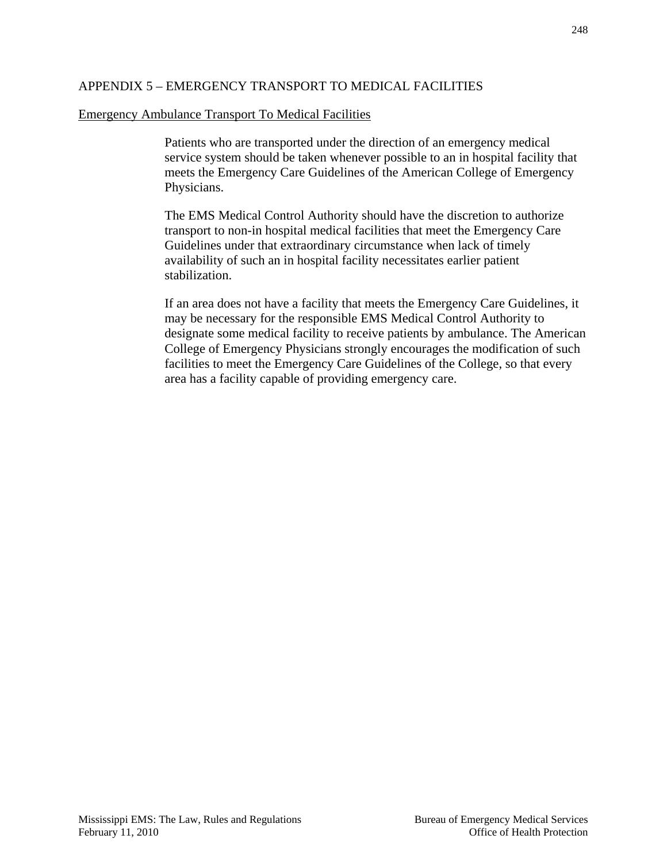# APPENDIX 5 – EMERGENCY TRANSPORT TO MEDICAL FACILITIES

### Emergency Ambulance Transport To Medical Facilities

Patients who are transported under the direction of an emergency medical service system should be taken whenever possible to an in hospital facility that meets the Emergency Care Guidelines of the American College of Emergency Physicians.

The EMS Medical Control Authority should have the discretion to authorize transport to non-in hospital medical facilities that meet the Emergency Care Guidelines under that extraordinary circumstance when lack of timely availability of such an in hospital facility necessitates earlier patient stabilization.

If an area does not have a facility that meets the Emergency Care Guidelines, it may be necessary for the responsible EMS Medical Control Authority to designate some medical facility to receive patients by ambulance. The American College of Emergency Physicians strongly encourages the modification of such facilities to meet the Emergency Care Guidelines of the College, so that every area has a facility capable of providing emergency care.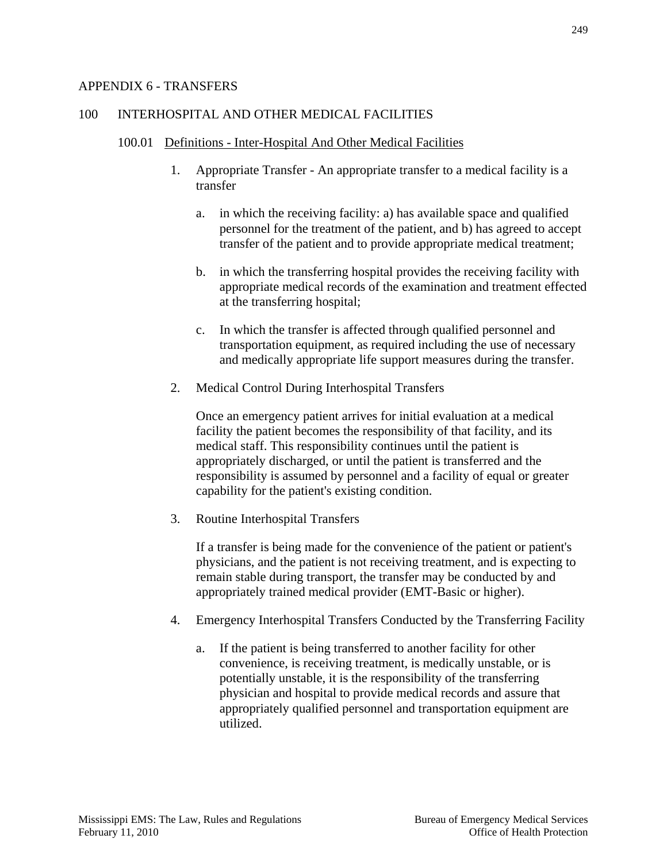### APPENDIX 6 - TRANSFERS

### 100 INTERHOSPITAL AND OTHER MEDICAL FACILITIES

#### 100.01 Definitions - Inter-Hospital And Other Medical Facilities

- 1. Appropriate Transfer An appropriate transfer to a medical facility is a transfer
	- a. in which the receiving facility: a) has available space and qualified personnel for the treatment of the patient, and b) has agreed to accept transfer of the patient and to provide appropriate medical treatment;
	- b. in which the transferring hospital provides the receiving facility with appropriate medical records of the examination and treatment effected at the transferring hospital;
	- c. In which the transfer is affected through qualified personnel and transportation equipment, as required including the use of necessary and medically appropriate life support measures during the transfer.
- 2. Medical Control During Interhospital Transfers

Once an emergency patient arrives for initial evaluation at a medical facility the patient becomes the responsibility of that facility, and its medical staff. This responsibility continues until the patient is appropriately discharged, or until the patient is transferred and the responsibility is assumed by personnel and a facility of equal or greater capability for the patient's existing condition.

3. Routine Interhospital Transfers

If a transfer is being made for the convenience of the patient or patient's physicians, and the patient is not receiving treatment, and is expecting to remain stable during transport, the transfer may be conducted by and appropriately trained medical provider (EMT-Basic or higher).

- 4. Emergency Interhospital Transfers Conducted by the Transferring Facility
	- a. If the patient is being transferred to another facility for other convenience, is receiving treatment, is medically unstable, or is potentially unstable, it is the responsibility of the transferring physician and hospital to provide medical records and assure that appropriately qualified personnel and transportation equipment are utilized.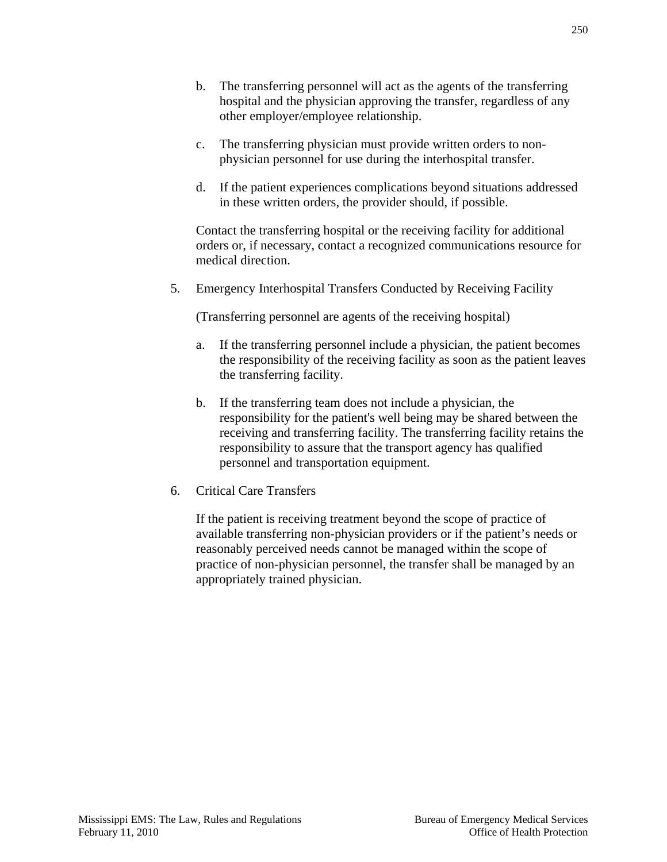- b. The transferring personnel will act as the agents of the transferring hospital and the physician approving the transfer, regardless of any other employer/employee relationship.
- c. The transferring physician must provide written orders to nonphysician personnel for use during the interhospital transfer.
- d. If the patient experiences complications beyond situations addressed in these written orders, the provider should, if possible.

Contact the transferring hospital or the receiving facility for additional orders or, if necessary, contact a recognized communications resource for medical direction.

5. Emergency Interhospital Transfers Conducted by Receiving Facility

(Transferring personnel are agents of the receiving hospital)

- a. If the transferring personnel include a physician, the patient becomes the responsibility of the receiving facility as soon as the patient leaves the transferring facility.
- b. If the transferring team does not include a physician, the responsibility for the patient's well being may be shared between the receiving and transferring facility. The transferring facility retains the responsibility to assure that the transport agency has qualified personnel and transportation equipment.
- 6. Critical Care Transfers

If the patient is receiving treatment beyond the scope of practice of available transferring non-physician providers or if the patient's needs or reasonably perceived needs cannot be managed within the scope of practice of non-physician personnel, the transfer shall be managed by an appropriately trained physician.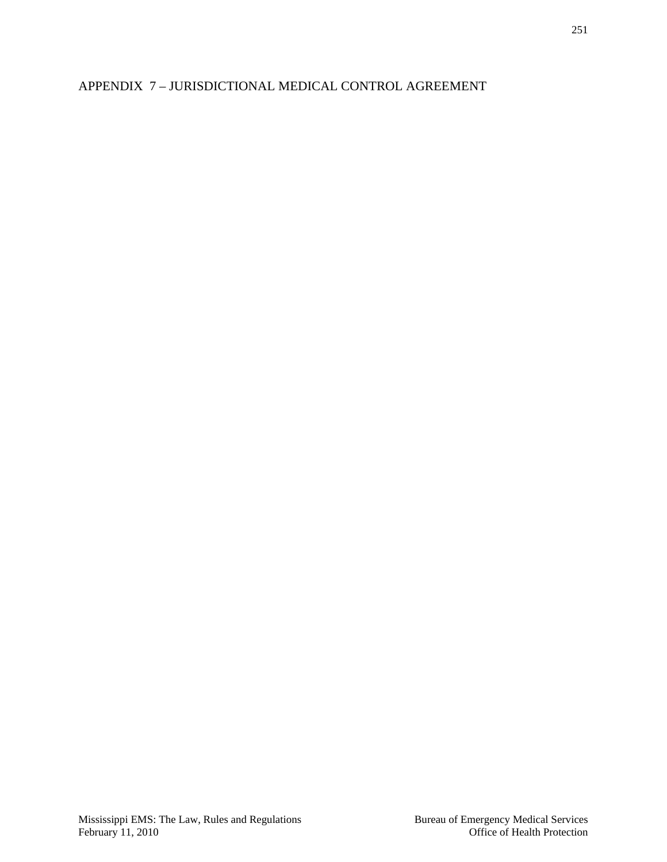# APPENDIX 7 – JURISDICTIONAL MEDICAL CONTROL AGREEMENT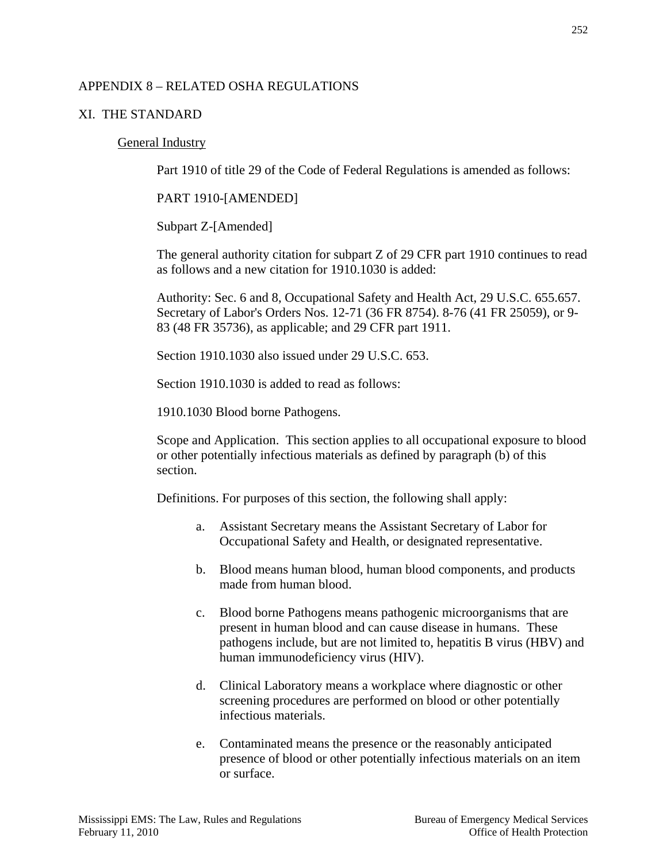## APPENDIX 8 – RELATED OSHA REGULATIONS

## XI. THE STANDARD

### General Industry

Part 1910 of title 29 of the Code of Federal Regulations is amended as follows:

PART 1910-[AMENDED]

Subpart Z-[Amended]

The general authority citation for subpart Z of 29 CFR part 1910 continues to read as follows and a new citation for 1910.1030 is added:

Authority: Sec. 6 and 8, Occupational Safety and Health Act, 29 U.S.C. 655.657. Secretary of Labor's Orders Nos. 12-71 (36 FR 8754). 8-76 (41 FR 25059), or 9- 83 (48 FR 35736), as applicable; and 29 CFR part 1911.

Section 1910.1030 also issued under 29 U.S.C. 653.

Section 1910.1030 is added to read as follows:

1910.1030 Blood borne Pathogens.

Scope and Application. This section applies to all occupational exposure to blood or other potentially infectious materials as defined by paragraph (b) of this section.

Definitions. For purposes of this section, the following shall apply:

- a. Assistant Secretary means the Assistant Secretary of Labor for Occupational Safety and Health, or designated representative.
- b. Blood means human blood, human blood components, and products made from human blood.
- c. Blood borne Pathogens means pathogenic microorganisms that are present in human blood and can cause disease in humans. These pathogens include, but are not limited to, hepatitis B virus (HBV) and human immunodeficiency virus (HIV).
- d. Clinical Laboratory means a workplace where diagnostic or other screening procedures are performed on blood or other potentially infectious materials.
- e. Contaminated means the presence or the reasonably anticipated presence of blood or other potentially infectious materials on an item or surface.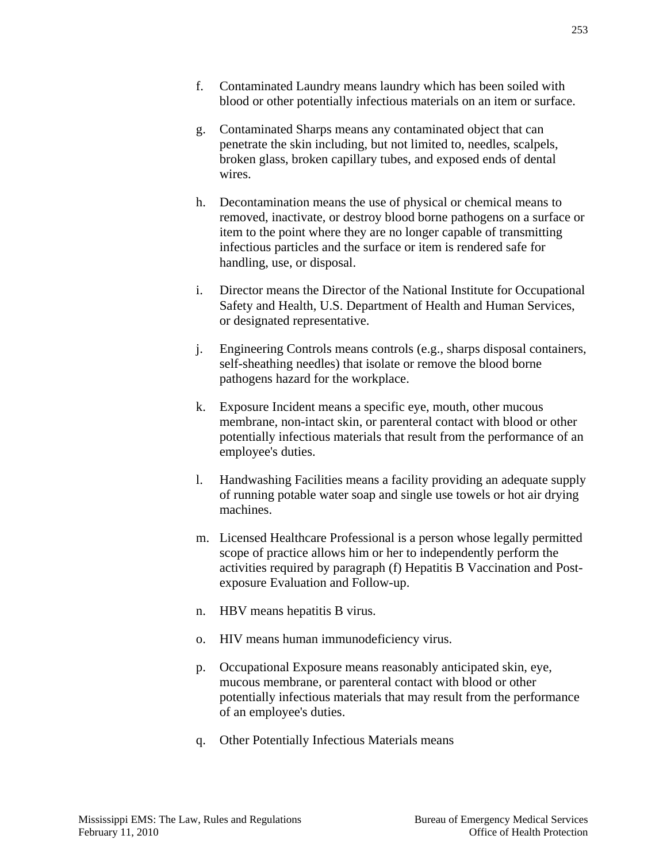- f. Contaminated Laundry means laundry which has been soiled with blood or other potentially infectious materials on an item or surface.
- g. Contaminated Sharps means any contaminated object that can penetrate the skin including, but not limited to, needles, scalpels, broken glass, broken capillary tubes, and exposed ends of dental wires.
- h. Decontamination means the use of physical or chemical means to removed, inactivate, or destroy blood borne pathogens on a surface or item to the point where they are no longer capable of transmitting infectious particles and the surface or item is rendered safe for handling, use, or disposal.
- i. Director means the Director of the National Institute for Occupational Safety and Health, U.S. Department of Health and Human Services, or designated representative.
- j. Engineering Controls means controls (e.g., sharps disposal containers, self-sheathing needles) that isolate or remove the blood borne pathogens hazard for the workplace.
- k. Exposure Incident means a specific eye, mouth, other mucous membrane, non-intact skin, or parenteral contact with blood or other potentially infectious materials that result from the performance of an employee's duties.
- l. Handwashing Facilities means a facility providing an adequate supply of running potable water soap and single use towels or hot air drying machines.
- m. Licensed Healthcare Professional is a person whose legally permitted scope of practice allows him or her to independently perform the activities required by paragraph (f) Hepatitis B Vaccination and Postexposure Evaluation and Follow-up.
- n. HBV means hepatitis B virus.
- o. HIV means human immunodeficiency virus.
- p. Occupational Exposure means reasonably anticipated skin, eye, mucous membrane, or parenteral contact with blood or other potentially infectious materials that may result from the performance of an employee's duties.
- q. Other Potentially Infectious Materials means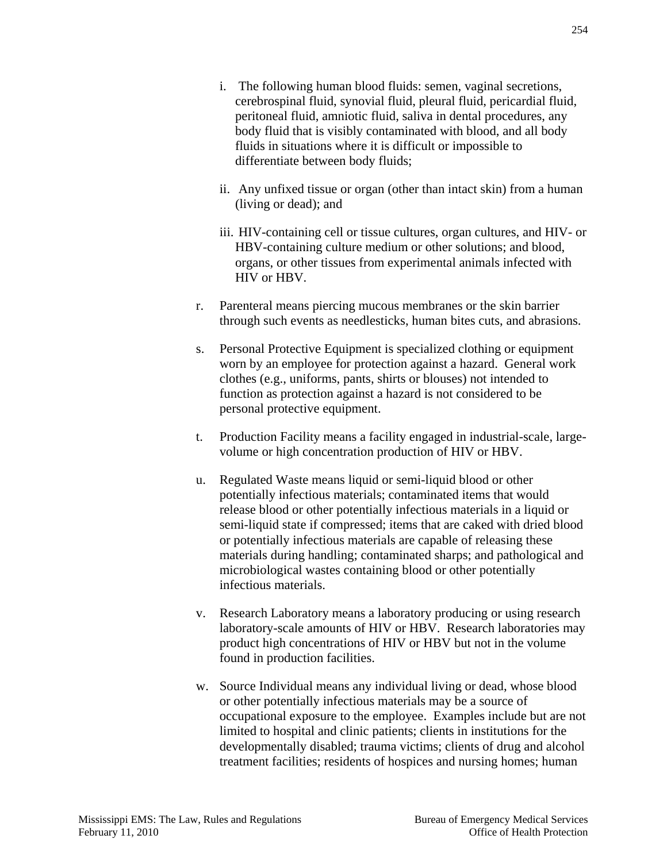- i. The following human blood fluids: semen, vaginal secretions, cerebrospinal fluid, synovial fluid, pleural fluid, pericardial fluid, peritoneal fluid, amniotic fluid, saliva in dental procedures, any body fluid that is visibly contaminated with blood, and all body fluids in situations where it is difficult or impossible to differentiate between body fluids;
- ii. Any unfixed tissue or organ (other than intact skin) from a human (living or dead); and
- iii. HIV-containing cell or tissue cultures, organ cultures, and HIV- or HBV-containing culture medium or other solutions; and blood, organs, or other tissues from experimental animals infected with HIV or HBV.
- r. Parenteral means piercing mucous membranes or the skin barrier through such events as needlesticks, human bites cuts, and abrasions.
- s. Personal Protective Equipment is specialized clothing or equipment worn by an employee for protection against a hazard. General work clothes (e.g., uniforms, pants, shirts or blouses) not intended to function as protection against a hazard is not considered to be personal protective equipment.
- t. Production Facility means a facility engaged in industrial-scale, largevolume or high concentration production of HIV or HBV.
- u. Regulated Waste means liquid or semi-liquid blood or other potentially infectious materials; contaminated items that would release blood or other potentially infectious materials in a liquid or semi-liquid state if compressed; items that are caked with dried blood or potentially infectious materials are capable of releasing these materials during handling; contaminated sharps; and pathological and microbiological wastes containing blood or other potentially infectious materials.
- v. Research Laboratory means a laboratory producing or using research laboratory-scale amounts of HIV or HBV. Research laboratories may product high concentrations of HIV or HBV but not in the volume found in production facilities.
- w. Source Individual means any individual living or dead, whose blood or other potentially infectious materials may be a source of occupational exposure to the employee. Examples include but are not limited to hospital and clinic patients; clients in institutions for the developmentally disabled; trauma victims; clients of drug and alcohol treatment facilities; residents of hospices and nursing homes; human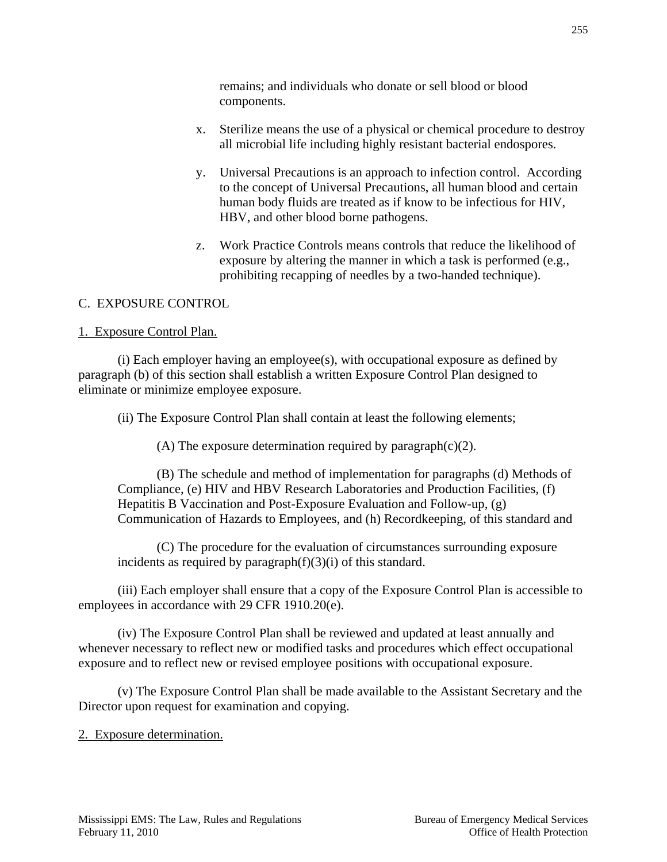remains; and individuals who donate or sell blood or blood components.

- x. Sterilize means the use of a physical or chemical procedure to destroy all microbial life including highly resistant bacterial endospores.
- y. Universal Precautions is an approach to infection control. According to the concept of Universal Precautions, all human blood and certain human body fluids are treated as if know to be infectious for HIV, HBV, and other blood borne pathogens.
- z. Work Practice Controls means controls that reduce the likelihood of exposure by altering the manner in which a task is performed (e.g., prohibiting recapping of needles by a two-handed technique).

## C. EXPOSURE CONTROL

### 1. Exposure Control Plan.

 (i) Each employer having an employee(s), with occupational exposure as defined by paragraph (b) of this section shall establish a written Exposure Control Plan designed to eliminate or minimize employee exposure.

(ii) The Exposure Control Plan shall contain at least the following elements;

(A) The exposure determination required by paragraph $(c)(2)$ .

 (B) The schedule and method of implementation for paragraphs (d) Methods of Compliance, (e) HIV and HBV Research Laboratories and Production Facilities, (f) Hepatitis B Vaccination and Post-Exposure Evaluation and Follow-up, (g) Communication of Hazards to Employees, and (h) Recordkeeping, of this standard and

 (C) The procedure for the evaluation of circumstances surrounding exposure incidents as required by paragraph $(f)(3)(i)$  of this standard.

 (iii) Each employer shall ensure that a copy of the Exposure Control Plan is accessible to employees in accordance with 29 CFR 1910.20(e).

 (iv) The Exposure Control Plan shall be reviewed and updated at least annually and whenever necessary to reflect new or modified tasks and procedures which effect occupational exposure and to reflect new or revised employee positions with occupational exposure.

 (v) The Exposure Control Plan shall be made available to the Assistant Secretary and the Director upon request for examination and copying.

2. Exposure determination.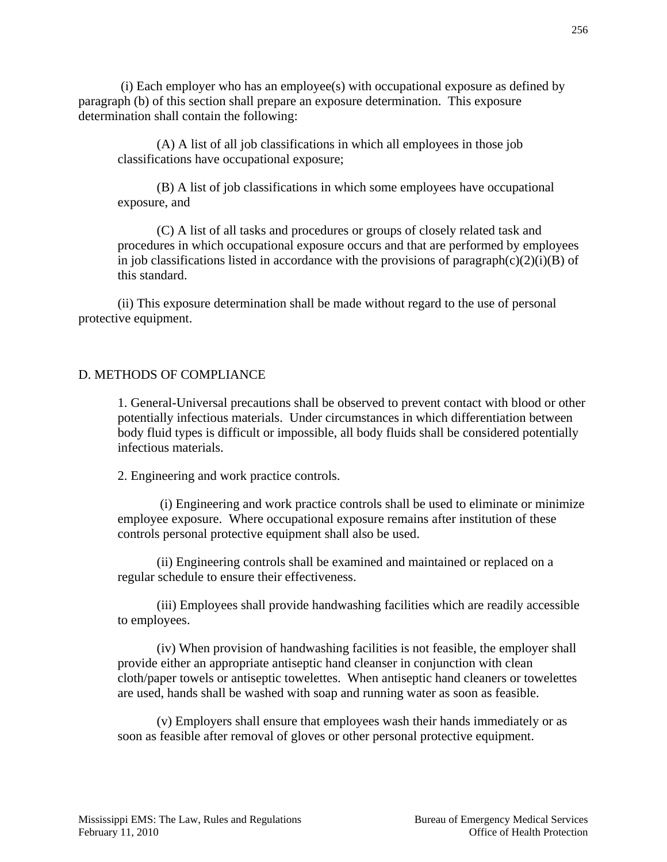(i) Each employer who has an employee(s) with occupational exposure as defined by paragraph (b) of this section shall prepare an exposure determination. This exposure determination shall contain the following:

 (A) A list of all job classifications in which all employees in those job classifications have occupational exposure;

 (B) A list of job classifications in which some employees have occupational exposure, and

 (C) A list of all tasks and procedures or groups of closely related task and procedures in which occupational exposure occurs and that are performed by employees in job classifications listed in accordance with the provisions of paragraph(c)(2)(i)(B) of this standard.

 (ii) This exposure determination shall be made without regard to the use of personal protective equipment.

### D. METHODS OF COMPLIANCE

1. General-Universal precautions shall be observed to prevent contact with blood or other potentially infectious materials. Under circumstances in which differentiation between body fluid types is difficult or impossible, all body fluids shall be considered potentially infectious materials.

2. Engineering and work practice controls.

 (i) Engineering and work practice controls shall be used to eliminate or minimize employee exposure. Where occupational exposure remains after institution of these controls personal protective equipment shall also be used.

 (ii) Engineering controls shall be examined and maintained or replaced on a regular schedule to ensure their effectiveness.

 (iii) Employees shall provide handwashing facilities which are readily accessible to employees.

 (iv) When provision of handwashing facilities is not feasible, the employer shall provide either an appropriate antiseptic hand cleanser in conjunction with clean cloth/paper towels or antiseptic towelettes. When antiseptic hand cleaners or towelettes are used, hands shall be washed with soap and running water as soon as feasible.

 (v) Employers shall ensure that employees wash their hands immediately or as soon as feasible after removal of gloves or other personal protective equipment.

256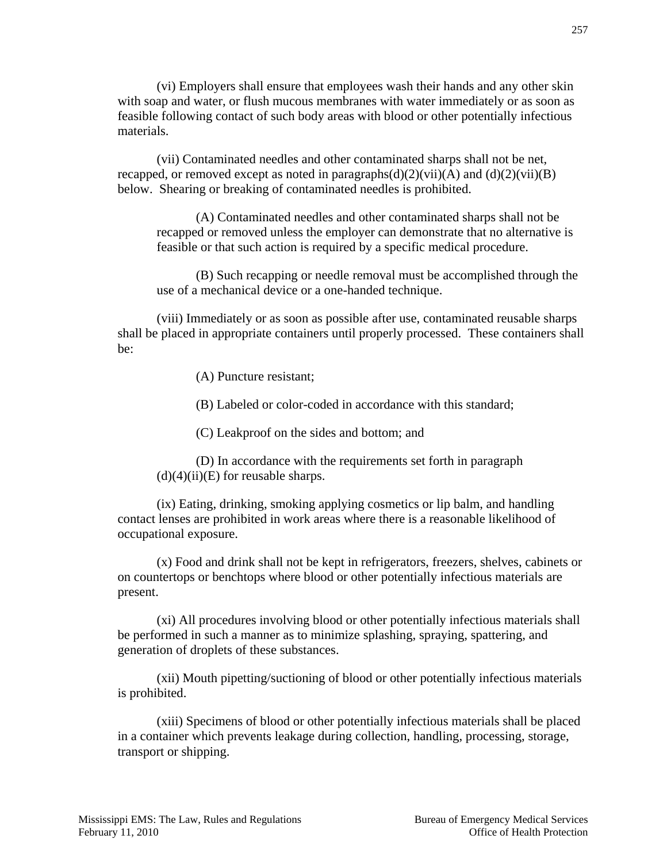(vi) Employers shall ensure that employees wash their hands and any other skin with soap and water, or flush mucous membranes with water immediately or as soon as feasible following contact of such body areas with blood or other potentially infectious materials.

 (vii) Contaminated needles and other contaminated sharps shall not be net, recapped, or removed except as noted in paragraphs $(d)(2)(vii)(A)$  and  $(d)(2)(vii)(B)$ below. Shearing or breaking of contaminated needles is prohibited.

 (A) Contaminated needles and other contaminated sharps shall not be recapped or removed unless the employer can demonstrate that no alternative is feasible or that such action is required by a specific medical procedure.

 (B) Such recapping or needle removal must be accomplished through the use of a mechanical device or a one-handed technique.

 (viii) Immediately or as soon as possible after use, contaminated reusable sharps shall be placed in appropriate containers until properly processed. These containers shall be:

(A) Puncture resistant;

(B) Labeled or color-coded in accordance with this standard;

(C) Leakproof on the sides and bottom; and

 (D) In accordance with the requirements set forth in paragraph  $(d)(4)(ii)(E)$  for reusable sharps.

 (ix) Eating, drinking, smoking applying cosmetics or lip balm, and handling contact lenses are prohibited in work areas where there is a reasonable likelihood of occupational exposure.

 (x) Food and drink shall not be kept in refrigerators, freezers, shelves, cabinets or on countertops or benchtops where blood or other potentially infectious materials are present.

 (xi) All procedures involving blood or other potentially infectious materials shall be performed in such a manner as to minimize splashing, spraying, spattering, and generation of droplets of these substances.

 (xii) Mouth pipetting/suctioning of blood or other potentially infectious materials is prohibited.

 (xiii) Specimens of blood or other potentially infectious materials shall be placed in a container which prevents leakage during collection, handling, processing, storage, transport or shipping.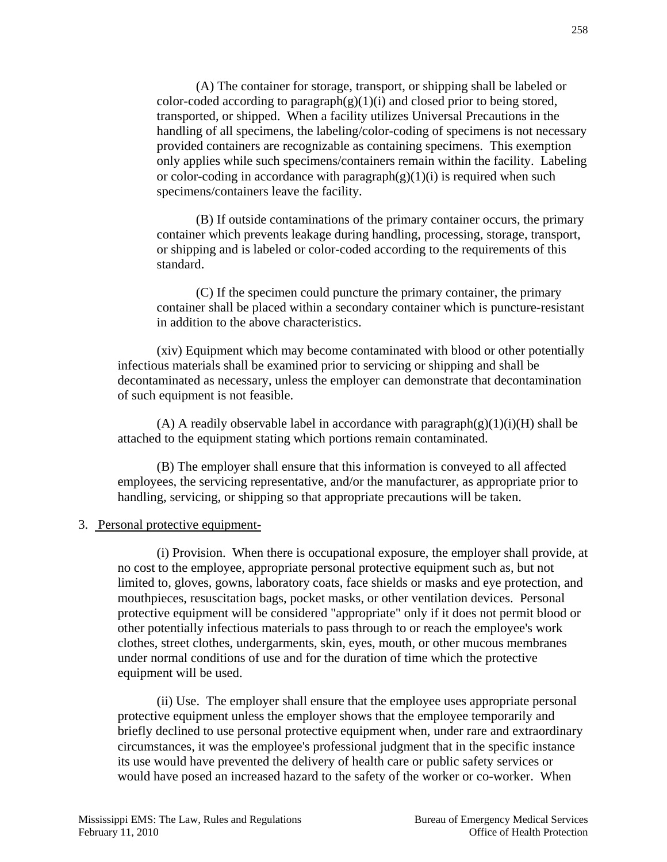(A) The container for storage, transport, or shipping shall be labeled or color-coded according to paragraph $(g)(1)(i)$  and closed prior to being stored, transported, or shipped. When a facility utilizes Universal Precautions in the handling of all specimens, the labeling/color-coding of specimens is not necessary provided containers are recognizable as containing specimens. This exemption only applies while such specimens/containers remain within the facility. Labeling or color-coding in accordance with paragraph $(g)(1)(i)$  is required when such specimens/containers leave the facility.

 (B) If outside contaminations of the primary container occurs, the primary container which prevents leakage during handling, processing, storage, transport, or shipping and is labeled or color-coded according to the requirements of this standard.

 (C) If the specimen could puncture the primary container, the primary container shall be placed within a secondary container which is puncture-resistant in addition to the above characteristics.

(xiv) Equipment which may become contaminated with blood or other potentially infectious materials shall be examined prior to servicing or shipping and shall be decontaminated as necessary, unless the employer can demonstrate that decontamination of such equipment is not feasible.

(A) A readily observable label in accordance with paragraph $(g)(1)(i)(H)$  shall be attached to the equipment stating which portions remain contaminated.

 (B) The employer shall ensure that this information is conveyed to all affected employees, the servicing representative, and/or the manufacturer, as appropriate prior to handling, servicing, or shipping so that appropriate precautions will be taken.

#### 3. Personal protective equipment-

(i) Provision. When there is occupational exposure, the employer shall provide, at no cost to the employee, appropriate personal protective equipment such as, but not limited to, gloves, gowns, laboratory coats, face shields or masks and eye protection, and mouthpieces, resuscitation bags, pocket masks, or other ventilation devices. Personal protective equipment will be considered "appropriate" only if it does not permit blood or other potentially infectious materials to pass through to or reach the employee's work clothes, street clothes, undergarments, skin, eyes, mouth, or other mucous membranes under normal conditions of use and for the duration of time which the protective equipment will be used.

(ii) Use. The employer shall ensure that the employee uses appropriate personal protective equipment unless the employer shows that the employee temporarily and briefly declined to use personal protective equipment when, under rare and extraordinary circumstances, it was the employee's professional judgment that in the specific instance its use would have prevented the delivery of health care or public safety services or would have posed an increased hazard to the safety of the worker or co-worker. When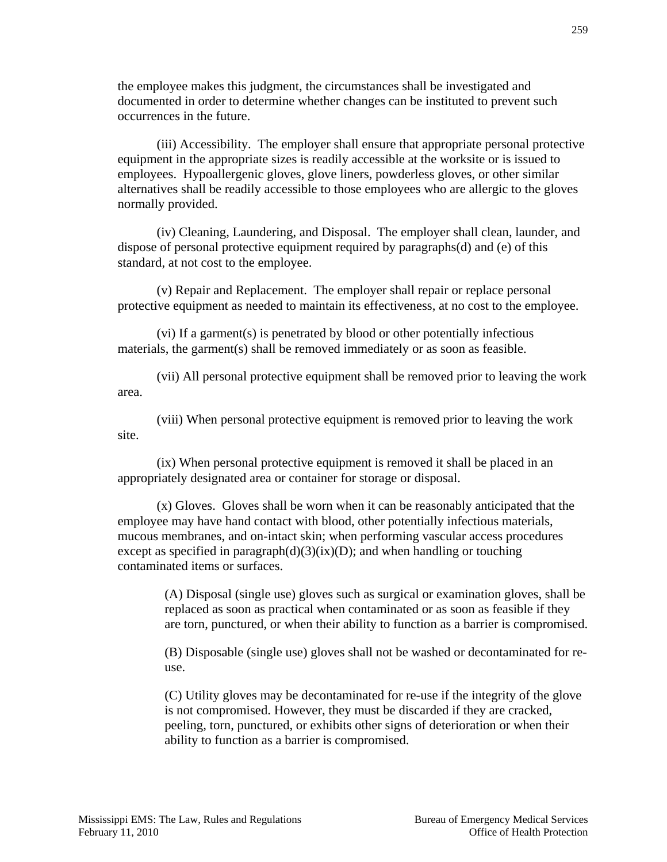the employee makes this judgment, the circumstances shall be investigated and documented in order to determine whether changes can be instituted to prevent such occurrences in the future.

(iii) Accessibility. The employer shall ensure that appropriate personal protective equipment in the appropriate sizes is readily accessible at the worksite or is issued to employees. Hypoallergenic gloves, glove liners, powderless gloves, or other similar alternatives shall be readily accessible to those employees who are allergic to the gloves normally provided.

(iv) Cleaning, Laundering, and Disposal. The employer shall clean, launder, and dispose of personal protective equipment required by paragraphs(d) and (e) of this standard, at not cost to the employee.

(v) Repair and Replacement. The employer shall repair or replace personal protective equipment as needed to maintain its effectiveness, at no cost to the employee.

(vi) If a garment(s) is penetrated by blood or other potentially infectious materials, the garment(s) shall be removed immediately or as soon as feasible.

(vii) All personal protective equipment shall be removed prior to leaving the work area.

(viii) When personal protective equipment is removed prior to leaving the work site.

(ix) When personal protective equipment is removed it shall be placed in an appropriately designated area or container for storage or disposal.

(x) Gloves. Gloves shall be worn when it can be reasonably anticipated that the employee may have hand contact with blood, other potentially infectious materials, mucous membranes, and on-intact skin; when performing vascular access procedures except as specified in paragraph(d)(3)(ix)(D); and when handling or touching contaminated items or surfaces.

> (A) Disposal (single use) gloves such as surgical or examination gloves, shall be replaced as soon as practical when contaminated or as soon as feasible if they are torn, punctured, or when their ability to function as a barrier is compromised.

> (B) Disposable (single use) gloves shall not be washed or decontaminated for reuse.

> (C) Utility gloves may be decontaminated for re-use if the integrity of the glove is not compromised. However, they must be discarded if they are cracked, peeling, torn, punctured, or exhibits other signs of deterioration or when their ability to function as a barrier is compromised.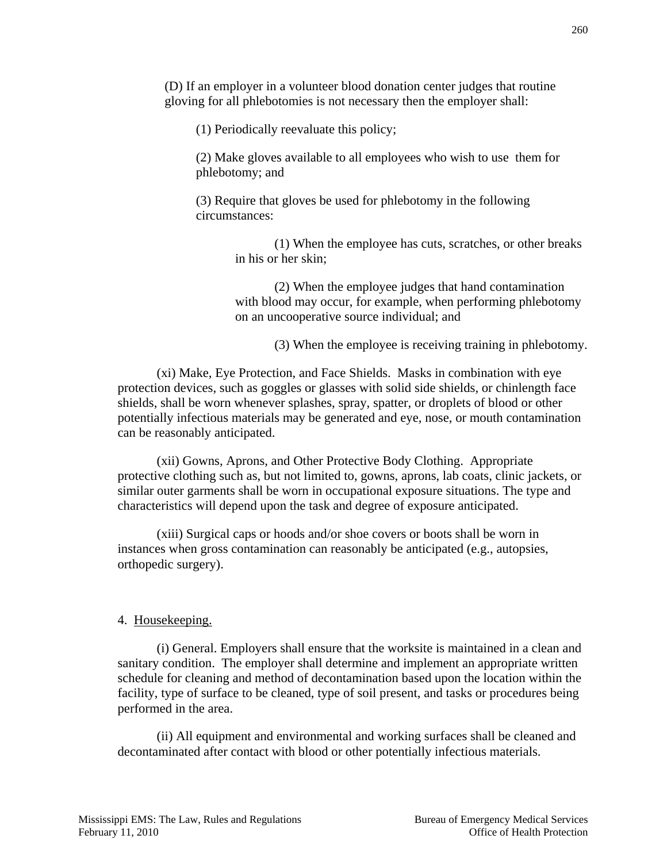(D) If an employer in a volunteer blood donation center judges that routine gloving for all phlebotomies is not necessary then the employer shall:

(1) Periodically reevaluate this policy;

(2) Make gloves available to all employees who wish to use them for phlebotomy; and

(3) Require that gloves be used for phlebotomy in the following circumstances:

> (1) When the employee has cuts, scratches, or other breaks in his or her skin;

> (2) When the employee judges that hand contamination with blood may occur, for example, when performing phlebotomy on an uncooperative source individual; and

> > (3) When the employee is receiving training in phlebotomy.

(xi) Make, Eye Protection, and Face Shields. Masks in combination with eye protection devices, such as goggles or glasses with solid side shields, or chinlength face shields, shall be worn whenever splashes, spray, spatter, or droplets of blood or other potentially infectious materials may be generated and eye, nose, or mouth contamination can be reasonably anticipated.

(xii) Gowns, Aprons, and Other Protective Body Clothing. Appropriate protective clothing such as, but not limited to, gowns, aprons, lab coats, clinic jackets, or similar outer garments shall be worn in occupational exposure situations. The type and characteristics will depend upon the task and degree of exposure anticipated.

 (xiii) Surgical caps or hoods and/or shoe covers or boots shall be worn in instances when gross contamination can reasonably be anticipated (e.g., autopsies, orthopedic surgery).

#### 4. Housekeeping.

 (i) General. Employers shall ensure that the worksite is maintained in a clean and sanitary condition. The employer shall determine and implement an appropriate written schedule for cleaning and method of decontamination based upon the location within the facility, type of surface to be cleaned, type of soil present, and tasks or procedures being performed in the area.

 (ii) All equipment and environmental and working surfaces shall be cleaned and decontaminated after contact with blood or other potentially infectious materials.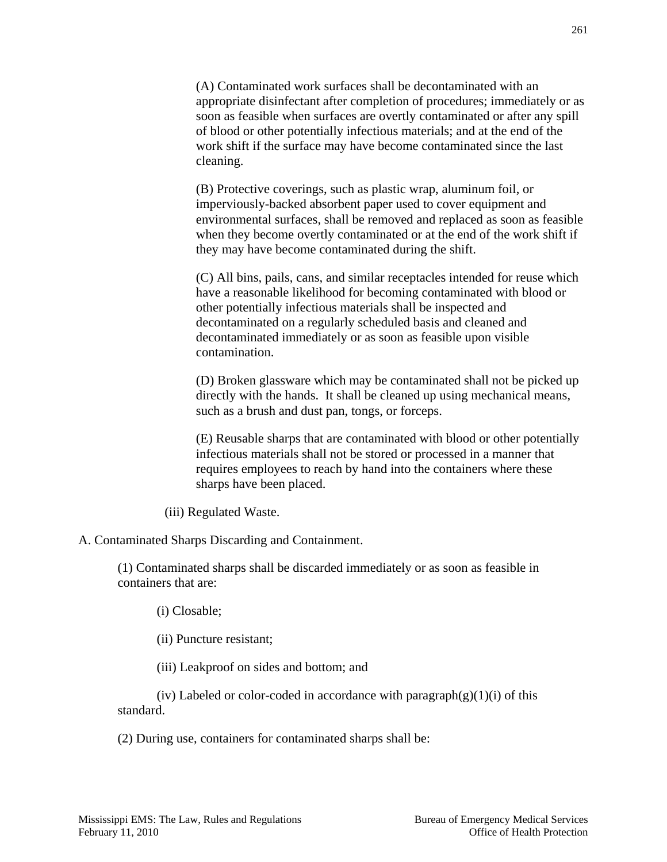(A) Contaminated work surfaces shall be decontaminated with an appropriate disinfectant after completion of procedures; immediately or as soon as feasible when surfaces are overtly contaminated or after any spill of blood or other potentially infectious materials; and at the end of the work shift if the surface may have become contaminated since the last cleaning.

(B) Protective coverings, such as plastic wrap, aluminum foil, or imperviously-backed absorbent paper used to cover equipment and environmental surfaces, shall be removed and replaced as soon as feasible when they become overtly contaminated or at the end of the work shift if they may have become contaminated during the shift.

(C) All bins, pails, cans, and similar receptacles intended for reuse which have a reasonable likelihood for becoming contaminated with blood or other potentially infectious materials shall be inspected and decontaminated on a regularly scheduled basis and cleaned and decontaminated immediately or as soon as feasible upon visible contamination.

(D) Broken glassware which may be contaminated shall not be picked up directly with the hands. It shall be cleaned up using mechanical means, such as a brush and dust pan, tongs, or forceps.

(E) Reusable sharps that are contaminated with blood or other potentially infectious materials shall not be stored or processed in a manner that requires employees to reach by hand into the containers where these sharps have been placed.

(iii) Regulated Waste.

A. Contaminated Sharps Discarding and Containment.

(1) Contaminated sharps shall be discarded immediately or as soon as feasible in containers that are:

(i) Closable;

(ii) Puncture resistant;

(iii) Leakproof on sides and bottom; and

(iv) Labeled or color-coded in accordance with paragraph $(g)(1)(i)$  of this standard.

(2) During use, containers for contaminated sharps shall be: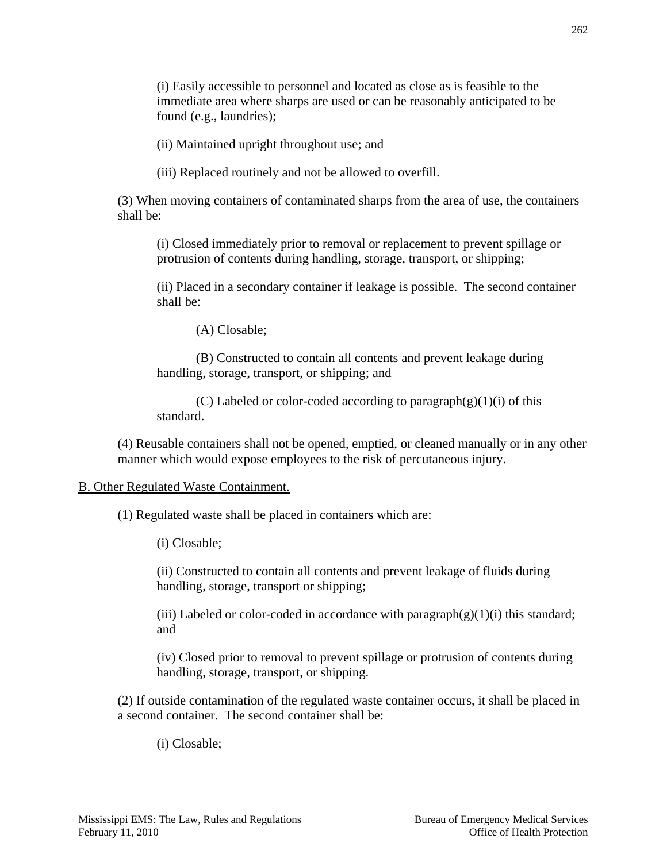(i) Easily accessible to personnel and located as close as is feasible to the immediate area where sharps are used or can be reasonably anticipated to be found (e.g., laundries);

(ii) Maintained upright throughout use; and

(iii) Replaced routinely and not be allowed to overfill.

(3) When moving containers of contaminated sharps from the area of use, the containers shall be:

(i) Closed immediately prior to removal or replacement to prevent spillage or protrusion of contents during handling, storage, transport, or shipping;

(ii) Placed in a secondary container if leakage is possible. The second container shall be:

(A) Closable;

 (B) Constructed to contain all contents and prevent leakage during handling, storage, transport, or shipping; and

(C) Labeled or color-coded according to paragraph $(g)(1)(i)$  of this standard.

(4) Reusable containers shall not be opened, emptied, or cleaned manually or in any other manner which would expose employees to the risk of percutaneous injury.

#### B. Other Regulated Waste Containment.

(1) Regulated waste shall be placed in containers which are:

(i) Closable;

(ii) Constructed to contain all contents and prevent leakage of fluids during handling, storage, transport or shipping;

(iii) Labeled or color-coded in accordance with paragraph $(g)(1)(i)$  this standard; and

(iv) Closed prior to removal to prevent spillage or protrusion of contents during handling, storage, transport, or shipping.

(2) If outside contamination of the regulated waste container occurs, it shall be placed in a second container. The second container shall be:

(i) Closable;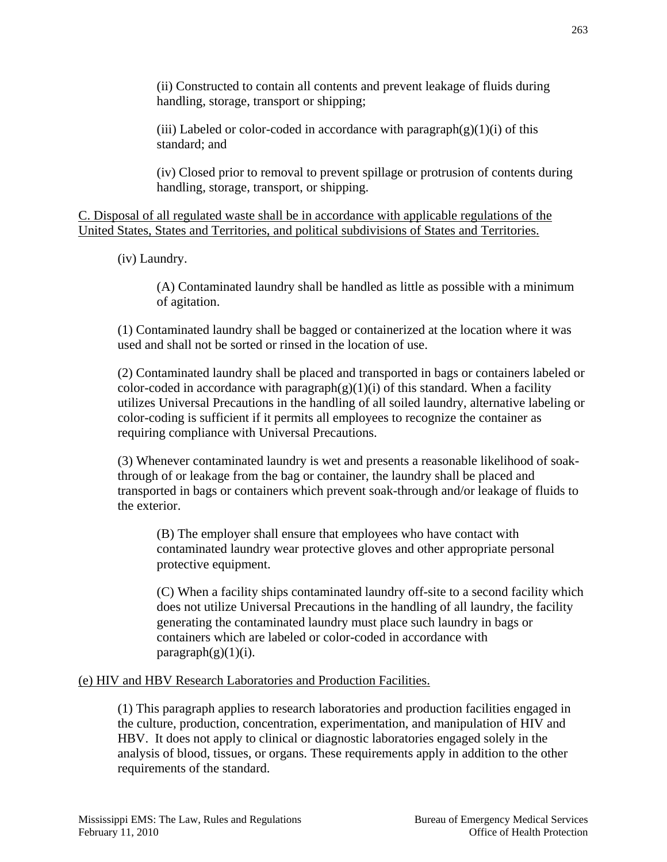(ii) Constructed to contain all contents and prevent leakage of fluids during handling, storage, transport or shipping;

(iii) Labeled or color-coded in accordance with paragraph $(g)(1)(i)$  of this standard; and

(iv) Closed prior to removal to prevent spillage or protrusion of contents during handling, storage, transport, or shipping.

C. Disposal of all regulated waste shall be in accordance with applicable regulations of the United States, States and Territories, and political subdivisions of States and Territories.

(iv) Laundry.

(A) Contaminated laundry shall be handled as little as possible with a minimum of agitation.

(1) Contaminated laundry shall be bagged or containerized at the location where it was used and shall not be sorted or rinsed in the location of use.

(2) Contaminated laundry shall be placed and transported in bags or containers labeled or color-coded in accordance with paragraph $(g)(1)(i)$  of this standard. When a facility utilizes Universal Precautions in the handling of all soiled laundry, alternative labeling or color-coding is sufficient if it permits all employees to recognize the container as requiring compliance with Universal Precautions.

(3) Whenever contaminated laundry is wet and presents a reasonable likelihood of soakthrough of or leakage from the bag or container, the laundry shall be placed and transported in bags or containers which prevent soak-through and/or leakage of fluids to the exterior.

(B) The employer shall ensure that employees who have contact with contaminated laundry wear protective gloves and other appropriate personal protective equipment.

(C) When a facility ships contaminated laundry off-site to a second facility which does not utilize Universal Precautions in the handling of all laundry, the facility generating the contaminated laundry must place such laundry in bags or containers which are labeled or color-coded in accordance with paragraph $(g)(1)(i)$ .

### (e) HIV and HBV Research Laboratories and Production Facilities.

(1) This paragraph applies to research laboratories and production facilities engaged in the culture, production, concentration, experimentation, and manipulation of HIV and HBV. It does not apply to clinical or diagnostic laboratories engaged solely in the analysis of blood, tissues, or organs. These requirements apply in addition to the other requirements of the standard.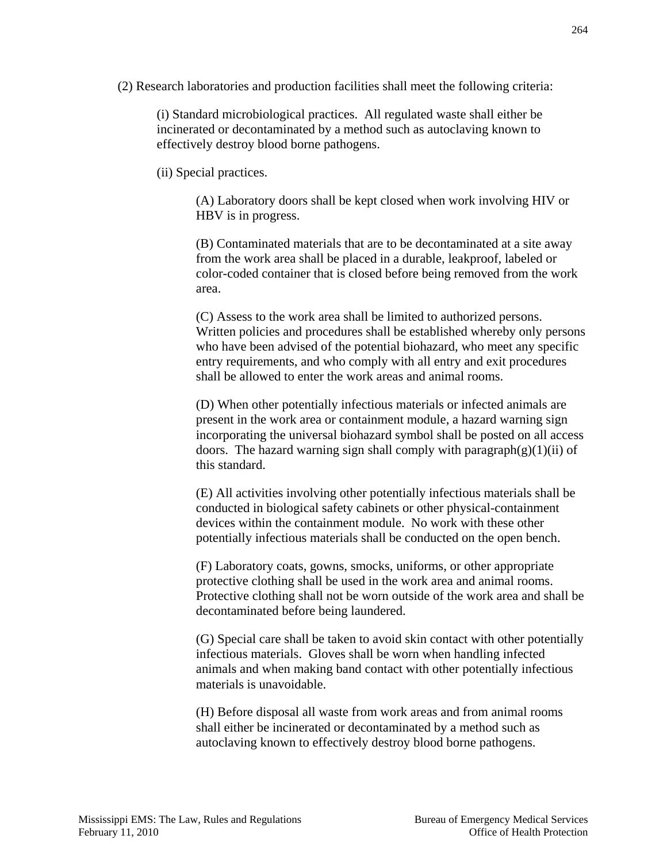(2) Research laboratories and production facilities shall meet the following criteria:

(i) Standard microbiological practices. All regulated waste shall either be incinerated or decontaminated by a method such as autoclaving known to effectively destroy blood borne pathogens.

(ii) Special practices.

(A) Laboratory doors shall be kept closed when work involving HIV or HBV is in progress.

(B) Contaminated materials that are to be decontaminated at a site away from the work area shall be placed in a durable, leakproof, labeled or color-coded container that is closed before being removed from the work area.

(C) Assess to the work area shall be limited to authorized persons. Written policies and procedures shall be established whereby only persons who have been advised of the potential biohazard, who meet any specific entry requirements, and who comply with all entry and exit procedures shall be allowed to enter the work areas and animal rooms.

(D) When other potentially infectious materials or infected animals are present in the work area or containment module, a hazard warning sign incorporating the universal biohazard symbol shall be posted on all access doors. The hazard warning sign shall comply with paragraph(g)(1)(ii) of this standard.

(E) All activities involving other potentially infectious materials shall be conducted in biological safety cabinets or other physical-containment devices within the containment module. No work with these other potentially infectious materials shall be conducted on the open bench.

(F) Laboratory coats, gowns, smocks, uniforms, or other appropriate protective clothing shall be used in the work area and animal rooms. Protective clothing shall not be worn outside of the work area and shall be decontaminated before being laundered.

(G) Special care shall be taken to avoid skin contact with other potentially infectious materials. Gloves shall be worn when handling infected animals and when making band contact with other potentially infectious materials is unavoidable.

(H) Before disposal all waste from work areas and from animal rooms shall either be incinerated or decontaminated by a method such as autoclaving known to effectively destroy blood borne pathogens.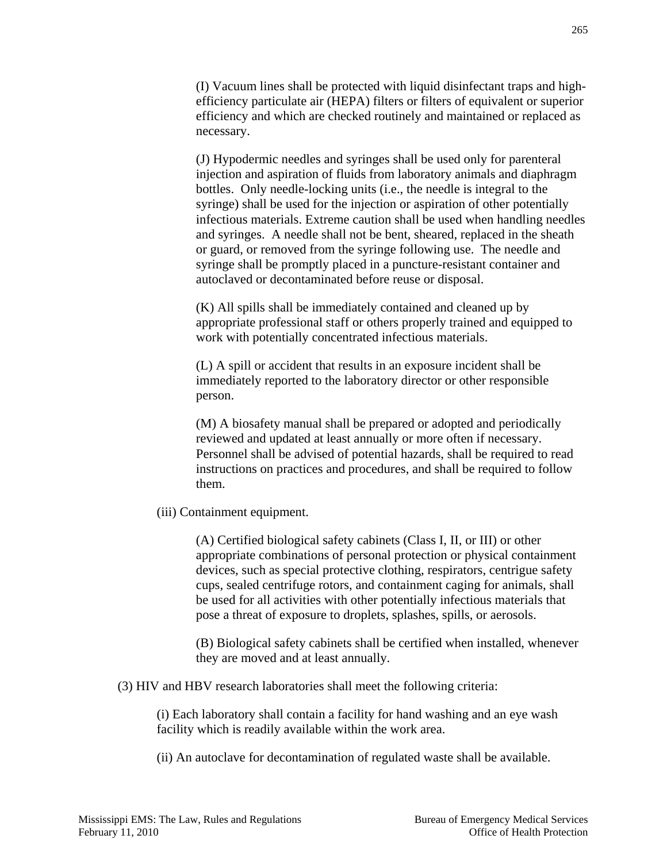(I) Vacuum lines shall be protected with liquid disinfectant traps and highefficiency particulate air (HEPA) filters or filters of equivalent or superior efficiency and which are checked routinely and maintained or replaced as necessary.

(J) Hypodermic needles and syringes shall be used only for parenteral injection and aspiration of fluids from laboratory animals and diaphragm bottles. Only needle-locking units (i.e., the needle is integral to the syringe) shall be used for the injection or aspiration of other potentially infectious materials. Extreme caution shall be used when handling needles and syringes. A needle shall not be bent, sheared, replaced in the sheath or guard, or removed from the syringe following use. The needle and syringe shall be promptly placed in a puncture-resistant container and autoclaved or decontaminated before reuse or disposal.

(K) All spills shall be immediately contained and cleaned up by appropriate professional staff or others properly trained and equipped to work with potentially concentrated infectious materials.

(L) A spill or accident that results in an exposure incident shall be immediately reported to the laboratory director or other responsible person.

(M) A biosafety manual shall be prepared or adopted and periodically reviewed and updated at least annually or more often if necessary. Personnel shall be advised of potential hazards, shall be required to read instructions on practices and procedures, and shall be required to follow them.

(iii) Containment equipment.

(A) Certified biological safety cabinets (Class I, II, or III) or other appropriate combinations of personal protection or physical containment devices, such as special protective clothing, respirators, centrigue safety cups, sealed centrifuge rotors, and containment caging for animals, shall be used for all activities with other potentially infectious materials that pose a threat of exposure to droplets, splashes, spills, or aerosols.

(B) Biological safety cabinets shall be certified when installed, whenever they are moved and at least annually.

(3) HIV and HBV research laboratories shall meet the following criteria:

(i) Each laboratory shall contain a facility for hand washing and an eye wash facility which is readily available within the work area.

(ii) An autoclave for decontamination of regulated waste shall be available.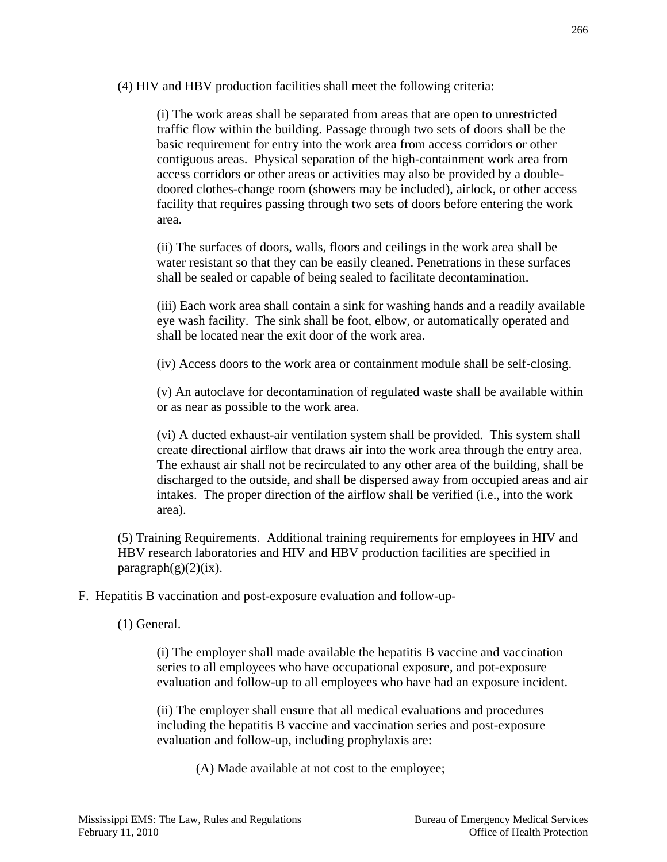(4) HIV and HBV production facilities shall meet the following criteria:

(i) The work areas shall be separated from areas that are open to unrestricted traffic flow within the building. Passage through two sets of doors shall be the basic requirement for entry into the work area from access corridors or other contiguous areas. Physical separation of the high-containment work area from access corridors or other areas or activities may also be provided by a doubledoored clothes-change room (showers may be included), airlock, or other access facility that requires passing through two sets of doors before entering the work area.

(ii) The surfaces of doors, walls, floors and ceilings in the work area shall be water resistant so that they can be easily cleaned. Penetrations in these surfaces shall be sealed or capable of being sealed to facilitate decontamination.

(iii) Each work area shall contain a sink for washing hands and a readily available eye wash facility. The sink shall be foot, elbow, or automatically operated and shall be located near the exit door of the work area.

(iv) Access doors to the work area or containment module shall be self-closing.

(v) An autoclave for decontamination of regulated waste shall be available within or as near as possible to the work area.

(vi) A ducted exhaust-air ventilation system shall be provided. This system shall create directional airflow that draws air into the work area through the entry area. The exhaust air shall not be recirculated to any other area of the building, shall be discharged to the outside, and shall be dispersed away from occupied areas and air intakes. The proper direction of the airflow shall be verified (i.e., into the work area).

(5) Training Requirements. Additional training requirements for employees in HIV and HBV research laboratories and HIV and HBV production facilities are specified in paragraph $(g)(2)(ix)$ .

# F. Hepatitis B vaccination and post-exposure evaluation and follow-up-

(1) General.

(i) The employer shall made available the hepatitis B vaccine and vaccination series to all employees who have occupational exposure, and pot-exposure evaluation and follow-up to all employees who have had an exposure incident.

(ii) The employer shall ensure that all medical evaluations and procedures including the hepatitis B vaccine and vaccination series and post-exposure evaluation and follow-up, including prophylaxis are:

(A) Made available at not cost to the employee;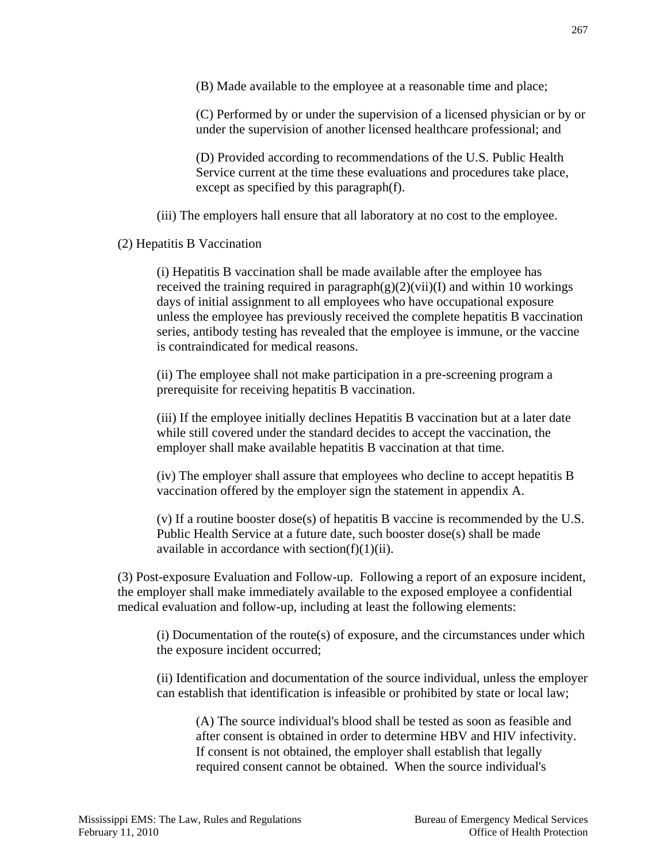(B) Made available to the employee at a reasonable time and place;

(C) Performed by or under the supervision of a licensed physician or by or under the supervision of another licensed healthcare professional; and

(D) Provided according to recommendations of the U.S. Public Health Service current at the time these evaluations and procedures take place, except as specified by this paragraph(f).

(iii) The employers hall ensure that all laboratory at no cost to the employee.

(2) Hepatitis B Vaccination

(i) Hepatitis B vaccination shall be made available after the employee has received the training required in paragraph $(g)(2)(vi)(I)$  and within 10 workings days of initial assignment to all employees who have occupational exposure unless the employee has previously received the complete hepatitis B vaccination series, antibody testing has revealed that the employee is immune, or the vaccine is contraindicated for medical reasons.

(ii) The employee shall not make participation in a pre-screening program a prerequisite for receiving hepatitis B vaccination.

(iii) If the employee initially declines Hepatitis B vaccination but at a later date while still covered under the standard decides to accept the vaccination, the employer shall make available hepatitis B vaccination at that time.

(iv) The employer shall assure that employees who decline to accept hepatitis B vaccination offered by the employer sign the statement in appendix A.

(v) If a routine booster dose(s) of hepatitis B vaccine is recommended by the U.S. Public Health Service at a future date, such booster dose(s) shall be made available in accordance with section $(f)(1)(ii)$ .

(3) Post-exposure Evaluation and Follow-up. Following a report of an exposure incident, the employer shall make immediately available to the exposed employee a confidential medical evaluation and follow-up, including at least the following elements:

(i) Documentation of the route(s) of exposure, and the circumstances under which the exposure incident occurred;

(ii) Identification and documentation of the source individual, unless the employer can establish that identification is infeasible or prohibited by state or local law;

(A) The source individual's blood shall be tested as soon as feasible and after consent is obtained in order to determine HBV and HIV infectivity. If consent is not obtained, the employer shall establish that legally required consent cannot be obtained. When the source individual's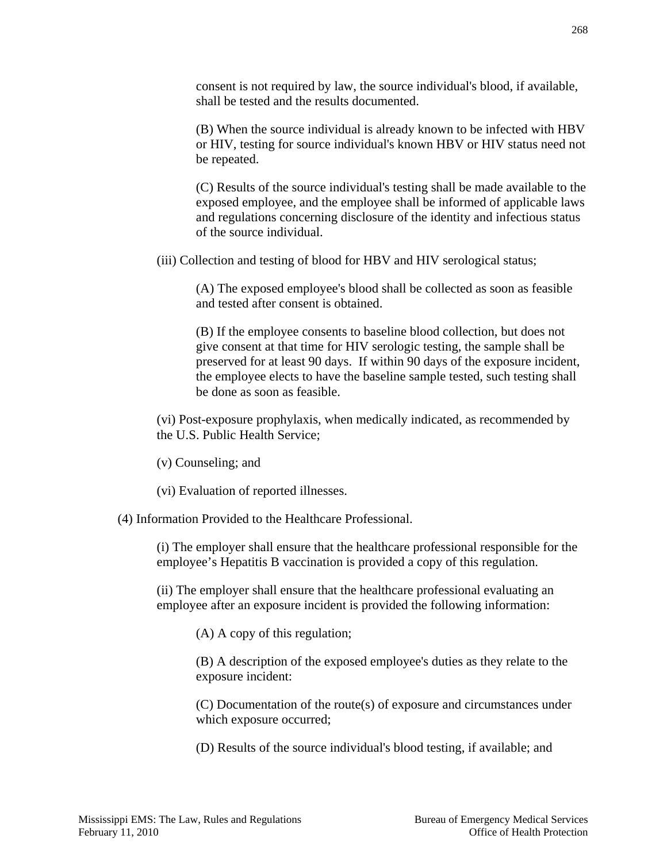consent is not required by law, the source individual's blood, if available, shall be tested and the results documented.

(B) When the source individual is already known to be infected with HBV or HIV, testing for source individual's known HBV or HIV status need not be repeated.

(C) Results of the source individual's testing shall be made available to the exposed employee, and the employee shall be informed of applicable laws and regulations concerning disclosure of the identity and infectious status of the source individual.

(iii) Collection and testing of blood for HBV and HIV serological status;

(A) The exposed employee's blood shall be collected as soon as feasible and tested after consent is obtained.

(B) If the employee consents to baseline blood collection, but does not give consent at that time for HIV serologic testing, the sample shall be preserved for at least 90 days. If within 90 days of the exposure incident, the employee elects to have the baseline sample tested, such testing shall be done as soon as feasible.

(vi) Post-exposure prophylaxis, when medically indicated, as recommended by the U.S. Public Health Service;

(v) Counseling; and

(vi) Evaluation of reported illnesses.

(4) Information Provided to the Healthcare Professional.

(i) The employer shall ensure that the healthcare professional responsible for the employee's Hepatitis B vaccination is provided a copy of this regulation.

(ii) The employer shall ensure that the healthcare professional evaluating an employee after an exposure incident is provided the following information:

(A) A copy of this regulation;

(B) A description of the exposed employee's duties as they relate to the exposure incident:

(C) Documentation of the route(s) of exposure and circumstances under which exposure occurred;

(D) Results of the source individual's blood testing, if available; and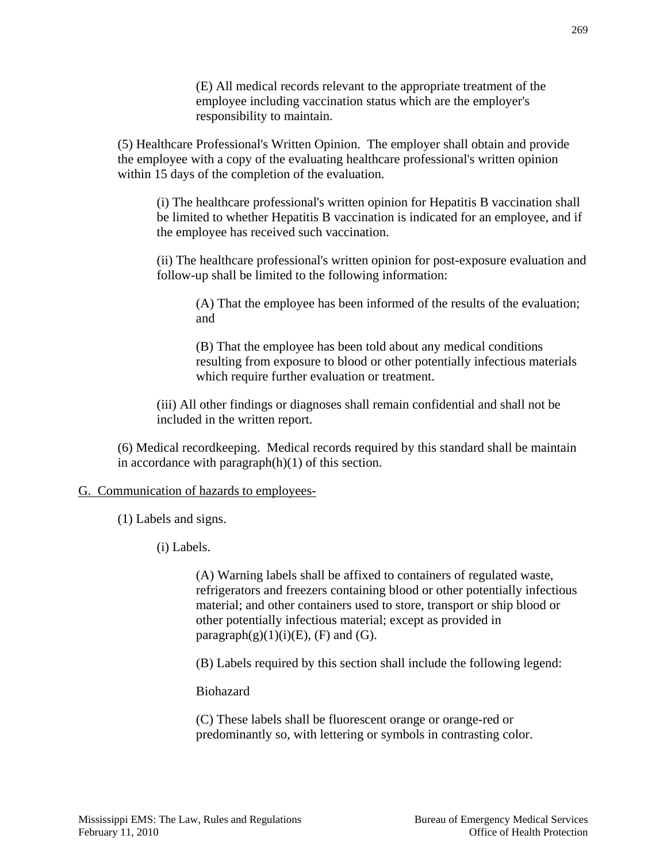(E) All medical records relevant to the appropriate treatment of the employee including vaccination status which are the employer's responsibility to maintain.

(5) Healthcare Professional's Written Opinion. The employer shall obtain and provide the employee with a copy of the evaluating healthcare professional's written opinion within 15 days of the completion of the evaluation.

(i) The healthcare professional's written opinion for Hepatitis B vaccination shall be limited to whether Hepatitis B vaccination is indicated for an employee, and if the employee has received such vaccination.

(ii) The healthcare professional's written opinion for post-exposure evaluation and follow-up shall be limited to the following information:

(A) That the employee has been informed of the results of the evaluation; and

(B) That the employee has been told about any medical conditions resulting from exposure to blood or other potentially infectious materials which require further evaluation or treatment.

(iii) All other findings or diagnoses shall remain confidential and shall not be included in the written report.

(6) Medical recordkeeping. Medical records required by this standard shall be maintain in accordance with paragraph(h)(1) of this section.

#### G. Communication of hazards to employees-

(1) Labels and signs.

(i) Labels.

(A) Warning labels shall be affixed to containers of regulated waste, refrigerators and freezers containing blood or other potentially infectious material; and other containers used to store, transport or ship blood or other potentially infectious material; except as provided in paragraph $(g)(1)(i)(E)$ ,  $(F)$  and  $(G)$ .

(B) Labels required by this section shall include the following legend:

Biohazard

(C) These labels shall be fluorescent orange or orange-red or predominantly so, with lettering or symbols in contrasting color.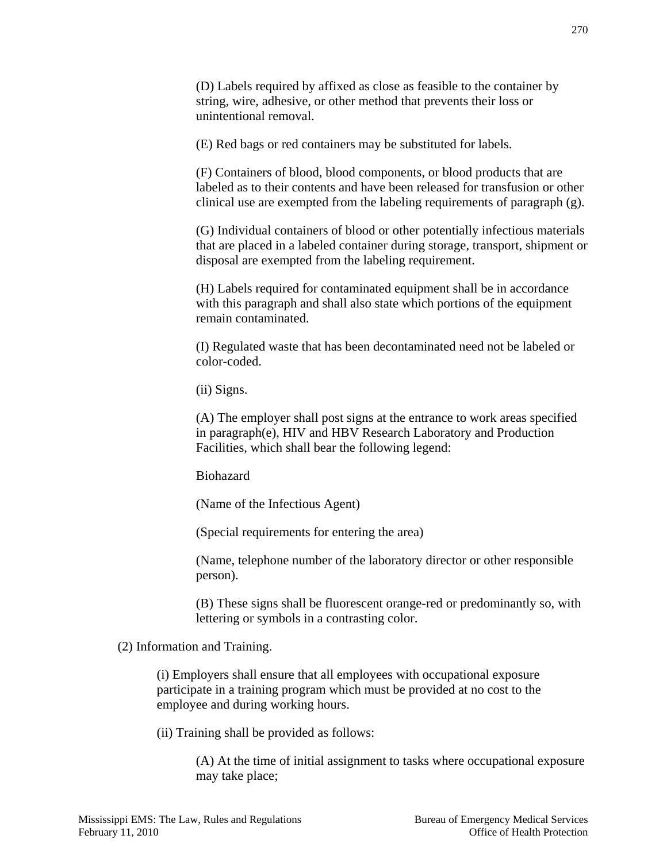(D) Labels required by affixed as close as feasible to the container by string, wire, adhesive, or other method that prevents their loss or unintentional removal.

(E) Red bags or red containers may be substituted for labels.

(F) Containers of blood, blood components, or blood products that are labeled as to their contents and have been released for transfusion or other clinical use are exempted from the labeling requirements of paragraph (g).

(G) Individual containers of blood or other potentially infectious materials that are placed in a labeled container during storage, transport, shipment or disposal are exempted from the labeling requirement.

(H) Labels required for contaminated equipment shall be in accordance with this paragraph and shall also state which portions of the equipment remain contaminated.

(I) Regulated waste that has been decontaminated need not be labeled or color-coded.

(ii) Signs.

(A) The employer shall post signs at the entrance to work areas specified in paragraph(e), HIV and HBV Research Laboratory and Production Facilities, which shall bear the following legend:

Biohazard

(Name of the Infectious Agent)

(Special requirements for entering the area)

(Name, telephone number of the laboratory director or other responsible person).

(B) These signs shall be fluorescent orange-red or predominantly so, with lettering or symbols in a contrasting color.

(2) Information and Training.

(i) Employers shall ensure that all employees with occupational exposure participate in a training program which must be provided at no cost to the employee and during working hours.

(ii) Training shall be provided as follows:

(A) At the time of initial assignment to tasks where occupational exposure may take place;

270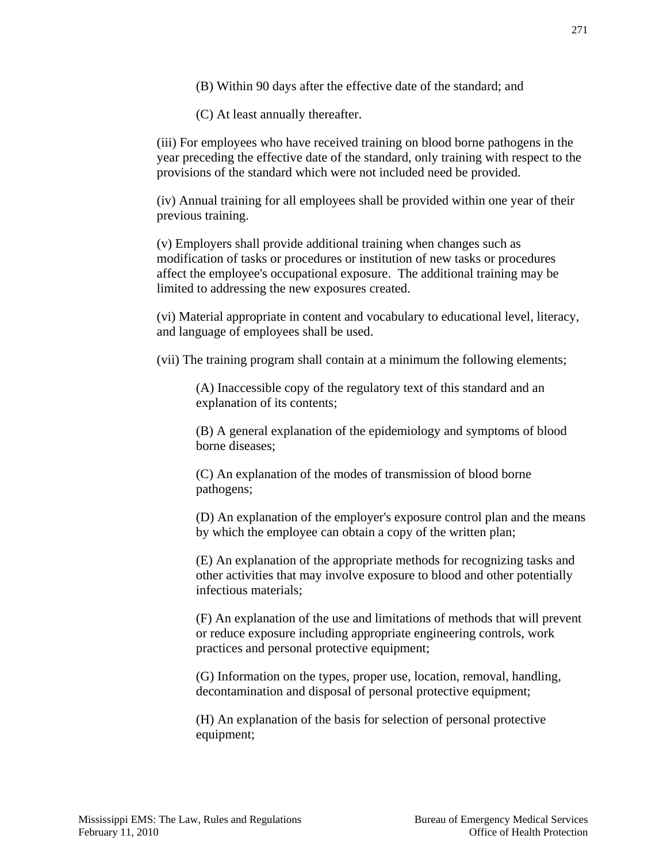- (B) Within 90 days after the effective date of the standard; and
- (C) At least annually thereafter.

(iii) For employees who have received training on blood borne pathogens in the year preceding the effective date of the standard, only training with respect to the provisions of the standard which were not included need be provided.

(iv) Annual training for all employees shall be provided within one year of their previous training.

(v) Employers shall provide additional training when changes such as modification of tasks or procedures or institution of new tasks or procedures affect the employee's occupational exposure. The additional training may be limited to addressing the new exposures created.

(vi) Material appropriate in content and vocabulary to educational level, literacy, and language of employees shall be used.

(vii) The training program shall contain at a minimum the following elements;

(A) Inaccessible copy of the regulatory text of this standard and an explanation of its contents;

(B) A general explanation of the epidemiology and symptoms of blood borne diseases;

(C) An explanation of the modes of transmission of blood borne pathogens;

(D) An explanation of the employer's exposure control plan and the means by which the employee can obtain a copy of the written plan;

(E) An explanation of the appropriate methods for recognizing tasks and other activities that may involve exposure to blood and other potentially infectious materials;

(F) An explanation of the use and limitations of methods that will prevent or reduce exposure including appropriate engineering controls, work practices and personal protective equipment;

(G) Information on the types, proper use, location, removal, handling, decontamination and disposal of personal protective equipment;

(H) An explanation of the basis for selection of personal protective equipment;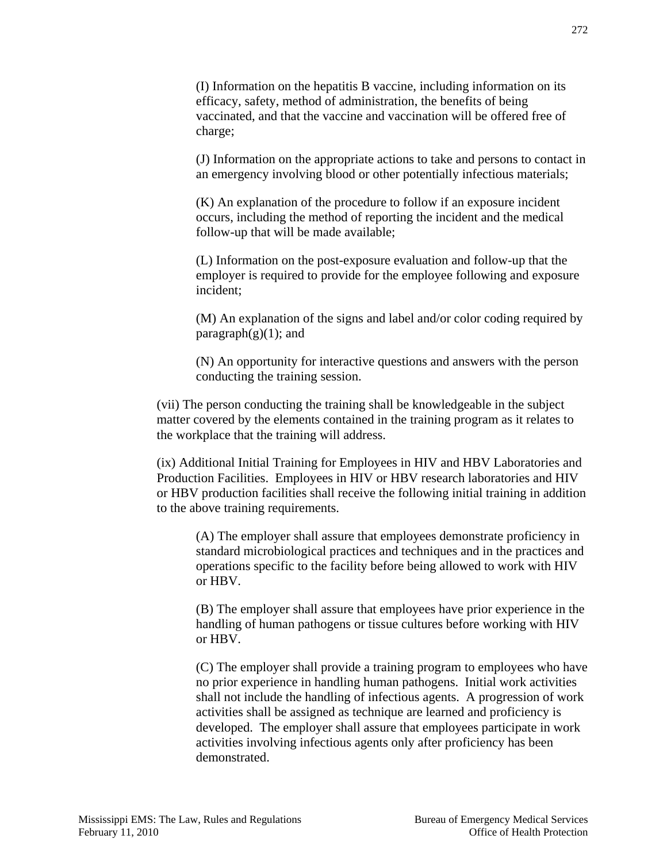(I) Information on the hepatitis B vaccine, including information on its efficacy, safety, method of administration, the benefits of being vaccinated, and that the vaccine and vaccination will be offered free of charge;

(J) Information on the appropriate actions to take and persons to contact in an emergency involving blood or other potentially infectious materials;

(K) An explanation of the procedure to follow if an exposure incident occurs, including the method of reporting the incident and the medical follow-up that will be made available;

(L) Information on the post-exposure evaluation and follow-up that the employer is required to provide for the employee following and exposure incident;

(M) An explanation of the signs and label and/or color coding required by paragraph $(g)(1)$ ; and

(N) An opportunity for interactive questions and answers with the person conducting the training session.

(vii) The person conducting the training shall be knowledgeable in the subject matter covered by the elements contained in the training program as it relates to the workplace that the training will address.

(ix) Additional Initial Training for Employees in HIV and HBV Laboratories and Production Facilities. Employees in HIV or HBV research laboratories and HIV or HBV production facilities shall receive the following initial training in addition to the above training requirements.

(A) The employer shall assure that employees demonstrate proficiency in standard microbiological practices and techniques and in the practices and operations specific to the facility before being allowed to work with HIV or HBV.

(B) The employer shall assure that employees have prior experience in the handling of human pathogens or tissue cultures before working with HIV or HBV.

(C) The employer shall provide a training program to employees who have no prior experience in handling human pathogens. Initial work activities shall not include the handling of infectious agents. A progression of work activities shall be assigned as technique are learned and proficiency is developed. The employer shall assure that employees participate in work activities involving infectious agents only after proficiency has been demonstrated.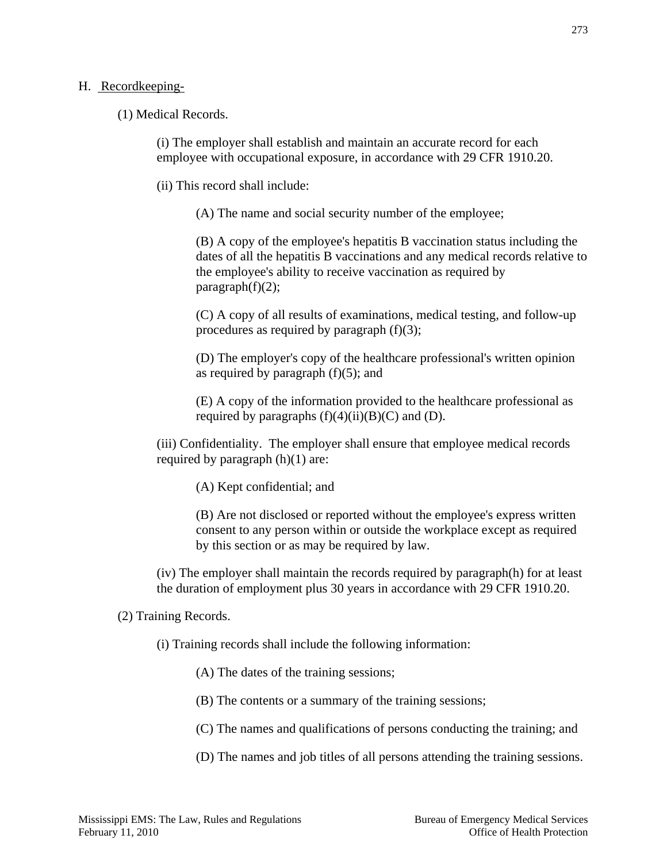273

## H. Recordkeeping-

(1) Medical Records.

(i) The employer shall establish and maintain an accurate record for each employee with occupational exposure, in accordance with 29 CFR 1910.20.

(ii) This record shall include:

(A) The name and social security number of the employee;

(B) A copy of the employee's hepatitis B vaccination status including the dates of all the hepatitis B vaccinations and any medical records relative to the employee's ability to receive vaccination as required by  $paragraph(f)(2);$ 

(C) A copy of all results of examinations, medical testing, and follow-up procedures as required by paragraph (f)(3);

(D) The employer's copy of the healthcare professional's written opinion as required by paragraph  $(f)(5)$ ; and

(E) A copy of the information provided to the healthcare professional as required by paragraphs  $(f)(4)(ii)(B)(C)$  and  $(D)$ .

(iii) Confidentiality. The employer shall ensure that employee medical records required by paragraph (h)(1) are:

(A) Kept confidential; and

(B) Are not disclosed or reported without the employee's express written consent to any person within or outside the workplace except as required by this section or as may be required by law.

(iv) The employer shall maintain the records required by paragraph(h) for at least the duration of employment plus 30 years in accordance with 29 CFR 1910.20.

(2) Training Records.

(i) Training records shall include the following information:

(A) The dates of the training sessions;

(B) The contents or a summary of the training sessions;

(C) The names and qualifications of persons conducting the training; and

(D) The names and job titles of all persons attending the training sessions.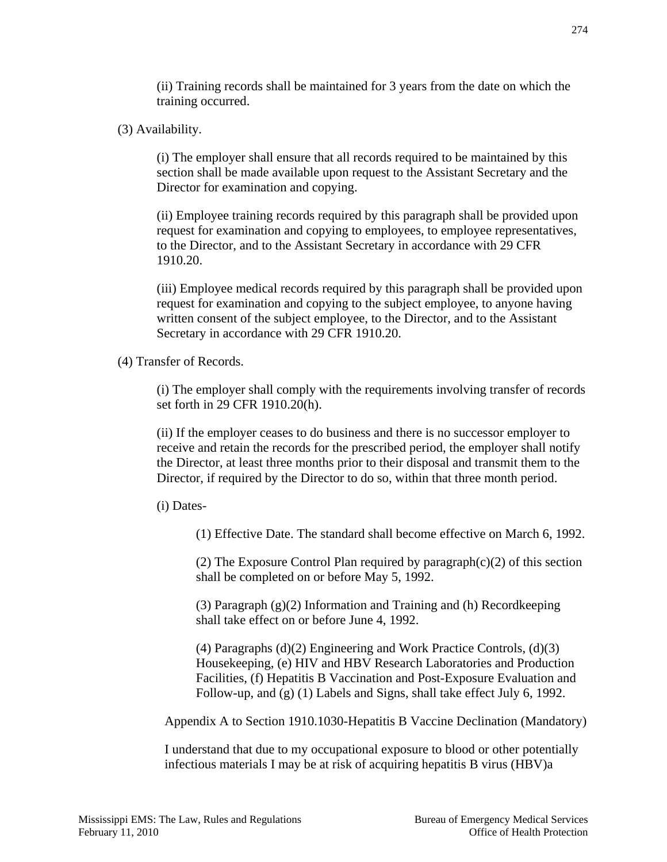(ii) Training records shall be maintained for 3 years from the date on which the training occurred.

(3) Availability.

(i) The employer shall ensure that all records required to be maintained by this section shall be made available upon request to the Assistant Secretary and the Director for examination and copying.

(ii) Employee training records required by this paragraph shall be provided upon request for examination and copying to employees, to employee representatives, to the Director, and to the Assistant Secretary in accordance with 29 CFR 1910.20.

(iii) Employee medical records required by this paragraph shall be provided upon request for examination and copying to the subject employee, to anyone having written consent of the subject employee, to the Director, and to the Assistant Secretary in accordance with 29 CFR 1910.20.

(4) Transfer of Records.

(i) The employer shall comply with the requirements involving transfer of records set forth in 29 CFR 1910.20(h).

(ii) If the employer ceases to do business and there is no successor employer to receive and retain the records for the prescribed period, the employer shall notify the Director, at least three months prior to their disposal and transmit them to the Director, if required by the Director to do so, within that three month period.

(i) Dates-

(1) Effective Date. The standard shall become effective on March 6, 1992.

(2) The Exposure Control Plan required by paragraph $(c)(2)$  of this section shall be completed on or before May 5, 1992.

(3) Paragraph (g)(2) Information and Training and (h) Recordkeeping shall take effect on or before June 4, 1992.

(4) Paragraphs (d)(2) Engineering and Work Practice Controls, (d)(3) Housekeeping, (e) HIV and HBV Research Laboratories and Production Facilities, (f) Hepatitis B Vaccination and Post-Exposure Evaluation and Follow-up, and (g) (1) Labels and Signs, shall take effect July 6, 1992.

Appendix A to Section 1910.1030-Hepatitis B Vaccine Declination (Mandatory)

I understand that due to my occupational exposure to blood or other potentially infectious materials I may be at risk of acquiring hepatitis B virus (HBV)a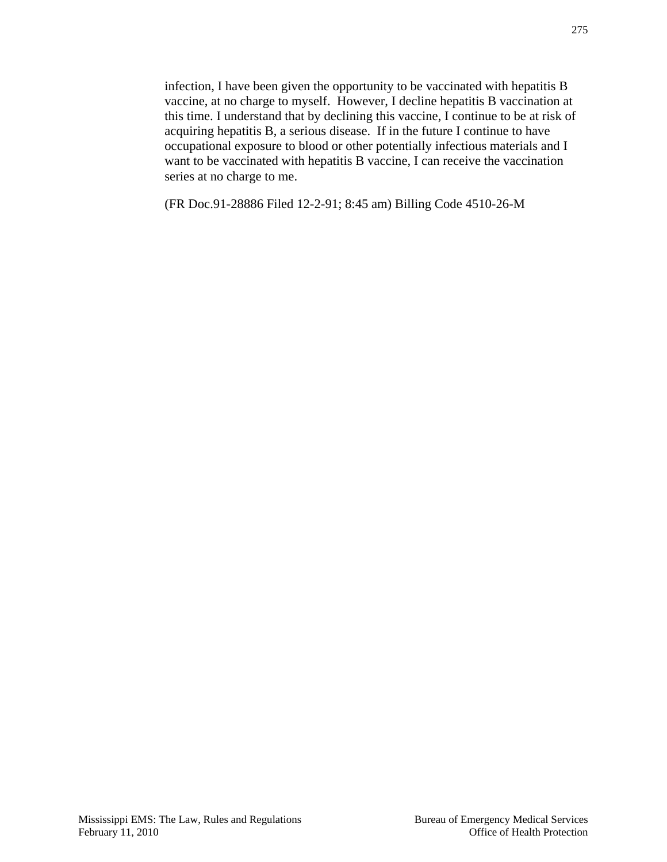infection, I have been given the opportunity to be vaccinated with hepatitis B vaccine, at no charge to myself. However, I decline hepatitis B vaccination at this time. I understand that by declining this vaccine, I continue to be at risk of acquiring hepatitis B, a serious disease. If in the future I continue to have occupational exposure to blood or other potentially infectious materials and I want to be vaccinated with hepatitis B vaccine, I can receive the vaccination series at no charge to me.

(FR Doc.91-28886 Filed 12-2-91; 8:45 am) Billing Code 4510-26-M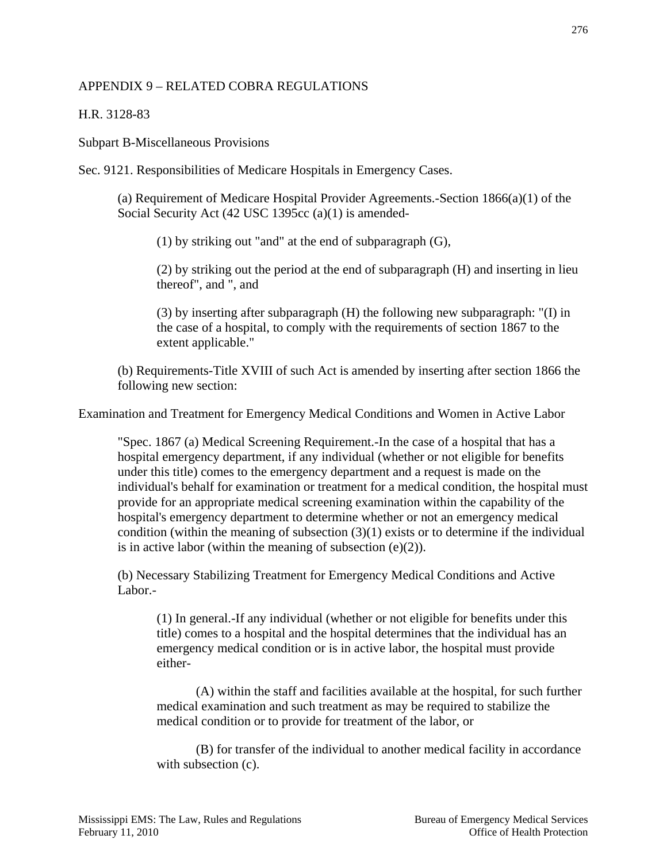### APPENDIX 9 – RELATED COBRA REGULATIONS

#### H.R. 3128-83

Subpart B-Miscellaneous Provisions

Sec. 9121. Responsibilities of Medicare Hospitals in Emergency Cases.

(a) Requirement of Medicare Hospital Provider Agreements.-Section 1866(a)(1) of the Social Security Act (42 USC 1395cc (a)(1) is amended-

(1) by striking out "and" at the end of subparagraph (G),

(2) by striking out the period at the end of subparagraph (H) and inserting in lieu thereof", and ", and

(3) by inserting after subparagraph (H) the following new subparagraph: "(I) in the case of a hospital, to comply with the requirements of section 1867 to the extent applicable."

(b) Requirements-Title XVIII of such Act is amended by inserting after section 1866 the following new section:

Examination and Treatment for Emergency Medical Conditions and Women in Active Labor

"Spec. 1867 (a) Medical Screening Requirement.-In the case of a hospital that has a hospital emergency department, if any individual (whether or not eligible for benefits under this title) comes to the emergency department and a request is made on the individual's behalf for examination or treatment for a medical condition, the hospital must provide for an appropriate medical screening examination within the capability of the hospital's emergency department to determine whether or not an emergency medical condition (within the meaning of subsection  $(3)(1)$  exists or to determine if the individual is in active labor (within the meaning of subsection  $(e)(2)$ ).

(b) Necessary Stabilizing Treatment for Emergency Medical Conditions and Active Labor.-

(1) In general.-If any individual (whether or not eligible for benefits under this title) comes to a hospital and the hospital determines that the individual has an emergency medical condition or is in active labor, the hospital must provide either-

 (A) within the staff and facilities available at the hospital, for such further medical examination and such treatment as may be required to stabilize the medical condition or to provide for treatment of the labor, or

 (B) for transfer of the individual to another medical facility in accordance with subsection  $(c)$ .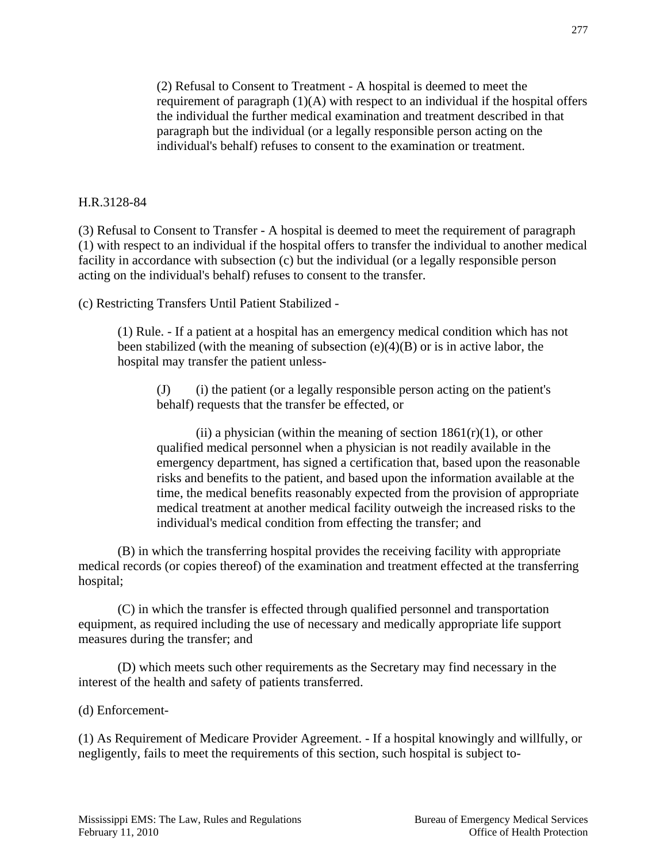(2) Refusal to Consent to Treatment - A hospital is deemed to meet the requirement of paragraph  $(1)(A)$  with respect to an individual if the hospital offers the individual the further medical examination and treatment described in that paragraph but the individual (or a legally responsible person acting on the individual's behalf) refuses to consent to the examination or treatment.

#### H.R.3128-84

(3) Refusal to Consent to Transfer - A hospital is deemed to meet the requirement of paragraph (1) with respect to an individual if the hospital offers to transfer the individual to another medical facility in accordance with subsection (c) but the individual (or a legally responsible person acting on the individual's behalf) refuses to consent to the transfer.

(c) Restricting Transfers Until Patient Stabilized -

(1) Rule. - If a patient at a hospital has an emergency medical condition which has not been stabilized (with the meaning of subsection  $(e)(4)(B)$  or is in active labor, the hospital may transfer the patient unless-

(J) (i) the patient (or a legally responsible person acting on the patient's behalf) requests that the transfer be effected, or

(ii) a physician (within the meaning of section  $1861(r)(1)$ , or other qualified medical personnel when a physician is not readily available in the emergency department, has signed a certification that, based upon the reasonable risks and benefits to the patient, and based upon the information available at the time, the medical benefits reasonably expected from the provision of appropriate medical treatment at another medical facility outweigh the increased risks to the individual's medical condition from effecting the transfer; and

 (B) in which the transferring hospital provides the receiving facility with appropriate medical records (or copies thereof) of the examination and treatment effected at the transferring hospital;

 (C) in which the transfer is effected through qualified personnel and transportation equipment, as required including the use of necessary and medically appropriate life support measures during the transfer; and

 (D) which meets such other requirements as the Secretary may find necessary in the interest of the health and safety of patients transferred.

(d) Enforcement-

(1) As Requirement of Medicare Provider Agreement. - If a hospital knowingly and willfully, or negligently, fails to meet the requirements of this section, such hospital is subject to-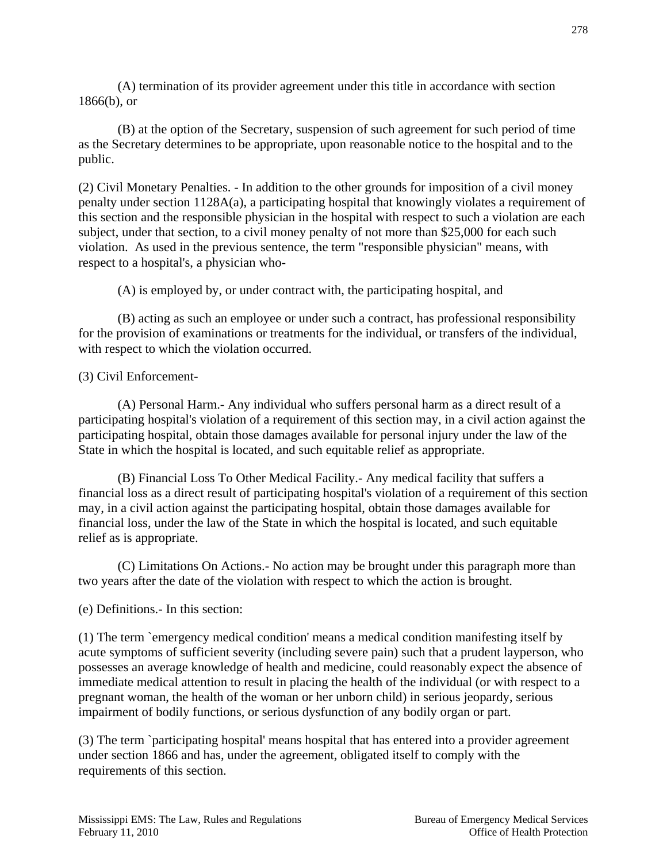(A) termination of its provider agreement under this title in accordance with section 1866(b), or

 (B) at the option of the Secretary, suspension of such agreement for such period of time as the Secretary determines to be appropriate, upon reasonable notice to the hospital and to the public.

(2) Civil Monetary Penalties. - In addition to the other grounds for imposition of a civil money penalty under section 1128A(a), a participating hospital that knowingly violates a requirement of this section and the responsible physician in the hospital with respect to such a violation are each subject, under that section, to a civil money penalty of not more than \$25,000 for each such violation. As used in the previous sentence, the term "responsible physician" means, with respect to a hospital's, a physician who-

(A) is employed by, or under contract with, the participating hospital, and

 (B) acting as such an employee or under such a contract, has professional responsibility for the provision of examinations or treatments for the individual, or transfers of the individual, with respect to which the violation occurred.

### (3) Civil Enforcement-

 (A) Personal Harm.- Any individual who suffers personal harm as a direct result of a participating hospital's violation of a requirement of this section may, in a civil action against the participating hospital, obtain those damages available for personal injury under the law of the State in which the hospital is located, and such equitable relief as appropriate.

 (B) Financial Loss To Other Medical Facility.- Any medical facility that suffers a financial loss as a direct result of participating hospital's violation of a requirement of this section may, in a civil action against the participating hospital, obtain those damages available for financial loss, under the law of the State in which the hospital is located, and such equitable relief as is appropriate.

 (C) Limitations On Actions.- No action may be brought under this paragraph more than two years after the date of the violation with respect to which the action is brought.

(e) Definitions.- In this section:

(1) The term `emergency medical condition' means a medical condition manifesting itself by acute symptoms of sufficient severity (including severe pain) such that a prudent layperson, who possesses an average knowledge of health and medicine, could reasonably expect the absence of immediate medical attention to result in placing the health of the individual (or with respect to a pregnant woman, the health of the woman or her unborn child) in serious jeopardy, serious impairment of bodily functions, or serious dysfunction of any bodily organ or part.

(3) The term `participating hospital' means hospital that has entered into a provider agreement under section 1866 and has, under the agreement, obligated itself to comply with the requirements of this section.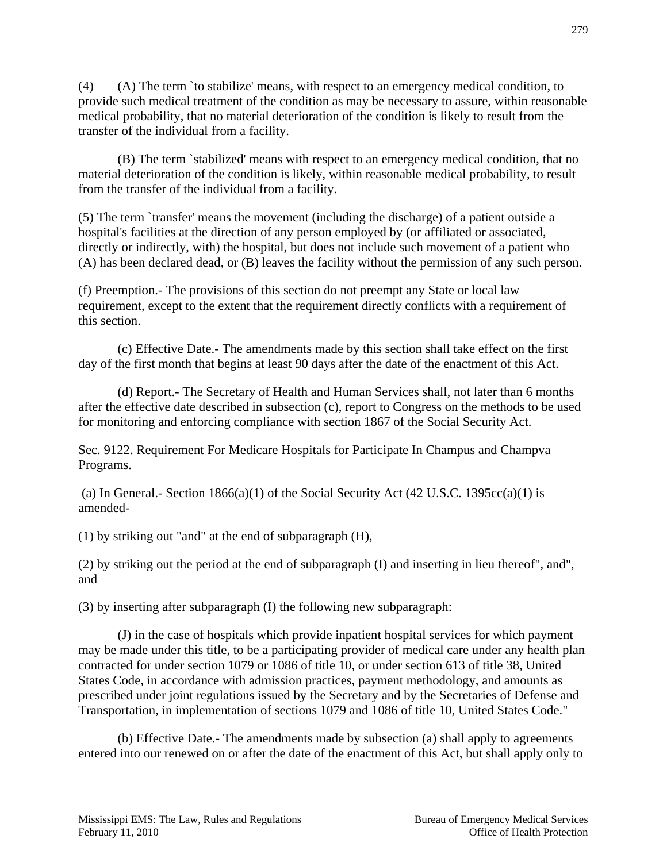(4) (A) The term `to stabilize' means, with respect to an emergency medical condition, to provide such medical treatment of the condition as may be necessary to assure, within reasonable medical probability, that no material deterioration of the condition is likely to result from the transfer of the individual from a facility.

 (B) The term `stabilized' means with respect to an emergency medical condition, that no material deterioration of the condition is likely, within reasonable medical probability, to result from the transfer of the individual from a facility.

(5) The term `transfer' means the movement (including the discharge) of a patient outside a hospital's facilities at the direction of any person employed by (or affiliated or associated, directly or indirectly, with) the hospital, but does not include such movement of a patient who (A) has been declared dead, or (B) leaves the facility without the permission of any such person.

(f) Preemption.- The provisions of this section do not preempt any State or local law requirement, except to the extent that the requirement directly conflicts with a requirement of this section.

 (c) Effective Date.- The amendments made by this section shall take effect on the first day of the first month that begins at least 90 days after the date of the enactment of this Act.

 (d) Report.- The Secretary of Health and Human Services shall, not later than 6 months after the effective date described in subsection (c), report to Congress on the methods to be used for monitoring and enforcing compliance with section 1867 of the Social Security Act.

Sec. 9122. Requirement For Medicare Hospitals for Participate In Champus and Champva Programs.

(a) In General.- Section  $1866(a)(1)$  of the Social Security Act (42 U.S.C. 1395cc(a)(1) is amended-

(1) by striking out "and" at the end of subparagraph (H),

(2) by striking out the period at the end of subparagraph (I) and inserting in lieu thereof", and", and

(3) by inserting after subparagraph (I) the following new subparagraph:

 (J) in the case of hospitals which provide inpatient hospital services for which payment may be made under this title, to be a participating provider of medical care under any health plan contracted for under section 1079 or 1086 of title 10, or under section 613 of title 38, United States Code, in accordance with admission practices, payment methodology, and amounts as prescribed under joint regulations issued by the Secretary and by the Secretaries of Defense and Transportation, in implementation of sections 1079 and 1086 of title 10, United States Code."

 (b) Effective Date.- The amendments made by subsection (a) shall apply to agreements entered into our renewed on or after the date of the enactment of this Act, but shall apply only to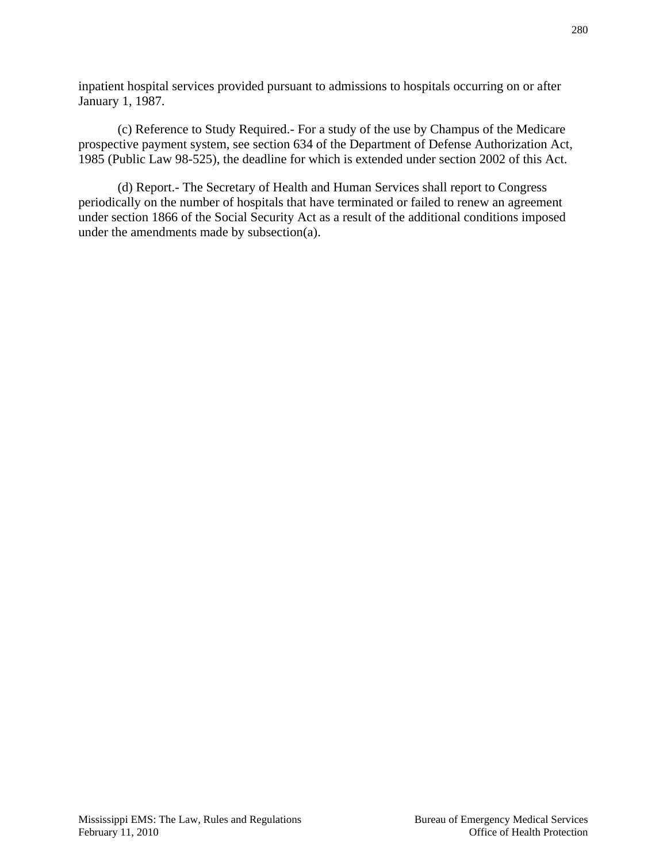inpatient hospital services provided pursuant to admissions to hospitals occurring on or after January 1, 1987.

 (c) Reference to Study Required.- For a study of the use by Champus of the Medicare prospective payment system, see section 634 of the Department of Defense Authorization Act, 1985 (Public Law 98-525), the deadline for which is extended under section 2002 of this Act.

 (d) Report.- The Secretary of Health and Human Services shall report to Congress periodically on the number of hospitals that have terminated or failed to renew an agreement under section 1866 of the Social Security Act as a result of the additional conditions imposed under the amendments made by subsection(a).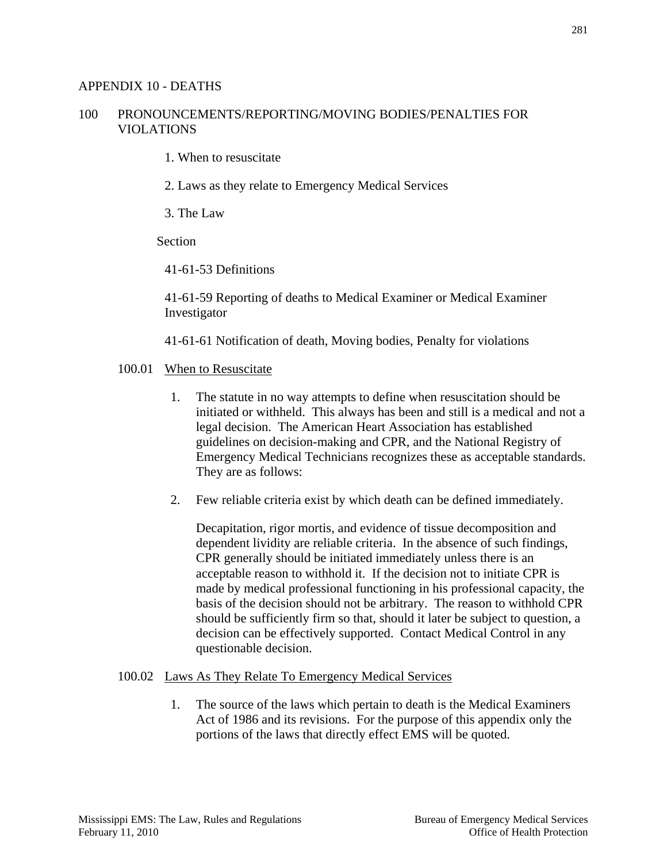#### APPENDIX 10 - DEATHS

#### 100 PRONOUNCEMENTS/REPORTING/MOVING BODIES/PENALTIES FOR VIOLATIONS

- 1. When to resuscitate
- 2. Laws as they relate to Emergency Medical Services
- 3. The Law

Section

41-61-53 Definitions

41-61-59 Reporting of deaths to Medical Examiner or Medical Examiner Investigator

41-61-61 Notification of death, Moving bodies, Penalty for violations

#### 100.01 When to Resuscitate

- 1. The statute in no way attempts to define when resuscitation should be initiated or withheld. This always has been and still is a medical and not a legal decision. The American Heart Association has established guidelines on decision-making and CPR, and the National Registry of Emergency Medical Technicians recognizes these as acceptable standards. They are as follows:
- 2. Few reliable criteria exist by which death can be defined immediately.

Decapitation, rigor mortis, and evidence of tissue decomposition and dependent lividity are reliable criteria. In the absence of such findings, CPR generally should be initiated immediately unless there is an acceptable reason to withhold it. If the decision not to initiate CPR is made by medical professional functioning in his professional capacity, the basis of the decision should not be arbitrary. The reason to withhold CPR should be sufficiently firm so that, should it later be subject to question, a decision can be effectively supported. Contact Medical Control in any questionable decision.

#### 100.02 Laws As They Relate To Emergency Medical Services

1. The source of the laws which pertain to death is the Medical Examiners Act of 1986 and its revisions. For the purpose of this appendix only the portions of the laws that directly effect EMS will be quoted.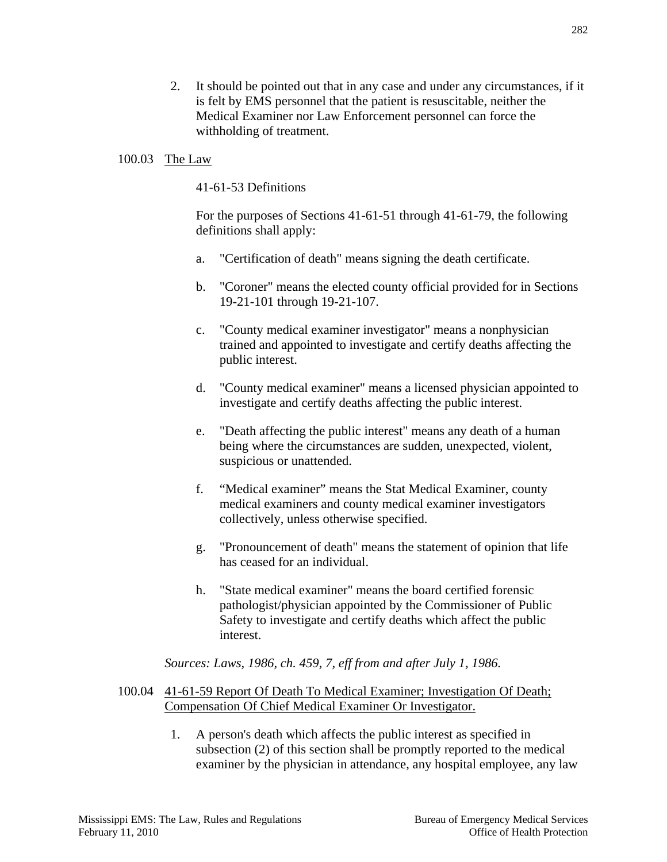2. It should be pointed out that in any case and under any circumstances, if it is felt by EMS personnel that the patient is resuscitable, neither the Medical Examiner nor Law Enforcement personnel can force the withholding of treatment.

### 100.03 The Law

41-61-53 Definitions

For the purposes of Sections 41-61-51 through 41-61-79, the following definitions shall apply:

- a. "Certification of death" means signing the death certificate.
- b. "Coroner" means the elected county official provided for in Sections 19-21-101 through 19-21-107.
- c. "County medical examiner investigator" means a nonphysician trained and appointed to investigate and certify deaths affecting the public interest.
- d. "County medical examiner" means a licensed physician appointed to investigate and certify deaths affecting the public interest.
- e. "Death affecting the public interest" means any death of a human being where the circumstances are sudden, unexpected, violent, suspicious or unattended.
- f. "Medical examiner" means the Stat Medical Examiner, county medical examiners and county medical examiner investigators collectively, unless otherwise specified.
- g. "Pronouncement of death" means the statement of opinion that life has ceased for an individual.
- h. "State medical examiner" means the board certified forensic pathologist/physician appointed by the Commissioner of Public Safety to investigate and certify deaths which affect the public interest.

*Sources: Laws, 1986, ch. 459, 7, eff from and after July 1, 1986.* 

### 100.04 41-61-59 Report Of Death To Medical Examiner; Investigation Of Death; Compensation Of Chief Medical Examiner Or Investigator.

1. A person's death which affects the public interest as specified in subsection (2) of this section shall be promptly reported to the medical examiner by the physician in attendance, any hospital employee, any law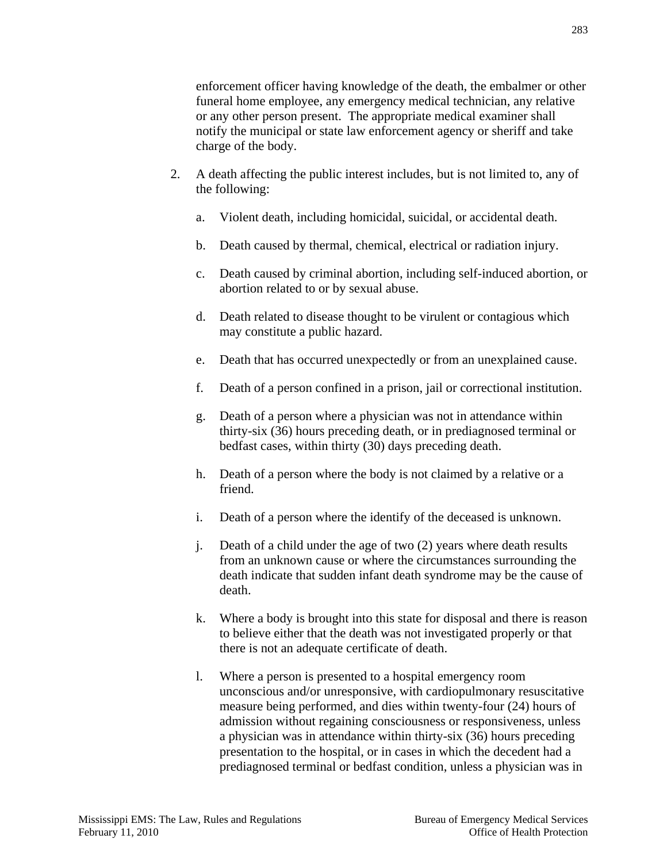enforcement officer having knowledge of the death, the embalmer or other funeral home employee, any emergency medical technician, any relative or any other person present. The appropriate medical examiner shall notify the municipal or state law enforcement agency or sheriff and take charge of the body.

- 2. A death affecting the public interest includes, but is not limited to, any of the following:
	- a. Violent death, including homicidal, suicidal, or accidental death.
	- b. Death caused by thermal, chemical, electrical or radiation injury.
	- c. Death caused by criminal abortion, including self-induced abortion, or abortion related to or by sexual abuse.
	- d. Death related to disease thought to be virulent or contagious which may constitute a public hazard.
	- e. Death that has occurred unexpectedly or from an unexplained cause.
	- f. Death of a person confined in a prison, jail or correctional institution.
	- g. Death of a person where a physician was not in attendance within thirty-six (36) hours preceding death, or in prediagnosed terminal or bedfast cases, within thirty (30) days preceding death.
	- h. Death of a person where the body is not claimed by a relative or a friend.
	- i. Death of a person where the identify of the deceased is unknown.
	- j. Death of a child under the age of two (2) years where death results from an unknown cause or where the circumstances surrounding the death indicate that sudden infant death syndrome may be the cause of death.
	- k. Where a body is brought into this state for disposal and there is reason to believe either that the death was not investigated properly or that there is not an adequate certificate of death.
	- l. Where a person is presented to a hospital emergency room unconscious and/or unresponsive, with cardiopulmonary resuscitative measure being performed, and dies within twenty-four (24) hours of admission without regaining consciousness or responsiveness, unless a physician was in attendance within thirty-six (36) hours preceding presentation to the hospital, or in cases in which the decedent had a prediagnosed terminal or bedfast condition, unless a physician was in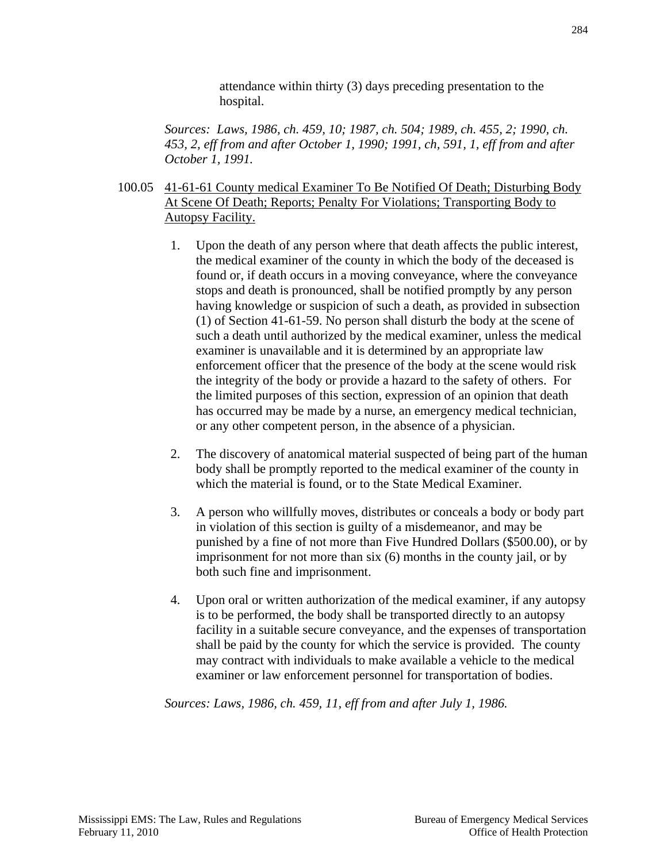attendance within thirty (3) days preceding presentation to the hospital.

*Sources: Laws, 1986, ch. 459, 10; 1987, ch. 504; 1989, ch. 455, 2; 1990, ch. 453, 2, eff from and after October 1, 1990; 1991, ch, 591, 1, eff from and after October 1, 1991.* 

- 100.05 41-61-61 County medical Examiner To Be Notified Of Death; Disturbing Body At Scene Of Death; Reports; Penalty For Violations; Transporting Body to Autopsy Facility.
	- 1. Upon the death of any person where that death affects the public interest, the medical examiner of the county in which the body of the deceased is found or, if death occurs in a moving conveyance, where the conveyance stops and death is pronounced, shall be notified promptly by any person having knowledge or suspicion of such a death, as provided in subsection (1) of Section 41-61-59. No person shall disturb the body at the scene of such a death until authorized by the medical examiner, unless the medical examiner is unavailable and it is determined by an appropriate law enforcement officer that the presence of the body at the scene would risk the integrity of the body or provide a hazard to the safety of others. For the limited purposes of this section, expression of an opinion that death has occurred may be made by a nurse, an emergency medical technician, or any other competent person, in the absence of a physician.
	- 2. The discovery of anatomical material suspected of being part of the human body shall be promptly reported to the medical examiner of the county in which the material is found, or to the State Medical Examiner.
	- 3. A person who willfully moves, distributes or conceals a body or body part in violation of this section is guilty of a misdemeanor, and may be punished by a fine of not more than Five Hundred Dollars (\$500.00), or by imprisonment for not more than six (6) months in the county jail, or by both such fine and imprisonment.
	- 4. Upon oral or written authorization of the medical examiner, if any autopsy is to be performed, the body shall be transported directly to an autopsy facility in a suitable secure conveyance, and the expenses of transportation shall be paid by the county for which the service is provided. The county may contract with individuals to make available a vehicle to the medical examiner or law enforcement personnel for transportation of bodies.

*Sources: Laws, 1986, ch. 459, 11, eff from and after July 1, 1986.*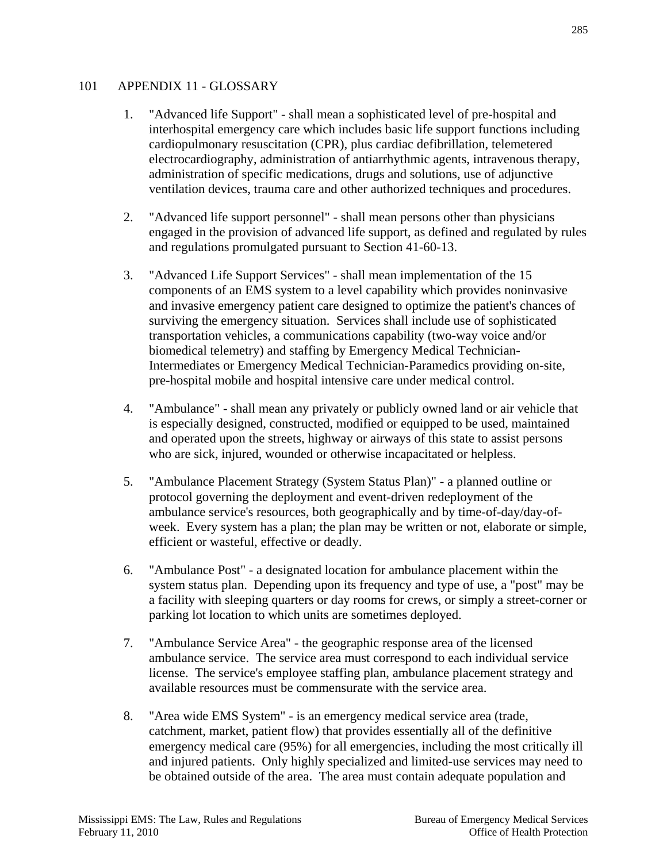#### 101 APPENDIX 11 - GLOSSARY

- 1. "Advanced life Support" shall mean a sophisticated level of pre-hospital and interhospital emergency care which includes basic life support functions including cardiopulmonary resuscitation (CPR), plus cardiac defibrillation, telemetered electrocardiography, administration of antiarrhythmic agents, intravenous therapy, administration of specific medications, drugs and solutions, use of adjunctive ventilation devices, trauma care and other authorized techniques and procedures.
- 2. "Advanced life support personnel" shall mean persons other than physicians engaged in the provision of advanced life support, as defined and regulated by rules and regulations promulgated pursuant to Section 41-60-13.
- 3. "Advanced Life Support Services" shall mean implementation of the 15 components of an EMS system to a level capability which provides noninvasive and invasive emergency patient care designed to optimize the patient's chances of surviving the emergency situation. Services shall include use of sophisticated transportation vehicles, a communications capability (two-way voice and/or biomedical telemetry) and staffing by Emergency Medical Technician-Intermediates or Emergency Medical Technician-Paramedics providing on-site, pre-hospital mobile and hospital intensive care under medical control.
- 4. "Ambulance" shall mean any privately or publicly owned land or air vehicle that is especially designed, constructed, modified or equipped to be used, maintained and operated upon the streets, highway or airways of this state to assist persons who are sick, injured, wounded or otherwise incapacitated or helpless.
- 5. "Ambulance Placement Strategy (System Status Plan)" a planned outline or protocol governing the deployment and event-driven redeployment of the ambulance service's resources, both geographically and by time-of-day/day-ofweek. Every system has a plan; the plan may be written or not, elaborate or simple, efficient or wasteful, effective or deadly.
- 6. "Ambulance Post" a designated location for ambulance placement within the system status plan. Depending upon its frequency and type of use, a "post" may be a facility with sleeping quarters or day rooms for crews, or simply a street-corner or parking lot location to which units are sometimes deployed.
- 7. "Ambulance Service Area" the geographic response area of the licensed ambulance service. The service area must correspond to each individual service license. The service's employee staffing plan, ambulance placement strategy and available resources must be commensurate with the service area.
- 8. "Area wide EMS System" is an emergency medical service area (trade, catchment, market, patient flow) that provides essentially all of the definitive emergency medical care (95%) for all emergencies, including the most critically ill and injured patients. Only highly specialized and limited-use services may need to be obtained outside of the area. The area must contain adequate population and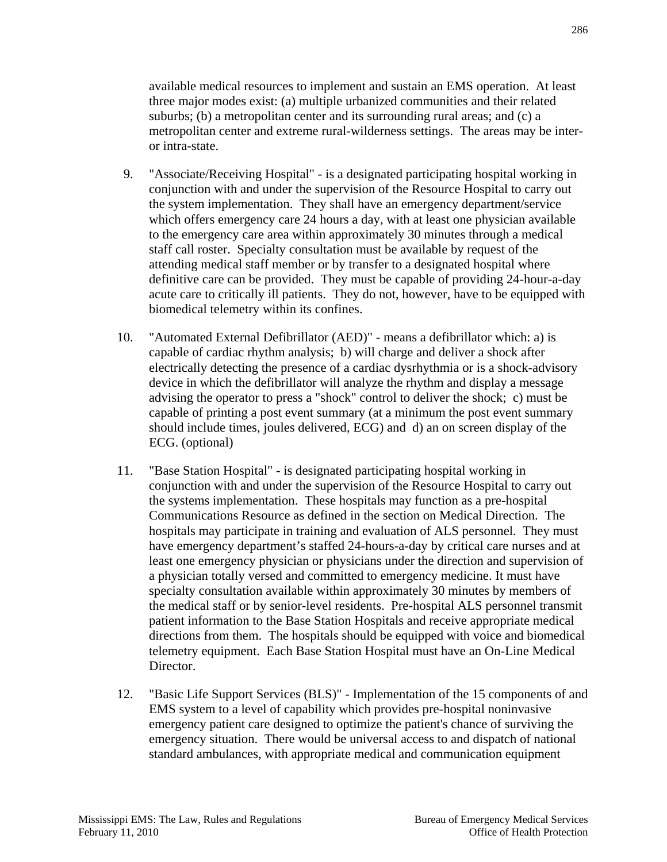available medical resources to implement and sustain an EMS operation. At least three major modes exist: (a) multiple urbanized communities and their related suburbs; (b) a metropolitan center and its surrounding rural areas; and (c) a metropolitan center and extreme rural-wilderness settings. The areas may be interor intra-state.

- 9. "Associate/Receiving Hospital" is a designated participating hospital working in conjunction with and under the supervision of the Resource Hospital to carry out the system implementation. They shall have an emergency department/service which offers emergency care 24 hours a day, with at least one physician available to the emergency care area within approximately 30 minutes through a medical staff call roster. Specialty consultation must be available by request of the attending medical staff member or by transfer to a designated hospital where definitive care can be provided. They must be capable of providing 24-hour-a-day acute care to critically ill patients. They do not, however, have to be equipped with biomedical telemetry within its confines.
- 10. "Automated External Defibrillator (AED)" means a defibrillator which: a) is capable of cardiac rhythm analysis; b) will charge and deliver a shock after electrically detecting the presence of a cardiac dysrhythmia or is a shock-advisory device in which the defibrillator will analyze the rhythm and display a message advising the operator to press a "shock" control to deliver the shock; c) must be capable of printing a post event summary (at a minimum the post event summary should include times, joules delivered, ECG) and d) an on screen display of the ECG. (optional)
- 11. "Base Station Hospital" is designated participating hospital working in conjunction with and under the supervision of the Resource Hospital to carry out the systems implementation. These hospitals may function as a pre-hospital Communications Resource as defined in the section on Medical Direction. The hospitals may participate in training and evaluation of ALS personnel. They must have emergency department's staffed 24-hours-a-day by critical care nurses and at least one emergency physician or physicians under the direction and supervision of a physician totally versed and committed to emergency medicine. It must have specialty consultation available within approximately 30 minutes by members of the medical staff or by senior-level residents. Pre-hospital ALS personnel transmit patient information to the Base Station Hospitals and receive appropriate medical directions from them. The hospitals should be equipped with voice and biomedical telemetry equipment. Each Base Station Hospital must have an On-Line Medical Director.
- 12. "Basic Life Support Services (BLS)" Implementation of the 15 components of and EMS system to a level of capability which provides pre-hospital noninvasive emergency patient care designed to optimize the patient's chance of surviving the emergency situation. There would be universal access to and dispatch of national standard ambulances, with appropriate medical and communication equipment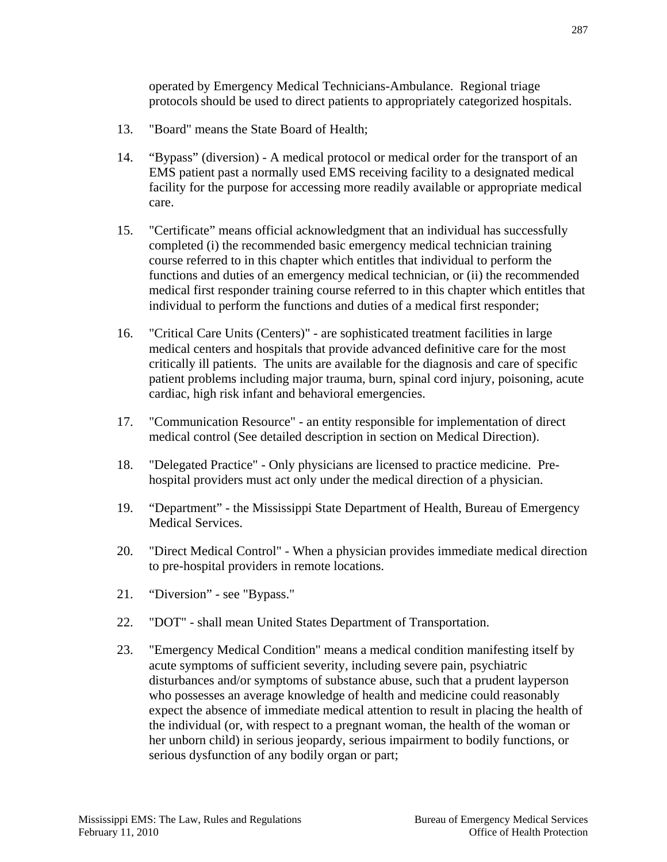operated by Emergency Medical Technicians-Ambulance. Regional triage protocols should be used to direct patients to appropriately categorized hospitals.

- 13. "Board" means the State Board of Health;
- 14. "Bypass" (diversion) A medical protocol or medical order for the transport of an EMS patient past a normally used EMS receiving facility to a designated medical facility for the purpose for accessing more readily available or appropriate medical care.
- 15. "Certificate" means official acknowledgment that an individual has successfully completed (i) the recommended basic emergency medical technician training course referred to in this chapter which entitles that individual to perform the functions and duties of an emergency medical technician, or (ii) the recommended medical first responder training course referred to in this chapter which entitles that individual to perform the functions and duties of a medical first responder;
- 16. "Critical Care Units (Centers)" are sophisticated treatment facilities in large medical centers and hospitals that provide advanced definitive care for the most critically ill patients. The units are available for the diagnosis and care of specific patient problems including major trauma, burn, spinal cord injury, poisoning, acute cardiac, high risk infant and behavioral emergencies.
- 17. "Communication Resource" an entity responsible for implementation of direct medical control (See detailed description in section on Medical Direction).
- 18. "Delegated Practice" Only physicians are licensed to practice medicine. Prehospital providers must act only under the medical direction of a physician.
- 19. "Department" the Mississippi State Department of Health, Bureau of Emergency Medical Services.
- 20. "Direct Medical Control" When a physician provides immediate medical direction to pre-hospital providers in remote locations.
- 21. "Diversion" see "Bypass."
- 22. "DOT" shall mean United States Department of Transportation.
- 23. "Emergency Medical Condition" means a medical condition manifesting itself by acute symptoms of sufficient severity, including severe pain, psychiatric disturbances and/or symptoms of substance abuse, such that a prudent layperson who possesses an average knowledge of health and medicine could reasonably expect the absence of immediate medical attention to result in placing the health of the individual (or, with respect to a pregnant woman, the health of the woman or her unborn child) in serious jeopardy, serious impairment to bodily functions, or serious dysfunction of any bodily organ or part;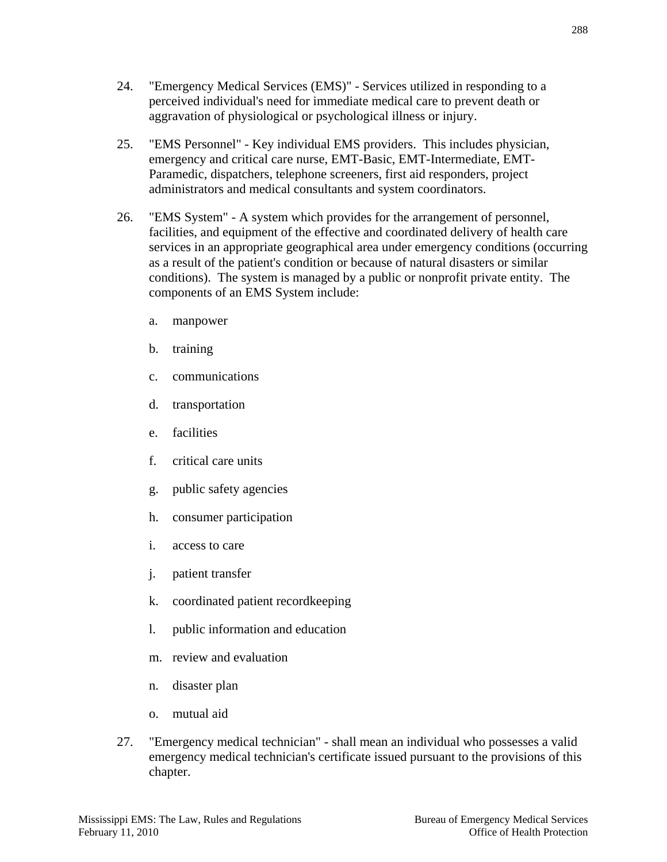- 24. "Emergency Medical Services (EMS)" Services utilized in responding to a perceived individual's need for immediate medical care to prevent death or aggravation of physiological or psychological illness or injury.
- 25. "EMS Personnel" Key individual EMS providers. This includes physician, emergency and critical care nurse, EMT-Basic, EMT-Intermediate, EMT-Paramedic, dispatchers, telephone screeners, first aid responders, project administrators and medical consultants and system coordinators.
- 26. "EMS System" A system which provides for the arrangement of personnel, facilities, and equipment of the effective and coordinated delivery of health care services in an appropriate geographical area under emergency conditions (occurring as a result of the patient's condition or because of natural disasters or similar conditions). The system is managed by a public or nonprofit private entity. The components of an EMS System include:
	- a. manpower
	- b. training
	- c. communications
	- d. transportation
	- e. facilities
	- f. critical care units
	- g. public safety agencies
	- h. consumer participation
	- i. access to care
	- j. patient transfer
	- k. coordinated patient recordkeeping
	- l. public information and education
	- m. review and evaluation
	- n. disaster plan
	- o. mutual aid
- 27. "Emergency medical technician" shall mean an individual who possesses a valid emergency medical technician's certificate issued pursuant to the provisions of this chapter.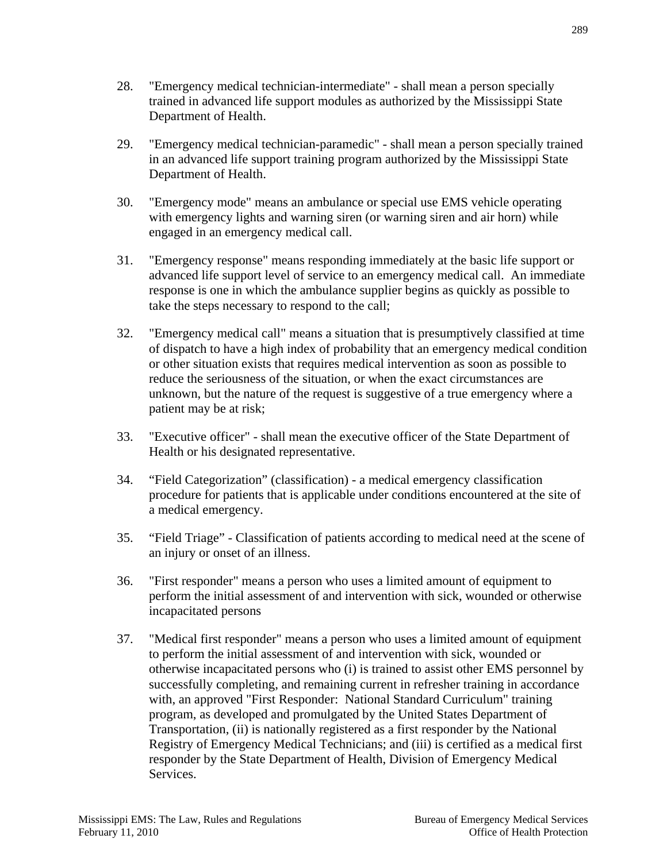- 28. "Emergency medical technician-intermediate" shall mean a person specially trained in advanced life support modules as authorized by the Mississippi State Department of Health.
- 29. "Emergency medical technician-paramedic" shall mean a person specially trained in an advanced life support training program authorized by the Mississippi State Department of Health.
- 30. "Emergency mode" means an ambulance or special use EMS vehicle operating with emergency lights and warning siren (or warning siren and air horn) while engaged in an emergency medical call.
- 31. "Emergency response" means responding immediately at the basic life support or advanced life support level of service to an emergency medical call. An immediate response is one in which the ambulance supplier begins as quickly as possible to take the steps necessary to respond to the call;
- 32. "Emergency medical call" means a situation that is presumptively classified at time of dispatch to have a high index of probability that an emergency medical condition or other situation exists that requires medical intervention as soon as possible to reduce the seriousness of the situation, or when the exact circumstances are unknown, but the nature of the request is suggestive of a true emergency where a patient may be at risk;
- 33. "Executive officer" shall mean the executive officer of the State Department of Health or his designated representative.
- 34. "Field Categorization" (classification) a medical emergency classification procedure for patients that is applicable under conditions encountered at the site of a medical emergency.
- 35. "Field Triage" Classification of patients according to medical need at the scene of an injury or onset of an illness.
- 36. "First responder" means a person who uses a limited amount of equipment to perform the initial assessment of and intervention with sick, wounded or otherwise incapacitated persons
- 37. "Medical first responder" means a person who uses a limited amount of equipment to perform the initial assessment of and intervention with sick, wounded or otherwise incapacitated persons who (i) is trained to assist other EMS personnel by successfully completing, and remaining current in refresher training in accordance with, an approved "First Responder: National Standard Curriculum" training program, as developed and promulgated by the United States Department of Transportation, (ii) is nationally registered as a first responder by the National Registry of Emergency Medical Technicians; and (iii) is certified as a medical first responder by the State Department of Health, Division of Emergency Medical Services.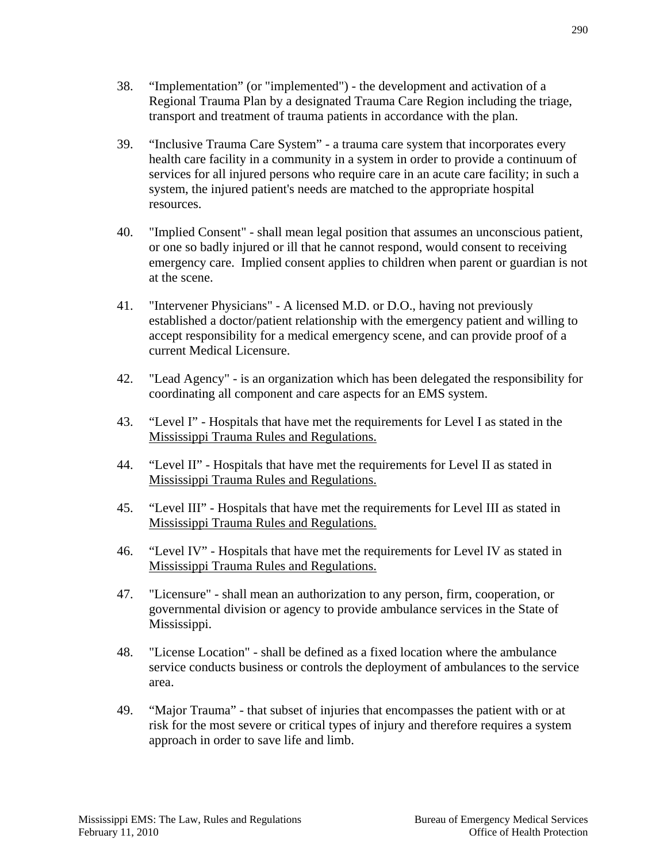- 38. "Implementation" (or "implemented") the development and activation of a Regional Trauma Plan by a designated Trauma Care Region including the triage, transport and treatment of trauma patients in accordance with the plan.
- 39. "Inclusive Trauma Care System" a trauma care system that incorporates every health care facility in a community in a system in order to provide a continuum of services for all injured persons who require care in an acute care facility; in such a system, the injured patient's needs are matched to the appropriate hospital resources.
- 40. "Implied Consent" shall mean legal position that assumes an unconscious patient, or one so badly injured or ill that he cannot respond, would consent to receiving emergency care. Implied consent applies to children when parent or guardian is not at the scene.
- 41. "Intervener Physicians" A licensed M.D. or D.O., having not previously established a doctor/patient relationship with the emergency patient and willing to accept responsibility for a medical emergency scene, and can provide proof of a current Medical Licensure.
- 42. "Lead Agency" is an organization which has been delegated the responsibility for coordinating all component and care aspects for an EMS system.
- 43. "Level I" Hospitals that have met the requirements for Level I as stated in the Mississippi Trauma Rules and Regulations.
- 44. "Level II" Hospitals that have met the requirements for Level II as stated in Mississippi Trauma Rules and Regulations.
- 45. "Level III" Hospitals that have met the requirements for Level III as stated in Mississippi Trauma Rules and Regulations.
- 46. "Level IV" Hospitals that have met the requirements for Level IV as stated in Mississippi Trauma Rules and Regulations.
- 47. "Licensure" shall mean an authorization to any person, firm, cooperation, or governmental division or agency to provide ambulance services in the State of Mississippi.
- 48. "License Location" shall be defined as a fixed location where the ambulance service conducts business or controls the deployment of ambulances to the service area.
- 49. "Major Trauma" that subset of injuries that encompasses the patient with or at risk for the most severe or critical types of injury and therefore requires a system approach in order to save life and limb.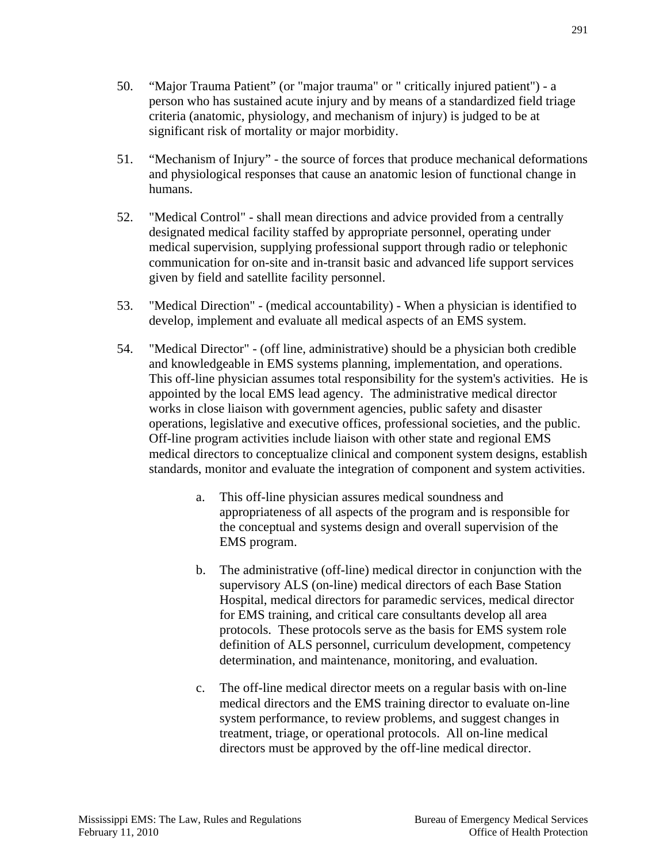- 50. "Major Trauma Patient" (or "major trauma" or " critically injured patient") a person who has sustained acute injury and by means of a standardized field triage criteria (anatomic, physiology, and mechanism of injury) is judged to be at significant risk of mortality or major morbidity.
- 51. "Mechanism of Injury" the source of forces that produce mechanical deformations and physiological responses that cause an anatomic lesion of functional change in humans.
- 52. "Medical Control" shall mean directions and advice provided from a centrally designated medical facility staffed by appropriate personnel, operating under medical supervision, supplying professional support through radio or telephonic communication for on-site and in-transit basic and advanced life support services given by field and satellite facility personnel.
- 53. "Medical Direction" (medical accountability) When a physician is identified to develop, implement and evaluate all medical aspects of an EMS system.
- 54. "Medical Director" (off line, administrative) should be a physician both credible and knowledgeable in EMS systems planning, implementation, and operations. This off-line physician assumes total responsibility for the system's activities. He is appointed by the local EMS lead agency. The administrative medical director works in close liaison with government agencies, public safety and disaster operations, legislative and executive offices, professional societies, and the public. Off-line program activities include liaison with other state and regional EMS medical directors to conceptualize clinical and component system designs, establish standards, monitor and evaluate the integration of component and system activities.
	- a. This off-line physician assures medical soundness and appropriateness of all aspects of the program and is responsible for the conceptual and systems design and overall supervision of the EMS program.
	- b. The administrative (off-line) medical director in conjunction with the supervisory ALS (on-line) medical directors of each Base Station Hospital, medical directors for paramedic services, medical director for EMS training, and critical care consultants develop all area protocols. These protocols serve as the basis for EMS system role definition of ALS personnel, curriculum development, competency determination, and maintenance, monitoring, and evaluation.
	- c. The off-line medical director meets on a regular basis with on-line medical directors and the EMS training director to evaluate on-line system performance, to review problems, and suggest changes in treatment, triage, or operational protocols. All on-line medical directors must be approved by the off-line medical director.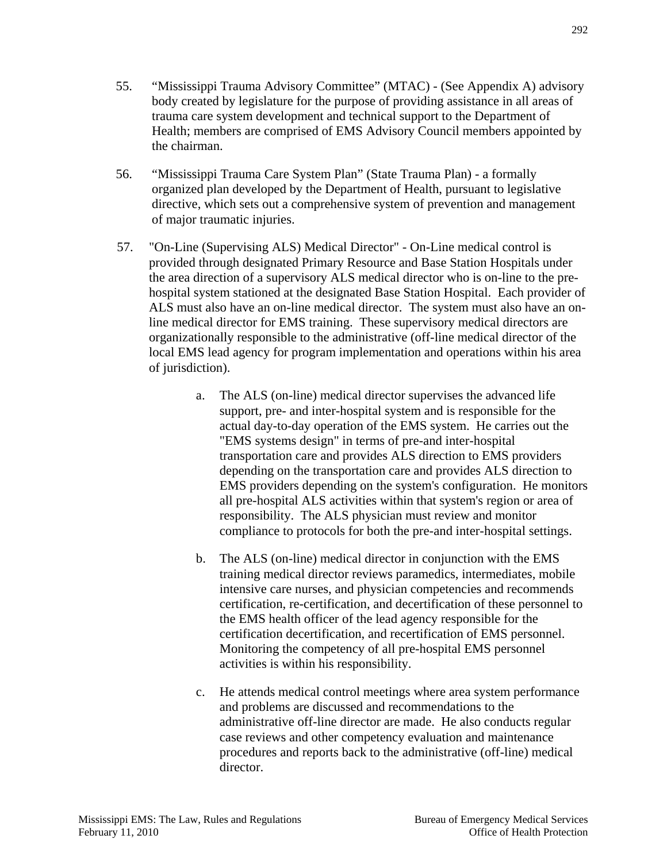- 55. "Mississippi Trauma Advisory Committee" (MTAC) (See Appendix A) advisory body created by legislature for the purpose of providing assistance in all areas of trauma care system development and technical support to the Department of Health; members are comprised of EMS Advisory Council members appointed by the chairman.
- 56. "Mississippi Trauma Care System Plan" (State Trauma Plan) a formally organized plan developed by the Department of Health, pursuant to legislative directive, which sets out a comprehensive system of prevention and management of major traumatic injuries.
- 57. "On-Line (Supervising ALS) Medical Director" On-Line medical control is provided through designated Primary Resource and Base Station Hospitals under the area direction of a supervisory ALS medical director who is on-line to the prehospital system stationed at the designated Base Station Hospital. Each provider of ALS must also have an on-line medical director. The system must also have an online medical director for EMS training. These supervisory medical directors are organizationally responsible to the administrative (off-line medical director of the local EMS lead agency for program implementation and operations within his area of jurisdiction).
	- a. The ALS (on-line) medical director supervises the advanced life support, pre- and inter-hospital system and is responsible for the actual day-to-day operation of the EMS system. He carries out the "EMS systems design" in terms of pre-and inter-hospital transportation care and provides ALS direction to EMS providers depending on the transportation care and provides ALS direction to EMS providers depending on the system's configuration. He monitors all pre-hospital ALS activities within that system's region or area of responsibility. The ALS physician must review and monitor compliance to protocols for both the pre-and inter-hospital settings.
	- b. The ALS (on-line) medical director in conjunction with the EMS training medical director reviews paramedics, intermediates, mobile intensive care nurses, and physician competencies and recommends certification, re-certification, and decertification of these personnel to the EMS health officer of the lead agency responsible for the certification decertification, and recertification of EMS personnel. Monitoring the competency of all pre-hospital EMS personnel activities is within his responsibility.
	- c. He attends medical control meetings where area system performance and problems are discussed and recommendations to the administrative off-line director are made. He also conducts regular case reviews and other competency evaluation and maintenance procedures and reports back to the administrative (off-line) medical director.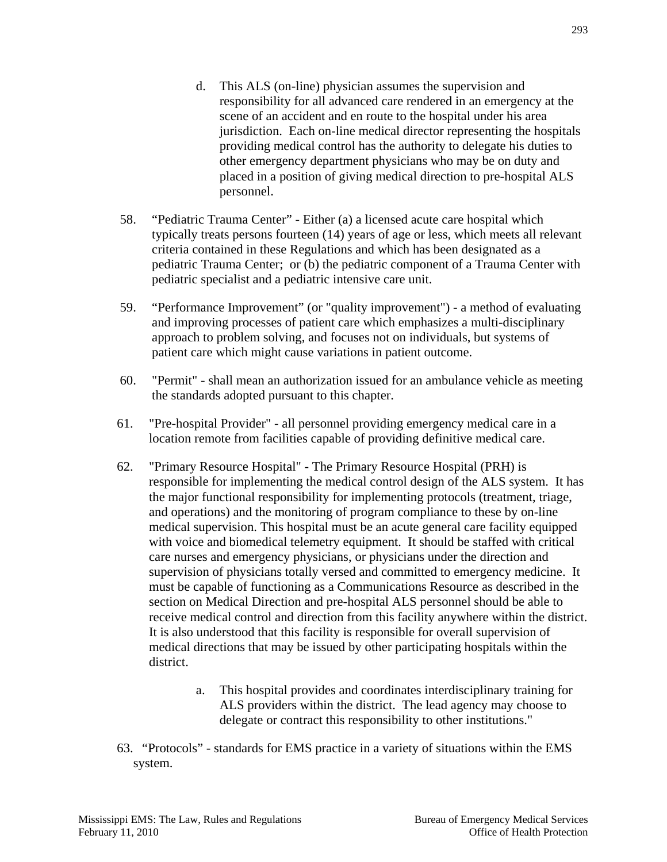- d. This ALS (on-line) physician assumes the supervision and responsibility for all advanced care rendered in an emergency at the scene of an accident and en route to the hospital under his area jurisdiction. Each on-line medical director representing the hospitals providing medical control has the authority to delegate his duties to other emergency department physicians who may be on duty and placed in a position of giving medical direction to pre-hospital ALS personnel.
- 58. "Pediatric Trauma Center" Either (a) a licensed acute care hospital which typically treats persons fourteen (14) years of age or less, which meets all relevant criteria contained in these Regulations and which has been designated as a pediatric Trauma Center; or (b) the pediatric component of a Trauma Center with pediatric specialist and a pediatric intensive care unit.
- 59. "Performance Improvement" (or "quality improvement") a method of evaluating and improving processes of patient care which emphasizes a multi-disciplinary approach to problem solving, and focuses not on individuals, but systems of patient care which might cause variations in patient outcome.
- 60. "Permit" shall mean an authorization issued for an ambulance vehicle as meeting the standards adopted pursuant to this chapter.
- 61. "Pre-hospital Provider" all personnel providing emergency medical care in a location remote from facilities capable of providing definitive medical care.
- 62. "Primary Resource Hospital" The Primary Resource Hospital (PRH) is responsible for implementing the medical control design of the ALS system. It has the major functional responsibility for implementing protocols (treatment, triage, and operations) and the monitoring of program compliance to these by on-line medical supervision. This hospital must be an acute general care facility equipped with voice and biomedical telemetry equipment. It should be staffed with critical care nurses and emergency physicians, or physicians under the direction and supervision of physicians totally versed and committed to emergency medicine. It must be capable of functioning as a Communications Resource as described in the section on Medical Direction and pre-hospital ALS personnel should be able to receive medical control and direction from this facility anywhere within the district. It is also understood that this facility is responsible for overall supervision of medical directions that may be issued by other participating hospitals within the district.
	- a. This hospital provides and coordinates interdisciplinary training for ALS providers within the district. The lead agency may choose to delegate or contract this responsibility to other institutions."
- 63. "Protocols" standards for EMS practice in a variety of situations within the EMS system.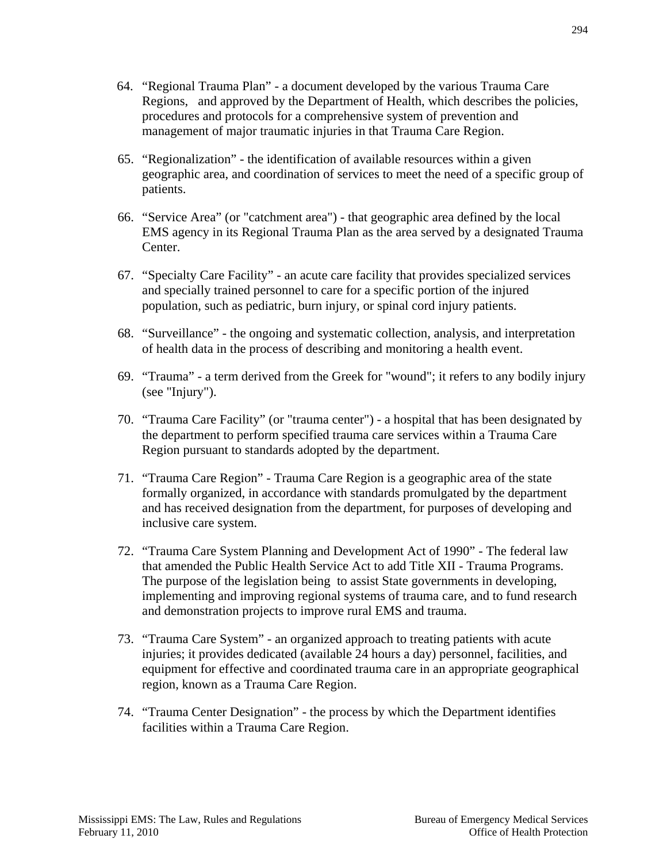- 64. "Regional Trauma Plan" a document developed by the various Trauma Care Regions, and approved by the Department of Health, which describes the policies, procedures and protocols for a comprehensive system of prevention and management of major traumatic injuries in that Trauma Care Region.
- 65. "Regionalization" the identification of available resources within a given geographic area, and coordination of services to meet the need of a specific group of patients.
- 66. "Service Area" (or "catchment area") that geographic area defined by the local EMS agency in its Regional Trauma Plan as the area served by a designated Trauma Center.
- 67. "Specialty Care Facility" an acute care facility that provides specialized services and specially trained personnel to care for a specific portion of the injured population, such as pediatric, burn injury, or spinal cord injury patients.
- 68. "Surveillance" the ongoing and systematic collection, analysis, and interpretation of health data in the process of describing and monitoring a health event.
- 69. "Trauma" a term derived from the Greek for "wound"; it refers to any bodily injury (see "Injury").
- 70. "Trauma Care Facility" (or "trauma center") a hospital that has been designated by the department to perform specified trauma care services within a Trauma Care Region pursuant to standards adopted by the department.
- 71. "Trauma Care Region" Trauma Care Region is a geographic area of the state formally organized, in accordance with standards promulgated by the department and has received designation from the department, for purposes of developing and inclusive care system.
- 72. "Trauma Care System Planning and Development Act of 1990" The federal law that amended the Public Health Service Act to add Title XII - Trauma Programs. The purpose of the legislation being to assist State governments in developing, implementing and improving regional systems of trauma care, and to fund research and demonstration projects to improve rural EMS and trauma.
- 73. "Trauma Care System" an organized approach to treating patients with acute injuries; it provides dedicated (available 24 hours a day) personnel, facilities, and equipment for effective and coordinated trauma care in an appropriate geographical region, known as a Trauma Care Region.
- 74. "Trauma Center Designation" the process by which the Department identifies facilities within a Trauma Care Region.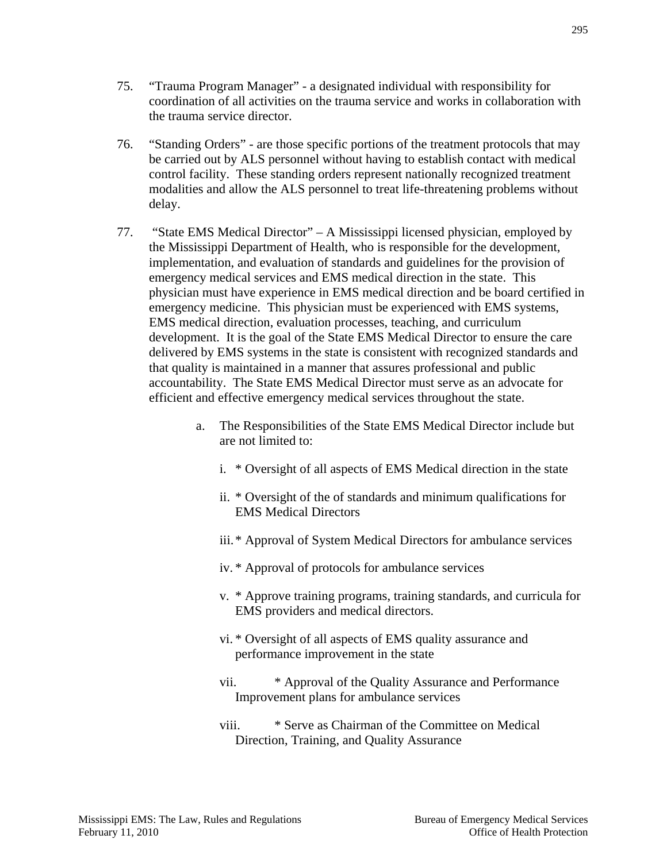- 75. "Trauma Program Manager" a designated individual with responsibility for coordination of all activities on the trauma service and works in collaboration with the trauma service director.
- 76. "Standing Orders" are those specific portions of the treatment protocols that may be carried out by ALS personnel without having to establish contact with medical control facility. These standing orders represent nationally recognized treatment modalities and allow the ALS personnel to treat life-threatening problems without delay.
- 77. "State EMS Medical Director" A Mississippi licensed physician, employed by the Mississippi Department of Health, who is responsible for the development, implementation, and evaluation of standards and guidelines for the provision of emergency medical services and EMS medical direction in the state. This physician must have experience in EMS medical direction and be board certified in emergency medicine. This physician must be experienced with EMS systems, EMS medical direction, evaluation processes, teaching, and curriculum development. It is the goal of the State EMS Medical Director to ensure the care delivered by EMS systems in the state is consistent with recognized standards and that quality is maintained in a manner that assures professional and public accountability. The State EMS Medical Director must serve as an advocate for efficient and effective emergency medical services throughout the state.
	- a. The Responsibilities of the State EMS Medical Director include but are not limited to:
		- i. \* Oversight of all aspects of EMS Medical direction in the state
		- ii. \* Oversight of the of standards and minimum qualifications for EMS Medical Directors
		- iii.\* Approval of System Medical Directors for ambulance services
		- iv. \* Approval of protocols for ambulance services
		- v. \* Approve training programs, training standards, and curricula for EMS providers and medical directors.
		- vi. \* Oversight of all aspects of EMS quality assurance and performance improvement in the state
		- vii. \* Approval of the Quality Assurance and Performance Improvement plans for ambulance services
		- viii. \* Serve as Chairman of the Committee on Medical Direction, Training, and Quality Assurance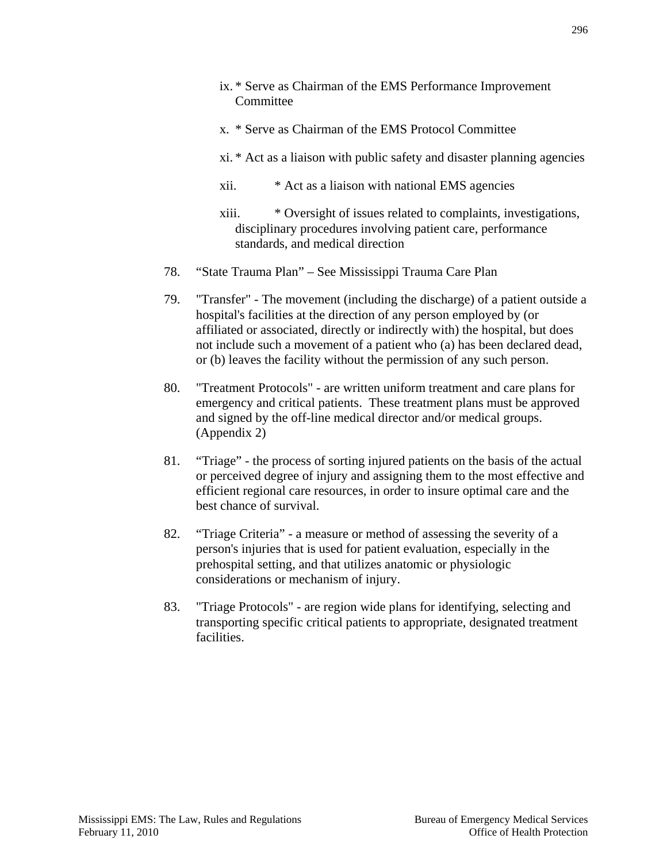- ix. \* Serve as Chairman of the EMS Performance Improvement **Committee**
- x. \* Serve as Chairman of the EMS Protocol Committee
- xi. \* Act as a liaison with public safety and disaster planning agencies
- xii. \* Act as a liaison with national EMS agencies
- xiii. \* Oversight of issues related to complaints, investigations, disciplinary procedures involving patient care, performance standards, and medical direction
- 78. "State Trauma Plan" See Mississippi Trauma Care Plan
- 79. "Transfer" The movement (including the discharge) of a patient outside a hospital's facilities at the direction of any person employed by (or affiliated or associated, directly or indirectly with) the hospital, but does not include such a movement of a patient who (a) has been declared dead, or (b) leaves the facility without the permission of any such person.
- 80. "Treatment Protocols" are written uniform treatment and care plans for emergency and critical patients. These treatment plans must be approved and signed by the off-line medical director and/or medical groups. (Appendix 2)
- 81. "Triage" the process of sorting injured patients on the basis of the actual or perceived degree of injury and assigning them to the most effective and efficient regional care resources, in order to insure optimal care and the best chance of survival.
- 82. "Triage Criteria" a measure or method of assessing the severity of a person's injuries that is used for patient evaluation, especially in the prehospital setting, and that utilizes anatomic or physiologic considerations or mechanism of injury.
- 83. "Triage Protocols" are region wide plans for identifying, selecting and transporting specific critical patients to appropriate, designated treatment facilities.